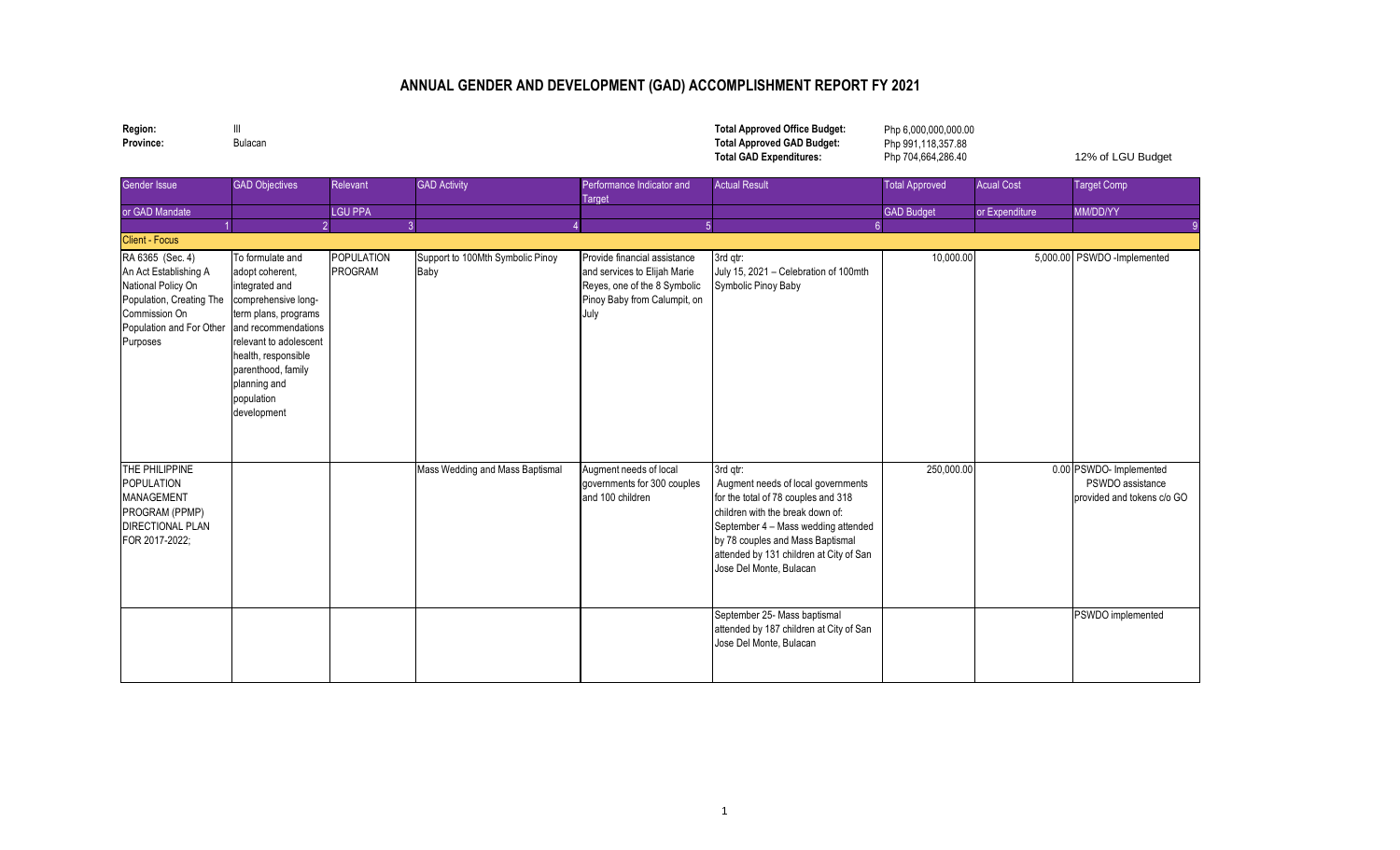## **ANNUAL GENDER AND DEVELOPMENT (GAD) ACCOMPLISHMENT REPORT FY 2021**

**Region:** III **Total Approved Office Budget:**

**Province:** Bulacan **Total Approved GAD Budget: Total GAD Expenditures:** 12% of LGU Budget Php 6,000,000,000.00 Php 991,118,357.88 Php 704,664,286.40

| Gender Issue                                                                                                                                         | <b>GAD Objectives</b>                                                                                                                                                                                                                           | Relevant              | <b>GAD Activity</b>                      | Performance Indicator and<br>Target                                                                                                  | <b>Actual Result</b>                                                                                                                                                                                                                                                       | <b>Total Approved</b> | <b>Acual Cost</b> | <b>Target Comp</b>                                                        |
|------------------------------------------------------------------------------------------------------------------------------------------------------|-------------------------------------------------------------------------------------------------------------------------------------------------------------------------------------------------------------------------------------------------|-----------------------|------------------------------------------|--------------------------------------------------------------------------------------------------------------------------------------|----------------------------------------------------------------------------------------------------------------------------------------------------------------------------------------------------------------------------------------------------------------------------|-----------------------|-------------------|---------------------------------------------------------------------------|
| or GAD Mandate                                                                                                                                       |                                                                                                                                                                                                                                                 | <b>LGU PPA</b>        |                                          |                                                                                                                                      |                                                                                                                                                                                                                                                                            | <b>GAD Budget</b>     | or Expenditure    | MM/DD/YY                                                                  |
|                                                                                                                                                      | $\mathcal{D}$                                                                                                                                                                                                                                   |                       |                                          | 5                                                                                                                                    |                                                                                                                                                                                                                                                                            |                       |                   |                                                                           |
| <b>Client - Focus</b>                                                                                                                                |                                                                                                                                                                                                                                                 |                       |                                          |                                                                                                                                      |                                                                                                                                                                                                                                                                            |                       |                   |                                                                           |
| RA 6365 (Sec. 4)<br>An Act Establishing A<br>National Policy On<br>Population, Creating The<br>Commission On<br>Population and For Other<br>Purposes | To formulate and<br>adopt coherent,<br>integrated and<br>comprehensive long-<br>term plans, programs<br>and recommendations<br>relevant to adolescent<br>health, responsible<br>parenthood, family<br>planning and<br>population<br>development | POPULATION<br>PROGRAM | Support to 100Mth Symbolic Pinoy<br>Baby | Provide financial assistance<br>and services to Elijah Marie<br>Reyes, one of the 8 Symbolic<br>Pinoy Baby from Calumpit, on<br>July | 3rd gtr:<br>July 15, 2021 - Celebration of 100mth<br>Symbolic Pinoy Baby                                                                                                                                                                                                   | 10,000.00             |                   | 5,000.00 PSWDO -Implemented                                               |
| THE PHILIPPINE<br><b>POPULATION</b><br>MANAGEMENT<br>PROGRAM (PPMP)<br><b>DIRECTIONAL PLAN</b><br>FOR 2017-2022;                                     |                                                                                                                                                                                                                                                 |                       | Mass Wedding and Mass Baptismal          | Augment needs of local<br>governments for 300 couples<br>and 100 children                                                            | 3rd qtr:<br>Augment needs of local governments<br>for the total of 78 couples and 318<br>children with the break down of:<br>September 4 - Mass wedding attended<br>by 78 couples and Mass Baptismal<br>attended by 131 children at City of San<br>Jose Del Monte, Bulacan | 250,000.00            |                   | 0.00 PSWDO- Implemented<br>PSWDO assistance<br>provided and tokens c/o GO |
|                                                                                                                                                      |                                                                                                                                                                                                                                                 |                       |                                          |                                                                                                                                      | September 25- Mass baptismal<br>attended by 187 children at City of San<br>Jose Del Monte, Bulacan                                                                                                                                                                         |                       |                   | PSWDO implemented                                                         |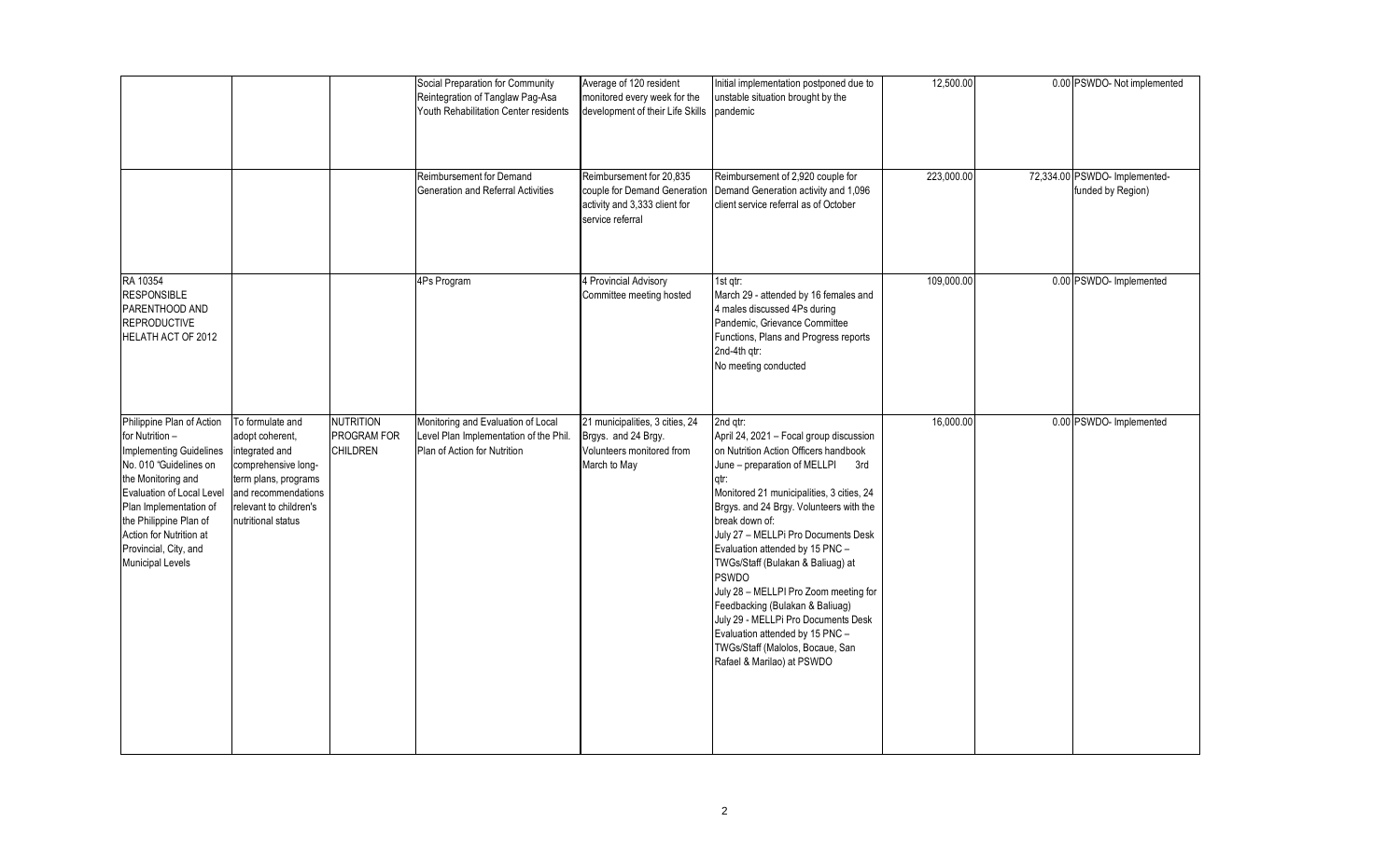|                                                                                                                                                                                                                                                                                                |                                                                                                                                                                             |                                                    | Social Preparation for Community<br>Reintegration of Tanglaw Pag-Asa<br>Youth Rehabilitation Center residents<br>Reimbursement for Demand | Average of 120 resident<br>monitored every week for the<br>development of their Life Skills<br>Reimbursement for 20,835 | Initial implementation postponed due to<br>unstable situation brought by the<br>pandemic<br>Reimbursement of 2,920 couple for                                                                                                                                                                                                                                                                                                                                                                                                                                                                                | 12,500.00<br>223,000.00 | 0.00 PSWDO- Not implemented<br>72,334.00 PSWDO- Implemented- |
|------------------------------------------------------------------------------------------------------------------------------------------------------------------------------------------------------------------------------------------------------------------------------------------------|-----------------------------------------------------------------------------------------------------------------------------------------------------------------------------|----------------------------------------------------|-------------------------------------------------------------------------------------------------------------------------------------------|-------------------------------------------------------------------------------------------------------------------------|--------------------------------------------------------------------------------------------------------------------------------------------------------------------------------------------------------------------------------------------------------------------------------------------------------------------------------------------------------------------------------------------------------------------------------------------------------------------------------------------------------------------------------------------------------------------------------------------------------------|-------------------------|--------------------------------------------------------------|
|                                                                                                                                                                                                                                                                                                |                                                                                                                                                                             |                                                    | <b>Generation and Referral Activities</b>                                                                                                 | couple for Demand Generation<br>activity and 3,333 client for<br>service referral                                       | Demand Generation activity and 1,096<br>client service referral as of October                                                                                                                                                                                                                                                                                                                                                                                                                                                                                                                                |                         | funded by Region)                                            |
| RA 10354<br><b>RESPONSIBLE</b><br>PARENTHOOD AND<br><b>REPRODUCTIVE</b><br>HELATH ACT OF 2012                                                                                                                                                                                                  |                                                                                                                                                                             |                                                    | 4Ps Program                                                                                                                               | 4 Provincial Advisory<br>Committee meeting hosted                                                                       | 1st atr:<br>March 29 - attended by 16 females and<br>4 males discussed 4Ps during<br>Pandemic, Grievance Committee<br>Functions, Plans and Progress reports<br>2nd-4th qtr:<br>No meeting conducted                                                                                                                                                                                                                                                                                                                                                                                                          | 109,000.00              | 0.00 PSWDO- Implemented                                      |
| Philippine Plan of Action<br>for Nutrition -<br><b>Implementing Guidelines</b><br>No. 010 "Guidelines on<br>the Monitoring and<br>Evaluation of Local Level<br>Plan Implementation of<br>the Philippine Plan of<br>Action for Nutrition at<br>Provincial, City, and<br><b>Municipal Levels</b> | To formulate and<br>adopt coherent,<br>integrated and<br>comprehensive long-<br>term plans, programs<br>and recommendations<br>relevant to children's<br>nutritional status | <b>NUTRITION</b><br>PROGRAM FOR<br><b>CHILDREN</b> | Monitoring and Evaluation of Local<br>Level Plan Implementation of the Phil.<br>Plan of Action for Nutrition                              | 21 municipalities, 3 cities, 24<br>Brgys. and 24 Brgy.<br>Volunteers monitored from<br>March to May                     | 2nd gtr:<br>April 24, 2021 - Focal group discussion<br>on Nutrition Action Officers handbook<br>June - preparation of MELLPI<br>3rd<br>qtr:<br>Monitored 21 municipalities, 3 cities, 24<br>Brgys. and 24 Brgy. Volunteers with the<br>break down of:<br>July 27 - MELLPi Pro Documents Desk<br>Evaluation attended by 15 PNC -<br>TWGs/Staff (Bulakan & Baliuag) at<br><b>PSWDO</b><br>July 28 - MELLPI Pro Zoom meeting for<br>Feedbacking (Bulakan & Baliuag)<br>July 29 - MELLPi Pro Documents Desk<br>Evaluation attended by 15 PNC -<br>TWGs/Staff (Malolos, Bocaue, San<br>Rafael & Marilao) at PSWDO | 16,000.00               | 0.00 PSWDO- Implemented                                      |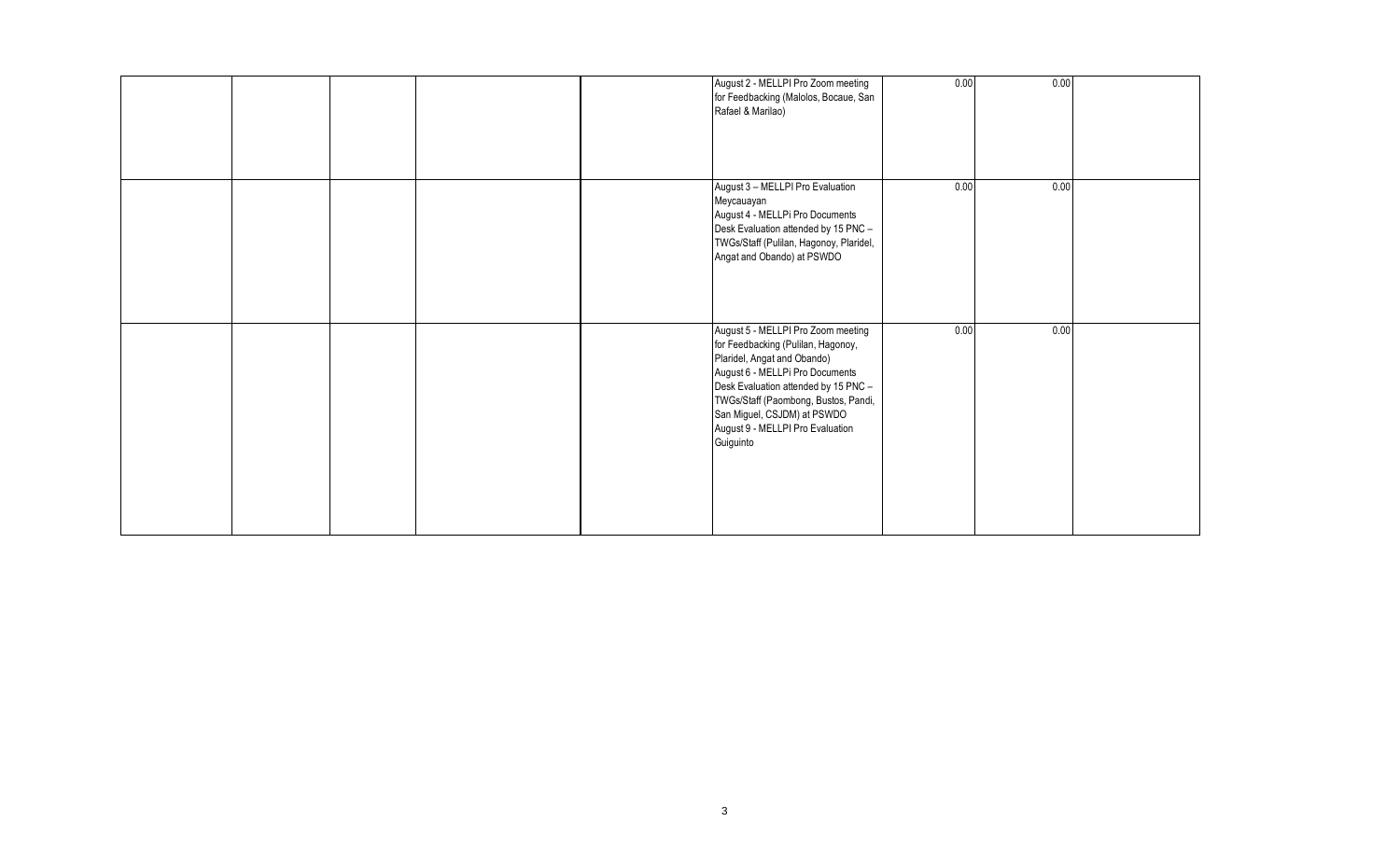|  |  | August 2 - MELLPI Pro Zoom meeting<br>for Feedbacking (Malolos, Bocaue, San<br>Rafael & Marilao)                                                                                                                                                                                                           | 0.00 | 0.00 |  |
|--|--|------------------------------------------------------------------------------------------------------------------------------------------------------------------------------------------------------------------------------------------------------------------------------------------------------------|------|------|--|
|  |  | August 3 - MELLPI Pro Evaluation<br>Meycauayan<br>August 4 - MELLPi Pro Documents<br>Desk Evaluation attended by 15 PNC -<br>TWGs/Staff (Pulilan, Hagonoy, Plaridel,<br>Angat and Obando) at PSWDO                                                                                                         | 0.00 | 0.00 |  |
|  |  | August 5 - MELLPI Pro Zoom meeting<br>for Feedbacking (Pulilan, Hagonoy,<br>Plaridel, Angat and Obando)<br>August 6 - MELLPi Pro Documents<br>Desk Evaluation attended by 15 PNC -<br>TWGs/Staff (Paombong, Bustos, Pandi,<br>San Miguel, CSJDM) at PSWDO<br>August 9 - MELLPI Pro Evaluation<br>Guiguinto | 0.00 | 0.00 |  |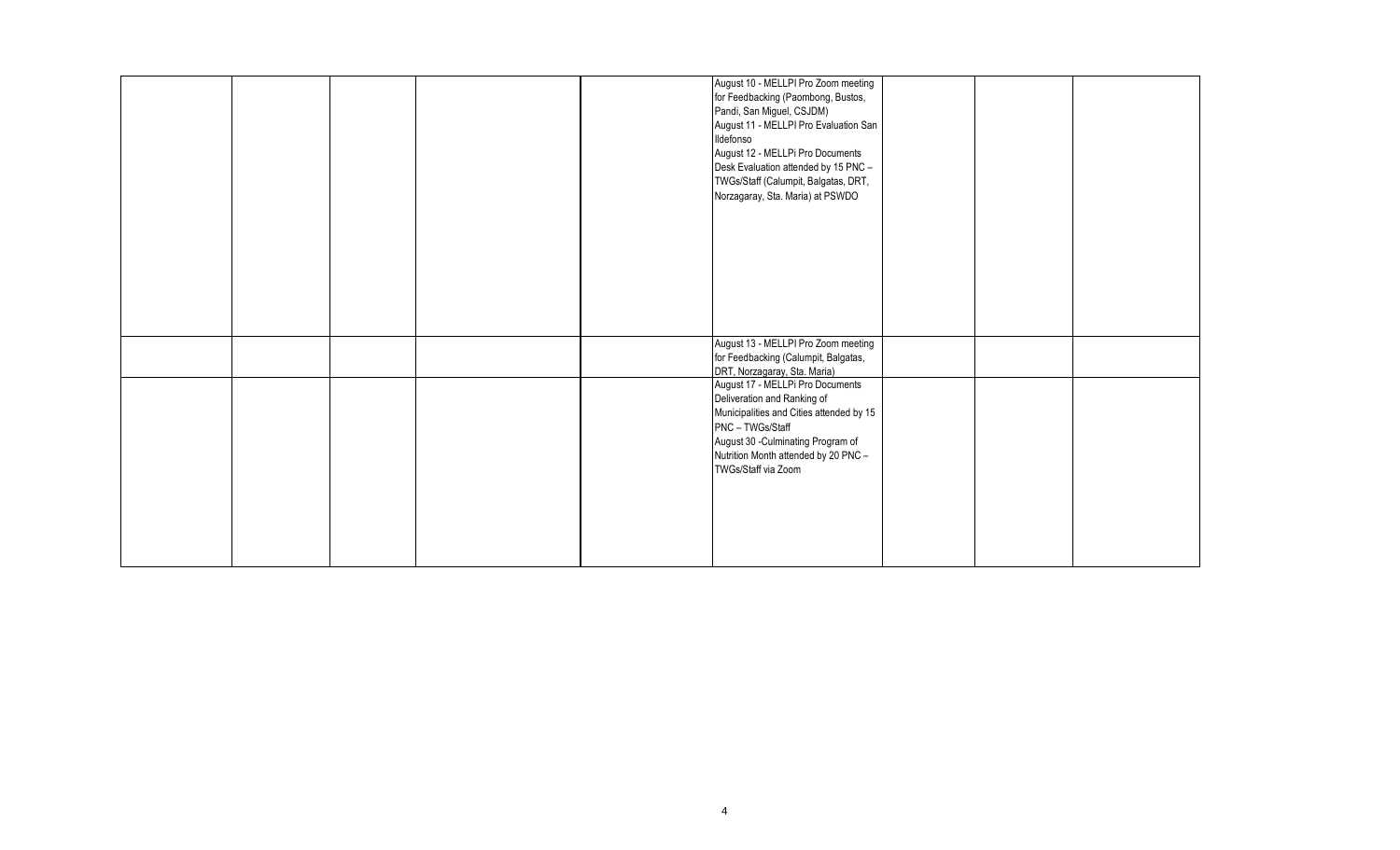|  |  | August 10 - MELLPI Pro Zoom meeting      |  |  |
|--|--|------------------------------------------|--|--|
|  |  | for Feedbacking (Paombong, Bustos,       |  |  |
|  |  | Pandi, San Miguel, CSJDM)                |  |  |
|  |  | August 11 - MELLPI Pro Evaluation San    |  |  |
|  |  | Ildefonso                                |  |  |
|  |  | August 12 - MELLPi Pro Documents         |  |  |
|  |  | Desk Evaluation attended by 15 PNC -     |  |  |
|  |  |                                          |  |  |
|  |  | TWGs/Staff (Calumpit, Balgatas, DRT,     |  |  |
|  |  | Norzagaray, Sta. Maria) at PSWDO         |  |  |
|  |  |                                          |  |  |
|  |  |                                          |  |  |
|  |  |                                          |  |  |
|  |  |                                          |  |  |
|  |  |                                          |  |  |
|  |  |                                          |  |  |
|  |  |                                          |  |  |
|  |  |                                          |  |  |
|  |  |                                          |  |  |
|  |  | August 13 - MELLPI Pro Zoom meeting      |  |  |
|  |  | for Feedbacking (Calumpit, Balgatas,     |  |  |
|  |  | DRT, Norzagaray, Sta. Maria)             |  |  |
|  |  | August 17 - MELLPi Pro Documents         |  |  |
|  |  | Deliveration and Ranking of              |  |  |
|  |  | Municipalities and Cities attended by 15 |  |  |
|  |  | PNC - TWGs/Staff                         |  |  |
|  |  | August 30 - Culminating Program of       |  |  |
|  |  | Nutrition Month attended by 20 PNC -     |  |  |
|  |  | TWGs/Staff via Zoom                      |  |  |
|  |  |                                          |  |  |
|  |  |                                          |  |  |
|  |  |                                          |  |  |
|  |  |                                          |  |  |
|  |  |                                          |  |  |
|  |  |                                          |  |  |
|  |  |                                          |  |  |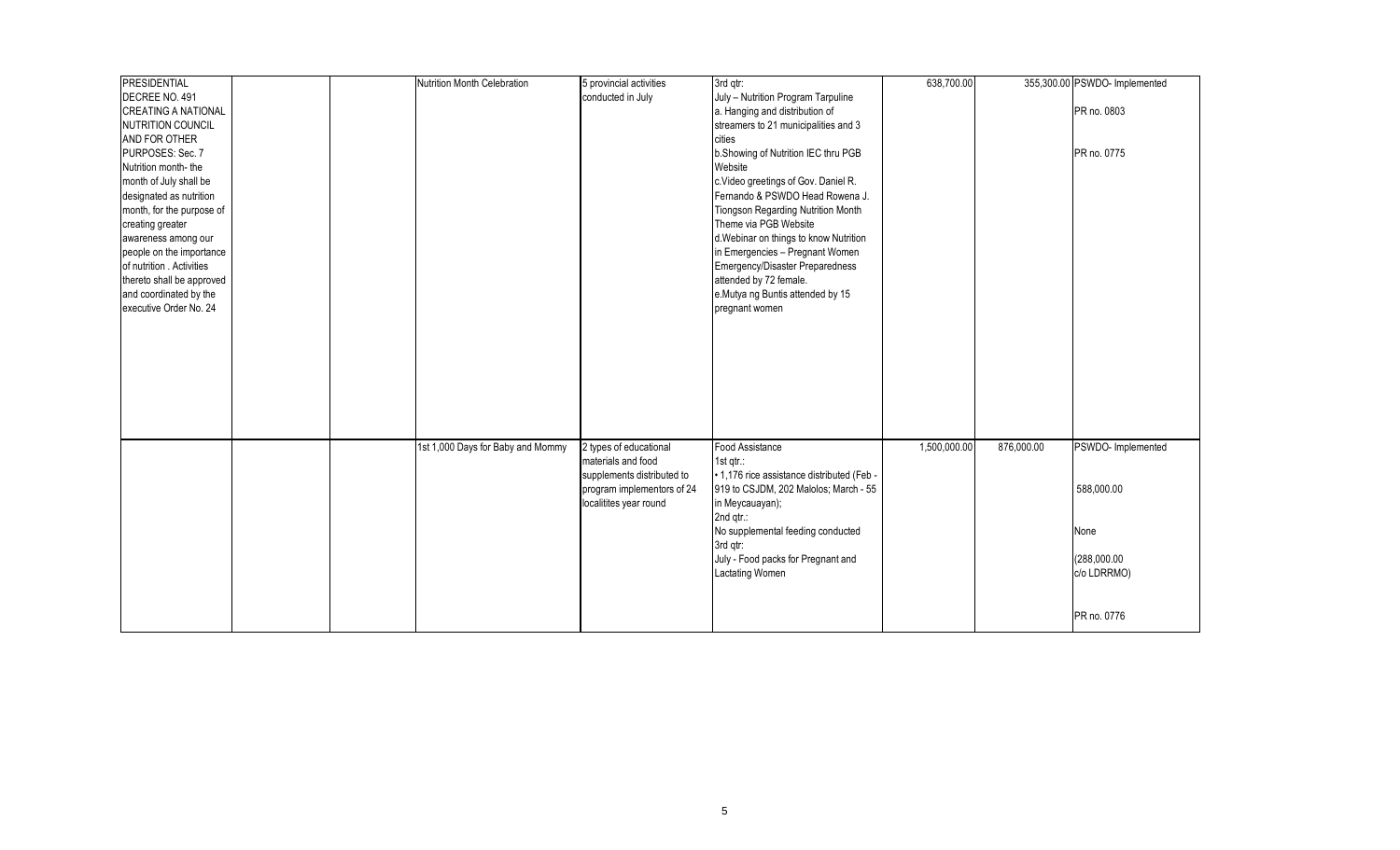| <b>PRESIDENTIAL</b>        |  | Nutrition Month Celebration       | 5 provincial activities    | 3rd qtr:                                   | 638,700.00   |            | 355,300.00 PSWDO- Implemented |
|----------------------------|--|-----------------------------------|----------------------------|--------------------------------------------|--------------|------------|-------------------------------|
| DECREE NO. 491             |  |                                   | conducted in July          | July - Nutrition Program Tarpuline         |              |            |                               |
| <b>CREATING A NATIONAL</b> |  |                                   |                            | a. Hanging and distribution of             |              |            | PR no. 0803                   |
| NUTRITION COUNCIL          |  |                                   |                            | streamers to 21 municipalities and 3       |              |            |                               |
| AND FOR OTHER              |  |                                   |                            | cities                                     |              |            |                               |
| PURPOSES: Sec. 7           |  |                                   |                            | b.Showing of Nutrition IEC thru PGB        |              |            | PR no. 0775                   |
| Nutrition month-the        |  |                                   |                            | Website                                    |              |            |                               |
| month of July shall be     |  |                                   |                            | c.Video greetings of Gov. Daniel R.        |              |            |                               |
| designated as nutrition    |  |                                   |                            | Fernando & PSWDO Head Rowena J.            |              |            |                               |
| month, for the purpose of  |  |                                   |                            | Tiongson Regarding Nutrition Month         |              |            |                               |
| creating greater           |  |                                   |                            | Theme via PGB Website                      |              |            |                               |
| awareness among our        |  |                                   |                            | d. Webinar on things to know Nutrition     |              |            |                               |
| people on the importance   |  |                                   |                            | in Emergencies - Pregnant Women            |              |            |                               |
| of nutrition Activities    |  |                                   |                            | Emergency/Disaster Preparedness            |              |            |                               |
| thereto shall be approved  |  |                                   |                            | attended by 72 female.                     |              |            |                               |
| and coordinated by the     |  |                                   |                            | e.Mutya ng Buntis attended by 15           |              |            |                               |
| executive Order No. 24     |  |                                   |                            | pregnant women                             |              |            |                               |
|                            |  |                                   |                            |                                            |              |            |                               |
|                            |  |                                   |                            |                                            |              |            |                               |
|                            |  |                                   |                            |                                            |              |            |                               |
|                            |  |                                   |                            |                                            |              |            |                               |
|                            |  |                                   |                            |                                            |              |            |                               |
|                            |  |                                   |                            |                                            |              |            |                               |
|                            |  |                                   |                            |                                            |              |            |                               |
|                            |  |                                   |                            |                                            |              |            |                               |
|                            |  |                                   |                            |                                            |              |            |                               |
|                            |  | 1st 1,000 Days for Baby and Mommy | 2 types of educational     | Food Assistance                            | 1,500,000.00 | 876,000.00 | PSWDO- Implemented            |
|                            |  |                                   | materials and food         | 1st $qtr$ :                                |              |            |                               |
|                            |  |                                   | supplements distributed to | • 1,176 rice assistance distributed (Feb - |              |            |                               |
|                            |  |                                   | program implementors of 24 | 919 to CSJDM, 202 Malolos; March - 55      |              |            | 588,000.00                    |
|                            |  |                                   | localitites year round     | in Meycauayan);                            |              |            |                               |
|                            |  |                                   |                            | 2nd qtr.:                                  |              |            |                               |
|                            |  |                                   |                            | No supplemental feeding conducted          |              |            | None                          |
|                            |  |                                   |                            |                                            |              |            |                               |
|                            |  |                                   |                            | 3rd qtr:                                   |              |            |                               |
|                            |  |                                   |                            | July - Food packs for Pregnant and         |              |            | (288,000.00                   |
|                            |  |                                   |                            | <b>Lactating Women</b>                     |              |            | c/o LDRRMO)                   |
|                            |  |                                   |                            |                                            |              |            |                               |
|                            |  |                                   |                            |                                            |              |            |                               |
|                            |  |                                   |                            |                                            |              |            | PR no. 0776                   |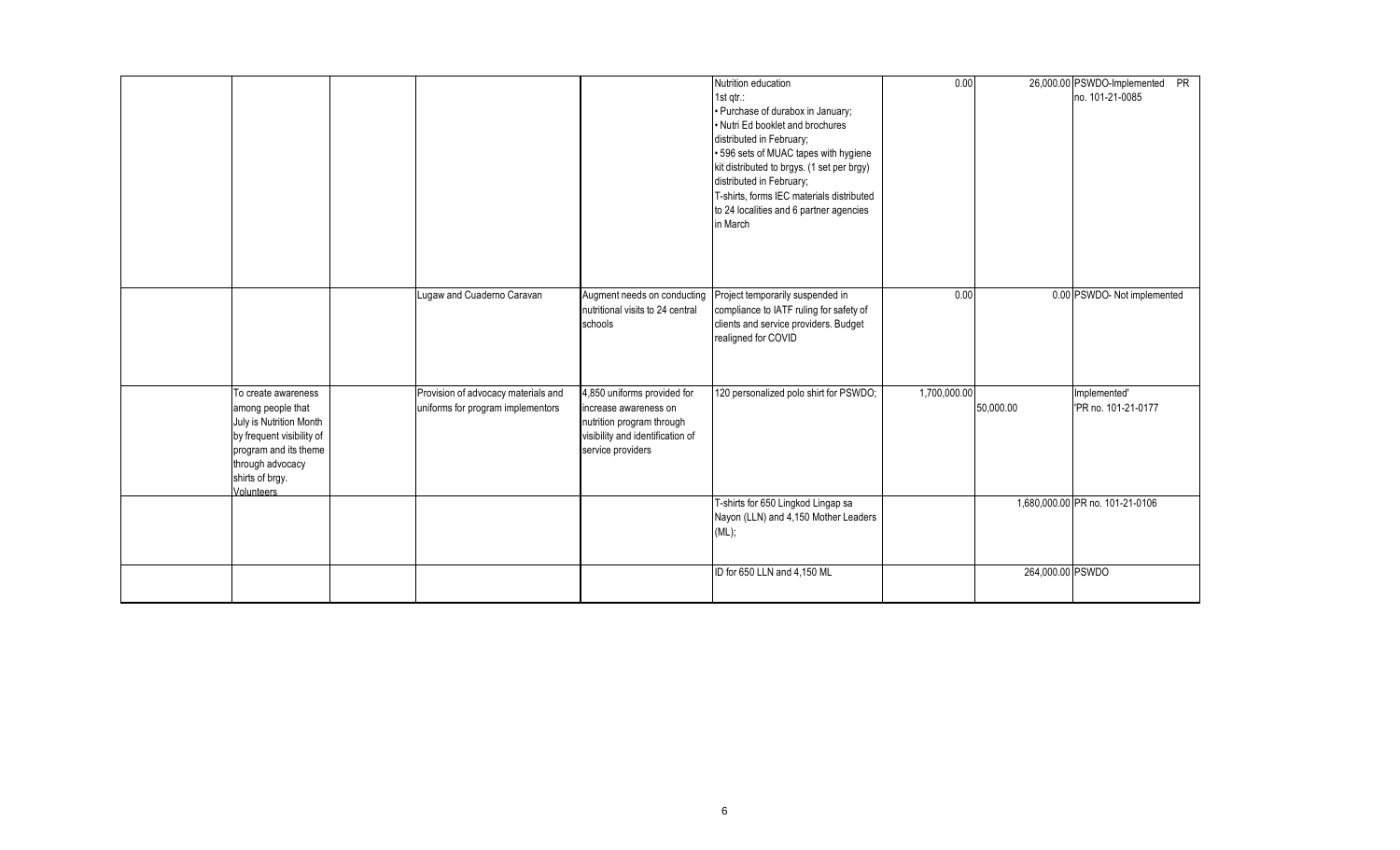|                                                                                                                                                                                |                                                                          |                                                                                                                                            | Nutrition education<br>$1$ st qtr $\therefore$<br>· Purchase of durabox in January;<br>• Nutri Ed booklet and brochures<br>distributed in February;<br>• 596 sets of MUAC tapes with hygiene<br>kit distributed to brgys. (1 set per brgy)<br>distributed in February;<br>T-shirts, forms IEC materials distributed<br>to 24 localities and 6 partner agencies<br>in March | 0.00         |                  | 26,000.00 PSWDO-Implemented PR<br>no. 101-21-0085 |
|--------------------------------------------------------------------------------------------------------------------------------------------------------------------------------|--------------------------------------------------------------------------|--------------------------------------------------------------------------------------------------------------------------------------------|----------------------------------------------------------------------------------------------------------------------------------------------------------------------------------------------------------------------------------------------------------------------------------------------------------------------------------------------------------------------------|--------------|------------------|---------------------------------------------------|
|                                                                                                                                                                                | Lugaw and Cuaderno Caravan                                               | Augment needs on conducting<br>nutritional visits to 24 central<br>schools                                                                 | Project temporarily suspended in<br>compliance to IATF ruling for safety of<br>clients and service providers. Budget<br>realigned for COVID                                                                                                                                                                                                                                | 0.00         |                  | 0.00 PSWDO- Not implemented                       |
| To create awareness<br>among people that<br>July is Nutrition Month<br>by frequent visibility of<br>program and its theme<br>through advocacy<br>shirts of brgy.<br>Volunteers | Provision of advocacy materials and<br>uniforms for program implementors | 4,850 uniforms provided for<br>increase awareness on<br>nutrition program through<br>visibility and identification of<br>service providers | 120 personalized polo shirt for PSWDO;                                                                                                                                                                                                                                                                                                                                     | 1,700,000.00 | 50,000.00        | Implemented'<br>'PR no. 101-21-0177               |
|                                                                                                                                                                                |                                                                          |                                                                                                                                            | T-shirts for 650 Lingkod Lingap sa<br>Nayon (LLN) and 4,150 Mother Leaders<br>(ML);                                                                                                                                                                                                                                                                                        |              |                  | 1,680,000.00 PR no. 101-21-0106                   |
|                                                                                                                                                                                |                                                                          |                                                                                                                                            | ID for 650 LLN and 4,150 ML                                                                                                                                                                                                                                                                                                                                                |              | 264,000.00 PSWDO |                                                   |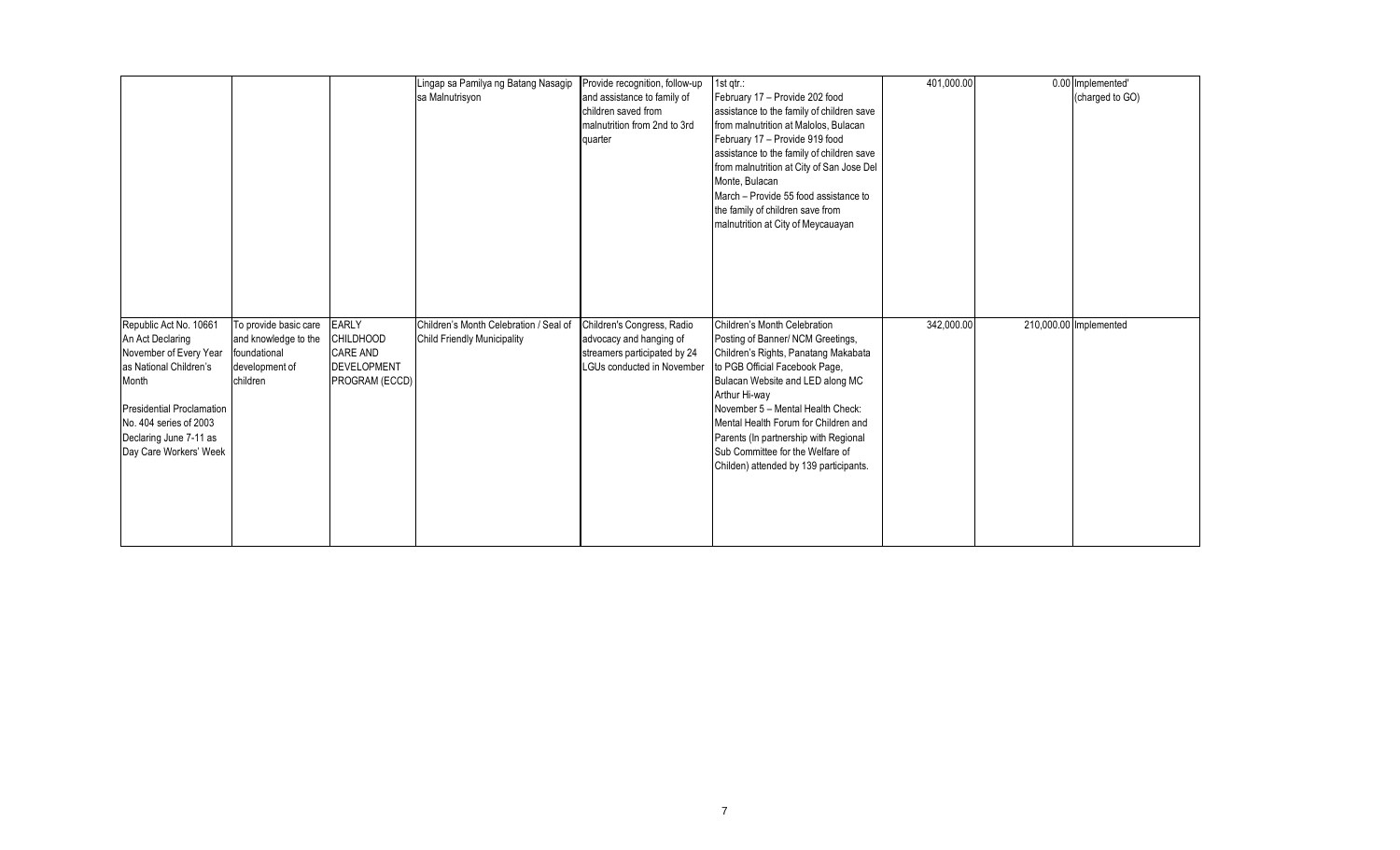|                                                                            |                       |                    | Lingap sa Pamilya ng Batang Nasagip    | Provide recognition, follow-up | $1st$ qtr.:                               | 401,000.00 | 0.00 Implemented'      |
|----------------------------------------------------------------------------|-----------------------|--------------------|----------------------------------------|--------------------------------|-------------------------------------------|------------|------------------------|
|                                                                            |                       |                    | sa Malnutrisyon                        | and assistance to family of    | February 17 - Provide 202 food            |            | (charged to GO)        |
|                                                                            |                       |                    |                                        | children saved from            | assistance to the family of children save |            |                        |
|                                                                            |                       |                    |                                        | malnutrition from 2nd to 3rd   | from malnutrition at Malolos, Bulacan     |            |                        |
|                                                                            |                       |                    |                                        | quarter                        | February 17 - Provide 919 food            |            |                        |
|                                                                            |                       |                    |                                        |                                | assistance to the family of children save |            |                        |
|                                                                            |                       |                    |                                        |                                | from malnutrition at City of San Jose Del |            |                        |
|                                                                            |                       |                    |                                        |                                | Monte, Bulacan                            |            |                        |
|                                                                            |                       |                    |                                        |                                | March - Provide 55 food assistance to     |            |                        |
|                                                                            |                       |                    |                                        |                                | the family of children save from          |            |                        |
|                                                                            |                       |                    |                                        |                                | malnutrition at City of Meycauayan        |            |                        |
|                                                                            |                       |                    |                                        |                                |                                           |            |                        |
|                                                                            |                       |                    |                                        |                                |                                           |            |                        |
|                                                                            |                       |                    |                                        |                                |                                           |            |                        |
|                                                                            |                       |                    |                                        |                                |                                           |            |                        |
|                                                                            |                       |                    |                                        |                                |                                           |            |                        |
| Republic Act No. 10661                                                     | To provide basic care | <b>EARLY</b>       | Children's Month Celebration / Seal of | Children's Congress, Radio     | Children's Month Celebration              | 342,000.00 | 210,000.00 Implemented |
|                                                                            |                       |                    |                                        |                                |                                           |            |                        |
|                                                                            |                       |                    |                                        |                                |                                           |            |                        |
|                                                                            | and knowledge to the  | <b>CHILDHOOD</b>   | <b>Child Friendly Municipality</b>     | advocacy and hanging of        | Posting of Banner/ NCM Greetings,         |            |                        |
|                                                                            | foundational          | <b>CARE AND</b>    |                                        | streamers participated by 24   | Children's Rights, Panatang Makabata      |            |                        |
| An Act Declaring<br>November of Every Year                                 | development of        | <b>DEVELOPMENT</b> |                                        | LGUs conducted in November     | to PGB Official Facebook Page,            |            |                        |
| Month                                                                      | children              | PROGRAM (ECCD)     |                                        |                                | Bulacan Website and LED along MC          |            |                        |
|                                                                            |                       |                    |                                        |                                | Arthur Hi-way                             |            |                        |
|                                                                            |                       |                    |                                        |                                | November 5 - Mental Health Check:         |            |                        |
|                                                                            |                       |                    |                                        |                                | Mental Health Forum for Children and      |            |                        |
|                                                                            |                       |                    |                                        |                                | Parents (In partnership with Regional     |            |                        |
|                                                                            |                       |                    |                                        |                                | Sub Committee for the Welfare of          |            |                        |
|                                                                            |                       |                    |                                        |                                | Childen) attended by 139 participants.    |            |                        |
|                                                                            |                       |                    |                                        |                                |                                           |            |                        |
| <b>Presidential Proclamation</b><br>Day Care Workers' Week                 |                       |                    |                                        |                                |                                           |            |                        |
| as National Children's<br>No. 404 series of 2003<br>Declaring June 7-11 as |                       |                    |                                        |                                |                                           |            |                        |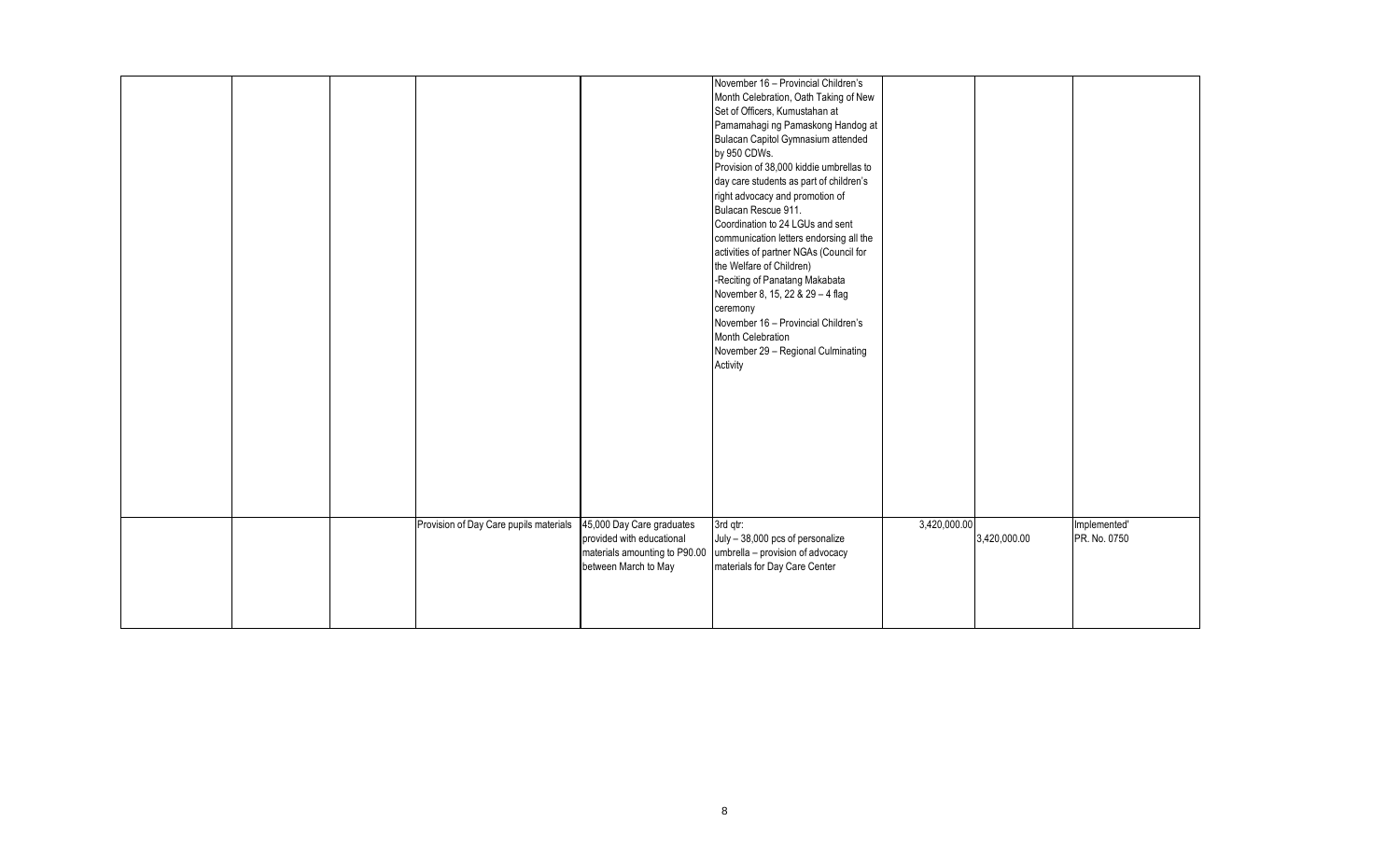|  |                                        |                                                                                                                 | November 16 - Provincial Children's<br>Month Celebration, Oath Taking of New<br>Set of Officers, Kumustahan at<br>Pamamahagi ng Pamaskong Handog at<br>Bulacan Capitol Gymnasium attended<br>by 950 CDWs.<br>Provision of 38,000 kiddie umbrellas to<br>day care students as part of children's<br>right advocacy and promotion of<br>Bulacan Rescue 911.<br>Coordination to 24 LGUs and sent<br>communication letters endorsing all the<br>activities of partner NGAs (Council for<br>the Welfare of Children)<br>-Reciting of Panatang Makabata<br>November 8, 15, 22 & 29 - 4 flag<br>ceremony<br>November 16 - Provincial Children's<br>Month Celebration<br>November 29 - Regional Culminating<br>Activity |              |              |                              |
|--|----------------------------------------|-----------------------------------------------------------------------------------------------------------------|-----------------------------------------------------------------------------------------------------------------------------------------------------------------------------------------------------------------------------------------------------------------------------------------------------------------------------------------------------------------------------------------------------------------------------------------------------------------------------------------------------------------------------------------------------------------------------------------------------------------------------------------------------------------------------------------------------------------|--------------|--------------|------------------------------|
|  | Provision of Day Care pupils materials | 45,000 Day Care graduates<br>provided with educational<br>materials amounting to P90.00<br>between March to May | 3rd qtr:<br>July - 38,000 pcs of personalize<br>umbrella - provision of advocacy<br>materials for Day Care Center                                                                                                                                                                                                                                                                                                                                                                                                                                                                                                                                                                                               | 3,420,000.00 | 3,420,000.00 | Implemented'<br>PR. No. 0750 |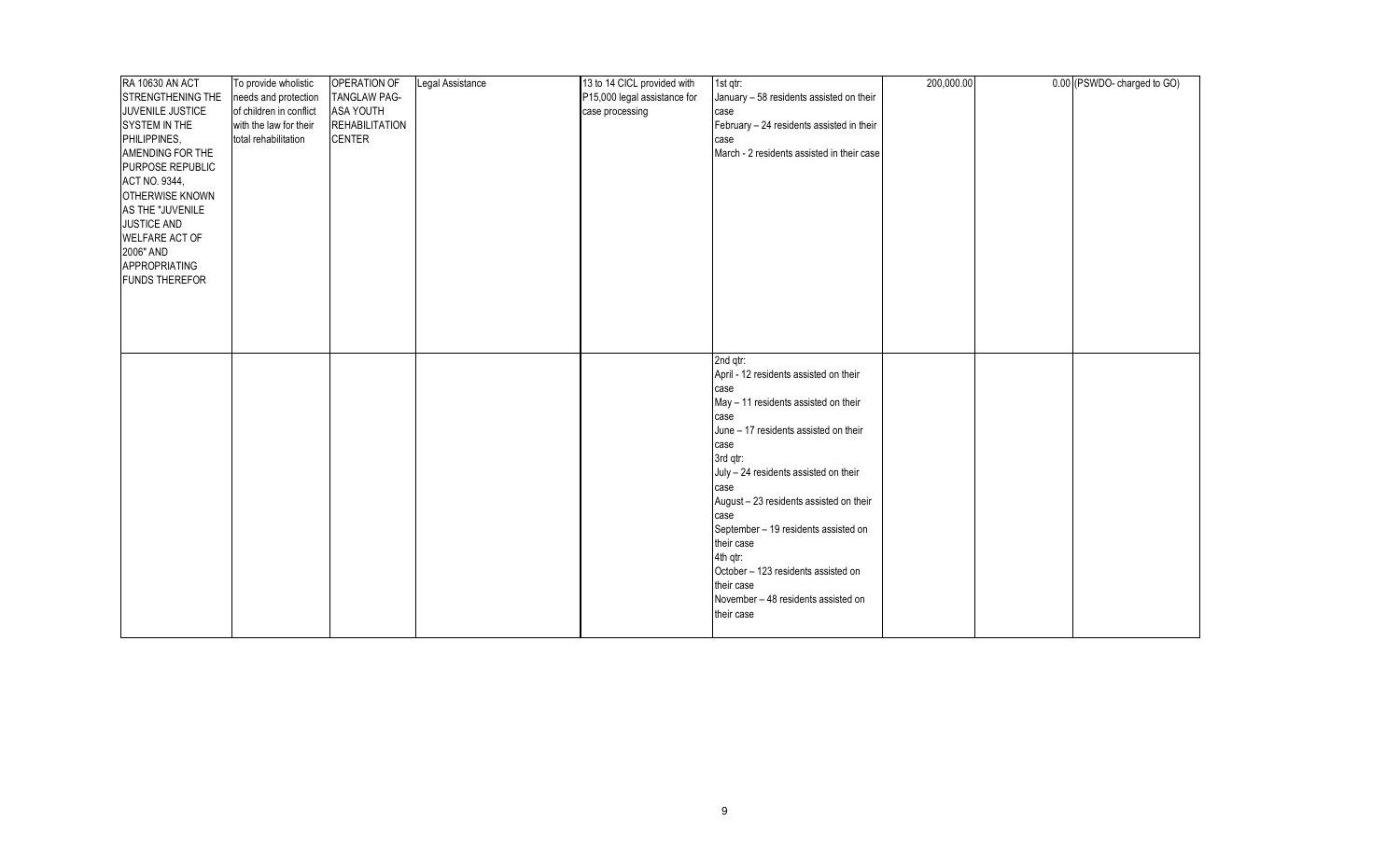| <b>RA 10630 AN ACT</b>   | To provide wholistic    | OPERATION OF          | Legal Assistance | 13 to 14 CICL provided with  | 1st gtr:                                     | 200,000.00 | 0.00 (PSWDO-charged to GO) |
|--------------------------|-------------------------|-----------------------|------------------|------------------------------|----------------------------------------------|------------|----------------------------|
| <b>STRENGTHENING THE</b> | needs and protection    | <b>TANGLAW PAG-</b>   |                  | P15,000 legal assistance for | January - 58 residents assisted on their     |            |                            |
| JUVENILE JUSTICE         | of children in conflict | <b>ASA YOUTH</b>      |                  | case processing              | case                                         |            |                            |
| SYSTEM IN THE            | with the law for their  | <b>REHABILITATION</b> |                  |                              | February - 24 residents assisted in their    |            |                            |
| PHILIPPINES,             | total rehabilitation    | <b>CENTER</b>         |                  |                              | case                                         |            |                            |
| AMENDING FOR THE         |                         |                       |                  |                              | March - 2 residents assisted in their case   |            |                            |
| PURPOSE REPUBLIC         |                         |                       |                  |                              |                                              |            |                            |
| ACT NO. 9344,            |                         |                       |                  |                              |                                              |            |                            |
| OTHERWISE KNOWN          |                         |                       |                  |                              |                                              |            |                            |
| AS THE "JUVENILE         |                         |                       |                  |                              |                                              |            |                            |
| JUSTICE AND              |                         |                       |                  |                              |                                              |            |                            |
| WELFARE ACT OF           |                         |                       |                  |                              |                                              |            |                            |
| 2006" AND                |                         |                       |                  |                              |                                              |            |                            |
| APPROPRIATING            |                         |                       |                  |                              |                                              |            |                            |
| <b>FUNDS THEREFOR</b>    |                         |                       |                  |                              |                                              |            |                            |
|                          |                         |                       |                  |                              |                                              |            |                            |
|                          |                         |                       |                  |                              |                                              |            |                            |
|                          |                         |                       |                  |                              |                                              |            |                            |
|                          |                         |                       |                  |                              |                                              |            |                            |
|                          |                         |                       |                  |                              |                                              |            |                            |
|                          |                         |                       |                  |                              | 2nd qtr:                                     |            |                            |
|                          |                         |                       |                  |                              | April - 12 residents assisted on their       |            |                            |
|                          |                         |                       |                  |                              | case<br>May - 11 residents assisted on their |            |                            |
|                          |                         |                       |                  |                              | case                                         |            |                            |
|                          |                         |                       |                  |                              | June - 17 residents assisted on their        |            |                            |
|                          |                         |                       |                  |                              | case                                         |            |                            |
|                          |                         |                       |                  |                              | 3rd qtr:                                     |            |                            |
|                          |                         |                       |                  |                              | July - 24 residents assisted on their        |            |                            |
|                          |                         |                       |                  |                              | case                                         |            |                            |
|                          |                         |                       |                  |                              | August - 23 residents assisted on their      |            |                            |
|                          |                         |                       |                  |                              | case                                         |            |                            |
|                          |                         |                       |                  |                              | September - 19 residents assisted on         |            |                            |
|                          |                         |                       |                  |                              | their case                                   |            |                            |
|                          |                         |                       |                  |                              | 4th gtr:                                     |            |                            |
|                          |                         |                       |                  |                              | October - 123 residents assisted on          |            |                            |
|                          |                         |                       |                  |                              | their case                                   |            |                            |
|                          |                         |                       |                  |                              | November - 48 residents assisted on          |            |                            |
|                          |                         |                       |                  |                              | their case                                   |            |                            |
|                          |                         |                       |                  |                              |                                              |            |                            |
|                          |                         |                       |                  |                              |                                              |            |                            |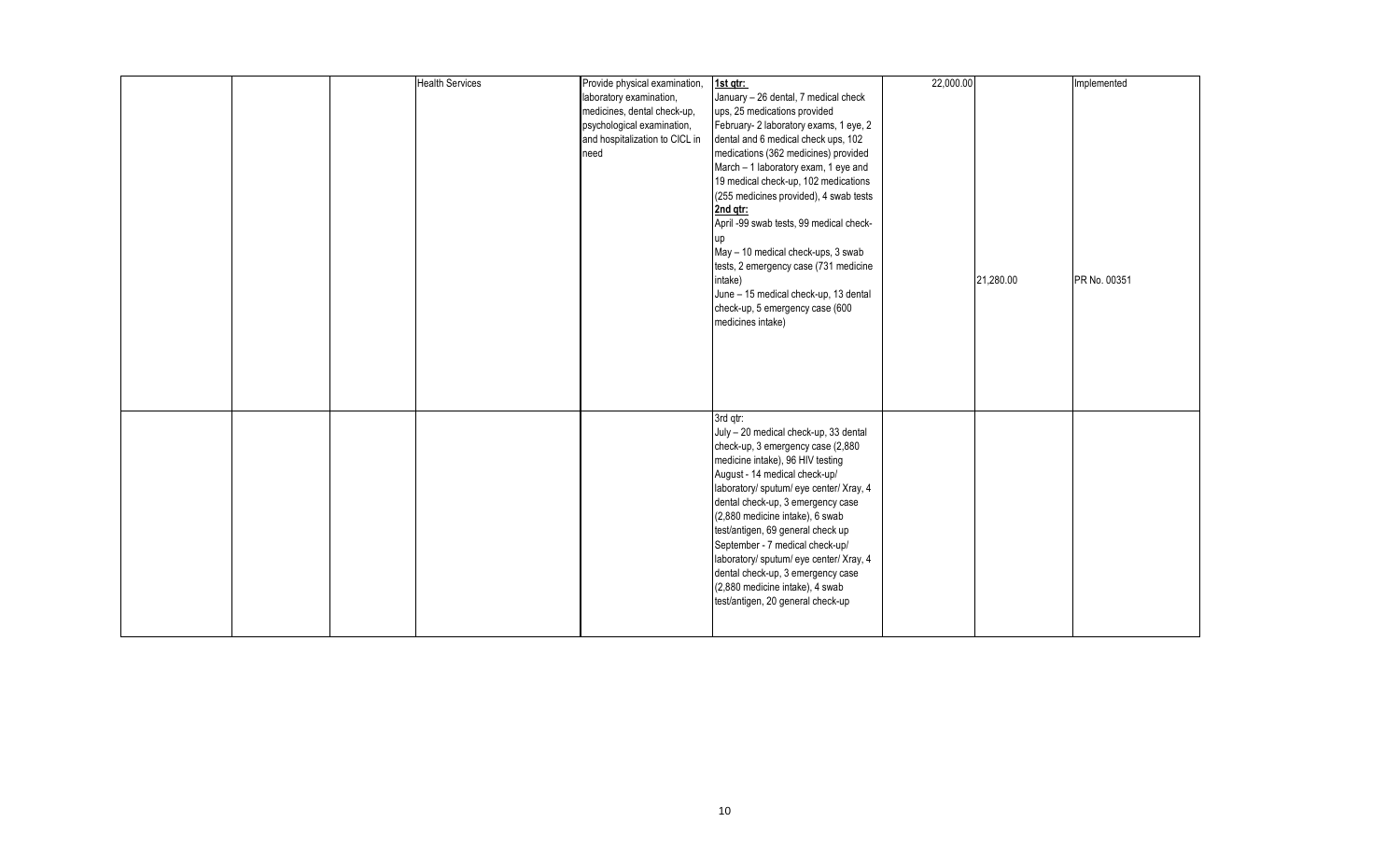|  | <b>Health Services</b> | Provide physical examination,  | 1st qtr:                                | 22,000.00 |           | Implemented  |
|--|------------------------|--------------------------------|-----------------------------------------|-----------|-----------|--------------|
|  |                        | laboratory examination,        | January - 26 dental, 7 medical check    |           |           |              |
|  |                        | medicines, dental check-up,    | ups, 25 medications provided            |           |           |              |
|  |                        | psychological examination,     | February- 2 laboratory exams, 1 eye, 2  |           |           |              |
|  |                        | and hospitalization to CICL in | dental and 6 medical check ups, 102     |           |           |              |
|  |                        | need                           | medications (362 medicines) provided    |           |           |              |
|  |                        |                                | March - 1 laboratory exam, 1 eye and    |           |           |              |
|  |                        |                                | 19 medical check-up, 102 medications    |           |           |              |
|  |                        |                                | (255 medicines provided), 4 swab tests  |           |           |              |
|  |                        |                                | 2nd qtr:                                |           |           |              |
|  |                        |                                | April -99 swab tests, 99 medical check- |           |           |              |
|  |                        |                                | up                                      |           |           |              |
|  |                        |                                | May - 10 medical check-ups, 3 swab      |           |           |              |
|  |                        |                                | tests, 2 emergency case (731 medicine   |           |           |              |
|  |                        |                                | intake)                                 |           | 21,280.00 | PR No. 00351 |
|  |                        |                                | June - 15 medical check-up, 13 dental   |           |           |              |
|  |                        |                                | check-up, 5 emergency case (600         |           |           |              |
|  |                        |                                | medicines intake)                       |           |           |              |
|  |                        |                                |                                         |           |           |              |
|  |                        |                                |                                         |           |           |              |
|  |                        |                                |                                         |           |           |              |
|  |                        |                                |                                         |           |           |              |
|  |                        |                                |                                         |           |           |              |
|  |                        |                                |                                         |           |           |              |
|  |                        |                                | 3rd gtr:                                |           |           |              |
|  |                        |                                | July - 20 medical check-up, 33 dental   |           |           |              |
|  |                        |                                | check-up, 3 emergency case (2,880       |           |           |              |
|  |                        |                                | medicine intake), 96 HIV testing        |           |           |              |
|  |                        |                                | August - 14 medical check-up/           |           |           |              |
|  |                        |                                | laboratory/ sputum/ eye center/ Xray, 4 |           |           |              |
|  |                        |                                | dental check-up, 3 emergency case       |           |           |              |
|  |                        |                                | (2,880 medicine intake), 6 swab         |           |           |              |
|  |                        |                                | test/antigen, 69 general check up       |           |           |              |
|  |                        |                                | September - 7 medical check-up/         |           |           |              |
|  |                        |                                | laboratory/ sputum/ eye center/ Xray, 4 |           |           |              |
|  |                        |                                | dental check-up, 3 emergency case       |           |           |              |
|  |                        |                                | (2,880 medicine intake), 4 swab         |           |           |              |
|  |                        |                                | test/antigen, 20 general check-up       |           |           |              |
|  |                        |                                |                                         |           |           |              |
|  |                        |                                |                                         |           |           |              |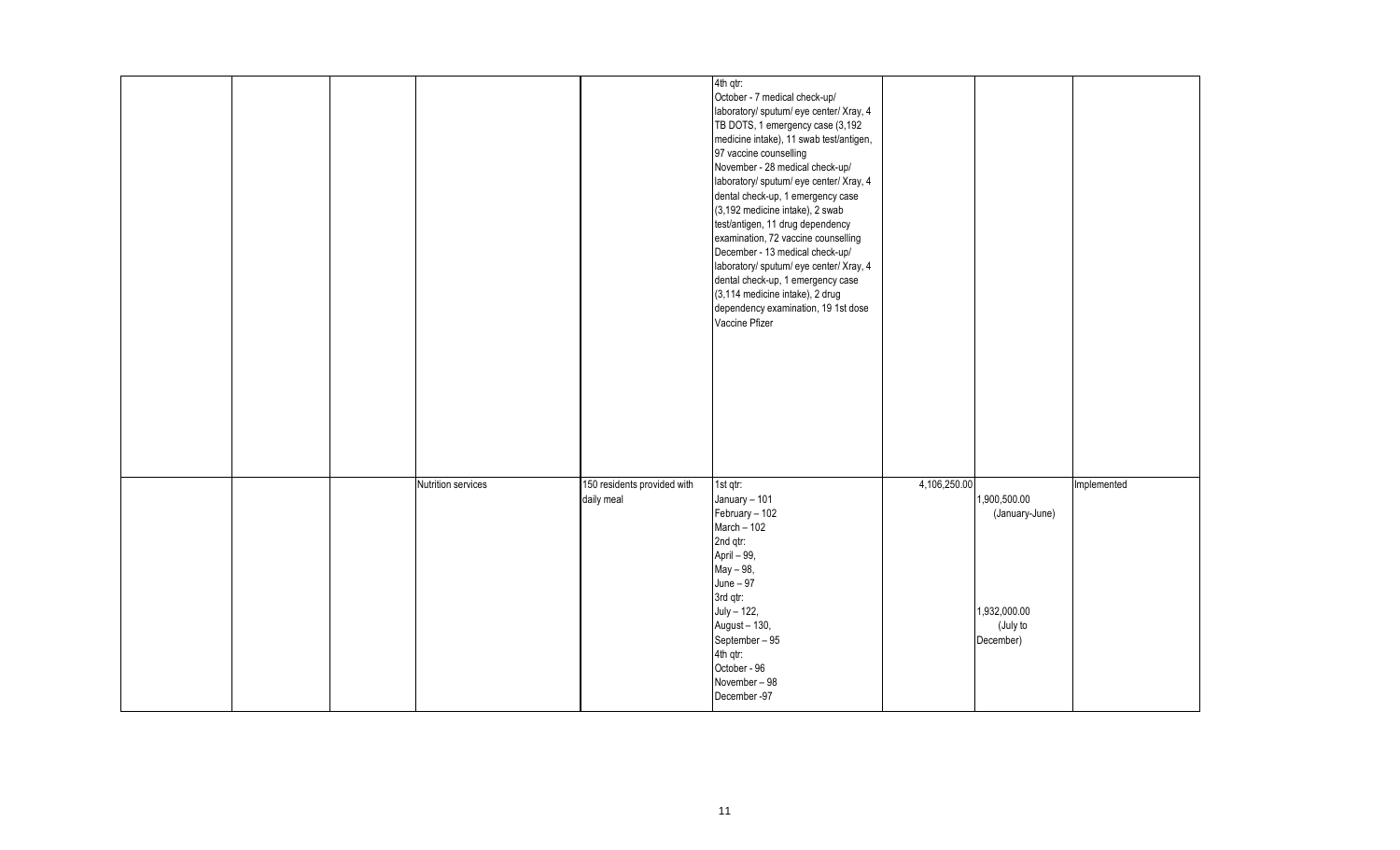|  |                    |                                           | 4th qtr:<br>October - 7 medical check-up/<br>laboratory/ sputum/ eye center/ Xray, 4<br>TB DOTS, 1 emergency case (3,192<br>medicine intake), 11 swab test/antigen,<br>97 vaccine counselling<br>November - 28 medical check-up/<br>laboratory/ sputum/ eye center/ Xray, 4<br>dental check-up, 1 emergency case<br>(3,192 medicine intake), 2 swab<br>test/antigen, 11 drug dependency<br>examination, 72 vaccine counselling<br>December - 13 medical check-up/<br>laboratory/ sputum/ eye center/ Xray, 4<br>dental check-up, 1 emergency case<br>(3,114 medicine intake), 2 drug<br>dependency examination, 19 1st dose<br>Vaccine Pfizer |              |                                                                         |             |
|--|--------------------|-------------------------------------------|-----------------------------------------------------------------------------------------------------------------------------------------------------------------------------------------------------------------------------------------------------------------------------------------------------------------------------------------------------------------------------------------------------------------------------------------------------------------------------------------------------------------------------------------------------------------------------------------------------------------------------------------------|--------------|-------------------------------------------------------------------------|-------------|
|  | Nutrition services | 150 residents provided with<br>daily meal | 1st qtr:<br>January - 101<br>February - 102<br>March $-102$<br>2nd qtr:<br>April - 99,<br>May - 98,<br>June $-97$<br>3rd qtr:<br>July - 122,<br>August - 130,<br>September-95<br>4th qtr:<br>October - 96<br>November-98<br>December-97                                                                                                                                                                                                                                                                                                                                                                                                       | 4,106,250.00 | 1,900,500.00<br>(January-June)<br>1,932,000.00<br>(July to<br>December) | Implemented |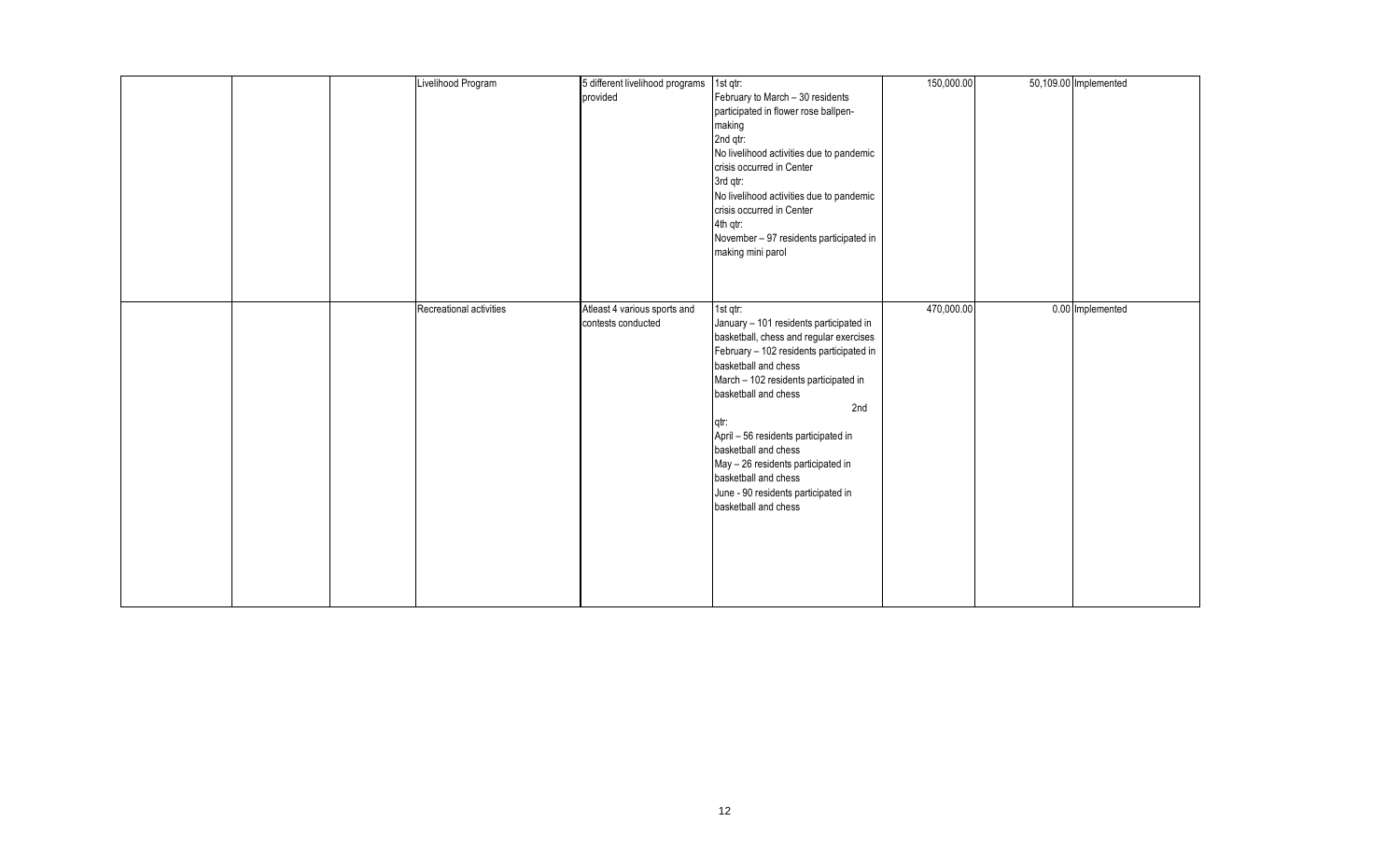| Livelihood Program      | 5 different livelihood programs<br>provided        | 1st qtr:<br>February to March - 30 residents<br>participated in flower rose ballpen-<br>making<br>2nd qtr:<br>No livelihood activities due to pandemic<br>crisis occurred in Center<br>3rd qtr:<br>No livelihood activities due to pandemic<br>crisis occurred in Center<br>4th qtr:<br>November - 97 residents participated in<br>making mini parol                                                                                            | 150,000.00 | 50,109.00 Implemented |
|-------------------------|----------------------------------------------------|-------------------------------------------------------------------------------------------------------------------------------------------------------------------------------------------------------------------------------------------------------------------------------------------------------------------------------------------------------------------------------------------------------------------------------------------------|------------|-----------------------|
| Recreational activities | Atleast 4 various sports and<br>contests conducted | 1st qtr:<br>January - 101 residents participated in<br>basketball, chess and regular exercises<br>February - 102 residents participated in<br>basketball and chess<br>March - 102 residents participated in<br>basketball and chess<br>2nd<br>qtr:<br>April - 56 residents participated in<br>basketball and chess<br>May - 26 residents participated in<br>basketball and chess<br>June - 90 residents participated in<br>basketball and chess | 470,000.00 | 0.00 Implemented      |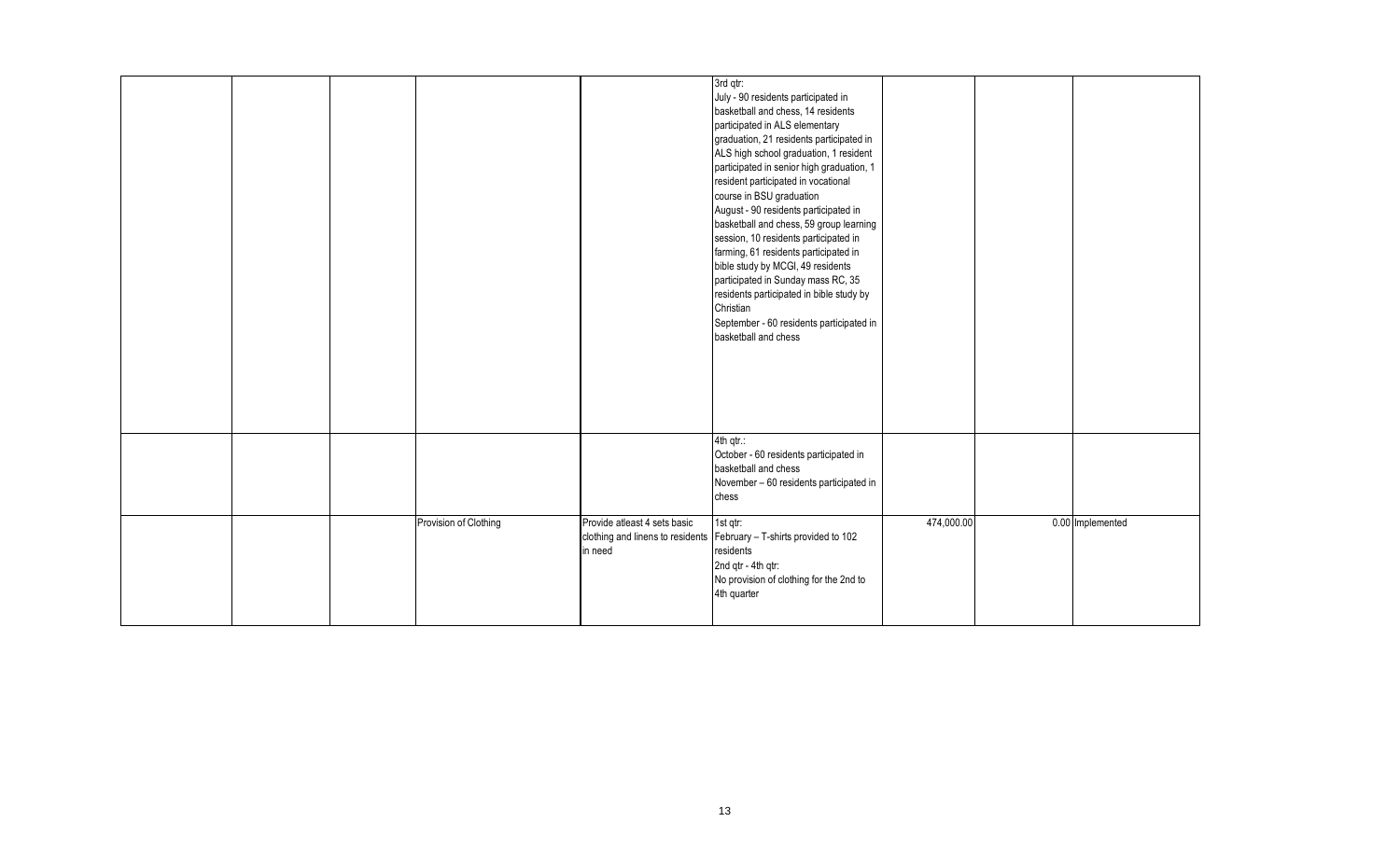|  |                       |                                         | 3rd qtr:<br>July - 90 residents participated in<br>basketball and chess, 14 residents<br>participated in ALS elementary<br>graduation, 21 residents participated in<br>ALS high school graduation, 1 resident<br>participated in senior high graduation, 1<br>resident participated in vocational<br>course in BSU graduation<br>August - 90 residents participated in<br>basketball and chess, 59 group learning<br>session, 10 residents participated in<br>farming, 61 residents participated in<br>bible study by MCGI, 49 residents<br>participated in Sunday mass RC, 35<br>residents participated in bible study by<br>Christian<br>September - 60 residents participated in<br>basketball and chess |            |                  |
|--|-----------------------|-----------------------------------------|-------------------------------------------------------------------------------------------------------------------------------------------------------------------------------------------------------------------------------------------------------------------------------------------------------------------------------------------------------------------------------------------------------------------------------------------------------------------------------------------------------------------------------------------------------------------------------------------------------------------------------------------------------------------------------------------------------------|------------|------------------|
|  |                       |                                         | 4th qtr.:<br>October - 60 residents participated in<br>basketball and chess<br>November - 60 residents participated in<br>chess                                                                                                                                                                                                                                                                                                                                                                                                                                                                                                                                                                             |            |                  |
|  | Provision of Clothing | Provide atleast 4 sets basic<br>in need | 1st qtr:<br>clothing and linens to residents February - T-shirts provided to 102<br>residents<br>2nd qtr - 4th qtr:<br>No provision of clothing for the 2nd to<br>4th quarter                                                                                                                                                                                                                                                                                                                                                                                                                                                                                                                               | 474,000.00 | 0.00 Implemented |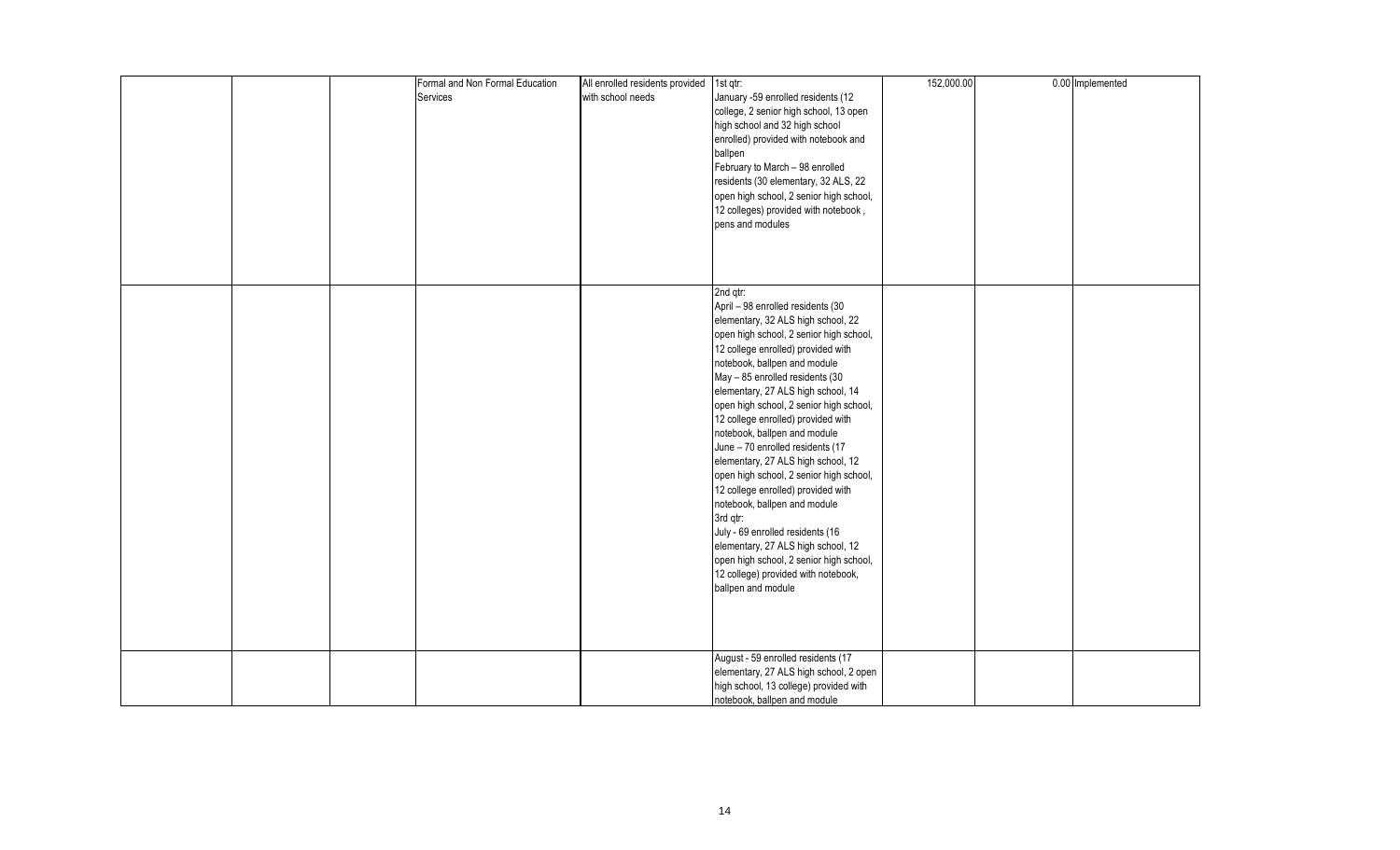|  | Formal and Non Formal Education | All enrolled residents provided 1st qtr: |                                         | 152,000.00 | 0.00 Implemented |
|--|---------------------------------|------------------------------------------|-----------------------------------------|------------|------------------|
|  | Services                        | with school needs                        | January -59 enrolled residents (12      |            |                  |
|  |                                 |                                          |                                         |            |                  |
|  |                                 |                                          | college, 2 senior high school, 13 open  |            |                  |
|  |                                 |                                          | high school and 32 high school          |            |                  |
|  |                                 |                                          | enrolled) provided with notebook and    |            |                  |
|  |                                 |                                          | ballpen                                 |            |                  |
|  |                                 |                                          | February to March - 98 enrolled         |            |                  |
|  |                                 |                                          | residents (30 elementary, 32 ALS, 22    |            |                  |
|  |                                 |                                          | open high school, 2 senior high school, |            |                  |
|  |                                 |                                          | 12 colleges) provided with notebook,    |            |                  |
|  |                                 |                                          | pens and modules                        |            |                  |
|  |                                 |                                          |                                         |            |                  |
|  |                                 |                                          |                                         |            |                  |
|  |                                 |                                          |                                         |            |                  |
|  |                                 |                                          |                                         |            |                  |
|  |                                 |                                          | 2nd qtr:                                |            |                  |
|  |                                 |                                          | April - 98 enrolled residents (30       |            |                  |
|  |                                 |                                          |                                         |            |                  |
|  |                                 |                                          | elementary, 32 ALS high school, 22      |            |                  |
|  |                                 |                                          | open high school, 2 senior high school, |            |                  |
|  |                                 |                                          | 12 college enrolled) provided with      |            |                  |
|  |                                 |                                          | notebook, ballpen and module            |            |                  |
|  |                                 |                                          | May - 85 enrolled residents (30         |            |                  |
|  |                                 |                                          | elementary, 27 ALS high school, 14      |            |                  |
|  |                                 |                                          | open high school, 2 senior high school, |            |                  |
|  |                                 |                                          | 12 college enrolled) provided with      |            |                  |
|  |                                 |                                          | notebook, ballpen and module            |            |                  |
|  |                                 |                                          | June - 70 enrolled residents (17        |            |                  |
|  |                                 |                                          | elementary, 27 ALS high school, 12      |            |                  |
|  |                                 |                                          | open high school, 2 senior high school, |            |                  |
|  |                                 |                                          |                                         |            |                  |
|  |                                 |                                          | 12 college enrolled) provided with      |            |                  |
|  |                                 |                                          | notebook, ballpen and module            |            |                  |
|  |                                 |                                          | 3rd qtr:                                |            |                  |
|  |                                 |                                          | July - 69 enrolled residents (16        |            |                  |
|  |                                 |                                          | elementary, 27 ALS high school, 12      |            |                  |
|  |                                 |                                          | open high school, 2 senior high school, |            |                  |
|  |                                 |                                          | 12 college) provided with notebook,     |            |                  |
|  |                                 |                                          | ballpen and module                      |            |                  |
|  |                                 |                                          |                                         |            |                  |
|  |                                 |                                          |                                         |            |                  |
|  |                                 |                                          |                                         |            |                  |
|  |                                 |                                          |                                         |            |                  |
|  |                                 |                                          | August - 59 enrolled residents (17      |            |                  |
|  |                                 |                                          |                                         |            |                  |
|  |                                 |                                          | elementary, 27 ALS high school, 2 open  |            |                  |
|  |                                 |                                          | high school, 13 college) provided with  |            |                  |
|  |                                 |                                          | notebook, ballpen and module            |            |                  |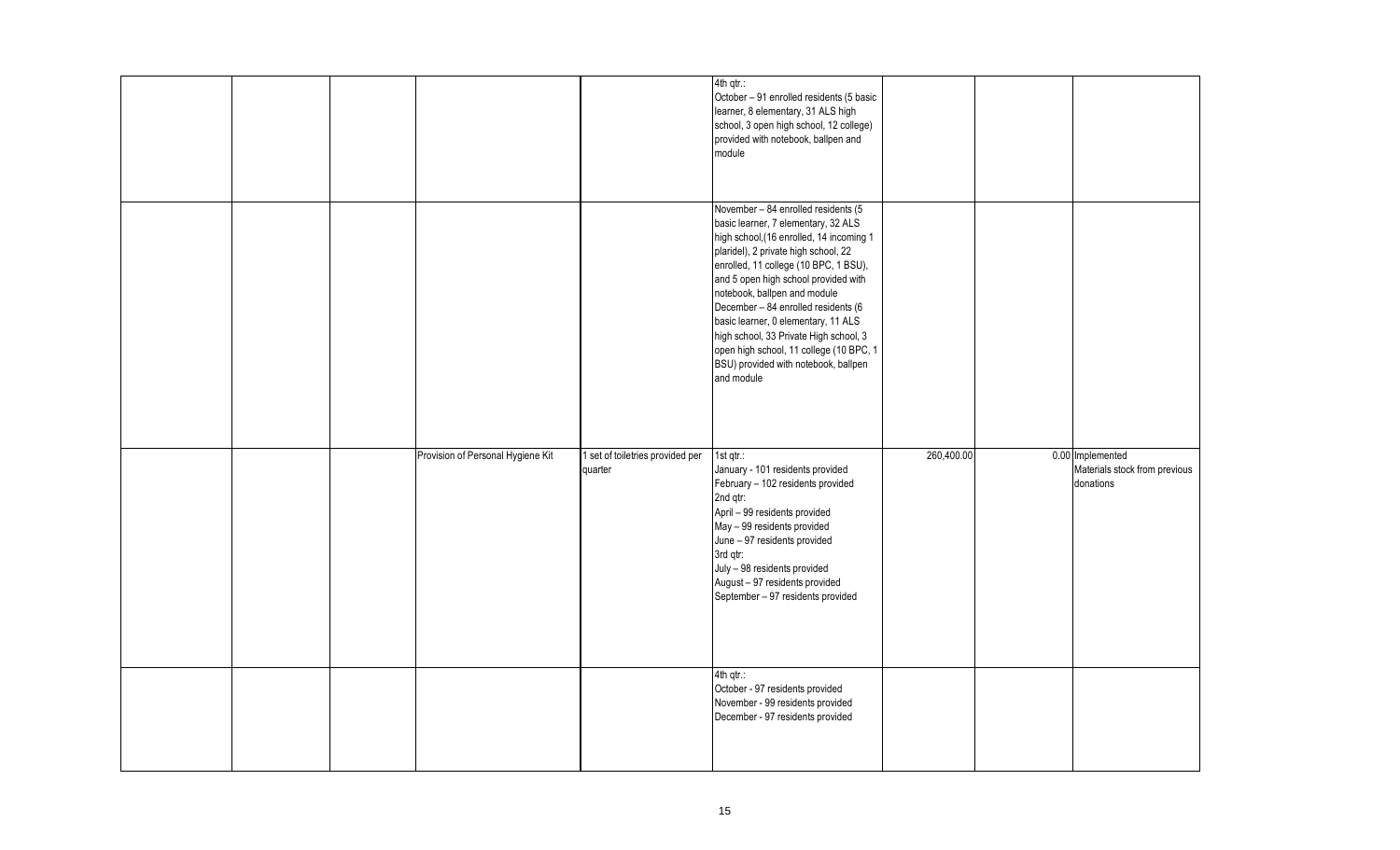|  |                                   |                                             | 4th qtr.:<br>October - 91 enrolled residents (5 basic<br>learner, 8 elementary, 31 ALS high<br>school, 3 open high school, 12 college)<br>provided with notebook, ballpen and<br>module                                                                                                                                                                                                                                                                                                                  |            |                                                                |
|--|-----------------------------------|---------------------------------------------|----------------------------------------------------------------------------------------------------------------------------------------------------------------------------------------------------------------------------------------------------------------------------------------------------------------------------------------------------------------------------------------------------------------------------------------------------------------------------------------------------------|------------|----------------------------------------------------------------|
|  |                                   |                                             | November - 84 enrolled residents (5<br>basic learner, 7 elementary, 32 ALS<br>high school, (16 enrolled, 14 incoming 1<br>plaridel), 2 private high school, 22<br>enrolled, 11 college (10 BPC, 1 BSU),<br>and 5 open high school provided with<br>notebook, ballpen and module<br>December - 84 enrolled residents (6<br>basic learner, 0 elementary, 11 ALS<br>high school, 33 Private High school, 3<br>open high school, 11 college (10 BPC, 1<br>BSU) provided with notebook, ballpen<br>and module |            |                                                                |
|  | Provision of Personal Hygiene Kit | 1 set of toiletries provided per<br>quarter | 1st $qtr$ :<br>January - 101 residents provided<br>February - 102 residents provided<br>2nd qtr:<br>April - 99 residents provided<br>May - 99 residents provided<br>June - 97 residents provided<br>3rd qtr:<br>July - 98 residents provided<br>August - 97 residents provided<br>September - 97 residents provided                                                                                                                                                                                      | 260,400.00 | 0.00 Implemented<br>Materials stock from previous<br>donations |
|  |                                   |                                             | 4th qtr.:<br>October - 97 residents provided<br>November - 99 residents provided<br>December - 97 residents provided                                                                                                                                                                                                                                                                                                                                                                                     |            |                                                                |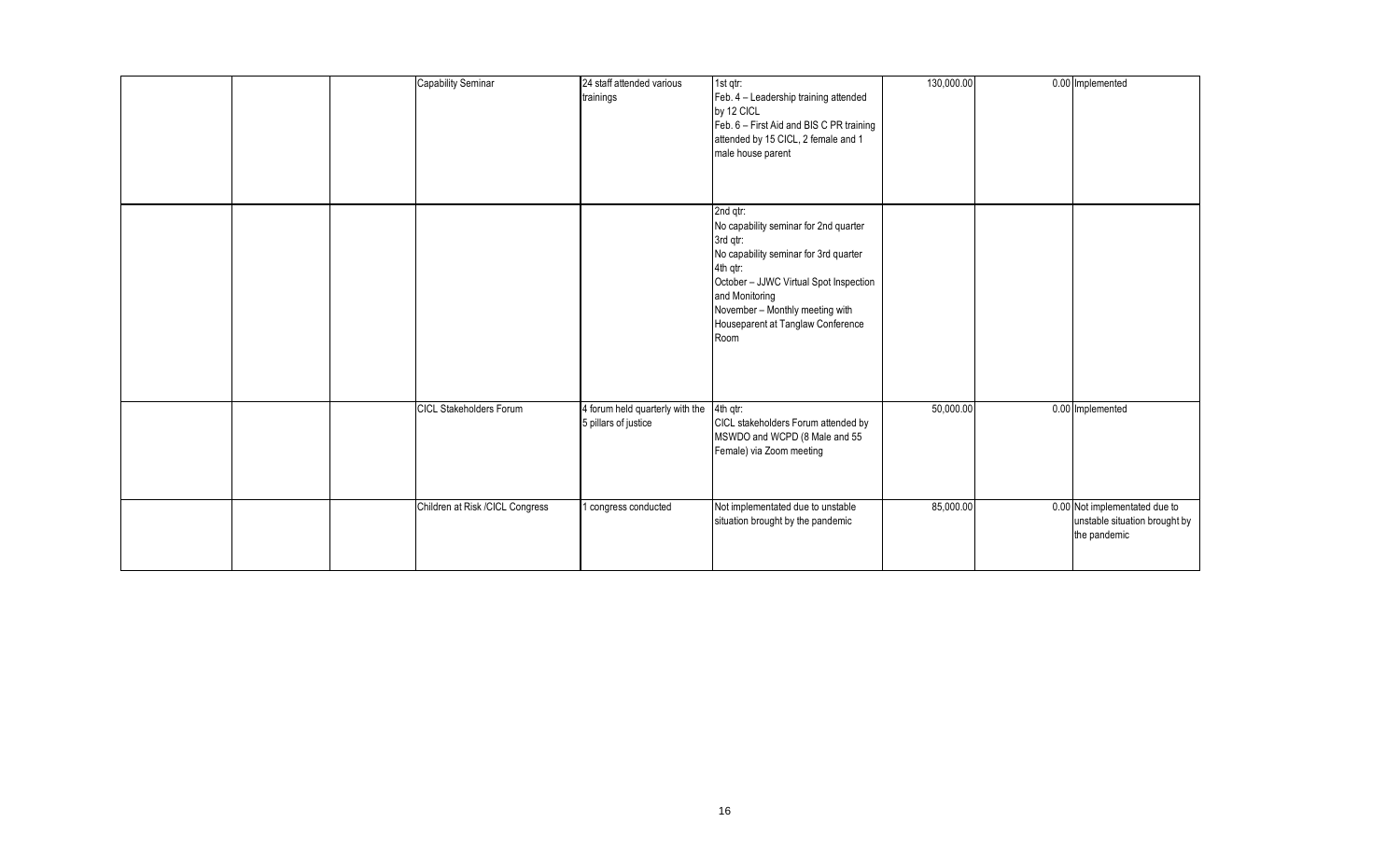|  | Capability Seminar              | 24 staff attended various<br>trainings                  | 1st qtr:<br>Feb. 4 - Leadership training attended<br>by 12 CICL<br>Feb. 6 - First Aid and BIS C PR training<br>attended by 15 CICL, 2 female and 1<br>male house parent                                                                                        | 130,000.00 | 0.00 Implemented                                                               |
|--|---------------------------------|---------------------------------------------------------|----------------------------------------------------------------------------------------------------------------------------------------------------------------------------------------------------------------------------------------------------------------|------------|--------------------------------------------------------------------------------|
|  |                                 |                                                         | 2nd qtr:<br>No capability seminar for 2nd quarter<br>3rd qtr:<br>No capability seminar for 3rd quarter<br>4th qtr:<br>October - JJWC Virtual Spot Inspection<br>and Monitoring<br>November - Monthly meeting with<br>Houseparent at Tanglaw Conference<br>Room |            |                                                                                |
|  | <b>CICL Stakeholders Forum</b>  | 4 forum held quarterly with the<br>5 pillars of justice | 4th qtr:<br>CICL stakeholders Forum attended by<br>MSWDO and WCPD (8 Male and 55<br>Female) via Zoom meeting                                                                                                                                                   | 50,000.00  | 0.00 Implemented                                                               |
|  | Children at Risk /CICL Congress | I congress conducted                                    | Not implementated due to unstable<br>situation brought by the pandemic                                                                                                                                                                                         | 85,000.00  | 0.00 Not implementated due to<br>unstable situation brought by<br>the pandemic |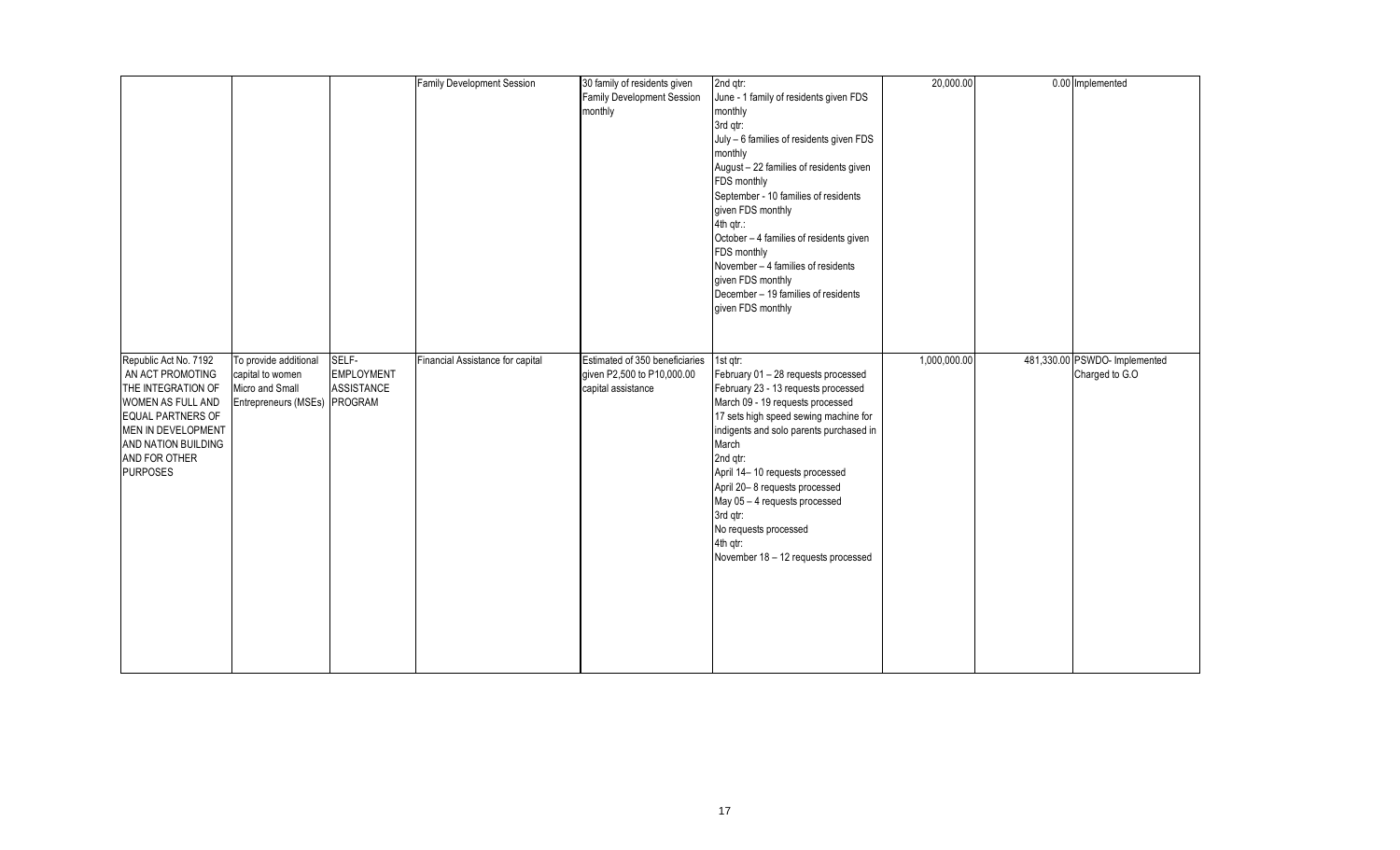|                                                                                                                                                                                                   |                                                                                              |                                                 | Family Development Session       | 30 family of residents given<br>Family Development Session<br>monthly                       | 2nd qtr:<br>June - 1 family of residents given FDS<br>monthly<br>3rd qtr:<br>July - 6 families of residents given FDS<br>monthly<br>August - 22 families of residents given<br>FDS monthly<br>September - 10 families of residents<br>given FDS monthly<br>4th qtr.:<br>October - 4 families of residents given<br>FDS monthly<br>November - 4 families of residents<br>given FDS monthly<br>December - 19 families of residents<br>given FDS monthly | 20,000.00    | 0.00 Implemented                                |
|---------------------------------------------------------------------------------------------------------------------------------------------------------------------------------------------------|----------------------------------------------------------------------------------------------|-------------------------------------------------|----------------------------------|---------------------------------------------------------------------------------------------|-------------------------------------------------------------------------------------------------------------------------------------------------------------------------------------------------------------------------------------------------------------------------------------------------------------------------------------------------------------------------------------------------------------------------------------------------------|--------------|-------------------------------------------------|
| Republic Act No. 7192<br>AN ACT PROMOTING<br>THE INTEGRATION OF<br>WOMEN AS FULL AND<br><b>EQUAL PARTNERS OF</b><br>MEN IN DEVELOPMENT<br>AND NATION BUILDING<br>AND FOR OTHER<br><b>PURPOSES</b> | To provide additional<br>capital to women<br>Micro and Small<br>Entrepreneurs (MSEs) PROGRAM | SELF-<br><b>EMPLOYMENT</b><br><b>ASSISTANCE</b> | Financial Assistance for capital | Estimated of 350 beneficiaries 1st qtr:<br>given P2,500 to P10,000.00<br>capital assistance | February 01 - 28 requests processed<br>February 23 - 13 requests processed<br>March 09 - 19 requests processed<br>17 sets high speed sewing machine for<br>indigents and solo parents purchased in<br>March<br>2nd qtr:<br>April 14-10 requests processed<br>April 20-8 requests processed<br>May 05 - 4 requests processed<br>3rd qtr:<br>No requests processed<br>4th qtr:<br>November 18 - 12 requests processed                                   | 1,000,000.00 | 481,330.00 PSWDO- Implemented<br>Charged to G.O |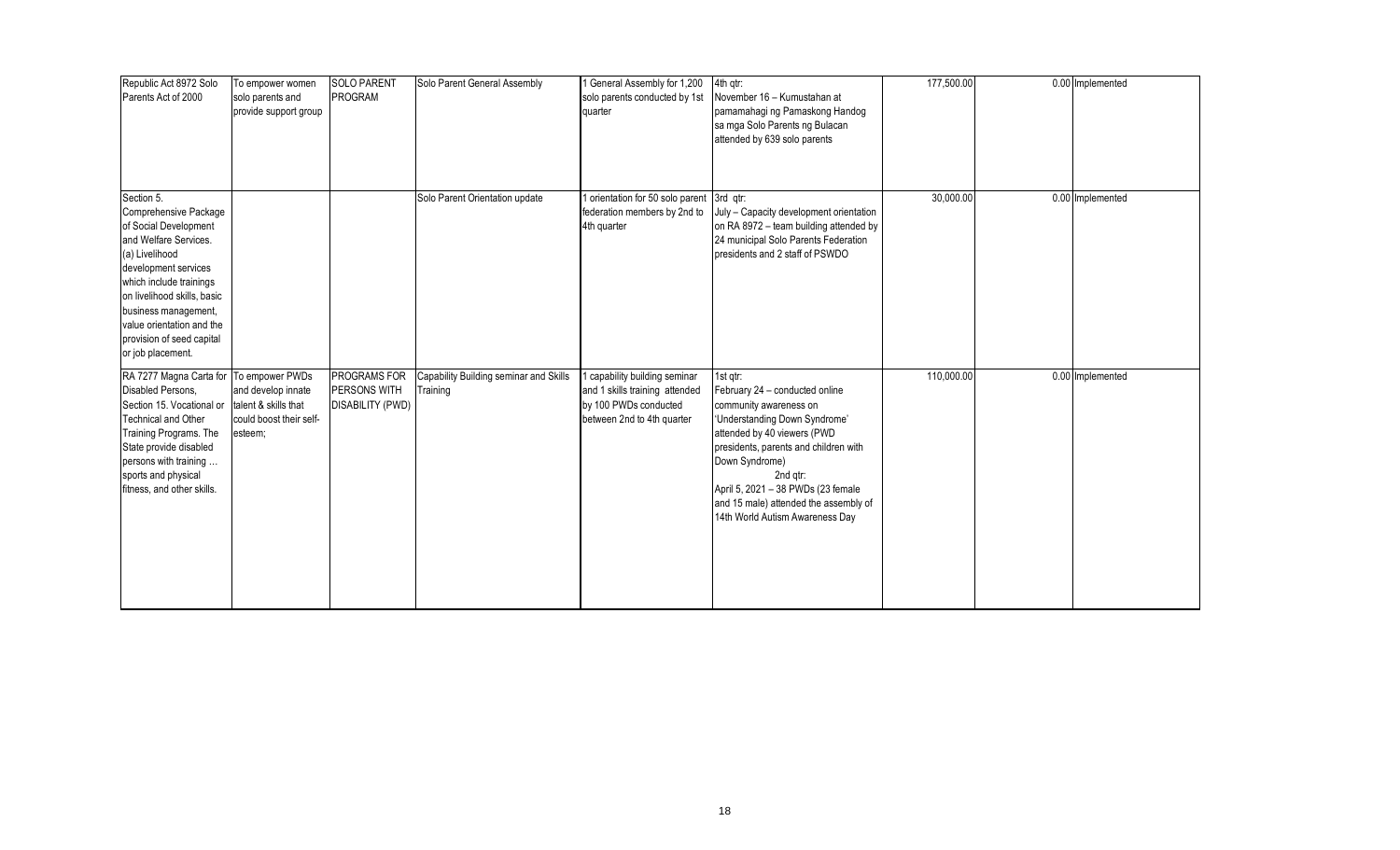| Republic Act 8972 Solo<br>Parents Act of 2000                                                                                                                                                                                                                                                    | To empower women<br>solo parents and<br>provide support group                    | <b>SOLO PARENT</b><br>PROGRAM                    | Solo Parent General Assembly                       | 1 General Assembly for 1,200<br>solo parents conducted by 1st<br>quarter                                             | 4th qtr:<br>November 16 - Kumustahan at<br>pamamahagi ng Pamaskong Handog<br>sa mga Solo Parents ng Bulacan<br>attended by 639 solo parents                                                                                                                                                                                   | 177,500.00 | 0.00 Implemented |
|--------------------------------------------------------------------------------------------------------------------------------------------------------------------------------------------------------------------------------------------------------------------------------------------------|----------------------------------------------------------------------------------|--------------------------------------------------|----------------------------------------------------|----------------------------------------------------------------------------------------------------------------------|-------------------------------------------------------------------------------------------------------------------------------------------------------------------------------------------------------------------------------------------------------------------------------------------------------------------------------|------------|------------------|
| Section 5.<br>Comprehensive Package<br>of Social Development<br>and Welfare Services.<br>(a) Livelihood<br>development services<br>which include trainings<br>on livelihood skills, basic<br>business management,<br>value orientation and the<br>provision of seed capital<br>or job placement. |                                                                                  |                                                  | Solo Parent Orientation update                     | orientation for 50 solo parent 3rd qtr:<br>federation members by 2nd to<br>4th quarter                               | July - Capacity development orientation<br>on RA 8972 - team building attended by<br>24 municipal Solo Parents Federation<br>presidents and 2 staff of PSWDO                                                                                                                                                                  | 30,000.00  | 0.00 Implemented |
| RA 7277 Magna Carta for To empower PWDs<br>Disabled Persons,<br>Section 15. Vocational or<br><b>Technical and Other</b><br><b>Training Programs. The</b><br>State provide disabled<br>persons with training<br>sports and physical<br>fitness, and other skills.                                 | and develop innate<br>talent & skills that<br>could boost their self-<br>esteem; | PROGRAMS FOR<br>PERSONS WITH<br>DISABILITY (PWD) | Capability Building seminar and Skills<br>Training | capability building seminar<br>and 1 skills training attended<br>by 100 PWDs conducted<br>between 2nd to 4th quarter | 1st gtr:<br>February 24 - conducted online<br>community awareness on<br>'Understanding Down Syndrome'<br>attended by 40 viewers (PWD<br>presidents, parents and children with<br>Down Syndrome)<br>2nd gtr:<br>April 5, 2021 - 38 PWDs (23 female<br>and 15 male) attended the assembly of<br>14th World Autism Awareness Day | 110,000.00 | 0.00 Implemented |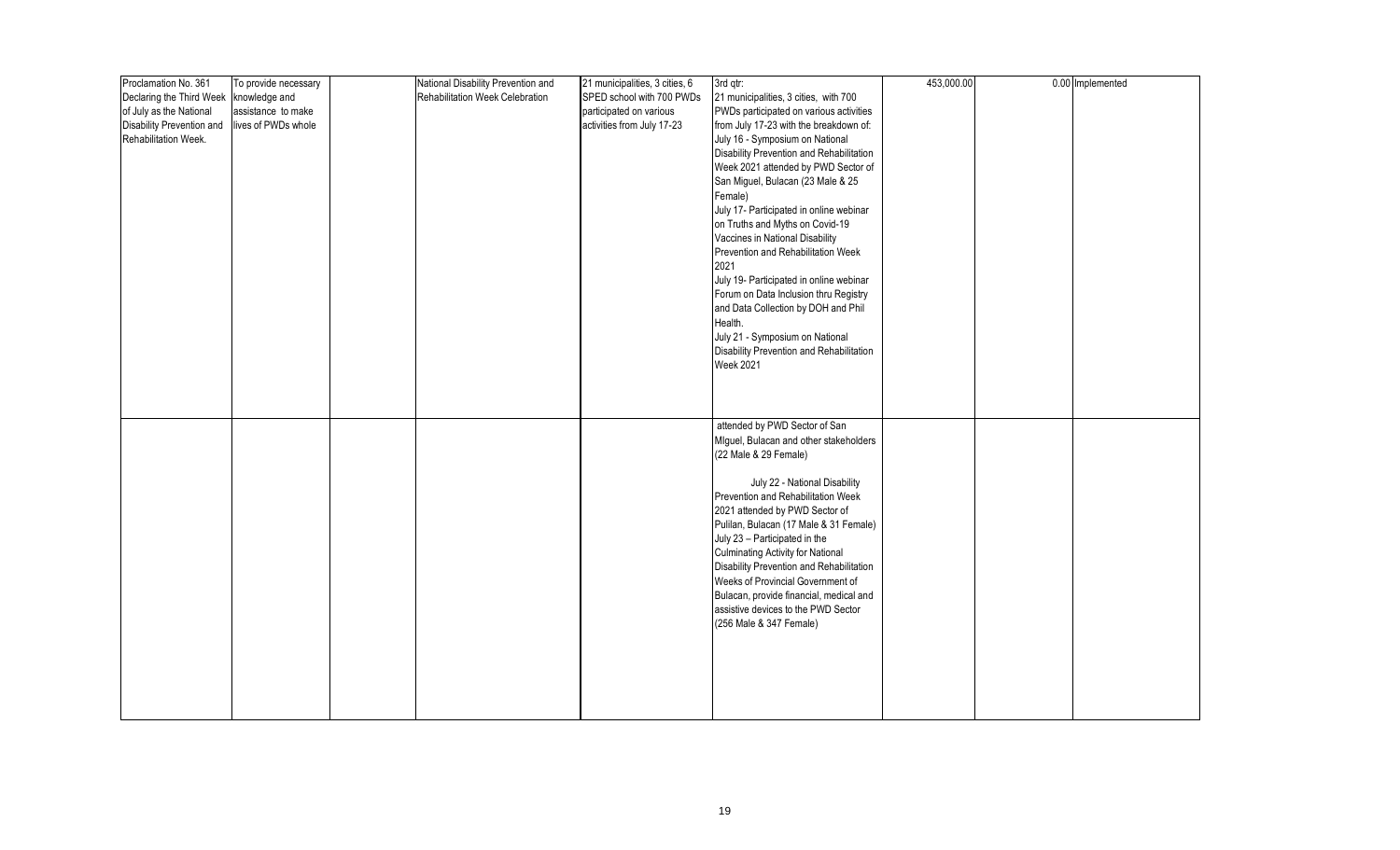| Proclamation No. 361      | To provide necessary | National Disability Prevention and | 21 municipalities, 3 cities, 6 | 3rd qtr:                                                                     | 453,000.00 | 0.00 Implemented |
|---------------------------|----------------------|------------------------------------|--------------------------------|------------------------------------------------------------------------------|------------|------------------|
| Declaring the Third Week  | knowledge and        | Rehabilitation Week Celebration    | SPED school with 700 PWDs      | 21 municipalities, 3 cities, with 700                                        |            |                  |
| of July as the National   | assistance to make   |                                    | participated on various        | PWDs participated on various activities                                      |            |                  |
| Disability Prevention and | lives of PWDs whole  |                                    | activities from July 17-23     | from July 17-23 with the breakdown of:                                       |            |                  |
| Rehabilitation Week.      |                      |                                    |                                | July 16 - Symposium on National                                              |            |                  |
|                           |                      |                                    |                                | Disability Prevention and Rehabilitation                                     |            |                  |
|                           |                      |                                    |                                | Week 2021 attended by PWD Sector of                                          |            |                  |
|                           |                      |                                    |                                | San Miguel, Bulacan (23 Male & 25                                            |            |                  |
|                           |                      |                                    |                                | Female)                                                                      |            |                  |
|                           |                      |                                    |                                | July 17- Participated in online webinar                                      |            |                  |
|                           |                      |                                    |                                | on Truths and Myths on Covid-19                                              |            |                  |
|                           |                      |                                    |                                | Vaccines in National Disability                                              |            |                  |
|                           |                      |                                    |                                | Prevention and Rehabilitation Week                                           |            |                  |
|                           |                      |                                    |                                | 2021                                                                         |            |                  |
|                           |                      |                                    |                                |                                                                              |            |                  |
|                           |                      |                                    |                                | July 19- Participated in online webinar                                      |            |                  |
|                           |                      |                                    |                                | Forum on Data Inclusion thru Registry<br>and Data Collection by DOH and Phil |            |                  |
|                           |                      |                                    |                                | Health.                                                                      |            |                  |
|                           |                      |                                    |                                |                                                                              |            |                  |
|                           |                      |                                    |                                | July 21 - Symposium on National                                              |            |                  |
|                           |                      |                                    |                                | Disability Prevention and Rehabilitation                                     |            |                  |
|                           |                      |                                    |                                | <b>Week 2021</b>                                                             |            |                  |
|                           |                      |                                    |                                |                                                                              |            |                  |
|                           |                      |                                    |                                |                                                                              |            |                  |
|                           |                      |                                    |                                |                                                                              |            |                  |
|                           |                      |                                    |                                | attended by PWD Sector of San                                                |            |                  |
|                           |                      |                                    |                                | Miguel, Bulacan and other stakeholders                                       |            |                  |
|                           |                      |                                    |                                | (22 Male & 29 Female)                                                        |            |                  |
|                           |                      |                                    |                                |                                                                              |            |                  |
|                           |                      |                                    |                                | July 22 - National Disability                                                |            |                  |
|                           |                      |                                    |                                | Prevention and Rehabilitation Week                                           |            |                  |
|                           |                      |                                    |                                | 2021 attended by PWD Sector of                                               |            |                  |
|                           |                      |                                    |                                | Pulilan, Bulacan (17 Male & 31 Female)                                       |            |                  |
|                           |                      |                                    |                                | July 23 - Participated in the                                                |            |                  |
|                           |                      |                                    |                                | Culminating Activity for National                                            |            |                  |
|                           |                      |                                    |                                | Disability Prevention and Rehabilitation                                     |            |                  |
|                           |                      |                                    |                                | Weeks of Provincial Government of                                            |            |                  |
|                           |                      |                                    |                                | Bulacan, provide financial, medical and                                      |            |                  |
|                           |                      |                                    |                                | assistive devices to the PWD Sector                                          |            |                  |
|                           |                      |                                    |                                | (256 Male & 347 Female)                                                      |            |                  |
|                           |                      |                                    |                                |                                                                              |            |                  |
|                           |                      |                                    |                                |                                                                              |            |                  |
|                           |                      |                                    |                                |                                                                              |            |                  |
|                           |                      |                                    |                                |                                                                              |            |                  |
|                           |                      |                                    |                                |                                                                              |            |                  |
|                           |                      |                                    |                                |                                                                              |            |                  |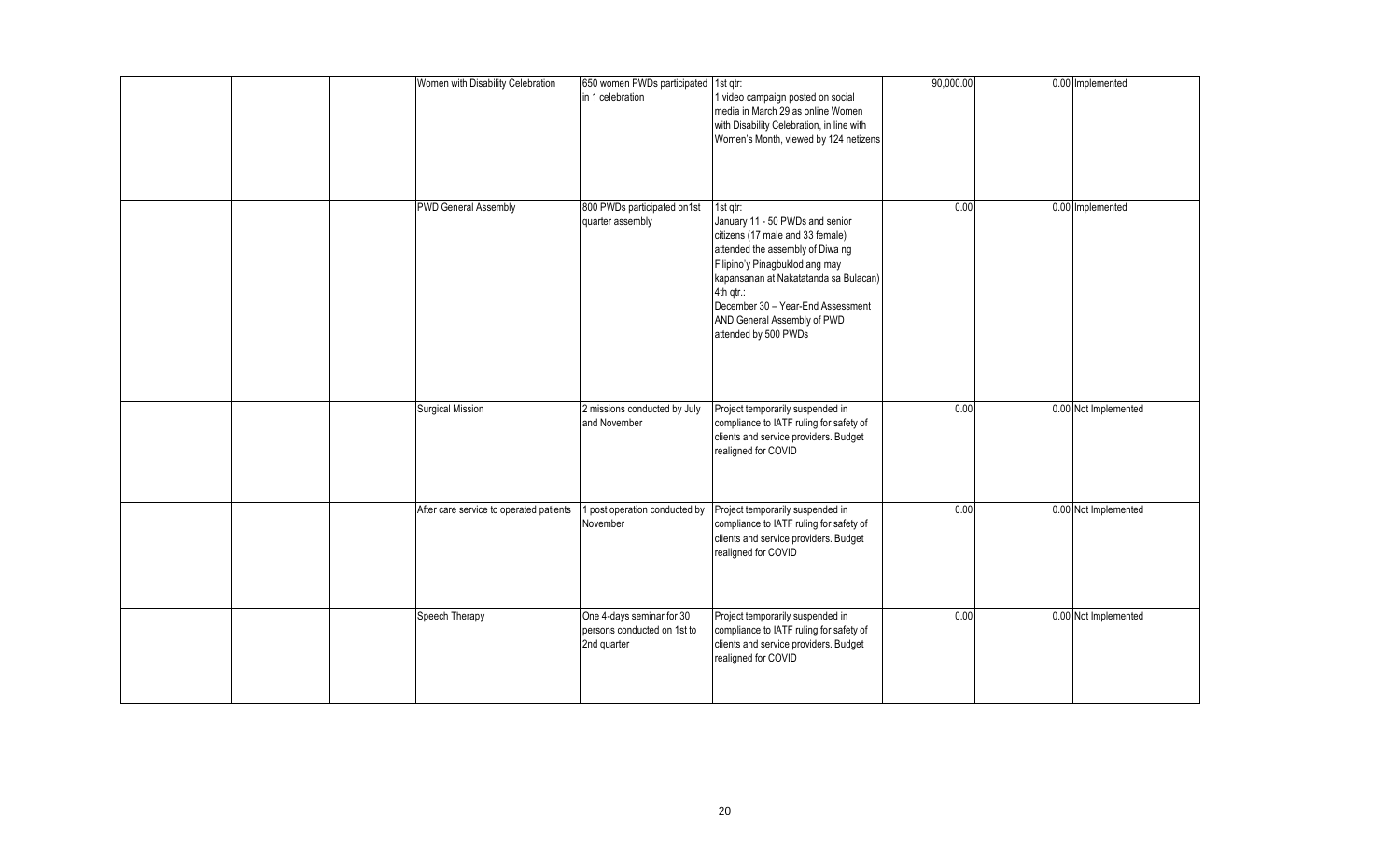|  | Women with Disability Celebration       | 650 women PWDs participated 1st qtr:<br>in 1 celebration                | 1 video campaign posted on social<br>media in March 29 as online Women<br>with Disability Celebration, in line with<br>Women's Month, viewed by 124 netizens                                                                                                                                            | 90,000.00 | 0.00 Implemented     |
|--|-----------------------------------------|-------------------------------------------------------------------------|---------------------------------------------------------------------------------------------------------------------------------------------------------------------------------------------------------------------------------------------------------------------------------------------------------|-----------|----------------------|
|  | <b>PWD General Assembly</b>             | 800 PWDs participated on1st<br>quarter assembly                         | 1st gtr:<br>January 11 - 50 PWDs and senior<br>citizens (17 male and 33 female)<br>attended the assembly of Diwa ng<br>Filipino'y Pinagbuklod ang may<br>kapansanan at Nakatatanda sa Bulacan)<br>4th qtr.:<br>December 30 - Year-End Assessment<br>AND General Assembly of PWD<br>attended by 500 PWDs | 0.00      | 0.00 Implemented     |
|  | Surgical Mission                        | 2 missions conducted by July<br>and November                            | Project temporarily suspended in<br>compliance to IATF ruling for safety of<br>clients and service providers. Budget<br>realigned for COVID                                                                                                                                                             | 0.00      | 0.00 Not Implemented |
|  | After care service to operated patients | post operation conducted by<br>November                                 | Project temporarily suspended in<br>compliance to IATF ruling for safety of<br>clients and service providers. Budget<br>realigned for COVID                                                                                                                                                             | 0.00      | 0.00 Not Implemented |
|  | Speech Therapy                          | One 4-days seminar for 30<br>persons conducted on 1st to<br>2nd quarter | Project temporarily suspended in<br>compliance to IATF ruling for safety of<br>clients and service providers. Budget<br>realigned for COVID                                                                                                                                                             | 0.00      | 0.00 Not Implemented |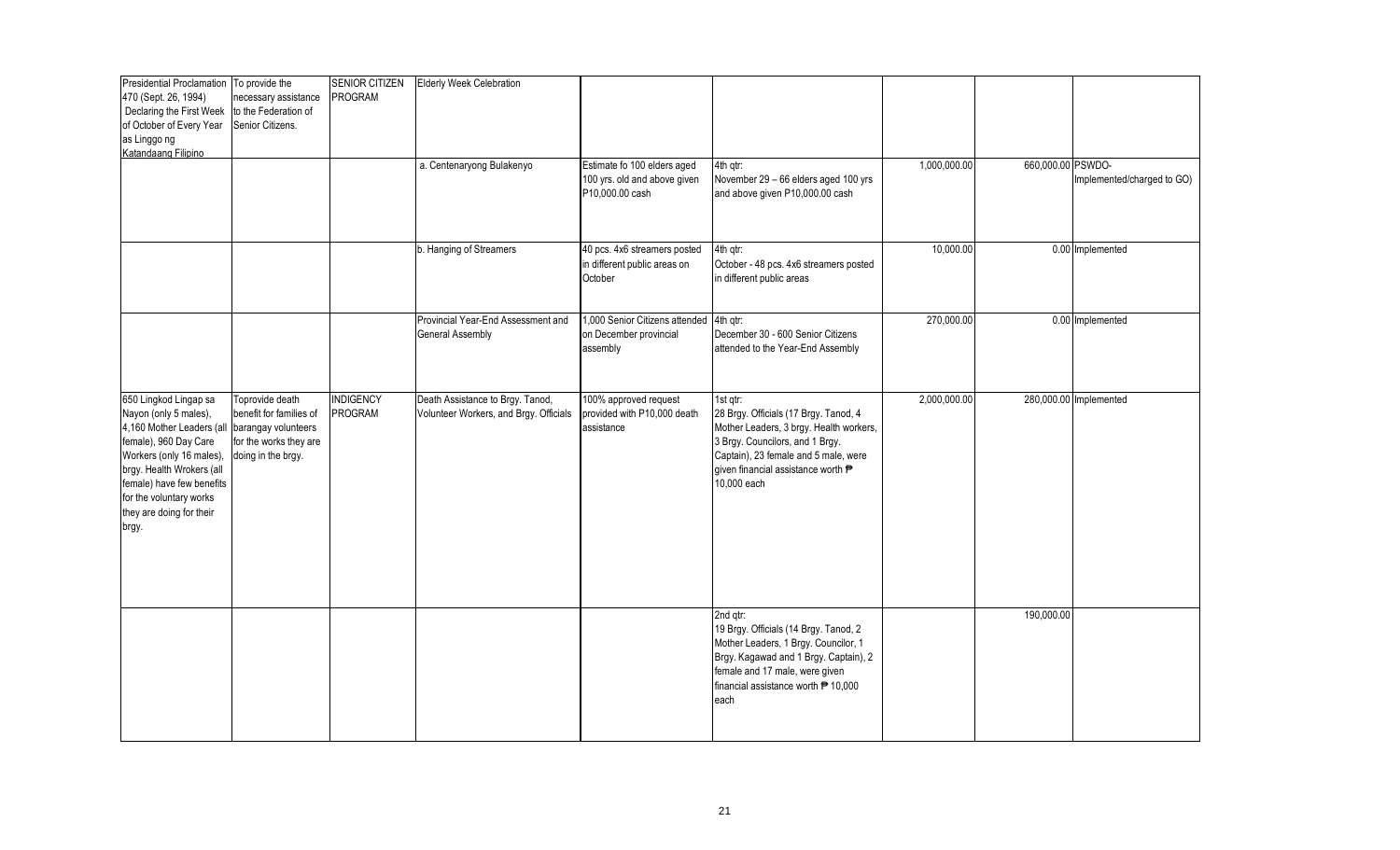| Presidential Proclamation To provide the<br>470 (Sept. 26, 1994)<br>Declaring the First Week<br>of October of Every Year<br>as Linggo ng<br>Katandaang Filipino                                                                                                                | necessary assistance<br>to the Federation of<br>Senior Citizens.                           | <b>SENIOR CITIZEN</b><br>PROGRAM | <b>Elderly Week Celebration</b><br>a. Centenaryong Bulakenyo               | Estimate fo 100 elders aged<br>100 yrs. old and above given<br>P10,000.00 cash | 4th gtr:<br>November 29 - 66 elders aged 100 yrs<br>and above given P10,000.00 cash                                                                                                                                          | 1,000,000.00 | 660,000.00 PSWDO- | Implemented/charged to GO) |
|--------------------------------------------------------------------------------------------------------------------------------------------------------------------------------------------------------------------------------------------------------------------------------|--------------------------------------------------------------------------------------------|----------------------------------|----------------------------------------------------------------------------|--------------------------------------------------------------------------------|------------------------------------------------------------------------------------------------------------------------------------------------------------------------------------------------------------------------------|--------------|-------------------|----------------------------|
|                                                                                                                                                                                                                                                                                |                                                                                            |                                  | b. Hanging of Streamers                                                    | 40 pcs. 4x6 streamers posted<br>in different public areas on<br>October        | 4th qtr:<br>October - 48 pcs. 4x6 streamers posted<br>in different public areas                                                                                                                                              | 10,000.00    |                   | 0.00 Implemented           |
|                                                                                                                                                                                                                                                                                |                                                                                            |                                  | Provincial Year-End Assessment and<br>General Assembly                     | 1,000 Senior Citizens attended 4th qtr:<br>on December provincial<br>assembly  | December 30 - 600 Senior Citizens<br>attended to the Year-End Assembly                                                                                                                                                       | 270,000.00   |                   | 0.00 Implemented           |
| 650 Lingkod Lingap sa<br>Nayon (only 5 males),<br>4,160 Mother Leaders (all barangay volunteers<br>female), 960 Day Care<br>Workers (only 16 males),<br>brgy. Health Wrokers (all<br>female) have few benefits<br>for the voluntary works<br>they are doing for their<br>brgy. | Toprovide death<br>benefit for families of<br>for the works they are<br>doing in the brgy. | <b>INDIGENCY</b><br>PROGRAM      | Death Assistance to Brgy. Tanod,<br>Volunteer Workers, and Brgy. Officials | 100% approved request<br>provided with P10,000 death<br>assistance             | 1st gtr:<br>28 Brgy. Officials (17 Brgy. Tanod, 4<br>Mother Leaders, 3 brgy. Health workers,<br>3 Brgy. Councilors, and 1 Brgy.<br>Captain), 23 female and 5 male, were<br>given financial assistance worth P<br>10,000 each | 2,000,000.00 |                   | 280,000.00 Implemented     |
|                                                                                                                                                                                                                                                                                |                                                                                            |                                  |                                                                            |                                                                                | 2nd gtr:<br>19 Brgy. Officials (14 Brgy. Tanod, 2<br>Mother Leaders, 1 Brgy. Councilor, 1<br>Brgy. Kagawad and 1 Brgy. Captain), 2<br>female and 17 male, were given<br>financial assistance worth ₱ 10,000<br>each          |              | 190,000.00        |                            |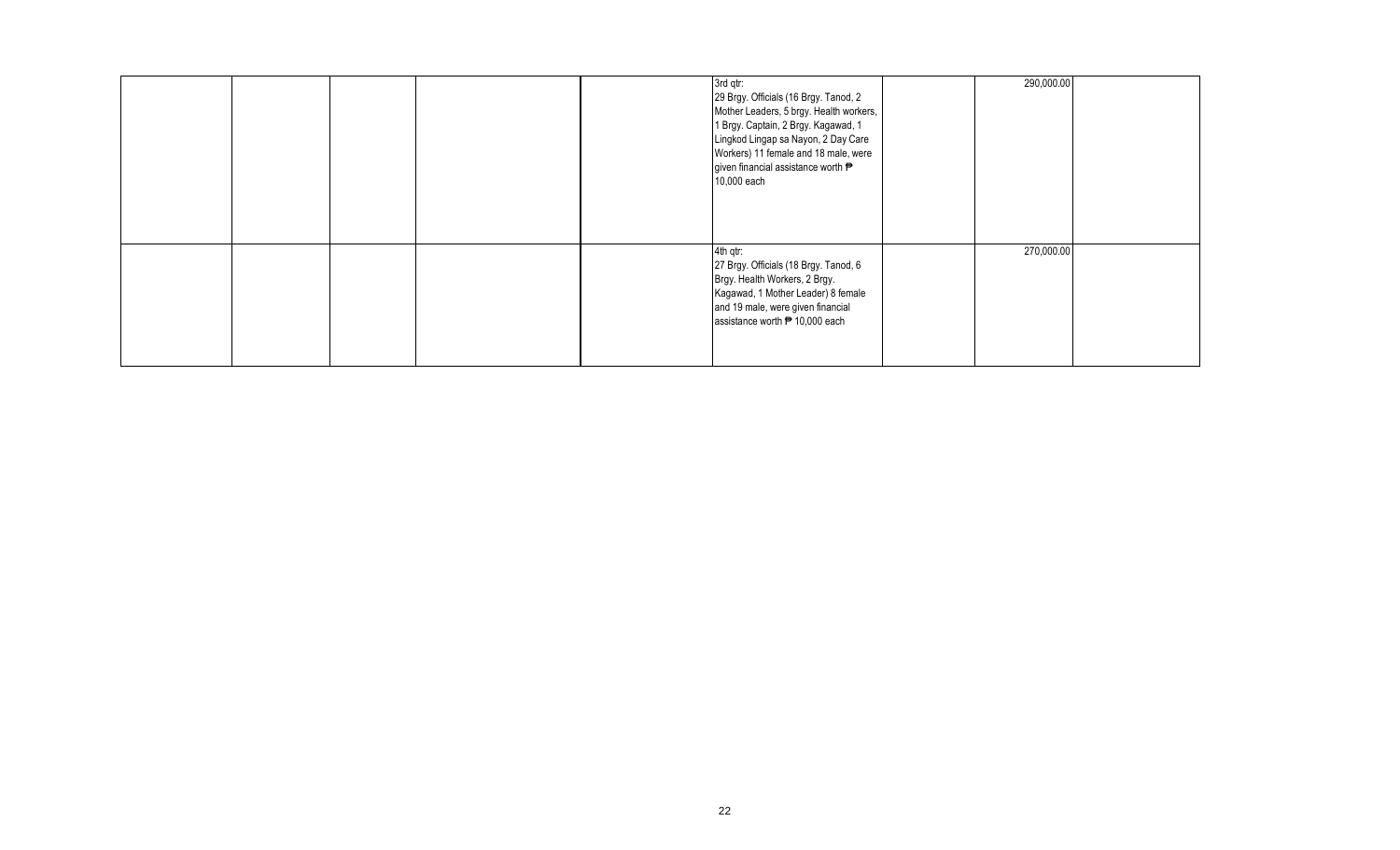|  |  | 3rd qtr:<br>29 Brgy. Officials (16 Brgy. Tanod, 2<br>Mother Leaders, 5 brgy. Health workers,<br>1 Brgy. Captain, 2 Brgy. Kagawad, 1<br>Lingkod Lingap sa Nayon, 2 Day Care<br>Workers) 11 female and 18 male, were<br>given financial assistance worth P<br>10,000 each | 290,000.00 |  |
|--|--|-------------------------------------------------------------------------------------------------------------------------------------------------------------------------------------------------------------------------------------------------------------------------|------------|--|
|  |  | 4th qtr:<br>27 Brgy. Officials (18 Brgy. Tanod, 6<br>Brgy. Health Workers, 2 Brgy.<br>Kagawad, 1 Mother Leader) 8 female<br>and 19 male, were given financial<br>assistance worth <sup>₹</sup> 10,000 each                                                              | 270,000.00 |  |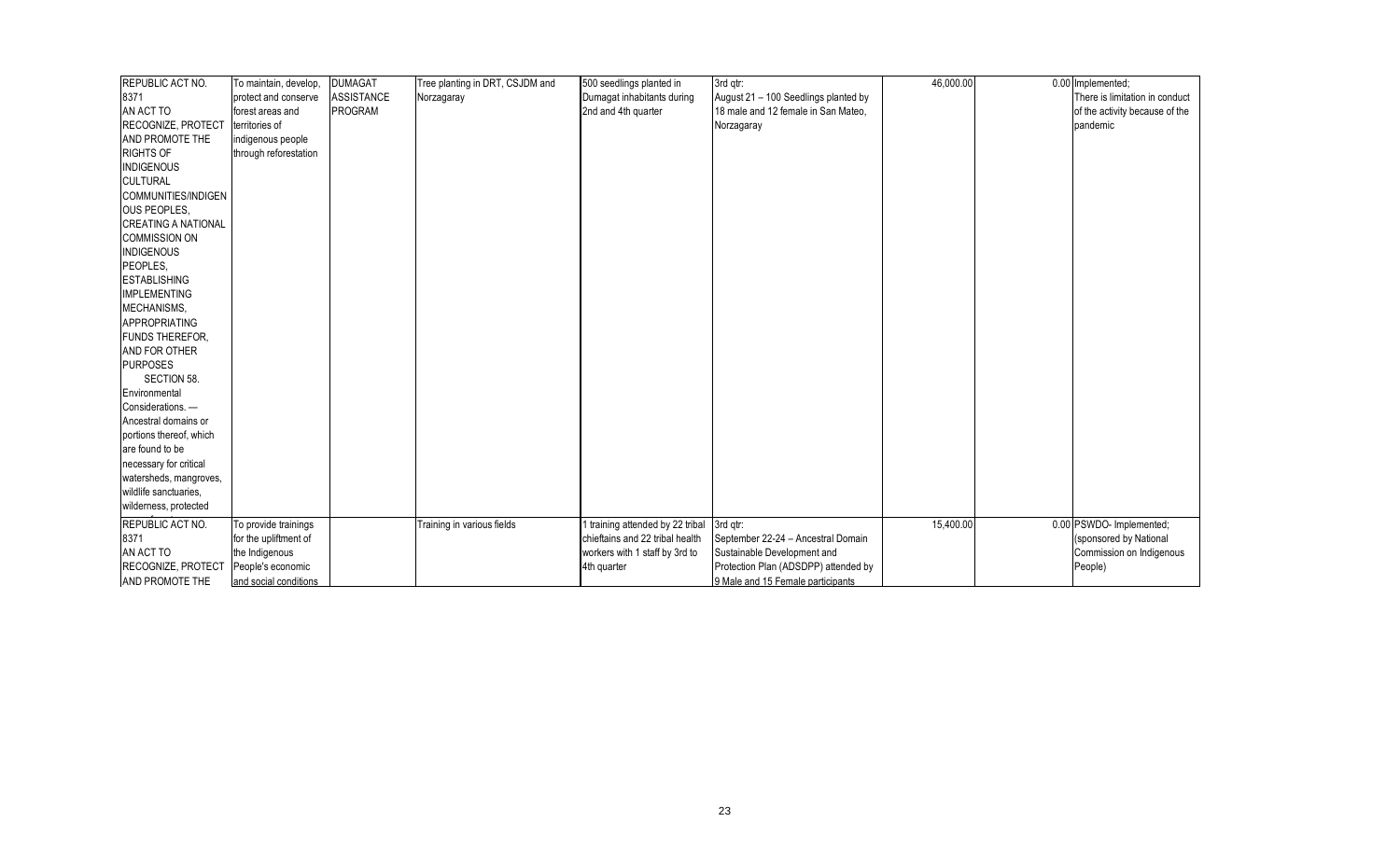| REPUBLIC ACT NO.           | To maintain, develop, | <b>DUMAGAT</b>    | Tree planting in DRT, CSJDM and | 500 seedlings planted in         | 3rd qtr:                             | 46,000.00 | 0.00 Implemented;              |
|----------------------------|-----------------------|-------------------|---------------------------------|----------------------------------|--------------------------------------|-----------|--------------------------------|
| 8371                       | protect and conserve  | <b>ASSISTANCE</b> | Norzagaray                      | Dumagat inhabitants during       | August 21 - 100 Seedlings planted by |           | There is limitation in conduct |
| AN ACT TO                  | forest areas and      | <b>PROGRAM</b>    |                                 | 2nd and 4th quarter              | 18 male and 12 female in San Mateo.  |           | of the activity because of the |
| <b>RECOGNIZE, PROTECT</b>  | territories of        |                   |                                 |                                  | Norzagaray                           |           | pandemic                       |
| AND PROMOTE THE            | indigenous people     |                   |                                 |                                  |                                      |           |                                |
| <b>RIGHTS OF</b>           | through reforestation |                   |                                 |                                  |                                      |           |                                |
| <b>INDIGENOUS</b>          |                       |                   |                                 |                                  |                                      |           |                                |
| <b>CULTURAL</b>            |                       |                   |                                 |                                  |                                      |           |                                |
| COMMUNITIES/INDIGEN        |                       |                   |                                 |                                  |                                      |           |                                |
| <b>OUS PEOPLES.</b>        |                       |                   |                                 |                                  |                                      |           |                                |
| <b>CREATING A NATIONAL</b> |                       |                   |                                 |                                  |                                      |           |                                |
| <b>COMMISSION ON</b>       |                       |                   |                                 |                                  |                                      |           |                                |
| <b>INDIGENOUS</b>          |                       |                   |                                 |                                  |                                      |           |                                |
| PEOPLES.                   |                       |                   |                                 |                                  |                                      |           |                                |
| <b>ESTABLISHING</b>        |                       |                   |                                 |                                  |                                      |           |                                |
| <b>IMPLEMENTING</b>        |                       |                   |                                 |                                  |                                      |           |                                |
| MECHANISMS,                |                       |                   |                                 |                                  |                                      |           |                                |
| APPROPRIATING              |                       |                   |                                 |                                  |                                      |           |                                |
| <b>FUNDS THEREFOR,</b>     |                       |                   |                                 |                                  |                                      |           |                                |
| AND FOR OTHER              |                       |                   |                                 |                                  |                                      |           |                                |
| <b>PURPOSES</b>            |                       |                   |                                 |                                  |                                      |           |                                |
| SECTION 58.                |                       |                   |                                 |                                  |                                      |           |                                |
| Environmental              |                       |                   |                                 |                                  |                                      |           |                                |
| Considerations. -          |                       |                   |                                 |                                  |                                      |           |                                |
| Ancestral domains or       |                       |                   |                                 |                                  |                                      |           |                                |
| portions thereof, which    |                       |                   |                                 |                                  |                                      |           |                                |
| are found to be            |                       |                   |                                 |                                  |                                      |           |                                |
| necessary for critical     |                       |                   |                                 |                                  |                                      |           |                                |
| watersheds, mangroves,     |                       |                   |                                 |                                  |                                      |           |                                |
| wildlife sanctuaries.      |                       |                   |                                 |                                  |                                      |           |                                |
| wilderness, protected      |                       |                   |                                 |                                  |                                      |           |                                |
| REPUBLIC ACT NO.           | To provide trainings  |                   | Training in various fields      | I training attended by 22 tribal | 3rd gtr:                             | 15,400.00 | 0.00 PSWDO- Implemented;       |
| 8371                       | for the upliftment of |                   |                                 | chieftains and 22 tribal health  | September 22-24 - Ancestral Domain   |           | (sponsored by National         |
| AN ACT TO                  | the Indigenous        |                   |                                 | workers with 1 staff by 3rd to   | Sustainable Development and          |           | Commission on Indigenous       |
| RECOGNIZE, PROTECT         | People's economic     |                   |                                 | 4th quarter                      | Protection Plan (ADSDPP) attended by |           | People)                        |
| <b>AND PROMOTE THE</b>     | and social conditions |                   |                                 |                                  | 9 Male and 15 Female participants    |           |                                |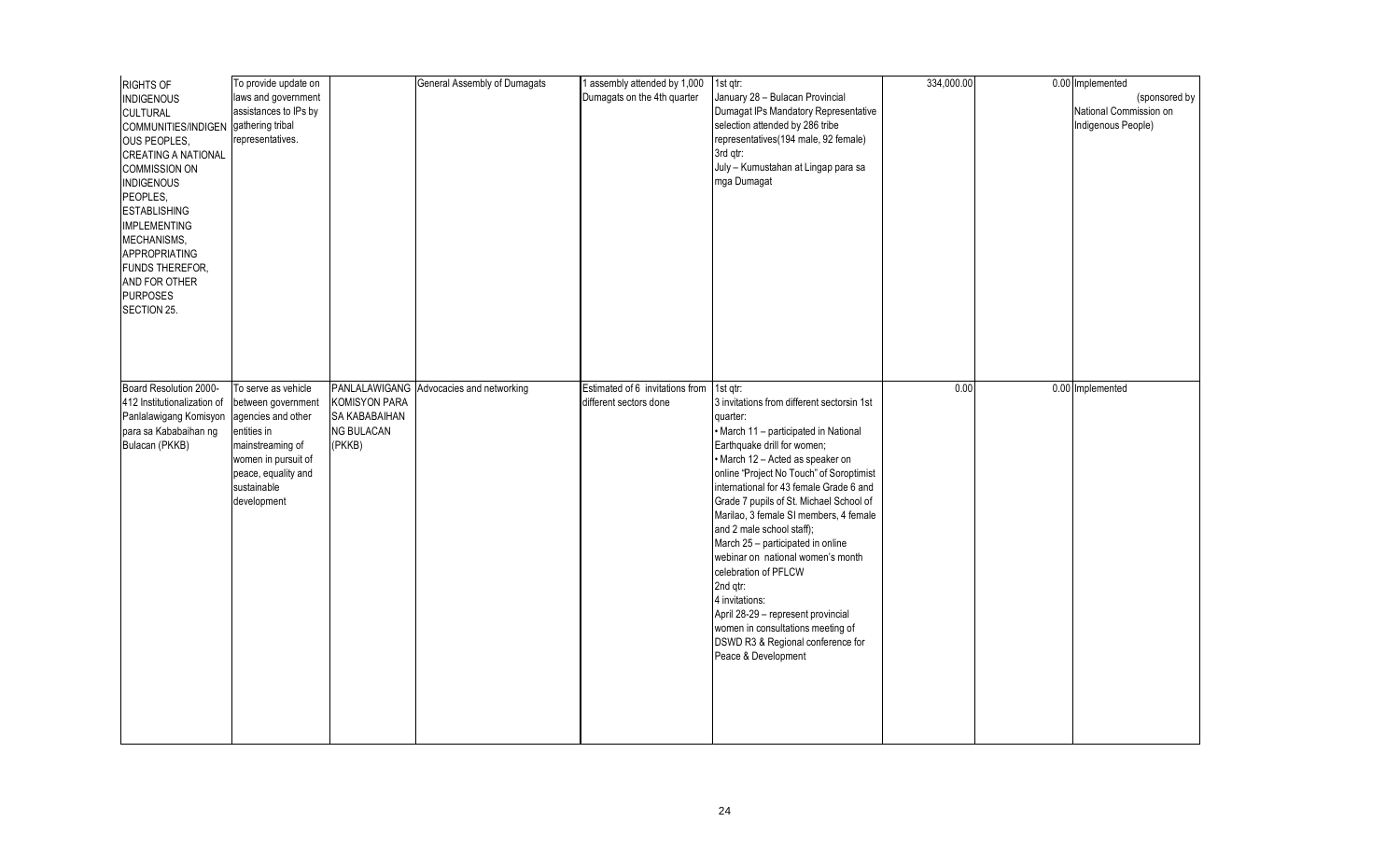| <b>RIGHTS OF</b><br><b>INDIGENOUS</b><br><b>CULTURAL</b><br>COMMUNITIES/INDIGEN gathering tribal<br>OUS PEOPLES,<br><b>CREATING A NATIONAL</b><br><b>COMMISSION ON</b><br><b>INDIGENOUS</b><br>PEOPLES,<br><b>ESTABLISHING</b><br><b>IMPLEMENTING</b><br>MECHANISMS,<br>APPROPRIATING<br>FUNDS THEREFOR,<br>AND FOR OTHER<br><b>PURPOSES</b><br>SECTION 25. | To provide update on<br>laws and government<br>assistances to IPs by<br>representatives.                                                                                       |                                                                                       | General Assembly of Dumagats | 1 assembly attended by 1,000<br>Dumagats on the 4th quarter | 1st qtr:<br>January 28 - Bulacan Provincial<br>Dumagat IPs Mandatory Representative<br>selection attended by 286 tribe<br>representatives(194 male, 92 female)<br>3rd gtr:<br>July - Kumustahan at Lingap para sa<br>mga Dumagat                                                                                                                                                                                                                                                                                                                                                                                                                               | 334,000.00 | 0.00 Implemented<br>(sponsored by<br>National Commission on<br>Indigenous People) |
|-------------------------------------------------------------------------------------------------------------------------------------------------------------------------------------------------------------------------------------------------------------------------------------------------------------------------------------------------------------|--------------------------------------------------------------------------------------------------------------------------------------------------------------------------------|---------------------------------------------------------------------------------------|------------------------------|-------------------------------------------------------------|----------------------------------------------------------------------------------------------------------------------------------------------------------------------------------------------------------------------------------------------------------------------------------------------------------------------------------------------------------------------------------------------------------------------------------------------------------------------------------------------------------------------------------------------------------------------------------------------------------------------------------------------------------------|------------|-----------------------------------------------------------------------------------|
| Board Resolution 2000-<br>412 Institutionalization of<br>Panlalawigang Komisyon<br>para sa Kababaihan ng<br>Bulacan (PKKB)                                                                                                                                                                                                                                  | To serve as vehicle<br>between government<br>agencies and other<br>entities in<br>mainstreaming of<br>women in pursuit of<br>peace, equality and<br>sustainable<br>development | PANLALAWIGANG<br><b>KOMISYON PARA</b><br>SA KABABAIHAN<br><b>NG BULACAN</b><br>(PKKB) | Advocacies and networking    | Estimated of 6 invitations from<br>different sectors done   | 1st qtr:<br>3 invitations from different sectorsin 1st<br>quarter:<br>· March 11 - participated in National<br>Earthquake drill for women;<br>• March 12 - Acted as speaker on<br>online "Project No Touch" of Soroptimist<br>international for 43 female Grade 6 and<br>Grade 7 pupils of St. Michael School of<br>Marilao, 3 female SI members, 4 female<br>and 2 male school staff);<br>March 25 - participated in online<br>webinar on national women's month<br>celebration of PFLCW<br>2nd qtr:<br>4 invitations:<br>April 28-29 - represent provincial<br>women in consultations meeting of<br>DSWD R3 & Regional conference for<br>Peace & Development | 0.00       | 0.00 Implemented                                                                  |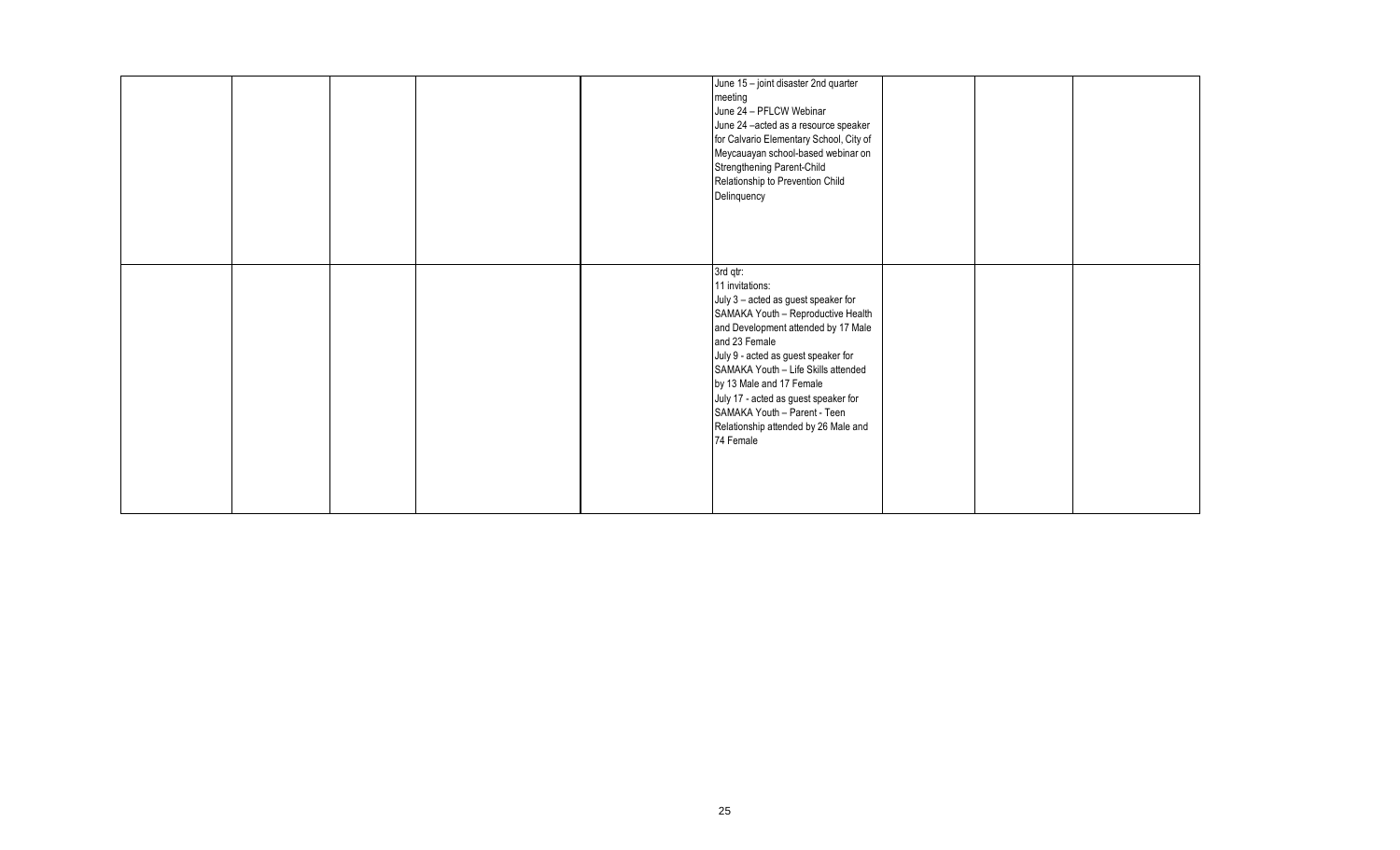|  |  | June 15 - joint disaster 2nd quarter<br>meeting<br>June 24 - PFLCW Webinar<br>June 24 -acted as a resource speaker<br>for Calvario Elementary School, City of<br>Meycauayan school-based webinar on<br>Strengthening Parent-Child<br>Relationship to Prevention Child<br>Delinquency<br>3rd qtr:                                                                                            |  |  |
|--|--|---------------------------------------------------------------------------------------------------------------------------------------------------------------------------------------------------------------------------------------------------------------------------------------------------------------------------------------------------------------------------------------------|--|--|
|  |  | 11 invitations:<br>July 3 - acted as guest speaker for<br>SAMAKA Youth - Reproductive Health<br>and Development attended by 17 Male<br>and 23 Female<br>July 9 - acted as guest speaker for<br>SAMAKA Youth - Life Skills attended<br>by 13 Male and 17 Female<br>July 17 - acted as guest speaker for<br>SAMAKA Youth - Parent - Teen<br>Relationship attended by 26 Male and<br>74 Female |  |  |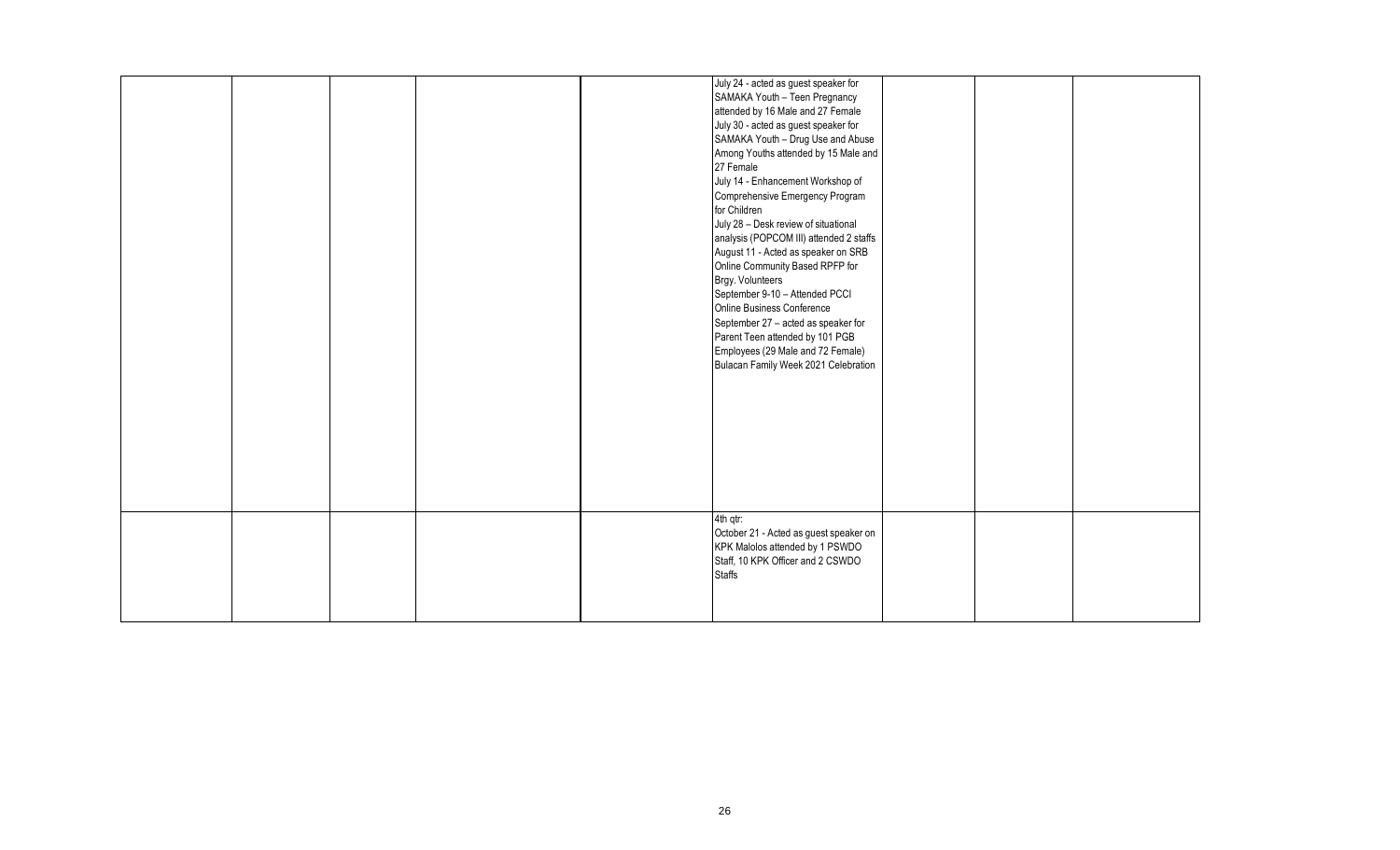|  |  | July 24 - acted as guest speaker for<br>SAMAKA Youth - Teen Pregnancy<br>attended by 16 Male and 27 Female<br>July 30 - acted as guest speaker for<br>SAMAKA Youth - Drug Use and Abuse<br>Among Youths attended by 15 Male and<br>27 Female<br>July 14 - Enhancement Workshop of<br>Comprehensive Emergency Program<br>for Children<br>July 28 - Desk review of situational<br>analysis (POPCOM III) attended 2 staffs<br>August 11 - Acted as speaker on SRB<br>Online Community Based RPFP for<br>Brgy. Volunteers<br>September 9-10 - Attended PCCI<br>Online Business Conference<br>September 27 - acted as speaker for<br>Parent Teen attended by 101 PGB<br>Employees (29 Male and 72 Female)<br>Bulacan Family Week 2021 Celebration |  |  |
|--|--|----------------------------------------------------------------------------------------------------------------------------------------------------------------------------------------------------------------------------------------------------------------------------------------------------------------------------------------------------------------------------------------------------------------------------------------------------------------------------------------------------------------------------------------------------------------------------------------------------------------------------------------------------------------------------------------------------------------------------------------------|--|--|
|  |  |                                                                                                                                                                                                                                                                                                                                                                                                                                                                                                                                                                                                                                                                                                                                              |  |  |
|  |  | 4th qtr:<br>October 21 - Acted as guest speaker on<br>KPK Malolos attended by 1 PSWDO<br>Staff, 10 KPK Officer and 2 CSWDO<br><b>Staffs</b>                                                                                                                                                                                                                                                                                                                                                                                                                                                                                                                                                                                                  |  |  |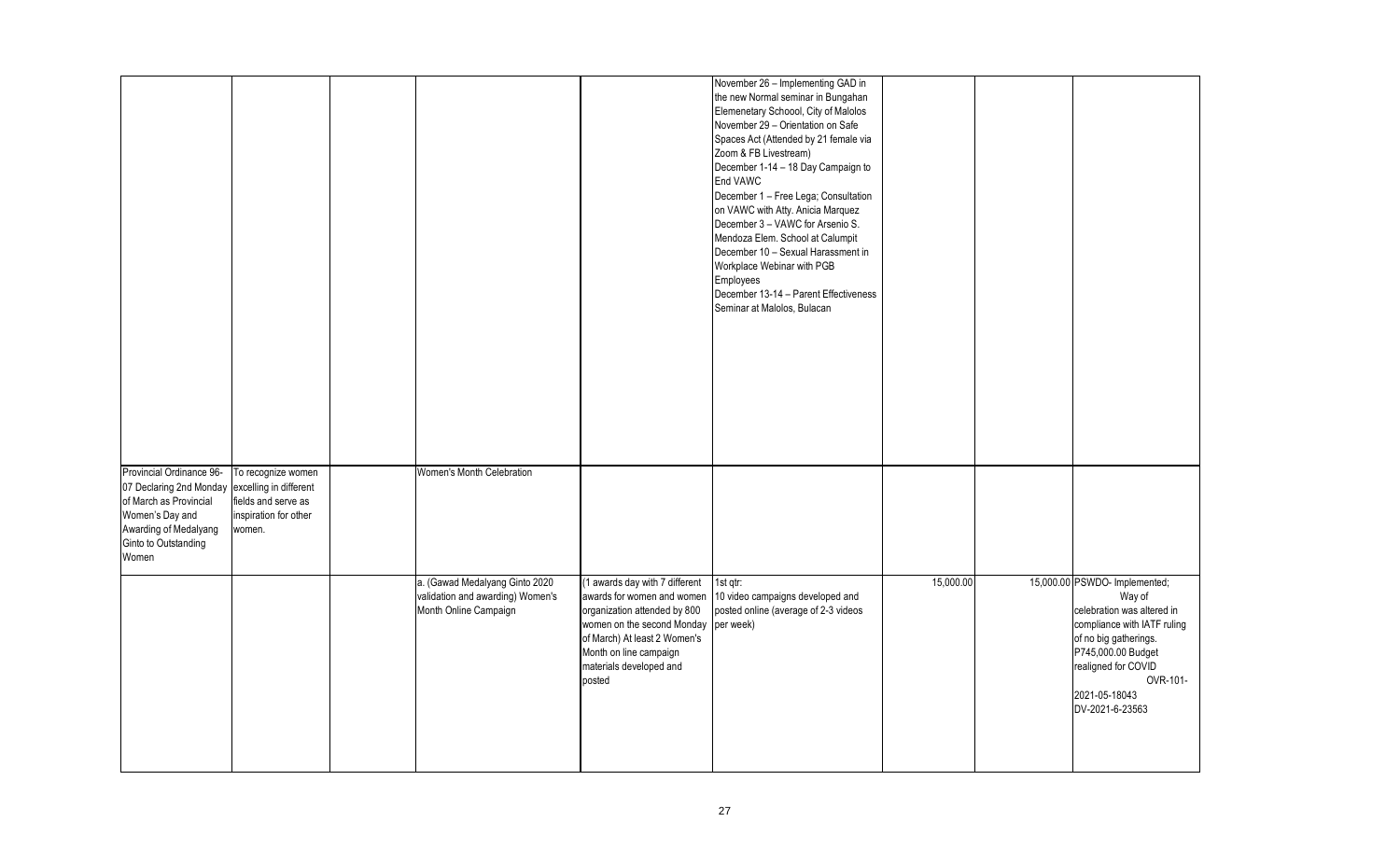|                                                                                                                                                            |                                                                                                        |                                                                                             |                                                                                                                                                                                                                           | November 26 - Implementing GAD in<br>the new Normal seminar in Bungahan<br>Elemenetary Schoool, City of Malolos<br>November 29 - Orientation on Safe<br>Spaces Act (Attended by 21 female via<br>Zoom & FB Livestream)<br>December 1-14 - 18 Day Campaign to<br>End VAWC<br>December 1 - Free Lega; Consultation<br>on VAWC with Atty. Anicia Marquez<br>December 3 - VAWC for Arsenio S.<br>Mendoza Elem. School at Calumpit<br>December 10 - Sexual Harassment in<br>Workplace Webinar with PGB<br>Employees<br>December 13-14 - Parent Effectiveness<br>Seminar at Malolos, Bulacan |           |                                                                                                                                                                                                                            |
|------------------------------------------------------------------------------------------------------------------------------------------------------------|--------------------------------------------------------------------------------------------------------|---------------------------------------------------------------------------------------------|---------------------------------------------------------------------------------------------------------------------------------------------------------------------------------------------------------------------------|----------------------------------------------------------------------------------------------------------------------------------------------------------------------------------------------------------------------------------------------------------------------------------------------------------------------------------------------------------------------------------------------------------------------------------------------------------------------------------------------------------------------------------------------------------------------------------------|-----------|----------------------------------------------------------------------------------------------------------------------------------------------------------------------------------------------------------------------------|
| Provincial Ordinance 96-<br>07 Declaring 2nd Monday<br>of March as Provincial<br>Women's Day and<br>Awarding of Medalyang<br>Ginto to Outstanding<br>Women | To recognize women<br>excelling in different<br>fields and serve as<br>inspiration for other<br>women. | Women's Month Celebration                                                                   |                                                                                                                                                                                                                           |                                                                                                                                                                                                                                                                                                                                                                                                                                                                                                                                                                                        |           |                                                                                                                                                                                                                            |
|                                                                                                                                                            |                                                                                                        | a. (Gawad Medalyang Ginto 2020<br>validation and awarding) Women's<br>Month Online Campaign | (1 awards day with 7 different<br>awards for women and women<br>organization attended by 800<br>women on the second Monday<br>of March) At least 2 Women's<br>Month on line campaign<br>materials developed and<br>posted | 1st gtr:<br>10 video campaigns developed and<br>posted online (average of 2-3 videos<br>per week)                                                                                                                                                                                                                                                                                                                                                                                                                                                                                      | 15,000.00 | 15,000.00 PSWDO- Implemented;<br>Way of<br>celebration was altered in<br>compliance with IATF ruling<br>of no big gatherings.<br>P745,000.00 Budget<br>realigned for COVID<br>OVR-101-<br>2021-05-18043<br>DV-2021-6-23563 |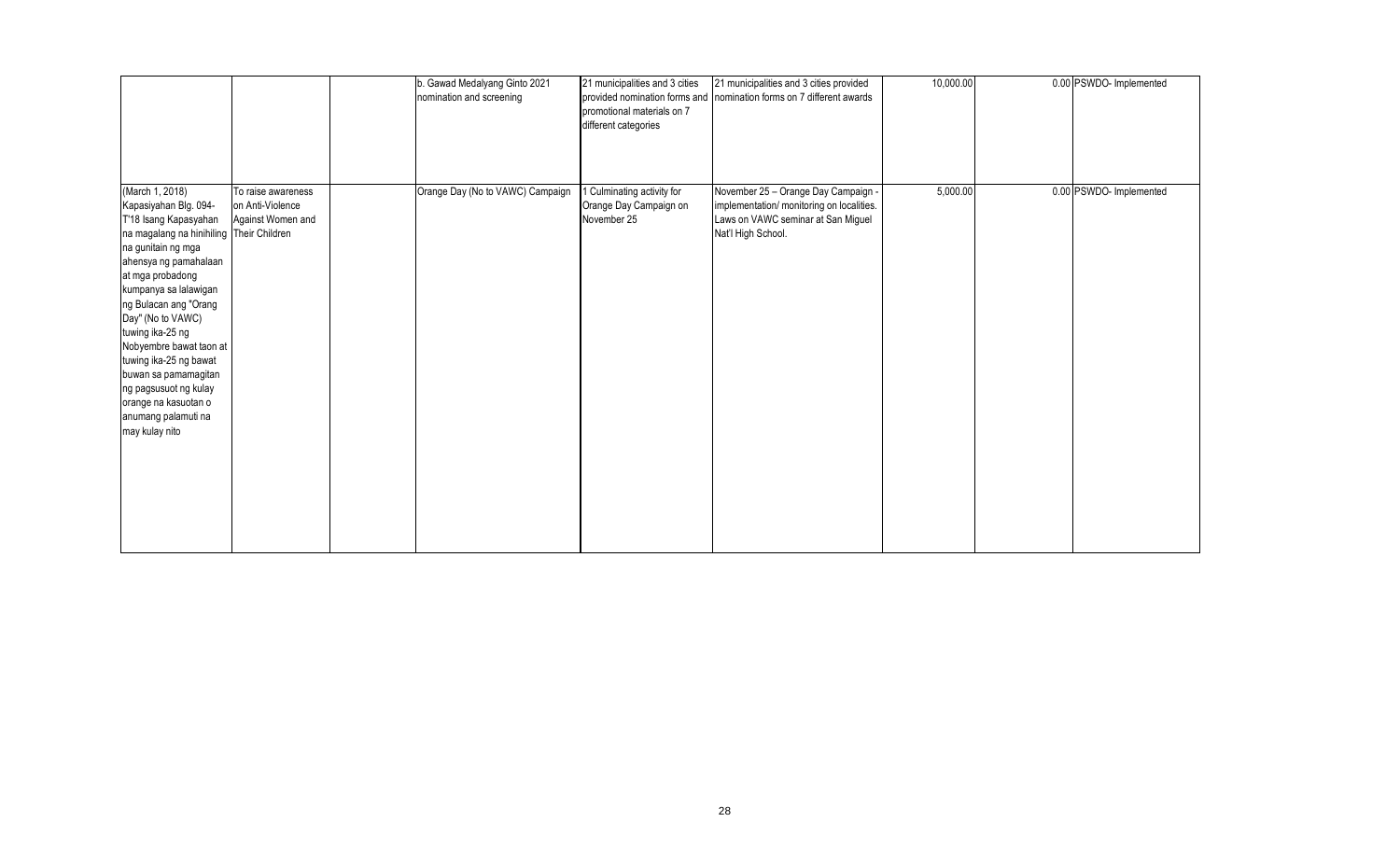|                                                                                                                                                                                                                                                                                                                                                                                                                                                    |                                                             | b. Gawad Medalyang Ginto 2021<br>nomination and screening | 21 municipalities and 3 cities<br>promotional materials on 7<br>different categories | 21 municipalities and 3 cities provided<br>provided nomination forms and nomination forms on 7 different awards                              | 10,000.00 | 0.00 PSWDO- Implemented |
|----------------------------------------------------------------------------------------------------------------------------------------------------------------------------------------------------------------------------------------------------------------------------------------------------------------------------------------------------------------------------------------------------------------------------------------------------|-------------------------------------------------------------|-----------------------------------------------------------|--------------------------------------------------------------------------------------|----------------------------------------------------------------------------------------------------------------------------------------------|-----------|-------------------------|
| (March 1, 2018)<br>Kapasiyahan Blg. 094-<br>T'18 Isang Kapasyahan<br>na magalang na hinihiling Their Children<br>na gunitain ng mga<br>ahensya ng pamahalaan<br>at mga probadong<br>kumpanya sa lalawigan<br>ng Bulacan ang "Orang<br>Day" (No to VAWC)<br>tuwing ika-25 ng<br>Nobyembre bawat taon at<br>tuwing ika-25 ng bawat<br>buwan sa pamamagitan<br>ng pagsusuot ng kulay<br>orange na kasuotan o<br>anumang palamuti na<br>may kulay nito | To raise awareness<br>on Anti-Violence<br>Against Women and | Orange Day (No to VAWC) Campaign                          | 1 Culminating activity for<br>Orange Day Campaign on<br>November 25                  | November 25 - Orange Day Campaign -<br>implementation/ monitoring on localities.<br>Laws on VAWC seminar at San Miguel<br>Nat'l High School. | 5,000.00  | 0.00 PSWDO- Implemented |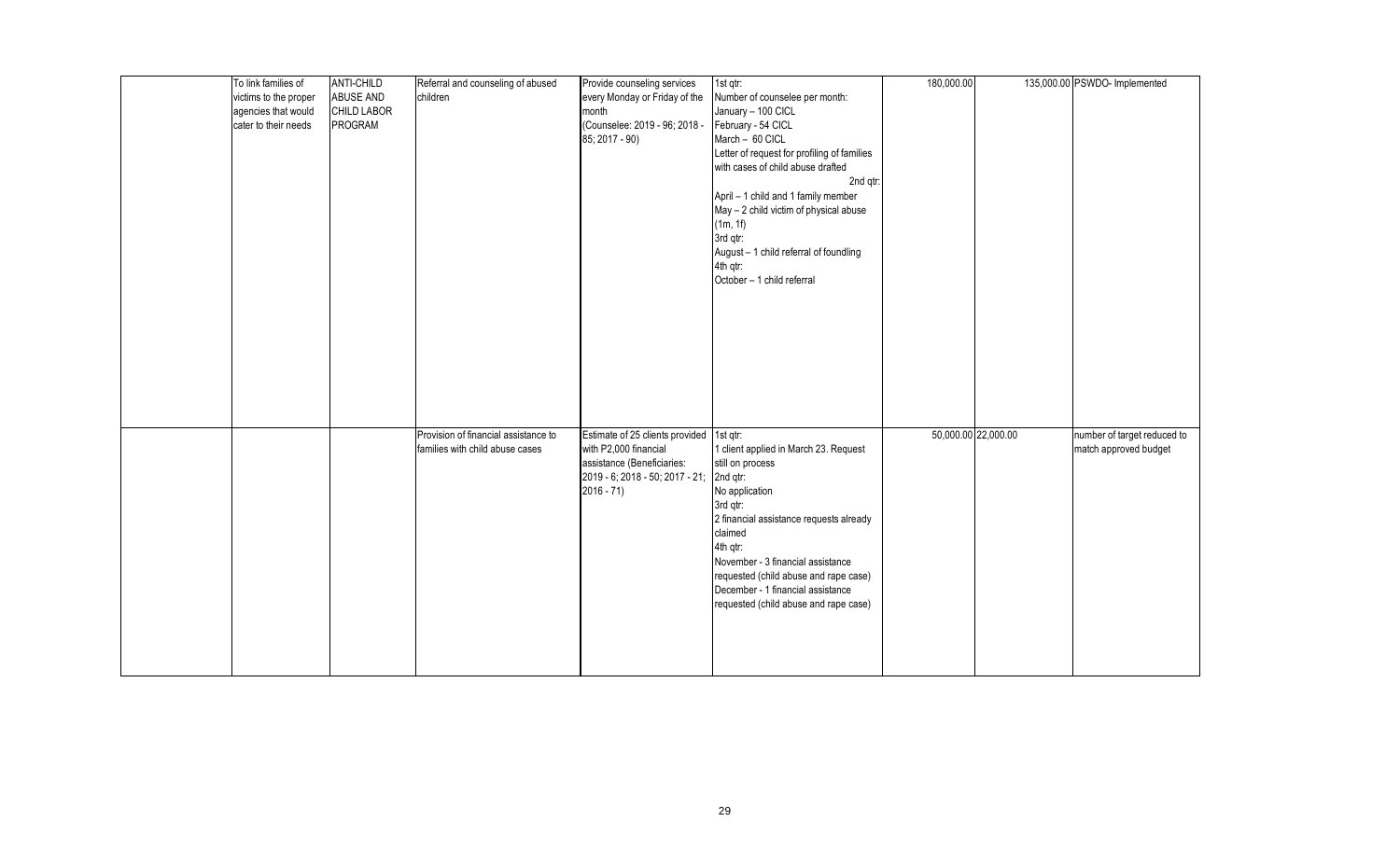| To link families of   | <b>ANTI-CHILD</b> | Referral and counseling of abused    | Provide counseling services     | $1st$ qtr:                                  | 180,000.00          | 135,000.00 PSWDO- Implemented |
|-----------------------|-------------------|--------------------------------------|---------------------------------|---------------------------------------------|---------------------|-------------------------------|
| victims to the proper | <b>ABUSE AND</b>  | children                             | every Monday or Friday of the   | Number of counselee per month:              |                     |                               |
| agencies that would   | CHILD LABOR       |                                      | month                           | January - 100 CICL                          |                     |                               |
| cater to their needs  | PROGRAM           |                                      | (Counselee: 2019 - 96; 2018 -   | February - 54 CICL                          |                     |                               |
|                       |                   |                                      | 85; 2017 - 90)                  | March - 60 CICL                             |                     |                               |
|                       |                   |                                      |                                 | Letter of request for profiling of families |                     |                               |
|                       |                   |                                      |                                 | with cases of child abuse drafted           |                     |                               |
|                       |                   |                                      |                                 | 2nd qtr:                                    |                     |                               |
|                       |                   |                                      |                                 | April - 1 child and 1 family member         |                     |                               |
|                       |                   |                                      |                                 | May - 2 child victim of physical abuse      |                     |                               |
|                       |                   |                                      |                                 | (1m, 1f)                                    |                     |                               |
|                       |                   |                                      |                                 | 3rd qtr:                                    |                     |                               |
|                       |                   |                                      |                                 | August - 1 child referral of foundling      |                     |                               |
|                       |                   |                                      |                                 | 4th qtr:                                    |                     |                               |
|                       |                   |                                      |                                 | October - 1 child referral                  |                     |                               |
|                       |                   |                                      |                                 |                                             |                     |                               |
|                       |                   |                                      |                                 |                                             |                     |                               |
|                       |                   |                                      |                                 |                                             |                     |                               |
|                       |                   |                                      |                                 |                                             |                     |                               |
|                       |                   |                                      |                                 |                                             |                     |                               |
|                       |                   |                                      |                                 |                                             |                     |                               |
|                       |                   |                                      |                                 |                                             |                     |                               |
|                       |                   |                                      |                                 |                                             |                     |                               |
|                       |                   |                                      |                                 |                                             |                     |                               |
|                       |                   |                                      |                                 |                                             |                     |                               |
|                       |                   | Provision of financial assistance to | Estimate of 25 clients provided | 1st qtr:                                    | 50,000.00 22,000.00 | number of target reduced to   |
|                       |                   | families with child abuse cases      | with P2,000 financial           | 1 client applied in March 23. Request       |                     | match approved budget         |
|                       |                   |                                      | assistance (Beneficiaries:      | still on process                            |                     |                               |
|                       |                   |                                      | 2019 - 6; 2018 - 50; 2017 - 21; | 2nd qtr:                                    |                     |                               |
|                       |                   |                                      | $2016 - 71$                     | No application                              |                     |                               |
|                       |                   |                                      |                                 | 3rd qtr:                                    |                     |                               |
|                       |                   |                                      |                                 | 2 financial assistance requests already     |                     |                               |
|                       |                   |                                      |                                 | claimed                                     |                     |                               |
|                       |                   |                                      |                                 | 4th qtr:                                    |                     |                               |
|                       |                   |                                      |                                 | November - 3 financial assistance           |                     |                               |
|                       |                   |                                      |                                 | requested (child abuse and rape case)       |                     |                               |
|                       |                   |                                      |                                 | December - 1 financial assistance           |                     |                               |
|                       |                   |                                      |                                 | requested (child abuse and rape case)       |                     |                               |
|                       |                   |                                      |                                 |                                             |                     |                               |
|                       |                   |                                      |                                 |                                             |                     |                               |
|                       |                   |                                      |                                 |                                             |                     |                               |
|                       |                   |                                      |                                 |                                             |                     |                               |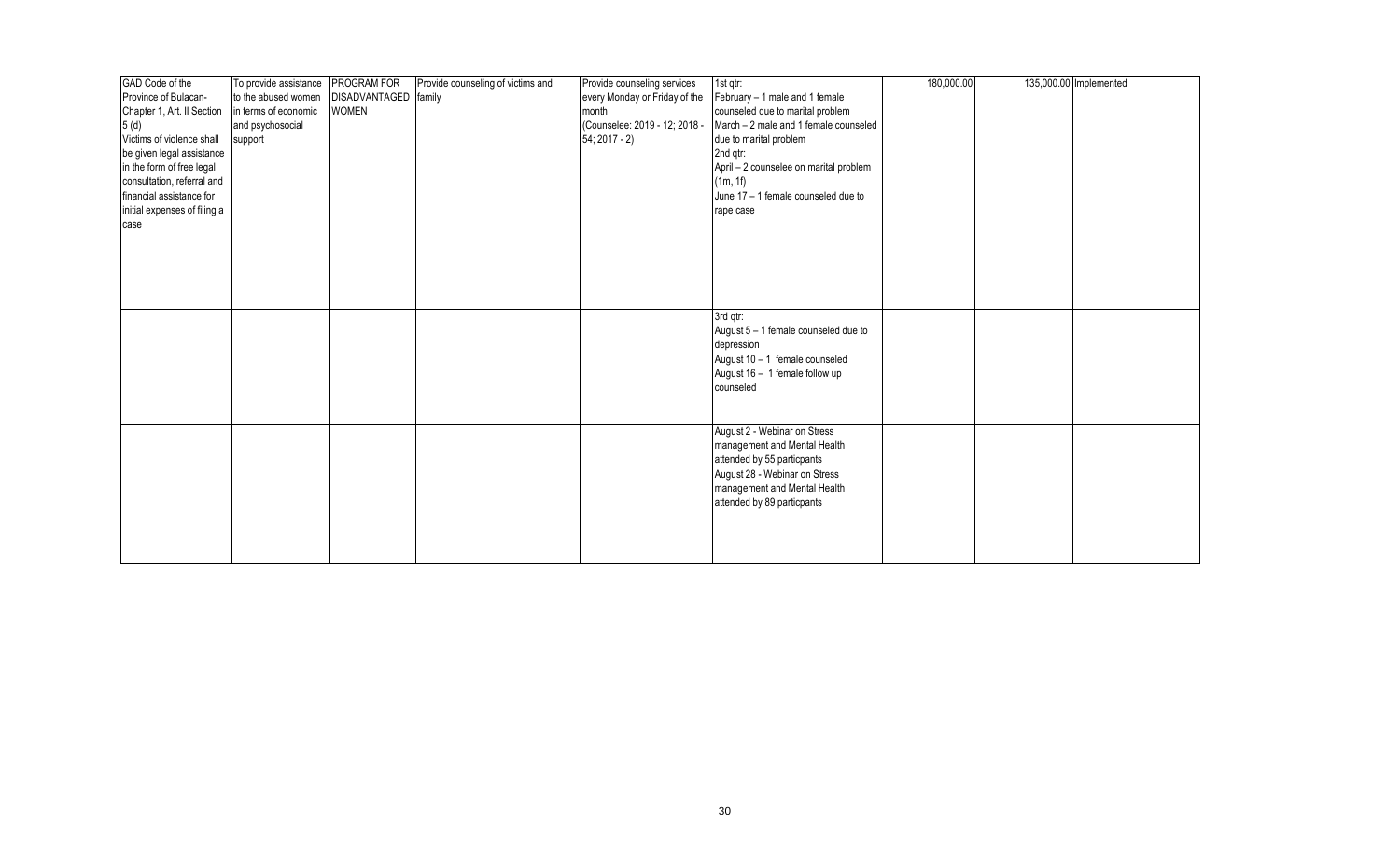| GAD Code of the              | To provide assistance | PROGRAM FOR   | Provide counseling of victims and | Provide counseling services   | 1st qtr:                               | 180,000.00 | 135,000.00 Implemented |
|------------------------------|-----------------------|---------------|-----------------------------------|-------------------------------|----------------------------------------|------------|------------------------|
| Province of Bulacan-         | to the abused women   | DISADVANTAGED | family                            | every Monday or Friday of the | February - 1 male and 1 female         |            |                        |
| Chapter 1, Art. II Section   | in terms of economic  | <b>WOMEN</b>  |                                   | month                         | counseled due to marital problem       |            |                        |
| 5(d)                         | and psychosocial      |               |                                   | (Counselee: 2019 - 12; 2018 - | March - 2 male and 1 female counseled  |            |                        |
| Victims of violence shall    | support               |               |                                   | $54; 2017 - 2)$               | due to marital problem                 |            |                        |
| be given legal assistance    |                       |               |                                   |                               | 2nd qtr:                               |            |                        |
| in the form of free legal    |                       |               |                                   |                               | April - 2 counselee on marital problem |            |                        |
| consultation, referral and   |                       |               |                                   |                               | (1m, 1f)                               |            |                        |
| financial assistance for     |                       |               |                                   |                               | June 17 - 1 female counseled due to    |            |                        |
| initial expenses of filing a |                       |               |                                   |                               | rape case                              |            |                        |
| case                         |                       |               |                                   |                               |                                        |            |                        |
|                              |                       |               |                                   |                               |                                        |            |                        |
|                              |                       |               |                                   |                               |                                        |            |                        |
|                              |                       |               |                                   |                               |                                        |            |                        |
|                              |                       |               |                                   |                               |                                        |            |                        |
|                              |                       |               |                                   |                               |                                        |            |                        |
|                              |                       |               |                                   |                               |                                        |            |                        |
|                              |                       |               |                                   |                               | 3rd gtr:                               |            |                        |
|                              |                       |               |                                   |                               | August 5 - 1 female counseled due to   |            |                        |
|                              |                       |               |                                   |                               | depression                             |            |                        |
|                              |                       |               |                                   |                               | August $10 - 1$ female counseled       |            |                        |
|                              |                       |               |                                   |                               | August 16 - 1 female follow up         |            |                        |
|                              |                       |               |                                   |                               | counseled                              |            |                        |
|                              |                       |               |                                   |                               |                                        |            |                        |
|                              |                       |               |                                   |                               |                                        |            |                        |
|                              |                       |               |                                   |                               | August 2 - Webinar on Stress           |            |                        |
|                              |                       |               |                                   |                               | management and Mental Health           |            |                        |
|                              |                       |               |                                   |                               | attended by 55 particpants             |            |                        |
|                              |                       |               |                                   |                               | August 28 - Webinar on Stress          |            |                        |
|                              |                       |               |                                   |                               | management and Mental Health           |            |                        |
|                              |                       |               |                                   |                               | attended by 89 particpants             |            |                        |
|                              |                       |               |                                   |                               |                                        |            |                        |
|                              |                       |               |                                   |                               |                                        |            |                        |
|                              |                       |               |                                   |                               |                                        |            |                        |
|                              |                       |               |                                   |                               |                                        |            |                        |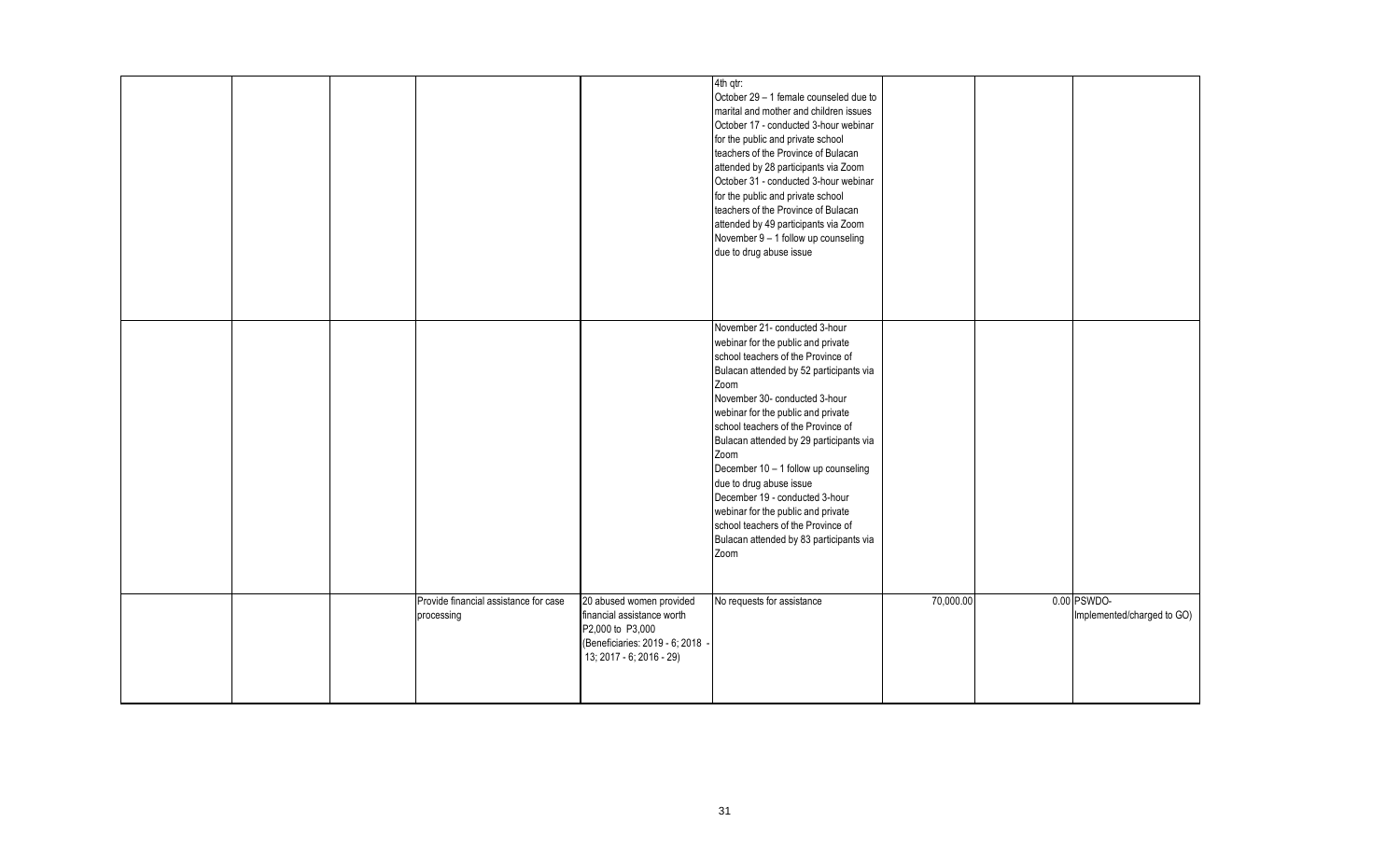|  |                                       |                                                                                                                | 4th qtr:<br>October 29 - 1 female counseled due to<br>marital and mother and children issues<br>October 17 - conducted 3-hour webinar<br>for the public and private school<br>teachers of the Province of Bulacan<br>attended by 28 participants via Zoom<br>October 31 - conducted 3-hour webinar<br>for the public and private school<br>teachers of the Province of Bulacan<br>attended by 49 participants via Zoom<br>November 9 - 1 follow up counseling<br>due to drug abuse issue |           |                            |
|--|---------------------------------------|----------------------------------------------------------------------------------------------------------------|------------------------------------------------------------------------------------------------------------------------------------------------------------------------------------------------------------------------------------------------------------------------------------------------------------------------------------------------------------------------------------------------------------------------------------------------------------------------------------------|-----------|----------------------------|
|  |                                       |                                                                                                                | November 21- conducted 3-hour<br>webinar for the public and private<br>school teachers of the Province of<br>Bulacan attended by 52 participants via<br>Zoom<br>November 30- conducted 3-hour<br>webinar for the public and private<br>school teachers of the Province of<br>Bulacan attended by 29 participants via<br>Zoom<br>December 10 - 1 follow up counseling<br>due to drug abuse issue<br>December 19 - conducted 3-hour<br>webinar for the public and private                  |           |                            |
|  | Provide financial assistance for case | 20 abused women provided                                                                                       | school teachers of the Province of<br>Bulacan attended by 83 participants via<br>Zoom<br>No requests for assistance                                                                                                                                                                                                                                                                                                                                                                      | 70,000.00 | 0.00 PSWDO-                |
|  | processing                            | financial assistance worth<br>P2,000 to P3,000<br>(Beneficiaries: 2019 - 6; 2018 -<br>13; 2017 - 6; 2016 - 29) |                                                                                                                                                                                                                                                                                                                                                                                                                                                                                          |           | Implemented/charged to GO) |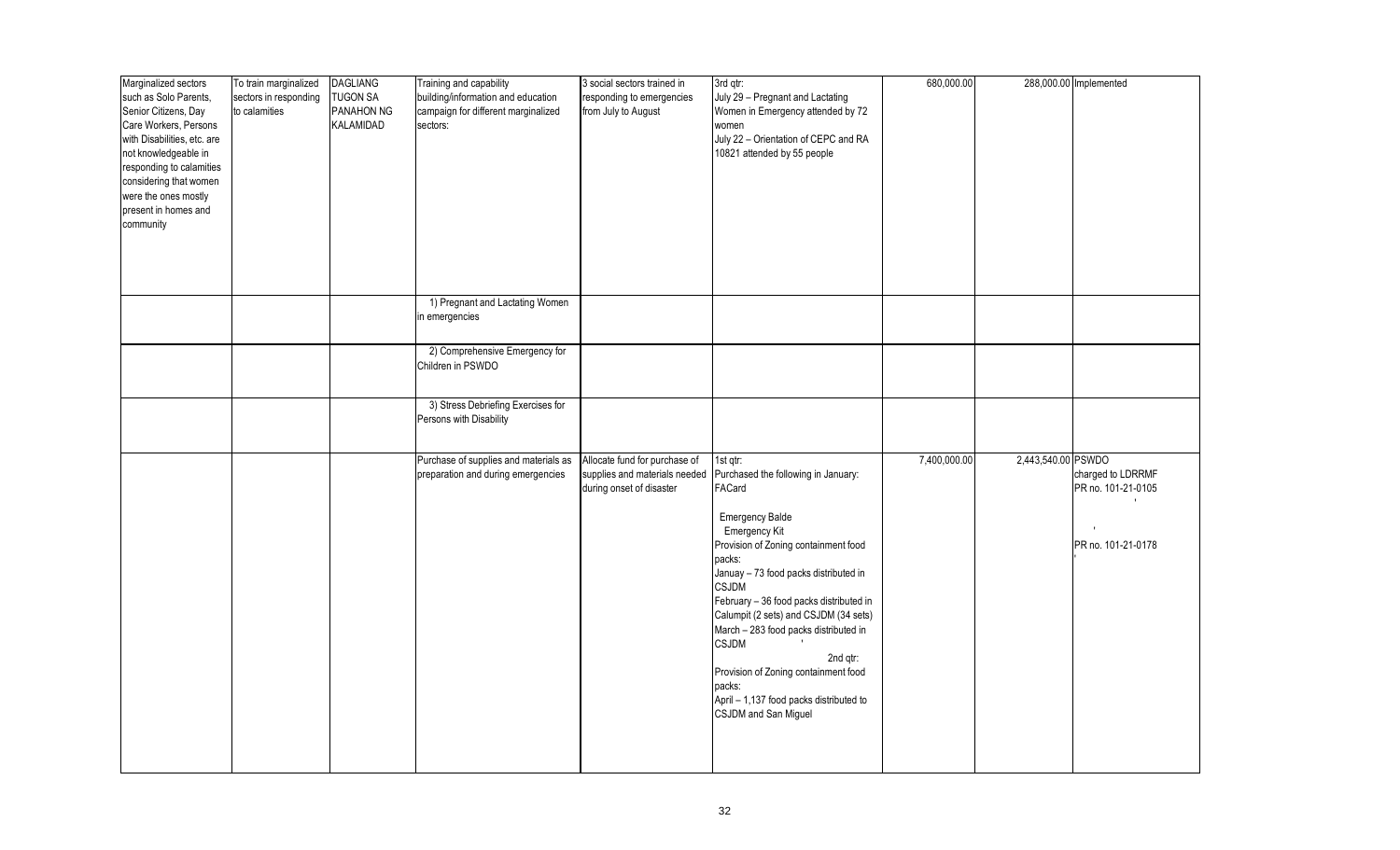| Marginalized sectors<br>such as Solo Parents,<br>Senior Citizens, Day<br>Care Workers, Persons<br>with Disabilities, etc. are<br>not knowledgeable in<br>responding to calamities<br>considering that women<br>were the ones mostly<br>present in homes and<br>community | To train marginalized<br>sectors in responding<br>to calamities | <b>DAGLIANG</b><br><b>TUGON SA</b><br>PANAHON NG<br>KALAMIDAD | Training and capability<br>building/information and education<br>campaign for different marginalized<br>sectors: | 3 social sectors trained in<br>responding to emergencies<br>from July to August            | 3rd qtr:<br>July 29 - Pregnant and Lactating<br>Women in Emergency attended by 72<br>women<br>July 22 - Orientation of CEPC and RA<br>10821 attended by 55 people                                                                                                                                                                                                                                                                                                                             | 680,000.00   |                    | 288,000.00 Implemented                                        |
|--------------------------------------------------------------------------------------------------------------------------------------------------------------------------------------------------------------------------------------------------------------------------|-----------------------------------------------------------------|---------------------------------------------------------------|------------------------------------------------------------------------------------------------------------------|--------------------------------------------------------------------------------------------|-----------------------------------------------------------------------------------------------------------------------------------------------------------------------------------------------------------------------------------------------------------------------------------------------------------------------------------------------------------------------------------------------------------------------------------------------------------------------------------------------|--------------|--------------------|---------------------------------------------------------------|
|                                                                                                                                                                                                                                                                          |                                                                 |                                                               | 1) Pregnant and Lactating Women<br>in emergencies                                                                |                                                                                            |                                                                                                                                                                                                                                                                                                                                                                                                                                                                                               |              |                    |                                                               |
|                                                                                                                                                                                                                                                                          |                                                                 |                                                               | 2) Comprehensive Emergency for<br>Children in PSWDO                                                              |                                                                                            |                                                                                                                                                                                                                                                                                                                                                                                                                                                                                               |              |                    |                                                               |
|                                                                                                                                                                                                                                                                          |                                                                 |                                                               | 3) Stress Debriefing Exercises for<br>Persons with Disability                                                    |                                                                                            |                                                                                                                                                                                                                                                                                                                                                                                                                                                                                               |              |                    |                                                               |
|                                                                                                                                                                                                                                                                          |                                                                 |                                                               | Purchase of supplies and materials as<br>preparation and during emergencies                                      | Allocate fund for purchase of<br>supplies and materials needed<br>during onset of disaster | 1st qtr:<br>Purchased the following in January:<br>FACard<br><b>Emergency Balde</b><br>Emergency Kit<br>Provision of Zoning containment food<br>packs:<br>Januay - 73 food packs distributed in<br><b>CSJDM</b><br>February - 36 food packs distributed in<br>Calumpit (2 sets) and CSJDM (34 sets)<br>March - 283 food packs distributed in<br><b>CSJDM</b><br>2nd qtr:<br>Provision of Zoning containment food<br>packs:<br>April - 1,137 food packs distributed to<br>CSJDM and San Miguel | 7,400,000.00 | 2,443,540.00 PSWDO | charged to LDRRMF<br>PR no. 101-21-0105<br>PR no. 101-21-0178 |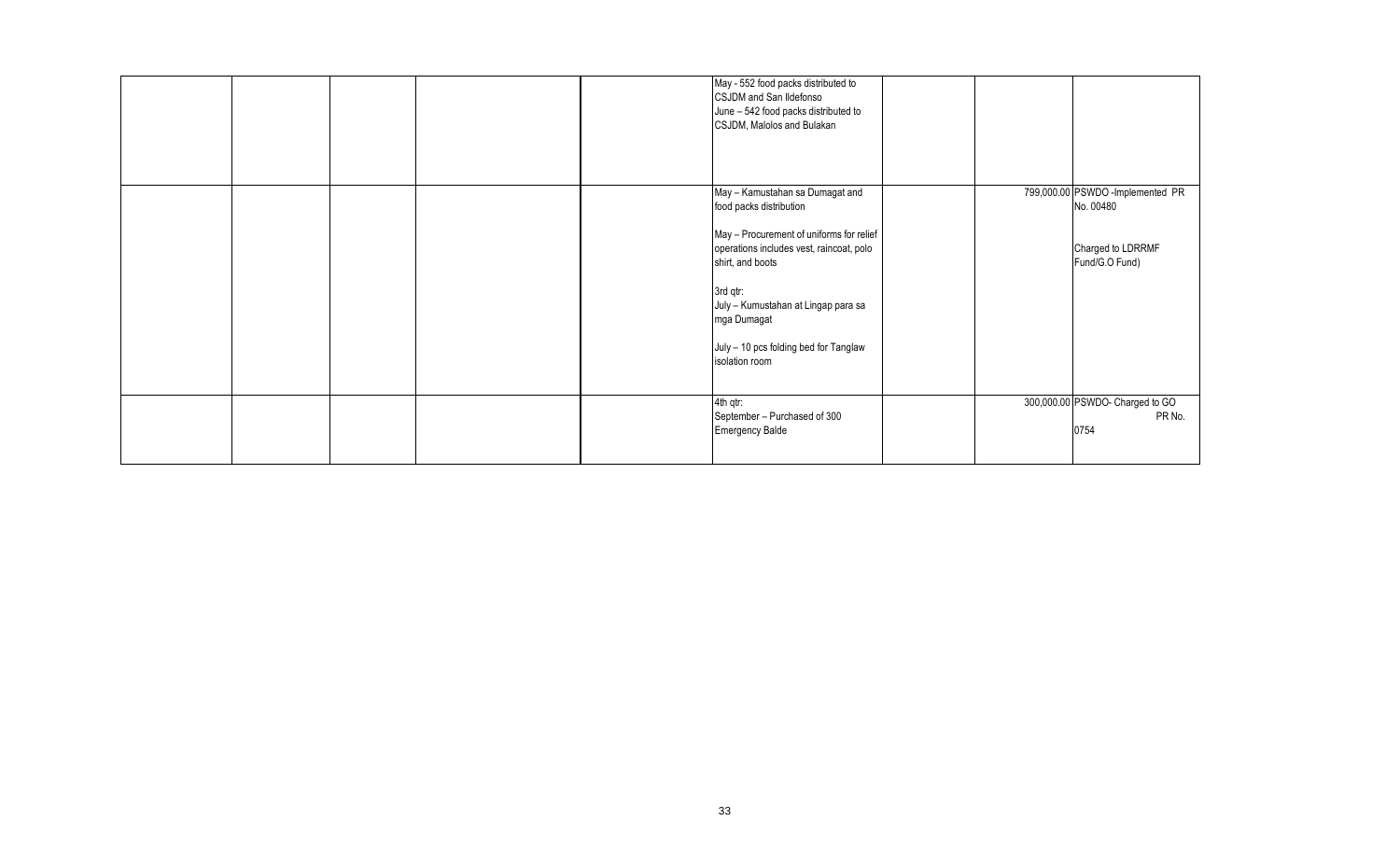|  |  | May - 552 food packs distributed to<br>CSJDM and San Ildefonso<br>June - 542 food packs distributed to<br>CSJDM, Malolos and Bulakan                                                                                                                                                                |  |                                                                                      |
|--|--|-----------------------------------------------------------------------------------------------------------------------------------------------------------------------------------------------------------------------------------------------------------------------------------------------------|--|--------------------------------------------------------------------------------------|
|  |  | May - Kamustahan sa Dumagat and<br>food packs distribution<br>May - Procurement of uniforms for relief<br>operations includes vest, raincoat, polo<br>shirt, and boots<br>3rd qtr:<br>July - Kumustahan at Lingap para sa<br>mga Dumagat<br>July - 10 pcs folding bed for Tanglaw<br>isolation room |  | 799,000.00 PSWDO -Implemented PR<br>No. 00480<br>Charged to LDRRMF<br>Fund/G.O Fund) |
|  |  | 4th qtr:<br>September - Purchased of 300<br><b>Emergency Balde</b>                                                                                                                                                                                                                                  |  | 300,000.00 PSWDO- Charged to GO<br>PR No.<br>0754                                    |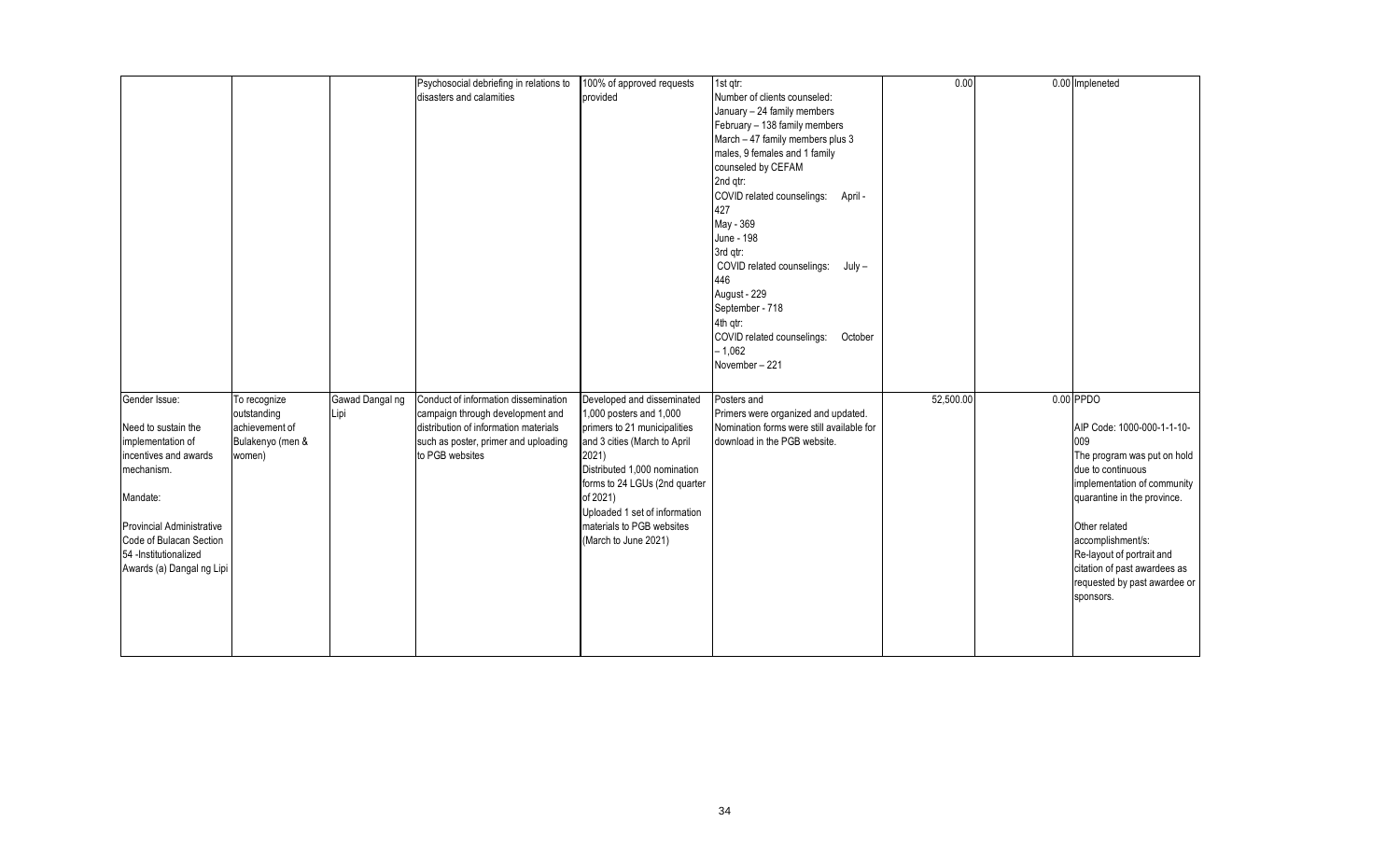|                           |                  |                 | Psychosocial debriefing in relations to | 100% of approved requests     | 1st qtr:                                  | 0.00      | 0.00 Impleneted              |
|---------------------------|------------------|-----------------|-----------------------------------------|-------------------------------|-------------------------------------------|-----------|------------------------------|
|                           |                  |                 | disasters and calamities                | provided                      | Number of clients counseled:              |           |                              |
|                           |                  |                 |                                         |                               | January - 24 family members               |           |                              |
|                           |                  |                 |                                         |                               | February - 138 family members             |           |                              |
|                           |                  |                 |                                         |                               | March - 47 family members plus 3          |           |                              |
|                           |                  |                 |                                         |                               | males, 9 females and 1 family             |           |                              |
|                           |                  |                 |                                         |                               | counseled by CEFAM                        |           |                              |
|                           |                  |                 |                                         |                               |                                           |           |                              |
|                           |                  |                 |                                         |                               | 2nd qtr:                                  |           |                              |
|                           |                  |                 |                                         |                               | COVID related counselings: April -        |           |                              |
|                           |                  |                 |                                         |                               | 427                                       |           |                              |
|                           |                  |                 |                                         |                               | May - 369                                 |           |                              |
|                           |                  |                 |                                         |                               | June - 198                                |           |                              |
|                           |                  |                 |                                         |                               | 3rd gtr:                                  |           |                              |
|                           |                  |                 |                                         |                               | COVID related counselings:<br>July –      |           |                              |
|                           |                  |                 |                                         |                               | 446                                       |           |                              |
|                           |                  |                 |                                         |                               | August - 229                              |           |                              |
|                           |                  |                 |                                         |                               | September - 718                           |           |                              |
|                           |                  |                 |                                         |                               | 4th qtr:                                  |           |                              |
|                           |                  |                 |                                         |                               | COVID related counselings:<br>October     |           |                              |
|                           |                  |                 |                                         |                               | $-1,062$                                  |           |                              |
|                           |                  |                 |                                         |                               | November-221                              |           |                              |
|                           |                  |                 |                                         |                               |                                           |           |                              |
| Gender Issue:             | To recognize     | Gawad Dangal ng | Conduct of information dissemination    | Developed and disseminated    | Posters and                               | 52,500.00 | $0.00$ PPDO                  |
|                           | outstanding      | Lipi            | campaign through development and        | 1,000 posters and 1,000       | Primers were organized and updated.       |           |                              |
|                           |                  |                 |                                         |                               |                                           |           |                              |
| Need to sustain the       | achievement of   |                 | distribution of information materials   | primers to 21 municipalities  | Nomination forms were still available for |           | AIP Code: 1000-000-1-1-10-   |
| implementation of         | Bulakenyo (men & |                 | such as poster, primer and uploading    | and 3 cities (March to April  | download in the PGB website.              |           | 009                          |
| incentives and awards     | women)           |                 | to PGB websites                         | 2021)                         |                                           |           | The program was put on hold  |
| mechanism.                |                  |                 |                                         | Distributed 1,000 nomination  |                                           |           | due to continuous            |
|                           |                  |                 |                                         | forms to 24 LGUs (2nd quarter |                                           |           | implementation of community  |
| Mandate:                  |                  |                 |                                         | of 2021)                      |                                           |           | quarantine in the province.  |
|                           |                  |                 |                                         | Uploaded 1 set of information |                                           |           |                              |
| Provincial Administrative |                  |                 |                                         | materials to PGB websites     |                                           |           | Other related                |
| Code of Bulacan Section   |                  |                 |                                         | (March to June 2021)          |                                           |           | accomplishment/s:            |
| 54 -Institutionalized     |                  |                 |                                         |                               |                                           |           | Re-layout of portrait and    |
| Awards (a) Dangal ng Lipi |                  |                 |                                         |                               |                                           |           | citation of past awardees as |
|                           |                  |                 |                                         |                               |                                           |           | requested by past awardee or |
|                           |                  |                 |                                         |                               |                                           |           | sponsors.                    |
|                           |                  |                 |                                         |                               |                                           |           |                              |
|                           |                  |                 |                                         |                               |                                           |           |                              |
|                           |                  |                 |                                         |                               |                                           |           |                              |
|                           |                  |                 |                                         |                               |                                           |           |                              |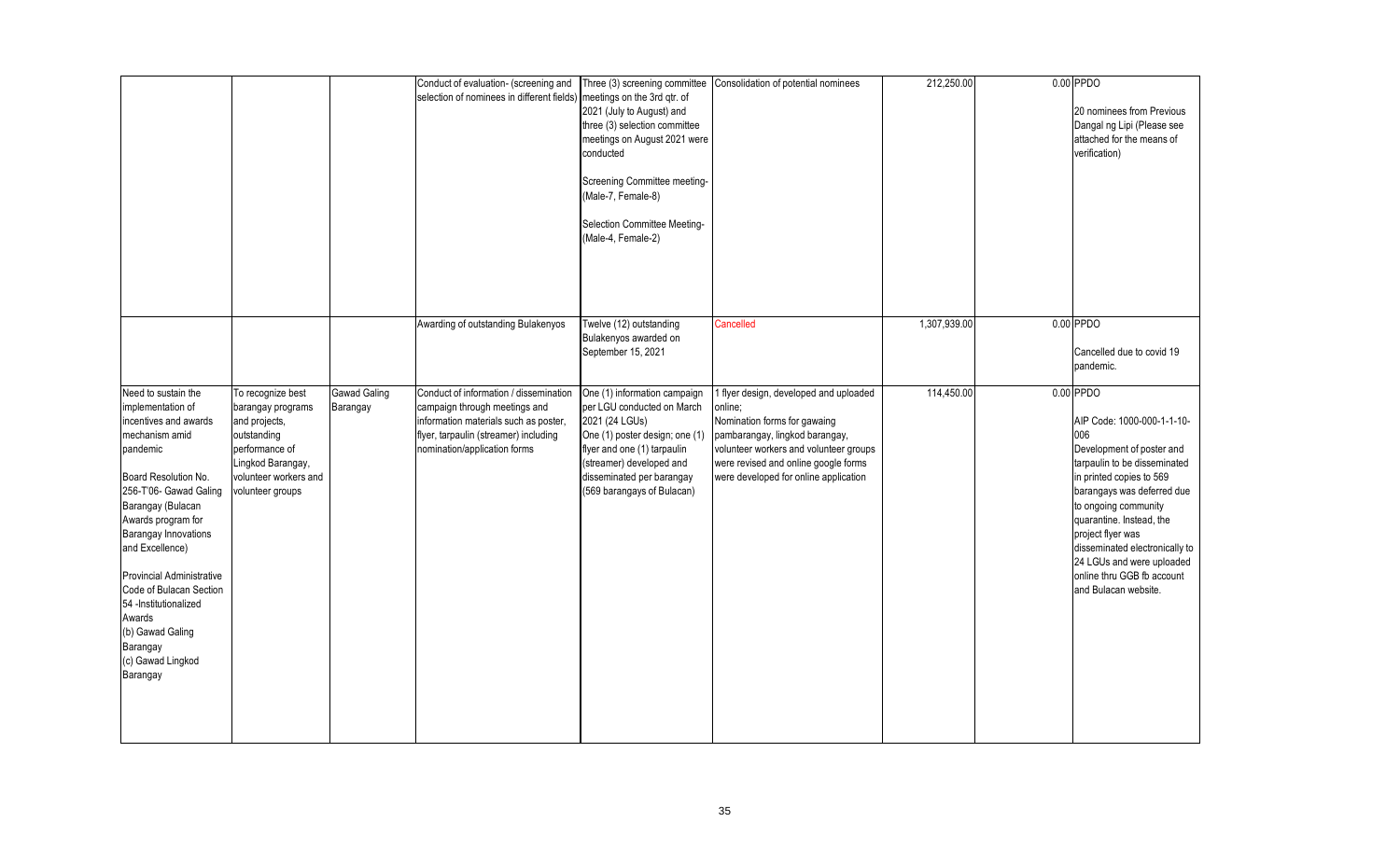|                                                                                                                                                                                                                                                                                                                                                                                                            |                                                                                                                                                            |                                 | Conduct of evaluation- (screening and<br>selection of nominees in different fields)                                                                                                       | meetings on the 3rd qtr. of<br>2021 (July to August) and<br>three (3) selection committee<br>meetings on August 2021 were<br>conducted<br>Screening Committee meeting-<br>(Male-7, Female-8)<br>Selection Committee Meeting-<br>(Male-4, Female-2) | Three (3) screening committee Consolidation of potential nominees                                                                                                                                                                              | 212,250.00   | $0.00$ PPDO<br>20 nominees from Previous<br>Dangal ng Lipi (Please see<br>attached for the means of<br>verification)                                                                                                                                                                                                                                                  |
|------------------------------------------------------------------------------------------------------------------------------------------------------------------------------------------------------------------------------------------------------------------------------------------------------------------------------------------------------------------------------------------------------------|------------------------------------------------------------------------------------------------------------------------------------------------------------|---------------------------------|-------------------------------------------------------------------------------------------------------------------------------------------------------------------------------------------|----------------------------------------------------------------------------------------------------------------------------------------------------------------------------------------------------------------------------------------------------|------------------------------------------------------------------------------------------------------------------------------------------------------------------------------------------------------------------------------------------------|--------------|-----------------------------------------------------------------------------------------------------------------------------------------------------------------------------------------------------------------------------------------------------------------------------------------------------------------------------------------------------------------------|
|                                                                                                                                                                                                                                                                                                                                                                                                            |                                                                                                                                                            |                                 | Awarding of outstanding Bulakenyos                                                                                                                                                        | Twelve (12) outstanding<br>Bulakenyos awarded on<br>September 15, 2021                                                                                                                                                                             | Cancelled                                                                                                                                                                                                                                      | 1,307,939.00 | $0.00$ PPDO<br>Cancelled due to covid 19<br>pandemic.                                                                                                                                                                                                                                                                                                                 |
| Need to sustain the<br>implementation of<br>incentives and awards<br>mechanism amid<br>pandemic<br>Board Resolution No.<br>256-T'06- Gawad Galing<br>Barangay (Bulacan<br>Awards program for<br><b>Barangay Innovations</b><br>and Excellence)<br>Provincial Administrative<br>Code of Bulacan Section<br>54 -Institutionalized<br>Awards<br>(b) Gawad Galing<br>Barangay<br>(c) Gawad Lingkod<br>Barangay | To recognize best<br>barangay programs<br>and projects,<br>outstanding<br>performance of<br>Lingkod Barangay,<br>volunteer workers and<br>volunteer groups | <b>Gawad Galing</b><br>Barangay | Conduct of information / dissemination<br>campaign through meetings and<br>information materials such as poster,<br>flyer, tarpaulin (streamer) including<br>nomination/application forms | One (1) information campaign<br>per LGU conducted on March<br>2021 (24 LGUs)<br>One (1) poster design; one (1)<br>flyer and one (1) tarpaulin<br>(streamer) developed and<br>disseminated per barangay<br>(569 barangays of Bulacan)               | 1 flyer design, developed and uploaded<br>online:<br>Nomination forms for gawaing<br>pambarangay, lingkod barangay,<br>volunteer workers and volunteer groups<br>were revised and online google forms<br>were developed for online application | 114,450.00   | $0.00$ PPDO<br>AIP Code: 1000-000-1-1-10-<br>006<br>Development of poster and<br>tarpaulin to be disseminated<br>in printed copies to 569<br>barangays was deferred due<br>to ongoing community<br>quarantine. Instead, the<br>project flyer was<br>disseminated electronically to<br>24 LGUs and were uploaded<br>online thru GGB fb account<br>and Bulacan website. |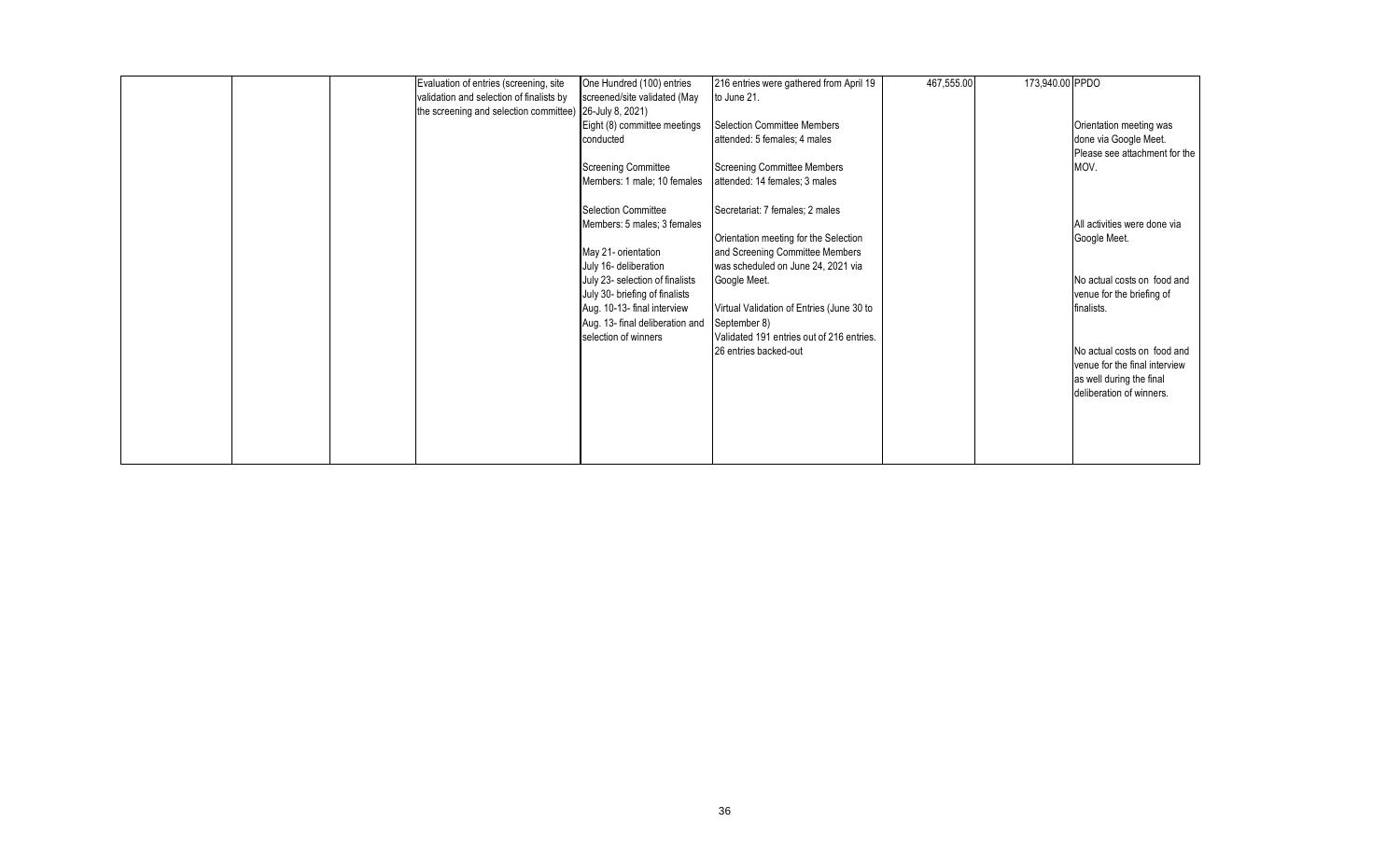|  | Evaluation of entries (screening, site<br>validation and selection of finalists by<br>the screening and selection committee) 26-July 8, 2021) | One Hundred (100) entries<br>screened/site validated (May<br>Eight (8) committee meetings<br>conducted                                                      | 216 entries were gathered from April 19<br>to June 21.<br>Selection Committee Members<br>attended: 5 females; 4 males                             | 467,555.00 | 173,940.00 PPDO | Orientation meeting was<br>done via Google Meet.<br>Please see attachment for the                                    |
|--|-----------------------------------------------------------------------------------------------------------------------------------------------|-------------------------------------------------------------------------------------------------------------------------------------------------------------|---------------------------------------------------------------------------------------------------------------------------------------------------|------------|-----------------|----------------------------------------------------------------------------------------------------------------------|
|  |                                                                                                                                               | <b>Screening Committee</b><br>Members: 1 male; 10 females                                                                                                   | Screening Committee Members<br>attended: 14 females; 3 males                                                                                      |            |                 | MOV.                                                                                                                 |
|  |                                                                                                                                               | Selection Committee<br>Members: 5 males; 3 females<br>May 21- orientation<br>July 16- deliberation                                                          | Secretariat: 7 females: 2 males<br>Orientation meeting for the Selection<br>and Screening Committee Members<br>was scheduled on June 24, 2021 via |            |                 | All activities were done via<br>Google Meet.                                                                         |
|  |                                                                                                                                               | July 23- selection of finalists<br>July 30- briefing of finalists<br>Aug. 10-13- final interview<br>Aug. 13- final deliberation and<br>selection of winners | Google Meet.<br>Virtual Validation of Entries (June 30 to<br>September 8)<br>Validated 191 entries out of 216 entries.                            |            |                 | No actual costs on food and<br>venue for the briefing of<br>finalists.                                               |
|  |                                                                                                                                               |                                                                                                                                                             | 26 entries backed-out                                                                                                                             |            |                 | No actual costs on food and<br>venue for the final interview<br>as well during the final<br>deliberation of winners. |
|  |                                                                                                                                               |                                                                                                                                                             |                                                                                                                                                   |            |                 |                                                                                                                      |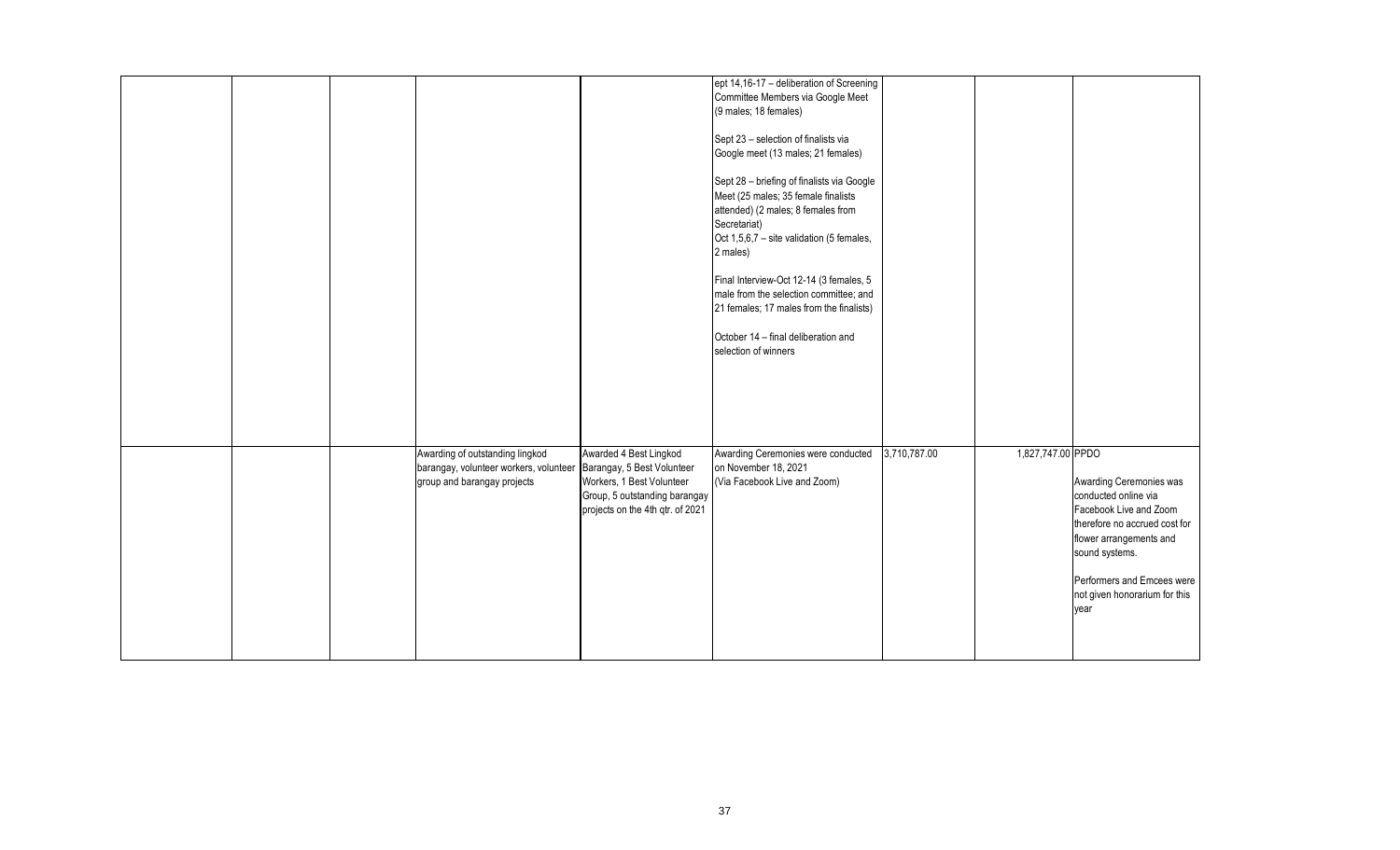|  |                                                                                                                                     |                                                                                                                          | ept 14,16-17 - deliberation of Screening                                                                                                                                                         |              |                   |                                                                                                                                                         |
|--|-------------------------------------------------------------------------------------------------------------------------------------|--------------------------------------------------------------------------------------------------------------------------|--------------------------------------------------------------------------------------------------------------------------------------------------------------------------------------------------|--------------|-------------------|---------------------------------------------------------------------------------------------------------------------------------------------------------|
|  |                                                                                                                                     |                                                                                                                          | Committee Members via Google Meet<br>(9 males; 18 females)                                                                                                                                       |              |                   |                                                                                                                                                         |
|  |                                                                                                                                     |                                                                                                                          | Sept 23 - selection of finalists via<br>Google meet (13 males; 21 females)                                                                                                                       |              |                   |                                                                                                                                                         |
|  |                                                                                                                                     |                                                                                                                          | Sept 28 - briefing of finalists via Google<br>Meet (25 males; 35 female finalists<br>attended) (2 males; 8 females from<br>Secretariat)<br>Oct 1,5,6,7 - site validation (5 females,<br>2 males) |              |                   |                                                                                                                                                         |
|  |                                                                                                                                     |                                                                                                                          | Final Interview-Oct 12-14 (3 females, 5<br>male from the selection committee; and<br>21 females; 17 males from the finalists)                                                                    |              |                   |                                                                                                                                                         |
|  |                                                                                                                                     |                                                                                                                          | October 14 - final deliberation and<br>selection of winners                                                                                                                                      |              |                   |                                                                                                                                                         |
|  |                                                                                                                                     |                                                                                                                          |                                                                                                                                                                                                  |              |                   |                                                                                                                                                         |
|  | Awarding of outstanding lingkod<br>barangay, volunteer workers, volunteer Barangay, 5 Best Volunteer<br>group and barangay projects | Awarded 4 Best Lingkod<br>Workers, 1 Best Volunteer<br>Group, 5 outstanding barangay<br>projects on the 4th qtr. of 2021 | Awarding Ceremonies were conducted<br>on November 18, 2021<br>(Via Facebook Live and Zoom)                                                                                                       | 3,710,787.00 | 1,827,747.00 PPDO | Awarding Ceremonies was<br>conducted online via<br>Facebook Live and Zoom<br>therefore no accrued cost for<br>flower arrangements and<br>sound systems. |
|  |                                                                                                                                     |                                                                                                                          |                                                                                                                                                                                                  |              |                   | Performers and Emcees were<br>not given honorarium for this<br>year                                                                                     |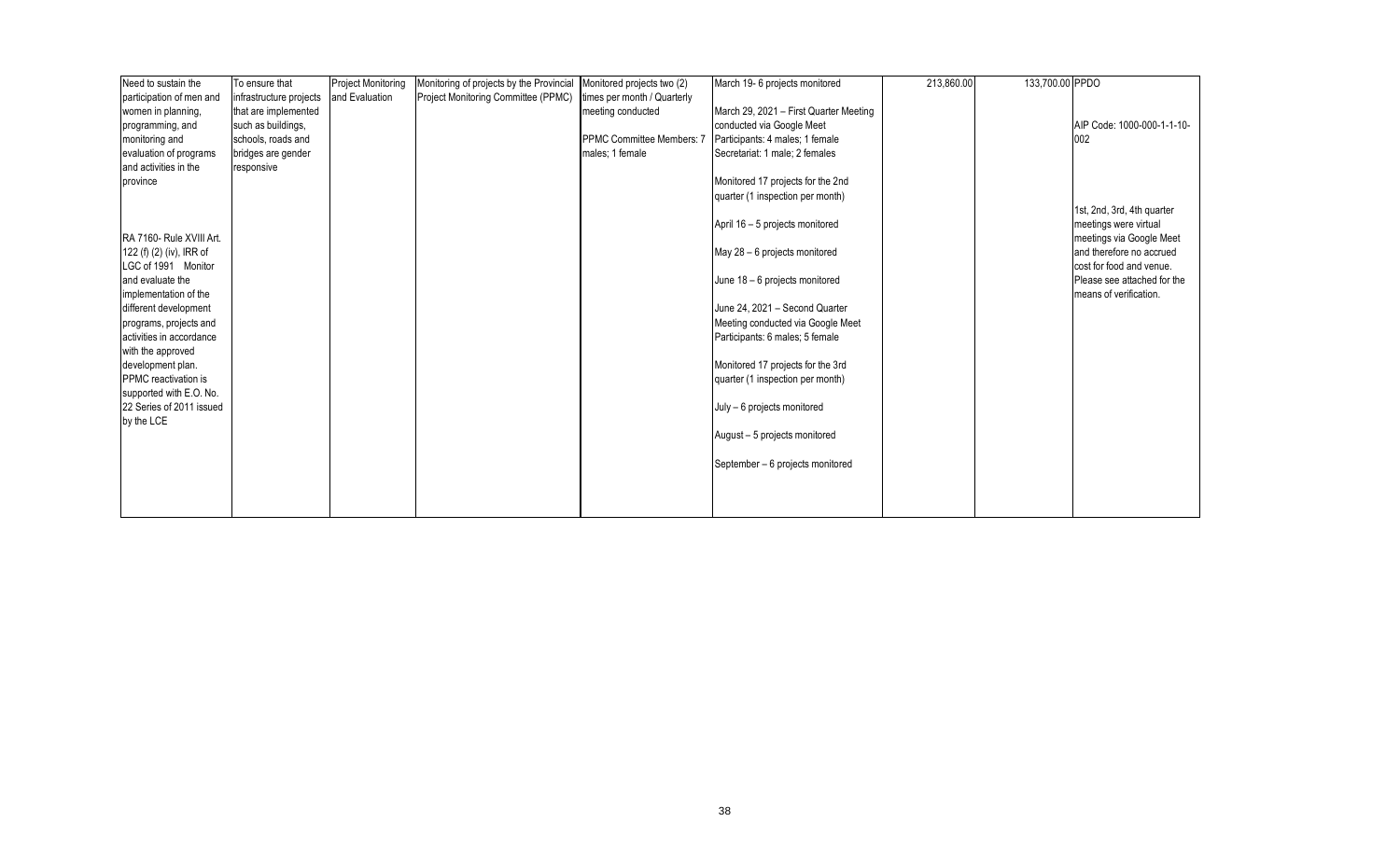| Need to sustain the      | To ensure that          | Project Monitoring | Monitoring of projects by the Provincial | Monitored projects two (2)       | March 19- 6 projects monitored         | 213,860.00 | 133,700.00 PPDO |                             |
|--------------------------|-------------------------|--------------------|------------------------------------------|----------------------------------|----------------------------------------|------------|-----------------|-----------------------------|
| participation of men and | infrastructure projects | and Evaluation     | Project Monitoring Committee (PPMC)      | times per month / Quarterly      |                                        |            |                 |                             |
| women in planning,       | that are implemented    |                    |                                          | meeting conducted                | March 29, 2021 - First Quarter Meeting |            |                 |                             |
| programming, and         | such as buildings,      |                    |                                          |                                  | conducted via Google Meet              |            |                 | AIP Code: 1000-000-1-1-10-  |
| monitoring and           | schools, roads and      |                    |                                          | <b>PPMC Committee Members: 7</b> | Participants: 4 males: 1 female        |            |                 | 002                         |
| evaluation of programs   | bridges are gender      |                    |                                          | males; 1 female                  | Secretariat: 1 male; 2 females         |            |                 |                             |
| and activities in the    | responsive              |                    |                                          |                                  |                                        |            |                 |                             |
| province                 |                         |                    |                                          |                                  | Monitored 17 projects for the 2nd      |            |                 |                             |
|                          |                         |                    |                                          |                                  | quarter (1 inspection per month)       |            |                 |                             |
|                          |                         |                    |                                          |                                  |                                        |            |                 | 1st, 2nd, 3rd, 4th quarter  |
|                          |                         |                    |                                          |                                  | April 16 - 5 projects monitored        |            |                 | meetings were virtual       |
| RA 7160- Rule XVIII Art. |                         |                    |                                          |                                  |                                        |            |                 | meetings via Google Meet    |
| 122 (f) (2) (iv), IRR of |                         |                    |                                          |                                  | May 28 - 6 projects monitored          |            |                 | and therefore no accrued    |
| LGC of 1991 Monitor      |                         |                    |                                          |                                  |                                        |            |                 | cost for food and venue.    |
| and evaluate the         |                         |                    |                                          |                                  | June 18 - 6 projects monitored         |            |                 | Please see attached for the |
| implementation of the    |                         |                    |                                          |                                  |                                        |            |                 | means of verification.      |
| different development    |                         |                    |                                          |                                  | June 24, 2021 - Second Quarter         |            |                 |                             |
| programs, projects and   |                         |                    |                                          |                                  | Meeting conducted via Google Meet      |            |                 |                             |
| activities in accordance |                         |                    |                                          |                                  | Participants: 6 males; 5 female        |            |                 |                             |
| with the approved        |                         |                    |                                          |                                  |                                        |            |                 |                             |
| development plan.        |                         |                    |                                          |                                  | Monitored 17 projects for the 3rd      |            |                 |                             |
| PPMC reactivation is     |                         |                    |                                          |                                  | quarter (1 inspection per month)       |            |                 |                             |
| supported with E.O. No.  |                         |                    |                                          |                                  |                                        |            |                 |                             |
| 22 Series of 2011 issued |                         |                    |                                          |                                  | July - 6 projects monitored            |            |                 |                             |
| by the LCE               |                         |                    |                                          |                                  |                                        |            |                 |                             |
|                          |                         |                    |                                          |                                  | August - 5 projects monitored          |            |                 |                             |
|                          |                         |                    |                                          |                                  |                                        |            |                 |                             |
|                          |                         |                    |                                          |                                  | September - 6 projects monitored       |            |                 |                             |
|                          |                         |                    |                                          |                                  |                                        |            |                 |                             |
|                          |                         |                    |                                          |                                  |                                        |            |                 |                             |
|                          |                         |                    |                                          |                                  |                                        |            |                 |                             |
|                          |                         |                    |                                          |                                  |                                        |            |                 |                             |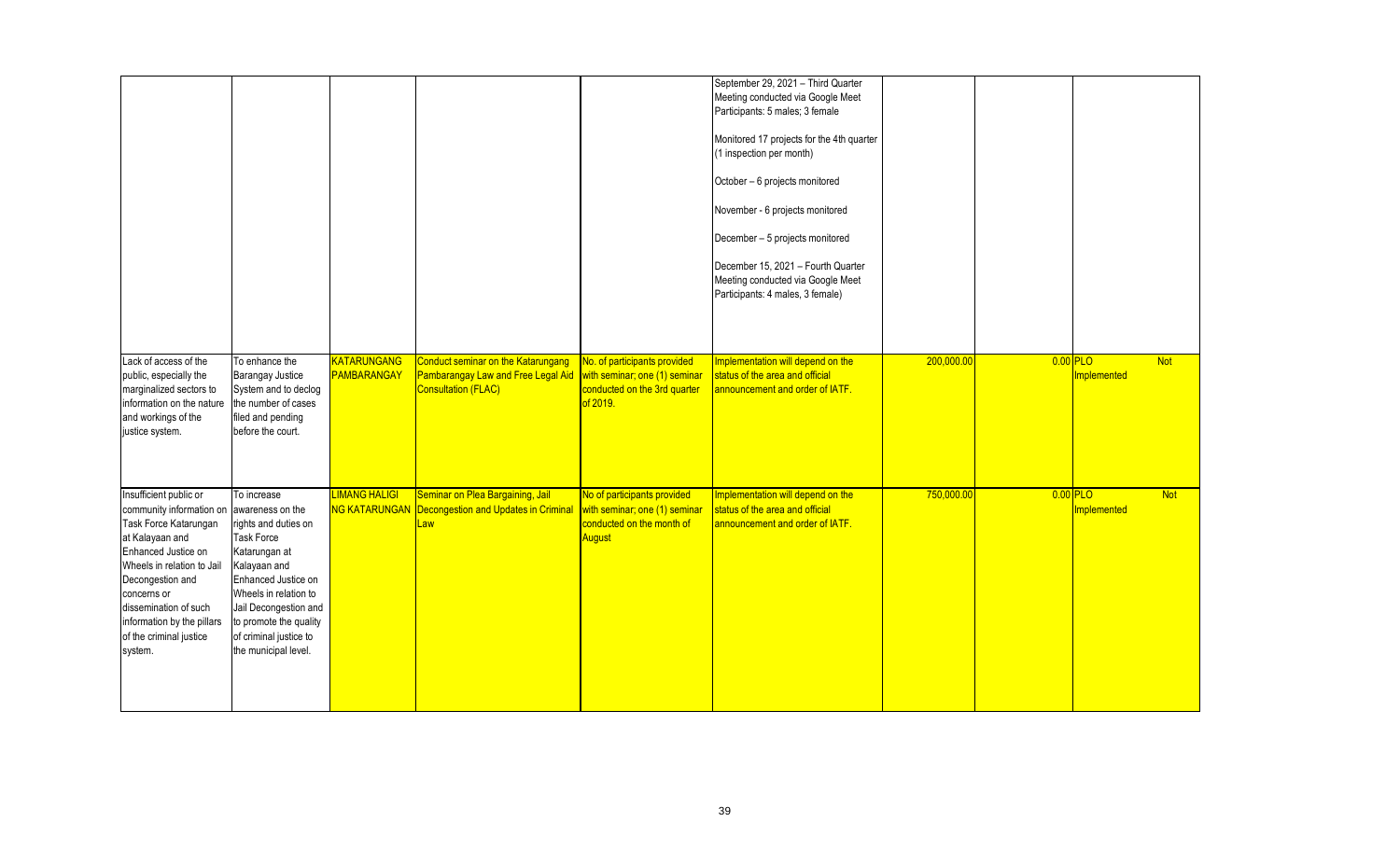|                                                                                                                                                                                                                                                                                                      |                                                                                                                                                                                                                                                |                                              |                                                                                                               |                                                                                                            | September 29, 2021 - Third Quarter<br>Meeting conducted via Google Meet<br>Participants: 5 males; 3 female<br>Monitored 17 projects for the 4th quarter<br>(1 inspection per month)<br>October - 6 projects monitored<br>November - 6 projects monitored<br>December - 5 projects monitored<br>December 15, 2021 - Fourth Quarter<br>Meeting conducted via Google Meet<br>Participants: 4 males, 3 female) |            |                       |             |            |
|------------------------------------------------------------------------------------------------------------------------------------------------------------------------------------------------------------------------------------------------------------------------------------------------------|------------------------------------------------------------------------------------------------------------------------------------------------------------------------------------------------------------------------------------------------|----------------------------------------------|---------------------------------------------------------------------------------------------------------------|------------------------------------------------------------------------------------------------------------|------------------------------------------------------------------------------------------------------------------------------------------------------------------------------------------------------------------------------------------------------------------------------------------------------------------------------------------------------------------------------------------------------------|------------|-----------------------|-------------|------------|
| Lack of access of the<br>public, especially the<br>marginalized sectors to<br>information on the nature<br>and workings of the<br>justice system.                                                                                                                                                    | To enhance the<br><b>Barangay Justice</b><br>System and to declog<br>the number of cases<br>filed and pending<br>before the court.                                                                                                             | <b>KATARUNGANG</b><br>PAMBARANGAY            | <b>Conduct seminar on the Katarungang</b><br>Pambarangay Law and Free Legal Aid<br><b>Consultation (FLAC)</b> | No. of participants provided<br>with seminar; one (1) seminar<br>conducted on the 3rd quarter<br>of 2019.  | Implementation will depend on the<br>status of the area and official<br>announcement and order of IATF.                                                                                                                                                                                                                                                                                                    | 200,000.00 | $\overline{0.00}$ PLO | Implemented | <b>Not</b> |
| Insufficient public or<br>community information on awareness on the<br>Task Force Katarungan<br>at Kalayaan and<br>Enhanced Justice on<br>Wheels in relation to Jail<br>Decongestion and<br>concerns or<br>dissemination of such<br>information by the pillars<br>of the criminal justice<br>system. | To increase<br>rights and duties on<br><b>Task Force</b><br>Katarungan at<br>Kalayaan and<br>Enhanced Justice on<br>Wheels in relation to<br>Jail Decongestion and<br>to promote the quality<br>of criminal justice to<br>the municipal level. | <b>LIMANG HALIGI</b><br><b>NG KATARUNGAN</b> | Seminar on Plea Bargaining, Jail<br>Decongestion and Updates in Criminal<br>Law                               | No of participants provided<br>with seminar; one (1) seminar<br>conducted on the month of<br><b>August</b> | Implementation will depend on the<br>status of the area and official<br>announcement and order of IATF.                                                                                                                                                                                                                                                                                                    | 750,000.00 | $0.00$ PLO            | Implemented | <b>Not</b> |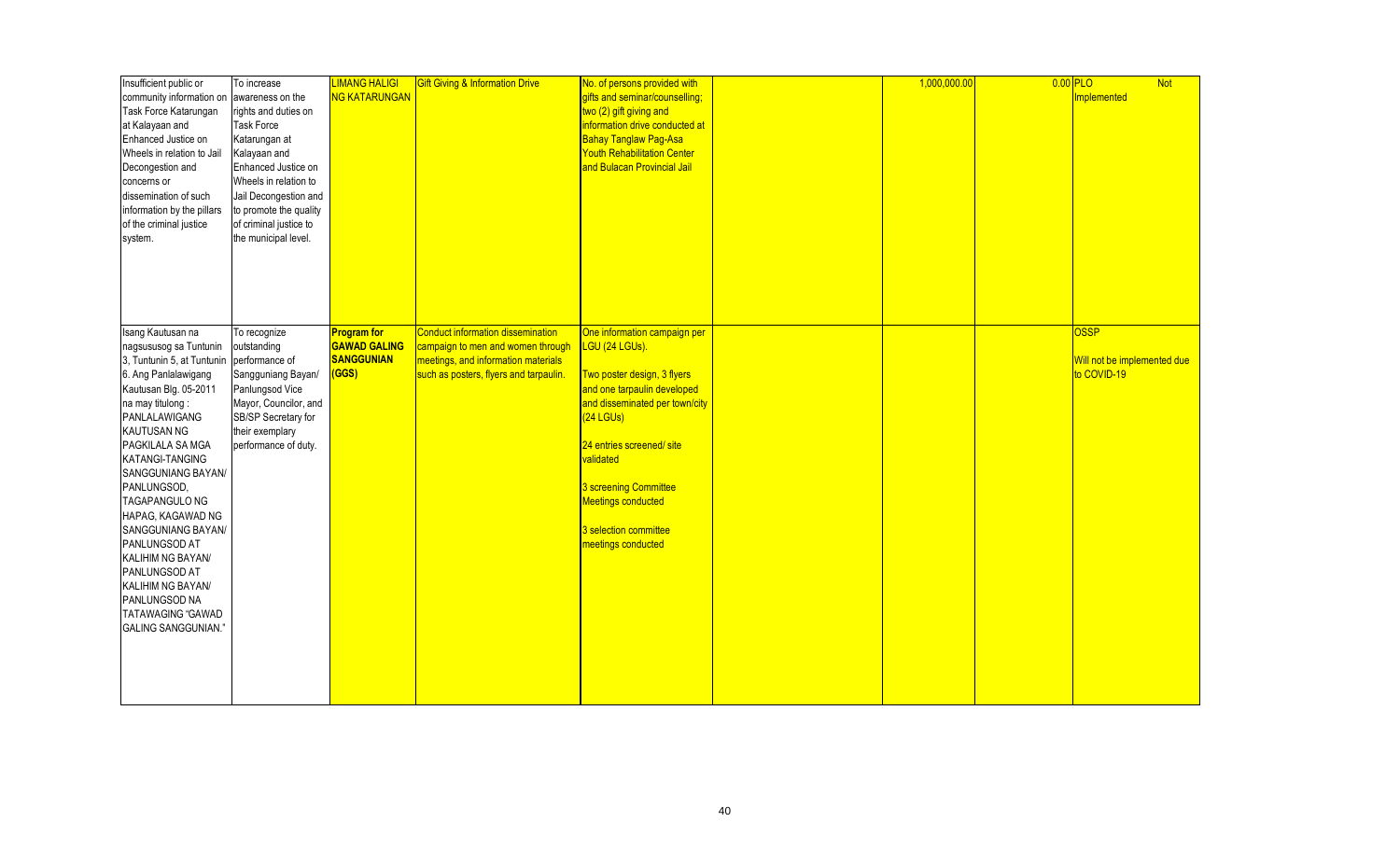| Insufficient public or     | To increase            | <b>LIMANG HALIGI</b> | <b>Gift Giving &amp; Information Drive</b> | No. of persons provided with       | 1,000,000.00 | $\boxed{0.00}$ PLO |                             | <b>Not</b> |
|----------------------------|------------------------|----------------------|--------------------------------------------|------------------------------------|--------------|--------------------|-----------------------------|------------|
| community information on   | awareness on the       | <b>NG KATARUNGAN</b> |                                            | gifts and seminar/counselling;     |              |                    | <b>Implemented</b>          |            |
| Task Force Katarungan      | rights and duties on   |                      |                                            | two (2) gift giving and            |              |                    |                             |            |
| at Kalayaan and            | <b>Task Force</b>      |                      |                                            | information drive conducted at     |              |                    |                             |            |
| Enhanced Justice on        | Katarungan at          |                      |                                            | Bahay Tanglaw Pag-Asa              |              |                    |                             |            |
| Wheels in relation to Jail | Kalayaan and           |                      |                                            | <b>Youth Rehabilitation Center</b> |              |                    |                             |            |
| Decongestion and           | Enhanced Justice on    |                      |                                            | and Bulacan Provincial Jail        |              |                    |                             |            |
| concerns or                | Wheels in relation to  |                      |                                            |                                    |              |                    |                             |            |
| dissemination of such      | Jail Decongestion and  |                      |                                            |                                    |              |                    |                             |            |
| information by the pillars | to promote the quality |                      |                                            |                                    |              |                    |                             |            |
| of the criminal justice    | of criminal justice to |                      |                                            |                                    |              |                    |                             |            |
| system.                    | the municipal level.   |                      |                                            |                                    |              |                    |                             |            |
|                            |                        |                      |                                            |                                    |              |                    |                             |            |
|                            |                        |                      |                                            |                                    |              |                    |                             |            |
|                            |                        |                      |                                            |                                    |              |                    |                             |            |
|                            |                        |                      |                                            |                                    |              |                    |                             |            |
|                            |                        |                      |                                            |                                    |              |                    |                             |            |
|                            |                        |                      |                                            |                                    |              |                    |                             |            |
| Isang Kautusan na          | To recognize           | <b>Program</b> for   | <b>Conduct information dissemination</b>   | One information campaign per       |              |                    | <b>OSSP</b>                 |            |
| nagsususog sa Tuntunin     | outstanding            | <b>GAWAD GALING</b>  | campaign to men and women through          | LGU (24 LGUs).                     |              |                    |                             |            |
| 3, Tuntunin 5, at Tuntunin | performance of         | SANGGUNIAN           | meetings, and information materials        |                                    |              |                    | Will not be implemented due |            |
| 6. Ang Panlalawigang       | Sangguniang Bayan/     | (GGS)                | such as posters, flyers and tarpaulin.     | Two poster design, 3 flyers        |              |                    | to COVID-19                 |            |
| Kautusan Blg. 05-2011      | Panlungsod Vice        |                      |                                            | and one tarpaulin developed        |              |                    |                             |            |
| na may titulong:           | Mayor, Councilor, and  |                      |                                            | and disseminated per town/city     |              |                    |                             |            |
| PANLALAWIGANG              | SB/SP Secretary for    |                      |                                            | $(24$ LGUs)                        |              |                    |                             |            |
| <b>KAUTUSAN NG</b>         | their exemplary        |                      |                                            |                                    |              |                    |                             |            |
| PAGKILALA SA MGA           | performance of duty.   |                      |                                            | 24 entries screened/ site          |              |                    |                             |            |
| KATANGI-TANGING            |                        |                      |                                            | validated                          |              |                    |                             |            |
| SANGGUNIANG BAYAN/         |                        |                      |                                            |                                    |              |                    |                             |            |
| PANLUNGSOD,                |                        |                      |                                            | 3 screening Committee              |              |                    |                             |            |
| <b>TAGAPANGULO NG</b>      |                        |                      |                                            | Meetings conducted                 |              |                    |                             |            |
| HAPAG, KAGAWAD NG          |                        |                      |                                            |                                    |              |                    |                             |            |
| SANGGUNIANG BAYAN/         |                        |                      |                                            | 3 selection committee              |              |                    |                             |            |
| PANLUNGSOD AT              |                        |                      |                                            |                                    |              |                    |                             |            |
|                            |                        |                      |                                            | meetings conducted                 |              |                    |                             |            |
| KALIHIM NG BAYAN/          |                        |                      |                                            |                                    |              |                    |                             |            |
| PANLUNGSOD AT              |                        |                      |                                            |                                    |              |                    |                             |            |
| KALIHIM NG BAYAN/          |                        |                      |                                            |                                    |              |                    |                             |            |
| PANLUNGSOD NA              |                        |                      |                                            |                                    |              |                    |                             |            |
| <b>TATAWAGING "GAWAD</b>   |                        |                      |                                            |                                    |              |                    |                             |            |
| <b>GALING SANGGUNIAN."</b> |                        |                      |                                            |                                    |              |                    |                             |            |
|                            |                        |                      |                                            |                                    |              |                    |                             |            |
|                            |                        |                      |                                            |                                    |              |                    |                             |            |
|                            |                        |                      |                                            |                                    |              |                    |                             |            |
|                            |                        |                      |                                            |                                    |              |                    |                             |            |
|                            |                        |                      |                                            |                                    |              |                    |                             |            |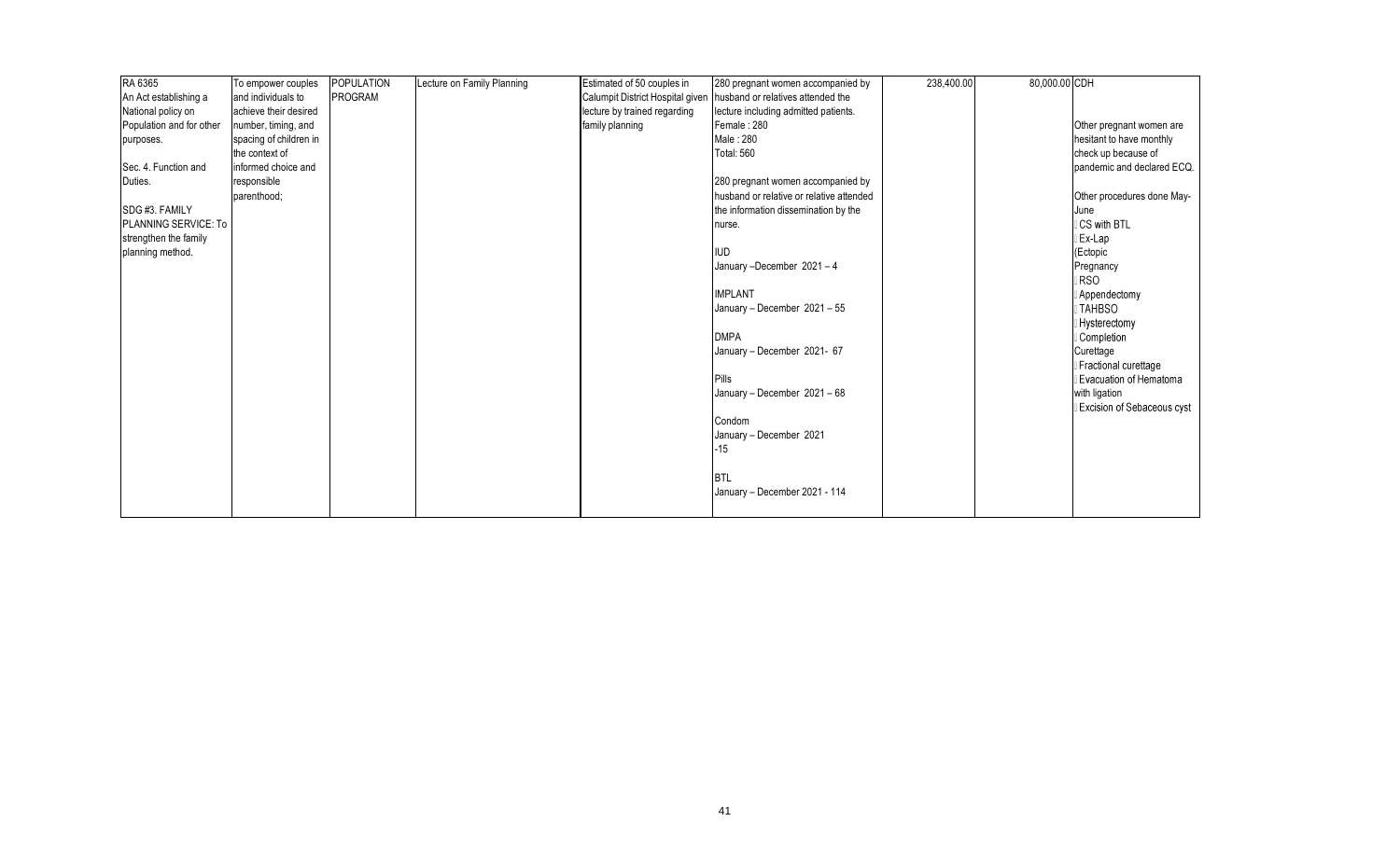| RA 6365                  | To empower couples     | <b>POPULATION</b> | Lecture on Family Planning | Estimated of 50 couples in       | 280 pregnant women accompanied by        | 238,400.00 | 80,000.00 CDH |                               |
|--------------------------|------------------------|-------------------|----------------------------|----------------------------------|------------------------------------------|------------|---------------|-------------------------------|
| An Act establishing a    | and individuals to     | PROGRAM           |                            | Calumpit District Hospital given | husband or relatives attended the        |            |               |                               |
| National policy on       | achieve their desired  |                   |                            | lecture by trained regarding     | lecture including admitted patients.     |            |               |                               |
| Population and for other | number, timing, and    |                   |                            | family planning                  | Female: 280                              |            |               | Other pregnant women are      |
| purposes.                | spacing of children in |                   |                            |                                  | Male: 280                                |            |               | hesitant to have monthly      |
|                          | the context of         |                   |                            |                                  | <b>Total: 560</b>                        |            |               | check up because of           |
| Sec. 4. Function and     | informed choice and    |                   |                            |                                  |                                          |            |               | pandemic and declared ECQ.    |
| Duties.                  | responsible            |                   |                            |                                  | 280 pregnant women accompanied by        |            |               |                               |
|                          | parenthood;            |                   |                            |                                  | husband or relative or relative attended |            |               | Other procedures done May-    |
| SDG #3. FAMILY           |                        |                   |                            |                                  | the information dissemination by the     |            |               | June                          |
| PLANNING SERVICE: To     |                        |                   |                            |                                  | nurse.                                   |            |               | CS with BTL                   |
| strengthen the family    |                        |                   |                            |                                  |                                          |            |               | Ex-Lap                        |
| planning method.         |                        |                   |                            |                                  | <b>IUD</b>                               |            |               | (Ectopic                      |
|                          |                        |                   |                            |                                  | January-December 2021-4                  |            |               | Pregnancy                     |
|                          |                        |                   |                            |                                  |                                          |            |               | <b>RSO</b>                    |
|                          |                        |                   |                            |                                  | <b>IMPLANT</b>                           |            |               | Appendectomy                  |
|                          |                        |                   |                            |                                  | January - December 2021 - 55             |            |               | <b>TAHBSO</b>                 |
|                          |                        |                   |                            |                                  |                                          |            |               | <b>Hysterectomy</b>           |
|                          |                        |                   |                            |                                  | <b>DMPA</b>                              |            |               | Completion                    |
|                          |                        |                   |                            |                                  | January - December 2021- 67              |            |               | Curettage                     |
|                          |                        |                   |                            |                                  |                                          |            |               | Fractional curettage          |
|                          |                        |                   |                            |                                  | <b>Pills</b>                             |            |               | <b>Evacuation of Hematoma</b> |
|                          |                        |                   |                            |                                  | January - December 2021 - 68             |            |               | with ligation                 |
|                          |                        |                   |                            |                                  |                                          |            |               | Excision of Sebaceous cyst    |
|                          |                        |                   |                            |                                  | Condom                                   |            |               |                               |
|                          |                        |                   |                            |                                  | January - December 2021                  |            |               |                               |
|                          |                        |                   |                            |                                  | -15                                      |            |               |                               |
|                          |                        |                   |                            |                                  |                                          |            |               |                               |
|                          |                        |                   |                            |                                  | <b>BTL</b>                               |            |               |                               |
|                          |                        |                   |                            |                                  | January - December 2021 - 114            |            |               |                               |
|                          |                        |                   |                            |                                  |                                          |            |               |                               |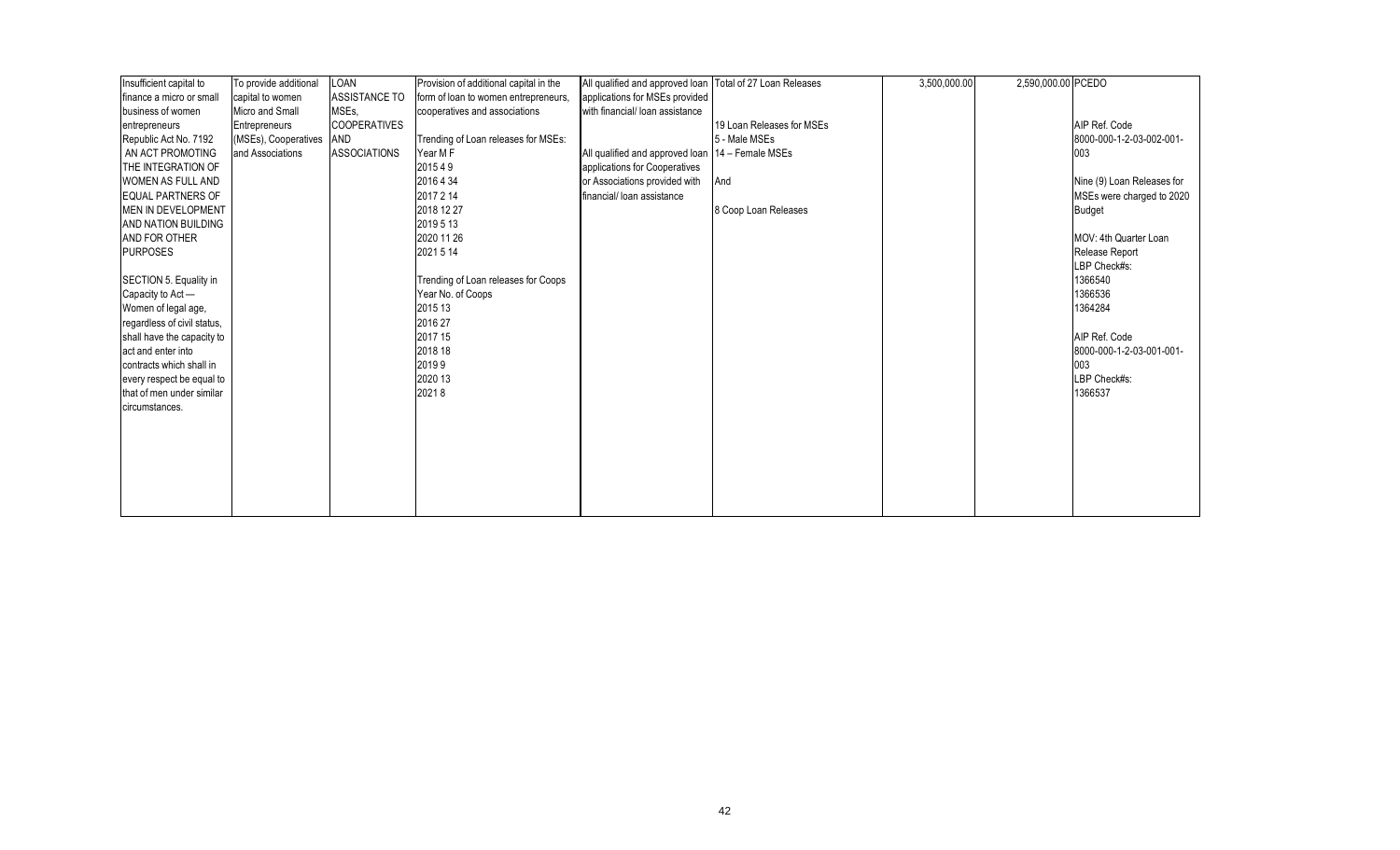| Insufficient capital to     | To provide additional    | LOAN                | Provision of additional capital in the | All qualified and approved loan Total of 27 Loan Releases |                           | 3,500,000.00 | 2,590,000.00 PCEDO |                            |
|-----------------------------|--------------------------|---------------------|----------------------------------------|-----------------------------------------------------------|---------------------------|--------------|--------------------|----------------------------|
| finance a micro or small    | capital to women         | ASSISTANCE TO       | form of loan to women entrepreneurs.   | applications for MSEs provided                            |                           |              |                    |                            |
| business of women           | <b>Micro and Small</b>   | MSEs,               | cooperatives and associations          | with financial/ loan assistance                           |                           |              |                    |                            |
| entrepreneurs               | Entrepreneurs            | <b>COOPERATIVES</b> |                                        |                                                           | 19 Loan Releases for MSEs |              |                    | AIP Ref. Code              |
| Republic Act No. 7192       | (MSEs), Cooperatives AND |                     | Trending of Loan releases for MSEs:    |                                                           | 5 - Male MSEs             |              |                    | 8000-000-1-2-03-002-001-   |
| AN ACT PROMOTING            | and Associations         | <b>ASSOCIATIONS</b> | Year M F                               | All qualified and approved loan   14 - Female MSEs        |                           |              |                    | 003                        |
| THE INTEGRATION OF          |                          |                     | 201549                                 | applications for Cooperatives                             |                           |              |                    |                            |
| WOMEN AS FULL AND           |                          |                     | 2016 4 34                              | or Associations provided with                             | And                       |              |                    | Nine (9) Loan Releases for |
| <b>EQUAL PARTNERS OF</b>    |                          |                     | 2017 2 14                              | financial/ loan assistance                                |                           |              |                    | MSEs were charged to 2020  |
| MEN IN DEVELOPMENT          |                          |                     | 2018 12 27                             |                                                           | 8 Coop Loan Releases      |              |                    | <b>Budget</b>              |
| AND NATION BUILDING         |                          |                     | 2019 5 13                              |                                                           |                           |              |                    |                            |
| AND FOR OTHER               |                          |                     | 2020 11 26                             |                                                           |                           |              |                    | MOV: 4th Quarter Loan      |
| <b>PURPOSES</b>             |                          |                     | 2021 5 14                              |                                                           |                           |              |                    | Release Report             |
|                             |                          |                     |                                        |                                                           |                           |              |                    | LBP Check#s:               |
| SECTION 5. Equality in      |                          |                     | Trending of Loan releases for Coops    |                                                           |                           |              |                    | 1366540                    |
| Capacity to Act -           |                          |                     | Year No. of Coops                      |                                                           |                           |              |                    | 1366536                    |
| Women of legal age,         |                          |                     | 2015 13                                |                                                           |                           |              |                    | 1364284                    |
| regardless of civil status, |                          |                     | 2016 27                                |                                                           |                           |              |                    |                            |
| shall have the capacity to  |                          |                     | 2017 15                                |                                                           |                           |              |                    | AIP Ref. Code              |
| act and enter into          |                          |                     | 2018 18                                |                                                           |                           |              |                    | 8000-000-1-2-03-001-001-   |
| contracts which shall in    |                          |                     | 20199                                  |                                                           |                           |              |                    | 003                        |
| every respect be equal to   |                          |                     | 2020 13                                |                                                           |                           |              |                    | LBP Check#s:               |
| that of men under similar   |                          |                     | 20218                                  |                                                           |                           |              |                    | 1366537                    |
| circumstances.              |                          |                     |                                        |                                                           |                           |              |                    |                            |
|                             |                          |                     |                                        |                                                           |                           |              |                    |                            |
|                             |                          |                     |                                        |                                                           |                           |              |                    |                            |
|                             |                          |                     |                                        |                                                           |                           |              |                    |                            |
|                             |                          |                     |                                        |                                                           |                           |              |                    |                            |
|                             |                          |                     |                                        |                                                           |                           |              |                    |                            |
|                             |                          |                     |                                        |                                                           |                           |              |                    |                            |
|                             |                          |                     |                                        |                                                           |                           |              |                    |                            |
|                             |                          |                     |                                        |                                                           |                           |              |                    |                            |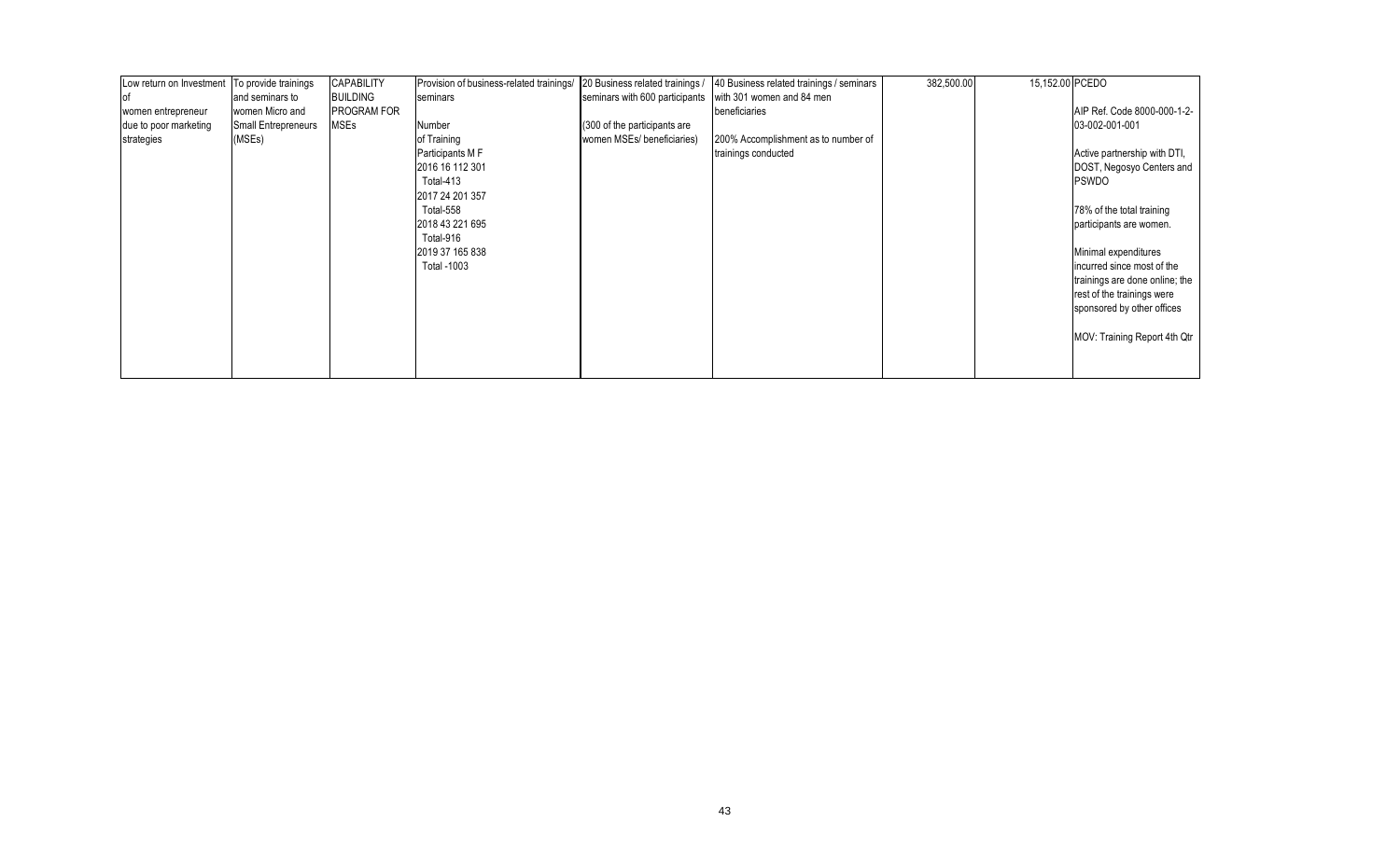| Low return on Investment   To provide trainings |                            | <b>CAPABILITY</b>  | Provision of business-related trainings/ | 20 Business related trainings / | 40 Business related trainings / seminars | 382,500.00 | 15,152.00 PCEDO |                                |
|-------------------------------------------------|----------------------------|--------------------|------------------------------------------|---------------------------------|------------------------------------------|------------|-----------------|--------------------------------|
| оf                                              | and seminars to            | <b>BUILDING</b>    | seminars                                 | seminars with 600 participants  | with 301 women and 84 men                |            |                 |                                |
| women entrepreneur                              | women Micro and            | <b>PROGRAM FOR</b> |                                          |                                 | beneficiaries                            |            |                 | AIP Ref. Code 8000-000-1-2-    |
| due to poor marketing                           | <b>Small Entrepreneurs</b> | <b>MSEs</b>        | Number                                   | (300 of the participants are    |                                          |            |                 | 03-002-001-001                 |
| strategies                                      | (MSEs)                     |                    | of Training                              | women MSEs/ beneficiaries)      | 200% Accomplishment as to number of      |            |                 |                                |
|                                                 |                            |                    | Participants M F                         |                                 | trainings conducted                      |            |                 | Active partnership with DTI,   |
|                                                 |                            |                    | 2016 16 112 301                          |                                 |                                          |            |                 | DOST, Negosyo Centers and      |
|                                                 |                            |                    | Total-413                                |                                 |                                          |            |                 | <b>PSWDO</b>                   |
|                                                 |                            |                    | 2017 24 201 357                          |                                 |                                          |            |                 |                                |
|                                                 |                            |                    | Total-558                                |                                 |                                          |            |                 | 78% of the total training      |
|                                                 |                            |                    | 2018 43 221 695                          |                                 |                                          |            |                 | participants are women.        |
|                                                 |                            |                    | Total-916                                |                                 |                                          |            |                 |                                |
|                                                 |                            |                    | 2019 37 165 838                          |                                 |                                          |            |                 | Minimal expenditures           |
|                                                 |                            |                    | Total -1003                              |                                 |                                          |            |                 | incurred since most of the     |
|                                                 |                            |                    |                                          |                                 |                                          |            |                 | trainings are done online; the |
|                                                 |                            |                    |                                          |                                 |                                          |            |                 | rest of the trainings were     |
|                                                 |                            |                    |                                          |                                 |                                          |            |                 | sponsored by other offices     |
|                                                 |                            |                    |                                          |                                 |                                          |            |                 |                                |
|                                                 |                            |                    |                                          |                                 |                                          |            |                 | MOV: Training Report 4th Qtr   |
|                                                 |                            |                    |                                          |                                 |                                          |            |                 |                                |
|                                                 |                            |                    |                                          |                                 |                                          |            |                 |                                |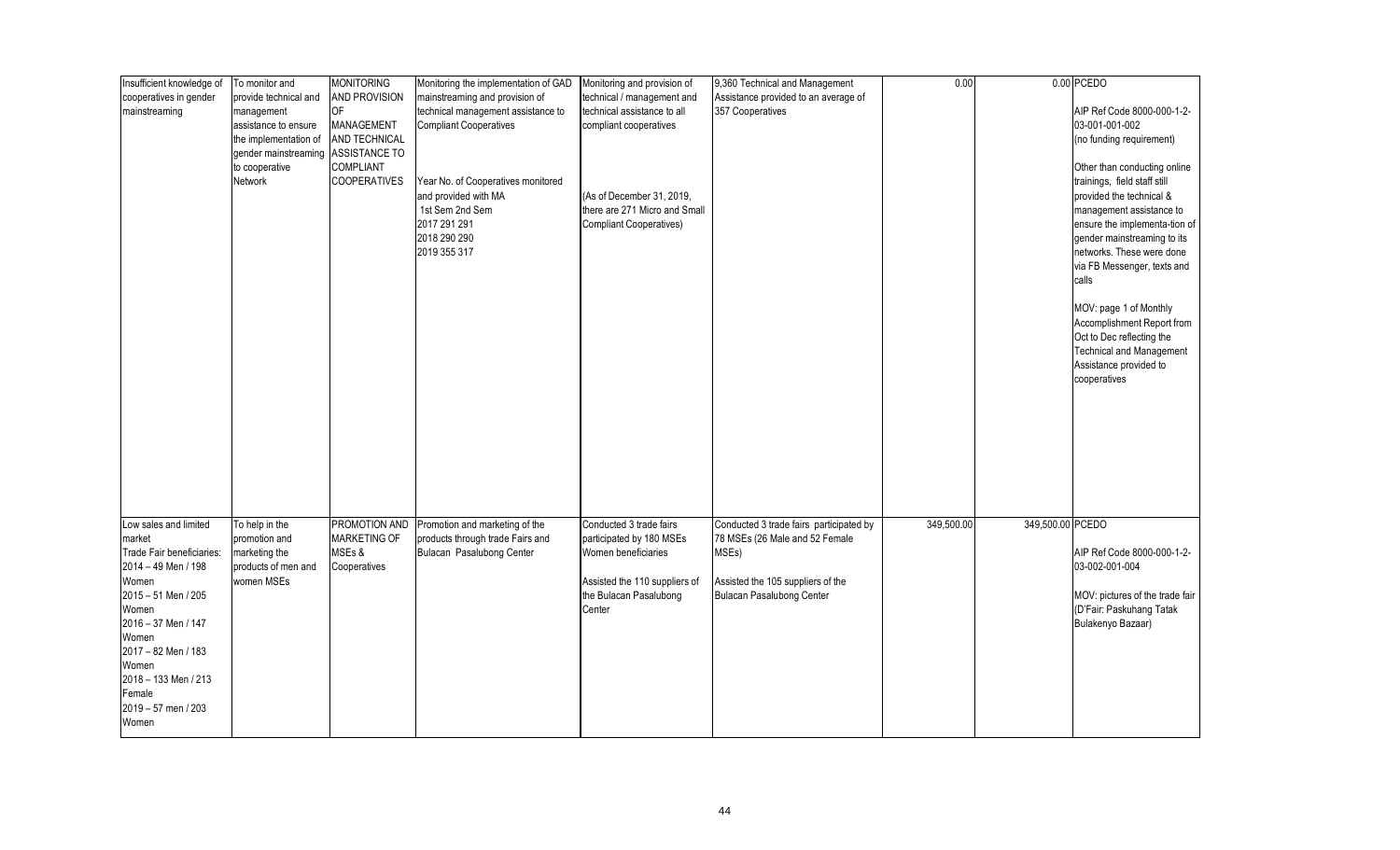| Insufficient knowledge of | To monitor and        | <b>MONITORING</b>   | Monitoring the implementation of GAD | Monitoring and provision of    | 9,360 Technical and Management          | 0.00       |                  | 0.00 PCEDO                      |
|---------------------------|-----------------------|---------------------|--------------------------------------|--------------------------------|-----------------------------------------|------------|------------------|---------------------------------|
| cooperatives in gender    | provide technical and | AND PROVISION       | mainstreaming and provision of       | technical / management and     | Assistance provided to an average of    |            |                  |                                 |
| mainstreaming             | management            | 0F                  | technical management assistance to   | technical assistance to all    | 357 Cooperatives                        |            |                  | AIP Ref Code 8000-000-1-2-      |
|                           | assistance to ensure  | MANAGEMENT          | <b>Compliant Cooperatives</b>        | compliant cooperatives         |                                         |            |                  | 03-001-001-002                  |
|                           | the implementation of | AND TECHNICAL       |                                      |                                |                                         |            |                  | (no funding requirement)        |
|                           | gender mainstreaming  | ASSISTANCE TO       |                                      |                                |                                         |            |                  |                                 |
|                           | to cooperative        | <b>COMPLIANT</b>    |                                      |                                |                                         |            |                  | Other than conducting online    |
|                           | Network               | <b>COOPERATIVES</b> | Year No. of Cooperatives monitored   |                                |                                         |            |                  | trainings, field staff still    |
|                           |                       |                     | and provided with MA                 | (As of December 31, 2019,      |                                         |            |                  | provided the technical &        |
|                           |                       |                     | 1st Sem 2nd Sem                      | there are 271 Micro and Small  |                                         |            |                  | management assistance to        |
|                           |                       |                     | 2017 291 291                         | <b>Compliant Cooperatives)</b> |                                         |            |                  | ensure the implementa-tion of   |
|                           |                       |                     | 2018 290 290                         |                                |                                         |            |                  | gender mainstreaming to its     |
|                           |                       |                     | 2019 355 317                         |                                |                                         |            |                  | networks. These were done       |
|                           |                       |                     |                                      |                                |                                         |            |                  | via FB Messenger, texts and     |
|                           |                       |                     |                                      |                                |                                         |            |                  | calls                           |
|                           |                       |                     |                                      |                                |                                         |            |                  |                                 |
|                           |                       |                     |                                      |                                |                                         |            |                  | MOV: page 1 of Monthly          |
|                           |                       |                     |                                      |                                |                                         |            |                  | Accomplishment Report from      |
|                           |                       |                     |                                      |                                |                                         |            |                  | Oct to Dec reflecting the       |
|                           |                       |                     |                                      |                                |                                         |            |                  | <b>Technical and Management</b> |
|                           |                       |                     |                                      |                                |                                         |            |                  | Assistance provided to          |
|                           |                       |                     |                                      |                                |                                         |            |                  | cooperatives                    |
|                           |                       |                     |                                      |                                |                                         |            |                  |                                 |
|                           |                       |                     |                                      |                                |                                         |            |                  |                                 |
|                           |                       |                     |                                      |                                |                                         |            |                  |                                 |
|                           |                       |                     |                                      |                                |                                         |            |                  |                                 |
|                           |                       |                     |                                      |                                |                                         |            |                  |                                 |
|                           |                       |                     |                                      |                                |                                         |            |                  |                                 |
|                           |                       |                     |                                      |                                |                                         |            |                  |                                 |
|                           |                       |                     |                                      |                                |                                         |            |                  |                                 |
|                           |                       |                     |                                      |                                |                                         |            |                  |                                 |
| Low sales and limited     | To help in the        | PROMOTION AND       | Promotion and marketing of the       | Conducted 3 trade fairs        | Conducted 3 trade fairs participated by | 349,500.00 | 349,500.00 PCEDO |                                 |
| market                    | promotion and         | MARKETING OF        | products through trade Fairs and     | participated by 180 MSEs       | 78 MSEs (26 Male and 52 Female          |            |                  |                                 |
| Trade Fair beneficiaries: | marketing the         | MSEs &              | Bulacan Pasalubong Center            | Women beneficiaries            | MSEs)                                   |            |                  | AIP Ref Code 8000-000-1-2-      |
| 2014 - 49 Men / 198       | products of men and   | Cooperatives        |                                      |                                |                                         |            |                  | 03-002-001-004                  |
| Women                     | women MSEs            |                     |                                      | Assisted the 110 suppliers of  | Assisted the 105 suppliers of the       |            |                  |                                 |
| 2015 - 51 Men / 205       |                       |                     |                                      | the Bulacan Pasalubong         | <b>Bulacan Pasalubong Center</b>        |            |                  | MOV: pictures of the trade fair |
| Women                     |                       |                     |                                      | Center                         |                                         |            |                  | (D'Fair: Paskuhang Tatak        |
| 2016 - 37 Men / 147       |                       |                     |                                      |                                |                                         |            |                  | Bulakenyo Bazaar)               |
| Women                     |                       |                     |                                      |                                |                                         |            |                  |                                 |
| 2017 - 82 Men / 183       |                       |                     |                                      |                                |                                         |            |                  |                                 |
| Women                     |                       |                     |                                      |                                |                                         |            |                  |                                 |
| 2018 - 133 Men / 213      |                       |                     |                                      |                                |                                         |            |                  |                                 |
| Female                    |                       |                     |                                      |                                |                                         |            |                  |                                 |
| 2019 - 57 men / 203       |                       |                     |                                      |                                |                                         |            |                  |                                 |
| Women                     |                       |                     |                                      |                                |                                         |            |                  |                                 |
|                           |                       |                     |                                      |                                |                                         |            |                  |                                 |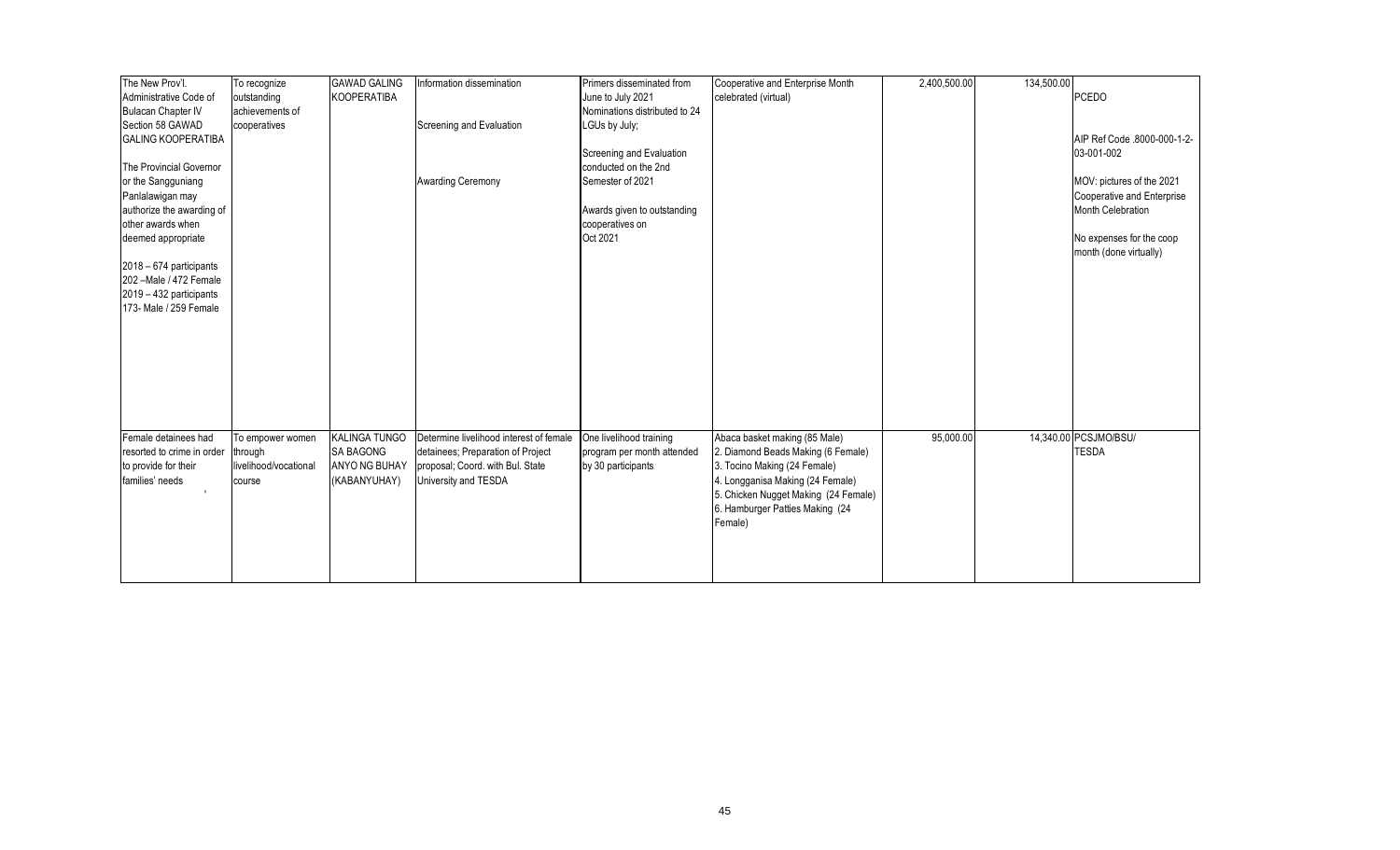| The New Prov'l.            | To recognize          | <b>GAWAD GALING</b>  | Information dissemination               | Primers disseminated from     | Cooperative and Enterprise Month     | 2,400,500.00 | 134,500.00 |                             |
|----------------------------|-----------------------|----------------------|-----------------------------------------|-------------------------------|--------------------------------------|--------------|------------|-----------------------------|
| Administrative Code of     | outstanding           | KOOPERATIBA          |                                         | June to July 2021             | celebrated (virtual)                 |              |            | <b>PCEDO</b>                |
| <b>Bulacan Chapter IV</b>  | achievements of       |                      |                                         | Nominations distributed to 24 |                                      |              |            |                             |
| Section 58 GAWAD           | cooperatives          |                      | Screening and Evaluation                | LGUs by July;                 |                                      |              |            |                             |
| <b>GALING KOOPERATIBA</b>  |                       |                      |                                         |                               |                                      |              |            | AIP Ref Code .8000-000-1-2- |
|                            |                       |                      |                                         | Screening and Evaluation      |                                      |              |            | 03-001-002                  |
| The Provincial Governor    |                       |                      |                                         | conducted on the 2nd          |                                      |              |            |                             |
| or the Sangguniang         |                       |                      | <b>Awarding Ceremony</b>                | Semester of 2021              |                                      |              |            | MOV: pictures of the 2021   |
| Panlalawigan may           |                       |                      |                                         |                               |                                      |              |            | Cooperative and Enterprise  |
| authorize the awarding of  |                       |                      |                                         | Awards given to outstanding   |                                      |              |            | Month Celebration           |
| other awards when          |                       |                      |                                         | cooperatives on               |                                      |              |            |                             |
| deemed appropriate         |                       |                      |                                         | Oct 2021                      |                                      |              |            | No expenses for the coop    |
|                            |                       |                      |                                         |                               |                                      |              |            | month (done virtually)      |
| 2018 - 674 participants    |                       |                      |                                         |                               |                                      |              |            |                             |
| 202 - Male / 472 Female    |                       |                      |                                         |                               |                                      |              |            |                             |
| 2019 - 432 participants    |                       |                      |                                         |                               |                                      |              |            |                             |
| 173- Male / 259 Female     |                       |                      |                                         |                               |                                      |              |            |                             |
|                            |                       |                      |                                         |                               |                                      |              |            |                             |
|                            |                       |                      |                                         |                               |                                      |              |            |                             |
|                            |                       |                      |                                         |                               |                                      |              |            |                             |
|                            |                       |                      |                                         |                               |                                      |              |            |                             |
|                            |                       |                      |                                         |                               |                                      |              |            |                             |
|                            |                       |                      |                                         |                               |                                      |              |            |                             |
|                            |                       |                      |                                         |                               |                                      |              |            |                             |
|                            |                       |                      |                                         |                               |                                      |              |            |                             |
| Female detainees had       | To empower women      | <b>KALINGA TUNGO</b> | Determine livelihood interest of female | One livelihood training       | Abaca basket making (85 Male)        | 95,000.00    |            | 14,340.00 PCSJMO/BSU/       |
| resorted to crime in order | through               | <b>SA BAGONG</b>     | detainees; Preparation of Project       | program per month attended    | 2. Diamond Beads Making (6 Female)   |              |            | <b>TESDA</b>                |
| to provide for their       | livelihood/vocational | ANYO NG BUHAY        | proposal; Coord. with Bul. State        | by 30 participants            | 3. Tocino Making (24 Female)         |              |            |                             |
| families' needs            | course                | (KABANYUHAY)         | University and TESDA                    |                               | 4. Longganisa Making (24 Female)     |              |            |                             |
|                            |                       |                      |                                         |                               | 5. Chicken Nugget Making (24 Female) |              |            |                             |
|                            |                       |                      |                                         |                               | 6. Hamburger Patties Making (24      |              |            |                             |
|                            |                       |                      |                                         |                               | Female)                              |              |            |                             |
|                            |                       |                      |                                         |                               |                                      |              |            |                             |
|                            |                       |                      |                                         |                               |                                      |              |            |                             |
|                            |                       |                      |                                         |                               |                                      |              |            |                             |
|                            |                       |                      |                                         |                               |                                      |              |            |                             |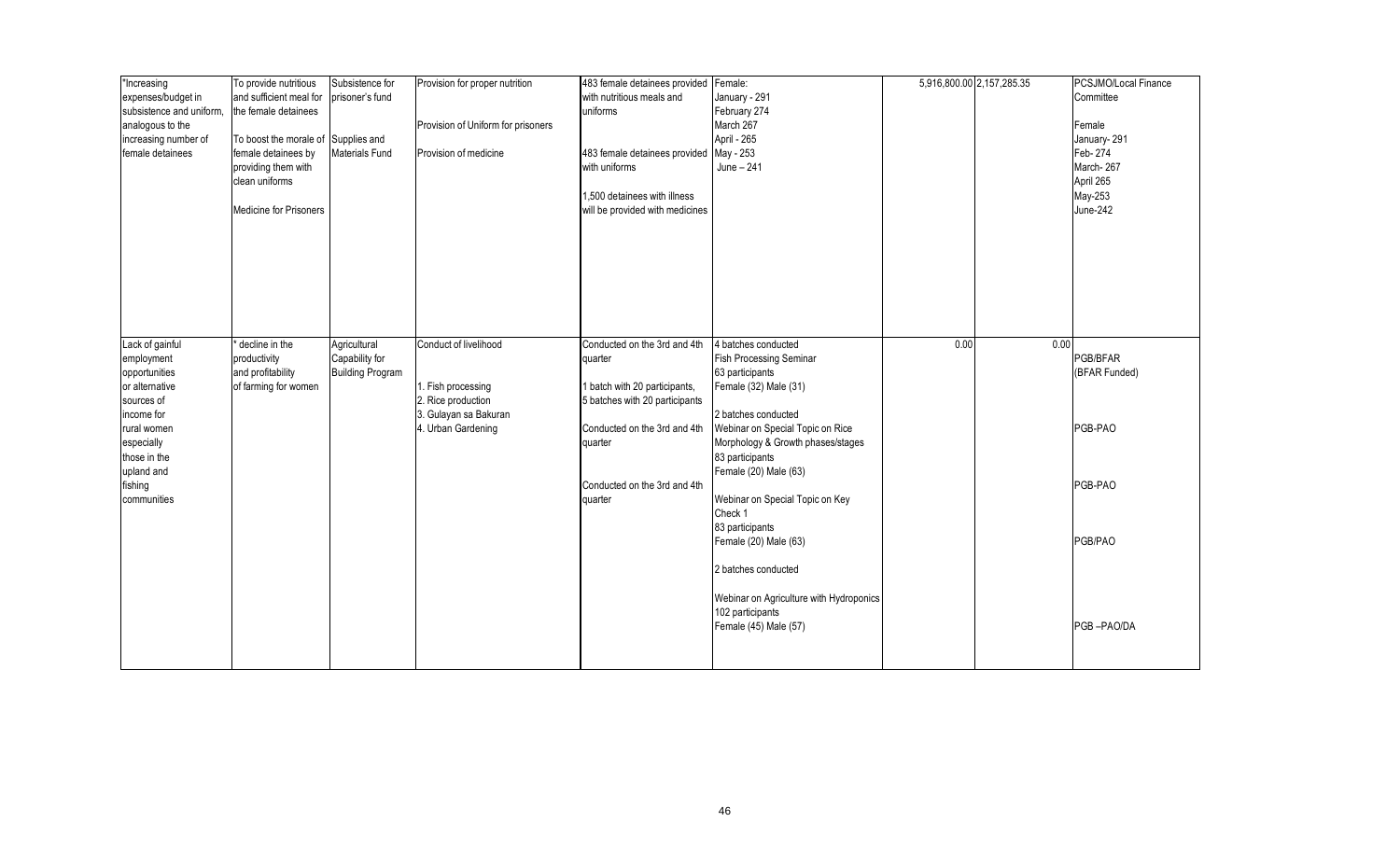| "Increasing<br>expenses/budget in<br>subsistence and uniform,<br>analogous to the<br>increasing number of<br>female detainees | To provide nutritious<br>and sufficient meal for<br>the female detainees<br>To boost the morale of Supplies and<br>female detainees by<br>providing them with<br>clean uniforms | Subsistence for<br>prisoner's fund<br><b>Materials Fund</b> | Provision for proper nutrition<br>Provision of Uniform for prisoners<br>Provision of medicine | 483 female detainees provided Female:<br>with nutritious meals and<br>uniforms<br>483 female detainees provided May - 253<br>with uniforms | January - 291<br>February 274<br>March 267<br>April - 265<br>June - 241                                                  |      | 5,916,800.00 2,157,285.35 | PCSJMO/Local Finance<br>Committee<br>Female<br>January-291<br>Feb-274<br>March-267<br>April 265 |
|-------------------------------------------------------------------------------------------------------------------------------|---------------------------------------------------------------------------------------------------------------------------------------------------------------------------------|-------------------------------------------------------------|-----------------------------------------------------------------------------------------------|--------------------------------------------------------------------------------------------------------------------------------------------|--------------------------------------------------------------------------------------------------------------------------|------|---------------------------|-------------------------------------------------------------------------------------------------|
|                                                                                                                               | <b>Medicine for Prisoners</b>                                                                                                                                                   |                                                             |                                                                                               | 1,500 detainees with illness<br>will be provided with medicines                                                                            |                                                                                                                          |      |                           | May-253<br>June-242                                                                             |
| Lack of gainful<br>employment<br>opportunities<br>or alternative<br>sources of<br>income for                                  | decline in the<br>productivity<br>and profitability<br>of farming for women                                                                                                     | Agricultural<br>Capability for<br><b>Building Program</b>   | Conduct of livelihood<br>1. Fish processing<br>2. Rice production<br>3. Gulayan sa Bakuran    | Conducted on the 3rd and 4th<br>quarter<br>I batch with 20 participants,<br>5 batches with 20 participants                                 | 4 batches conducted<br><b>Fish Processing Seminar</b><br>63 participants<br>Female (32) Male (31)<br>2 batches conducted | 0.00 | 0.00                      | PGB/BFAR<br>(BFAR Funded)                                                                       |
| rural women<br>especially<br>those in the<br>upland and                                                                       |                                                                                                                                                                                 |                                                             | 4. Urban Gardening                                                                            | Conducted on the 3rd and 4th<br>quarter                                                                                                    | Webinar on Special Topic on Rice<br>Morphology & Growth phases/stages<br>83 participants<br>Female (20) Male (63)        |      |                           | PGB-PAO                                                                                         |
| fishing<br>communities                                                                                                        |                                                                                                                                                                                 |                                                             |                                                                                               | Conducted on the 3rd and 4th<br>quarter                                                                                                    | Webinar on Special Topic on Key<br>Check 1                                                                               |      |                           | PGB-PAO                                                                                         |
|                                                                                                                               |                                                                                                                                                                                 |                                                             |                                                                                               |                                                                                                                                            | 83 participants<br>Female (20) Male (63)<br>2 batches conducted                                                          |      |                           | PGB/PAO                                                                                         |
|                                                                                                                               |                                                                                                                                                                                 |                                                             |                                                                                               |                                                                                                                                            | Webinar on Agriculture with Hydroponics<br>102 participants<br>Female (45) Male (57)                                     |      |                           | PGB-PAO/DA                                                                                      |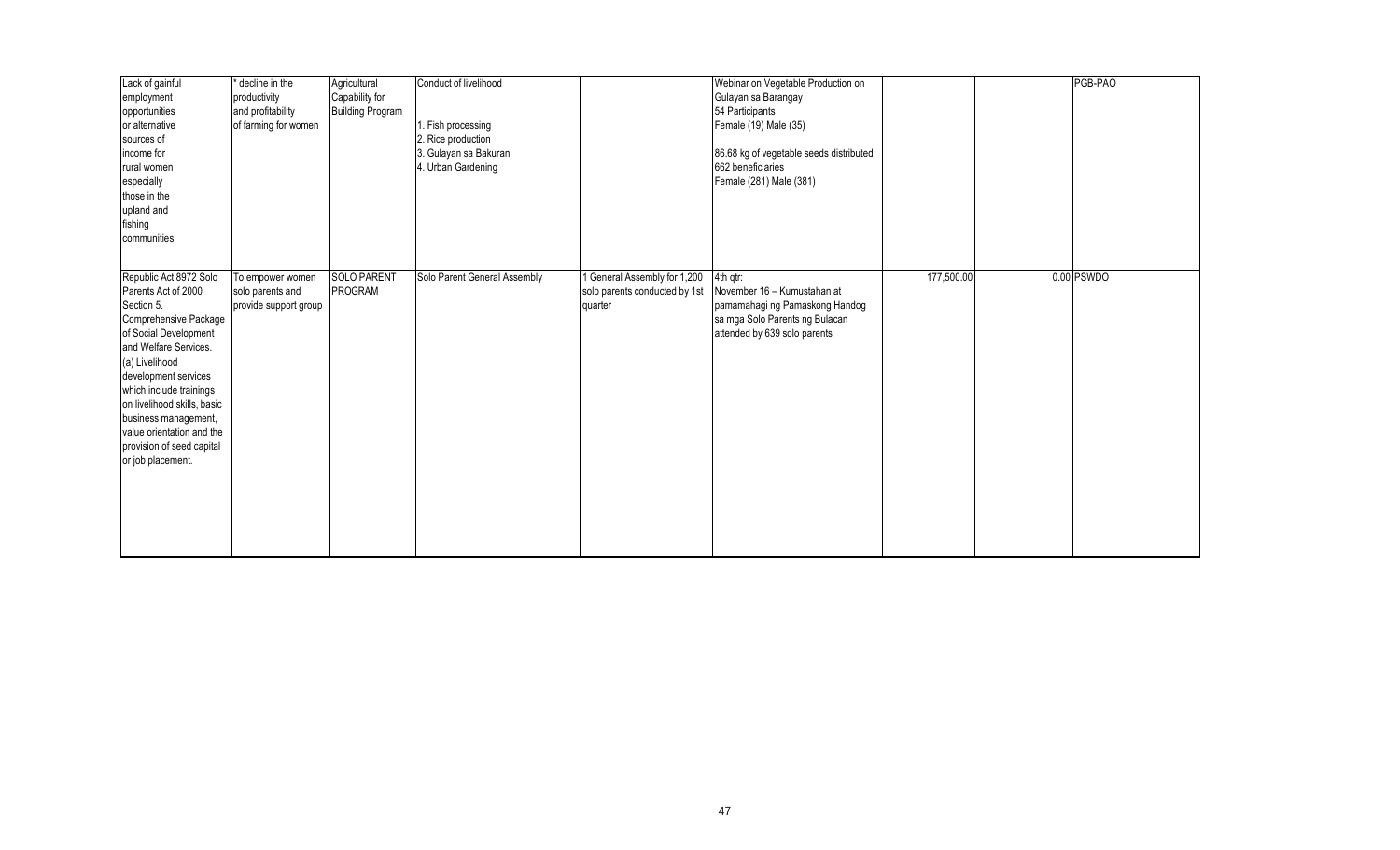| Lack of gainful             | decline in the        | Agricultural            | Conduct of livelihood        |                               | Webinar on Vegetable Production on      |            | PGB-PAO    |
|-----------------------------|-----------------------|-------------------------|------------------------------|-------------------------------|-----------------------------------------|------------|------------|
| employment                  | productivity          | Capability for          |                              |                               | Gulayan sa Barangay                     |            |            |
| opportunities               | and profitability     | <b>Building Program</b> |                              |                               | 54 Participants                         |            |            |
| or alternative              | of farming for women  |                         | . Fish processing            |                               | Female (19) Male (35)                   |            |            |
| sources of                  |                       |                         | 2. Rice production           |                               |                                         |            |            |
| income for                  |                       |                         | 3. Gulayan sa Bakuran        |                               | 86.68 kg of vegetable seeds distributed |            |            |
| rural women                 |                       |                         | 4. Urban Gardening           |                               | 662 beneficiaries                       |            |            |
| especially                  |                       |                         |                              |                               | Female (281) Male (381)                 |            |            |
| those in the                |                       |                         |                              |                               |                                         |            |            |
| upland and                  |                       |                         |                              |                               |                                         |            |            |
| fishing                     |                       |                         |                              |                               |                                         |            |            |
| communities                 |                       |                         |                              |                               |                                         |            |            |
|                             |                       |                         |                              |                               |                                         |            |            |
| Republic Act 8972 Solo      | To empower women      | <b>SOLO PARENT</b>      | Solo Parent General Assembly | General Assembly for 1,200    | 4th qtr:                                | 177,500.00 | 0.00 PSWDO |
| Parents Act of 2000         | solo parents and      | PROGRAM                 |                              | solo parents conducted by 1st | November 16 - Kumustahan at             |            |            |
| Section 5.                  | provide support group |                         |                              | quarter                       | pamamahagi ng Pamaskong Handog          |            |            |
| Comprehensive Package       |                       |                         |                              |                               | sa mga Solo Parents ng Bulacan          |            |            |
| of Social Development       |                       |                         |                              |                               | attended by 639 solo parents            |            |            |
| and Welfare Services.       |                       |                         |                              |                               |                                         |            |            |
| (a) Livelihood              |                       |                         |                              |                               |                                         |            |            |
| development services        |                       |                         |                              |                               |                                         |            |            |
| which include trainings     |                       |                         |                              |                               |                                         |            |            |
| on livelihood skills, basic |                       |                         |                              |                               |                                         |            |            |
| business management,        |                       |                         |                              |                               |                                         |            |            |
| value orientation and the   |                       |                         |                              |                               |                                         |            |            |
| provision of seed capital   |                       |                         |                              |                               |                                         |            |            |
| or job placement.           |                       |                         |                              |                               |                                         |            |            |
|                             |                       |                         |                              |                               |                                         |            |            |
|                             |                       |                         |                              |                               |                                         |            |            |
|                             |                       |                         |                              |                               |                                         |            |            |
|                             |                       |                         |                              |                               |                                         |            |            |
|                             |                       |                         |                              |                               |                                         |            |            |
|                             |                       |                         |                              |                               |                                         |            |            |
|                             |                       |                         |                              |                               |                                         |            |            |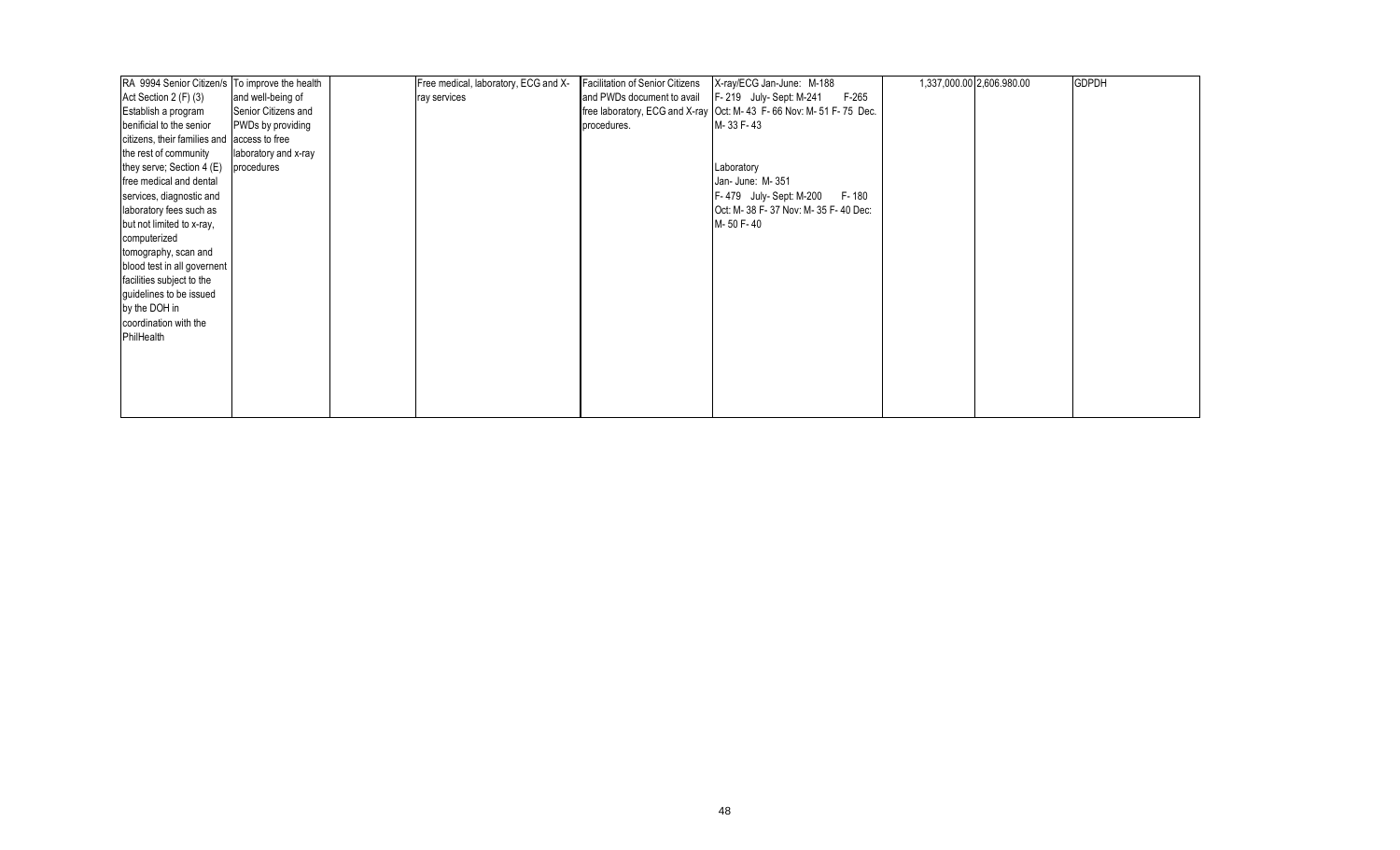| RA 9994 Senior Citizen/s To improve the health |                      | Free medical, laboratory, ECG and X- | Facilitation of Senior Citizens | X-ray/ECG Jan-June: M-188                                           | 1,337,000.00 2,606.980.00 | <b>GDPDH</b> |
|------------------------------------------------|----------------------|--------------------------------------|---------------------------------|---------------------------------------------------------------------|---------------------------|--------------|
| Act Section 2 (F) (3)                          | and well-being of    | ray services                         | and PWDs document to avail      | F-219 July-Sept: M-241<br>$F-265$                                   |                           |              |
| Establish a program                            | Senior Citizens and  |                                      |                                 | free laboratory, ECG and X-ray   Oct: M-43 F-66 Nov: M-51 F-75 Dec. |                           |              |
| benificial to the senior                       | PWDs by providing    |                                      | procedures.                     | M-33 F-43                                                           |                           |              |
| citizens, their families and access to free    |                      |                                      |                                 |                                                                     |                           |              |
| the rest of community                          | laboratory and x-ray |                                      |                                 |                                                                     |                           |              |
| they serve; Section 4 (E)                      | procedures           |                                      |                                 | Laboratory                                                          |                           |              |
| free medical and dental                        |                      |                                      |                                 | Jan- June: M-351                                                    |                           |              |
| services, diagnostic and                       |                      |                                      |                                 | F-180<br>F-479 July-Sept: M-200                                     |                           |              |
| laboratory fees such as                        |                      |                                      |                                 | Oct: M-38 F-37 Nov: M-35 F-40 Dec:                                  |                           |              |
| but not limited to x-ray,                      |                      |                                      |                                 | M-50 F-40                                                           |                           |              |
| computerized                                   |                      |                                      |                                 |                                                                     |                           |              |
| tomography, scan and                           |                      |                                      |                                 |                                                                     |                           |              |
| blood test in all governent                    |                      |                                      |                                 |                                                                     |                           |              |
| facilities subject to the                      |                      |                                      |                                 |                                                                     |                           |              |
| guidelines to be issued                        |                      |                                      |                                 |                                                                     |                           |              |
| by the DOH in                                  |                      |                                      |                                 |                                                                     |                           |              |
| coordination with the                          |                      |                                      |                                 |                                                                     |                           |              |
| PhilHealth                                     |                      |                                      |                                 |                                                                     |                           |              |
|                                                |                      |                                      |                                 |                                                                     |                           |              |
|                                                |                      |                                      |                                 |                                                                     |                           |              |
|                                                |                      |                                      |                                 |                                                                     |                           |              |
|                                                |                      |                                      |                                 |                                                                     |                           |              |
|                                                |                      |                                      |                                 |                                                                     |                           |              |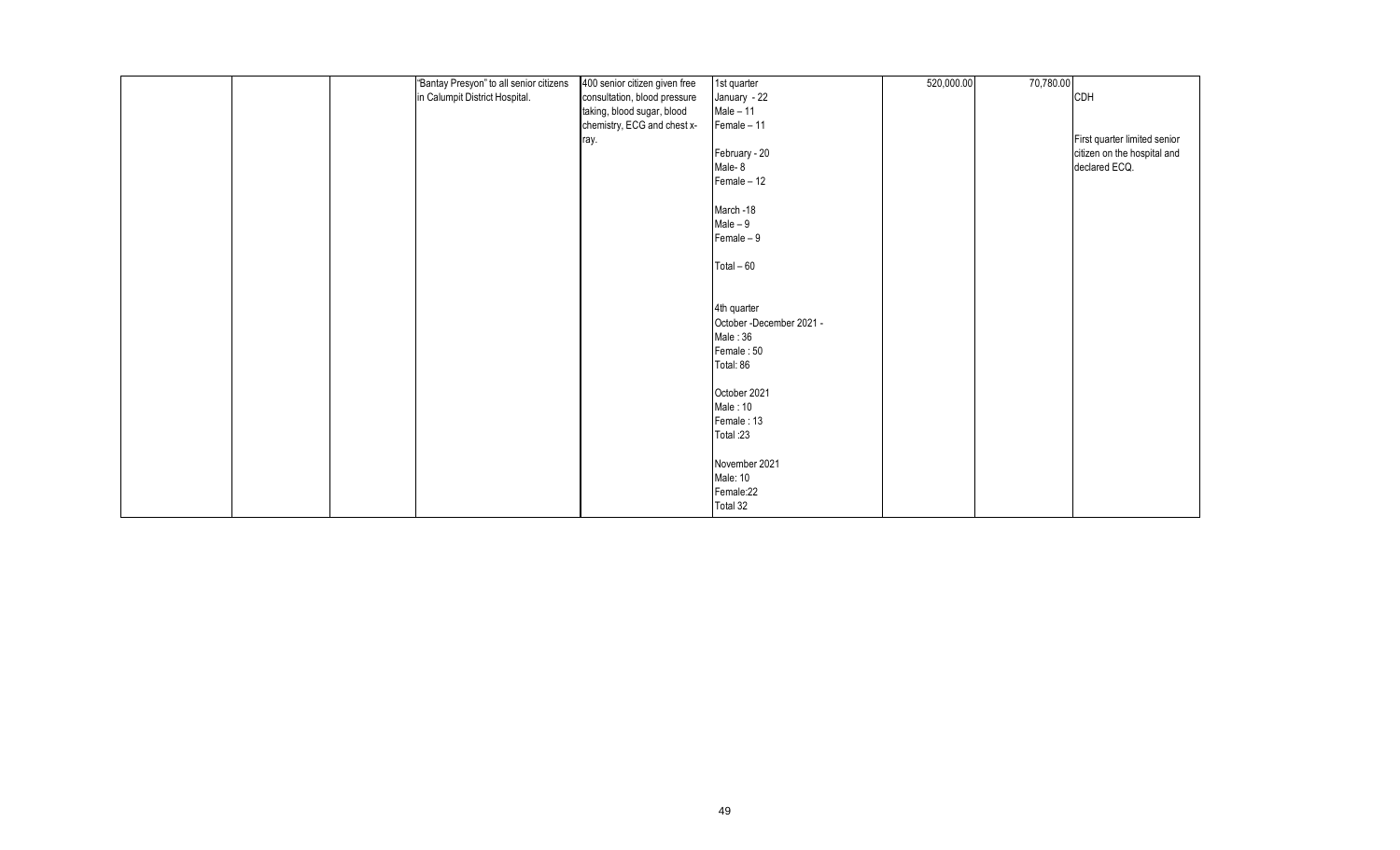|  | "Bantay Presyon" to all senior citizens | 400 senior citizen given free | 1st quarter              | 520,000.00 | 70,780.00 |                              |
|--|-----------------------------------------|-------------------------------|--------------------------|------------|-----------|------------------------------|
|  | in Calumpit District Hospital.          | consultation, blood pressure  | January - 22             |            |           | CDH                          |
|  |                                         | taking, blood sugar, blood    | $Male - 11$              |            |           |                              |
|  |                                         | chemistry, ECG and chest x-   | Female - 11              |            |           |                              |
|  |                                         | ray.                          |                          |            |           | First quarter limited senior |
|  |                                         |                               | February - 20            |            |           | citizen on the hospital and  |
|  |                                         |                               | Male-8                   |            |           | declared ECQ.                |
|  |                                         |                               | Female $-12$             |            |           |                              |
|  |                                         |                               | March -18                |            |           |                              |
|  |                                         |                               | $Male - 9$               |            |           |                              |
|  |                                         |                               | Female $-9$              |            |           |                              |
|  |                                         |                               | Total $-60$              |            |           |                              |
|  |                                         |                               | 4th quarter              |            |           |                              |
|  |                                         |                               | October -December 2021 - |            |           |                              |
|  |                                         |                               | Male: 36                 |            |           |                              |
|  |                                         |                               | Female: 50               |            |           |                              |
|  |                                         |                               | Total: 86                |            |           |                              |
|  |                                         |                               | October 2021             |            |           |                              |
|  |                                         |                               | Male: 10                 |            |           |                              |
|  |                                         |                               | Female: 13               |            |           |                              |
|  |                                         |                               | Total:23                 |            |           |                              |
|  |                                         |                               | November 2021            |            |           |                              |
|  |                                         |                               | Male: 10                 |            |           |                              |
|  |                                         |                               | Female:22                |            |           |                              |
|  |                                         |                               | Total 32                 |            |           |                              |
|  |                                         |                               |                          |            |           |                              |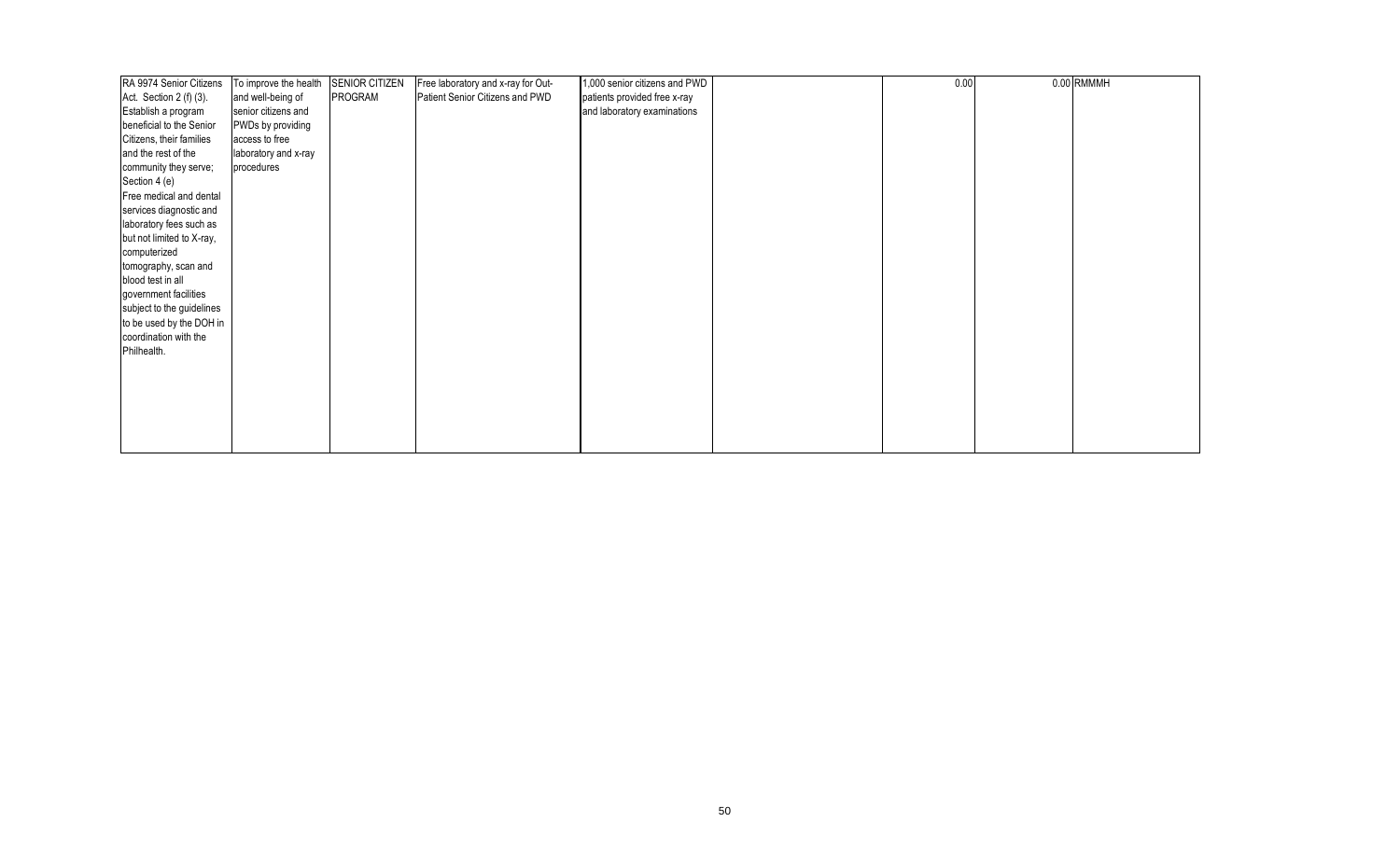| RA 9974 Senior Citizens                                                                                                                                                                                          | To improve the health | <b>SENIOR CITIZEN</b> | Free laboratory and x-ray for Out- | 1,000 senior citizens and PWD | 0.00 | 0.00 RMMMH |
|------------------------------------------------------------------------------------------------------------------------------------------------------------------------------------------------------------------|-----------------------|-----------------------|------------------------------------|-------------------------------|------|------------|
| Act. Section $2(f)(3)$ .                                                                                                                                                                                         | and well-being of     | PROGRAM               | Patient Senior Citizens and PWD    | patients provided free x-ray  |      |            |
| Establish a program                                                                                                                                                                                              | senior citizens and   |                       |                                    | and laboratory examinations   |      |            |
| beneficial to the Senior                                                                                                                                                                                         | PWDs by providing     |                       |                                    |                               |      |            |
| Citizens, their families                                                                                                                                                                                         | access to free        |                       |                                    |                               |      |            |
| and the rest of the                                                                                                                                                                                              | laboratory and x-ray  |                       |                                    |                               |      |            |
| community they serve;                                                                                                                                                                                            | procedures            |                       |                                    |                               |      |            |
| Section 4 (e)                                                                                                                                                                                                    |                       |                       |                                    |                               |      |            |
| Free medical and dental                                                                                                                                                                                          |                       |                       |                                    |                               |      |            |
| services diagnostic and                                                                                                                                                                                          |                       |                       |                                    |                               |      |            |
| laboratory fees such as                                                                                                                                                                                          |                       |                       |                                    |                               |      |            |
|                                                                                                                                                                                                                  |                       |                       |                                    |                               |      |            |
|                                                                                                                                                                                                                  |                       |                       |                                    |                               |      |            |
|                                                                                                                                                                                                                  |                       |                       |                                    |                               |      |            |
|                                                                                                                                                                                                                  |                       |                       |                                    |                               |      |            |
|                                                                                                                                                                                                                  |                       |                       |                                    |                               |      |            |
|                                                                                                                                                                                                                  |                       |                       |                                    |                               |      |            |
|                                                                                                                                                                                                                  |                       |                       |                                    |                               |      |            |
|                                                                                                                                                                                                                  |                       |                       |                                    |                               |      |            |
|                                                                                                                                                                                                                  |                       |                       |                                    |                               |      |            |
|                                                                                                                                                                                                                  |                       |                       |                                    |                               |      |            |
|                                                                                                                                                                                                                  |                       |                       |                                    |                               |      |            |
|                                                                                                                                                                                                                  |                       |                       |                                    |                               |      |            |
|                                                                                                                                                                                                                  |                       |                       |                                    |                               |      |            |
|                                                                                                                                                                                                                  |                       |                       |                                    |                               |      |            |
|                                                                                                                                                                                                                  |                       |                       |                                    |                               |      |            |
| but not limited to X-ray,<br>computerized<br>tomography, scan and<br>blood test in all<br>government facilities<br>subject to the guidelines<br>to be used by the DOH in<br>coordination with the<br>Philhealth. |                       |                       |                                    |                               |      |            |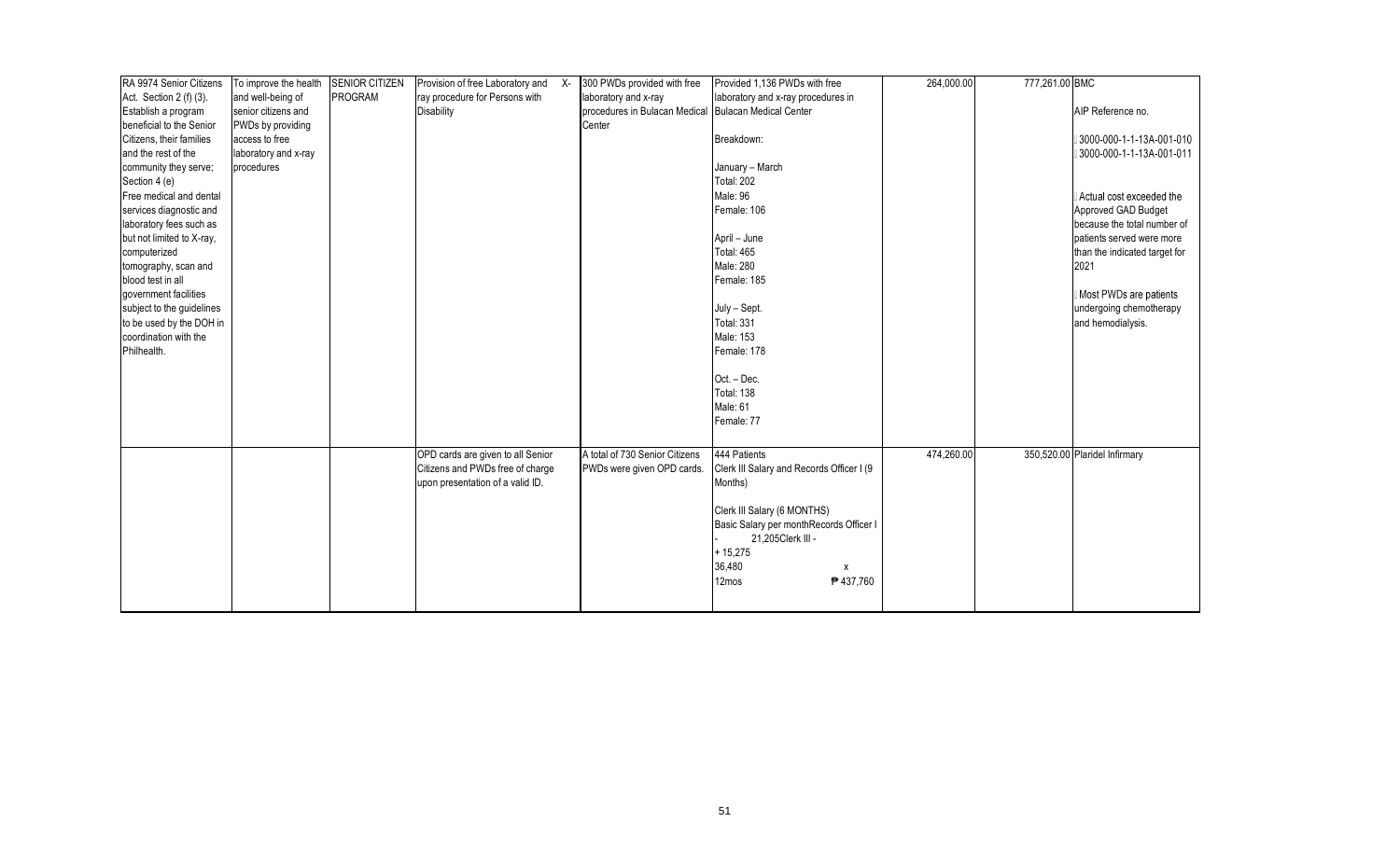| RA 9974 Senior Citizens   | To improve the health | <b>SENIOR CITIZEN</b> | Provision of free Laboratory and X- | 300 PWDs provided with free    | Provided 1,136 PWDs with free             | 264,000.00 | 777,261.00 BMC |                               |
|---------------------------|-----------------------|-----------------------|-------------------------------------|--------------------------------|-------------------------------------------|------------|----------------|-------------------------------|
| Act. Section 2 (f) (3).   | and well-being of     | PROGRAM               | ray procedure for Persons with      | laboratory and x-ray           | laboratory and x-ray procedures in        |            |                |                               |
| Establish a program       | senior citizens and   |                       | <b>Disability</b>                   | procedures in Bulacan Medical  | <b>Bulacan Medical Center</b>             |            |                | AIP Reference no.             |
| beneficial to the Senior  | PWDs by providing     |                       |                                     | Center                         |                                           |            |                |                               |
| Citizens, their families  | access to free        |                       |                                     |                                | Breakdown:                                |            |                | 3000-000-1-1-13A-001-010      |
| and the rest of the       | laboratory and x-ray  |                       |                                     |                                |                                           |            |                | 3000-000-1-1-13A-001-011      |
| community they serve;     | procedures            |                       |                                     |                                | January - March                           |            |                |                               |
| Section 4 (e)             |                       |                       |                                     |                                | <b>Total: 202</b>                         |            |                |                               |
| Free medical and dental   |                       |                       |                                     |                                | Male: 96                                  |            |                | Actual cost exceeded the      |
| services diagnostic and   |                       |                       |                                     |                                | Female: 106                               |            |                | Approved GAD Budget           |
| laboratory fees such as   |                       |                       |                                     |                                |                                           |            |                | because the total number of   |
| but not limited to X-ray, |                       |                       |                                     |                                | April - June                              |            |                | patients served were more     |
| computerized              |                       |                       |                                     |                                | <b>Total: 465</b>                         |            |                | than the indicated target for |
| tomography, scan and      |                       |                       |                                     |                                | Male: 280                                 |            |                | 2021                          |
| blood test in all         |                       |                       |                                     |                                | Female: 185                               |            |                |                               |
| government facilities     |                       |                       |                                     |                                |                                           |            |                | Most PWDs are patients        |
| subject to the guidelines |                       |                       |                                     |                                | July - Sept.                              |            |                | undergoing chemotherapy       |
| to be used by the DOH in  |                       |                       |                                     |                                | <b>Total: 331</b>                         |            |                | and hemodialysis.             |
| coordination with the     |                       |                       |                                     |                                | Male: 153                                 |            |                |                               |
| Philhealth.               |                       |                       |                                     |                                | Female: 178                               |            |                |                               |
|                           |                       |                       |                                     |                                |                                           |            |                |                               |
|                           |                       |                       |                                     |                                | Oct - Dec.                                |            |                |                               |
|                           |                       |                       |                                     |                                | Total: 138                                |            |                |                               |
|                           |                       |                       |                                     |                                | Male: 61                                  |            |                |                               |
|                           |                       |                       |                                     |                                | Female: 77                                |            |                |                               |
|                           |                       |                       |                                     |                                |                                           |            |                |                               |
|                           |                       |                       | OPD cards are given to all Senior   | A total of 730 Senior Citizens | 444 Patients                              | 474,260.00 |                | 350,520.00 Plaridel Infirmary |
|                           |                       |                       | Citizens and PWDs free of charge    | PWDs were given OPD cards.     | Clerk III Salary and Records Officer I (9 |            |                |                               |
|                           |                       |                       | upon presentation of a valid ID.    |                                | Months)                                   |            |                |                               |
|                           |                       |                       |                                     |                                |                                           |            |                |                               |
|                           |                       |                       |                                     |                                | Clerk III Salary (6 MONTHS)               |            |                |                               |
|                           |                       |                       |                                     |                                | Basic Salary per monthRecords Officer I   |            |                |                               |
|                           |                       |                       |                                     |                                | 21,205Clerk III -                         |            |                |                               |
|                           |                       |                       |                                     |                                | $+15,275$                                 |            |                |                               |
|                           |                       |                       |                                     |                                | 36,480<br>X                               |            |                |                               |
|                           |                       |                       |                                     |                                | 12mos<br>₱437,760                         |            |                |                               |
|                           |                       |                       |                                     |                                |                                           |            |                |                               |
|                           |                       |                       |                                     |                                |                                           |            |                |                               |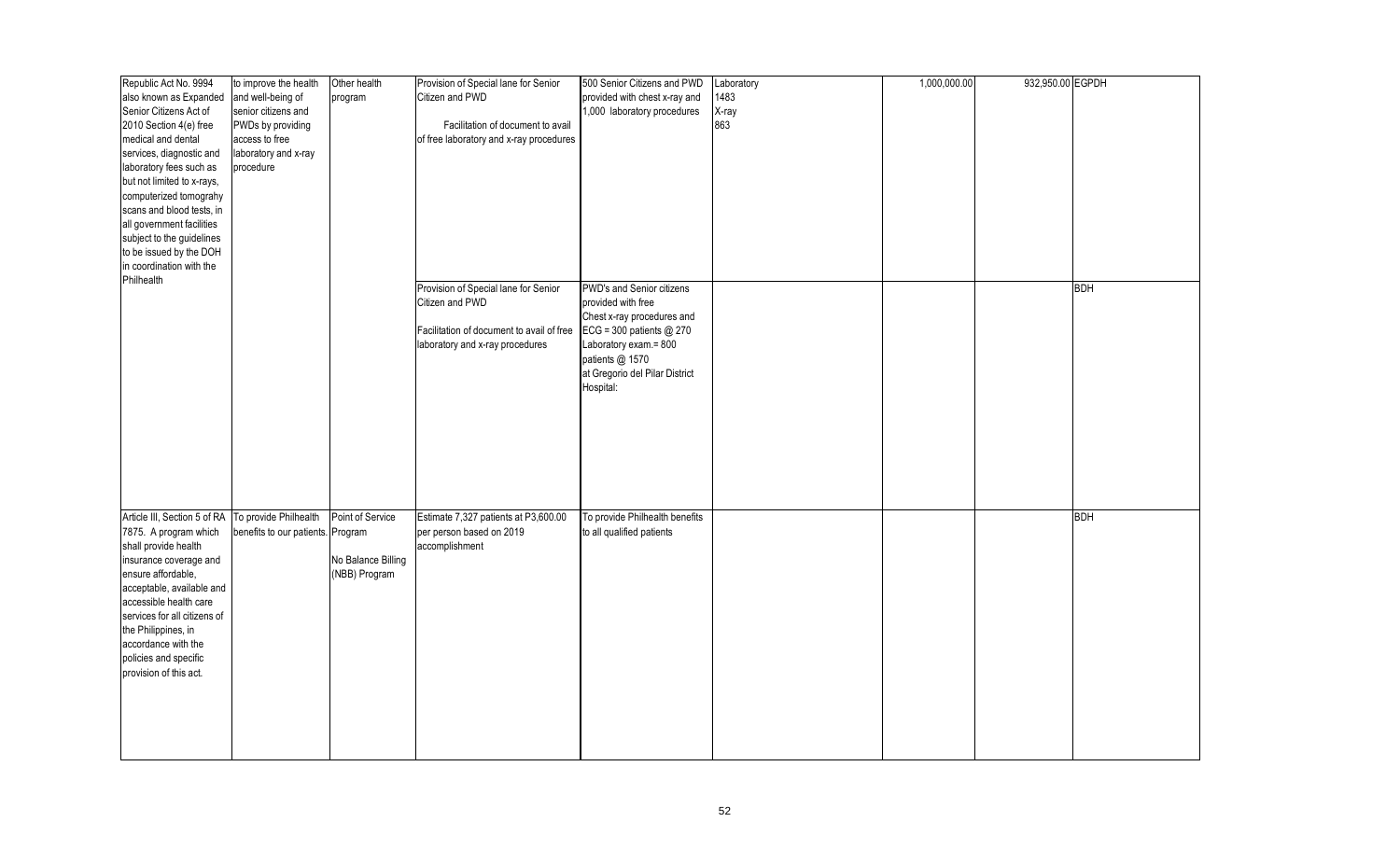| Republic Act No. 9994                              | to improve the health             | Other health       | Provision of Special lane for Senior      | 500 Senior Citizens and PWD    | Laboratory | 1,000,000.00 | 932,950.00 EGPDH |            |
|----------------------------------------------------|-----------------------------------|--------------------|-------------------------------------------|--------------------------------|------------|--------------|------------------|------------|
| also known as Expanded                             | and well-being of                 | program            | Citizen and PWD                           | provided with chest x-ray and  | 1483       |              |                  |            |
| Senior Citizens Act of                             | senior citizens and               |                    |                                           | 1,000 laboratory procedures    | X-ray      |              |                  |            |
| 2010 Section 4(e) free                             | PWDs by providing                 |                    | Facilitation of document to avail         |                                | 863        |              |                  |            |
|                                                    |                                   |                    |                                           |                                |            |              |                  |            |
| medical and dental                                 | access to free                    |                    | of free laboratory and x-ray procedures   |                                |            |              |                  |            |
| services, diagnostic and                           | laboratory and x-ray              |                    |                                           |                                |            |              |                  |            |
| laboratory fees such as                            | procedure                         |                    |                                           |                                |            |              |                  |            |
| but not limited to x-rays,                         |                                   |                    |                                           |                                |            |              |                  |            |
| computerized tomograhy                             |                                   |                    |                                           |                                |            |              |                  |            |
| scans and blood tests, in                          |                                   |                    |                                           |                                |            |              |                  |            |
| all government facilities                          |                                   |                    |                                           |                                |            |              |                  |            |
| subject to the guidelines                          |                                   |                    |                                           |                                |            |              |                  |            |
| to be issued by the DOH                            |                                   |                    |                                           |                                |            |              |                  |            |
| in coordination with the                           |                                   |                    |                                           |                                |            |              |                  |            |
| Philhealth                                         |                                   |                    |                                           |                                |            |              |                  |            |
|                                                    |                                   |                    | Provision of Special lane for Senior      | PWD's and Senior citizens      |            |              |                  | <b>BDH</b> |
|                                                    |                                   |                    | Citizen and PWD                           | provided with free             |            |              |                  |            |
|                                                    |                                   |                    |                                           | Chest x-ray procedures and     |            |              |                  |            |
|                                                    |                                   |                    | Facilitation of document to avail of free | ECG = 300 patients @ 270       |            |              |                  |            |
|                                                    |                                   |                    | laboratory and x-ray procedures           | Laboratory exam.= 800          |            |              |                  |            |
|                                                    |                                   |                    |                                           | patients @ 1570                |            |              |                  |            |
|                                                    |                                   |                    |                                           | at Gregorio del Pilar District |            |              |                  |            |
|                                                    |                                   |                    |                                           | Hospital:                      |            |              |                  |            |
|                                                    |                                   |                    |                                           |                                |            |              |                  |            |
|                                                    |                                   |                    |                                           |                                |            |              |                  |            |
|                                                    |                                   |                    |                                           |                                |            |              |                  |            |
|                                                    |                                   |                    |                                           |                                |            |              |                  |            |
|                                                    |                                   |                    |                                           |                                |            |              |                  |            |
|                                                    |                                   |                    |                                           |                                |            |              |                  |            |
|                                                    |                                   |                    |                                           |                                |            |              |                  |            |
|                                                    |                                   |                    |                                           |                                |            |              |                  |            |
| Article III, Section 5 of RA To provide Philhealth |                                   | Point of Service   | Estimate 7,327 patients at P3,600.00      | To provide Philhealth benefits |            |              |                  | <b>BDH</b> |
|                                                    |                                   |                    |                                           |                                |            |              |                  |            |
| 7875. A program which                              | benefits to our patients. Program |                    | per person based on 2019                  | to all qualified patients      |            |              |                  |            |
| shall provide health                               |                                   |                    | accomplishment                            |                                |            |              |                  |            |
| insurance coverage and                             |                                   | No Balance Billing |                                           |                                |            |              |                  |            |
| ensure affordable,                                 |                                   | (NBB) Program      |                                           |                                |            |              |                  |            |
| acceptable, available and                          |                                   |                    |                                           |                                |            |              |                  |            |
| accessible health care                             |                                   |                    |                                           |                                |            |              |                  |            |
| services for all citizens of                       |                                   |                    |                                           |                                |            |              |                  |            |
| the Philippines, in                                |                                   |                    |                                           |                                |            |              |                  |            |
| accordance with the                                |                                   |                    |                                           |                                |            |              |                  |            |
| policies and specific                              |                                   |                    |                                           |                                |            |              |                  |            |
| provision of this act.                             |                                   |                    |                                           |                                |            |              |                  |            |
|                                                    |                                   |                    |                                           |                                |            |              |                  |            |
|                                                    |                                   |                    |                                           |                                |            |              |                  |            |
|                                                    |                                   |                    |                                           |                                |            |              |                  |            |
|                                                    |                                   |                    |                                           |                                |            |              |                  |            |
|                                                    |                                   |                    |                                           |                                |            |              |                  |            |
|                                                    |                                   |                    |                                           |                                |            |              |                  |            |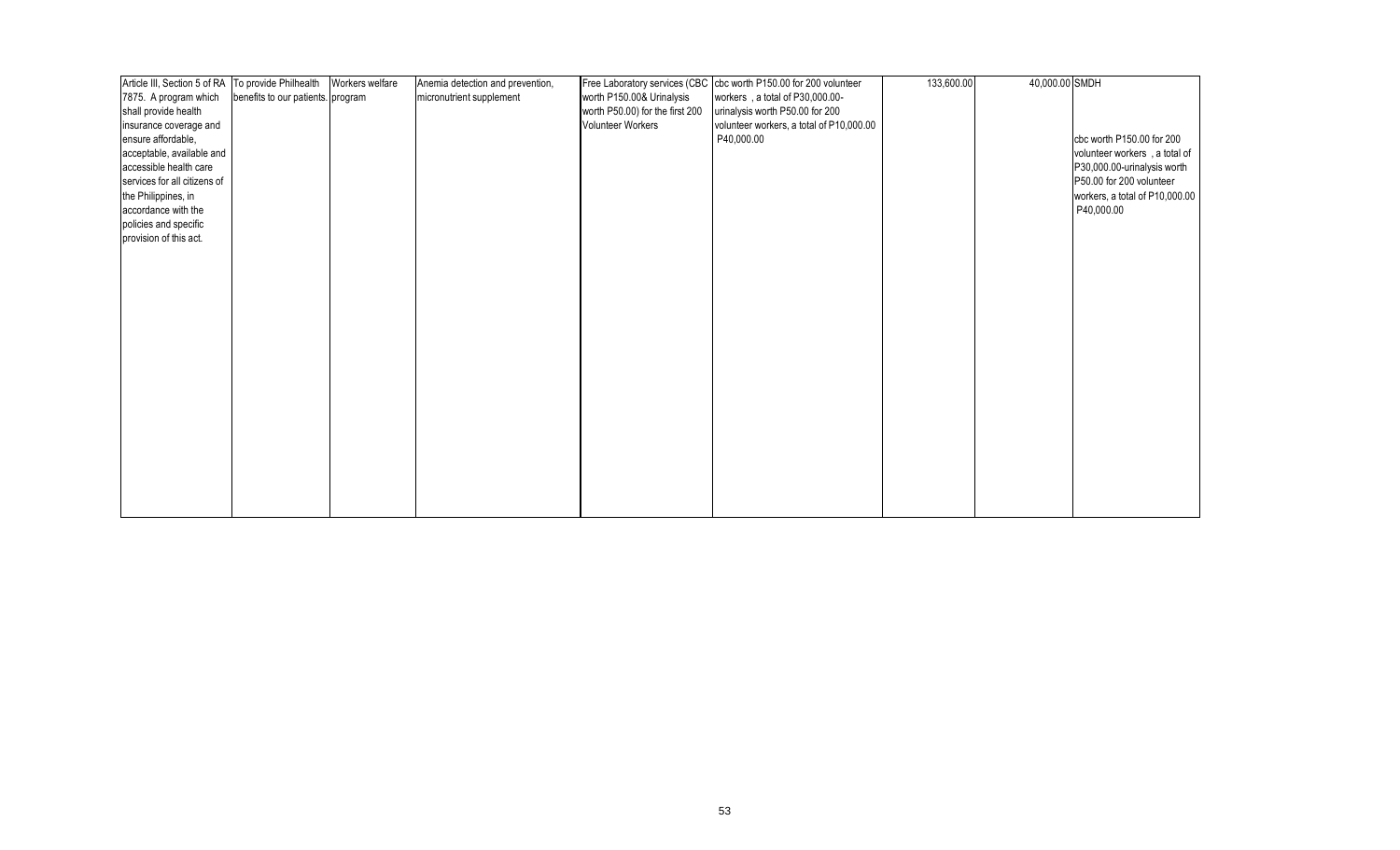| Article III, Section 5 of RA   To provide Philhealth |                                   | Workers welfare | Anemia detection and prevention, |                                 | Free Laboratory services (CBC cbc worth P150.00 for 200 volunteer | 133,600.00 | 40,000.00 SMDH |                                |
|------------------------------------------------------|-----------------------------------|-----------------|----------------------------------|---------------------------------|-------------------------------------------------------------------|------------|----------------|--------------------------------|
| 7875. A program which                                | benefits to our patients. program |                 | micronutrient supplement         | worth P150.00& Urinalysis       | workers, a total of P30,000.00-                                   |            |                |                                |
| shall provide health                                 |                                   |                 |                                  | worth P50.00) for the first 200 | urinalysis worth P50.00 for 200                                   |            |                |                                |
| insurance coverage and                               |                                   |                 |                                  | <b>Volunteer Workers</b>        | volunteer workers, a total of P10,000.00                          |            |                |                                |
| ensure affordable,                                   |                                   |                 |                                  |                                 | P40,000.00                                                        |            |                | cbc worth P150.00 for 200      |
| acceptable, available and                            |                                   |                 |                                  |                                 |                                                                   |            |                | volunteer workers, a total of  |
| accessible health care                               |                                   |                 |                                  |                                 |                                                                   |            |                | P30,000.00-urinalysis worth    |
| services for all citizens of                         |                                   |                 |                                  |                                 |                                                                   |            |                | P50.00 for 200 volunteer       |
| the Philippines, in                                  |                                   |                 |                                  |                                 |                                                                   |            |                | workers, a total of P10,000.00 |
| accordance with the                                  |                                   |                 |                                  |                                 |                                                                   |            |                | P40,000.00                     |
| policies and specific                                |                                   |                 |                                  |                                 |                                                                   |            |                |                                |
| provision of this act.                               |                                   |                 |                                  |                                 |                                                                   |            |                |                                |
|                                                      |                                   |                 |                                  |                                 |                                                                   |            |                |                                |
|                                                      |                                   |                 |                                  |                                 |                                                                   |            |                |                                |
|                                                      |                                   |                 |                                  |                                 |                                                                   |            |                |                                |
|                                                      |                                   |                 |                                  |                                 |                                                                   |            |                |                                |
|                                                      |                                   |                 |                                  |                                 |                                                                   |            |                |                                |
|                                                      |                                   |                 |                                  |                                 |                                                                   |            |                |                                |
|                                                      |                                   |                 |                                  |                                 |                                                                   |            |                |                                |
|                                                      |                                   |                 |                                  |                                 |                                                                   |            |                |                                |
|                                                      |                                   |                 |                                  |                                 |                                                                   |            |                |                                |
|                                                      |                                   |                 |                                  |                                 |                                                                   |            |                |                                |
|                                                      |                                   |                 |                                  |                                 |                                                                   |            |                |                                |
|                                                      |                                   |                 |                                  |                                 |                                                                   |            |                |                                |
|                                                      |                                   |                 |                                  |                                 |                                                                   |            |                |                                |
|                                                      |                                   |                 |                                  |                                 |                                                                   |            |                |                                |
|                                                      |                                   |                 |                                  |                                 |                                                                   |            |                |                                |
|                                                      |                                   |                 |                                  |                                 |                                                                   |            |                |                                |
|                                                      |                                   |                 |                                  |                                 |                                                                   |            |                |                                |
|                                                      |                                   |                 |                                  |                                 |                                                                   |            |                |                                |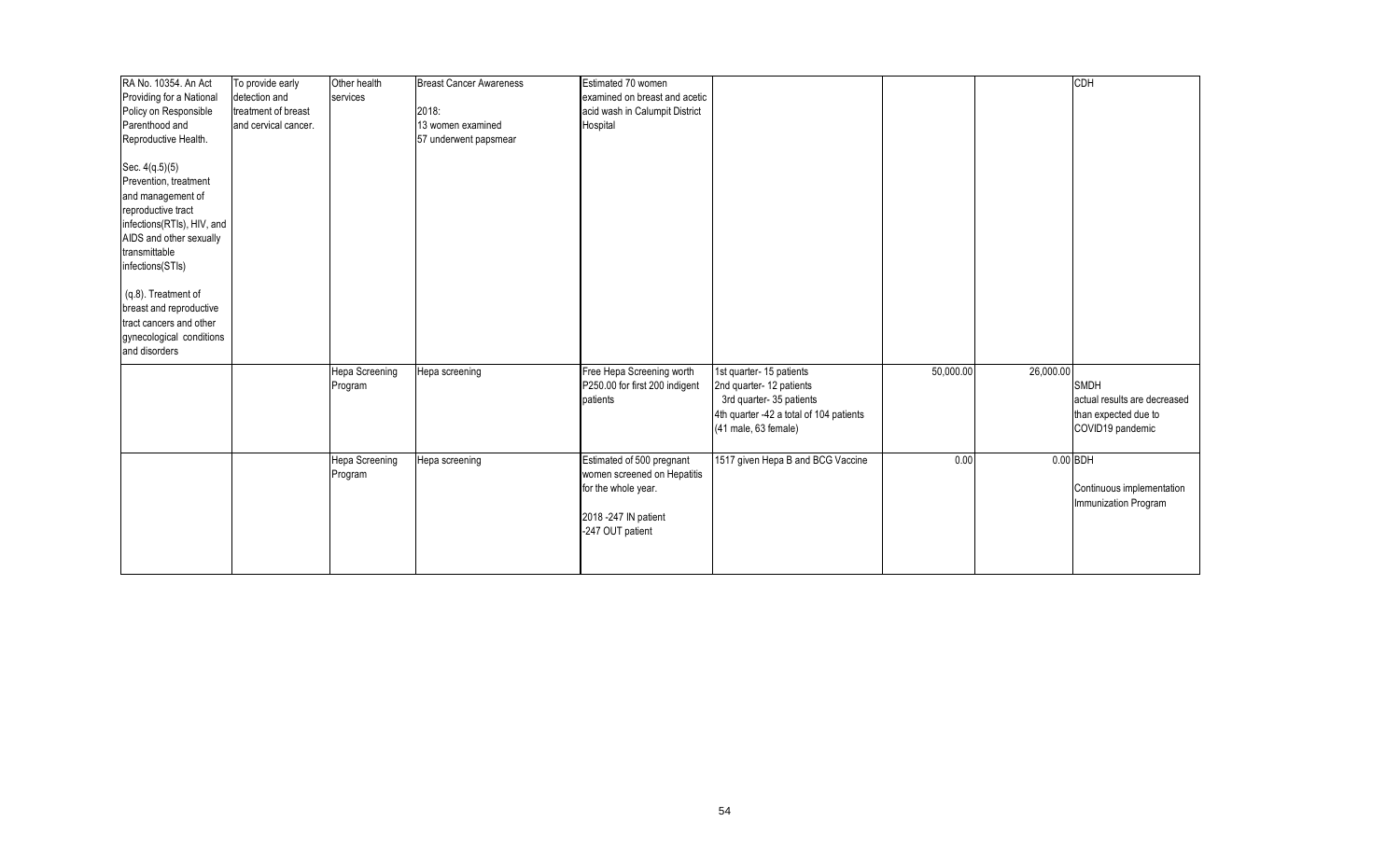| RA No. 10354. An Act       | To provide early     | Other health   | <b>Breast Cancer Awareness</b> | Estimated 70 women             |                                         |           |            | <b>CDH</b>                   |
|----------------------------|----------------------|----------------|--------------------------------|--------------------------------|-----------------------------------------|-----------|------------|------------------------------|
| Providing for a National   | detection and        | services       |                                | examined on breast and acetic  |                                         |           |            |                              |
| Policy on Responsible      | treatment of breast  |                | 2018:                          | acid wash in Calumpit District |                                         |           |            |                              |
| Parenthood and             | and cervical cancer. |                | 13 women examined              | Hospital                       |                                         |           |            |                              |
| Reproductive Health.       |                      |                | 57 underwent papsmear          |                                |                                         |           |            |                              |
|                            |                      |                |                                |                                |                                         |           |            |                              |
| Sec. 4(q.5)(5)             |                      |                |                                |                                |                                         |           |            |                              |
| Prevention, treatment      |                      |                |                                |                                |                                         |           |            |                              |
| and management of          |                      |                |                                |                                |                                         |           |            |                              |
| reproductive tract         |                      |                |                                |                                |                                         |           |            |                              |
| infections(RTIs), HIV, and |                      |                |                                |                                |                                         |           |            |                              |
| AIDS and other sexually    |                      |                |                                |                                |                                         |           |            |                              |
| transmittable              |                      |                |                                |                                |                                         |           |            |                              |
| infections(STIs)           |                      |                |                                |                                |                                         |           |            |                              |
|                            |                      |                |                                |                                |                                         |           |            |                              |
| (q.8). Treatment of        |                      |                |                                |                                |                                         |           |            |                              |
| breast and reproductive    |                      |                |                                |                                |                                         |           |            |                              |
| tract cancers and other    |                      |                |                                |                                |                                         |           |            |                              |
| gynecological conditions   |                      |                |                                |                                |                                         |           |            |                              |
| and disorders              |                      |                |                                |                                |                                         |           |            |                              |
|                            |                      |                |                                |                                |                                         |           |            |                              |
|                            |                      | Hepa Screening | Hepa screening                 | Free Hepa Screening worth      | 1st quarter- 15 patients                | 50,000.00 | 26,000.00  |                              |
|                            |                      | Program        |                                | P250.00 for first 200 indigent | 2nd quarter- 12 patients                |           |            | <b>SMDH</b>                  |
|                            |                      |                |                                | patients                       | 3rd quarter-35 patients                 |           |            | actual results are decreased |
|                            |                      |                |                                |                                | 4th quarter -42 a total of 104 patients |           |            | than expected due to         |
|                            |                      |                |                                |                                | (41 male, 63 female)                    |           |            | COVID19 pandemic             |
|                            |                      |                |                                |                                |                                         |           |            |                              |
|                            |                      | Hepa Screening | Hepa screening                 | Estimated of 500 pregnant      | 1517 given Hepa B and BCG Vaccine       | 0.00      | $0.00$ BDH |                              |
|                            |                      | Program        |                                | women screened on Hepatitis    |                                         |           |            |                              |
|                            |                      |                |                                | for the whole year.            |                                         |           |            | Continuous implementation    |
|                            |                      |                |                                |                                |                                         |           |            | Immunization Program         |
|                            |                      |                |                                | 2018 - 247 IN patient          |                                         |           |            |                              |
|                            |                      |                |                                | -247 OUT patient               |                                         |           |            |                              |
|                            |                      |                |                                |                                |                                         |           |            |                              |
|                            |                      |                |                                |                                |                                         |           |            |                              |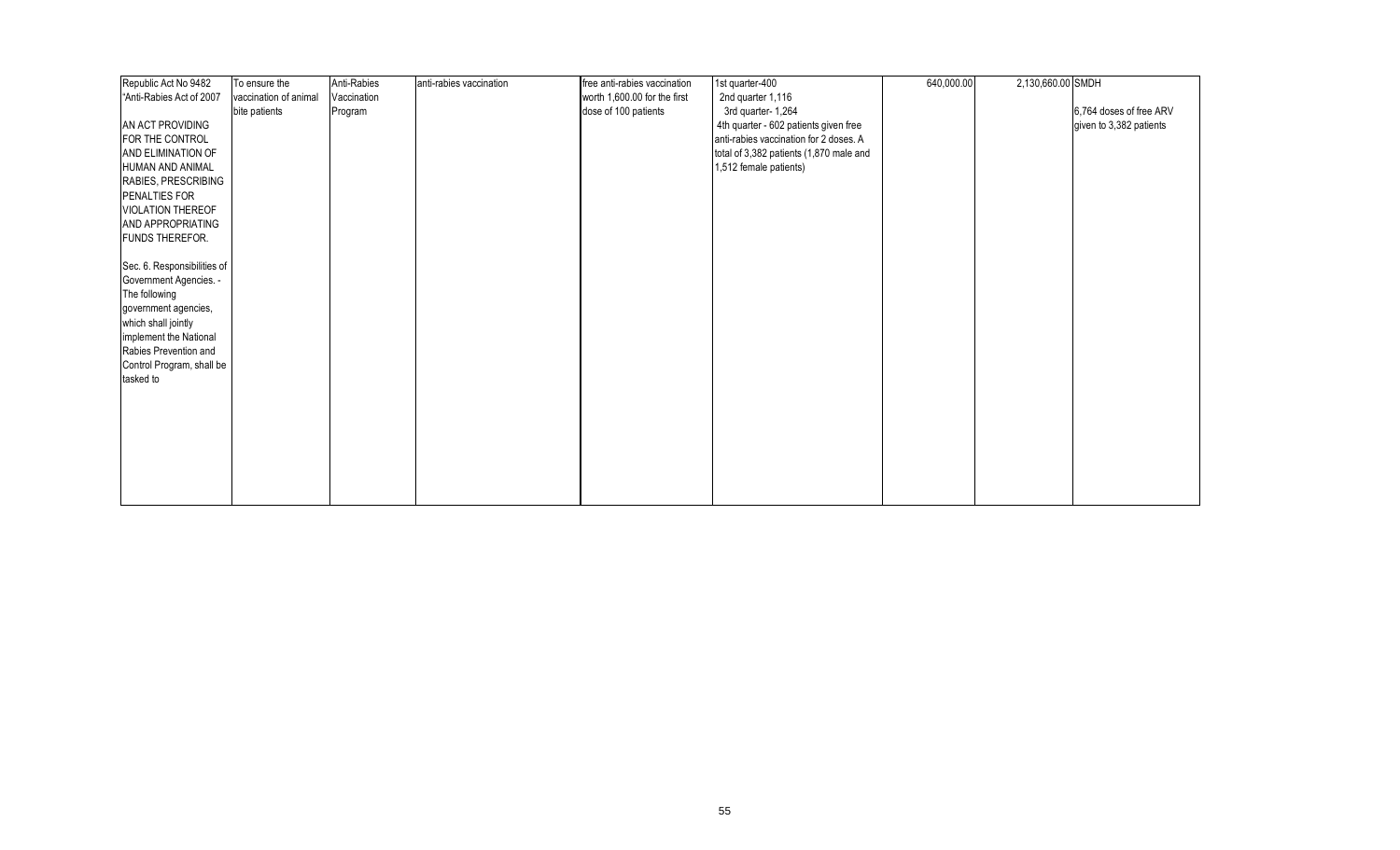| Republic Act No 9482                   | To ensure the         | Anti-Rabies | anti-rabies vaccination | free anti-rabies vaccination | 1st quarter-400                         | 640,000.00 | 2,130,660.00 SMDH |                         |
|----------------------------------------|-----------------------|-------------|-------------------------|------------------------------|-----------------------------------------|------------|-------------------|-------------------------|
| "Anti-Rabies Act of 2007               | vaccination of animal | Vaccination |                         | worth 1,600.00 for the first | 2nd quarter 1,116                       |            |                   |                         |
|                                        | bite patients         | Program     |                         | dose of 100 patients         | 3rd quarter- 1,264                      |            |                   | 6,764 doses of free ARV |
| AN ACT PROVIDING                       |                       |             |                         |                              | 4th quarter - 602 patients given free   |            |                   | given to 3,382 patients |
| FOR THE CONTROL                        |                       |             |                         |                              | anti-rabies vaccination for 2 doses. A  |            |                   |                         |
| <b>AND ELIMINATION OF</b>              |                       |             |                         |                              | total of 3,382 patients (1,870 male and |            |                   |                         |
| HUMAN AND ANIMAL                       |                       |             |                         |                              | 1,512 female patients)                  |            |                   |                         |
| RABIES, PRESCRIBING                    |                       |             |                         |                              |                                         |            |                   |                         |
| <b>PENALTIES FOR</b>                   |                       |             |                         |                              |                                         |            |                   |                         |
| <b>VIOLATION THEREOF</b>               |                       |             |                         |                              |                                         |            |                   |                         |
| <b>AND APPROPRIATING</b>               |                       |             |                         |                              |                                         |            |                   |                         |
| <b>FUNDS THEREFOR.</b>                 |                       |             |                         |                              |                                         |            |                   |                         |
|                                        |                       |             |                         |                              |                                         |            |                   |                         |
| Sec. 6. Responsibilities of            |                       |             |                         |                              |                                         |            |                   |                         |
| Government Agencies. -                 |                       |             |                         |                              |                                         |            |                   |                         |
| The following                          |                       |             |                         |                              |                                         |            |                   |                         |
| government agencies,                   |                       |             |                         |                              |                                         |            |                   |                         |
| which shall jointly                    |                       |             |                         |                              |                                         |            |                   |                         |
| implement the National                 |                       |             |                         |                              |                                         |            |                   |                         |
| Rabies Prevention and                  |                       |             |                         |                              |                                         |            |                   |                         |
| Control Program, shall be<br>tasked to |                       |             |                         |                              |                                         |            |                   |                         |
|                                        |                       |             |                         |                              |                                         |            |                   |                         |
|                                        |                       |             |                         |                              |                                         |            |                   |                         |
|                                        |                       |             |                         |                              |                                         |            |                   |                         |
|                                        |                       |             |                         |                              |                                         |            |                   |                         |
|                                        |                       |             |                         |                              |                                         |            |                   |                         |
|                                        |                       |             |                         |                              |                                         |            |                   |                         |
|                                        |                       |             |                         |                              |                                         |            |                   |                         |
|                                        |                       |             |                         |                              |                                         |            |                   |                         |
|                                        |                       |             |                         |                              |                                         |            |                   |                         |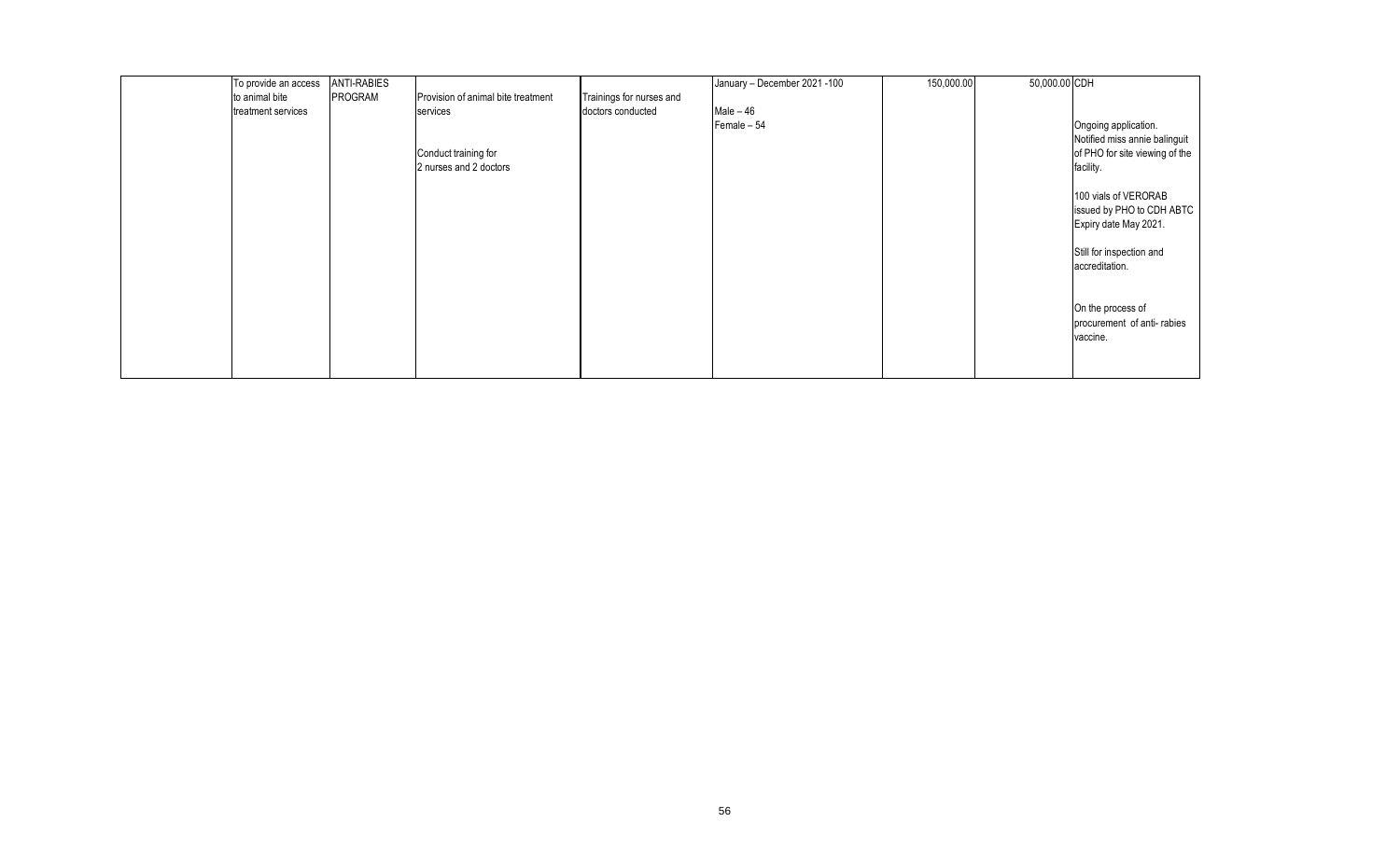| To provide an access | <b>ANTI-RABIES</b> |                                    |                          | January - December 2021 - 100 | 150,000.00 | 50,000.00 CDH |                                |
|----------------------|--------------------|------------------------------------|--------------------------|-------------------------------|------------|---------------|--------------------------------|
| to animal bite       | PROGRAM            | Provision of animal bite treatment | Trainings for nurses and |                               |            |               |                                |
| treatment services   |                    | services                           | doctors conducted        | $Male - 46$                   |            |               |                                |
|                      |                    |                                    |                          | Female - 54                   |            |               | Ongoing application.           |
|                      |                    |                                    |                          |                               |            |               | Notified miss annie balinguit  |
|                      |                    | Conduct training for               |                          |                               |            |               | of PHO for site viewing of the |
|                      |                    | 2 nurses and 2 doctors             |                          |                               |            |               | facility.                      |
|                      |                    |                                    |                          |                               |            |               |                                |
|                      |                    |                                    |                          |                               |            |               | 100 vials of VERORAB           |
|                      |                    |                                    |                          |                               |            |               | issued by PHO to CDH ABTC      |
|                      |                    |                                    |                          |                               |            |               | Expiry date May 2021.          |
|                      |                    |                                    |                          |                               |            |               |                                |
|                      |                    |                                    |                          |                               |            |               | Still for inspection and       |
|                      |                    |                                    |                          |                               |            |               | accreditation.                 |
|                      |                    |                                    |                          |                               |            |               |                                |
|                      |                    |                                    |                          |                               |            |               |                                |
|                      |                    |                                    |                          |                               |            |               | On the process of              |
|                      |                    |                                    |                          |                               |            |               | procurement of anti-rabies     |
|                      |                    |                                    |                          |                               |            |               | vaccine.                       |
|                      |                    |                                    |                          |                               |            |               |                                |
|                      |                    |                                    |                          |                               |            |               |                                |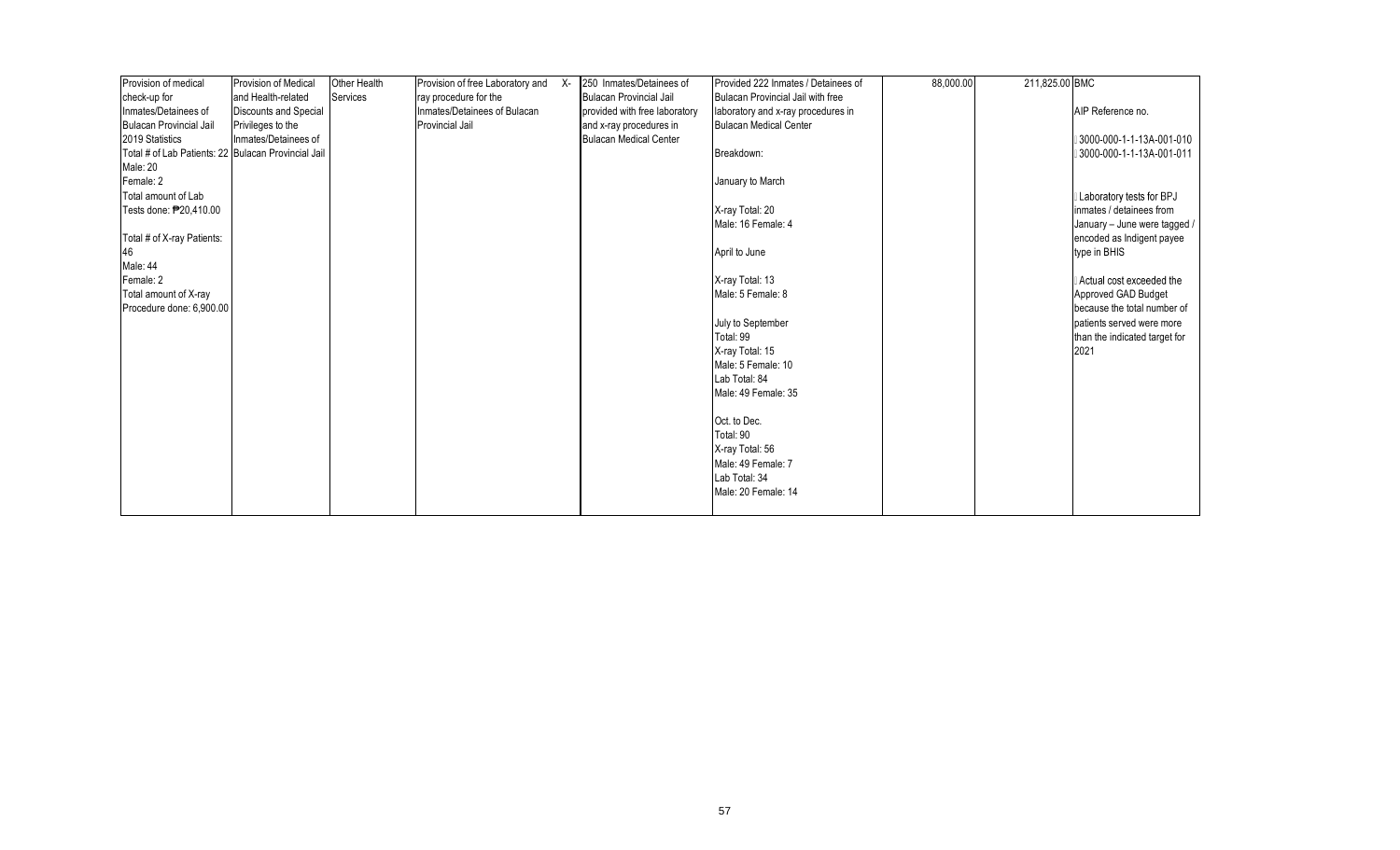| Provision of medical                                | <b>Provision of Medical</b>  | Other Health | Provision of free Laboratory and X- | 250 Inmates/Detainees of      | Provided 222 Inmates / Detainees of | 88,000.00 | 211,825.00 BMC |                               |
|-----------------------------------------------------|------------------------------|--------------|-------------------------------------|-------------------------------|-------------------------------------|-----------|----------------|-------------------------------|
| check-up for                                        | and Health-related           | Services     | ray procedure for the               | Bulacan Provincial Jail       | Bulacan Provincial Jail with free   |           |                |                               |
| Inmates/Detainees of                                | <b>Discounts and Special</b> |              | Inmates/Detainees of Bulacan        | provided with free laboratory | laboratory and x-ray procedures in  |           |                | AIP Reference no.             |
| <b>Bulacan Provincial Jail</b>                      | Privileges to the            |              | <b>Provincial Jail</b>              | and x-ray procedures in       | <b>Bulacan Medical Center</b>       |           |                |                               |
| 2019 Statistics                                     | Inmates/Detainees of         |              |                                     | <b>Bulacan Medical Center</b> |                                     |           |                | 3000-000-1-1-13A-001-010      |
| Total # of Lab Patients: 22 Bulacan Provincial Jail |                              |              |                                     |                               | Breakdown:                          |           |                | 3000-000-1-1-13A-001-011      |
| Male: 20                                            |                              |              |                                     |                               |                                     |           |                |                               |
| Female: 2                                           |                              |              |                                     |                               | January to March                    |           |                |                               |
| Total amount of Lab                                 |                              |              |                                     |                               |                                     |           |                | Laboratory tests for BPJ      |
| Tests done: P20.410.00                              |                              |              |                                     |                               | X-ray Total: 20                     |           |                | inmates / detainees from      |
|                                                     |                              |              |                                     |                               | Male: 16 Female: 4                  |           |                | January - June were tagged /  |
| Total # of X-ray Patients:                          |                              |              |                                     |                               |                                     |           |                | encoded as Indigent payee     |
| 46                                                  |                              |              |                                     |                               | April to June                       |           |                | type in BHIS                  |
| Male: 44                                            |                              |              |                                     |                               |                                     |           |                |                               |
| Female: 2                                           |                              |              |                                     |                               | X-ray Total: 13                     |           |                | Actual cost exceeded the      |
| Total amount of X-ray                               |                              |              |                                     |                               | Male: 5 Female: 8                   |           |                | Approved GAD Budget           |
| Procedure done: 6,900.00                            |                              |              |                                     |                               |                                     |           |                | because the total number of   |
|                                                     |                              |              |                                     |                               | July to September                   |           |                | patients served were more     |
|                                                     |                              |              |                                     |                               | Total: 99                           |           |                | than the indicated target for |
|                                                     |                              |              |                                     |                               | X-ray Total: 15                     |           |                | 2021                          |
|                                                     |                              |              |                                     |                               | Male: 5 Female: 10                  |           |                |                               |
|                                                     |                              |              |                                     |                               | Lab Total: 84                       |           |                |                               |
|                                                     |                              |              |                                     |                               | Male: 49 Female: 35                 |           |                |                               |
|                                                     |                              |              |                                     |                               | Oct. to Dec.                        |           |                |                               |
|                                                     |                              |              |                                     |                               | Total: 90                           |           |                |                               |
|                                                     |                              |              |                                     |                               | X-ray Total: 56                     |           |                |                               |
|                                                     |                              |              |                                     |                               | Male: 49 Female: 7                  |           |                |                               |
|                                                     |                              |              |                                     |                               | Lab Total: 34                       |           |                |                               |
|                                                     |                              |              |                                     |                               | Male: 20 Female: 14                 |           |                |                               |
|                                                     |                              |              |                                     |                               |                                     |           |                |                               |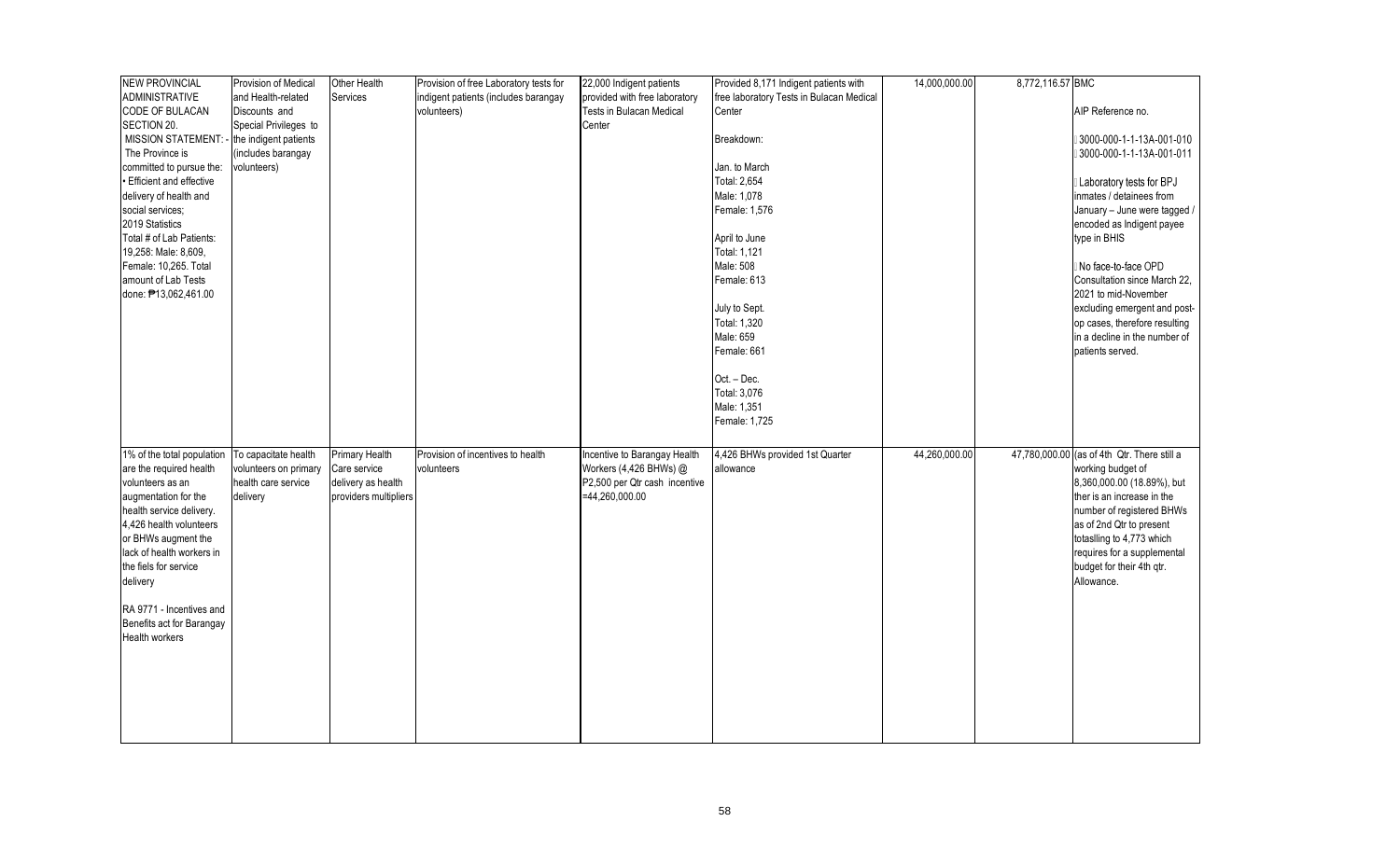| <b>NEW PROVINCIAL</b>          | Provision of Medical  | Other Health          | Provision of free Laboratory tests for | 22,000 Indigent patients        | Provided 8,171 Indigent patients with    | 14,000,000.00 | 8,772,116.57 BMC |                                             |
|--------------------------------|-----------------------|-----------------------|----------------------------------------|---------------------------------|------------------------------------------|---------------|------------------|---------------------------------------------|
| <b>ADMINISTRATIVE</b>          | and Health-related    | Services              | indigent patients (includes barangay   | provided with free laboratory   | free laboratory Tests in Bulacan Medical |               |                  |                                             |
| CODE OF BULACAN                | Discounts and         |                       | volunteers)                            | <b>Tests in Bulacan Medical</b> | Center                                   |               |                  | AIP Reference no.                           |
| SECTION 20.                    | Special Privileges to |                       |                                        | Center                          |                                          |               |                  |                                             |
| <b>MISSION STATEMENT:</b>      | the indigent patients |                       |                                        |                                 | Breakdown:                               |               |                  | 3000-000-1-1-13A-001-010                    |
| The Province is                | (includes barangay    |                       |                                        |                                 |                                          |               |                  | 3000-000-1-1-13A-001-011                    |
| committed to pursue the:       | volunteers)           |                       |                                        |                                 | Jan. to March                            |               |                  |                                             |
| <b>Efficient and effective</b> |                       |                       |                                        |                                 | Total: 2,654                             |               |                  | Laboratory tests for BPJ                    |
| delivery of health and         |                       |                       |                                        |                                 | Male: 1,078                              |               |                  | inmates / detainees from                    |
| social services;               |                       |                       |                                        |                                 | Female: 1,576                            |               |                  | January - June were tagged /                |
| 2019 Statistics                |                       |                       |                                        |                                 |                                          |               |                  | encoded as Indigent payee                   |
| Total # of Lab Patients:       |                       |                       |                                        |                                 | April to June                            |               |                  | type in BHIS                                |
| 19,258: Male: 8,609,           |                       |                       |                                        |                                 | Total: 1,121                             |               |                  |                                             |
| Female: 10,265. Total          |                       |                       |                                        |                                 | Male: 508                                |               |                  | No face-to-face OPD                         |
| amount of Lab Tests            |                       |                       |                                        |                                 | Female: 613                              |               |                  | Consultation since March 22,                |
|                                |                       |                       |                                        |                                 |                                          |               |                  |                                             |
| done: #13,062,461.00           |                       |                       |                                        |                                 |                                          |               |                  | 2021 to mid-November                        |
|                                |                       |                       |                                        |                                 | July to Sept.                            |               |                  | excluding emergent and post-                |
|                                |                       |                       |                                        |                                 | Total: 1,320                             |               |                  | op cases, therefore resulting               |
|                                |                       |                       |                                        |                                 | Male: 659                                |               |                  | in a decline in the number of               |
|                                |                       |                       |                                        |                                 | Female: 661                              |               |                  | patients served.                            |
|                                |                       |                       |                                        |                                 | Oct. - Dec.                              |               |                  |                                             |
|                                |                       |                       |                                        |                                 | Total: 3,076                             |               |                  |                                             |
|                                |                       |                       |                                        |                                 | Male: 1,351                              |               |                  |                                             |
|                                |                       |                       |                                        |                                 | Female: 1,725                            |               |                  |                                             |
|                                |                       |                       |                                        |                                 |                                          |               |                  |                                             |
| 1% of the total population     | To capacitate health  | Primary Health        | Provision of incentives to health      | Incentive to Barangay Health    | 4,426 BHWs provided 1st Quarter          | 44,260,000.00 |                  | 47,780,000.00 (as of 4th Qtr. There still a |
| are the required health        | volunteers on primary | Care service          | volunteers                             | Workers (4,426 BHWs) @          | allowance                                |               |                  | working budget of                           |
| volunteers as an               | health care service   | delivery as health    |                                        | P2,500 per Qtr cash incentive   |                                          |               |                  | 8,360,000.00 (18.89%), but                  |
| augmentation for the           | delivery              | providers multipliers |                                        | $=44,260,000.00$                |                                          |               |                  | ther is an increase in the                  |
| health service delivery.       |                       |                       |                                        |                                 |                                          |               |                  | number of registered BHWs                   |
| 4,426 health volunteers        |                       |                       |                                        |                                 |                                          |               |                  | as of 2nd Qtr to present                    |
| or BHWs augment the            |                       |                       |                                        |                                 |                                          |               |                  | totaslling to 4,773 which                   |
| lack of health workers in      |                       |                       |                                        |                                 |                                          |               |                  |                                             |
|                                |                       |                       |                                        |                                 |                                          |               |                  | requires for a supplemental                 |
| the fiels for service          |                       |                       |                                        |                                 |                                          |               |                  | budget for their 4th qtr.                   |
| delivery                       |                       |                       |                                        |                                 |                                          |               |                  | Allowance.                                  |
|                                |                       |                       |                                        |                                 |                                          |               |                  |                                             |
| RA 9771 - Incentives and       |                       |                       |                                        |                                 |                                          |               |                  |                                             |
| Benefits act for Barangay      |                       |                       |                                        |                                 |                                          |               |                  |                                             |
| Health workers                 |                       |                       |                                        |                                 |                                          |               |                  |                                             |
|                                |                       |                       |                                        |                                 |                                          |               |                  |                                             |
|                                |                       |                       |                                        |                                 |                                          |               |                  |                                             |
|                                |                       |                       |                                        |                                 |                                          |               |                  |                                             |
|                                |                       |                       |                                        |                                 |                                          |               |                  |                                             |
|                                |                       |                       |                                        |                                 |                                          |               |                  |                                             |
|                                |                       |                       |                                        |                                 |                                          |               |                  |                                             |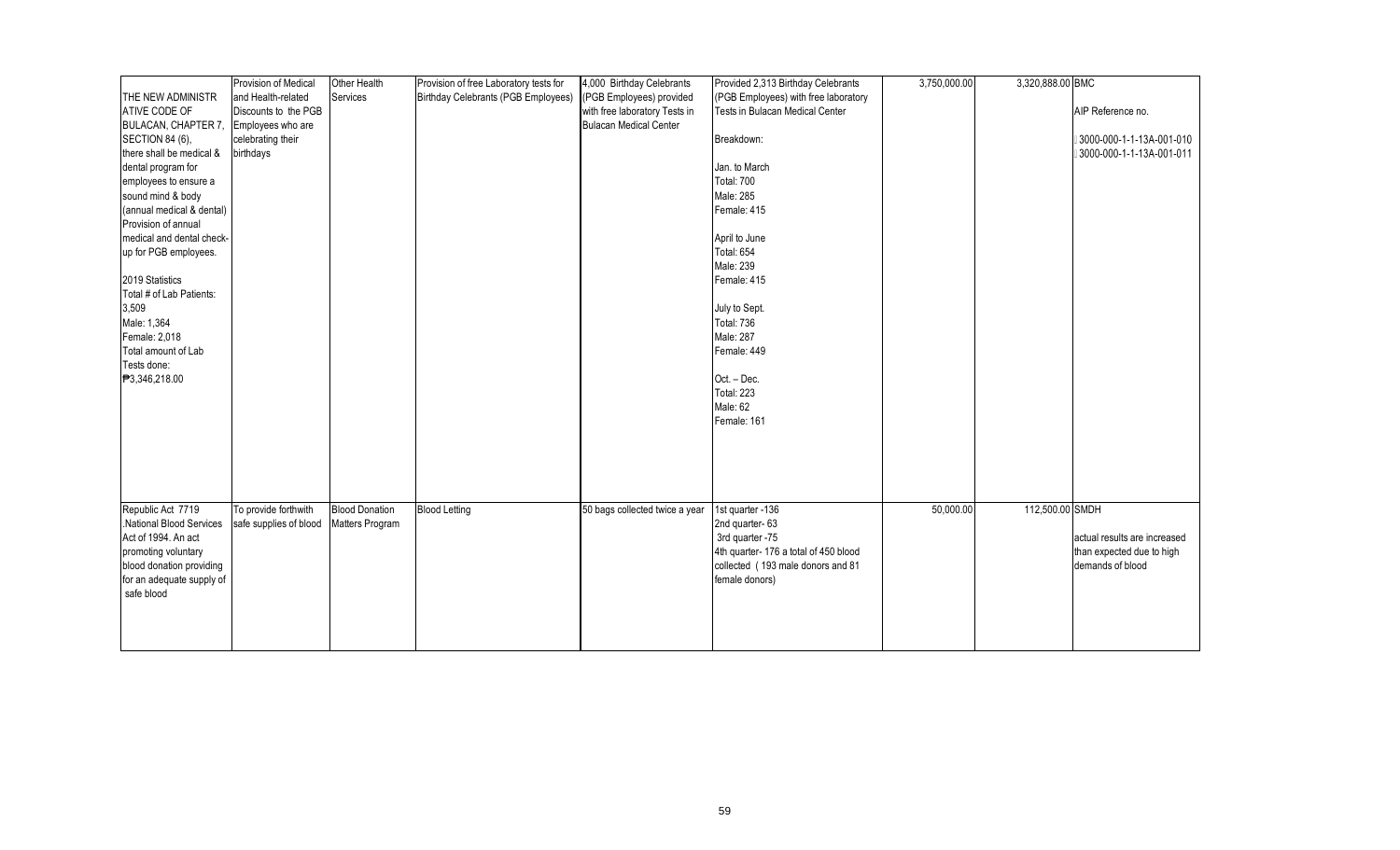|                           | Provision of Medical   | Other Health          | Provision of free Laboratory tests for | 4,000 Birthday Celebrants      | Provided 2,313 Birthday Celebrants   | 3,750,000.00 | 3,320,888.00 BMC |                              |
|---------------------------|------------------------|-----------------------|----------------------------------------|--------------------------------|--------------------------------------|--------------|------------------|------------------------------|
| THE NEW ADMINISTR         | and Health-related     | Services              | Birthday Celebrants (PGB Employees)    | (PGB Employees) provided       | (PGB Employees) with free laboratory |              |                  |                              |
| ATIVE CODE OF             | Discounts to the PGB   |                       |                                        | with free laboratory Tests in  | Tests in Bulacan Medical Center      |              |                  | AIP Reference no.            |
|                           |                        |                       |                                        | <b>Bulacan Medical Center</b>  |                                      |              |                  |                              |
| BULACAN, CHAPTER 7,       | Employees who are      |                       |                                        |                                | Breakdown:                           |              |                  | 3000-000-1-1-13A-001-010     |
| SECTION 84 (6),           | celebrating their      |                       |                                        |                                |                                      |              |                  |                              |
| there shall be medical &  | birthdays              |                       |                                        |                                |                                      |              |                  | 3000-000-1-1-13A-001-011     |
| dental program for        |                        |                       |                                        |                                | Jan. to March                        |              |                  |                              |
| employees to ensure a     |                        |                       |                                        |                                | <b>Total: 700</b>                    |              |                  |                              |
| sound mind & body         |                        |                       |                                        |                                | Male: 285                            |              |                  |                              |
| (annual medical & dental) |                        |                       |                                        |                                | Female: 415                          |              |                  |                              |
| Provision of annual       |                        |                       |                                        |                                |                                      |              |                  |                              |
| medical and dental check- |                        |                       |                                        |                                | April to June                        |              |                  |                              |
| up for PGB employees.     |                        |                       |                                        |                                | <b>Total: 654</b>                    |              |                  |                              |
|                           |                        |                       |                                        |                                | Male: 239                            |              |                  |                              |
| 2019 Statistics           |                        |                       |                                        |                                | Female: 415                          |              |                  |                              |
| Total # of Lab Patients:  |                        |                       |                                        |                                |                                      |              |                  |                              |
| 3,509                     |                        |                       |                                        |                                | July to Sept.                        |              |                  |                              |
| Male: 1,364               |                        |                       |                                        |                                | <b>Total: 736</b>                    |              |                  |                              |
| Female: 2,018             |                        |                       |                                        |                                | Male: 287                            |              |                  |                              |
| Total amount of Lab       |                        |                       |                                        |                                | Female: 449                          |              |                  |                              |
| Tests done:               |                        |                       |                                        |                                |                                      |              |                  |                              |
| <b>₱</b> 3,346,218.00     |                        |                       |                                        |                                | Oct. - Dec.                          |              |                  |                              |
|                           |                        |                       |                                        |                                | Total: 223                           |              |                  |                              |
|                           |                        |                       |                                        |                                | Male: 62                             |              |                  |                              |
|                           |                        |                       |                                        |                                | Female: 161                          |              |                  |                              |
|                           |                        |                       |                                        |                                |                                      |              |                  |                              |
|                           |                        |                       |                                        |                                |                                      |              |                  |                              |
|                           |                        |                       |                                        |                                |                                      |              |                  |                              |
|                           |                        |                       |                                        |                                |                                      |              |                  |                              |
|                           |                        |                       |                                        |                                |                                      |              |                  |                              |
|                           |                        |                       |                                        |                                |                                      |              |                  |                              |
| Republic Act 7719         | To provide forthwith   | <b>Blood Donation</b> | <b>Blood Letting</b>                   | 50 bags collected twice a year | 1st quarter -136                     | 50,000.00    | 112,500.00 SMDH  |                              |
| National Blood Services   | safe supplies of blood | Matters Program       |                                        |                                | 2nd quarter-63                       |              |                  |                              |
| Act of 1994. An act       |                        |                       |                                        |                                | 3rd quarter -75                      |              |                  | actual results are increased |
| promoting voluntary       |                        |                       |                                        |                                | 4th quarter-176 a total of 450 blood |              |                  | than expected due to high    |
| blood donation providing  |                        |                       |                                        |                                | collected (193 male donors and 81    |              |                  | demands of blood             |
| for an adequate supply of |                        |                       |                                        |                                | female donors)                       |              |                  |                              |
| safe blood                |                        |                       |                                        |                                |                                      |              |                  |                              |
|                           |                        |                       |                                        |                                |                                      |              |                  |                              |
|                           |                        |                       |                                        |                                |                                      |              |                  |                              |
|                           |                        |                       |                                        |                                |                                      |              |                  |                              |
|                           |                        |                       |                                        |                                |                                      |              |                  |                              |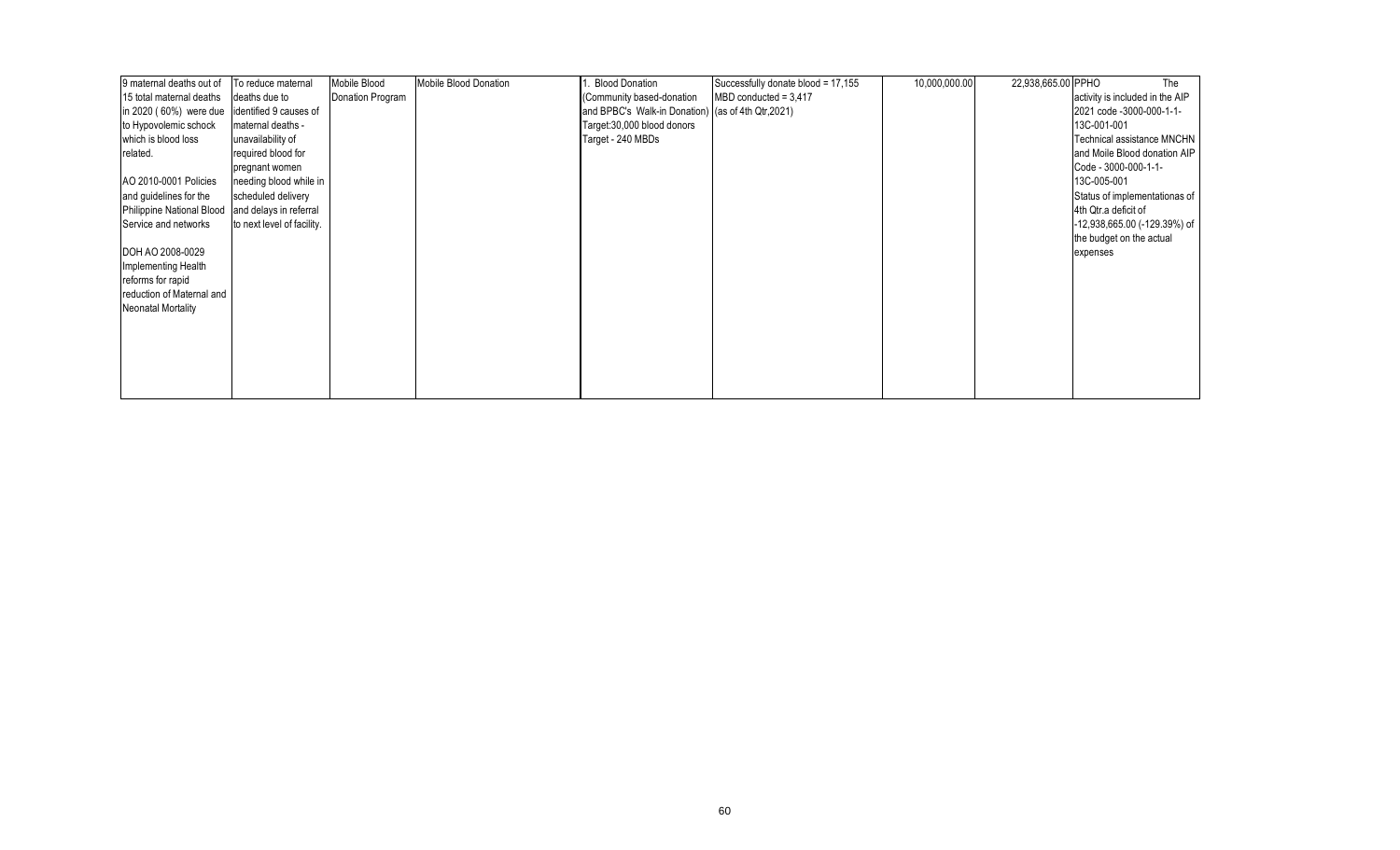| 9 maternal deaths out of                      | To reduce maternal         | Mobile Blood     | Mobile Blood Donation | <b>Blood Donation</b>                              | Successfully donate blood = 17,155 | 10,000,000.00 | 22,938,665.00 PPHO | The                             |
|-----------------------------------------------|----------------------------|------------------|-----------------------|----------------------------------------------------|------------------------------------|---------------|--------------------|---------------------------------|
| 15 total maternal deaths                      | deaths due to              | Donation Program |                       | (Community based-donation                          | $MBD$ conducted = 3,417            |               |                    | activity is included in the AIP |
| in 2020 (60%) were due identified 9 causes of |                            |                  |                       | and BPBC's Walk-in Donation) (as of 4th Qtr, 2021) |                                    |               |                    | 2021 code -3000-000-1-1-        |
| to Hypovolemic schock                         | maternal deaths -          |                  |                       | Target: 30,000 blood donors                        |                                    |               |                    | 13C-001-001                     |
| which is blood loss                           | unavailability of          |                  |                       | Target - 240 MBDs                                  |                                    |               |                    | Technical assistance MNCHN      |
| related.                                      | required blood for         |                  |                       |                                                    |                                    |               |                    | and Moile Blood donation AIP    |
|                                               | pregnant women             |                  |                       |                                                    |                                    |               |                    | Code - 3000-000-1-1-            |
| AO 2010-0001 Policies                         | needing blood while in     |                  |                       |                                                    |                                    |               |                    | 13C-005-001                     |
| and guidelines for the                        | scheduled delivery         |                  |                       |                                                    |                                    |               |                    | Status of implementationas of   |
| Philippine National Blood                     | and delays in referral     |                  |                       |                                                    |                                    |               |                    | 4th Qtr.a deficit of            |
| Service and networks                          | to next level of facility. |                  |                       |                                                    |                                    |               |                    | -12,938,665.00 (-129.39%) of    |
|                                               |                            |                  |                       |                                                    |                                    |               |                    | the budget on the actual        |
| DOH AO 2008-0029                              |                            |                  |                       |                                                    |                                    |               |                    | expenses                        |
| Implementing Health                           |                            |                  |                       |                                                    |                                    |               |                    |                                 |
| reforms for rapid                             |                            |                  |                       |                                                    |                                    |               |                    |                                 |
| reduction of Maternal and                     |                            |                  |                       |                                                    |                                    |               |                    |                                 |
| <b>Neonatal Mortality</b>                     |                            |                  |                       |                                                    |                                    |               |                    |                                 |
|                                               |                            |                  |                       |                                                    |                                    |               |                    |                                 |
|                                               |                            |                  |                       |                                                    |                                    |               |                    |                                 |
|                                               |                            |                  |                       |                                                    |                                    |               |                    |                                 |
|                                               |                            |                  |                       |                                                    |                                    |               |                    |                                 |
|                                               |                            |                  |                       |                                                    |                                    |               |                    |                                 |
|                                               |                            |                  |                       |                                                    |                                    |               |                    |                                 |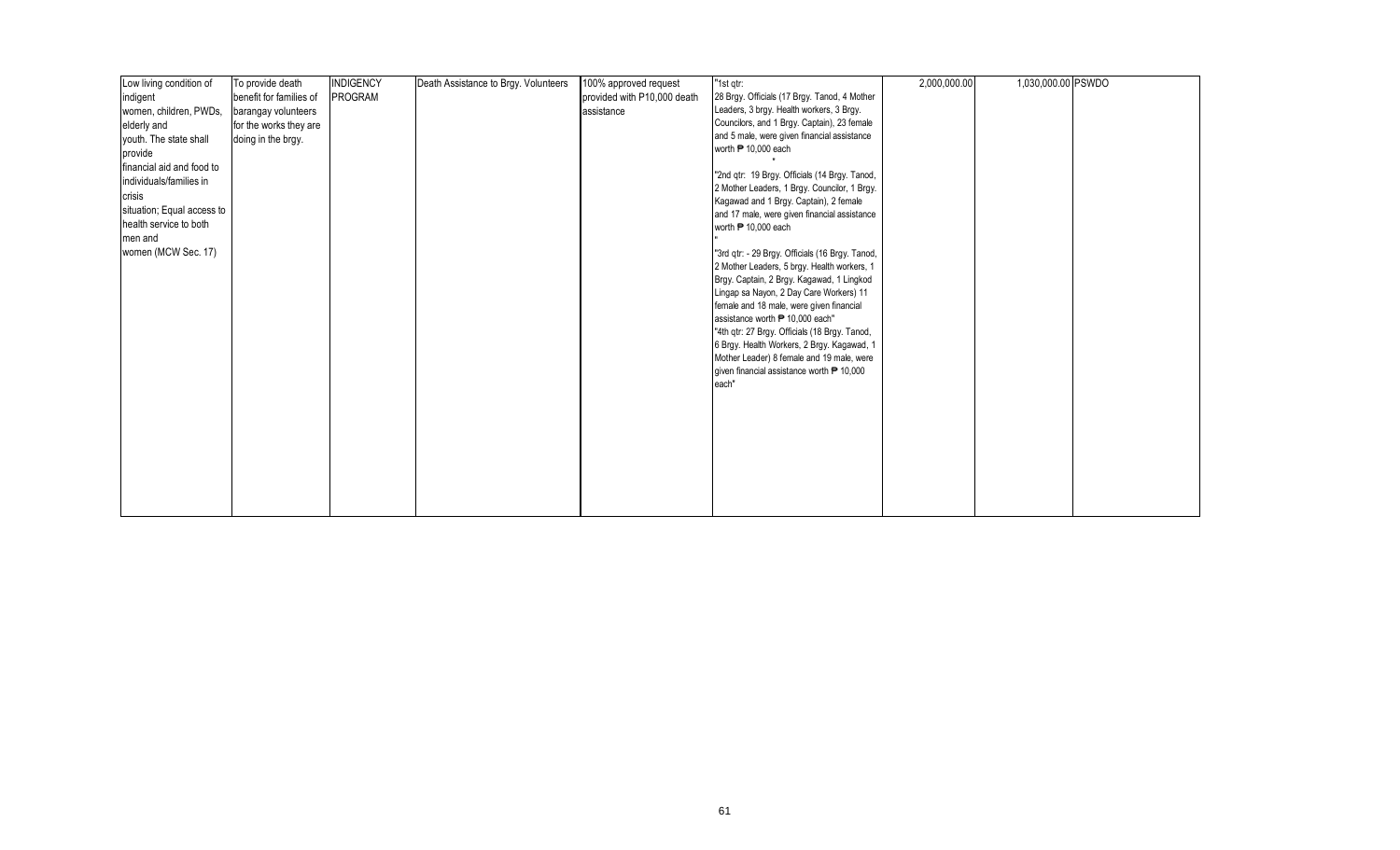| Low living condition of    | To provide death        | <b>INDIGENCY</b> | Death Assistance to Brgy. Volunteers | 100% approved request       | "1st qtr:                                                                                           | 2,000,000.00 | 1,030,000.00 PSWDO |  |
|----------------------------|-------------------------|------------------|--------------------------------------|-----------------------------|-----------------------------------------------------------------------------------------------------|--------------|--------------------|--|
| indigent                   | benefit for families of | PROGRAM          |                                      | provided with P10,000 death | 28 Brgy. Officials (17 Brgy. Tanod, 4 Mother                                                        |              |                    |  |
| women, children, PWDs,     | barangay volunteers     |                  |                                      | assistance                  | Leaders, 3 brgy. Health workers, 3 Brgy.                                                            |              |                    |  |
| elderly and                | for the works they are  |                  |                                      |                             | Councilors, and 1 Brgy. Captain), 23 female                                                         |              |                    |  |
| youth. The state shall     | doing in the brgy.      |                  |                                      |                             | and 5 male, were given financial assistance                                                         |              |                    |  |
| provide                    |                         |                  |                                      |                             | worth <sup>1</sup> 0,000 each                                                                       |              |                    |  |
| financial aid and food to  |                         |                  |                                      |                             |                                                                                                     |              |                    |  |
| individuals/families in    |                         |                  |                                      |                             | "2nd qtr: 19 Brgy. Officials (14 Brgy. Tanod,                                                       |              |                    |  |
| crisis                     |                         |                  |                                      |                             | 2 Mother Leaders, 1 Brgy. Councilor, 1 Brgy.                                                        |              |                    |  |
| situation; Equal access to |                         |                  |                                      |                             | Kagawad and 1 Brgy. Captain), 2 female<br>and 17 male, were given financial assistance              |              |                    |  |
| health service to both     |                         |                  |                                      |                             | worth <sup>1</sup> 0,000 each                                                                       |              |                    |  |
| men and                    |                         |                  |                                      |                             |                                                                                                     |              |                    |  |
| women (MCW Sec. 17)        |                         |                  |                                      |                             | "3rd qtr: - 29 Brgy. Officials (16 Brgy. Tanod,                                                     |              |                    |  |
|                            |                         |                  |                                      |                             | 2 Mother Leaders, 5 brgy. Health workers, 1                                                         |              |                    |  |
|                            |                         |                  |                                      |                             | Brgy. Captain, 2 Brgy. Kagawad, 1 Lingkod                                                           |              |                    |  |
|                            |                         |                  |                                      |                             | Lingap sa Nayon, 2 Day Care Workers) 11                                                             |              |                    |  |
|                            |                         |                  |                                      |                             | female and 18 male, were given financial                                                            |              |                    |  |
|                            |                         |                  |                                      |                             | assistance worth <sup>1</sup> 9 10,000 each"                                                        |              |                    |  |
|                            |                         |                  |                                      |                             | "4th qtr: 27 Brgy. Officials (18 Brgy. Tanod,                                                       |              |                    |  |
|                            |                         |                  |                                      |                             | 6 Brgy. Health Workers, 2 Brgy. Kagawad, 1                                                          |              |                    |  |
|                            |                         |                  |                                      |                             | Mother Leader) 8 female and 19 male, were<br>given financial assistance worth <sup>1</sup> 9 10,000 |              |                    |  |
|                            |                         |                  |                                      |                             | each"                                                                                               |              |                    |  |
|                            |                         |                  |                                      |                             |                                                                                                     |              |                    |  |
|                            |                         |                  |                                      |                             |                                                                                                     |              |                    |  |
|                            |                         |                  |                                      |                             |                                                                                                     |              |                    |  |
|                            |                         |                  |                                      |                             |                                                                                                     |              |                    |  |
|                            |                         |                  |                                      |                             |                                                                                                     |              |                    |  |
|                            |                         |                  |                                      |                             |                                                                                                     |              |                    |  |
|                            |                         |                  |                                      |                             |                                                                                                     |              |                    |  |
|                            |                         |                  |                                      |                             |                                                                                                     |              |                    |  |
|                            |                         |                  |                                      |                             |                                                                                                     |              |                    |  |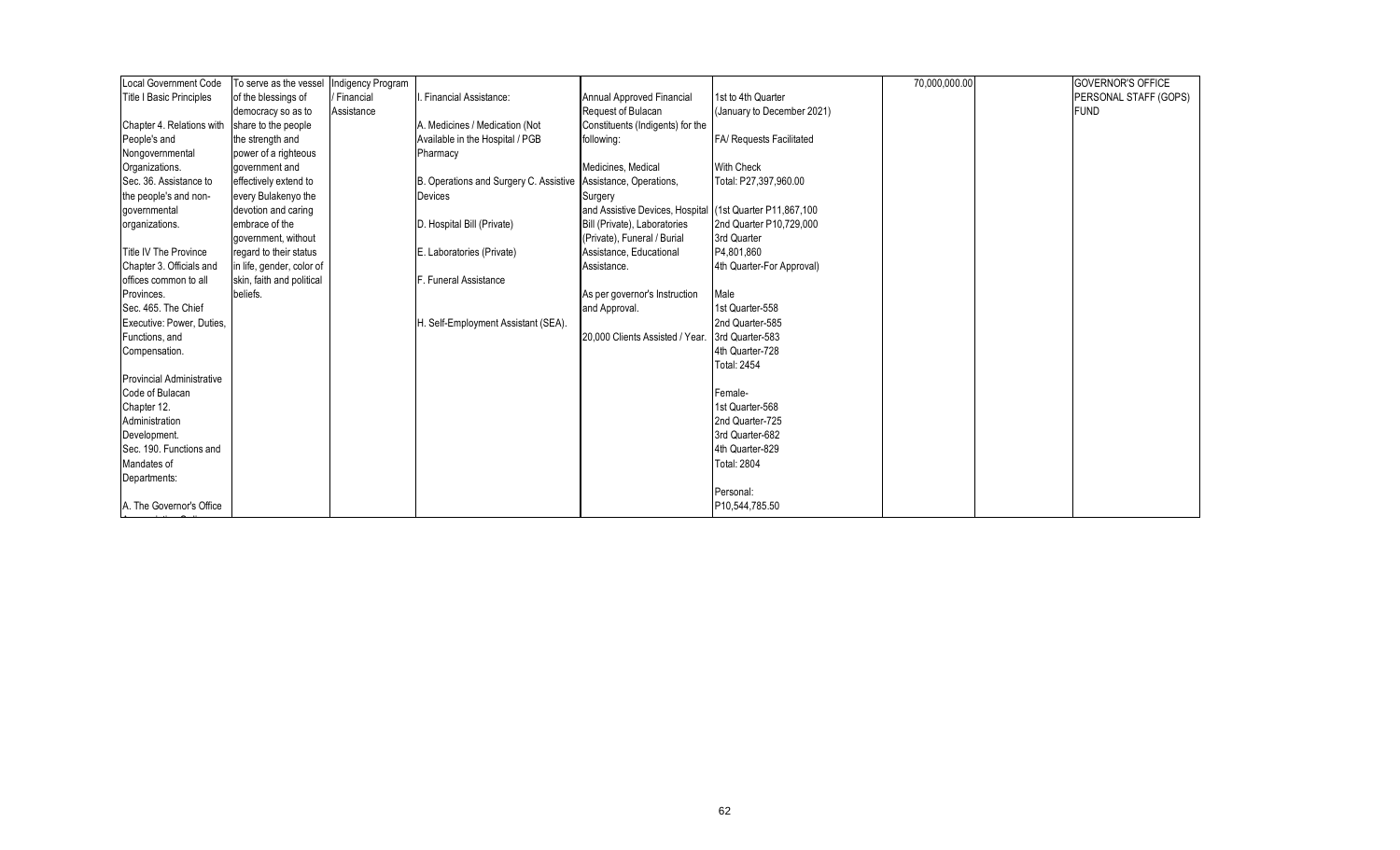| <b>Local Government Code</b>     | To serve as the vessel    | Indigency Program |                                                                  |                                                          |                                 | 70,000,000.00 | <b>GOVERNOR'S OFFICE</b> |
|----------------------------------|---------------------------|-------------------|------------------------------------------------------------------|----------------------------------------------------------|---------------------------------|---------------|--------------------------|
| <b>Title I Basic Principles</b>  | of the blessings of       | / Financial       | <b>Financial Assistance:</b>                                     | <b>Annual Approved Financial</b>                         | 1st to 4th Quarter              |               | PERSONAL STAFF (GOPS)    |
|                                  | democracy so as to        | Assistance        |                                                                  | Request of Bulacan                                       | (January to December 2021)      |               | <b>FUND</b>              |
| Chapter 4. Relations with        | share to the people       |                   | A. Medicines / Medication (Not                                   | Constituents (Indigents) for the                         |                                 |               |                          |
| People's and                     | the strength and          |                   | Available in the Hospital / PGB                                  | following:                                               | <b>FA/ Requests Facilitated</b> |               |                          |
| Nongovernmental                  | power of a righteous      |                   | Pharmacy                                                         |                                                          |                                 |               |                          |
| Organizations.                   | government and            |                   |                                                                  | Medicines, Medical                                       | <b>With Check</b>               |               |                          |
| Sec. 36. Assistance to           | effectively extend to     |                   | B. Operations and Surgery C. Assistive   Assistance, Operations, |                                                          | Total: P27,397,960.00           |               |                          |
| the people's and non-            | every Bulakenyo the       |                   | <b>Devices</b>                                                   | Surgery                                                  |                                 |               |                          |
| governmental                     | devotion and caring       |                   |                                                                  | and Assistive Devices, Hospital (1st Quarter P11,867,100 |                                 |               |                          |
| organizations.                   | embrace of the            |                   | D. Hospital Bill (Private)                                       | Bill (Private), Laboratories                             | 2nd Quarter P10,729,000         |               |                          |
|                                  | government, without       |                   |                                                                  | (Private), Funeral / Burial                              | 3rd Quarter                     |               |                          |
| Title IV The Province            | regard to their status    |                   | E. Laboratories (Private)                                        | Assistance, Educational                                  | P4,801,860                      |               |                          |
| Chapter 3. Officials and         | in life, gender, color of |                   |                                                                  | Assistance.                                              | 4th Quarter-For Approval)       |               |                          |
| offices common to all            | skin, faith and political |                   | F. Funeral Assistance                                            |                                                          |                                 |               |                          |
| Provinces.                       | beliefs.                  |                   |                                                                  | As per governor's Instruction                            | Male                            |               |                          |
| Sec. 465. The Chief              |                           |                   |                                                                  | and Approval.                                            | 1st Quarter-558                 |               |                          |
| Executive: Power, Duties,        |                           |                   | H. Self-Employment Assistant (SEA).                              |                                                          | 2nd Quarter-585                 |               |                          |
| Functions, and                   |                           |                   |                                                                  | 20,000 Clients Assisted / Year. 3rd Quarter-583          |                                 |               |                          |
| Compensation.                    |                           |                   |                                                                  |                                                          | 4th Quarter-728                 |               |                          |
|                                  |                           |                   |                                                                  |                                                          | <b>Total: 2454</b>              |               |                          |
| <b>Provincial Administrative</b> |                           |                   |                                                                  |                                                          |                                 |               |                          |
| Code of Bulacan                  |                           |                   |                                                                  |                                                          | Female-                         |               |                          |
| Chapter 12.                      |                           |                   |                                                                  |                                                          | 1st Quarter-568                 |               |                          |
| Administration                   |                           |                   |                                                                  |                                                          | 2nd Quarter-725                 |               |                          |
| Development.                     |                           |                   |                                                                  |                                                          | 3rd Quarter-682                 |               |                          |
| Sec. 190. Functions and          |                           |                   |                                                                  |                                                          | 4th Quarter-829                 |               |                          |
| Mandates of                      |                           |                   |                                                                  |                                                          | <b>Total: 2804</b>              |               |                          |
| Departments:                     |                           |                   |                                                                  |                                                          |                                 |               |                          |
|                                  |                           |                   |                                                                  |                                                          | Personal:                       |               |                          |
| A. The Governor's Office         |                           |                   |                                                                  |                                                          | P10,544,785.50                  |               |                          |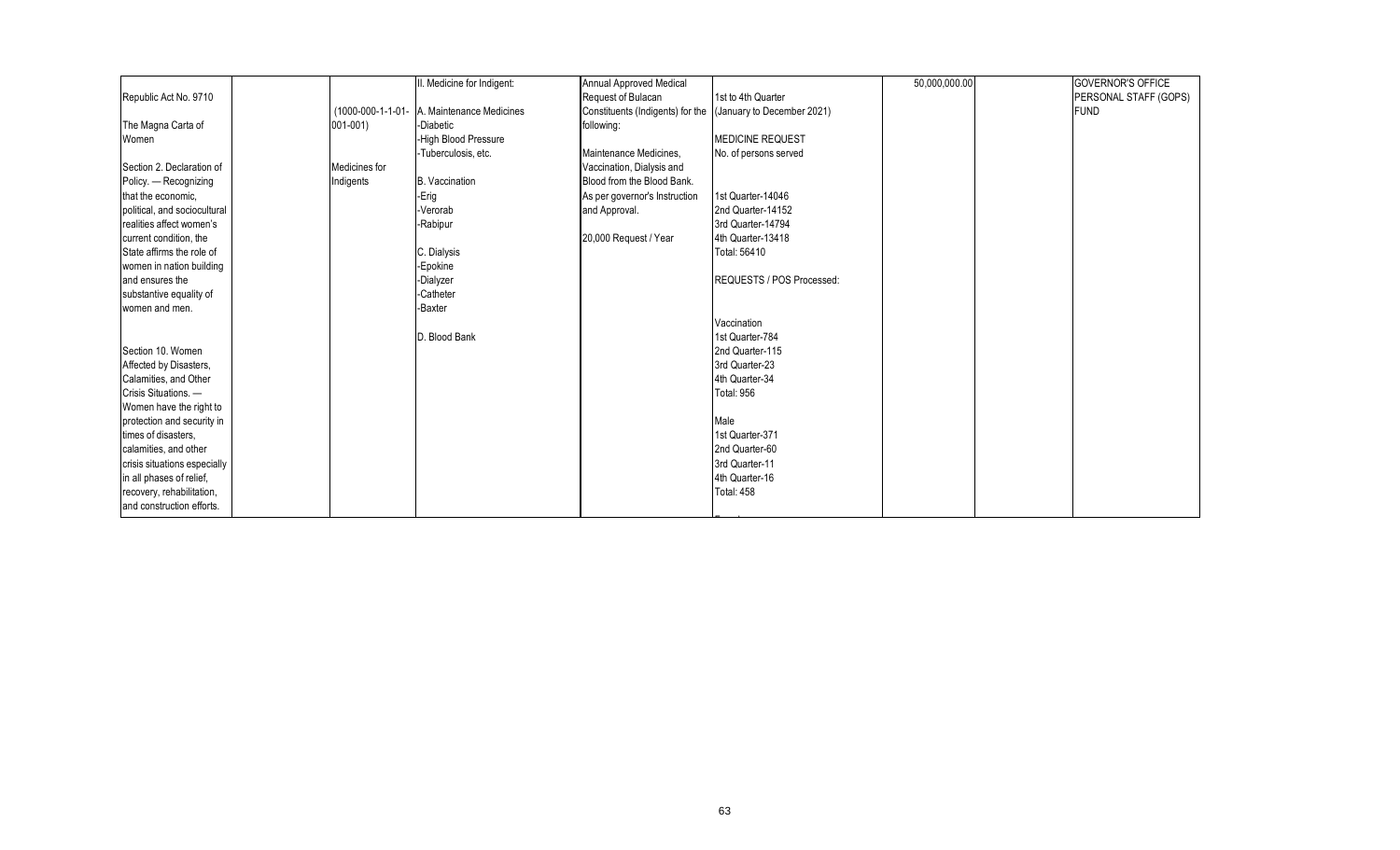|                              |                   | II. Medicine for Indigent: | Annual Approved Medical          |                            | 50,000,000.00 | <b>GOVERNOR'S OFFICE</b> |
|------------------------------|-------------------|----------------------------|----------------------------------|----------------------------|---------------|--------------------------|
| Republic Act No. 9710        |                   |                            | Request of Bulacan               | 1st to 4th Quarter         |               | PERSONAL STAFF (GOPS)    |
|                              | (1000-000-1-1-01- | A. Maintenance Medicines   | Constituents (Indigents) for the | (January to December 2021) |               | <b>FUND</b>              |
| The Magna Carta of           | $001 - 001$       | -Diabetic                  | following:                       |                            |               |                          |
| Women                        |                   | -High Blood Pressure       |                                  | <b>MEDICINE REQUEST</b>    |               |                          |
|                              |                   | -Tuberculosis, etc.        | Maintenance Medicines.           | No. of persons served      |               |                          |
| Section 2. Declaration of    | Medicines for     |                            | Vaccination, Dialysis and        |                            |               |                          |
| Policy. - Recognizing        | Indigents         | <b>B.</b> Vaccination      | Blood from the Blood Bank.       |                            |               |                          |
| that the economic.           |                   | -Erig                      | As per governor's Instruction    | 1st Quarter-14046          |               |                          |
| political, and sociocultural |                   | -Verorab                   | and Approval.                    | 2nd Quarter-14152          |               |                          |
| realities affect women's     |                   | -Rabipur                   |                                  | 3rd Quarter-14794          |               |                          |
| current condition, the       |                   |                            | 20,000 Request / Year            | 4th Quarter-13418          |               |                          |
| State affirms the role of    |                   | C. Dialysis                |                                  | Total: 56410               |               |                          |
| women in nation building     |                   | -Epokine                   |                                  |                            |               |                          |
| and ensures the              |                   | -Dialyzer                  |                                  | REQUESTS / POS Processed:  |               |                          |
| substantive equality of      |                   | -Catheter                  |                                  |                            |               |                          |
| women and men.               |                   | -Baxter                    |                                  |                            |               |                          |
|                              |                   |                            |                                  | Vaccination                |               |                          |
|                              |                   | D. Blood Bank              |                                  | 1st Quarter-784            |               |                          |
| Section 10. Women            |                   |                            |                                  | 2nd Quarter-115            |               |                          |
| Affected by Disasters,       |                   |                            |                                  | 3rd Quarter-23             |               |                          |
| Calamities, and Other        |                   |                            |                                  | 4th Quarter-34             |               |                          |
| Crisis Situations. -         |                   |                            |                                  | <b>Total: 956</b>          |               |                          |
| Women have the right to      |                   |                            |                                  |                            |               |                          |
| protection and security in   |                   |                            |                                  | Male                       |               |                          |
| times of disasters.          |                   |                            |                                  | 1st Quarter-371            |               |                          |
| calamities, and other        |                   |                            |                                  | 2nd Quarter-60             |               |                          |
| crisis situations especially |                   |                            |                                  | 3rd Quarter-11             |               |                          |
| in all phases of relief,     |                   |                            |                                  | 4th Quarter-16             |               |                          |
| recovery, rehabilitation,    |                   |                            |                                  | Total: 458                 |               |                          |
| and construction efforts.    |                   |                            |                                  |                            |               |                          |
|                              |                   |                            |                                  |                            |               |                          |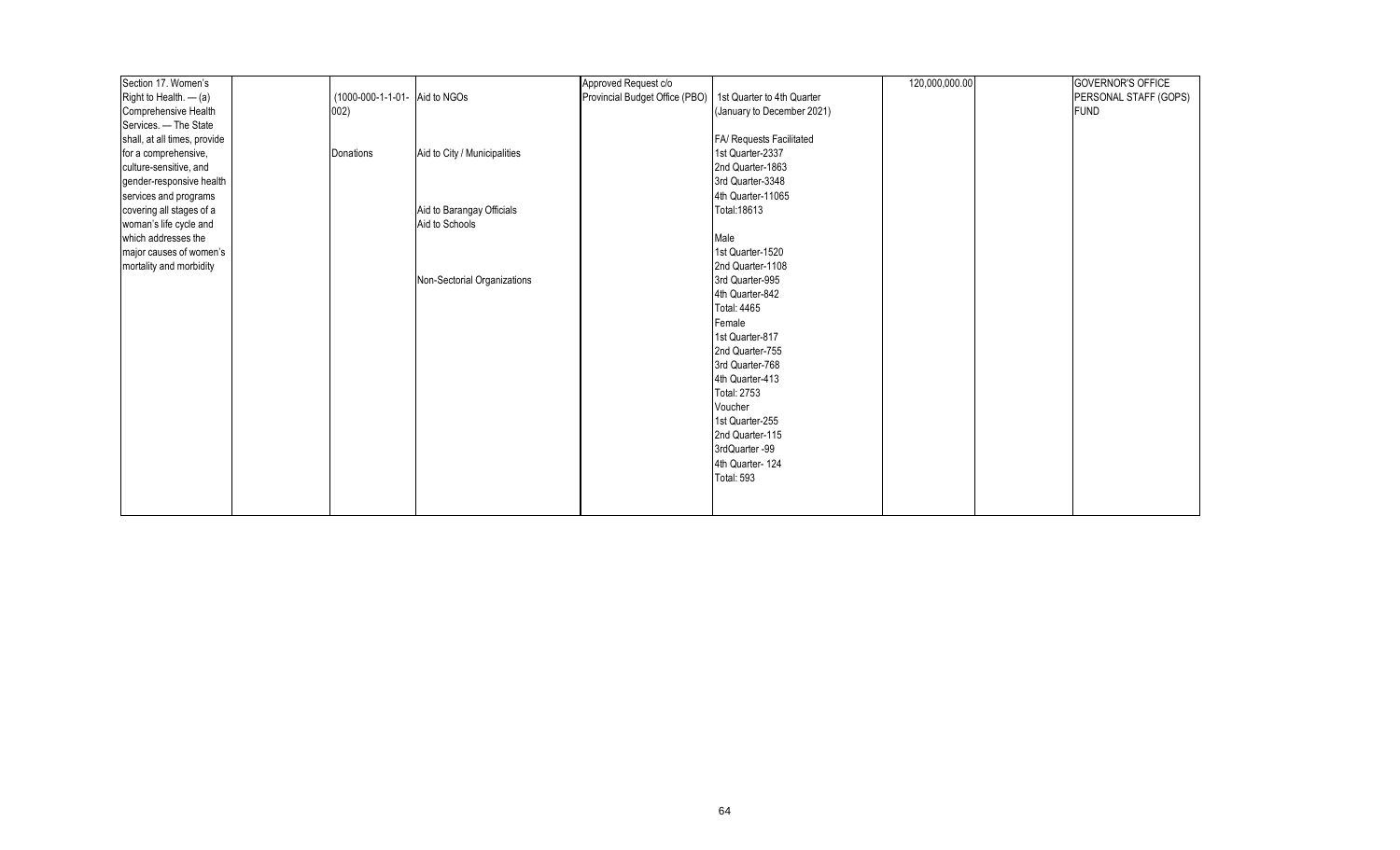| Section 17. Women's          |                               |                              | Approved Request c/o           |                            | 120,000,000.00 | <b>GOVERNOR'S OFFICE</b> |
|------------------------------|-------------------------------|------------------------------|--------------------------------|----------------------------|----------------|--------------------------|
| Right to Health. $-$ (a)     | (1000-000-1-1-01- Aid to NGOs |                              | Provincial Budget Office (PBO) | 1st Quarter to 4th Quarter |                | PERSONAL STAFF (GOPS)    |
| Comprehensive Health         | 002)                          |                              |                                | (January to December 2021) |                | <b>FUND</b>              |
| Services. - The State        |                               |                              |                                |                            |                |                          |
| shall, at all times, provide |                               |                              |                                | FA/ Requests Facilitated   |                |                          |
| for a comprehensive,         | Donations                     | Aid to City / Municipalities |                                | 1st Quarter-2337           |                |                          |
| culture-sensitive, and       |                               |                              |                                | 2nd Quarter-1863           |                |                          |
| gender-responsive health     |                               |                              |                                | 3rd Quarter-3348           |                |                          |
| services and programs        |                               |                              |                                | 4th Quarter-11065          |                |                          |
| covering all stages of a     |                               | Aid to Barangay Officials    |                                | Total: 18613               |                |                          |
| woman's life cycle and       |                               | Aid to Schools               |                                |                            |                |                          |
| which addresses the          |                               |                              |                                | Male                       |                |                          |
| major causes of women's      |                               |                              |                                | 1st Quarter-1520           |                |                          |
| mortality and morbidity      |                               |                              |                                | 2nd Quarter-1108           |                |                          |
|                              |                               | Non-Sectorial Organizations  |                                | 3rd Quarter-995            |                |                          |
|                              |                               |                              |                                | 4th Quarter-842            |                |                          |
|                              |                               |                              |                                | <b>Total: 4465</b>         |                |                          |
|                              |                               |                              |                                | Female                     |                |                          |
|                              |                               |                              |                                | 1st Quarter-817            |                |                          |
|                              |                               |                              |                                | 2nd Quarter-755            |                |                          |
|                              |                               |                              |                                | 3rd Quarter-768            |                |                          |
|                              |                               |                              |                                | 4th Quarter-413            |                |                          |
|                              |                               |                              |                                | <b>Total: 2753</b>         |                |                          |
|                              |                               |                              |                                | Voucher                    |                |                          |
|                              |                               |                              |                                | 1st Quarter-255            |                |                          |
|                              |                               |                              |                                | 2nd Quarter-115            |                |                          |
|                              |                               |                              |                                | 3rdQuarter -99             |                |                          |
|                              |                               |                              |                                | 4th Quarter-124            |                |                          |
|                              |                               |                              |                                | <b>Total: 593</b>          |                |                          |
|                              |                               |                              |                                |                            |                |                          |
|                              |                               |                              |                                |                            |                |                          |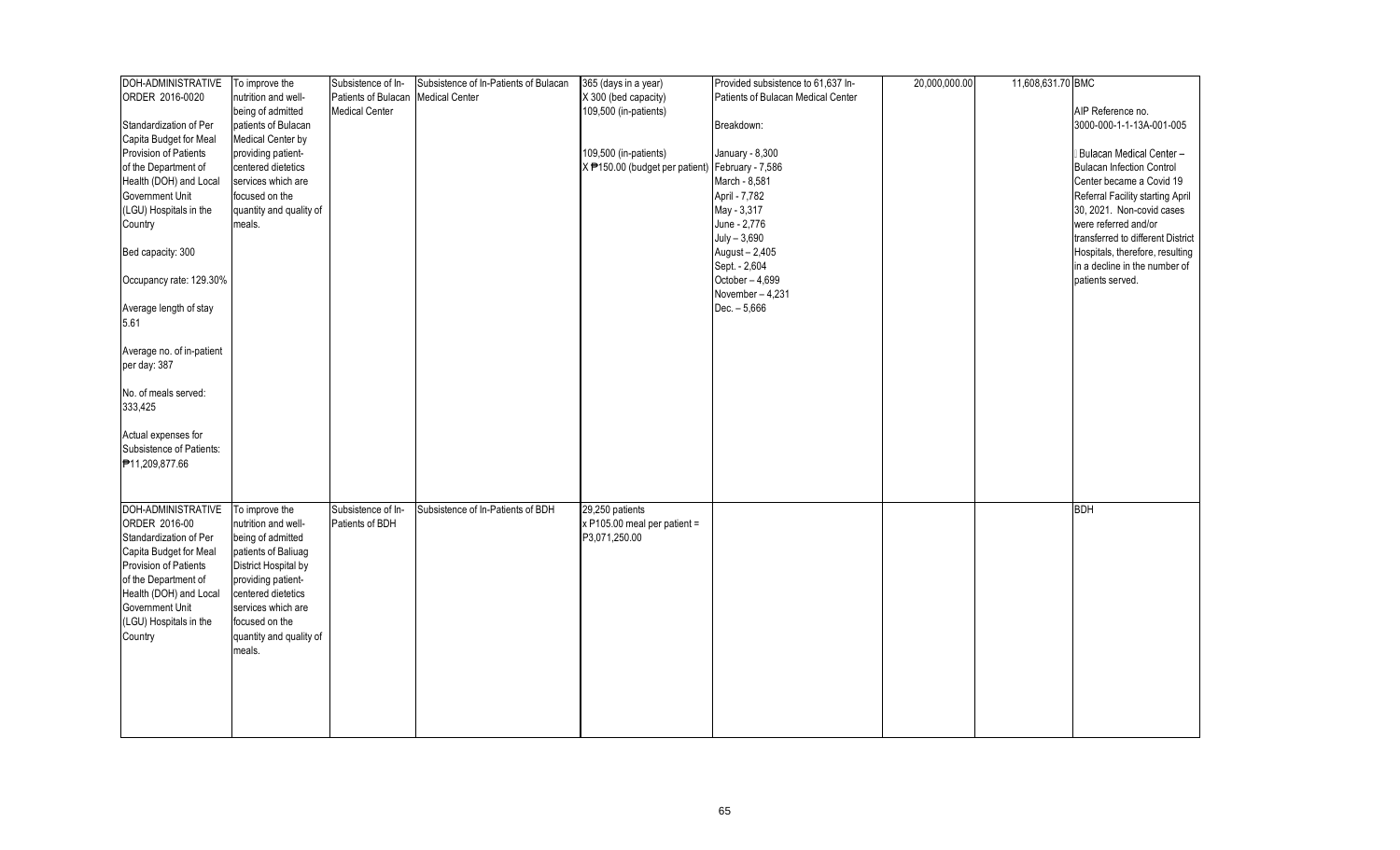| DOH-ADMINISTRATIVE        | To improve the          | Subsistence of In-    | Subsistence of In-Patients of Bulacan | 365 (days in a year)                                        | Provided subsistence to 61,637 In- | 20,000,000.00 | 11,608,631.70 BMC |                                   |
|---------------------------|-------------------------|-----------------------|---------------------------------------|-------------------------------------------------------------|------------------------------------|---------------|-------------------|-----------------------------------|
| ORDER 2016-0020           | nutrition and well-     | Patients of Bulacan   | <b>Medical Center</b>                 | X 300 (bed capacity)                                        | Patients of Bulacan Medical Center |               |                   |                                   |
|                           | being of admitted       | <b>Medical Center</b> |                                       | 109,500 (in-patients)                                       |                                    |               |                   | AIP Reference no.                 |
| Standardization of Per    | patients of Bulacan     |                       |                                       |                                                             | Breakdown:                         |               |                   | 3000-000-1-1-13A-001-005          |
| Capita Budget for Meal    | Medical Center by       |                       |                                       |                                                             |                                    |               |                   |                                   |
| Provision of Patients     | providing patient-      |                       |                                       | 109,500 (in-patients)                                       | January - 8,300                    |               |                   | Bulacan Medical Center -          |
| of the Department of      | centered dietetics      |                       |                                       | X <sup>+</sup> 150.00 (budget per patient) February - 7,586 |                                    |               |                   | <b>Bulacan Infection Control</b>  |
| Health (DOH) and Local    | services which are      |                       |                                       |                                                             | March - 8,581                      |               |                   | Center became a Covid 19          |
| Government Unit           | focused on the          |                       |                                       |                                                             | April - 7,782                      |               |                   | Referral Facility starting April  |
| (LGU) Hospitals in the    | quantity and quality of |                       |                                       |                                                             | May - 3,317                        |               |                   | 30, 2021. Non-covid cases         |
| Country                   | meals.                  |                       |                                       |                                                             | June - 2,776                       |               |                   | were referred and/or              |
|                           |                         |                       |                                       |                                                             | $July - 3,690$                     |               |                   | transferred to different District |
| Bed capacity: 300         |                         |                       |                                       |                                                             | August - 2,405                     |               |                   | Hospitals, therefore, resulting   |
|                           |                         |                       |                                       |                                                             | Sept. - 2,604                      |               |                   | in a decline in the number of     |
|                           |                         |                       |                                       |                                                             | October - 4,699                    |               |                   | patients served.                  |
| Occupancy rate: 129.30%   |                         |                       |                                       |                                                             |                                    |               |                   |                                   |
|                           |                         |                       |                                       |                                                             | November-4,231                     |               |                   |                                   |
| Average length of stay    |                         |                       |                                       |                                                             | $Dec. - 5,666$                     |               |                   |                                   |
| 5.61                      |                         |                       |                                       |                                                             |                                    |               |                   |                                   |
|                           |                         |                       |                                       |                                                             |                                    |               |                   |                                   |
| Average no. of in-patient |                         |                       |                                       |                                                             |                                    |               |                   |                                   |
| per day: 387              |                         |                       |                                       |                                                             |                                    |               |                   |                                   |
|                           |                         |                       |                                       |                                                             |                                    |               |                   |                                   |
| No. of meals served:      |                         |                       |                                       |                                                             |                                    |               |                   |                                   |
| 333,425                   |                         |                       |                                       |                                                             |                                    |               |                   |                                   |
|                           |                         |                       |                                       |                                                             |                                    |               |                   |                                   |
| Actual expenses for       |                         |                       |                                       |                                                             |                                    |               |                   |                                   |
| Subsistence of Patients:  |                         |                       |                                       |                                                             |                                    |               |                   |                                   |
| ₱11,209,877.66            |                         |                       |                                       |                                                             |                                    |               |                   |                                   |
|                           |                         |                       |                                       |                                                             |                                    |               |                   |                                   |
|                           |                         |                       |                                       |                                                             |                                    |               |                   |                                   |
| DOH-ADMINISTRATIVE        | To improve the          | Subsistence of In-    | Subsistence of In-Patients of BDH     | 29,250 patients                                             |                                    |               |                   | <b>BDH</b>                        |
| ORDER 2016-00             | nutrition and well-     | Patients of BDH       |                                       | $x$ P105.00 meal per patient =                              |                                    |               |                   |                                   |
| Standardization of Per    | being of admitted       |                       |                                       | P3,071,250.00                                               |                                    |               |                   |                                   |
| Capita Budget for Meal    | patients of Baliuag     |                       |                                       |                                                             |                                    |               |                   |                                   |
| Provision of Patients     | District Hospital by    |                       |                                       |                                                             |                                    |               |                   |                                   |
| of the Department of      | providing patient-      |                       |                                       |                                                             |                                    |               |                   |                                   |
| Health (DOH) and Local    | centered dietetics      |                       |                                       |                                                             |                                    |               |                   |                                   |
| Government Unit           | services which are      |                       |                                       |                                                             |                                    |               |                   |                                   |
| (LGU) Hospitals in the    | focused on the          |                       |                                       |                                                             |                                    |               |                   |                                   |
| Country                   | quantity and quality of |                       |                                       |                                                             |                                    |               |                   |                                   |
|                           | meals.                  |                       |                                       |                                                             |                                    |               |                   |                                   |
|                           |                         |                       |                                       |                                                             |                                    |               |                   |                                   |
|                           |                         |                       |                                       |                                                             |                                    |               |                   |                                   |
|                           |                         |                       |                                       |                                                             |                                    |               |                   |                                   |
|                           |                         |                       |                                       |                                                             |                                    |               |                   |                                   |
|                           |                         |                       |                                       |                                                             |                                    |               |                   |                                   |
|                           |                         |                       |                                       |                                                             |                                    |               |                   |                                   |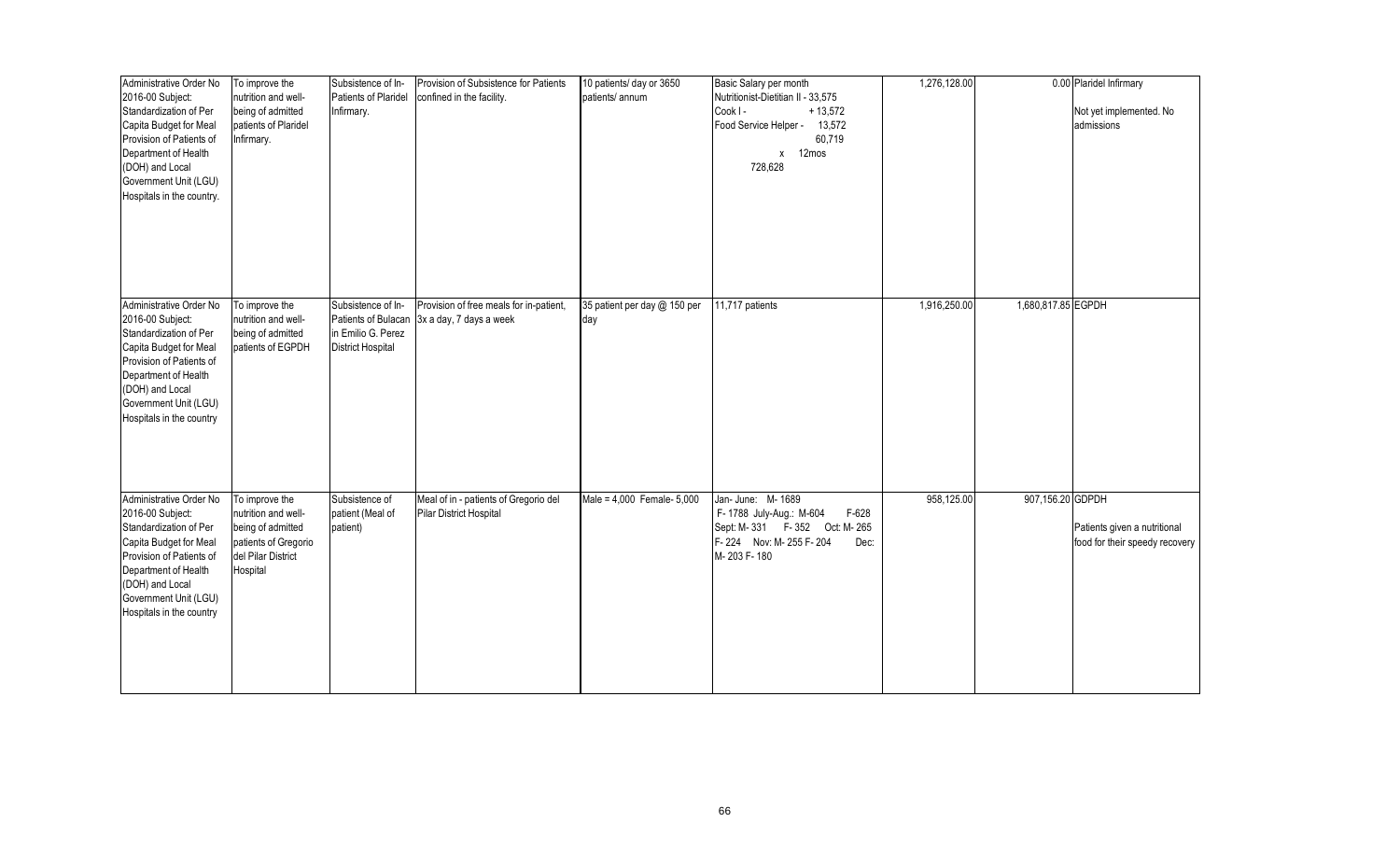| Administrative Order No<br>2016-00 Subject:<br>Standardization of Per<br>Capita Budget for Meal<br>Provision of Patients of<br>Department of Health<br>(DOH) and Local<br>Government Unit (LGU)<br>Hospitals in the country. | To improve the<br>nutrition and well-<br>being of admitted<br>patients of Plaridel<br>Infirmary.                     | Subsistence of In-<br>Patients of Plaridel<br>Infirmary.                                    | Provision of Subsistence for Patients<br>confined in the facility. | 10 patients/ day or 3650<br>patients/ annum | Basic Salary per month<br>Nutritionist-Dietitian II - 33,575<br>Cook I-<br>$+13,572$<br>Food Service Helper -<br>13,572<br>60,719<br>x 12mos<br>728,628 | 1,276,128.00 |                    | 0.00 Plaridel Infirmary<br>Not yet implemented. No<br>admissions |
|------------------------------------------------------------------------------------------------------------------------------------------------------------------------------------------------------------------------------|----------------------------------------------------------------------------------------------------------------------|---------------------------------------------------------------------------------------------|--------------------------------------------------------------------|---------------------------------------------|---------------------------------------------------------------------------------------------------------------------------------------------------------|--------------|--------------------|------------------------------------------------------------------|
| Administrative Order No<br>2016-00 Subject:<br>Standardization of Per<br>Capita Budget for Meal<br>Provision of Patients of<br>Department of Health<br>(DOH) and Local<br>Government Unit (LGU)<br>Hospitals in the country  | To improve the<br>nutrition and well-<br>being of admitted<br>patients of EGPDH                                      | Subsistence of In-<br>Patients of Bulacan<br>in Emilio G. Perez<br><b>District Hospital</b> | Provision of free meals for in-patient,<br>3x a day, 7 days a week | 35 patient per day @ 150 per<br>day         | 11,717 patients                                                                                                                                         | 1,916,250.00 | 1,680,817.85 EGPDH |                                                                  |
| Administrative Order No<br>2016-00 Subject:<br>Standardization of Per<br>Capita Budget for Meal<br>Provision of Patients of<br>Department of Health<br>(DOH) and Local<br>Government Unit (LGU)<br>Hospitals in the country  | To improve the<br>nutrition and well-<br>being of admitted<br>patients of Gregorio<br>del Pilar District<br>Hospital | Subsistence of<br>patient (Meal of<br>patient)                                              | Meal of in - patients of Gregorio del<br>Pilar District Hospital   | Male = 4,000 Female- 5,000                  | Jan- June: M- 1689<br>F- 1788 July-Aug.: M-604<br>F-628<br>Sept: M-331   F-352   Oct: M-265<br>F-224 Nov: M-255 F-204<br>Dec:<br>M-203 F-180            | 958,125.00   | 907,156.20 GDPDH   | Patients given a nutritional<br>food for their speedy recovery   |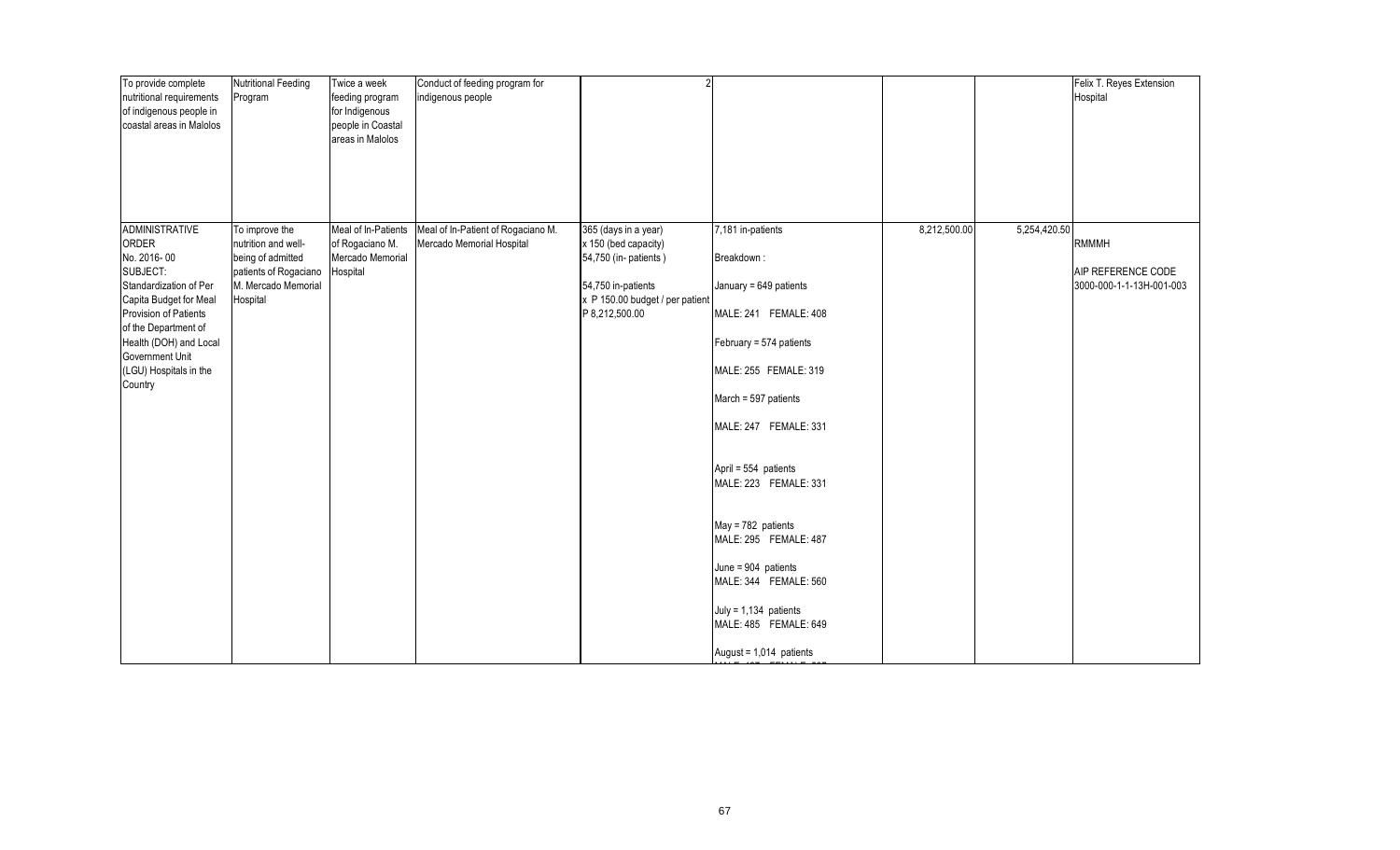| To provide complete<br>nutritional requirements<br>of indigenous people in<br>coastal areas in Malolos                                                                                                                                           | <b>Nutritional Feeding</b><br>Program                                                                                  | Twice a week<br>feeding program<br>for Indigenous<br>people in Coastal<br>areas in Malolos | Conduct of feeding program for<br>indigenous people             |                                                                                                                                                  |                                                                                                                                                                                                                                                                                                                                                                                                                            |              |              | Felix T. Reyes Extension<br>Hospital                    |
|--------------------------------------------------------------------------------------------------------------------------------------------------------------------------------------------------------------------------------------------------|------------------------------------------------------------------------------------------------------------------------|--------------------------------------------------------------------------------------------|-----------------------------------------------------------------|--------------------------------------------------------------------------------------------------------------------------------------------------|----------------------------------------------------------------------------------------------------------------------------------------------------------------------------------------------------------------------------------------------------------------------------------------------------------------------------------------------------------------------------------------------------------------------------|--------------|--------------|---------------------------------------------------------|
| <b>ADMINISTRATIVE</b><br>ORDER<br>No. 2016-00<br>SUBJECT:<br>Standardization of Per<br>Capita Budget for Meal<br>Provision of Patients<br>of the Department of<br>Health (DOH) and Local<br>Government Unit<br>(LGU) Hospitals in the<br>Country | To improve the<br>nutrition and well-<br>being of admitted<br>patients of Rogaciano<br>M. Mercado Memorial<br>Hospital | Meal of In-Patients<br>of Rogaciano M.<br>Mercado Memorial<br>Hospital                     | Meal of In-Patient of Rogaciano M.<br>Mercado Memorial Hospital | 365 (days in a year)<br>x 150 (bed capacity)<br>54,750 (in- patients)<br>54,750 in-patients<br>x P 150.00 budget / per patient<br>P 8,212,500.00 | 7,181 in-patients<br>Breakdown:<br>January = 649 patients<br>MALE: 241 FEMALE: 408<br>February = 574 patients<br>MALE: 255 FEMALE: 319<br>March = 597 patients<br>MALE: 247 FEMALE: 331<br>April = 554 patients<br>MALE: 223 FEMALE: 331<br>May = 782 patients<br>MALE: 295 FEMALE: 487<br>June = $904$ patients<br>MALE: 344 FEMALE: 560<br>July = $1,134$ patients<br>MALE: 485 FEMALE: 649<br>August = $1,014$ patients | 8,212,500.00 | 5,254,420.50 | RMMMH<br>AIP REFERENCE CODE<br>3000-000-1-1-13H-001-003 |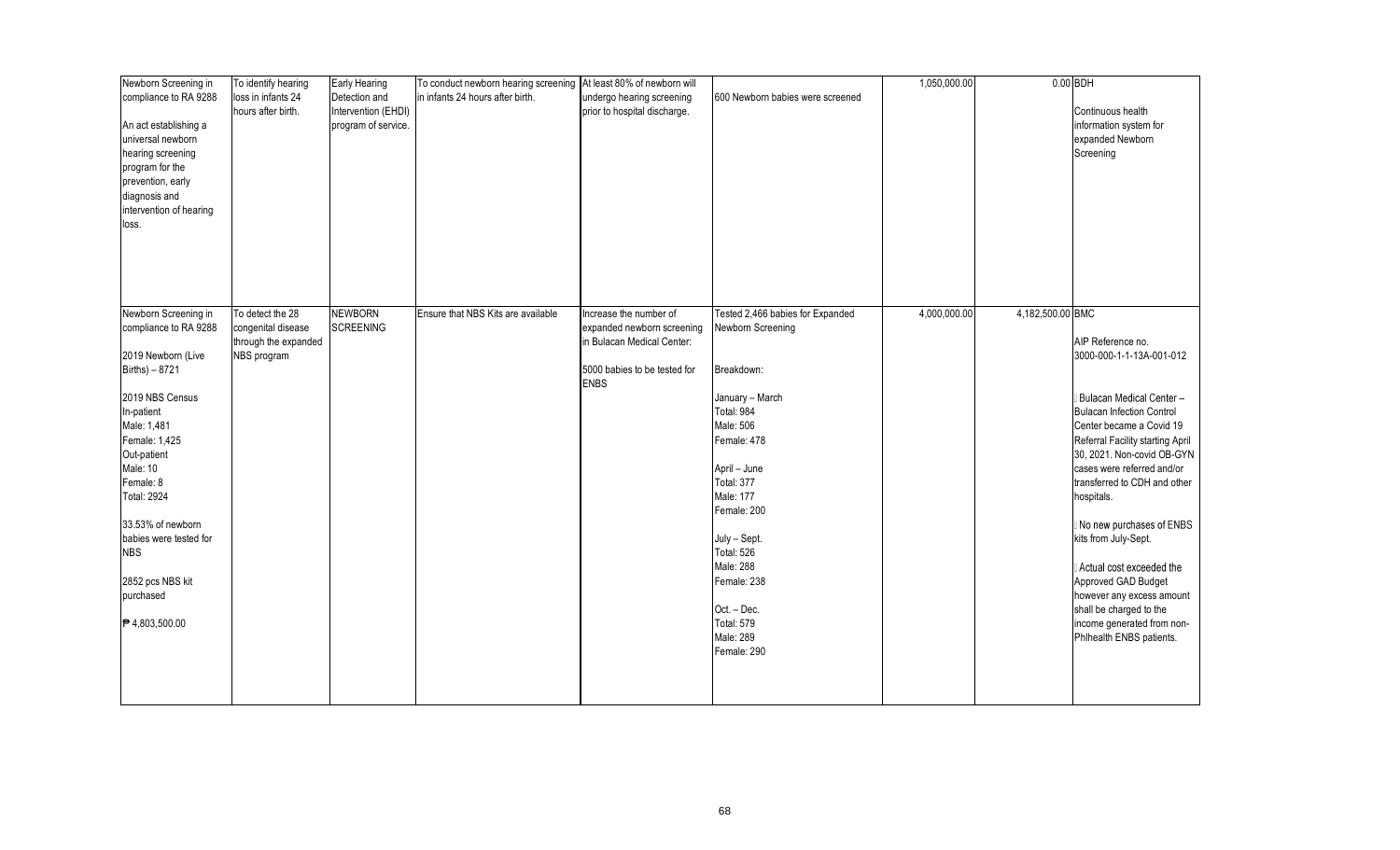| Newborn Screening in    | To identify hearing  | Early Hearing       | To conduct newborn hearing screening | At least 80% of newborn will |                                  | 1,050,000.00 |                  | $0.00$ BDH                       |
|-------------------------|----------------------|---------------------|--------------------------------------|------------------------------|----------------------------------|--------------|------------------|----------------------------------|
| compliance to RA 9288   | loss in infants 24   | Detection and       | in infants 24 hours after birth.     | undergo hearing screening    | 600 Newborn babies were screened |              |                  |                                  |
|                         | hours after birth.   | Intervention (EHDI) |                                      | prior to hospital discharge. |                                  |              |                  | Continuous health                |
| An act establishing a   |                      | program of service. |                                      |                              |                                  |              |                  | information system for           |
| universal newborn       |                      |                     |                                      |                              |                                  |              |                  | expanded Newborn                 |
| hearing screening       |                      |                     |                                      |                              |                                  |              |                  | Screening                        |
| program for the         |                      |                     |                                      |                              |                                  |              |                  |                                  |
| prevention, early       |                      |                     |                                      |                              |                                  |              |                  |                                  |
| diagnosis and           |                      |                     |                                      |                              |                                  |              |                  |                                  |
| intervention of hearing |                      |                     |                                      |                              |                                  |              |                  |                                  |
| loss.                   |                      |                     |                                      |                              |                                  |              |                  |                                  |
|                         |                      |                     |                                      |                              |                                  |              |                  |                                  |
|                         |                      |                     |                                      |                              |                                  |              |                  |                                  |
|                         |                      |                     |                                      |                              |                                  |              |                  |                                  |
|                         |                      |                     |                                      |                              |                                  |              |                  |                                  |
|                         |                      |                     |                                      |                              |                                  |              |                  |                                  |
| Newborn Screening in    | To detect the 28     | NEWBORN             | Ensure that NBS Kits are available   | ncrease the number of        | Tested 2,466 babies for Expanded | 4,000,000.00 | 4,182,500.00 BMC |                                  |
| compliance to RA 9288   | congenital disease   | <b>SCREENING</b>    |                                      | expanded newborn screening   | Newborn Screening                |              |                  |                                  |
|                         | through the expanded |                     |                                      | in Bulacan Medical Center:   |                                  |              |                  | AIP Reference no.                |
| 2019 Newborn (Live      | NBS program          |                     |                                      |                              |                                  |              |                  | 3000-000-1-1-13A-001-012         |
| Births) - 8721          |                      |                     |                                      | 5000 babies to be tested for | Breakdown:                       |              |                  |                                  |
|                         |                      |                     |                                      | <b>ENBS</b>                  |                                  |              |                  |                                  |
| 2019 NBS Census         |                      |                     |                                      |                              | January - March                  |              |                  | Bulacan Medical Center-          |
| In-patient              |                      |                     |                                      |                              | Total: 984                       |              |                  | <b>Bulacan Infection Control</b> |
| Male: 1,481             |                      |                     |                                      |                              | Male: 506                        |              |                  | Center became a Covid 19         |
| Female: 1,425           |                      |                     |                                      |                              | Female: 478                      |              |                  | Referral Facility starting April |
| Out-patient             |                      |                     |                                      |                              |                                  |              |                  | 30, 2021. Non-covid OB-GYN       |
| Male: 10                |                      |                     |                                      |                              | April - June                     |              |                  | cases were referred and/or       |
| Female: 8               |                      |                     |                                      |                              | <b>Total: 377</b>                |              |                  | transferred to CDH and other     |
| <b>Total: 2924</b>      |                      |                     |                                      |                              | Male: 177                        |              |                  | hospitals.                       |
|                         |                      |                     |                                      |                              | Female: 200                      |              |                  |                                  |
| 33.53% of newborn       |                      |                     |                                      |                              |                                  |              |                  | No new purchases of ENBS         |
| babies were tested for  |                      |                     |                                      |                              | July - Sept.                     |              |                  | kits from July-Sept.             |
| <b>NBS</b>              |                      |                     |                                      |                              | <b>Total: 526</b>                |              |                  |                                  |
|                         |                      |                     |                                      |                              | Male: 288                        |              |                  | Actual cost exceeded the         |
| 2852 pcs NBS kit        |                      |                     |                                      |                              | Female: 238                      |              |                  | Approved GAD Budget              |
| purchased               |                      |                     |                                      |                              |                                  |              |                  | however any excess amount        |
|                         |                      |                     |                                      |                              | Oct. - Dec.                      |              |                  | shall be charged to the          |
| ₱4,803,500.00           |                      |                     |                                      |                              | <b>Total: 579</b>                |              |                  | income generated from non-       |
|                         |                      |                     |                                      |                              | Male: 289                        |              |                  | Phlhealth ENBS patients.         |
|                         |                      |                     |                                      |                              | Female: 290                      |              |                  |                                  |
|                         |                      |                     |                                      |                              |                                  |              |                  |                                  |
|                         |                      |                     |                                      |                              |                                  |              |                  |                                  |
|                         |                      |                     |                                      |                              |                                  |              |                  |                                  |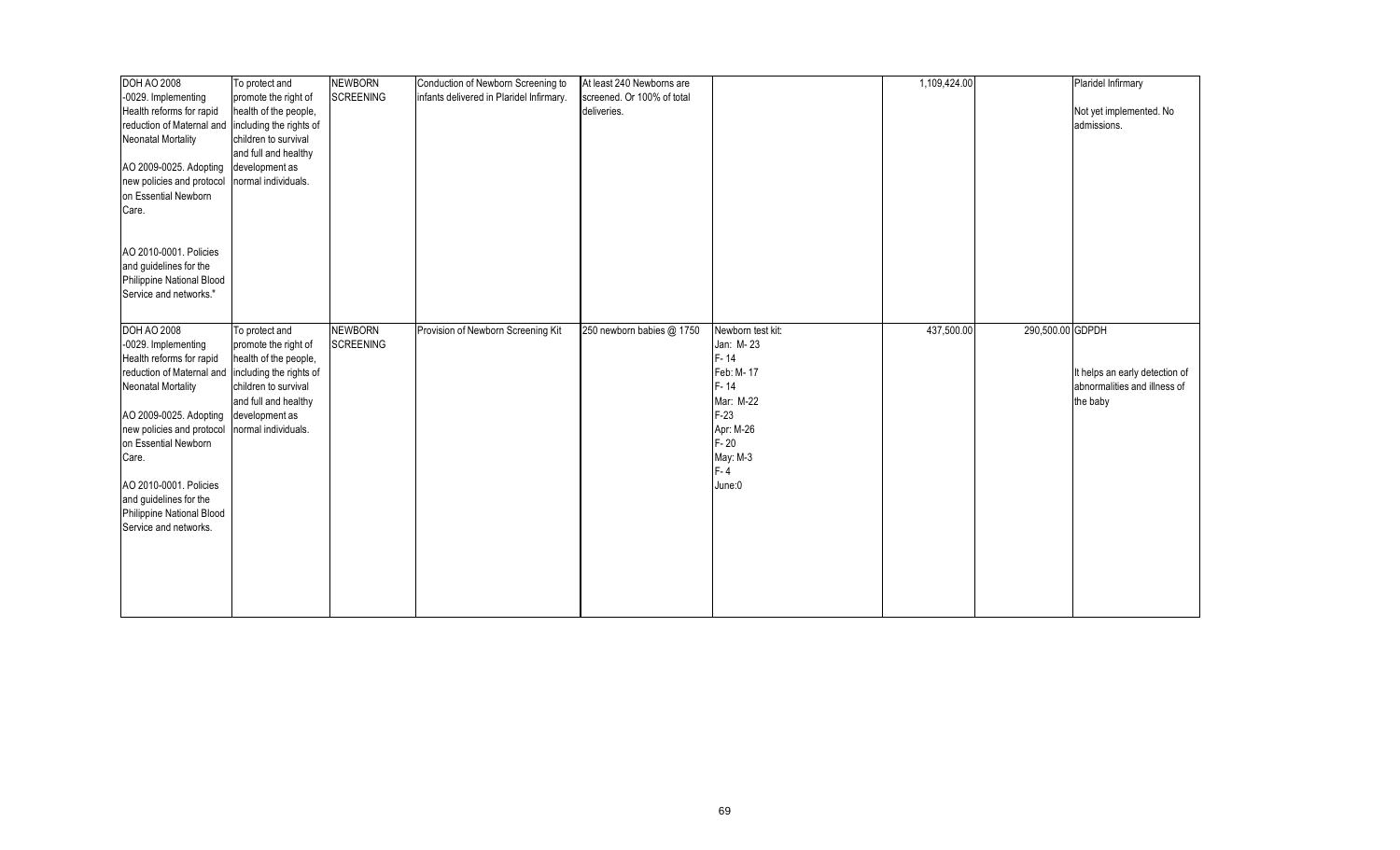| <b>DOH AO 2008</b>                                                                                                                                                                                                          | To protect and                                                                        | <b>NEWBORN</b>   | Conduction of Newborn Screening to       | At least 240 Newborns are  |                                                                                           | 1,109,424.00 |                  | Plaridel Infirmary                       |
|-----------------------------------------------------------------------------------------------------------------------------------------------------------------------------------------------------------------------------|---------------------------------------------------------------------------------------|------------------|------------------------------------------|----------------------------|-------------------------------------------------------------------------------------------|--------------|------------------|------------------------------------------|
| -0029. Implementing                                                                                                                                                                                                         | promote the right of                                                                  | <b>SCREENING</b> | infants delivered in Plaridel Infirmary. | screened. Or 100% of total |                                                                                           |              |                  |                                          |
| Health reforms for rapid                                                                                                                                                                                                    | health of the people,                                                                 |                  |                                          | deliveries.                |                                                                                           |              |                  | Not yet implemented. No                  |
| reduction of Maternal and  including the rights of                                                                                                                                                                          |                                                                                       |                  |                                          |                            |                                                                                           |              |                  | admissions.                              |
| Neonatal Mortality                                                                                                                                                                                                          | children to survival                                                                  |                  |                                          |                            |                                                                                           |              |                  |                                          |
|                                                                                                                                                                                                                             | and full and healthy                                                                  |                  |                                          |                            |                                                                                           |              |                  |                                          |
| AO 2009-0025. Adopting                                                                                                                                                                                                      | development as                                                                        |                  |                                          |                            |                                                                                           |              |                  |                                          |
| new policies and protocol                                                                                                                                                                                                   | normal individuals.                                                                   |                  |                                          |                            |                                                                                           |              |                  |                                          |
|                                                                                                                                                                                                                             |                                                                                       |                  |                                          |                            |                                                                                           |              |                  |                                          |
| on Essential Newborn                                                                                                                                                                                                        |                                                                                       |                  |                                          |                            |                                                                                           |              |                  |                                          |
| Care.                                                                                                                                                                                                                       |                                                                                       |                  |                                          |                            |                                                                                           |              |                  |                                          |
|                                                                                                                                                                                                                             |                                                                                       |                  |                                          |                            |                                                                                           |              |                  |                                          |
|                                                                                                                                                                                                                             |                                                                                       |                  |                                          |                            |                                                                                           |              |                  |                                          |
| AO 2010-0001. Policies                                                                                                                                                                                                      |                                                                                       |                  |                                          |                            |                                                                                           |              |                  |                                          |
| and guidelines for the                                                                                                                                                                                                      |                                                                                       |                  |                                          |                            |                                                                                           |              |                  |                                          |
| Philippine National Blood                                                                                                                                                                                                   |                                                                                       |                  |                                          |                            |                                                                                           |              |                  |                                          |
| Service and networks."                                                                                                                                                                                                      |                                                                                       |                  |                                          |                            |                                                                                           |              |                  |                                          |
|                                                                                                                                                                                                                             |                                                                                       |                  |                                          |                            |                                                                                           |              |                  |                                          |
| <b>DOH AO 2008</b>                                                                                                                                                                                                          | To protect and                                                                        | <b>NEWBORN</b>   | Provision of Newborn Screening Kit       | 250 newborn babies @ 1750  | Newborn test kit:                                                                         | 437,500.00   | 290,500.00 GDPDH |                                          |
| -0029. Implementing                                                                                                                                                                                                         | promote the right of                                                                  | <b>SCREENING</b> |                                          |                            | Jan: M-23                                                                                 |              |                  |                                          |
| Health reforms for rapid                                                                                                                                                                                                    | health of the people,                                                                 |                  |                                          |                            | $F - 14$                                                                                  |              |                  |                                          |
| reduction of Maternal and                                                                                                                                                                                                   | including the rights of                                                               |                  |                                          |                            | Feb: M-17                                                                                 |              |                  | It helps an early detection of           |
|                                                                                                                                                                                                                             |                                                                                       |                  |                                          |                            |                                                                                           |              |                  |                                          |
|                                                                                                                                                                                                                             |                                                                                       |                  |                                          |                            |                                                                                           |              |                  |                                          |
|                                                                                                                                                                                                                             |                                                                                       |                  |                                          |                            |                                                                                           |              |                  |                                          |
|                                                                                                                                                                                                                             |                                                                                       |                  |                                          |                            |                                                                                           |              |                  |                                          |
|                                                                                                                                                                                                                             |                                                                                       |                  |                                          |                            |                                                                                           |              |                  |                                          |
|                                                                                                                                                                                                                             |                                                                                       |                  |                                          |                            |                                                                                           |              |                  |                                          |
|                                                                                                                                                                                                                             |                                                                                       |                  |                                          |                            |                                                                                           |              |                  |                                          |
|                                                                                                                                                                                                                             |                                                                                       |                  |                                          |                            |                                                                                           |              |                  |                                          |
|                                                                                                                                                                                                                             |                                                                                       |                  |                                          |                            |                                                                                           |              |                  |                                          |
|                                                                                                                                                                                                                             |                                                                                       |                  |                                          |                            |                                                                                           |              |                  |                                          |
|                                                                                                                                                                                                                             |                                                                                       |                  |                                          |                            |                                                                                           |              |                  |                                          |
|                                                                                                                                                                                                                             |                                                                                       |                  |                                          |                            |                                                                                           |              |                  |                                          |
|                                                                                                                                                                                                                             |                                                                                       |                  |                                          |                            |                                                                                           |              |                  |                                          |
|                                                                                                                                                                                                                             |                                                                                       |                  |                                          |                            |                                                                                           |              |                  |                                          |
|                                                                                                                                                                                                                             |                                                                                       |                  |                                          |                            |                                                                                           |              |                  |                                          |
|                                                                                                                                                                                                                             |                                                                                       |                  |                                          |                            |                                                                                           |              |                  |                                          |
|                                                                                                                                                                                                                             |                                                                                       |                  |                                          |                            |                                                                                           |              |                  |                                          |
| <b>Neonatal Mortality</b><br>AO 2009-0025. Adopting<br>new policies and protocol<br>on Essential Newborn<br>Care.<br>AO 2010-0001. Policies<br>and guidelines for the<br>Philippine National Blood<br>Service and networks. | children to survival<br>and full and healthy<br>development as<br>normal individuals. |                  |                                          |                            | $F - 14$<br>Mar: M-22<br>$F-23$<br>Apr: M-26<br>$F - 20$<br>May: M-3<br>$F - 4$<br>June:0 |              |                  | abnormalities and illness of<br>the baby |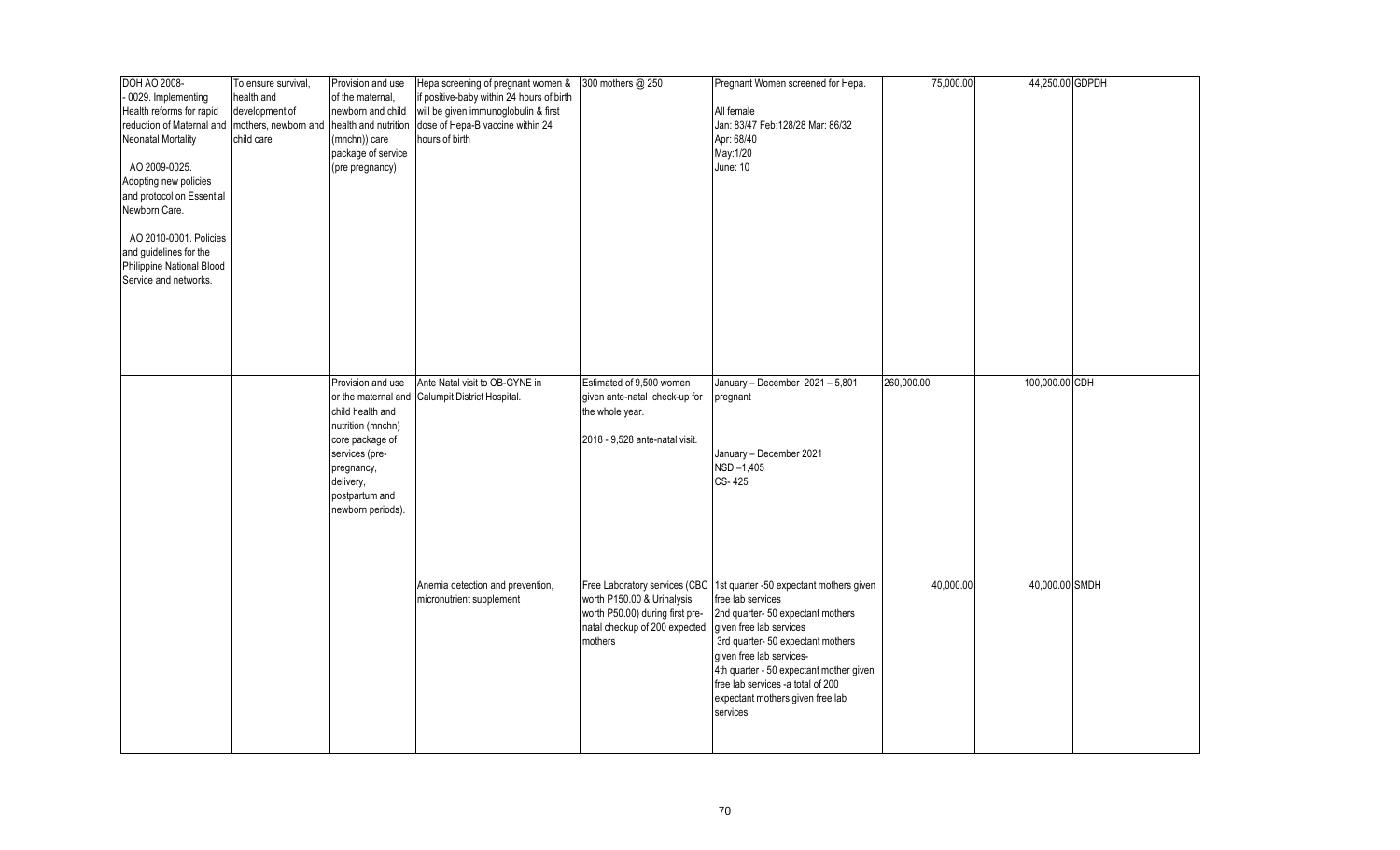| DOH AO 2008-              | To ensure survival,  | Provision and use    | Hepa screening of pregnant women &        | 300 mothers @ 250               | Pregnant Women screened for Hepa.       | 75,000.00  | 44,250.00 GDPDH |  |
|---------------------------|----------------------|----------------------|-------------------------------------------|---------------------------------|-----------------------------------------|------------|-----------------|--|
| 0029. Implementing        | health and           | of the maternal,     | if positive-baby within 24 hours of birth |                                 |                                         |            |                 |  |
| Health reforms for rapid  | development of       | newborn and child    | will be given immunoglobulin & first      |                                 | All female                              |            |                 |  |
| reduction of Maternal and | mothers, newborn and | health and nutrition | dose of Hepa-B vaccine within 24          |                                 | Jan: 83/47 Feb:128/28 Mar: 86/32        |            |                 |  |
| <b>Neonatal Mortality</b> | child care           | (mnchn)) care        | hours of birth                            |                                 | Apr: 68/40                              |            |                 |  |
|                           |                      | package of service   |                                           |                                 | May:1/20                                |            |                 |  |
| AO 2009-0025.             |                      |                      |                                           |                                 | <b>June: 10</b>                         |            |                 |  |
|                           |                      | (pre pregnancy)      |                                           |                                 |                                         |            |                 |  |
| Adopting new policies     |                      |                      |                                           |                                 |                                         |            |                 |  |
| and protocol on Essential |                      |                      |                                           |                                 |                                         |            |                 |  |
| Newborn Care.             |                      |                      |                                           |                                 |                                         |            |                 |  |
|                           |                      |                      |                                           |                                 |                                         |            |                 |  |
| AO 2010-0001. Policies    |                      |                      |                                           |                                 |                                         |            |                 |  |
| and guidelines for the    |                      |                      |                                           |                                 |                                         |            |                 |  |
| Philippine National Blood |                      |                      |                                           |                                 |                                         |            |                 |  |
| Service and networks.     |                      |                      |                                           |                                 |                                         |            |                 |  |
|                           |                      |                      |                                           |                                 |                                         |            |                 |  |
|                           |                      |                      |                                           |                                 |                                         |            |                 |  |
|                           |                      |                      |                                           |                                 |                                         |            |                 |  |
|                           |                      |                      |                                           |                                 |                                         |            |                 |  |
|                           |                      |                      |                                           |                                 |                                         |            |                 |  |
|                           |                      |                      |                                           |                                 |                                         |            |                 |  |
|                           |                      |                      |                                           |                                 |                                         |            |                 |  |
|                           |                      | Provision and use    | Ante Natal visit to OB-GYNE in            | Estimated of 9,500 women        | January - December $2021 - 5,801$       | 260,000.00 | 100,000.00 CDH  |  |
|                           |                      | or the maternal and  | Calumpit District Hospital.               | given ante-natal check-up for   | pregnant                                |            |                 |  |
|                           |                      | child health and     |                                           | the whole year.                 |                                         |            |                 |  |
|                           |                      | nutrition (mnchn)    |                                           |                                 |                                         |            |                 |  |
|                           |                      | core package of      |                                           | 2018 - 9,528 ante-natal visit.  |                                         |            |                 |  |
|                           |                      | services (pre-       |                                           |                                 | January - December 2021                 |            |                 |  |
|                           |                      | pregnancy,           |                                           |                                 | NSD-1,405                               |            |                 |  |
|                           |                      | delivery,            |                                           |                                 | CS-425                                  |            |                 |  |
|                           |                      | postpartum and       |                                           |                                 |                                         |            |                 |  |
|                           |                      | newborn periods).    |                                           |                                 |                                         |            |                 |  |
|                           |                      |                      |                                           |                                 |                                         |            |                 |  |
|                           |                      |                      |                                           |                                 |                                         |            |                 |  |
|                           |                      |                      |                                           |                                 |                                         |            |                 |  |
|                           |                      |                      |                                           |                                 |                                         |            |                 |  |
|                           |                      |                      |                                           |                                 |                                         |            |                 |  |
|                           |                      |                      | Anemia detection and prevention,          | Free Laboratory services (CBC   | 1st quarter -50 expectant mothers given | 40,000.00  | 40,000.00 SMDH  |  |
|                           |                      |                      | micronutrient supplement                  | worth P150.00 & Urinalysis      | free lab services                       |            |                 |  |
|                           |                      |                      |                                           | worth P50.00) during first pre- | 2nd quarter-50 expectant mothers        |            |                 |  |
|                           |                      |                      |                                           | natal checkup of 200 expected   | given free lab services                 |            |                 |  |
|                           |                      |                      |                                           | mothers                         | 3rd quarter-50 expectant mothers        |            |                 |  |
|                           |                      |                      |                                           |                                 | given free lab services-                |            |                 |  |
|                           |                      |                      |                                           |                                 | 4th quarter - 50 expectant mother given |            |                 |  |
|                           |                      |                      |                                           |                                 | free lab services -a total of 200       |            |                 |  |
|                           |                      |                      |                                           |                                 |                                         |            |                 |  |
|                           |                      |                      |                                           |                                 | expectant mothers given free lab        |            |                 |  |
|                           |                      |                      |                                           |                                 | services                                |            |                 |  |
|                           |                      |                      |                                           |                                 |                                         |            |                 |  |
|                           |                      |                      |                                           |                                 |                                         |            |                 |  |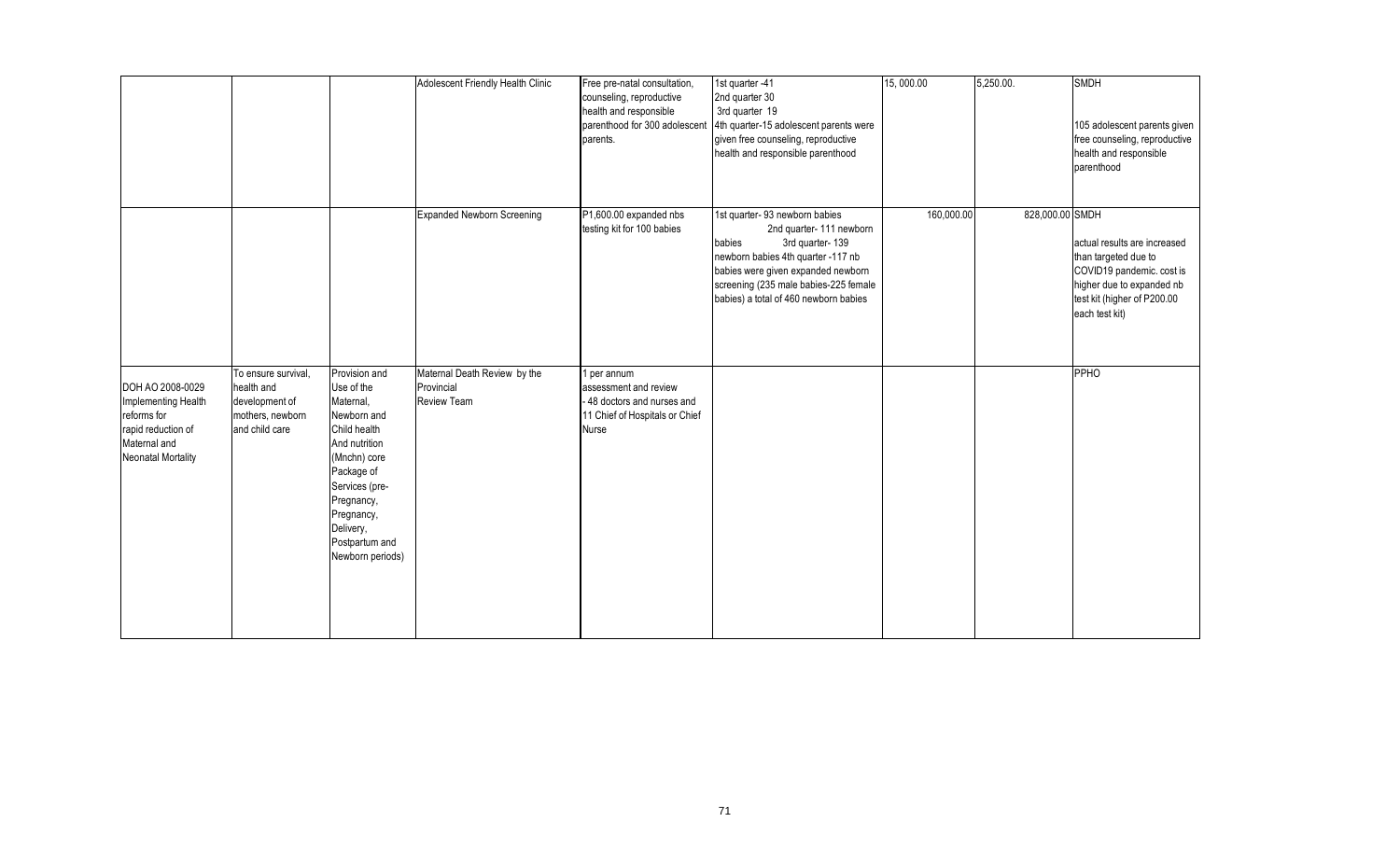|                                                                                                                           |                                                                                           |                                                                                                                                                                                                                         | Adolescent Friendly Health Clinic                         | Free pre-natal consultation,<br>counseling, reproductive<br>health and responsible<br>parenthood for 300 adolescent<br>parents. | 1st quarter -41<br>2nd quarter 30<br>3rd quarter 19<br>4th quarter-15 adolescent parents were<br>given free counseling, reproductive<br>health and responsible parenthood                                                                           | 15,000.00  | 5,250.00.       | <b>SMDH</b><br>105 adolescent parents given<br>free counseling, reproductive<br>health and responsible<br>parenthood                                            |
|---------------------------------------------------------------------------------------------------------------------------|-------------------------------------------------------------------------------------------|-------------------------------------------------------------------------------------------------------------------------------------------------------------------------------------------------------------------------|-----------------------------------------------------------|---------------------------------------------------------------------------------------------------------------------------------|-----------------------------------------------------------------------------------------------------------------------------------------------------------------------------------------------------------------------------------------------------|------------|-----------------|-----------------------------------------------------------------------------------------------------------------------------------------------------------------|
|                                                                                                                           |                                                                                           |                                                                                                                                                                                                                         | Expanded Newborn Screening                                | P1,600.00 expanded nbs<br>testing kit for 100 babies                                                                            | 1st quarter-93 newborn babies<br>2nd quarter-111 newborn<br>3rd quarter-139<br>babies<br>newborn babies 4th quarter -117 nb<br>babies were given expanded newborn<br>screening (235 male babies-225 female<br>babies) a total of 460 newborn babies | 160,000.00 | 828,000.00 SMDH | actual results are increased<br>than targeted due to<br>COVID19 pandemic. cost is<br>higher due to expanded nb<br>test kit (higher of P200.00<br>each test kit) |
| DOH AO 2008-0029<br>Implementing Health<br>reforms for<br>rapid reduction of<br>Maternal and<br><b>Neonatal Mortality</b> | To ensure survival,<br>health and<br>development of<br>mothers, newborn<br>and child care | Provision and<br>Use of the<br>Maternal,<br>Newborn and<br>Child health<br>And nutrition<br>(Mnchn) core<br>Package of<br>Services (pre-<br>Pregnancy,<br>Pregnancy,<br>Delivery,<br>Postpartum and<br>Newborn periods) | Maternal Death Review by the<br>Provincial<br>Review Team | 1 per annum<br>assessment and review<br>- 48 doctors and nurses and<br>11 Chief of Hospitals or Chief<br>Nurse                  |                                                                                                                                                                                                                                                     |            |                 | PPHO                                                                                                                                                            |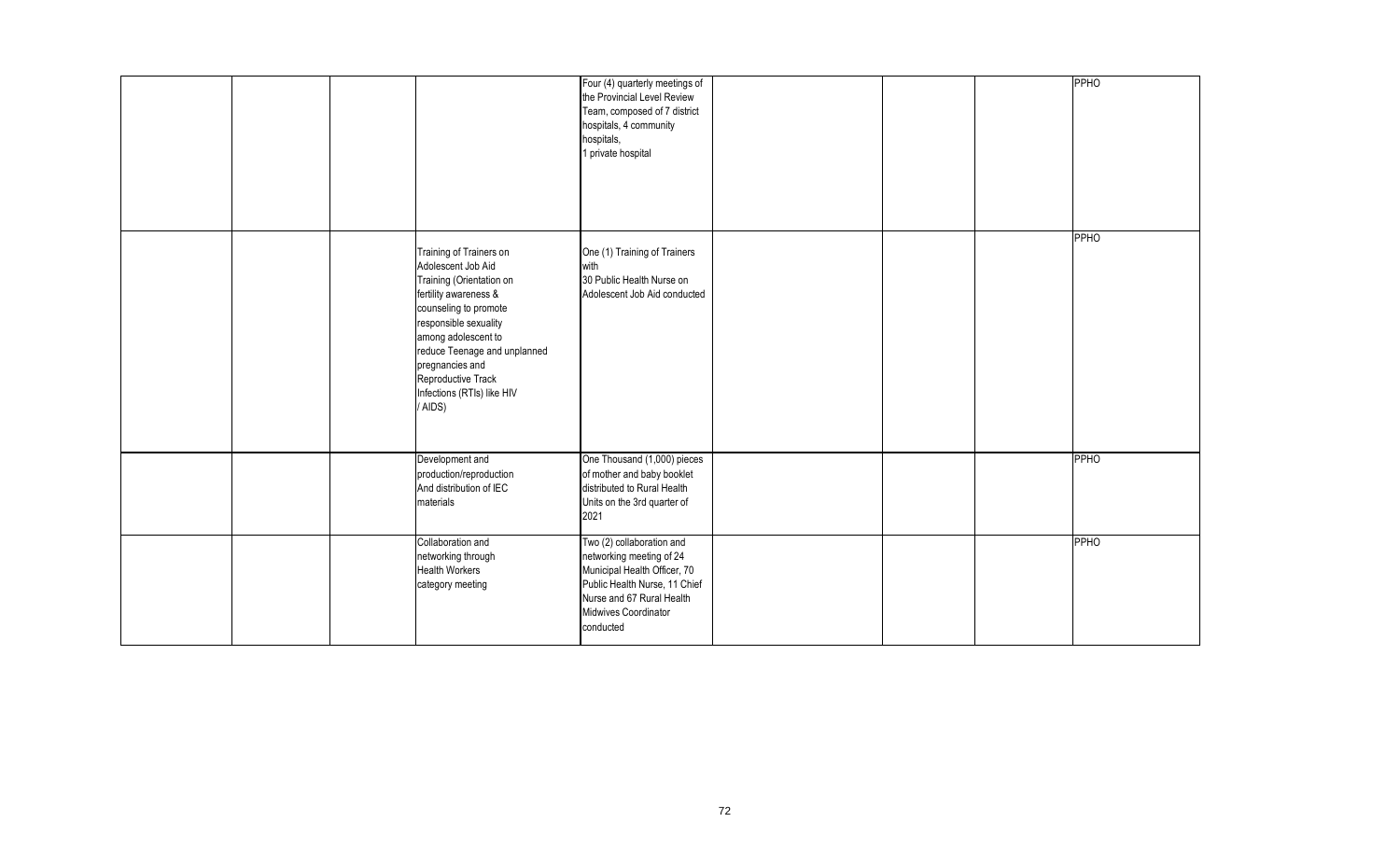|  |                                                                                                                                                                                                                                                                                               | Four (4) quarterly meetings of<br>the Provincial Level Review<br>Team, composed of 7 district<br>hospitals, 4 community<br>hospitals,<br>1 private hospital                              |  | <b>PPHO</b> |
|--|-----------------------------------------------------------------------------------------------------------------------------------------------------------------------------------------------------------------------------------------------------------------------------------------------|------------------------------------------------------------------------------------------------------------------------------------------------------------------------------------------|--|-------------|
|  | Training of Trainers on<br>Adolescent Job Aid<br>Training (Orientation on<br>fertility awareness &<br>counseling to promote<br>responsible sexuality<br>among adolescent to<br>reduce Teenage and unplanned<br>pregnancies and<br>Reproductive Track<br>Infections (RTIs) like HIV<br>/ AIDS) | One (1) Training of Trainers<br>with<br>30 Public Health Nurse on<br>Adolescent Job Aid conducted                                                                                        |  | <b>PPHO</b> |
|  | Development and<br>production/reproduction<br>And distribution of IEC<br>materials                                                                                                                                                                                                            | One Thousand (1,000) pieces<br>of mother and baby booklet<br>distributed to Rural Health<br>Units on the 3rd quarter of<br>2021                                                          |  | <b>PPHO</b> |
|  | Collaboration and<br>networking through<br><b>Health Workers</b><br>category meeting                                                                                                                                                                                                          | Two (2) collaboration and<br>networking meeting of 24<br>Municipal Health Officer, 70<br>Public Health Nurse, 11 Chief<br>Nurse and 67 Rural Health<br>Midwives Coordinator<br>conducted |  | <b>PPHO</b> |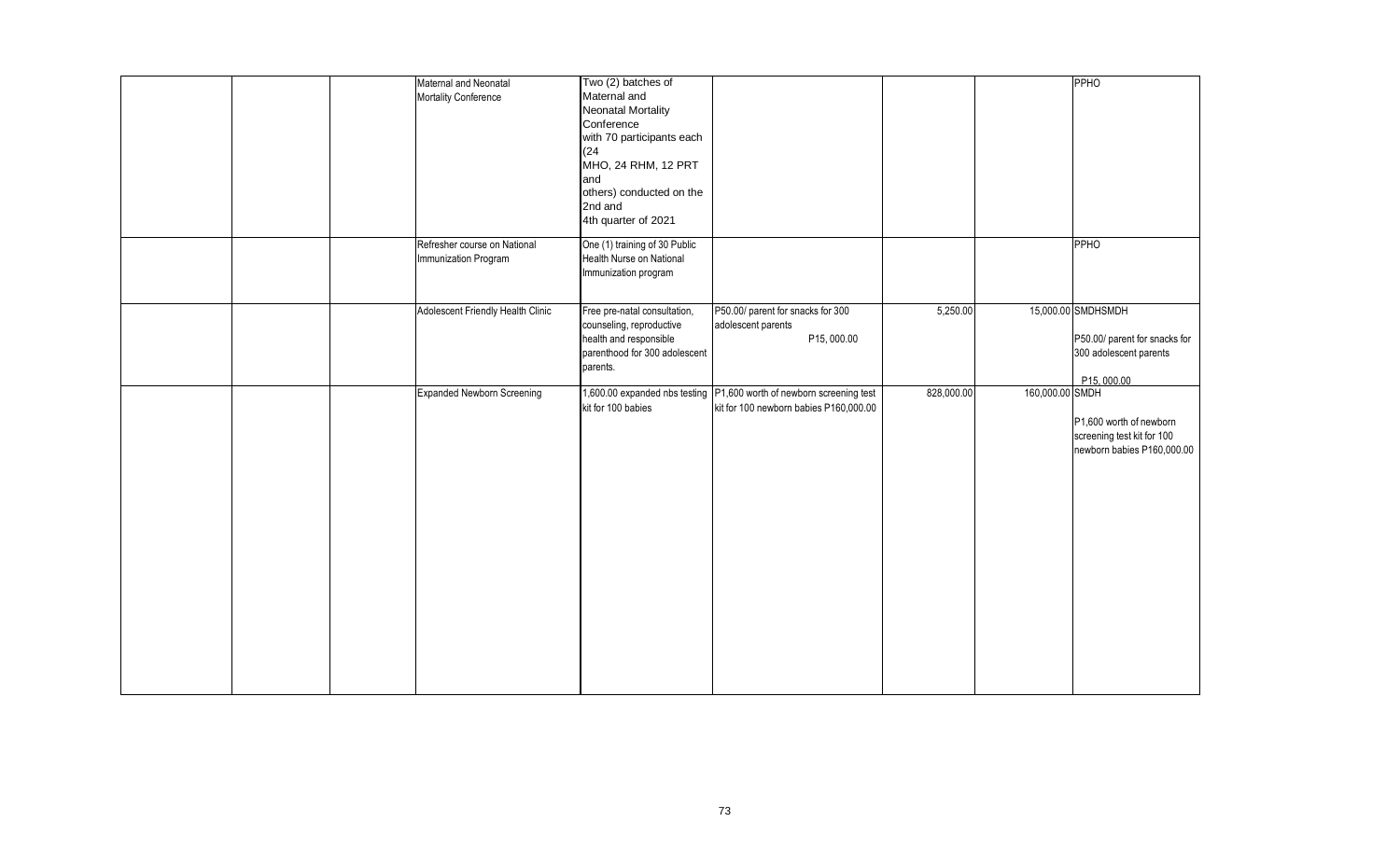|  | Maternal and Neonatal<br>Mortality Conference        | Two (2) batches of<br>Maternal and<br>Neonatal Mortality<br>Conference<br>with 70 participants each<br>(24)<br>MHO, 24 RHM, 12 PRT<br>and<br>others) conducted on the<br>2nd and<br>4th quarter of 2021 |                                                                                                                  |            |                 | PPHO                                                                                        |
|--|------------------------------------------------------|---------------------------------------------------------------------------------------------------------------------------------------------------------------------------------------------------------|------------------------------------------------------------------------------------------------------------------|------------|-----------------|---------------------------------------------------------------------------------------------|
|  | Refresher course on National<br>Immunization Program | One (1) training of 30 Public<br>Health Nurse on National<br>Immunization program                                                                                                                       |                                                                                                                  |            |                 | PPHO                                                                                        |
|  | Adolescent Friendly Health Clinic                    | Free pre-natal consultation,<br>counseling, reproductive<br>health and responsible<br>parenthood for 300 adolescent<br>parents.                                                                         | P50.00/ parent for snacks for 300<br>adolescent parents<br>P15,000.00                                            | 5,250.00   |                 | 15,000.00 SMDHSMDH<br>P50.00/ parent for snacks for<br>300 adolescent parents<br>P15,000.00 |
|  | Expanded Newborn Screening                           | kit for 100 babies                                                                                                                                                                                      | 1,600.00 expanded nbs testing   P1,600 worth of newborn screening test<br>kit for 100 newborn babies P160,000.00 | 828,000.00 | 160,000.00 SMDH | P1,600 worth of newborn<br>screening test kit for 100<br>newborn babies P160,000.00         |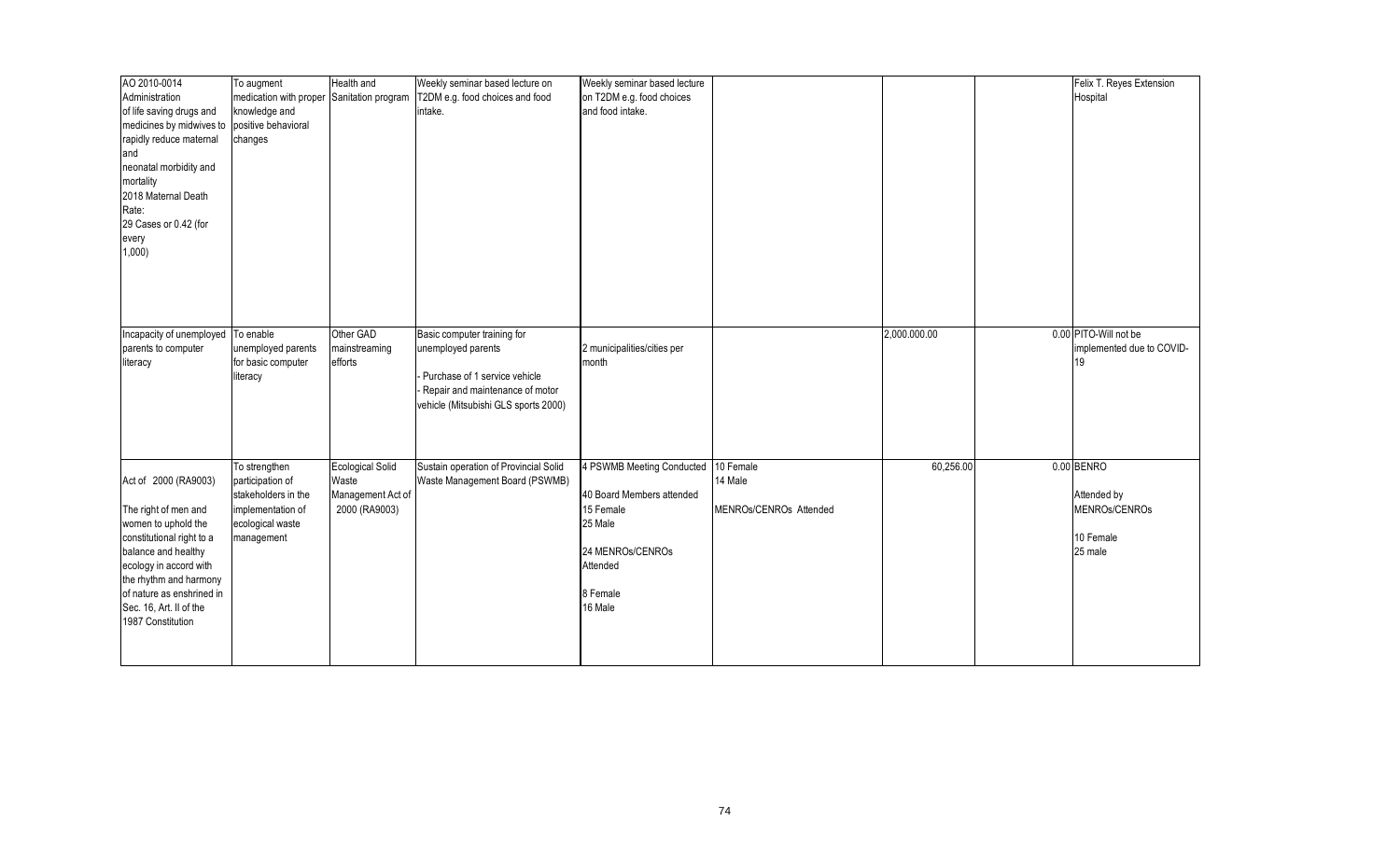| To augment<br>Hospital<br>Administration<br>medication with proper<br>Sanitation program<br>T2DM e.g. food choices and food<br>on T2DM e.g. food choices<br>knowledge and<br>and food intake.<br>of life saving drugs and<br>intake.<br>positive behavioral<br>medicines by midwives to<br>rapidly reduce maternal<br>changes<br>and<br>neonatal morbidity and<br>mortality<br>2018 Maternal Death<br>Rate:<br>29 Cases or 0.42 (for<br>every<br>1,000<br>0.00 PITO-Will not be<br>Other GAD<br>2,000.000.00<br>Incapacity of unemployed To enable<br>Basic computer training for |
|-----------------------------------------------------------------------------------------------------------------------------------------------------------------------------------------------------------------------------------------------------------------------------------------------------------------------------------------------------------------------------------------------------------------------------------------------------------------------------------------------------------------------------------------------------------------------------------|
|                                                                                                                                                                                                                                                                                                                                                                                                                                                                                                                                                                                   |
|                                                                                                                                                                                                                                                                                                                                                                                                                                                                                                                                                                                   |
|                                                                                                                                                                                                                                                                                                                                                                                                                                                                                                                                                                                   |
|                                                                                                                                                                                                                                                                                                                                                                                                                                                                                                                                                                                   |
|                                                                                                                                                                                                                                                                                                                                                                                                                                                                                                                                                                                   |
|                                                                                                                                                                                                                                                                                                                                                                                                                                                                                                                                                                                   |
|                                                                                                                                                                                                                                                                                                                                                                                                                                                                                                                                                                                   |
|                                                                                                                                                                                                                                                                                                                                                                                                                                                                                                                                                                                   |
|                                                                                                                                                                                                                                                                                                                                                                                                                                                                                                                                                                                   |
|                                                                                                                                                                                                                                                                                                                                                                                                                                                                                                                                                                                   |
|                                                                                                                                                                                                                                                                                                                                                                                                                                                                                                                                                                                   |
|                                                                                                                                                                                                                                                                                                                                                                                                                                                                                                                                                                                   |
|                                                                                                                                                                                                                                                                                                                                                                                                                                                                                                                                                                                   |
|                                                                                                                                                                                                                                                                                                                                                                                                                                                                                                                                                                                   |
|                                                                                                                                                                                                                                                                                                                                                                                                                                                                                                                                                                                   |
|                                                                                                                                                                                                                                                                                                                                                                                                                                                                                                                                                                                   |
|                                                                                                                                                                                                                                                                                                                                                                                                                                                                                                                                                                                   |
| mainstreaming<br>2 municipalities/cities per<br>implemented due to COVID-<br>parents to computer<br>unemployed parents<br>unemployed parents                                                                                                                                                                                                                                                                                                                                                                                                                                      |
| for basic computer<br>literacy<br>efforts<br>month<br>19                                                                                                                                                                                                                                                                                                                                                                                                                                                                                                                          |
| Purchase of 1 service vehicle<br>literacy                                                                                                                                                                                                                                                                                                                                                                                                                                                                                                                                         |
| Repair and maintenance of motor                                                                                                                                                                                                                                                                                                                                                                                                                                                                                                                                                   |
| vehicle (Mitsubishi GLS sports 2000)                                                                                                                                                                                                                                                                                                                                                                                                                                                                                                                                              |
|                                                                                                                                                                                                                                                                                                                                                                                                                                                                                                                                                                                   |
|                                                                                                                                                                                                                                                                                                                                                                                                                                                                                                                                                                                   |
|                                                                                                                                                                                                                                                                                                                                                                                                                                                                                                                                                                                   |
| 0.00 BENRO<br>To strengthen<br><b>Ecological Solid</b><br>Sustain operation of Provincial Solid<br>4 PSWMB Meeting Conducted 10 Female<br>60,256.00                                                                                                                                                                                                                                                                                                                                                                                                                               |
| Act of 2000 (RA9003)<br>Waste<br>14 Male<br>participation of<br>Waste Management Board (PSWMB)                                                                                                                                                                                                                                                                                                                                                                                                                                                                                    |
| stakeholders in the<br>Management Act of<br>40 Board Members attended<br>Attended by                                                                                                                                                                                                                                                                                                                                                                                                                                                                                              |
| MENROs/CENROs<br>2000 (RA9003)<br>15 Female<br>MENROs/CENROs Attended<br>The right of men and<br>implementation of                                                                                                                                                                                                                                                                                                                                                                                                                                                                |
| 25 Male<br>women to uphold the<br>ecological waste                                                                                                                                                                                                                                                                                                                                                                                                                                                                                                                                |
| constitutional right to a<br>10 Female<br>management                                                                                                                                                                                                                                                                                                                                                                                                                                                                                                                              |
| 25 male<br>balance and healthy<br>24 MENROs/CENROs                                                                                                                                                                                                                                                                                                                                                                                                                                                                                                                                |
| ecology in accord with<br>Attended                                                                                                                                                                                                                                                                                                                                                                                                                                                                                                                                                |
| the rhythm and harmony                                                                                                                                                                                                                                                                                                                                                                                                                                                                                                                                                            |
| of nature as enshrined in<br>8 Female                                                                                                                                                                                                                                                                                                                                                                                                                                                                                                                                             |
| Sec. 16, Art. II of the<br>16 Male                                                                                                                                                                                                                                                                                                                                                                                                                                                                                                                                                |
| 1987 Constitution                                                                                                                                                                                                                                                                                                                                                                                                                                                                                                                                                                 |
|                                                                                                                                                                                                                                                                                                                                                                                                                                                                                                                                                                                   |
|                                                                                                                                                                                                                                                                                                                                                                                                                                                                                                                                                                                   |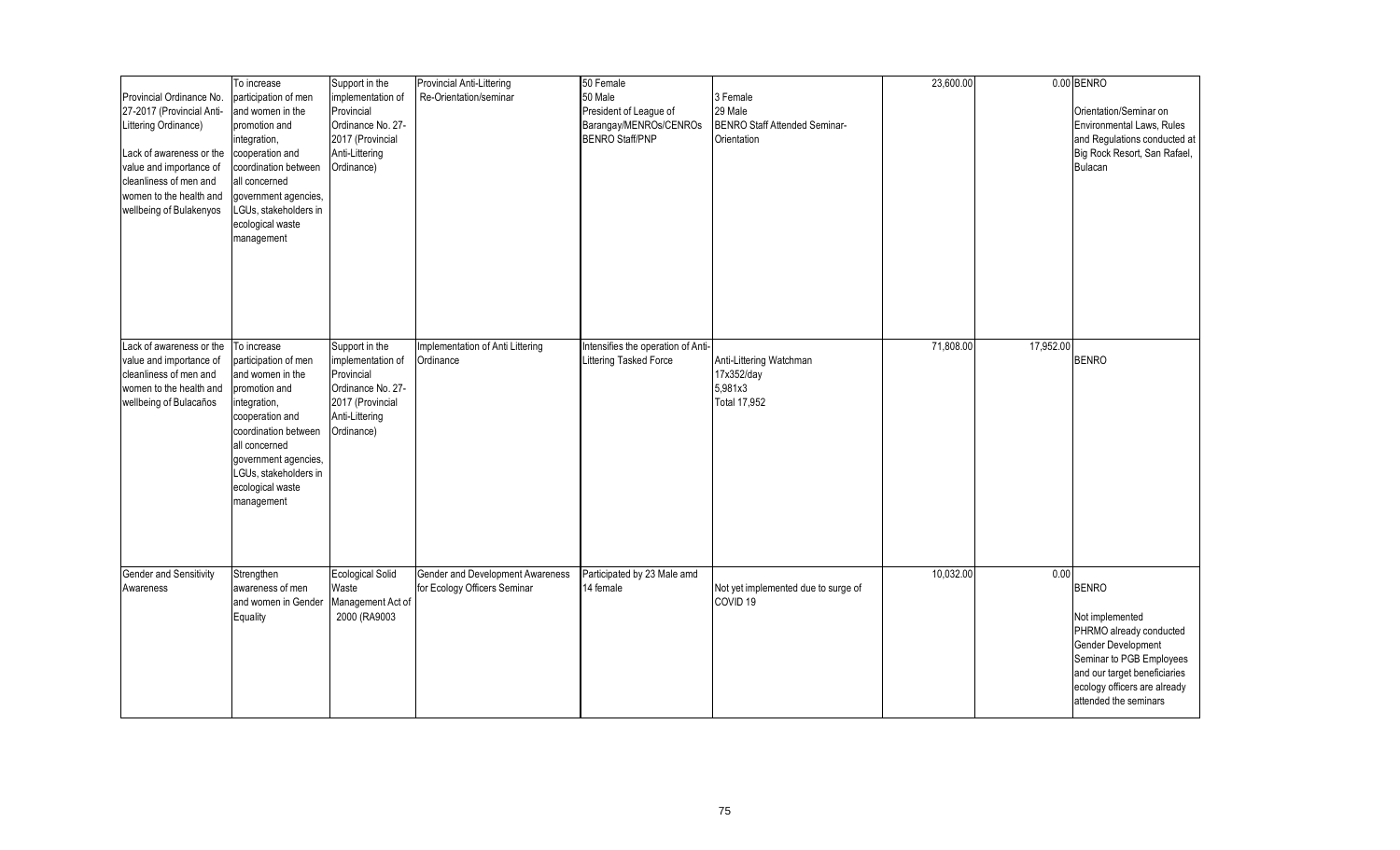| Provincial Ordinance No.<br>27-2017 (Provincial Anti-<br>Littering Ordinance)<br>Lack of awareness or the<br>value and importance of<br>cleanliness of men and<br>women to the health and<br>wellbeing of Bulakenyos | To increase<br>participation of men<br>and women in the<br>promotion and<br>integration,<br>cooperation and<br>coordination between<br>all concerned<br>government agencies,<br>LGUs, stakeholders in<br>ecological waste<br>management | Support in the<br>implementation of<br>Provincial<br>Ordinance No. 27-<br>2017 (Provincial<br>Anti-Littering<br>Ordinance) | Provincial Anti-Littering<br>Re-Orientation/seminar              | 50 Female<br>50 Male<br>President of League of<br>Barangay/MENROs/CENROs<br><b>BENRO Staff/PNP</b> | 3 Female<br>29 Male<br>BENRO Staff Attended Seminar-<br>Orientation | 23,600.00 |           | 0.00 BENRO<br>Orientation/Seminar on<br>Environmental Laws, Rules<br>and Regulations conducted at<br>Big Rock Resort, San Rafael,<br><b>Bulacan</b>                                                   |
|----------------------------------------------------------------------------------------------------------------------------------------------------------------------------------------------------------------------|-----------------------------------------------------------------------------------------------------------------------------------------------------------------------------------------------------------------------------------------|----------------------------------------------------------------------------------------------------------------------------|------------------------------------------------------------------|----------------------------------------------------------------------------------------------------|---------------------------------------------------------------------|-----------|-----------|-------------------------------------------------------------------------------------------------------------------------------------------------------------------------------------------------------|
| Lack of awareness or the<br>value and importance of<br>cleanliness of men and<br>women to the health and<br>wellbeing of Bulacaños                                                                                   | To increase<br>participation of men<br>and women in the<br>promotion and<br>integration,<br>cooperation and<br>coordination between<br>all concerned<br>government agencies,<br>LGUs, stakeholders in<br>ecological waste<br>management | Support in the<br>implementation of<br>Provincial<br>Ordinance No. 27-<br>2017 (Provincial<br>Anti-Littering<br>Ordinance) | Implementation of Anti Littering<br>Ordinance                    | Intensifies the operation of Anti-<br>Littering Tasked Force                                       | Anti-Littering Watchman<br>17x352/day<br>5,981x3<br>Total 17,952    | 71,808.00 | 17,952.00 | <b>BENRO</b>                                                                                                                                                                                          |
| <b>Gender and Sensitivity</b><br>Awareness                                                                                                                                                                           | Strengthen<br>awareness of men<br>and women in Gender<br>Equality                                                                                                                                                                       | <b>Ecological Solid</b><br>Waste<br>Management Act of<br>2000 (RA9003                                                      | Gender and Development Awareness<br>for Ecology Officers Seminar | Participated by 23 Male amd<br>14 female                                                           | Not yet implemented due to surge of<br>COVID <sub>19</sub>          | 10,032.00 | 0.00      | <b>BENRO</b><br>Not implemented<br>PHRMO already conducted<br>Gender Development<br>Seminar to PGB Employees<br>and our target beneficiaries<br>ecology officers are already<br>attended the seminars |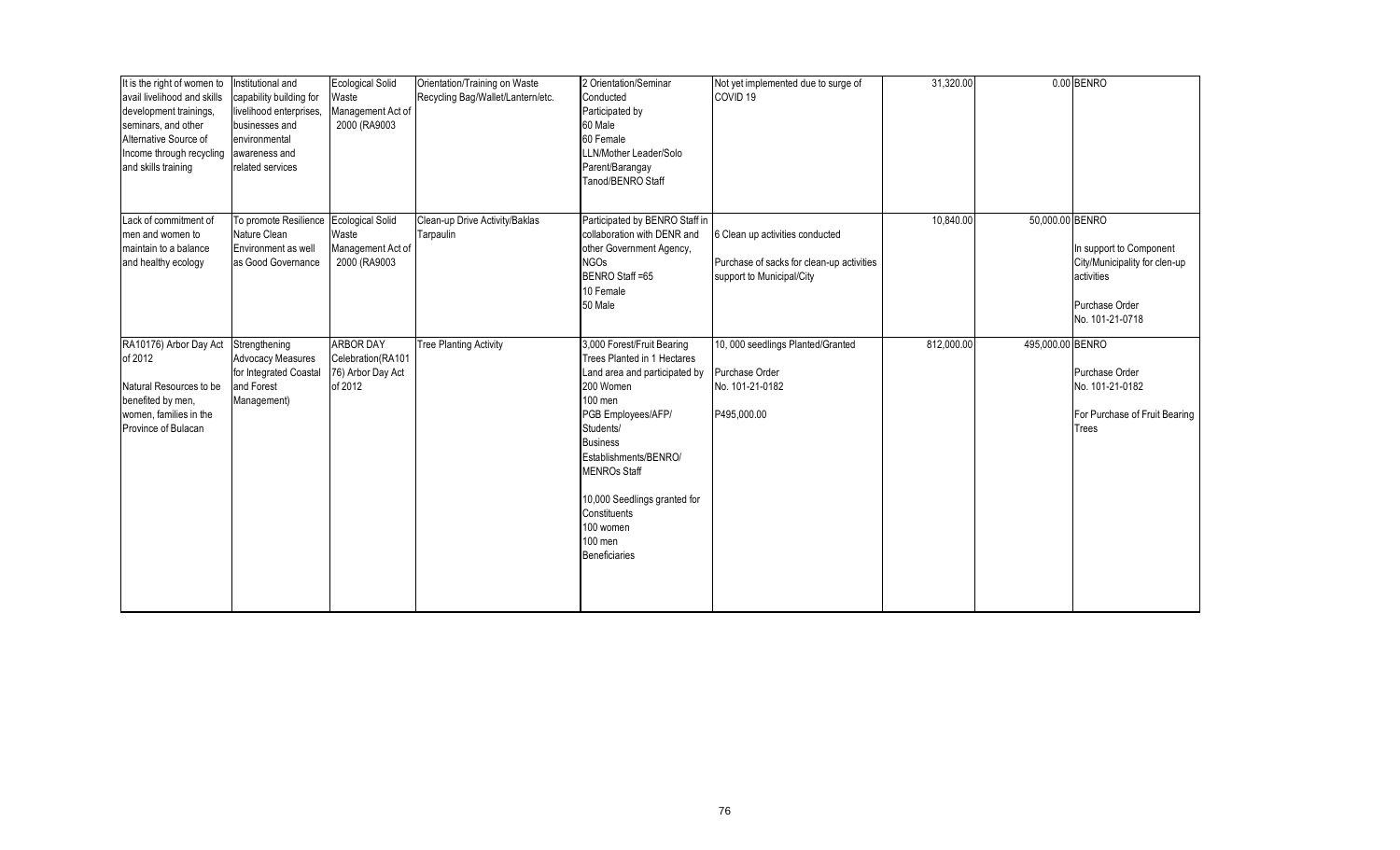| It is the right of women to<br>avail livelihood and skills<br>development trainings,<br>seminars, and other<br>Alternative Source of<br>Income through recycling<br>and skills training | Institutional and<br>capability building for<br>livelihood enterprises,<br>businesses and<br>environmental<br>awareness and<br>related services | <b>Ecological Solid</b><br>Waste<br>Management Act of<br>2000 (RA9003 | Orientation/Training on Waste<br>Recycling Bag/Wallet/Lantern/etc. | 2 Orientation/Seminar<br>Conducted<br>Participated by<br>60 Male<br>60 Female<br>LLN/Mother Leader/Solo<br>Parent/Barangay<br>Tanod/BENRO Staff                                                                                                                                                                          | Not yet implemented due to surge of<br>COVID <sub>19</sub>                                                | 31,320.00  |                  | 0.00 BENRO                                                                                                  |
|-----------------------------------------------------------------------------------------------------------------------------------------------------------------------------------------|-------------------------------------------------------------------------------------------------------------------------------------------------|-----------------------------------------------------------------------|--------------------------------------------------------------------|--------------------------------------------------------------------------------------------------------------------------------------------------------------------------------------------------------------------------------------------------------------------------------------------------------------------------|-----------------------------------------------------------------------------------------------------------|------------|------------------|-------------------------------------------------------------------------------------------------------------|
| Lack of commitment of<br>men and women to<br>maintain to a balance<br>and healthy ecology                                                                                               | To promote Resilience<br>Nature Clean<br>Environment as well<br>as Good Governance                                                              | <b>Ecological Solid</b><br>Waste<br>Management Act of<br>2000 (RA9003 | Clean-up Drive Activity/Baklas<br>Tarpaulin                        | Participated by BENRO Staff in<br>collaboration with DENR and<br>other Government Agency,<br><b>NGOs</b><br>BENRO Staff = 65<br>10 Female<br>50 Male                                                                                                                                                                     | 6 Clean up activities conducted<br>Purchase of sacks for clean-up activities<br>support to Municipal/City | 10,840.00  | 50,000.00 BENRO  | In support to Component<br>City/Municipality for clen-up<br>activities<br>Purchase Order<br>No. 101-21-0718 |
| RA10176) Arbor Day Act<br>of 2012<br>Natural Resources to be<br>benefited by men,<br>women, families in the<br>Province of Bulacan                                                      | Strengthening<br><b>Advocacy Measures</b><br>for Integrated Coastal<br>and Forest<br>Management)                                                | <b>ARBOR DAY</b><br>Celebration(RA101<br>76) Arbor Day Act<br>of 2012 | <b>Tree Planting Activity</b>                                      | 3,000 Forest/Fruit Bearing<br>Trees Planted in 1 Hectares<br>Land area and participated by<br>200 Women<br>100 men<br>PGB Employees/AFP/<br>Students/<br><b>Business</b><br>Establishments/BENRO/<br><b>MENROs Staff</b><br>10,000 Seedlings granted for<br>Constituents<br>100 women<br>100 men<br><b>Beneficiaries</b> | 10, 000 seedlings Planted/Granted<br>Purchase Order<br>No. 101-21-0182<br>P495,000.00                     | 812,000.00 | 495,000.00 BENRO | Purchase Order<br>No. 101-21-0182<br>For Purchase of Fruit Bearing<br><b>Trees</b>                          |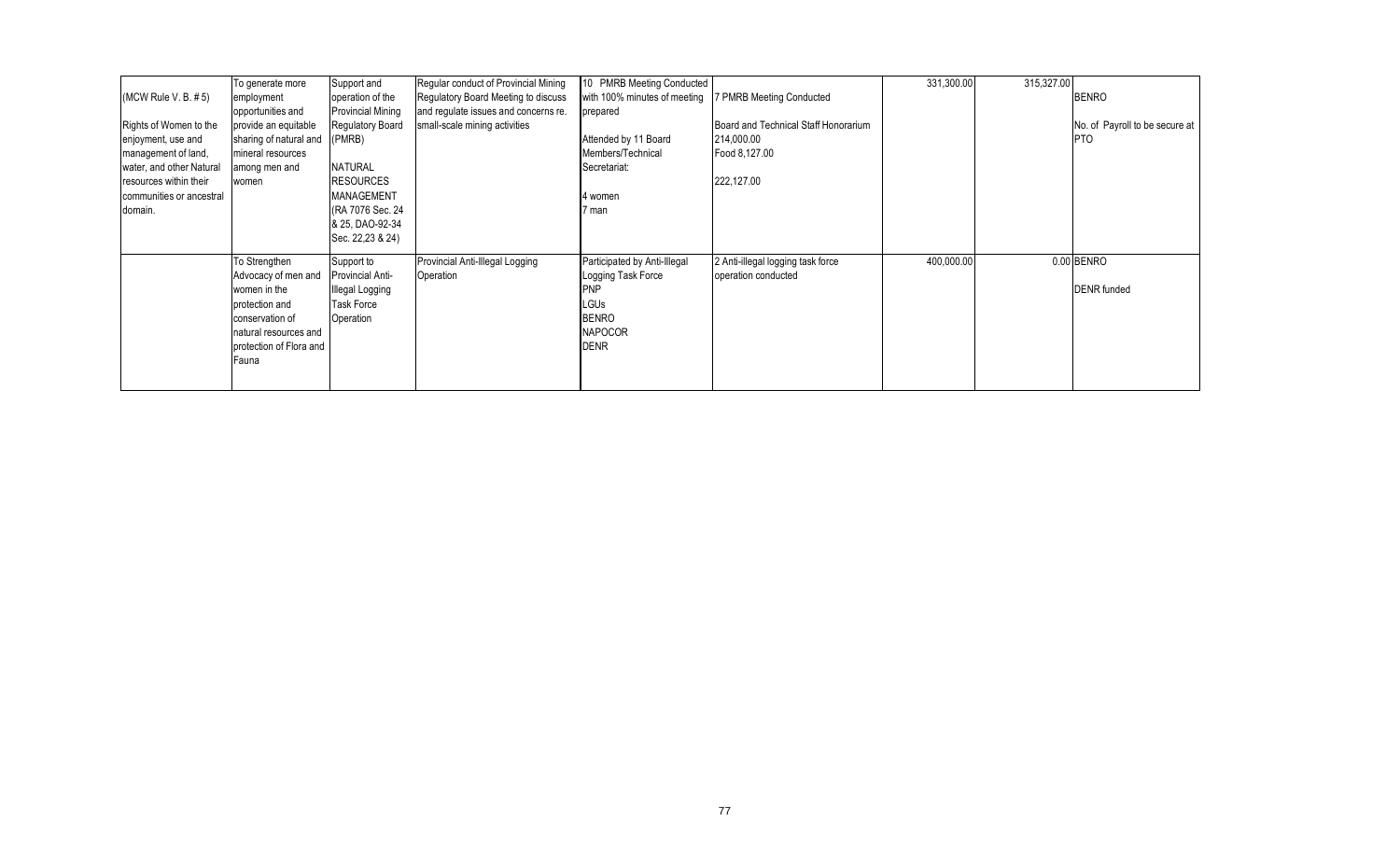|                          | To generate more        | Support and              | Regular conduct of Provincial Mining | 10 PMRB Meeting Conducted    |                                      | 331,300.00 | 315,327.00 |                                |
|--------------------------|-------------------------|--------------------------|--------------------------------------|------------------------------|--------------------------------------|------------|------------|--------------------------------|
| (MCW Rule V. B. #5)      | employment              | operation of the         | Regulatory Board Meeting to discuss  | with 100% minutes of meeting | <b>PMRB Meeting Conducted</b>        |            |            | <b>BENRO</b>                   |
|                          | opportunities and       | <b>Provincial Mining</b> | and regulate issues and concerns re. | prepared                     |                                      |            |            |                                |
| Rights of Women to the   | provide an equitable    | Regulatory Board         | small-scale mining activities        |                              | Board and Technical Staff Honorarium |            |            | No. of Payroll to be secure at |
| enjoyment, use and       | sharing of natural and  | (PMRB)                   |                                      | Attended by 11 Board         | 214,000.00                           |            |            | <b>PTO</b>                     |
| management of land,      | mineral resources       |                          |                                      | Members/Technical            | Food 8,127.00                        |            |            |                                |
| water, and other Natural | among men and           | <b>NATURAL</b>           |                                      | Secretariat:                 |                                      |            |            |                                |
| resources within their   | women                   | <b>RESOURCES</b>         |                                      |                              | 222,127.00                           |            |            |                                |
| communities or ancestral |                         | <b>MANAGEMENT</b>        |                                      | 4 women                      |                                      |            |            |                                |
| domain.                  |                         | (RA 7076 Sec. 24         |                                      | 7 man                        |                                      |            |            |                                |
|                          |                         | & 25, DAO-92-34          |                                      |                              |                                      |            |            |                                |
|                          |                         | Sec. 22,23 & 24)         |                                      |                              |                                      |            |            |                                |
|                          | To Strengthen           | Support to               | Provincial Anti-Illegal Logging      | Participated by Anti-Illegal | 2 Anti-illegal logging task force    | 400,000.00 |            | 0.00 BENRO                     |
|                          | Advocacy of men and     | Provincial Anti-         | Operation                            | Logging Task Force           | operation conducted                  |            |            |                                |
|                          | women in the            | <b>Illegal Logging</b>   |                                      | PNP                          |                                      |            |            | <b>DENR</b> funded             |
|                          | protection and          | <b>Task Force</b>        |                                      | <b>LGUs</b>                  |                                      |            |            |                                |
|                          | conservation of         | Operation                |                                      | <b>BENRO</b>                 |                                      |            |            |                                |
|                          | natural resources and   |                          |                                      | <b>NAPOCOR</b>               |                                      |            |            |                                |
|                          | protection of Flora and |                          |                                      | <b>DENR</b>                  |                                      |            |            |                                |
|                          | Fauna                   |                          |                                      |                              |                                      |            |            |                                |
|                          |                         |                          |                                      |                              |                                      |            |            |                                |
|                          |                         |                          |                                      |                              |                                      |            |            |                                |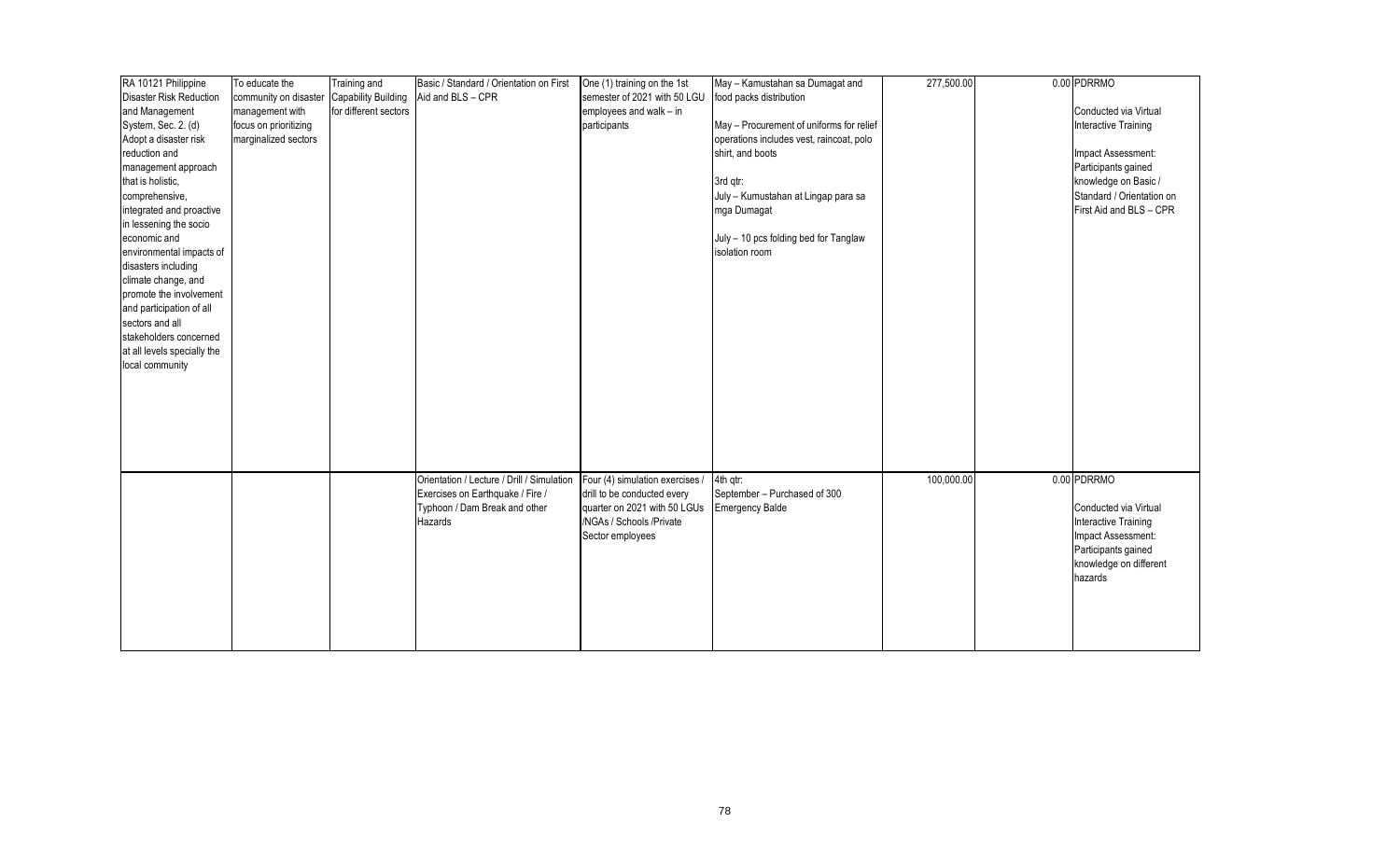| RA 10121 Philippine         | To educate the        | Training and               | Basic / Standard / Orientation on First    | One (1) training on the 1st     | May - Kamustahan sa Dumagat and          | 277,500.00 | 0.00 PDRRMO               |
|-----------------------------|-----------------------|----------------------------|--------------------------------------------|---------------------------------|------------------------------------------|------------|---------------------------|
| Disaster Risk Reduction     | community on disaster | <b>Capability Building</b> | Aid and BLS - CPR                          | semester of 2021 with 50 LGU    | food packs distribution                  |            |                           |
| and Management              | management with       | for different sectors      |                                            | employees and walk - in         |                                          |            | Conducted via Virtual     |
| System, Sec. 2. (d)         | focus on prioritizing |                            |                                            | participants                    | May - Procurement of uniforms for relief |            | Interactive Training      |
| Adopt a disaster risk       | marginalized sectors  |                            |                                            |                                 | operations includes vest, raincoat, polo |            |                           |
| reduction and               |                       |                            |                                            |                                 | shirt, and boots                         |            | Impact Assessment:        |
| management approach         |                       |                            |                                            |                                 |                                          |            | Participants gained       |
| that is holistic,           |                       |                            |                                            |                                 | 3rd qtr:                                 |            | knowledge on Basic /      |
| comprehensive,              |                       |                            |                                            |                                 | July - Kumustahan at Lingap para sa      |            | Standard / Orientation on |
| integrated and proactive    |                       |                            |                                            |                                 | mga Dumagat                              |            | First Aid and BLS - CPR   |
| in lessening the socio      |                       |                            |                                            |                                 |                                          |            |                           |
| economic and                |                       |                            |                                            |                                 | July - 10 pcs folding bed for Tanglaw    |            |                           |
| environmental impacts of    |                       |                            |                                            |                                 | isolation room                           |            |                           |
| disasters including         |                       |                            |                                            |                                 |                                          |            |                           |
| climate change, and         |                       |                            |                                            |                                 |                                          |            |                           |
| promote the involvement     |                       |                            |                                            |                                 |                                          |            |                           |
| and participation of all    |                       |                            |                                            |                                 |                                          |            |                           |
| sectors and all             |                       |                            |                                            |                                 |                                          |            |                           |
| stakeholders concerned      |                       |                            |                                            |                                 |                                          |            |                           |
| at all levels specially the |                       |                            |                                            |                                 |                                          |            |                           |
| local community             |                       |                            |                                            |                                 |                                          |            |                           |
|                             |                       |                            |                                            |                                 |                                          |            |                           |
|                             |                       |                            |                                            |                                 |                                          |            |                           |
|                             |                       |                            |                                            |                                 |                                          |            |                           |
|                             |                       |                            |                                            |                                 |                                          |            |                           |
|                             |                       |                            |                                            |                                 |                                          |            |                           |
|                             |                       |                            |                                            |                                 |                                          |            |                           |
|                             |                       |                            |                                            |                                 |                                          |            |                           |
|                             |                       |                            | Orientation / Lecture / Drill / Simulation | Four (4) simulation exercises / | 4th atr:                                 | 100,000.00 | 0.00 PDRRMO               |
|                             |                       |                            | Exercises on Earthquake / Fire /           | drill to be conducted every     | September - Purchased of 300             |            |                           |
|                             |                       |                            | Typhoon / Dam Break and other              | quarter on 2021 with 50 LGUs    | <b>Emergency Balde</b>                   |            | Conducted via Virtual     |
|                             |                       |                            | Hazards                                    | /NGAs / Schools /Private        |                                          |            | Interactive Training      |
|                             |                       |                            |                                            | Sector employees                |                                          |            | Impact Assessment:        |
|                             |                       |                            |                                            |                                 |                                          |            | Participants gained       |
|                             |                       |                            |                                            |                                 |                                          |            | knowledge on different    |
|                             |                       |                            |                                            |                                 |                                          |            | hazards                   |
|                             |                       |                            |                                            |                                 |                                          |            |                           |
|                             |                       |                            |                                            |                                 |                                          |            |                           |
|                             |                       |                            |                                            |                                 |                                          |            |                           |
|                             |                       |                            |                                            |                                 |                                          |            |                           |
|                             |                       |                            |                                            |                                 |                                          |            |                           |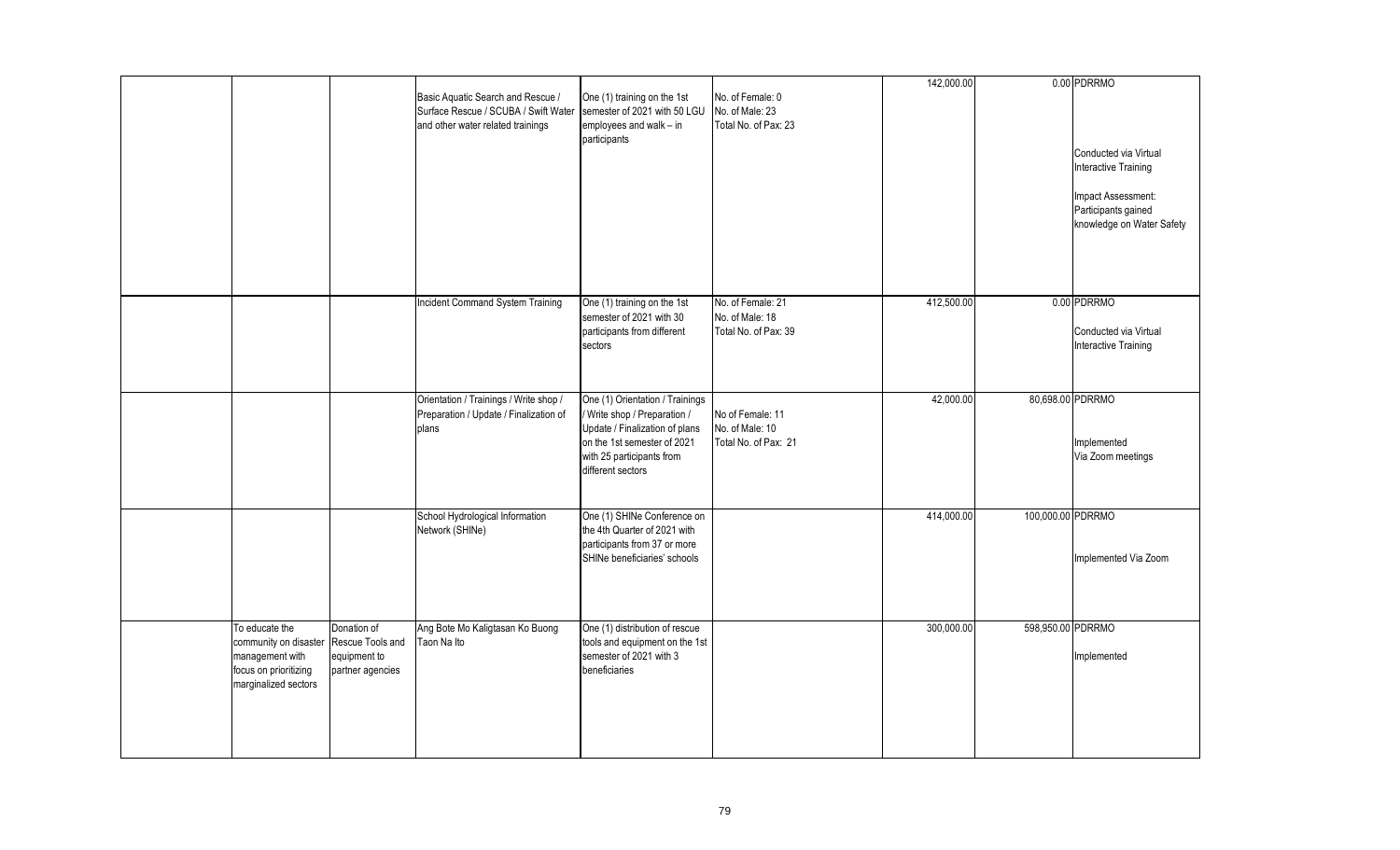|                                                                                                             |                                                                     |                                                                                                                |                                                                                                                                                                                    |                                                              | 142,000.00 |                   | 0.00 PDRRMO                                                            |
|-------------------------------------------------------------------------------------------------------------|---------------------------------------------------------------------|----------------------------------------------------------------------------------------------------------------|------------------------------------------------------------------------------------------------------------------------------------------------------------------------------------|--------------------------------------------------------------|------------|-------------------|------------------------------------------------------------------------|
|                                                                                                             |                                                                     | Basic Aquatic Search and Rescue /<br>Surface Rescue / SCUBA / Swift Water<br>and other water related trainings | One (1) training on the 1st<br>semester of 2021 with 50 LGU<br>employees and walk - in<br>participants                                                                             | No. of Female: 0<br>No. of Male: 23<br>Total No. of Pax: 23  |            |                   |                                                                        |
|                                                                                                             |                                                                     |                                                                                                                |                                                                                                                                                                                    |                                                              |            |                   | Conducted via Virtual<br>Interactive Training                          |
|                                                                                                             |                                                                     |                                                                                                                |                                                                                                                                                                                    |                                                              |            |                   | Impact Assessment:<br>Participants gained<br>knowledge on Water Safety |
|                                                                                                             |                                                                     |                                                                                                                |                                                                                                                                                                                    |                                                              |            |                   |                                                                        |
|                                                                                                             |                                                                     | Incident Command System Training                                                                               | One (1) training on the 1st<br>semester of 2021 with 30<br>participants from different<br>sectors                                                                                  | No. of Female: 21<br>No. of Male: 18<br>Total No. of Pax: 39 | 412,500.00 |                   | 0.00 PDRRMO<br>Conducted via Virtual<br>Interactive Training           |
|                                                                                                             |                                                                     | Orientation / Trainings / Write shop /<br>Preparation / Update / Finalization of<br>plans                      | One (1) Orientation / Trainings<br>/ Write shop / Preparation /<br>Update / Finalization of plans<br>on the 1st semester of 2021<br>with 25 participants from<br>different sectors | No of Female: 11<br>No. of Male: 10<br>Total No. of Pax: 21  | 42,000.00  | 80,698.00 PDRRMO  | Implemented<br>Via Zoom meetings                                       |
|                                                                                                             |                                                                     | School Hydrological Information<br>Network (SHINe)                                                             | One (1) SHINe Conference on<br>the 4th Quarter of 2021 with<br>participants from 37 or more<br>SHINe beneficiaries' schools                                                        |                                                              | 414,000.00 | 100,000.00 PDRRMO | Implemented Via Zoom                                                   |
| To educate the<br>community on disaster<br>management with<br>focus on prioritizing<br>marginalized sectors | Donation of<br>Rescue Tools and<br>equipment to<br>partner agencies | Ang Bote Mo Kaligtasan Ko Buong<br>Taon Na Ito                                                                 | One (1) distribution of rescue<br>tools and equipment on the 1st<br>semester of 2021 with 3<br>beneficiaries                                                                       |                                                              | 300,000.00 | 598,950.00 PDRRMO | Implemented                                                            |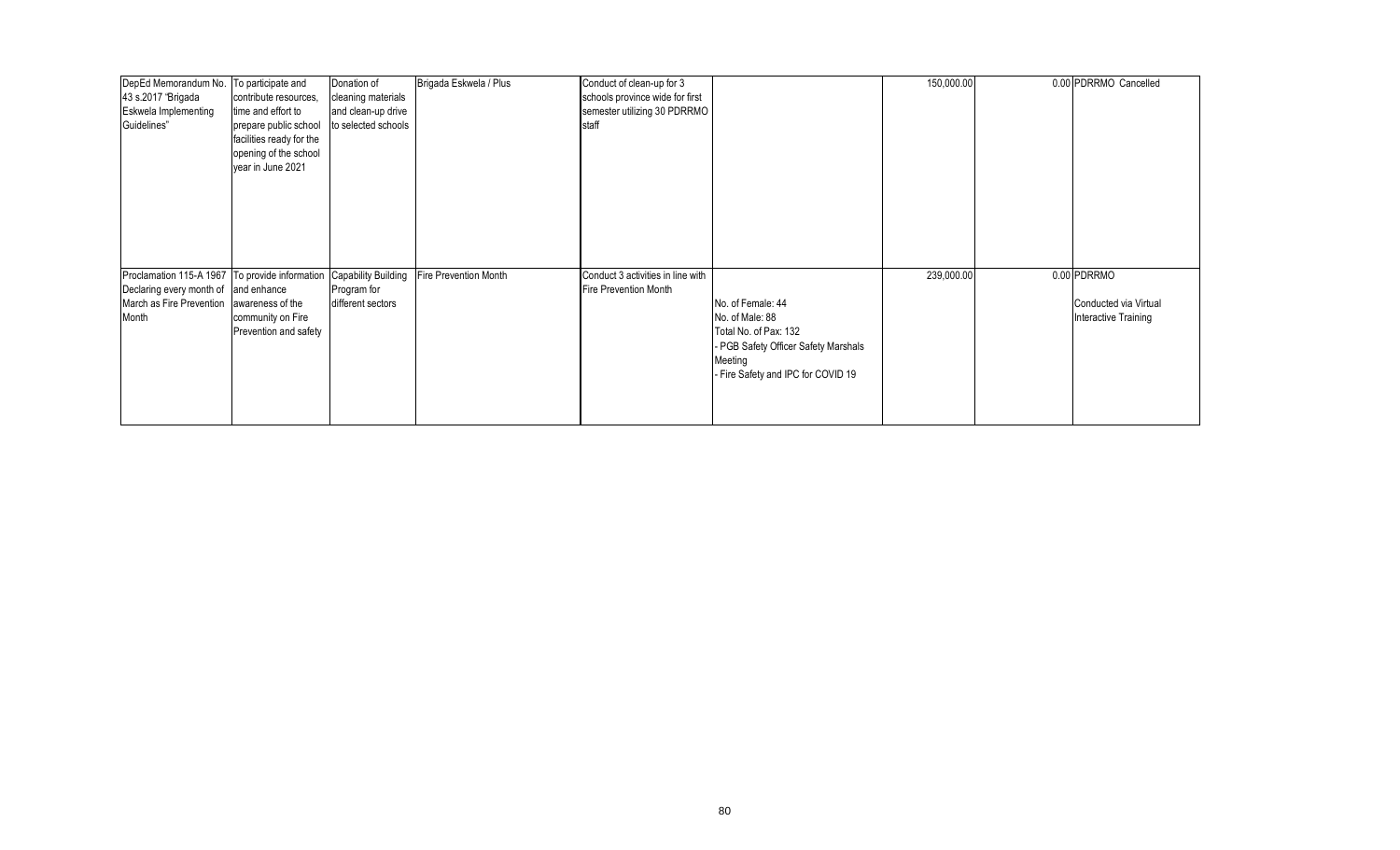| DepEd Memorandum No. To participate and        |                          | Donation of                | Brigada Eskwela / Plus       | Conduct of clean-up for 3         |                                      | 150,000.00 | 0.00 PDRRMO Cancelled |
|------------------------------------------------|--------------------------|----------------------------|------------------------------|-----------------------------------|--------------------------------------|------------|-----------------------|
| 43 s.2017 "Brigada                             | contribute resources,    | cleaning materials         |                              | schools province wide for first   |                                      |            |                       |
| <b>Eskwela Implementing</b>                    | time and effort to       | and clean-up drive         |                              | semester utilizing 30 PDRRMO      |                                      |            |                       |
| Guidelines"                                    | prepare public school    | to selected schools        |                              | staff                             |                                      |            |                       |
|                                                | facilities ready for the |                            |                              |                                   |                                      |            |                       |
|                                                | opening of the school    |                            |                              |                                   |                                      |            |                       |
|                                                | year in June 2021        |                            |                              |                                   |                                      |            |                       |
|                                                |                          |                            |                              |                                   |                                      |            |                       |
|                                                |                          |                            |                              |                                   |                                      |            |                       |
|                                                |                          |                            |                              |                                   |                                      |            |                       |
|                                                |                          |                            |                              |                                   |                                      |            |                       |
|                                                |                          |                            |                              |                                   |                                      |            |                       |
|                                                |                          |                            |                              |                                   |                                      |            |                       |
|                                                |                          |                            |                              |                                   |                                      |            |                       |
| Proclamation 115-A 1967 To provide information |                          | <b>Capability Building</b> | <b>Fire Prevention Month</b> | Conduct 3 activities in line with |                                      | 239,000.00 | 0.00 PDRRMO           |
| Declaring every month of and enhance           |                          | Program for                |                              | Fire Prevention Month             |                                      |            |                       |
| March as Fire Prevention awareness of the      |                          | different sectors          |                              |                                   | No. of Female: 44                    |            | Conducted via Virtual |
| Month                                          | community on Fire        |                            |                              |                                   | No. of Male: 88                      |            | Interactive Training  |
|                                                | Prevention and safety    |                            |                              |                                   | Total No. of Pax: 132                |            |                       |
|                                                |                          |                            |                              |                                   | - PGB Safety Officer Safety Marshals |            |                       |
|                                                |                          |                            |                              |                                   | Meeting                              |            |                       |
|                                                |                          |                            |                              |                                   | - Fire Safety and IPC for COVID 19   |            |                       |
|                                                |                          |                            |                              |                                   |                                      |            |                       |
|                                                |                          |                            |                              |                                   |                                      |            |                       |
|                                                |                          |                            |                              |                                   |                                      |            |                       |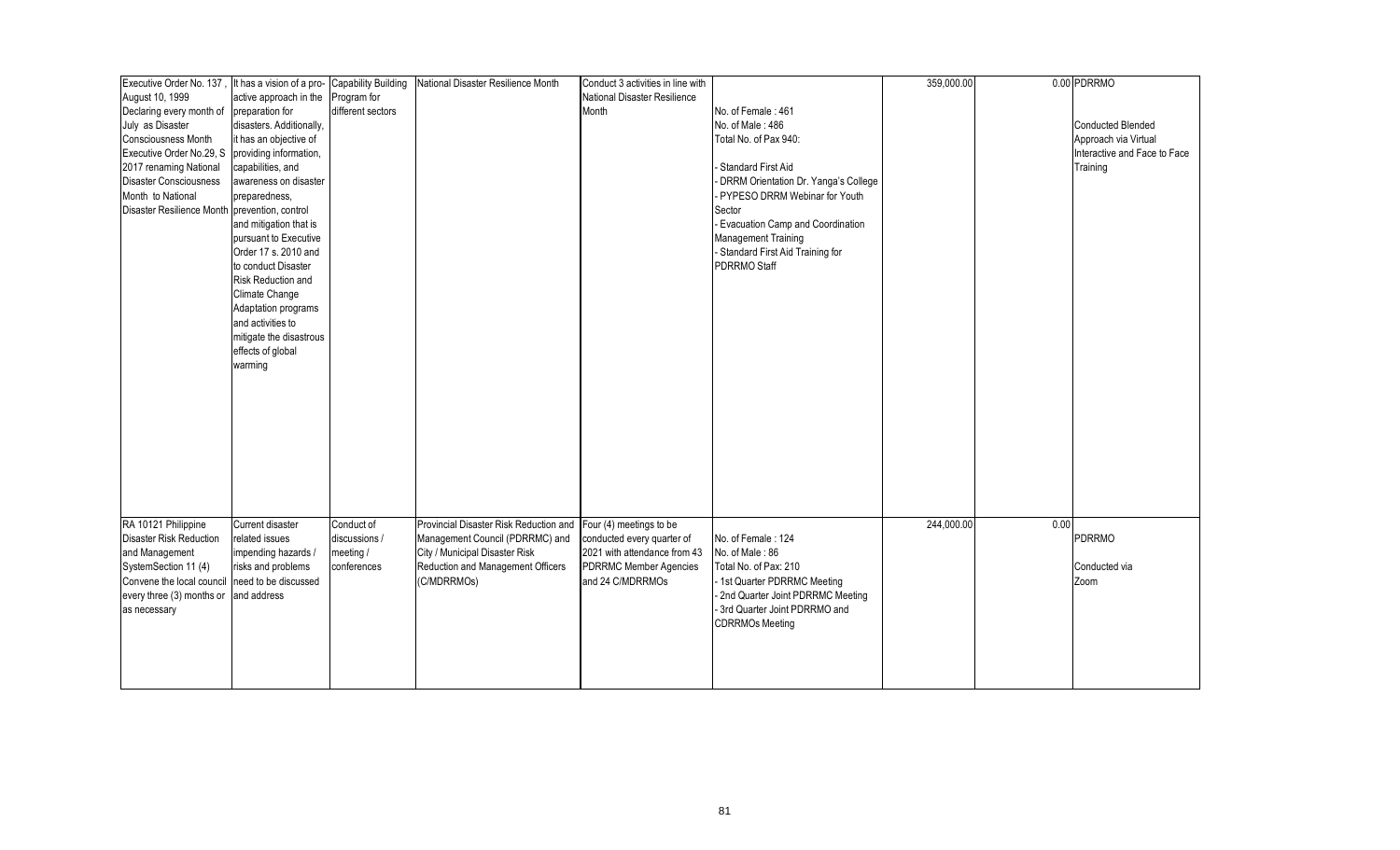| Executive Order No. 137, It has a vision of a pro- |                          | <b>Capability Building</b> | National Disaster Resilience Month     | Conduct 3 activities in line with |                                        | 359,000.00 |      | 0.00 PDRRMO                  |
|----------------------------------------------------|--------------------------|----------------------------|----------------------------------------|-----------------------------------|----------------------------------------|------------|------|------------------------------|
| August 10, 1999                                    | active approach in the   | Program for                |                                        | National Disaster Resilience      |                                        |            |      |                              |
| Declaring every month of                           | preparation for          | different sectors          |                                        | Month                             | No. of Female: 461                     |            |      |                              |
| July as Disaster                                   | disasters. Additionally, |                            |                                        |                                   | No. of Male: 486                       |            |      | <b>Conducted Blended</b>     |
| <b>Consciousness Month</b>                         | it has an objective of   |                            |                                        |                                   | Total No. of Pax 940:                  |            |      | Approach via Virtual         |
| Executive Order No.29, S                           | providing information,   |                            |                                        |                                   |                                        |            |      | Interactive and Face to Face |
| 2017 renaming National                             | capabilities, and        |                            |                                        |                                   | - Standard First Aid                   |            |      | Training                     |
| <b>Disaster Consciousness</b>                      | awareness on disaster    |                            |                                        |                                   | - DRRM Orientation Dr. Yanga's College |            |      |                              |
| Month to National                                  | preparedness,            |                            |                                        |                                   | PYPESO DRRM Webinar for Youth          |            |      |                              |
| Disaster Resilience Month prevention, control      |                          |                            |                                        |                                   | Sector                                 |            |      |                              |
|                                                    | and mitigation that is   |                            |                                        |                                   | - Evacuation Camp and Coordination     |            |      |                              |
|                                                    | pursuant to Executive    |                            |                                        |                                   | <b>Management Training</b>             |            |      |                              |
|                                                    | Order 17 s. 2010 and     |                            |                                        |                                   |                                        |            |      |                              |
|                                                    | to conduct Disaster      |                            |                                        |                                   | - Standard First Aid Training for      |            |      |                              |
|                                                    |                          |                            |                                        |                                   | PDRRMO Staff                           |            |      |                              |
|                                                    | Risk Reduction and       |                            |                                        |                                   |                                        |            |      |                              |
|                                                    | Climate Change           |                            |                                        |                                   |                                        |            |      |                              |
|                                                    | Adaptation programs      |                            |                                        |                                   |                                        |            |      |                              |
|                                                    | and activities to        |                            |                                        |                                   |                                        |            |      |                              |
|                                                    | mitigate the disastrous  |                            |                                        |                                   |                                        |            |      |                              |
|                                                    | effects of global        |                            |                                        |                                   |                                        |            |      |                              |
|                                                    | warming                  |                            |                                        |                                   |                                        |            |      |                              |
|                                                    |                          |                            |                                        |                                   |                                        |            |      |                              |
|                                                    |                          |                            |                                        |                                   |                                        |            |      |                              |
|                                                    |                          |                            |                                        |                                   |                                        |            |      |                              |
|                                                    |                          |                            |                                        |                                   |                                        |            |      |                              |
|                                                    |                          |                            |                                        |                                   |                                        |            |      |                              |
|                                                    |                          |                            |                                        |                                   |                                        |            |      |                              |
|                                                    |                          |                            |                                        |                                   |                                        |            |      |                              |
|                                                    |                          |                            |                                        |                                   |                                        |            |      |                              |
|                                                    |                          |                            |                                        |                                   |                                        |            |      |                              |
|                                                    |                          |                            |                                        |                                   |                                        |            |      |                              |
|                                                    |                          |                            |                                        |                                   |                                        |            |      |                              |
| RA 10121 Philippine                                | Current disaster         | Conduct of                 | Provincial Disaster Risk Reduction and | Four (4) meetings to be           |                                        | 244,000.00 | 0.00 |                              |
| <b>Disaster Risk Reduction</b>                     | related issues           | discussions /              | Management Council (PDRRMC) and        | conducted every quarter of        | No. of Female: 124                     |            |      | <b>PDRRMO</b>                |
| and Management                                     | impending hazards /      | meeting /                  | City / Municipal Disaster Risk         | 2021 with attendance from 43      | No. of Male: 86                        |            |      |                              |
| SystemSection 11 (4)                               | risks and problems       | conferences                | Reduction and Management Officers      | <b>PDRRMC Member Agencies</b>     | Total No. of Pax: 210                  |            |      | Conducted via                |
| Convene the local council need to be discussed     |                          |                            | (C/MDRRMOs)                            | and 24 C/MDRRMOs                  | - 1st Quarter PDRRMC Meeting           |            |      | Zoom                         |
| every three (3) months or                          | and address              |                            |                                        |                                   | - 2nd Quarter Joint PDRRMC Meeting     |            |      |                              |
| as necessary                                       |                          |                            |                                        |                                   | - 3rd Quarter Joint PDRRMO and         |            |      |                              |
|                                                    |                          |                            |                                        |                                   | <b>CDRRMOs Meeting</b>                 |            |      |                              |
|                                                    |                          |                            |                                        |                                   |                                        |            |      |                              |
|                                                    |                          |                            |                                        |                                   |                                        |            |      |                              |
|                                                    |                          |                            |                                        |                                   |                                        |            |      |                              |
|                                                    |                          |                            |                                        |                                   |                                        |            |      |                              |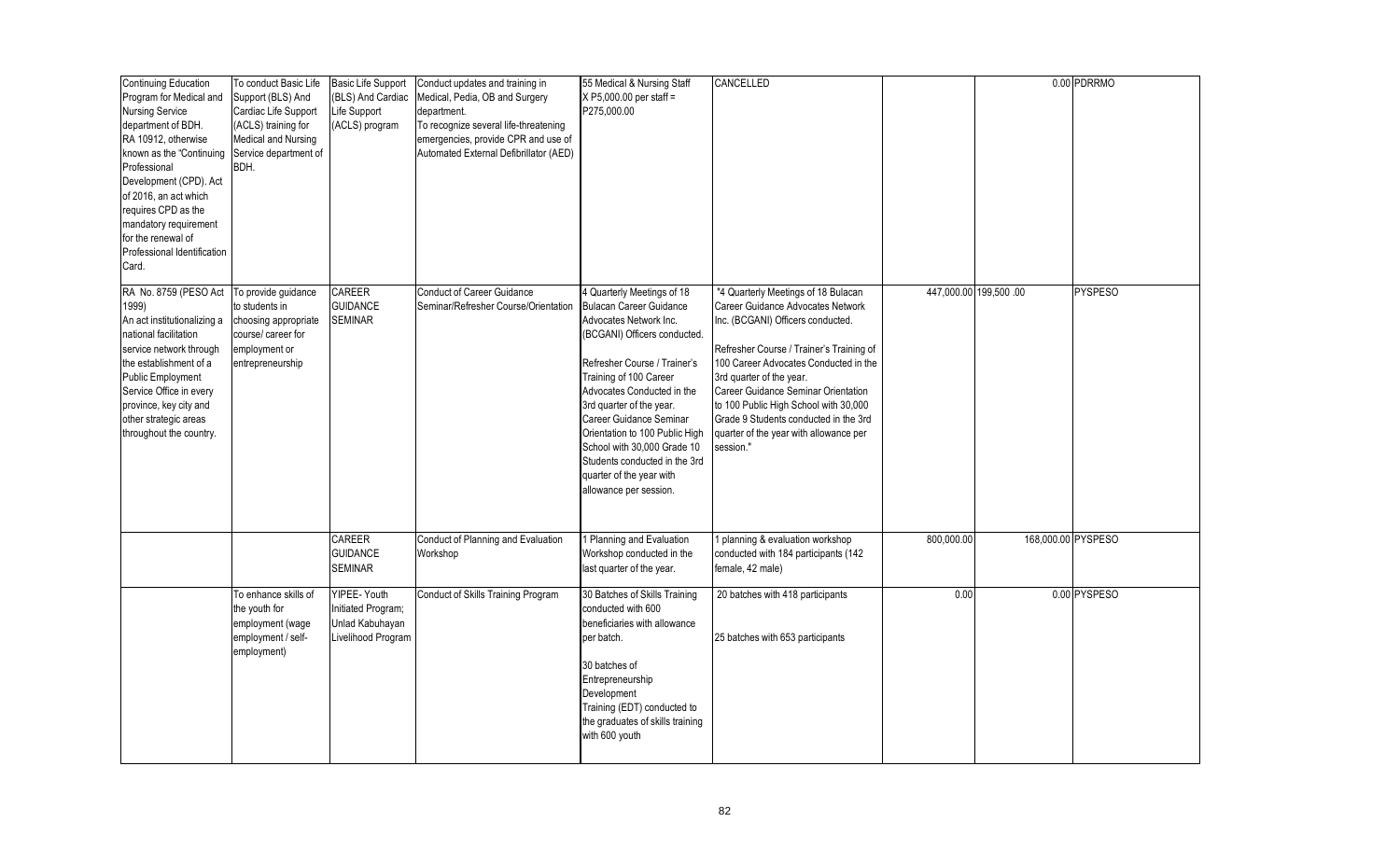| <b>Continuing Education</b><br>Program for Medical and<br><b>Nursing Service</b><br>department of BDH.<br>RA 10912, otherwise<br>known as the "Continuing<br>Professional<br>Development (CPD). Act<br>of 2016, an act which<br>requires CPD as the<br>mandatory requirement<br>for the renewal of<br>Professional Identification<br>Card. | To conduct Basic Life<br>Support (BLS) And<br>Cardiac Life Support<br>(ACLS) training for<br><b>Medical and Nursing</b><br>Service department of<br>BDH. | <b>Basic Life Support</b><br>(BLS) And Cardiac<br>Life Support<br>(ACLS) program | Conduct updates and training in<br>Medical, Pedia, OB and Surgery<br>department.<br>To recognize several life-threatening<br>emergencies, provide CPR and use of<br>Automated External Defibrillator (AED) | 55 Medical & Nursing Staff<br>$X P5,000.00$ per staff =<br>P275.000.00                                                                                                                                                                                                                                                                                                                                                 | CANCELLED                                                                                                                                                                                                                                                                                                                                                                                                      |            |                       | 0.00 PDRRMO    |
|--------------------------------------------------------------------------------------------------------------------------------------------------------------------------------------------------------------------------------------------------------------------------------------------------------------------------------------------|----------------------------------------------------------------------------------------------------------------------------------------------------------|----------------------------------------------------------------------------------|------------------------------------------------------------------------------------------------------------------------------------------------------------------------------------------------------------|------------------------------------------------------------------------------------------------------------------------------------------------------------------------------------------------------------------------------------------------------------------------------------------------------------------------------------------------------------------------------------------------------------------------|----------------------------------------------------------------------------------------------------------------------------------------------------------------------------------------------------------------------------------------------------------------------------------------------------------------------------------------------------------------------------------------------------------------|------------|-----------------------|----------------|
| RA No. 8759 (PESO Act<br>1999)<br>An act institutionalizing a<br>national facilitation<br>service network through<br>the establishment of a<br>Public Employment<br>Service Office in every<br>province, key city and<br>other strategic areas<br>throughout the country.                                                                  | To provide guidance<br>to students in<br>choosing appropriate<br>course/ career for<br>employment or<br>entrepreneurship                                 | CAREER<br><b>GUIDANCE</b><br><b>SEMINAR</b>                                      | <b>Conduct of Career Guidance</b><br>Seminar/Refresher Course/Orientation                                                                                                                                  | 4 Quarterly Meetings of 18<br>Bulacan Career Guidance<br>Advocates Network Inc.<br>(BCGANI) Officers conducted.<br>Refresher Course / Trainer's<br>Training of 100 Career<br>Advocates Conducted in the<br>3rd quarter of the year.<br>Career Guidance Seminar<br>Orientation to 100 Public High<br>School with 30,000 Grade 10<br>Students conducted in the 3rd<br>quarter of the year with<br>allowance per session. | "4 Quarterly Meetings of 18 Bulacan<br>Career Guidance Advocates Network<br>Inc. (BCGANI) Officers conducted.<br>Refresher Course / Trainer's Training of<br>100 Career Advocates Conducted in the<br>3rd quarter of the year.<br>Career Guidance Seminar Orientation<br>to 100 Public High School with 30,000<br>Grade 9 Students conducted in the 3rd<br>quarter of the year with allowance per<br>session." |            | 447,000.00 199,500 00 | <b>PYSPESO</b> |
|                                                                                                                                                                                                                                                                                                                                            |                                                                                                                                                          | CAREER<br><b>GUIDANCE</b><br>SEMINAR                                             | Conduct of Planning and Evaluation<br>Workshop                                                                                                                                                             | 1 Planning and Evaluation<br>Workshop conducted in the<br>last quarter of the year.                                                                                                                                                                                                                                                                                                                                    | planning & evaluation workshop<br>conducted with 184 participants (142)<br>female, 42 male)                                                                                                                                                                                                                                                                                                                    | 800,000.00 | 168,000.00 PYSPESO    |                |
|                                                                                                                                                                                                                                                                                                                                            | To enhance skills of<br>the youth for<br>employment (wage<br>employment / self-<br>employment)                                                           | YIPEE- Youth<br>Initiated Program;<br>Unlad Kabuhayan<br>Livelihood Program      | <b>Conduct of Skills Training Program</b>                                                                                                                                                                  | 30 Batches of Skills Training<br>conducted with 600<br>beneficiaries with allowance<br>per batch.<br>30 batches of<br>Entrepreneurship<br>Development<br>Training (EDT) conducted to<br>the graduates of skills training<br>with 600 youth                                                                                                                                                                             | 20 batches with 418 participants<br>25 batches with 653 participants                                                                                                                                                                                                                                                                                                                                           | 0.00       |                       | 0.00 PYSPESO   |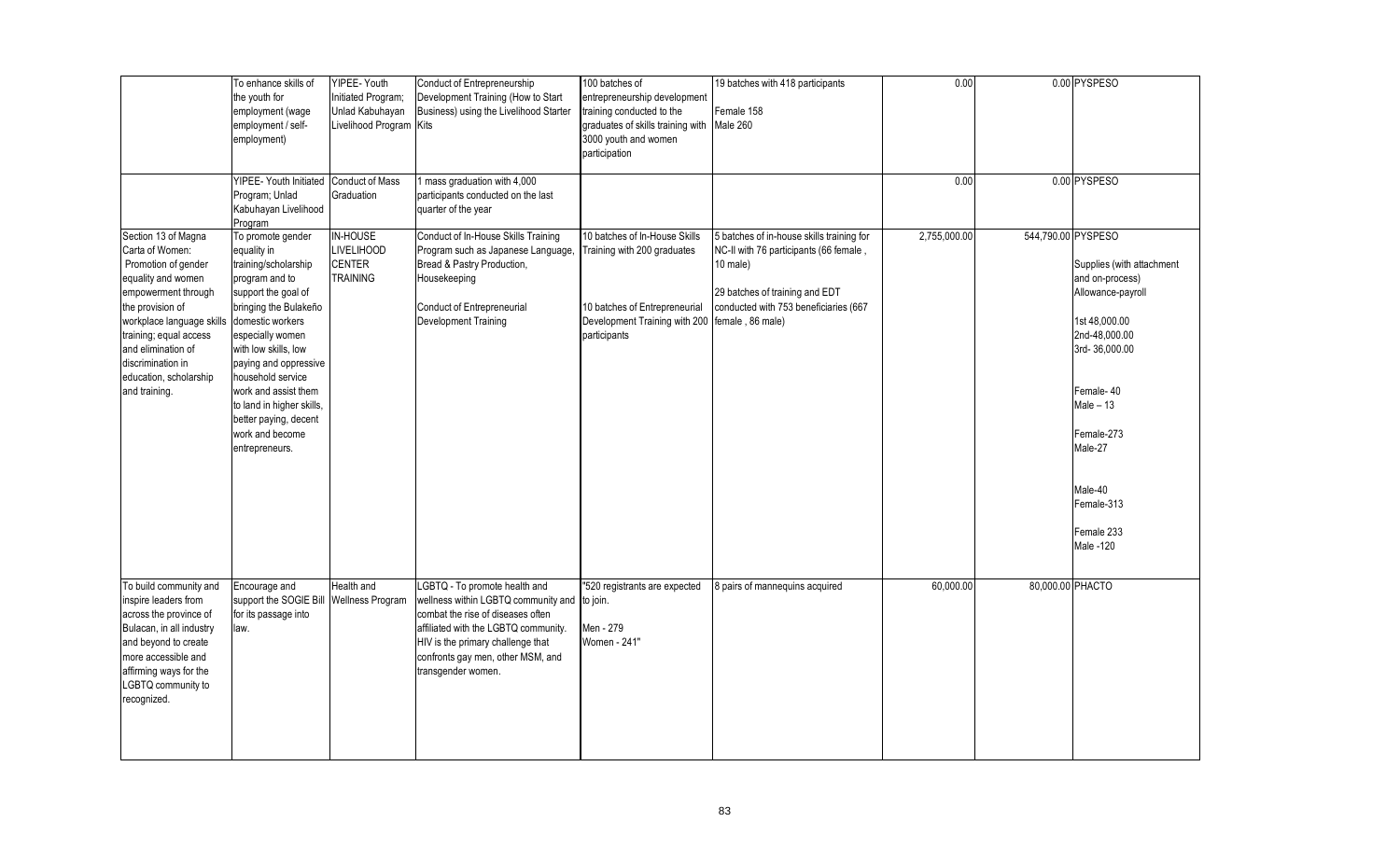|                                                                                                                                                                                                                                                                             | To enhance skills of<br>the youth for<br>employment (wage<br>employment / self-<br>employment)<br>YIPEE- Youth Initiated                                                                                                                                                                                                                                    | YIPEE- Youth<br>Initiated Program;<br>Unlad Kabuhayan<br>Livelihood Program Kits<br><b>Conduct of Mass</b> | Conduct of Entrepreneurship<br>Development Training (How to Start<br>Business) using the Livelihood Starter<br>1 mass graduation with 4,000                                                                                                                | 100 batches of<br>entrepreneurship development<br>training conducted to the<br>graduates of skills training with<br>3000 youth and women<br>participation       | 19 batches with 418 participants<br>Female 158<br>Male 260                                                                                                                 | 0.00<br>0.00 |                    | 0.00 PYSPESO<br>0.00 PYSPESO                                                                                                                                                                                                        |
|-----------------------------------------------------------------------------------------------------------------------------------------------------------------------------------------------------------------------------------------------------------------------------|-------------------------------------------------------------------------------------------------------------------------------------------------------------------------------------------------------------------------------------------------------------------------------------------------------------------------------------------------------------|------------------------------------------------------------------------------------------------------------|------------------------------------------------------------------------------------------------------------------------------------------------------------------------------------------------------------------------------------------------------------|-----------------------------------------------------------------------------------------------------------------------------------------------------------------|----------------------------------------------------------------------------------------------------------------------------------------------------------------------------|--------------|--------------------|-------------------------------------------------------------------------------------------------------------------------------------------------------------------------------------------------------------------------------------|
|                                                                                                                                                                                                                                                                             | Program; Unlad<br>Kabuhayan Livelihood<br>Program                                                                                                                                                                                                                                                                                                           | Graduation                                                                                                 | participants conducted on the last<br>quarter of the year                                                                                                                                                                                                  |                                                                                                                                                                 |                                                                                                                                                                            |              |                    |                                                                                                                                                                                                                                     |
| Section 13 of Magna<br>Carta of Women:<br>Promotion of gender<br>equality and women<br>empowerment through<br>the provision of<br>workplace language skills<br>training; equal access<br>and elimination of<br>discrimination in<br>education, scholarship<br>and training. | To promote gender<br>equality in<br>training/scholarship<br>program and to<br>support the goal of<br>bringing the Bulakeño<br>domestic workers<br>especially women<br>with low skills, low<br>paying and oppressive<br>household service<br>work and assist them<br>to land in higher skills,<br>better paying, decent<br>work and become<br>entrepreneurs. | IN-HOUSE<br><b>LIVELIHOOD</b><br><b>CENTER</b><br><b>TRAINING</b>                                          | Conduct of In-House Skills Training<br>Program such as Japanese Language,<br>Bread & Pastry Production,<br>Housekeeping<br>Conduct of Entrepreneurial<br>Development Training                                                                              | 10 batches of In-House Skills<br>Training with 200 graduates<br>10 batches of Entrepreneurial<br>Development Training with 200 female, 86 male)<br>participants | 5 batches of in-house skills training for<br>NC-II with 76 participants (66 female,<br>10 male)<br>29 batches of training and EDT<br>conducted with 753 beneficiaries (667 | 2,755,000.00 | 544,790.00 PYSPESO | Supplies (with attachment<br>and on-process)<br>Allowance-payroll<br>1st 48,000.00<br>2nd-48,000.00<br>3rd-36,000.00<br>Female-40<br>Male $-13$<br>Female-273<br>Male-27<br>Male-40<br>Female-313<br>Female 233<br><b>Male -120</b> |
| To build community and<br>inspire leaders from<br>across the province of<br>Bulacan, in all industry<br>and beyond to create<br>more accessible and<br>affirming ways for the<br>LGBTQ community to<br>recognized.                                                          | Encourage and<br>support the SOGIE Bill<br>for its passage into<br>law.                                                                                                                                                                                                                                                                                     | Health and<br><b>Wellness Program</b>                                                                      | LGBTQ - To promote health and<br>wellness within LGBTQ community and to join.<br>combat the rise of diseases often<br>affiliated with the LGBTQ community.<br>HIV is the primary challenge that<br>confronts gay men, other MSM, and<br>transgender women. | "520 registrants are expected<br>Men - 279<br>Women - 241"                                                                                                      | 8 pairs of mannequins acquired                                                                                                                                             | 60,000.00    | 80,000.00 PHACTO   |                                                                                                                                                                                                                                     |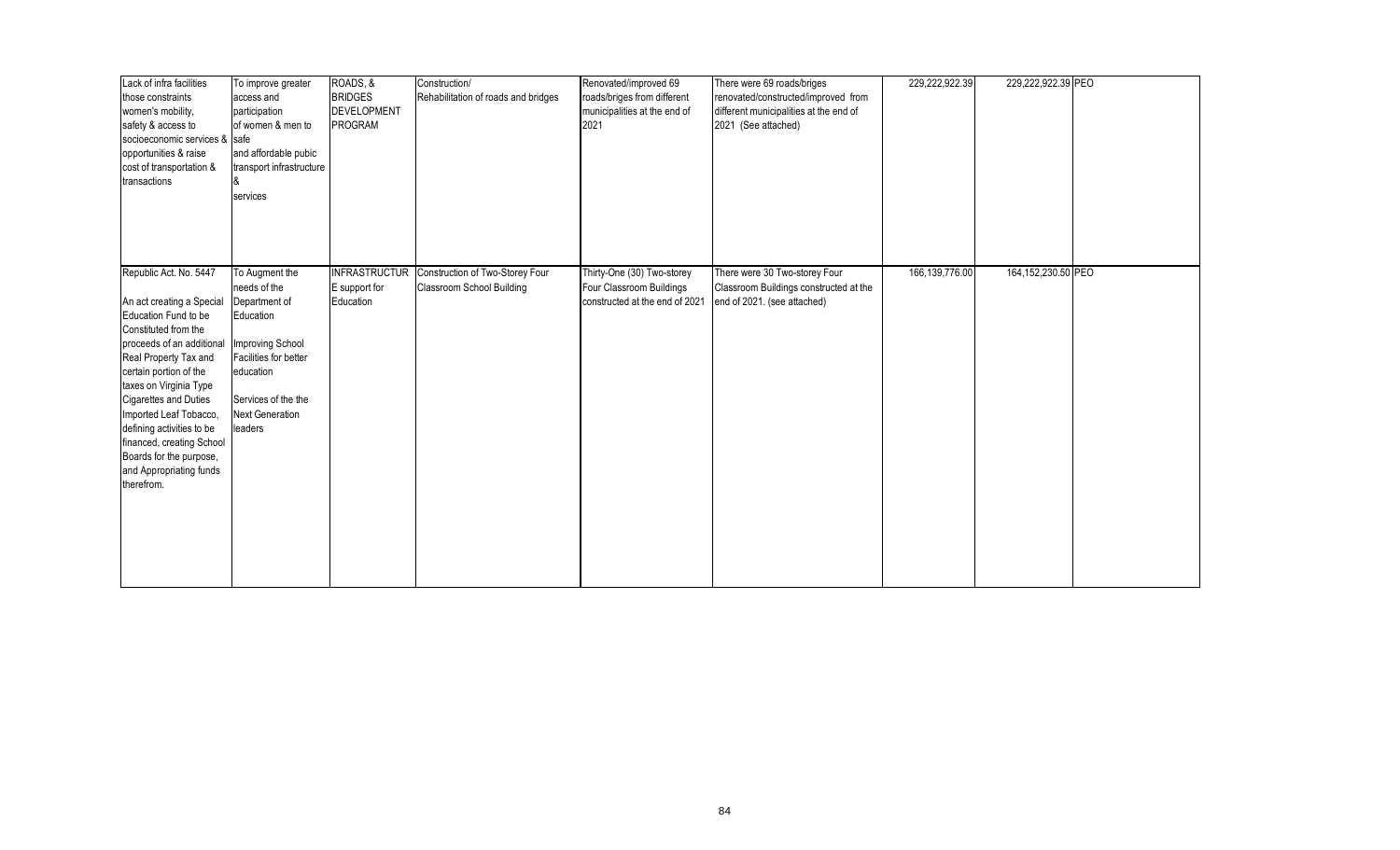| Lack of infra facilities<br>those constraints<br>women's mobility,<br>safety & access to<br>socioeconomic services & safe<br>opportunities & raise<br>cost of transportation &<br>transactions                                                                                                                                                                                                        | To improve greater<br>access and<br>participation<br>of women & men to<br>and affordable pubic<br>transport infrastructure<br>services                                             | ROADS, &<br><b>BRIDGES</b><br><b>DEVELOPMENT</b><br>PROGRAM | Construction/<br>Rehabilitation of roads and bridges         | Renovated/improved 69<br>roads/briges from different<br>municipalities at the end of<br>2021 | There were 69 roads/briges<br>renovated/constructed/improved from<br>different municipalities at the end of<br>2021 (See attached) | 229,222,922.39 | 229,222,922.39 PEO |  |
|-------------------------------------------------------------------------------------------------------------------------------------------------------------------------------------------------------------------------------------------------------------------------------------------------------------------------------------------------------------------------------------------------------|------------------------------------------------------------------------------------------------------------------------------------------------------------------------------------|-------------------------------------------------------------|--------------------------------------------------------------|----------------------------------------------------------------------------------------------|------------------------------------------------------------------------------------------------------------------------------------|----------------|--------------------|--|
| Republic Act. No. 5447<br>An act creating a Special<br>Education Fund to be<br>Constituted from the<br>proceeds of an additional<br>Real Property Tax and<br>certain portion of the<br>taxes on Virginia Type<br><b>Cigarettes and Duties</b><br>Imported Leaf Tobacco,<br>defining activities to be<br>financed, creating School<br>Boards for the purpose,<br>and Appropriating funds<br>therefrom. | To Augment the<br>needs of the<br>Department of<br>Education<br>Improving School<br>Facilities for better<br>education<br>Services of the the<br><b>Next Generation</b><br>leaders | <b>INFRASTRUCTUR</b><br>E support for<br>Education          | Construction of Two-Storey Four<br>Classroom School Building | Thirty-One (30) Two-storey<br>Four Classroom Buildings<br>constructed at the end of 2021     | There were 30 Two-storey Four<br>Classroom Buildings constructed at the<br>end of 2021. (see attached)                             | 166,139,776.00 | 164,152,230.50 PEO |  |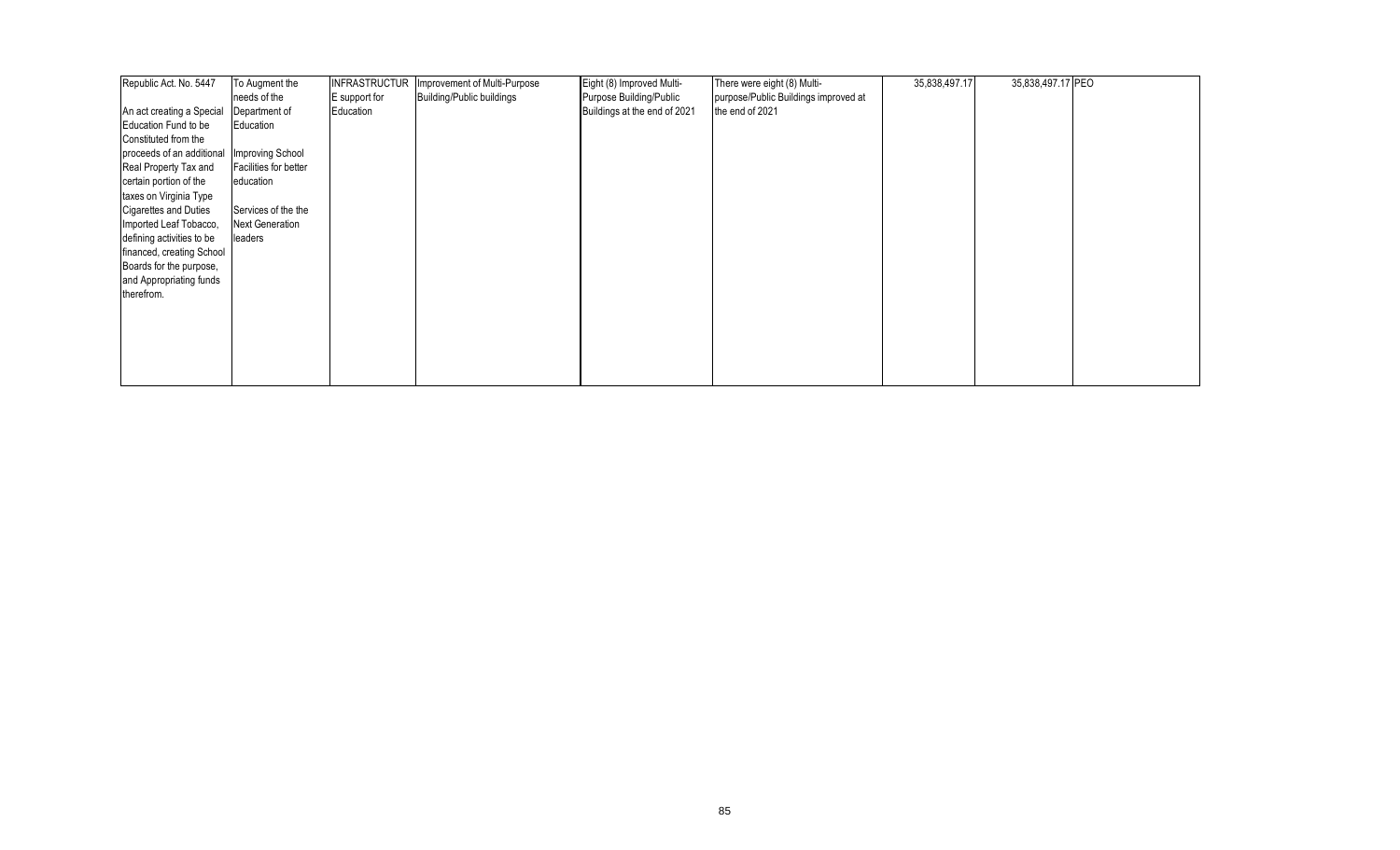| Republic Act. No. 5447       | To Augment the         | <b>INFRASTRUCTUR</b> | Improvement of Multi-Purpose | Eight (8) Improved Multi-    | There were eight (8) Multi-          | 35,838,497.17 | 35,838,497.17 PEO |  |
|------------------------------|------------------------|----------------------|------------------------------|------------------------------|--------------------------------------|---------------|-------------------|--|
|                              | needs of the           | E support for        | Building/Public buildings    | Purpose Building/Public      | purpose/Public Buildings improved at |               |                   |  |
| An act creating a Special    | Department of          | Education            |                              | Buildings at the end of 2021 | the end of 2021                      |               |                   |  |
| Education Fund to be         | Education              |                      |                              |                              |                                      |               |                   |  |
| Constituted from the         |                        |                      |                              |                              |                                      |               |                   |  |
| proceeds of an additional    | Improving School       |                      |                              |                              |                                      |               |                   |  |
| Real Property Tax and        | Facilities for better  |                      |                              |                              |                                      |               |                   |  |
| certain portion of the       | education              |                      |                              |                              |                                      |               |                   |  |
| taxes on Virginia Type       |                        |                      |                              |                              |                                      |               |                   |  |
| <b>Cigarettes and Duties</b> | Services of the the    |                      |                              |                              |                                      |               |                   |  |
| Imported Leaf Tobacco,       | <b>Next Generation</b> |                      |                              |                              |                                      |               |                   |  |
| defining activities to be    | leaders                |                      |                              |                              |                                      |               |                   |  |
| financed, creating School    |                        |                      |                              |                              |                                      |               |                   |  |
| Boards for the purpose,      |                        |                      |                              |                              |                                      |               |                   |  |
| and Appropriating funds      |                        |                      |                              |                              |                                      |               |                   |  |
| therefrom.                   |                        |                      |                              |                              |                                      |               |                   |  |
|                              |                        |                      |                              |                              |                                      |               |                   |  |
|                              |                        |                      |                              |                              |                                      |               |                   |  |
|                              |                        |                      |                              |                              |                                      |               |                   |  |
|                              |                        |                      |                              |                              |                                      |               |                   |  |
|                              |                        |                      |                              |                              |                                      |               |                   |  |
|                              |                        |                      |                              |                              |                                      |               |                   |  |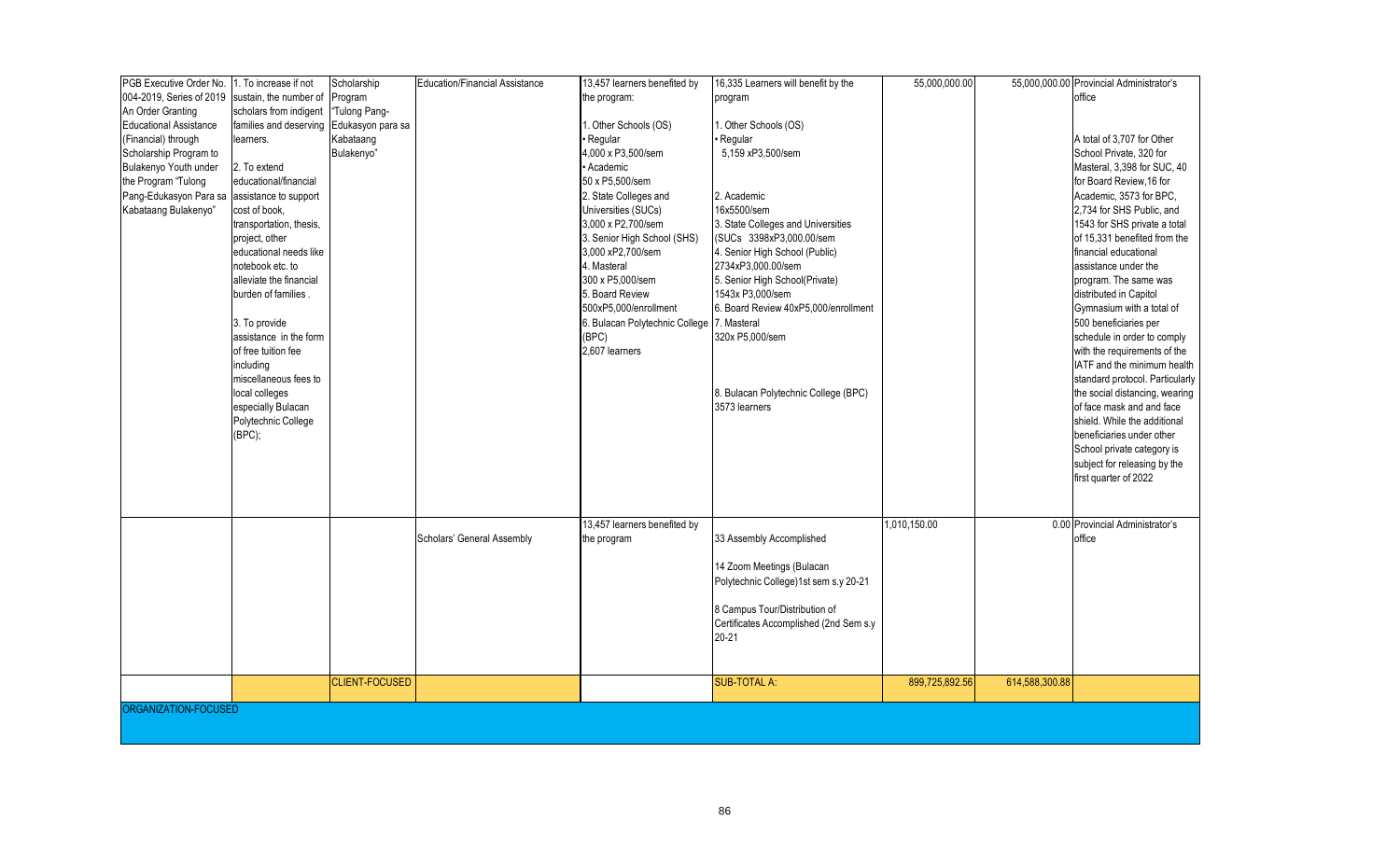| PGB Executive Order No.       | 1. To increase if not   | Scholarship           | <b>Education/Financial Assistance</b> | 13,457 learners benefited by               | 16,335 Learners will benefit by the    | 55,000,000.00  |                | 55,000,000.00 Provincial Administrator's |
|-------------------------------|-------------------------|-----------------------|---------------------------------------|--------------------------------------------|----------------------------------------|----------------|----------------|------------------------------------------|
| 004-2019, Series of 2019      | sustain, the number of  | Program               |                                       | the program:                               | program                                |                |                | office                                   |
| An Order Granting             | scholars from indigent  | "Tulong Pang-         |                                       |                                            |                                        |                |                |                                          |
| <b>Educational Assistance</b> | families and deserving  | Edukasyon para sa     |                                       | 1. Other Schools (OS)                      | . Other Schools (OS)                   |                |                |                                          |
| (Financial) through           | learners.               | Kabataang             |                                       | • Regular                                  | Regular                                |                |                | A total of 3,707 for Other               |
| Scholarship Program to        |                         | Bulakenyo"            |                                       | 4.000 x P3.500/sem                         | 5,159 xP3,500/sem                      |                |                | School Private, 320 for                  |
| Bulakenyo Youth under         | 2. To extend            |                       |                                       | • Academic                                 |                                        |                |                | Masteral, 3,398 for SUC, 40              |
| the Program "Tulong           | educational/financial   |                       |                                       | 50 x P5,500/sem                            |                                        |                |                | for Board Review, 16 for                 |
| Pang-Edukasyon Para sa        | assistance to support   |                       |                                       | 2. State Colleges and                      | 2. Academic                            |                |                | Academic, 3573 for BPC,                  |
| Kabataang Bulakenyo"          | cost of book,           |                       |                                       | Universities (SUCs)                        | 16x5500/sem                            |                |                | 2,734 for SHS Public, and                |
|                               | transportation, thesis, |                       |                                       | 3,000 x P2,700/sem                         | 3. State Colleges and Universities     |                |                | 1543 for SHS private a total             |
|                               | project, other          |                       |                                       | 3. Senior High School (SHS)                | (SUCs 3398xP3,000.00/sem               |                |                | of 15.331 benefited from the             |
|                               | educational needs like  |                       |                                       | 3,000 xP2,700/sem                          | 4. Senior High School (Public)         |                |                | financial educational                    |
|                               | notebook etc. to        |                       |                                       | 4. Masteral                                | 2734xP3,000.00/sem                     |                |                | assistance under the                     |
|                               | alleviate the financial |                       |                                       | 300 x P5,000/sem                           | 5. Senior High School(Private)         |                |                | program. The same was                    |
|                               | burden of families.     |                       |                                       | 5. Board Review                            | 1543x P3,000/sem                       |                |                | distributed in Capitol                   |
|                               |                         |                       |                                       | 500xP5,000/enrollment                      | 6. Board Review 40xP5,000/enrollment   |                |                | Gymnasium with a total of                |
|                               | 3. To provide           |                       |                                       | 6. Bulacan Polytechnic College 7. Masteral |                                        |                |                | 500 beneficiaries per                    |
|                               | assistance in the form  |                       |                                       | (BPC)                                      | 320x P5,000/sem                        |                |                | schedule in order to comply              |
|                               | of free tuition fee     |                       |                                       | 2.607 learners                             |                                        |                |                | with the requirements of the             |
|                               | including               |                       |                                       |                                            |                                        |                |                | IATF and the minimum health              |
|                               | miscellaneous fees to   |                       |                                       |                                            |                                        |                |                | standard protocol. Particularly          |
|                               | local colleges          |                       |                                       |                                            | 8. Bulacan Polytechnic College (BPC)   |                |                | the social distancing, wearing           |
|                               | especially Bulacan      |                       |                                       |                                            | 3573 learners                          |                |                | of face mask and and face                |
|                               | Polytechnic College     |                       |                                       |                                            |                                        |                |                | shield. While the additional             |
|                               | (BPC);                  |                       |                                       |                                            |                                        |                |                | beneficiaries under other                |
|                               |                         |                       |                                       |                                            |                                        |                |                | School private category is               |
|                               |                         |                       |                                       |                                            |                                        |                |                | subject for releasing by the             |
|                               |                         |                       |                                       |                                            |                                        |                |                | first quarter of 2022                    |
|                               |                         |                       |                                       |                                            |                                        |                |                |                                          |
|                               |                         |                       |                                       |                                            |                                        |                |                |                                          |
|                               |                         |                       |                                       | 13,457 learners benefited by               |                                        | 1,010,150.00   |                | 0.00 Provincial Administrator's          |
|                               |                         |                       | Scholars' General Assembly            | the program                                | 33 Assembly Accomplished               |                |                | office                                   |
|                               |                         |                       |                                       |                                            |                                        |                |                |                                          |
|                               |                         |                       |                                       |                                            | 14 Zoom Meetings (Bulacan              |                |                |                                          |
|                               |                         |                       |                                       |                                            | Polytechnic College)1st sem s.y 20-21  |                |                |                                          |
|                               |                         |                       |                                       |                                            |                                        |                |                |                                          |
|                               |                         |                       |                                       |                                            | 8 Campus Tour/Distribution of          |                |                |                                          |
|                               |                         |                       |                                       |                                            | Certificates Accomplished (2nd Sem s.y |                |                |                                          |
|                               |                         |                       |                                       |                                            | $20 - 21$                              |                |                |                                          |
|                               |                         |                       |                                       |                                            |                                        |                |                |                                          |
|                               |                         |                       |                                       |                                            |                                        |                |                |                                          |
|                               |                         | <b>CLIENT-FOCUSED</b> |                                       |                                            | <b>SUB-TOTAL A:</b>                    | 899,725,892.56 | 614,588,300.88 |                                          |
| ORGANIZATION-FOCUSED          |                         |                       |                                       |                                            |                                        |                |                |                                          |
|                               |                         |                       |                                       |                                            |                                        |                |                |                                          |
|                               |                         |                       |                                       |                                            |                                        |                |                |                                          |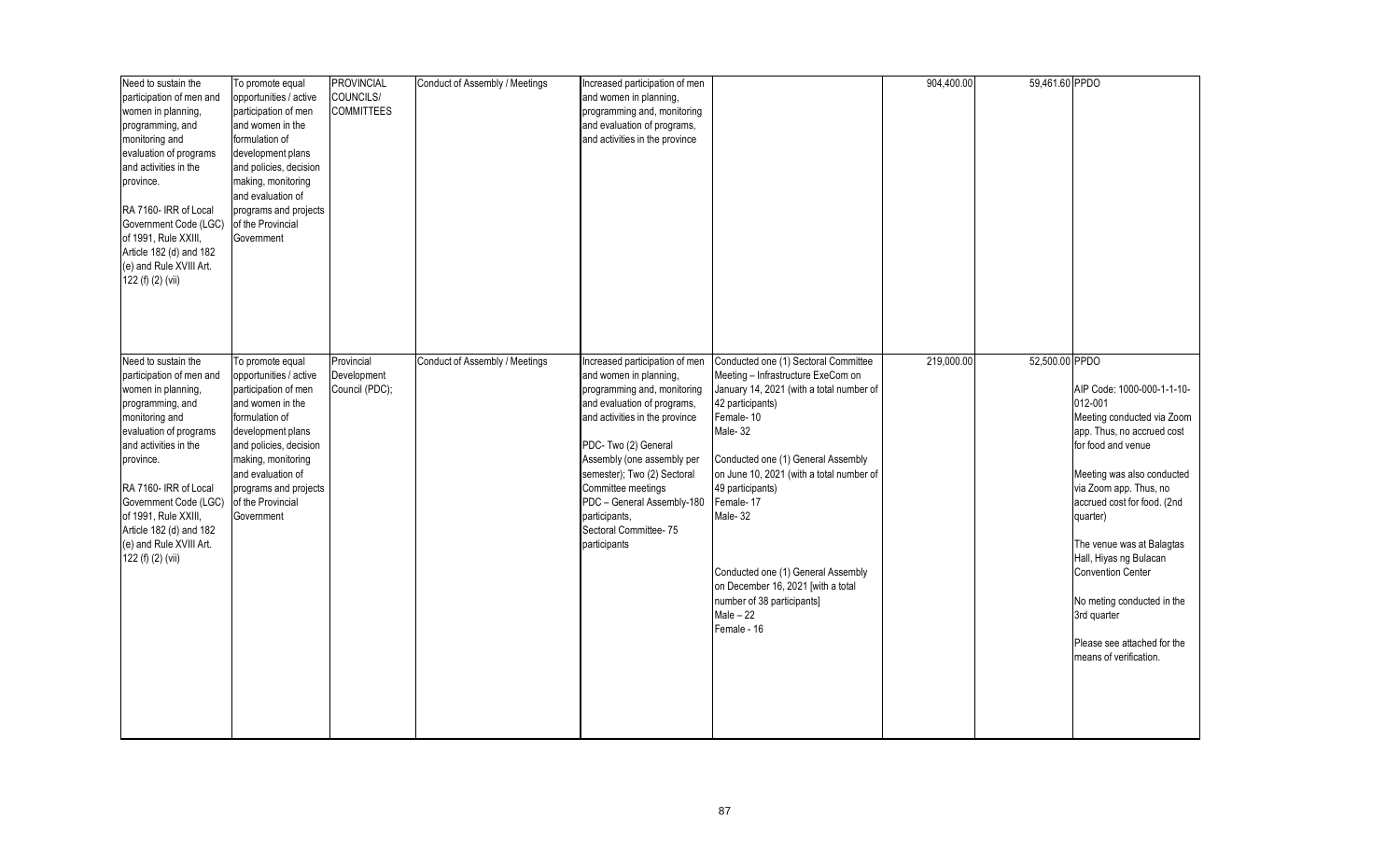| Need to sustain the<br>participation of men and<br>women in planning,<br>programming, and<br>monitoring and<br>evaluation of programs<br>and activities in the<br>province.<br>RA 7160- IRR of Local<br>Government Code (LGC)<br>of 1991, Rule XXIII,                                                     | To promote equal<br>opportunities / active<br>participation of men<br>and women in the<br>formulation of<br>development plans<br>and policies, decision<br>making, monitoring<br>and evaluation of<br>programs and projects<br>of the Provincial<br>Government | <b>PROVINCIAL</b><br>COUNCILS/<br><b>COMMITTEES</b> | Conduct of Assembly / Meetings | Increased participation of men<br>and women in planning,<br>programming and, monitoring<br>and evaluation of programs,<br>and activities in the province                                                                                                                                                                 |                                                                                                                                                                                                                                                                                                                                                                                                  | 904,400.00 | 59,461.60 PPDO |                                                                                                                                                                                                                                                                                                                                                                                                                     |
|-----------------------------------------------------------------------------------------------------------------------------------------------------------------------------------------------------------------------------------------------------------------------------------------------------------|----------------------------------------------------------------------------------------------------------------------------------------------------------------------------------------------------------------------------------------------------------------|-----------------------------------------------------|--------------------------------|--------------------------------------------------------------------------------------------------------------------------------------------------------------------------------------------------------------------------------------------------------------------------------------------------------------------------|--------------------------------------------------------------------------------------------------------------------------------------------------------------------------------------------------------------------------------------------------------------------------------------------------------------------------------------------------------------------------------------------------|------------|----------------|---------------------------------------------------------------------------------------------------------------------------------------------------------------------------------------------------------------------------------------------------------------------------------------------------------------------------------------------------------------------------------------------------------------------|
| Article 182 (d) and 182<br>(e) and Rule XVIII Art.<br>122 (f) (2) (vii)<br>Need to sustain the                                                                                                                                                                                                            | To promote equal                                                                                                                                                                                                                                               | Provincial                                          | Conduct of Assembly / Meetings | Increased participation of men                                                                                                                                                                                                                                                                                           | Conducted one (1) Sectoral Committee                                                                                                                                                                                                                                                                                                                                                             | 219,000.00 | 52,500.00 PPDO |                                                                                                                                                                                                                                                                                                                                                                                                                     |
| participation of men and<br>women in planning,<br>programming, and<br>monitoring and<br>evaluation of programs<br>and activities in the<br>province.<br>RA 7160- IRR of Local<br>Government Code (LGC)<br>of 1991, Rule XXIII,<br>Article 182 (d) and 182<br>(e) and Rule XVIII Art.<br>122 (f) (2) (vii) | opportunities / active<br>participation of men<br>and women in the<br>formulation of<br>development plans<br>and policies, decision<br>making, monitoring<br>and evaluation of<br>programs and projects<br>of the Provincial<br>Government                     | Development<br>Council (PDC);                       |                                | and women in planning,<br>programming and, monitoring<br>and evaluation of programs,<br>and activities in the province<br>PDC-Two (2) General<br>Assembly (one assembly per<br>semester); Two (2) Sectoral<br>Committee meetings<br>PDC - General Assembly-180<br>participants,<br>Sectoral Committee-75<br>participants | Meeting - Infrastructure ExeCom on<br>January 14, 2021 (with a total number of<br>42 participants)<br>Female-10<br>Male-32<br>Conducted one (1) General Assembly<br>on June 10, 2021 (with a total number of<br>49 participants)<br>Female-17<br>Male-32<br>Conducted one (1) General Assembly<br>on December 16, 2021 [with a total<br>number of 38 participants]<br>$Male - 22$<br>Female - 16 |            |                | AIP Code: 1000-000-1-1-10-<br>012-001<br>Meeting conducted via Zoom<br>app. Thus, no accrued cost<br>for food and venue<br>Meeting was also conducted<br>via Zoom app. Thus, no<br>accrued cost for food. (2nd<br>quarter)<br>The venue was at Balagtas<br>Hall, Hiyas ng Bulacan<br><b>Convention Center</b><br>No meting conducted in the<br>3rd quarter<br>Please see attached for the<br>means of verification. |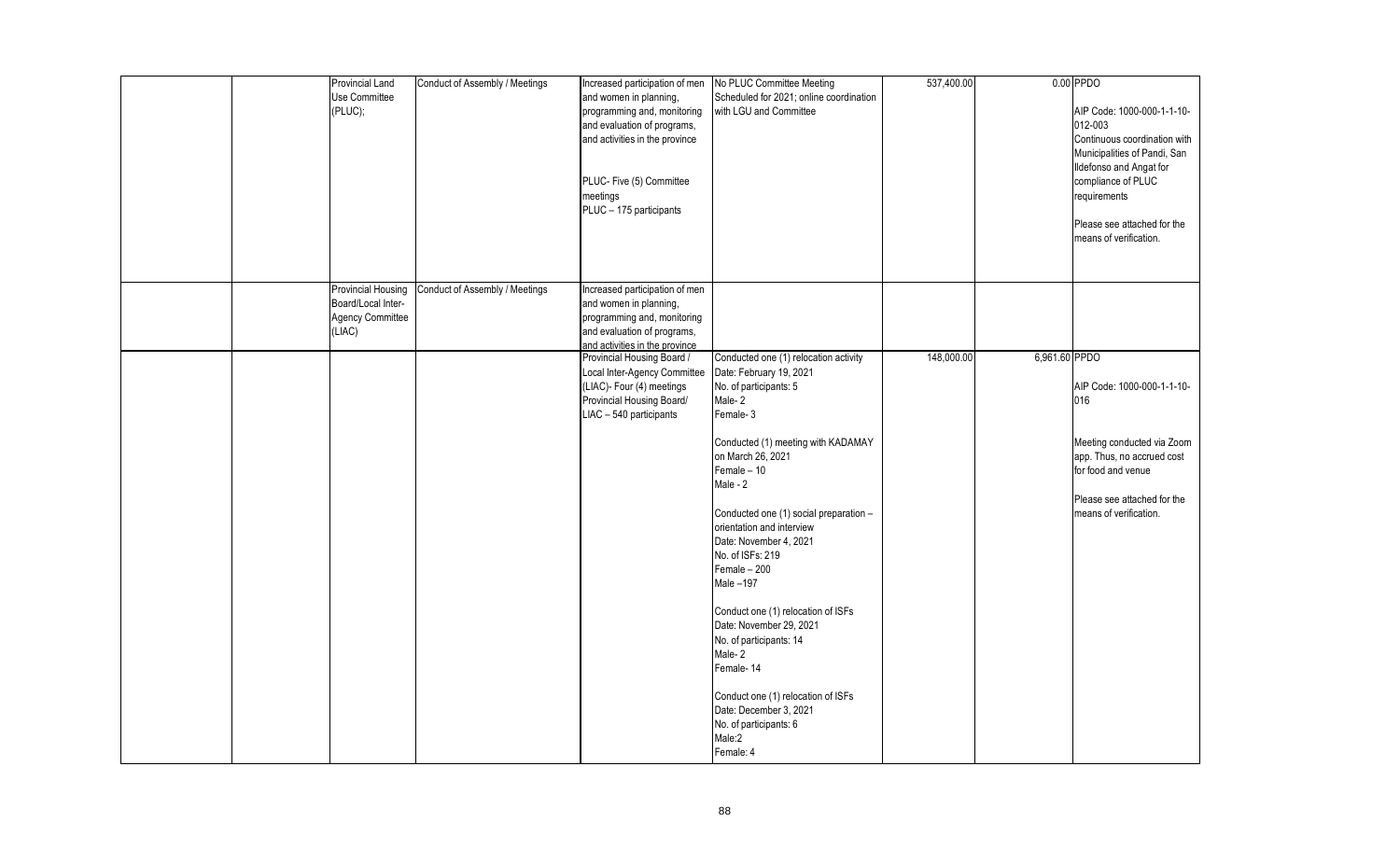|  | Provincial Land           | Conduct of Assembly / Meetings | Increased participation of men | No PLUC Committee Meeting               | 537,400.00 |               | $0.00$ PPDO                  |
|--|---------------------------|--------------------------------|--------------------------------|-----------------------------------------|------------|---------------|------------------------------|
|  | Use Committee             |                                | and women in planning,         | Scheduled for 2021; online coordination |            |               |                              |
|  | (PLUC);                   |                                | programming and, monitoring    | with LGU and Committee                  |            |               | AIP Code: 1000-000-1-1-10-   |
|  |                           |                                | and evaluation of programs,    |                                         |            |               | 012-003                      |
|  |                           |                                | and activities in the province |                                         |            |               | Continuous coordination with |
|  |                           |                                |                                |                                         |            |               | Municipalities of Pandi, San |
|  |                           |                                |                                |                                         |            |               |                              |
|  |                           |                                |                                |                                         |            |               | Ildefonso and Angat for      |
|  |                           |                                | PLUC- Five (5) Committee       |                                         |            |               | compliance of PLUC           |
|  |                           |                                | meetings                       |                                         |            |               | requirements                 |
|  |                           |                                | PLUC - 175 participants        |                                         |            |               |                              |
|  |                           |                                |                                |                                         |            |               | Please see attached for the  |
|  |                           |                                |                                |                                         |            |               | means of verification.       |
|  |                           |                                |                                |                                         |            |               |                              |
|  |                           |                                |                                |                                         |            |               |                              |
|  |                           |                                |                                |                                         |            |               |                              |
|  | <b>Provincial Housing</b> | Conduct of Assembly / Meetings | Increased participation of men |                                         |            |               |                              |
|  | Board/Local Inter-        |                                | and women in planning,         |                                         |            |               |                              |
|  | Agency Committee          |                                | programming and, monitoring    |                                         |            |               |                              |
|  | (LIAC)                    |                                | and evaluation of programs,    |                                         |            |               |                              |
|  |                           |                                | and activities in the province |                                         |            |               |                              |
|  |                           |                                | Provincial Housing Board /     | Conducted one (1) relocation activity   | 148,000.00 | 6,961.60 PPDO |                              |
|  |                           |                                | Local Inter-Agency Committee   | Date: February 19, 2021                 |            |               |                              |
|  |                           |                                | (LIAC)- Four (4) meetings      | No. of participants: 5                  |            |               | AIP Code: 1000-000-1-1-10-   |
|  |                           |                                | Provincial Housing Board/      | Male-2                                  |            |               | 016                          |
|  |                           |                                | LIAC - 540 participants        | Female-3                                |            |               |                              |
|  |                           |                                |                                |                                         |            |               |                              |
|  |                           |                                |                                | Conducted (1) meeting with KADAMAY      |            |               | Meeting conducted via Zoom   |
|  |                           |                                |                                | on March 26, 2021                       |            |               | app. Thus, no accrued cost   |
|  |                           |                                |                                | $Female - 10$                           |            |               | for food and venue           |
|  |                           |                                |                                | Male - 2                                |            |               |                              |
|  |                           |                                |                                |                                         |            |               | Please see attached for the  |
|  |                           |                                |                                | Conducted one (1) social preparation -  |            |               | means of verification.       |
|  |                           |                                |                                |                                         |            |               |                              |
|  |                           |                                |                                | orientation and interview               |            |               |                              |
|  |                           |                                |                                | Date: November 4, 2021                  |            |               |                              |
|  |                           |                                |                                | No. of ISFs: 219                        |            |               |                              |
|  |                           |                                |                                | Female - 200                            |            |               |                              |
|  |                           |                                |                                | Male-197                                |            |               |                              |
|  |                           |                                |                                |                                         |            |               |                              |
|  |                           |                                |                                | Conduct one (1) relocation of ISFs      |            |               |                              |
|  |                           |                                |                                | Date: November 29, 2021                 |            |               |                              |
|  |                           |                                |                                | No. of participants: 14                 |            |               |                              |
|  |                           |                                |                                | Male-2                                  |            |               |                              |
|  |                           |                                |                                | Female-14                               |            |               |                              |
|  |                           |                                |                                |                                         |            |               |                              |
|  |                           |                                |                                | Conduct one (1) relocation of ISFs      |            |               |                              |
|  |                           |                                |                                | Date: December 3, 2021                  |            |               |                              |
|  |                           |                                |                                | No. of participants: 6                  |            |               |                              |
|  |                           |                                |                                | Male:2                                  |            |               |                              |
|  |                           |                                |                                | Female: 4                               |            |               |                              |
|  |                           |                                |                                |                                         |            |               |                              |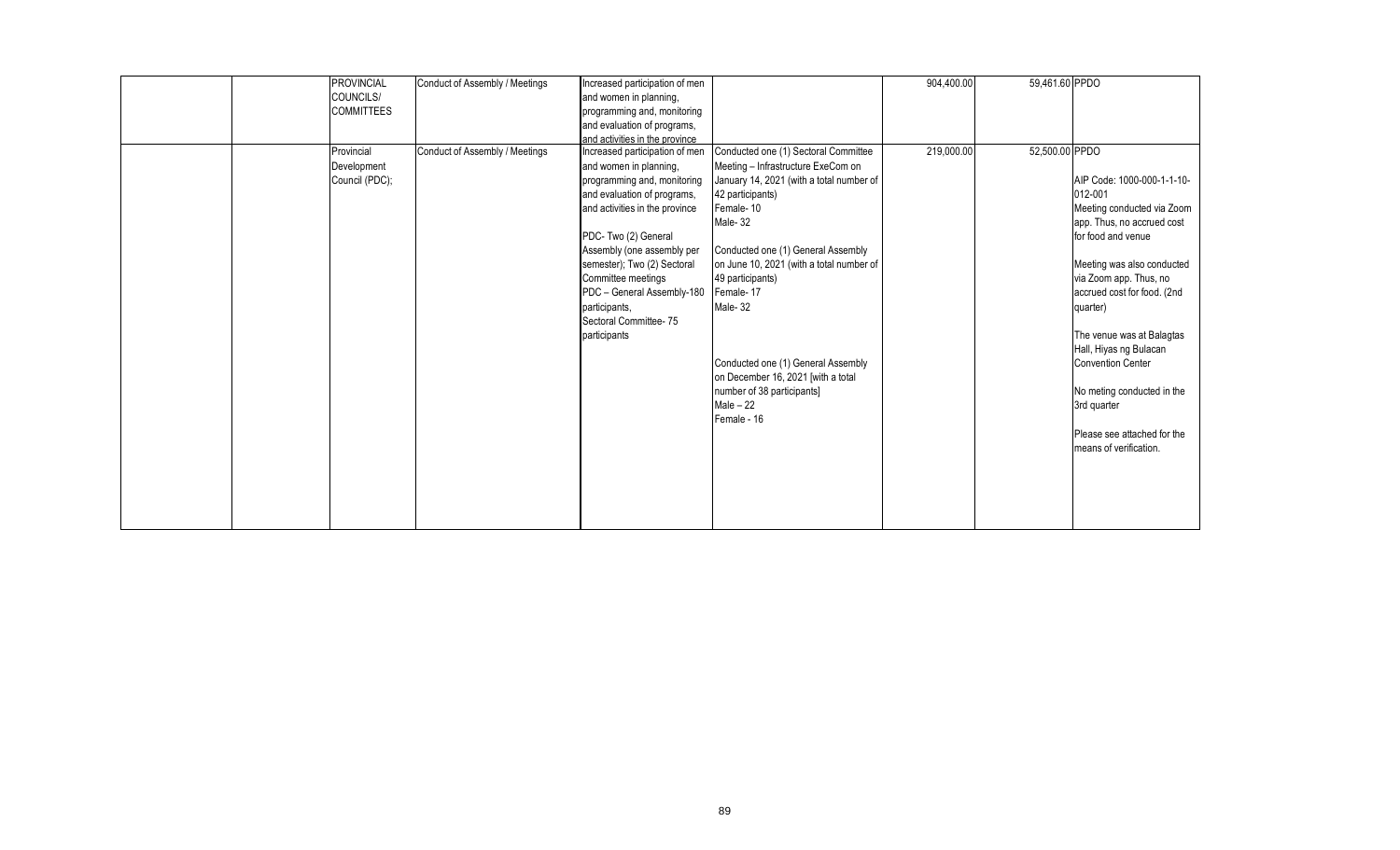| <b>PROVINCIAL</b> | Conduct of Assembly / Meetings | Increased participation of men |                                          | 904,400.00 | 59,461.60 PPDO |                             |
|-------------------|--------------------------------|--------------------------------|------------------------------------------|------------|----------------|-----------------------------|
| COUNCILS/         |                                | and women in planning,         |                                          |            |                |                             |
| <b>COMMITTEES</b> |                                | programming and, monitoring    |                                          |            |                |                             |
|                   |                                | and evaluation of programs,    |                                          |            |                |                             |
|                   |                                | and activities in the province |                                          |            |                |                             |
| Provincial        | Conduct of Assembly / Meetings | Increased participation of men | Conducted one (1) Sectoral Committee     | 219,000.00 | 52,500.00 PPDO |                             |
| Development       |                                | and women in planning,         | Meeting - Infrastructure ExeCom on       |            |                |                             |
| Council (PDC);    |                                | programming and, monitoring    | January 14, 2021 (with a total number of |            |                | AIP Code: 1000-000-1-1-10-  |
|                   |                                | and evaluation of programs,    | 42 participants)                         |            |                | 012-001                     |
|                   |                                | and activities in the province | Female-10                                |            |                | Meeting conducted via Zoom  |
|                   |                                |                                | Male-32                                  |            |                | app. Thus, no accrued cost  |
|                   |                                | PDC- Two (2) General           |                                          |            |                | for food and venue          |
|                   |                                | Assembly (one assembly per     | Conducted one (1) General Assembly       |            |                |                             |
|                   |                                | semester); Two (2) Sectoral    | on June 10, 2021 (with a total number of |            |                | Meeting was also conducted  |
|                   |                                | Committee meetings             | 49 participants)                         |            |                | via Zoom app. Thus, no      |
|                   |                                | PDC - General Assembly-180     | Female-17                                |            |                | accrued cost for food. (2nd |
|                   |                                | participants.                  | Male-32                                  |            |                | quarter)                    |
|                   |                                | Sectoral Committee- 75         |                                          |            |                |                             |
|                   |                                | participants                   |                                          |            |                | The venue was at Balagtas   |
|                   |                                |                                |                                          |            |                | Hall, Hiyas ng Bulacan      |
|                   |                                |                                | Conducted one (1) General Assembly       |            |                | <b>Convention Center</b>    |
|                   |                                |                                | on December 16, 2021 [with a total       |            |                |                             |
|                   |                                |                                | number of 38 participants]               |            |                | No meting conducted in the  |
|                   |                                |                                | Male $-22$                               |            |                | 3rd quarter                 |
|                   |                                |                                | Female - 16                              |            |                |                             |
|                   |                                |                                |                                          |            |                | Please see attached for the |
|                   |                                |                                |                                          |            |                | means of verification.      |
|                   |                                |                                |                                          |            |                |                             |
|                   |                                |                                |                                          |            |                |                             |
|                   |                                |                                |                                          |            |                |                             |
|                   |                                |                                |                                          |            |                |                             |
|                   |                                |                                |                                          |            |                |                             |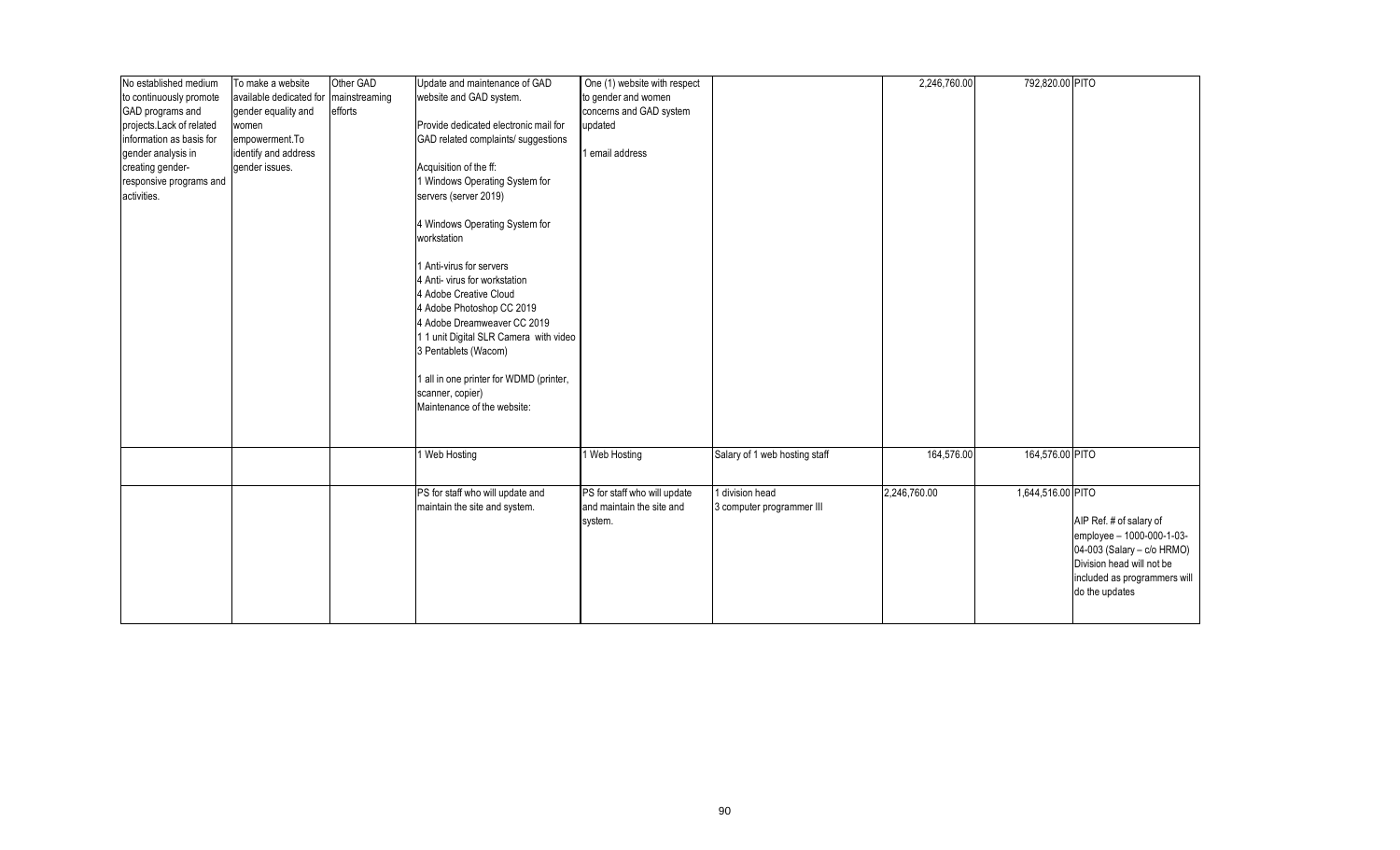| No established medium    | To make a website       | Other GAD     | Update and maintenance of GAD           | One (1) website with respect |                               | 2,246,760.00 | 792,820.00 PITO   |                              |
|--------------------------|-------------------------|---------------|-----------------------------------------|------------------------------|-------------------------------|--------------|-------------------|------------------------------|
| to continuously promote  | available dedicated for | mainstreaming | website and GAD system.                 | to gender and women          |                               |              |                   |                              |
| GAD programs and         | gender equality and     | efforts       |                                         | concerns and GAD system      |                               |              |                   |                              |
| projects Lack of related | women                   |               | Provide dedicated electronic mail for   | updated                      |                               |              |                   |                              |
| information as basis for | empowerment.To          |               | GAD related complaints/ suggestions     |                              |                               |              |                   |                              |
| gender analysis in       | identify and address    |               |                                         | 1 email address              |                               |              |                   |                              |
| creating gender-         | gender issues.          |               | Acquisition of the ff:                  |                              |                               |              |                   |                              |
| responsive programs and  |                         |               | 1 Windows Operating System for          |                              |                               |              |                   |                              |
| activities.              |                         |               | servers (server 2019)                   |                              |                               |              |                   |                              |
|                          |                         |               |                                         |                              |                               |              |                   |                              |
|                          |                         |               | 4 Windows Operating System for          |                              |                               |              |                   |                              |
|                          |                         |               | workstation                             |                              |                               |              |                   |                              |
|                          |                         |               |                                         |                              |                               |              |                   |                              |
|                          |                         |               | 1 Anti-virus for servers                |                              |                               |              |                   |                              |
|                          |                         |               | 4 Anti- virus for workstation           |                              |                               |              |                   |                              |
|                          |                         |               | 4 Adobe Creative Cloud                  |                              |                               |              |                   |                              |
|                          |                         |               |                                         |                              |                               |              |                   |                              |
|                          |                         |               | 4 Adobe Photoshop CC 2019               |                              |                               |              |                   |                              |
|                          |                         |               | 4 Adobe Dreamweaver CC 2019             |                              |                               |              |                   |                              |
|                          |                         |               | 11 unit Digital SLR Camera with video   |                              |                               |              |                   |                              |
|                          |                         |               | 3 Pentablets (Wacom)                    |                              |                               |              |                   |                              |
|                          |                         |               |                                         |                              |                               |              |                   |                              |
|                          |                         |               | 1 all in one printer for WDMD (printer, |                              |                               |              |                   |                              |
|                          |                         |               | scanner, copier)                        |                              |                               |              |                   |                              |
|                          |                         |               | Maintenance of the website:             |                              |                               |              |                   |                              |
|                          |                         |               |                                         |                              |                               |              |                   |                              |
|                          |                         |               |                                         |                              |                               |              |                   |                              |
|                          |                         |               | 1 Web Hosting                           | Web Hosting                  | Salary of 1 web hosting staff | 164,576.00   | 164,576.00 PITO   |                              |
|                          |                         |               |                                         |                              |                               |              |                   |                              |
|                          |                         |               |                                         |                              |                               |              |                   |                              |
|                          |                         |               | PS for staff who will update and        | PS for staff who will update | 1 division head               | 2,246,760.00 | 1,644,516.00 PITO |                              |
|                          |                         |               | maintain the site and system.           | and maintain the site and    | 3 computer programmer III     |              |                   |                              |
|                          |                         |               |                                         | system.                      |                               |              |                   | AIP Ref. # of salary of      |
|                          |                         |               |                                         |                              |                               |              |                   | employee - 1000-000-1-03-    |
|                          |                         |               |                                         |                              |                               |              |                   | 04-003 (Salary - c/o HRMO)   |
|                          |                         |               |                                         |                              |                               |              |                   | Division head will not be    |
|                          |                         |               |                                         |                              |                               |              |                   | included as programmers will |
|                          |                         |               |                                         |                              |                               |              |                   | do the updates               |
|                          |                         |               |                                         |                              |                               |              |                   |                              |
|                          |                         |               |                                         |                              |                               |              |                   |                              |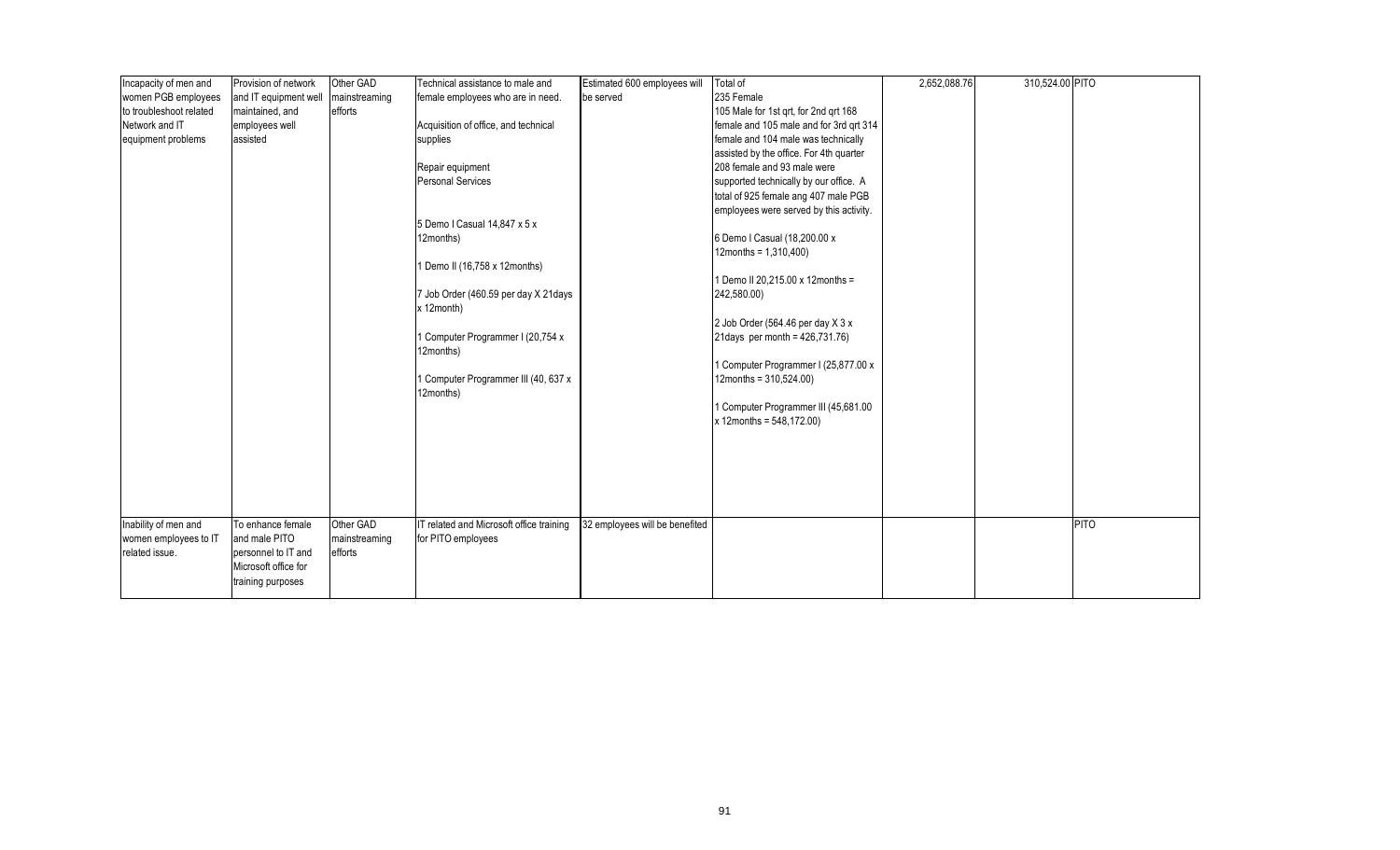| Incapacity of men and   | Provision of network  | Other GAD     | Technical assistance to male and                   | Estimated 600 employees will   | Total of                                | 2,652,088.76 | 310,524.00 PITO |      |
|-------------------------|-----------------------|---------------|----------------------------------------------------|--------------------------------|-----------------------------------------|--------------|-----------------|------|
| women PGB employees     | and IT equipment well | mainstreaming | female employees who are in need.                  | be served                      | 235 Female                              |              |                 |      |
| to troubleshoot related | maintained, and       | efforts       |                                                    |                                | 105 Male for 1st qrt, for 2nd qrt 168   |              |                 |      |
| Network and IT          | employees well        |               | Acquisition of office, and technical               |                                | female and 105 male and for 3rd qrt 314 |              |                 |      |
| equipment problems      | assisted              |               | supplies                                           |                                | female and 104 male was technically     |              |                 |      |
|                         |                       |               |                                                    |                                | assisted by the office. For 4th quarter |              |                 |      |
|                         |                       |               | Repair equipment                                   |                                | 208 female and 93 male were             |              |                 |      |
|                         |                       |               | <b>Personal Services</b>                           |                                | supported technically by our office. A  |              |                 |      |
|                         |                       |               |                                                    |                                | total of 925 female ang 407 male PGB    |              |                 |      |
|                         |                       |               |                                                    |                                | employees were served by this activity. |              |                 |      |
|                         |                       |               | 5 Demo I Casual 14,847 x 5 x                       |                                |                                         |              |                 |      |
|                         |                       |               | 12months)                                          |                                | 6 Demo I Casual (18,200.00 x            |              |                 |      |
|                         |                       |               |                                                    |                                | 12months = $1,310,400$ )                |              |                 |      |
|                         |                       |               | 1 Demo II (16,758 x 12months)                      |                                |                                         |              |                 |      |
|                         |                       |               |                                                    |                                | 1 Demo II 20,215.00 x 12months =        |              |                 |      |
|                         |                       |               | 7 Job Order (460.59 per day X 21days<br>x 12month) |                                | 242,580.00)                             |              |                 |      |
|                         |                       |               |                                                    |                                | 2 Job Order (564.46 per day X 3 x       |              |                 |      |
|                         |                       |               | 1 Computer Programmer I (20,754 x                  |                                | 21 days per month = 426, 731.76)        |              |                 |      |
|                         |                       |               | 12months)                                          |                                |                                         |              |                 |      |
|                         |                       |               |                                                    |                                | 1 Computer Programmer I (25,877.00 x    |              |                 |      |
|                         |                       |               | 1 Computer Programmer III (40, 637 x               |                                | $12$ months = $310,524.00$ )            |              |                 |      |
|                         |                       |               | 12months)                                          |                                |                                         |              |                 |      |
|                         |                       |               |                                                    |                                | 1 Computer Programmer III (45,681.00    |              |                 |      |
|                         |                       |               |                                                    |                                | $x$ 12months = 548,172.00)              |              |                 |      |
|                         |                       |               |                                                    |                                |                                         |              |                 |      |
|                         |                       |               |                                                    |                                |                                         |              |                 |      |
|                         |                       |               |                                                    |                                |                                         |              |                 |      |
|                         |                       |               |                                                    |                                |                                         |              |                 |      |
|                         |                       |               |                                                    |                                |                                         |              |                 |      |
|                         |                       |               |                                                    |                                |                                         |              |                 |      |
| Inability of men and    | To enhance female     | Other GAD     | IT related and Microsoft office training           | 32 employees will be benefited |                                         |              |                 | PITO |
| women employees to IT   | and male PITO         | mainstreaming | for PITO employees                                 |                                |                                         |              |                 |      |
| related issue.          | personnel to IT and   | efforts       |                                                    |                                |                                         |              |                 |      |
|                         | Microsoft office for  |               |                                                    |                                |                                         |              |                 |      |
|                         | training purposes     |               |                                                    |                                |                                         |              |                 |      |
|                         |                       |               |                                                    |                                |                                         |              |                 |      |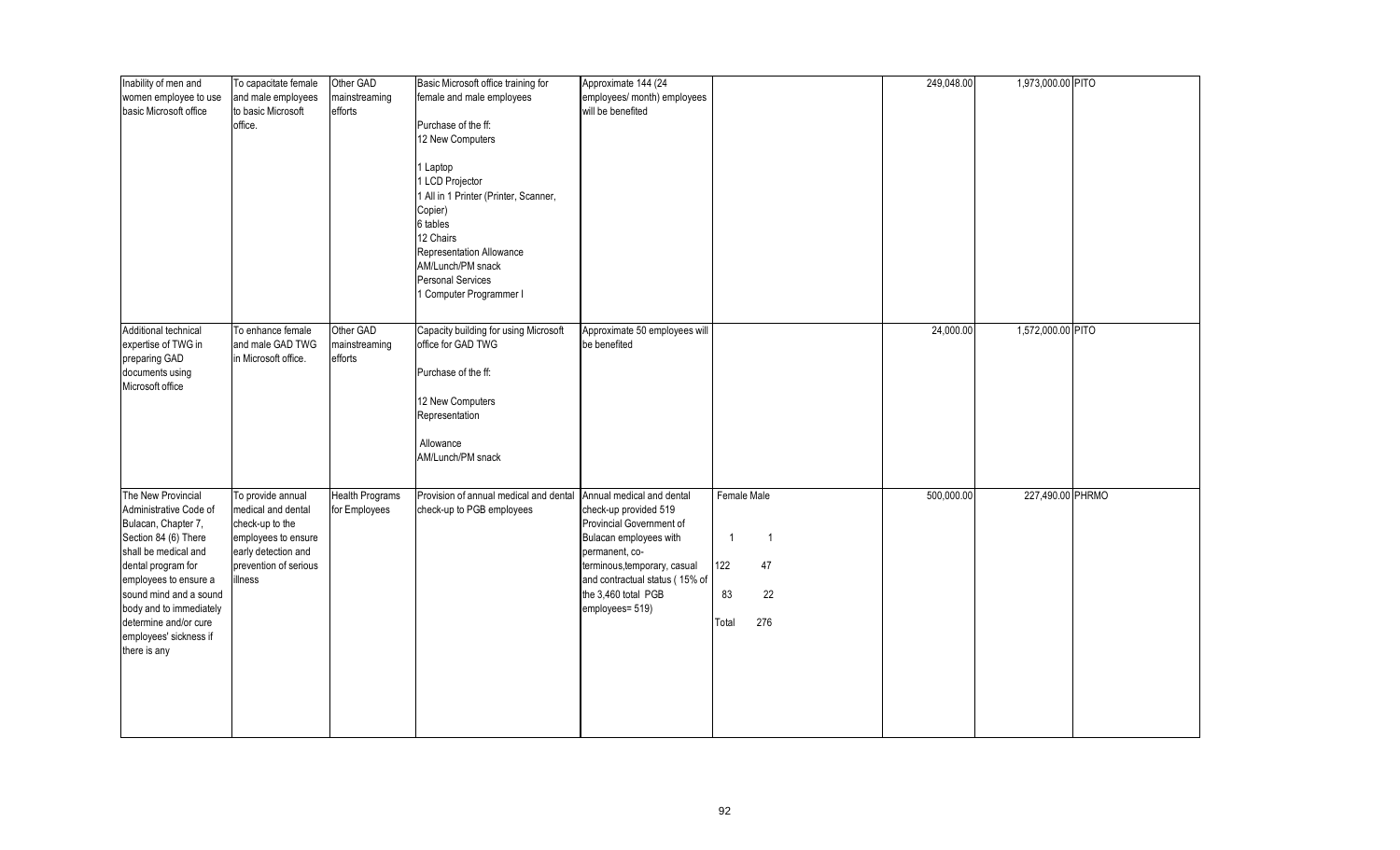| Inability of men and<br>women employee to use<br>basic Microsoft office                                                                                                                                                                                                                    | To capacitate female<br>and male employees<br>to basic Microsoft<br>office.                                                                  | Other GAD<br>mainstreaming<br>efforts   | Basic Microsoft office training for<br>female and male employees<br>Purchase of the ff:<br>12 New Computers<br>Laptop<br>LCD Projector<br>All in 1 Printer (Printer, Scanner,<br>Copier)<br>6 tables<br>12 Chairs<br>Representation Allowance | Approximate 144 (24<br>employees/ month) employees<br>will be benefited                                                                                                                                                                |                                                                            | 249,048.00 | 1,973,000.00 PITO |  |
|--------------------------------------------------------------------------------------------------------------------------------------------------------------------------------------------------------------------------------------------------------------------------------------------|----------------------------------------------------------------------------------------------------------------------------------------------|-----------------------------------------|-----------------------------------------------------------------------------------------------------------------------------------------------------------------------------------------------------------------------------------------------|----------------------------------------------------------------------------------------------------------------------------------------------------------------------------------------------------------------------------------------|----------------------------------------------------------------------------|------------|-------------------|--|
| Additional technical<br>expertise of TWG in<br>preparing GAD<br>documents using<br>Microsoft office                                                                                                                                                                                        | To enhance female<br>and male GAD TWG<br>in Microsoft office.                                                                                | Other GAD<br>mainstreaming<br>efforts   | AM/Lunch/PM snack<br>Personal Services<br>Computer Programmer I<br>Capacity building for using Microsoft<br>office for GAD TWG<br>Purchase of the ff:<br>12 New Computers<br>Representation<br>Allowance                                      | Approximate 50 employees will<br>be benefited                                                                                                                                                                                          |                                                                            | 24,000.00  | 1,572,000.00 PITO |  |
| The New Provincial<br>Administrative Code of<br>Bulacan, Chapter 7,<br>Section 84 (6) There<br>shall be medical and<br>dental program for<br>employees to ensure a<br>sound mind and a sound<br>body and to immediately<br>determine and/or cure<br>employees' sickness if<br>there is any | To provide annual<br>medical and dental<br>check-up to the<br>employees to ensure<br>early detection and<br>prevention of serious<br>illness | <b>Health Programs</b><br>for Employees | AM/Lunch/PM snack<br>Provision of annual medical and dental<br>check-up to PGB employees                                                                                                                                                      | Annual medical and dental<br>check-up provided 519<br>Provincial Government of<br>Bulacan employees with<br>permanent, co-<br>terminous, temporary, casual<br>and contractual status (15% of<br>the 3,460 total PGB<br>employees= 519) | Female Male<br>$\mathbf{1}$<br>-1<br>122<br>47<br>83<br>22<br>276<br>Total | 500,000.00 | 227,490.00 PHRMO  |  |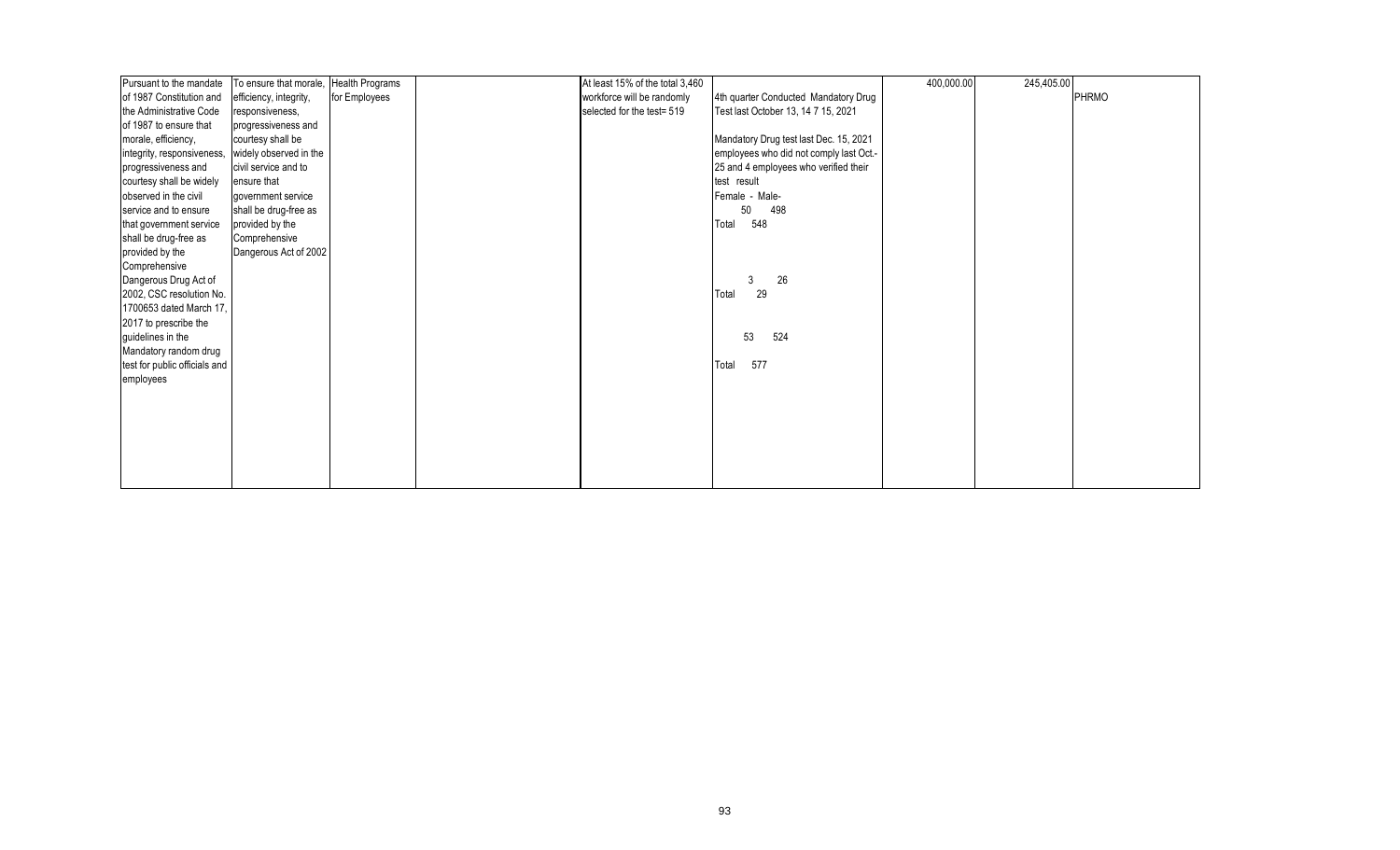| Pursuant to the mandate       | To ensure that morale, | <b>Health Programs</b> | At least 15% of the total 3,460 |                                          | 400,000.00 | 245,405.00 |       |
|-------------------------------|------------------------|------------------------|---------------------------------|------------------------------------------|------------|------------|-------|
| of 1987 Constitution and      | efficiency, integrity, | for Employees          | workforce will be randomly      | 4th quarter Conducted Mandatory Drug     |            |            | PHRMO |
| the Administrative Code       | responsiveness,        |                        | selected for the test= 519      | Test last October 13, 14 7 15, 2021      |            |            |       |
| of 1987 to ensure that        | progressiveness and    |                        |                                 |                                          |            |            |       |
| morale, efficiency,           | courtesy shall be      |                        |                                 | Mandatory Drug test last Dec. 15, 2021   |            |            |       |
| integrity, responsiveness,    | widely observed in the |                        |                                 | employees who did not comply last Oct .- |            |            |       |
| progressiveness and           | civil service and to   |                        |                                 | 25 and 4 employees who verified their    |            |            |       |
| courtesy shall be widely      | ensure that            |                        |                                 | test result                              |            |            |       |
| observed in the civil         | government service     |                        |                                 | Female - Male-                           |            |            |       |
| service and to ensure         | shall be drug-free as  |                        |                                 | 50<br>498                                |            |            |       |
| that government service       | provided by the        |                        |                                 | 548<br>Total                             |            |            |       |
| shall be drug-free as         | Comprehensive          |                        |                                 |                                          |            |            |       |
| provided by the               | Dangerous Act of 2002  |                        |                                 |                                          |            |            |       |
| Comprehensive                 |                        |                        |                                 |                                          |            |            |       |
| Dangerous Drug Act of         |                        |                        |                                 | 26<br>3                                  |            |            |       |
| 2002, CSC resolution No.      |                        |                        |                                 | 29<br>Total                              |            |            |       |
| 1700653 dated March 17,       |                        |                        |                                 |                                          |            |            |       |
| 2017 to prescribe the         |                        |                        |                                 |                                          |            |            |       |
| guidelines in the             |                        |                        |                                 | 53<br>524                                |            |            |       |
| Mandatory random drug         |                        |                        |                                 |                                          |            |            |       |
| test for public officials and |                        |                        |                                 | 577<br>Total                             |            |            |       |
| employees                     |                        |                        |                                 |                                          |            |            |       |
|                               |                        |                        |                                 |                                          |            |            |       |
|                               |                        |                        |                                 |                                          |            |            |       |
|                               |                        |                        |                                 |                                          |            |            |       |
|                               |                        |                        |                                 |                                          |            |            |       |
|                               |                        |                        |                                 |                                          |            |            |       |
|                               |                        |                        |                                 |                                          |            |            |       |
|                               |                        |                        |                                 |                                          |            |            |       |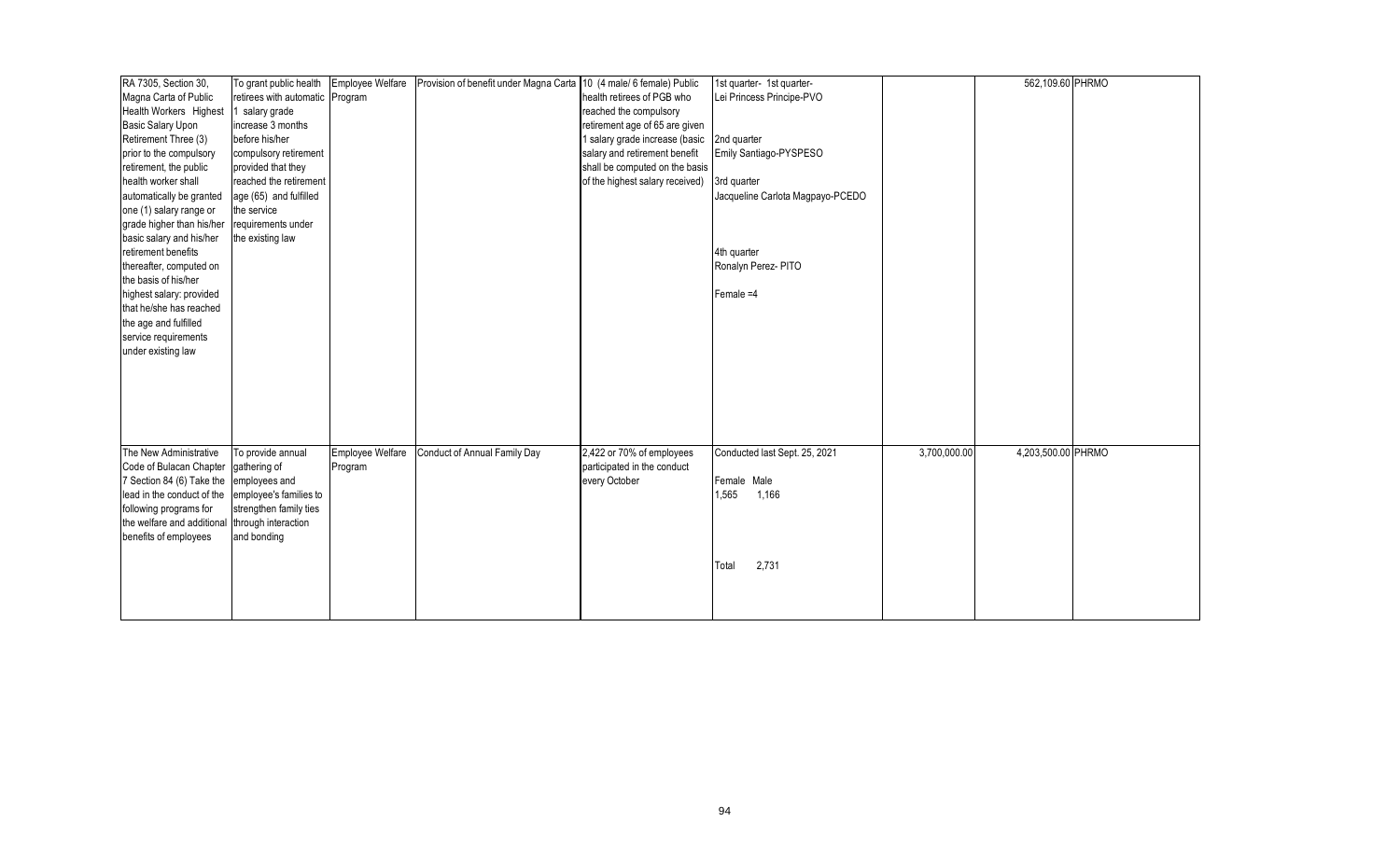| RA 7305, Section 30,                                 | To grant public health          | Employee Welfare | Provision of benefit under Magna Carta 10 (4 male/ 6 female) Public |                                 | 1st quarter- 1st quarter-        |              | 562,109.60 PHRMO   |  |
|------------------------------------------------------|---------------------------------|------------------|---------------------------------------------------------------------|---------------------------------|----------------------------------|--------------|--------------------|--|
| Magna Carta of Public                                | retirees with automatic Program |                  |                                                                     | health retirees of PGB who      | Lei Princess Principe-PVO        |              |                    |  |
| Health Workers Highest                               | salary grade                    |                  |                                                                     | reached the compulsory          |                                  |              |                    |  |
| <b>Basic Salary Upon</b>                             | increase 3 months               |                  |                                                                     | retirement age of 65 are given  |                                  |              |                    |  |
| Retirement Three (3)                                 | before his/her                  |                  |                                                                     | 1 salary grade increase (basic  | 2nd quarter                      |              |                    |  |
| prior to the compulsory                              | compulsory retirement           |                  |                                                                     | salary and retirement benefit   | Emily Santiago-PYSPESO           |              |                    |  |
| retirement, the public                               | provided that they              |                  |                                                                     | shall be computed on the basis  |                                  |              |                    |  |
| health worker shall                                  | reached the retirement          |                  |                                                                     | of the highest salary received) | 3rd quarter                      |              |                    |  |
| automatically be granted                             | age (65) and fulfilled          |                  |                                                                     |                                 | Jacqueline Carlota Magpayo-PCEDO |              |                    |  |
| one (1) salary range or                              | the service                     |                  |                                                                     |                                 |                                  |              |                    |  |
| grade higher than his/her                            | requirements under              |                  |                                                                     |                                 |                                  |              |                    |  |
| basic salary and his/her                             | the existing law                |                  |                                                                     |                                 |                                  |              |                    |  |
| retirement benefits                                  |                                 |                  |                                                                     |                                 | 4th quarter                      |              |                    |  |
| thereafter, computed on                              |                                 |                  |                                                                     |                                 | Ronalyn Perez- PITO              |              |                    |  |
| the basis of his/her                                 |                                 |                  |                                                                     |                                 |                                  |              |                    |  |
| highest salary: provided                             |                                 |                  |                                                                     |                                 | Female =4                        |              |                    |  |
| that he/she has reached                              |                                 |                  |                                                                     |                                 |                                  |              |                    |  |
| the age and fulfilled                                |                                 |                  |                                                                     |                                 |                                  |              |                    |  |
| service requirements                                 |                                 |                  |                                                                     |                                 |                                  |              |                    |  |
| under existing law                                   |                                 |                  |                                                                     |                                 |                                  |              |                    |  |
|                                                      |                                 |                  |                                                                     |                                 |                                  |              |                    |  |
|                                                      |                                 |                  |                                                                     |                                 |                                  |              |                    |  |
|                                                      |                                 |                  |                                                                     |                                 |                                  |              |                    |  |
|                                                      |                                 |                  |                                                                     |                                 |                                  |              |                    |  |
|                                                      |                                 |                  |                                                                     |                                 |                                  |              |                    |  |
|                                                      |                                 |                  |                                                                     |                                 |                                  |              |                    |  |
| The New Administrative                               | To provide annual               | Employee Welfare | Conduct of Annual Family Day                                        | 2,422 or 70% of employees       | Conducted last Sept. 25, 2021    | 3,700,000.00 | 4,203,500.00 PHRMO |  |
| Code of Bulacan Chapter                              | gathering of                    | Program          |                                                                     | participated in the conduct     |                                  |              |                    |  |
| 7 Section 84 (6) Take the                            | employees and                   |                  |                                                                     | every October                   | Female Male                      |              |                    |  |
| lead in the conduct of the                           | employee's families to          |                  |                                                                     |                                 | 1,565<br>1,166                   |              |                    |  |
|                                                      | strengthen family ties          |                  |                                                                     |                                 |                                  |              |                    |  |
| following programs for<br>the welfare and additional |                                 |                  |                                                                     |                                 |                                  |              |                    |  |
|                                                      | through interaction             |                  |                                                                     |                                 |                                  |              |                    |  |
| benefits of employees                                | and bonding                     |                  |                                                                     |                                 |                                  |              |                    |  |
|                                                      |                                 |                  |                                                                     |                                 |                                  |              |                    |  |
|                                                      |                                 |                  |                                                                     |                                 | 2,731<br>Total                   |              |                    |  |
|                                                      |                                 |                  |                                                                     |                                 |                                  |              |                    |  |
|                                                      |                                 |                  |                                                                     |                                 |                                  |              |                    |  |
|                                                      |                                 |                  |                                                                     |                                 |                                  |              |                    |  |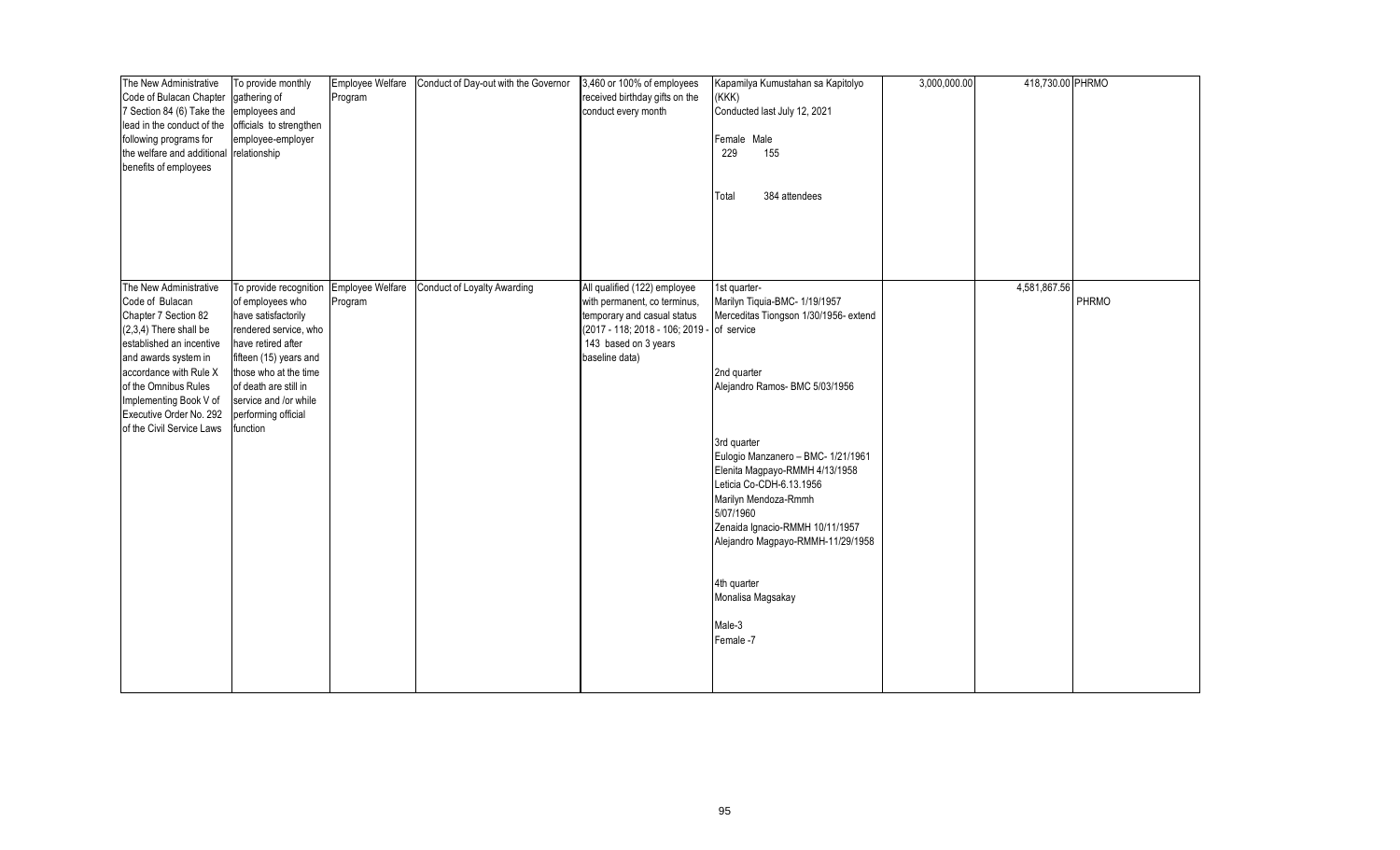| The New Administrative     | To provide monthly      | Employee Welfare | Conduct of Day-out with the Governor | 3,460 or 100% of employees                 | Kapamilya Kumustahan sa Kapitolyo                                    | 3,000,000.00 | 418,730.00 PHRMO |       |
|----------------------------|-------------------------|------------------|--------------------------------------|--------------------------------------------|----------------------------------------------------------------------|--------------|------------------|-------|
| Code of Bulacan Chapter    | gathering of            | Program          |                                      | received birthday gifts on the             | (KKK)                                                                |              |                  |       |
| 7 Section 84 (6) Take the  | employees and           |                  |                                      | conduct every month                        | Conducted last July 12, 2021                                         |              |                  |       |
| lead in the conduct of the | officials to strengthen |                  |                                      |                                            |                                                                      |              |                  |       |
| following programs for     | employee-employer       |                  |                                      |                                            | Female Male                                                          |              |                  |       |
| the welfare and additional | relationship            |                  |                                      |                                            | 229<br>155                                                           |              |                  |       |
| benefits of employees      |                         |                  |                                      |                                            |                                                                      |              |                  |       |
|                            |                         |                  |                                      |                                            |                                                                      |              |                  |       |
|                            |                         |                  |                                      |                                            | 384 attendees<br>Total                                               |              |                  |       |
|                            |                         |                  |                                      |                                            |                                                                      |              |                  |       |
|                            |                         |                  |                                      |                                            |                                                                      |              |                  |       |
|                            |                         |                  |                                      |                                            |                                                                      |              |                  |       |
|                            |                         |                  |                                      |                                            |                                                                      |              |                  |       |
|                            |                         |                  |                                      |                                            |                                                                      |              |                  |       |
| The New Administrative     | To provide recognition  | Employee Welfare | <b>Conduct of Loyalty Awarding</b>   | All qualified (122) employee               | 1st quarter-                                                         |              | 4,581,867.56     |       |
| Code of Bulacan            | of employees who        | Program          |                                      | with permanent, co terminus,               | Marilyn Tiquia-BMC- 1/19/1957                                        |              |                  | PHRMO |
| Chapter 7 Section 82       | have satisfactorily     |                  |                                      | temporary and casual status                | Merceditas Tiongson 1/30/1956- extend                                |              |                  |       |
| $(2,3,4)$ There shall be   | rendered service, who   |                  |                                      | (2017 - 118; 2018 - 106; 2019 - of service |                                                                      |              |                  |       |
| established an incentive   | have retired after      |                  |                                      | 143 based on 3 years                       |                                                                      |              |                  |       |
| and awards system in       | fifteen (15) years and  |                  |                                      | baseline data)                             |                                                                      |              |                  |       |
| accordance with Rule X     | those who at the time   |                  |                                      |                                            | 2nd quarter                                                          |              |                  |       |
| of the Omnibus Rules       | of death are still in   |                  |                                      |                                            | Alejandro Ramos- BMC 5/03/1956                                       |              |                  |       |
| Implementing Book V of     | service and /or while   |                  |                                      |                                            |                                                                      |              |                  |       |
| Executive Order No. 292    | performing official     |                  |                                      |                                            |                                                                      |              |                  |       |
| of the Civil Service Laws  | function                |                  |                                      |                                            |                                                                      |              |                  |       |
|                            |                         |                  |                                      |                                            | 3rd quarter                                                          |              |                  |       |
|                            |                         |                  |                                      |                                            | Eulogio Manzanero - BMC- 1/21/1961                                   |              |                  |       |
|                            |                         |                  |                                      |                                            | Elenita Magpayo-RMMH 4/13/1958                                       |              |                  |       |
|                            |                         |                  |                                      |                                            | Leticia Co-CDH-6.13.1956                                             |              |                  |       |
|                            |                         |                  |                                      |                                            | Marilyn Mendoza-Rmmh<br>5/07/1960                                    |              |                  |       |
|                            |                         |                  |                                      |                                            |                                                                      |              |                  |       |
|                            |                         |                  |                                      |                                            | Zenaida Ignacio-RMMH 10/11/1957<br>Alejandro Magpayo-RMMH-11/29/1958 |              |                  |       |
|                            |                         |                  |                                      |                                            |                                                                      |              |                  |       |
|                            |                         |                  |                                      |                                            |                                                                      |              |                  |       |
|                            |                         |                  |                                      |                                            | 4th quarter                                                          |              |                  |       |
|                            |                         |                  |                                      |                                            | Monalisa Magsakay                                                    |              |                  |       |
|                            |                         |                  |                                      |                                            |                                                                      |              |                  |       |
|                            |                         |                  |                                      |                                            | Male-3                                                               |              |                  |       |
|                            |                         |                  |                                      |                                            | Female -7                                                            |              |                  |       |
|                            |                         |                  |                                      |                                            |                                                                      |              |                  |       |
|                            |                         |                  |                                      |                                            |                                                                      |              |                  |       |
|                            |                         |                  |                                      |                                            |                                                                      |              |                  |       |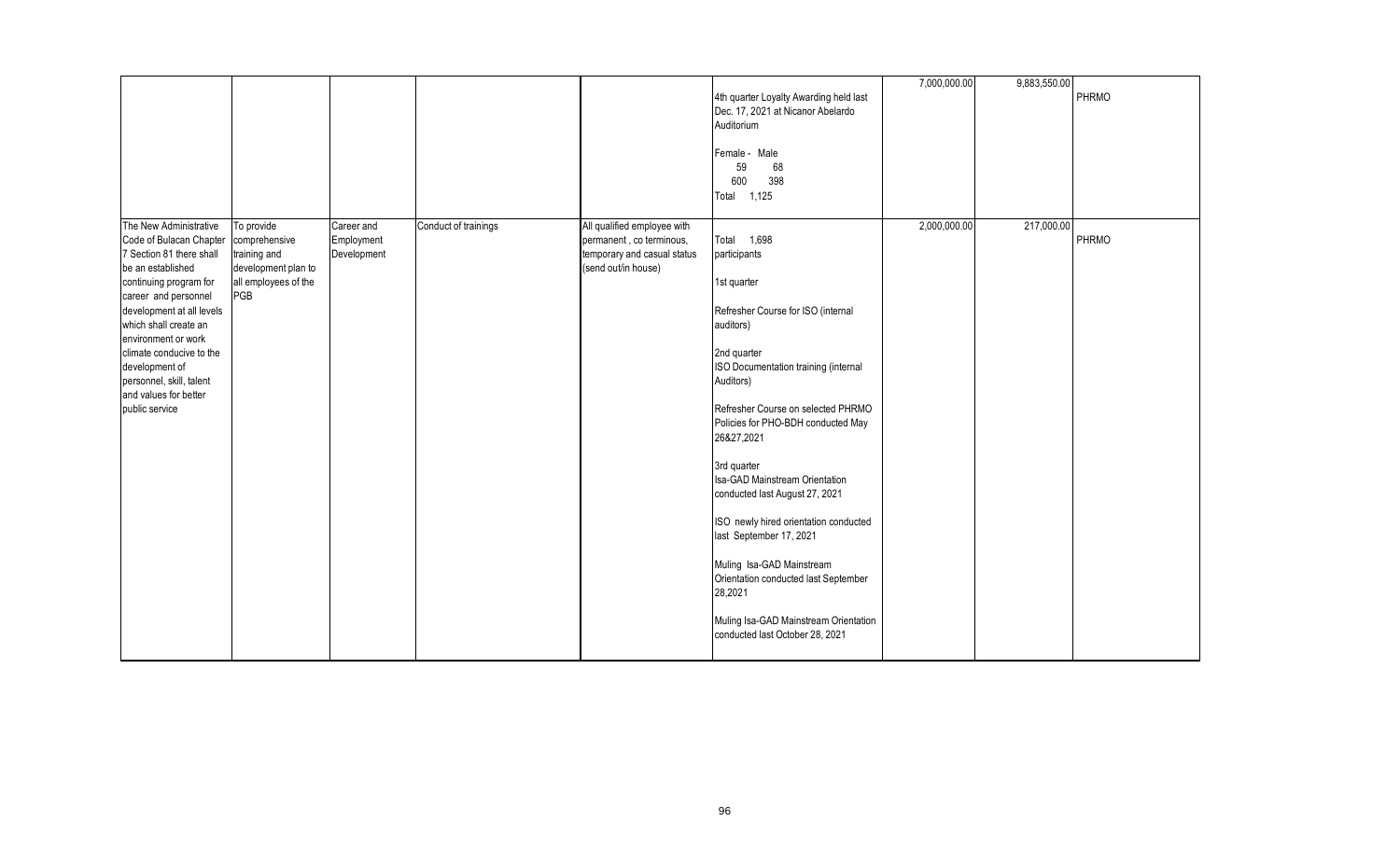|                                                                                                                                                                                                                                                                                                                                                        |                                                                                                   |                                         |                      |                                                                                                               | 4th quarter Loyalty Awarding held last<br>Dec. 17, 2021 at Nicanor Abelardo<br>Auditorium<br>Female - Male<br>59<br>68<br>398<br>600<br>Total 1,125                                                                                                                                                                                                                                                                                                                                                                                                                            | 7,000,000.00 | 9,883,550.00 | PHRMO |
|--------------------------------------------------------------------------------------------------------------------------------------------------------------------------------------------------------------------------------------------------------------------------------------------------------------------------------------------------------|---------------------------------------------------------------------------------------------------|-----------------------------------------|----------------------|---------------------------------------------------------------------------------------------------------------|--------------------------------------------------------------------------------------------------------------------------------------------------------------------------------------------------------------------------------------------------------------------------------------------------------------------------------------------------------------------------------------------------------------------------------------------------------------------------------------------------------------------------------------------------------------------------------|--------------|--------------|-------|
| The New Administrative<br>Code of Bulacan Chapter<br>7 Section 81 there shall<br>be an established<br>continuing program for<br>career and personnel<br>development at all levels<br>which shall create an<br>environment or work<br>climate conducive to the<br>development of<br>personnel, skill, talent<br>and values for better<br>public service | To provide<br>comprehensive<br>training and<br>development plan to<br>all employees of the<br>PGB | Career and<br>Employment<br>Development | Conduct of trainings | All qualified employee with<br>permanent, co terminous,<br>temporary and casual status<br>(send out/in house) | Total 1,698<br>participants<br>1st quarter<br>Refresher Course for ISO (internal<br>auditors)<br>2nd quarter<br>ISO Documentation training (internal<br>Auditors)<br>Refresher Course on selected PHRMO<br>Policies for PHO-BDH conducted May<br>26&27,2021<br>3rd quarter<br>Isa-GAD Mainstream Orientation<br>conducted last August 27, 2021<br>ISO newly hired orientation conducted<br>last September 17, 2021<br>Muling Isa-GAD Mainstream<br>Orientation conducted last September<br>28,2021<br>Muling Isa-GAD Mainstream Orientation<br>conducted last October 28, 2021 | 2,000,000.00 | 217,000.00   | PHRMO |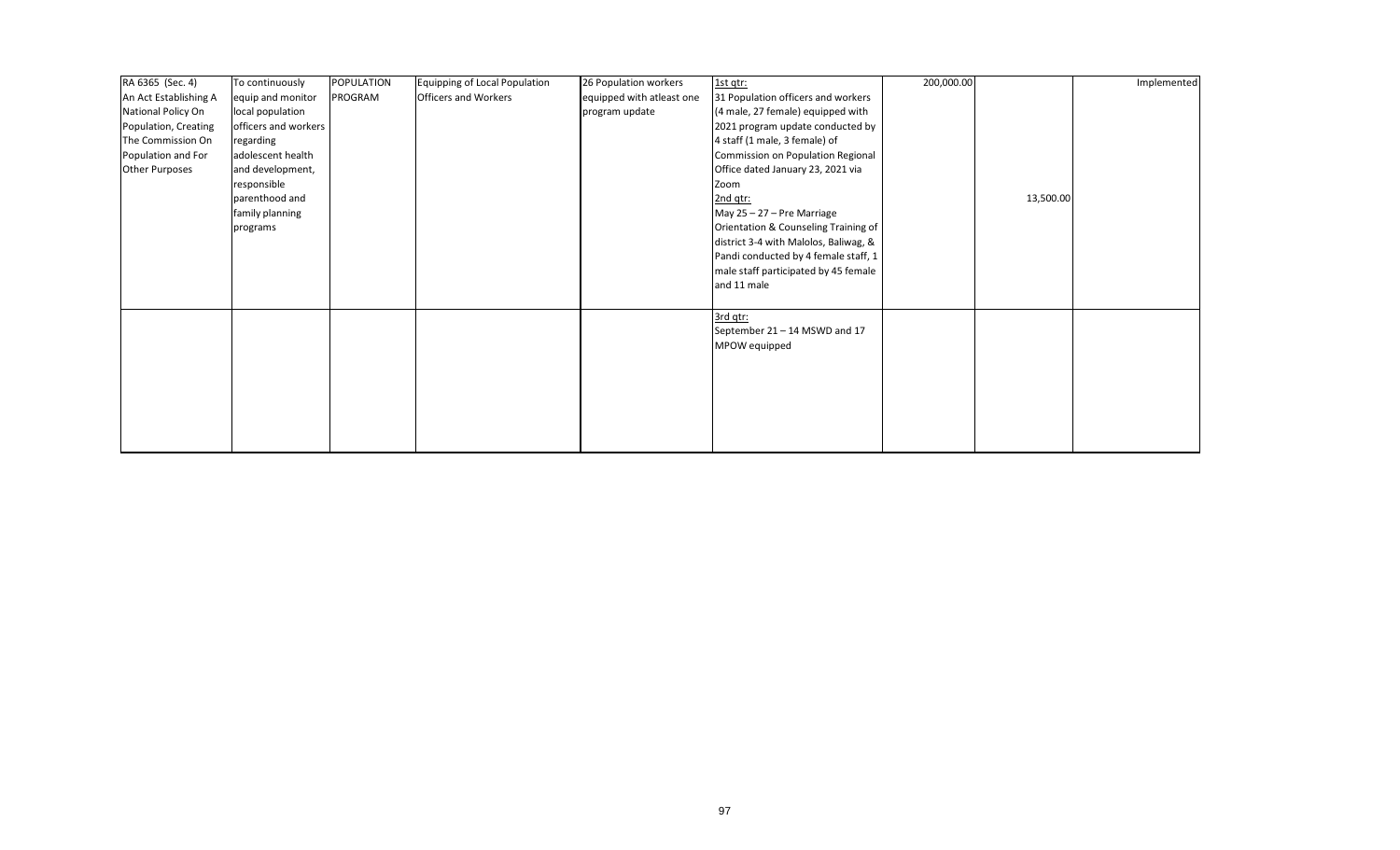| RA 6365 (Sec. 4)      | To continuously      | <b>POPULATION</b> | <b>Equipping of Local Population</b> | 26 Population workers     | 1st qtr:                              | 200,000.00 |           | Implemented |
|-----------------------|----------------------|-------------------|--------------------------------------|---------------------------|---------------------------------------|------------|-----------|-------------|
| An Act Establishing A | equip and monitor    | PROGRAM           | <b>Officers and Workers</b>          | equipped with atleast one | 31 Population officers and workers    |            |           |             |
| National Policy On    | local population     |                   |                                      | program update            | (4 male, 27 female) equipped with     |            |           |             |
| Population, Creating  | officers and workers |                   |                                      |                           | 2021 program update conducted by      |            |           |             |
| The Commission On     | regarding            |                   |                                      |                           | 4 staff (1 male, 3 female) of         |            |           |             |
| Population and For    | adolescent health    |                   |                                      |                           | Commission on Population Regional     |            |           |             |
| <b>Other Purposes</b> | and development,     |                   |                                      |                           | Office dated January 23, 2021 via     |            |           |             |
|                       | responsible          |                   |                                      |                           | Zoom                                  |            |           |             |
|                       | parenthood and       |                   |                                      |                           | 2nd qtr:                              |            | 13,500.00 |             |
|                       | family planning      |                   |                                      |                           | May 25 - 27 - Pre Marriage            |            |           |             |
|                       | programs             |                   |                                      |                           | Orientation & Counseling Training of  |            |           |             |
|                       |                      |                   |                                      |                           | district 3-4 with Malolos, Baliwag, & |            |           |             |
|                       |                      |                   |                                      |                           | Pandi conducted by 4 female staff, 1  |            |           |             |
|                       |                      |                   |                                      |                           | male staff participated by 45 female  |            |           |             |
|                       |                      |                   |                                      |                           | and 11 male                           |            |           |             |
|                       |                      |                   |                                      |                           |                                       |            |           |             |
|                       |                      |                   |                                      |                           | 3rd qtr:                              |            |           |             |
|                       |                      |                   |                                      |                           | September 21 - 14 MSWD and 17         |            |           |             |
|                       |                      |                   |                                      |                           | MPOW equipped                         |            |           |             |
|                       |                      |                   |                                      |                           |                                       |            |           |             |
|                       |                      |                   |                                      |                           |                                       |            |           |             |
|                       |                      |                   |                                      |                           |                                       |            |           |             |
|                       |                      |                   |                                      |                           |                                       |            |           |             |
|                       |                      |                   |                                      |                           |                                       |            |           |             |
|                       |                      |                   |                                      |                           |                                       |            |           |             |
|                       |                      |                   |                                      |                           |                                       |            |           |             |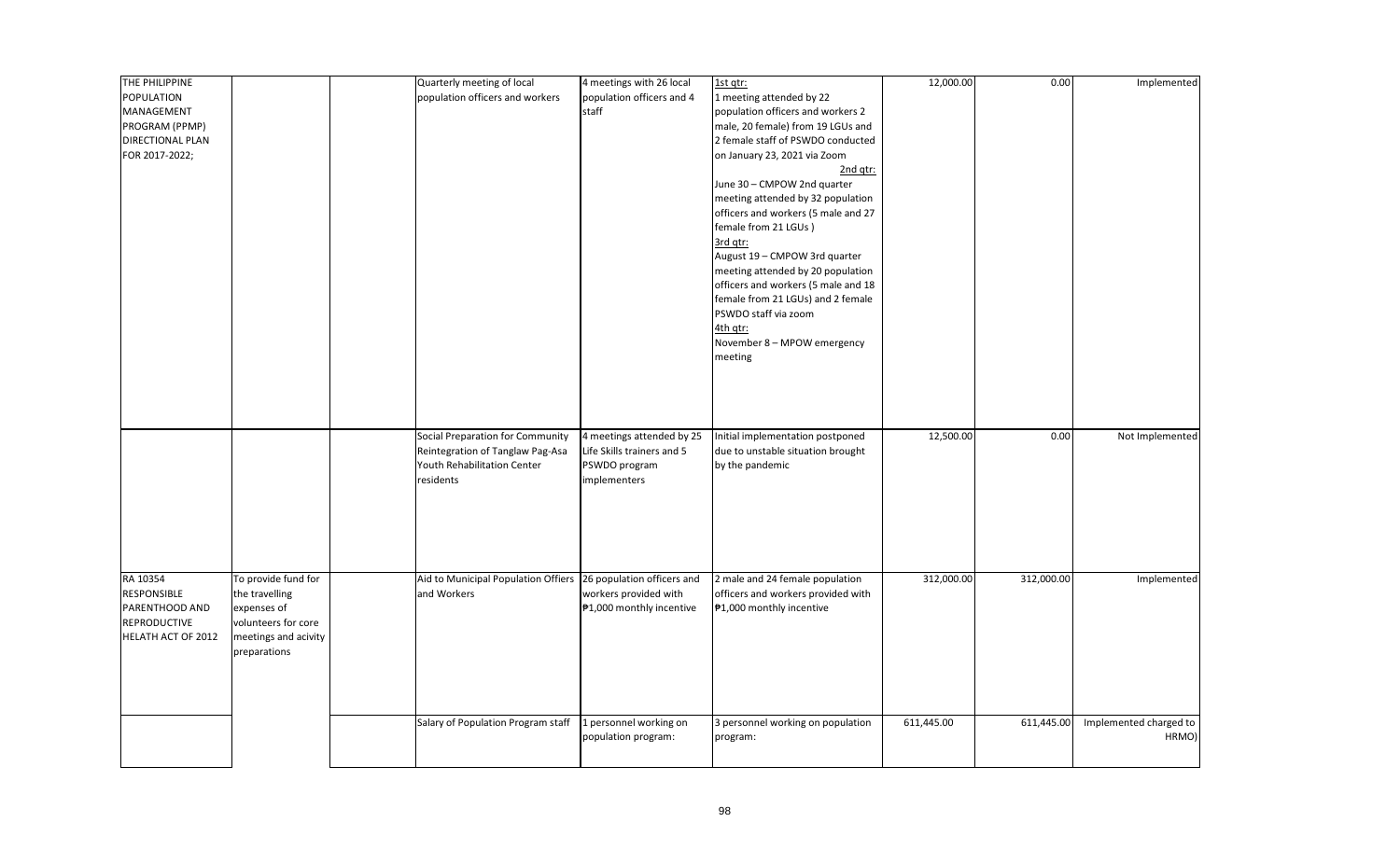| THE PHILIPPINE     |                      | Quarterly meeting of local                                     | 4 meetings with 26 local   | 1st qtr:                            | 12,000.00  | 0.00       | Implemented            |
|--------------------|----------------------|----------------------------------------------------------------|----------------------------|-------------------------------------|------------|------------|------------------------|
| <b>POPULATION</b>  |                      | population officers and workers                                | population officers and 4  | 1 meeting attended by 22            |            |            |                        |
| MANAGEMENT         |                      |                                                                | staff                      | population officers and workers 2   |            |            |                        |
| PROGRAM (PPMP)     |                      |                                                                |                            | male, 20 female) from 19 LGUs and   |            |            |                        |
| DIRECTIONAL PLAN   |                      |                                                                |                            | 2 female staff of PSWDO conducted   |            |            |                        |
| FOR 2017-2022;     |                      |                                                                |                            | on January 23, 2021 via Zoom        |            |            |                        |
|                    |                      |                                                                |                            | 2nd gtr:                            |            |            |                        |
|                    |                      |                                                                |                            | June 30 - CMPOW 2nd quarter         |            |            |                        |
|                    |                      |                                                                |                            | meeting attended by 32 population   |            |            |                        |
|                    |                      |                                                                |                            |                                     |            |            |                        |
|                    |                      |                                                                |                            | officers and workers (5 male and 27 |            |            |                        |
|                    |                      |                                                                |                            | female from 21 LGUs)                |            |            |                        |
|                    |                      |                                                                |                            | 3rd qtr:                            |            |            |                        |
|                    |                      |                                                                |                            | August 19 - CMPOW 3rd quarter       |            |            |                        |
|                    |                      |                                                                |                            | meeting attended by 20 population   |            |            |                        |
|                    |                      |                                                                |                            | officers and workers (5 male and 18 |            |            |                        |
|                    |                      |                                                                |                            | female from 21 LGUs) and 2 female   |            |            |                        |
|                    |                      |                                                                |                            | PSWDO staff via zoom                |            |            |                        |
|                    |                      |                                                                |                            | 4th qtr:                            |            |            |                        |
|                    |                      |                                                                |                            | November 8 - MPOW emergency         |            |            |                        |
|                    |                      |                                                                |                            | meeting                             |            |            |                        |
|                    |                      |                                                                |                            |                                     |            |            |                        |
|                    |                      |                                                                |                            |                                     |            |            |                        |
|                    |                      |                                                                |                            |                                     |            |            |                        |
|                    |                      |                                                                |                            |                                     |            |            |                        |
|                    |                      | Social Preparation for Community                               | 4 meetings attended by 25  | Initial implementation postponed    | 12,500.00  | 0.00       | Not Implemented        |
|                    |                      |                                                                | Life Skills trainers and 5 |                                     |            |            |                        |
|                    |                      | Reintegration of Tanglaw Pag-Asa                               |                            | due to unstable situation brought   |            |            |                        |
|                    |                      | Youth Rehabilitation Center                                    | PSWDO program              | by the pandemic                     |            |            |                        |
|                    |                      | residents                                                      | implementers               |                                     |            |            |                        |
|                    |                      |                                                                |                            |                                     |            |            |                        |
|                    |                      |                                                                |                            |                                     |            |            |                        |
|                    |                      |                                                                |                            |                                     |            |            |                        |
|                    |                      |                                                                |                            |                                     |            |            |                        |
|                    |                      |                                                                |                            |                                     |            |            |                        |
|                    |                      |                                                                |                            |                                     |            |            |                        |
| RA 10354           | To provide fund for  | Aid to Municipal Population Offiers 26 population officers and |                            | 2 male and 24 female population     | 312,000.00 | 312,000.00 | Implemented            |
| RESPONSIBLE        | the travelling       | and Workers                                                    | workers provided with      | officers and workers provided with  |            |            |                        |
| PARENTHOOD AND     | expenses of          |                                                                | ₱1,000 monthly incentive   | ₱1,000 monthly incentive            |            |            |                        |
| REPRODUCTIVE       | volunteers for core  |                                                                |                            |                                     |            |            |                        |
| HELATH ACT OF 2012 | meetings and acivity |                                                                |                            |                                     |            |            |                        |
|                    | preparations         |                                                                |                            |                                     |            |            |                        |
|                    |                      |                                                                |                            |                                     |            |            |                        |
|                    |                      |                                                                |                            |                                     |            |            |                        |
|                    |                      |                                                                |                            |                                     |            |            |                        |
|                    |                      |                                                                |                            |                                     |            |            |                        |
|                    |                      | Salary of Population Program staff                             | 1 personnel working on     | 3 personnel working on population   | 611,445.00 | 611,445.00 | Implemented charged to |
|                    |                      |                                                                | population program:        | program:                            |            |            | HRMO)                  |
|                    |                      |                                                                |                            |                                     |            |            |                        |
|                    |                      |                                                                |                            |                                     |            |            |                        |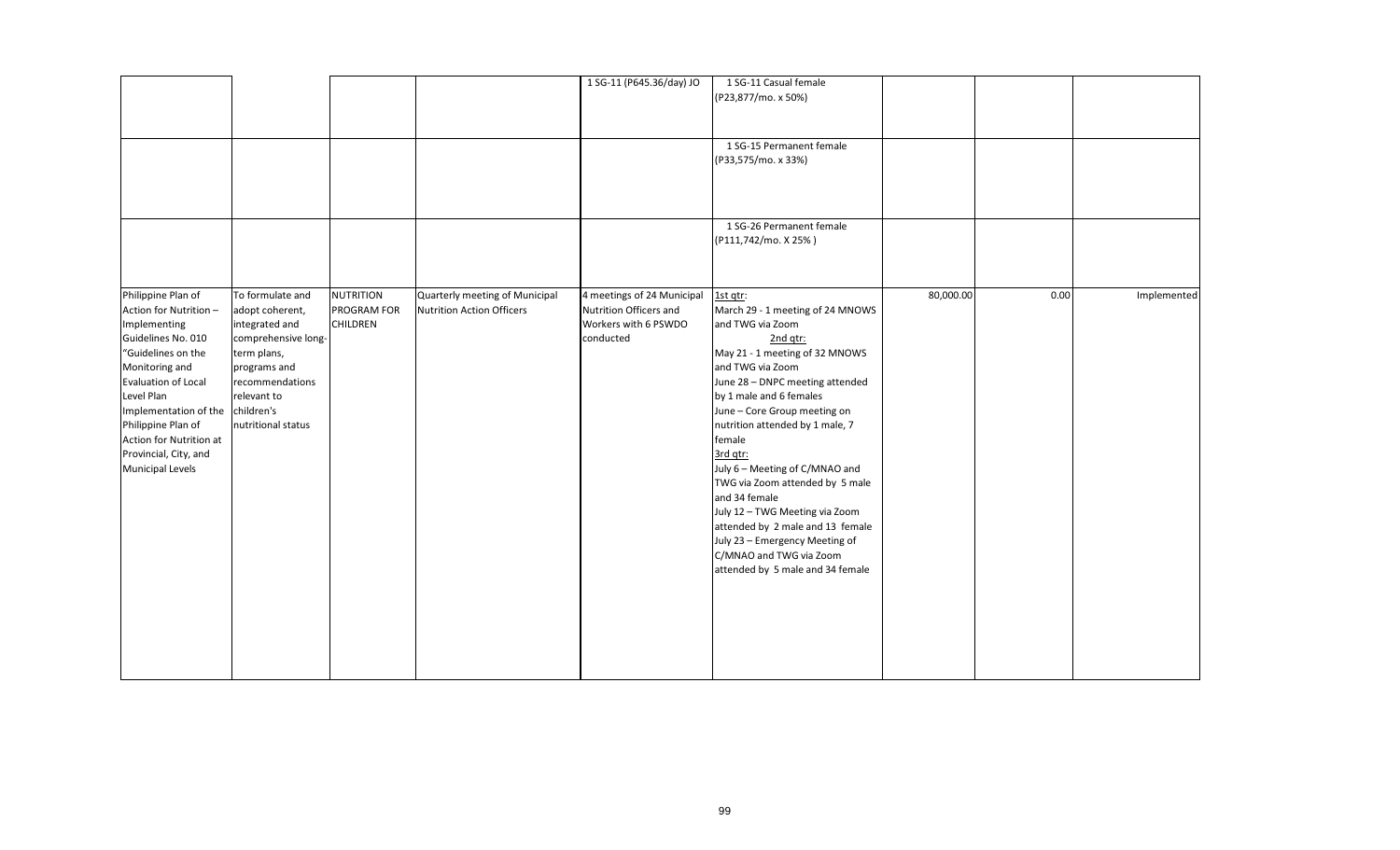|                                                                                                                                                                                                                                                                                                          |                                                                                                                                                                     |                                                    |                                                             | 1 SG-11 (P645.36/day) JO                                                                  | 1 SG-11 Casual female<br>(P23,877/mo. x 50%)<br>1 SG-15 Permanent female<br>(P33,575/mo. x 33%)                                                                                                                                                                                                                                                                                                                                                                                                                                                        |           |      |             |
|----------------------------------------------------------------------------------------------------------------------------------------------------------------------------------------------------------------------------------------------------------------------------------------------------------|---------------------------------------------------------------------------------------------------------------------------------------------------------------------|----------------------------------------------------|-------------------------------------------------------------|-------------------------------------------------------------------------------------------|--------------------------------------------------------------------------------------------------------------------------------------------------------------------------------------------------------------------------------------------------------------------------------------------------------------------------------------------------------------------------------------------------------------------------------------------------------------------------------------------------------------------------------------------------------|-----------|------|-------------|
|                                                                                                                                                                                                                                                                                                          |                                                                                                                                                                     |                                                    |                                                             |                                                                                           | 1 SG-26 Permanent female<br>(P111,742/mo. X 25%)                                                                                                                                                                                                                                                                                                                                                                                                                                                                                                       |           |      |             |
| Philippine Plan of<br>Action for Nutrition -<br>Implementing<br>Guidelines No. 010<br>"Guidelines on the<br>Monitoring and<br>Evaluation of Local<br>Level Plan<br>Implementation of the children's<br>Philippine Plan of<br>Action for Nutrition at<br>Provincial, City, and<br><b>Municipal Levels</b> | To formulate and<br>adopt coherent,<br>integrated and<br>comprehensive long-<br>term plans,<br>programs and<br>recommendations<br>relevant to<br>nutritional status | <b>NUTRITION</b><br>PROGRAM FOR<br><b>CHILDREN</b> | Quarterly meeting of Municipal<br>Nutrition Action Officers | 4 meetings of 24 Municipal<br>Nutrition Officers and<br>Workers with 6 PSWDO<br>conducted | 1st qtr:<br>March 29 - 1 meeting of 24 MNOWS<br>and TWG via Zoom<br>2nd qtr:<br>May 21 - 1 meeting of 32 MNOWS<br>and TWG via Zoom<br>June 28 - DNPC meeting attended<br>by 1 male and 6 females<br>June - Core Group meeting on<br>nutrition attended by 1 male, 7<br>female<br>3rd qtr:<br>July 6 - Meeting of C/MNAO and<br>TWG via Zoom attended by 5 male<br>and 34 female<br>July 12 - TWG Meeting via Zoom<br>attended by 2 male and 13 female<br>July 23 - Emergency Meeting of<br>C/MNAO and TWG via Zoom<br>attended by 5 male and 34 female | 80,000.00 | 0.00 | Implemented |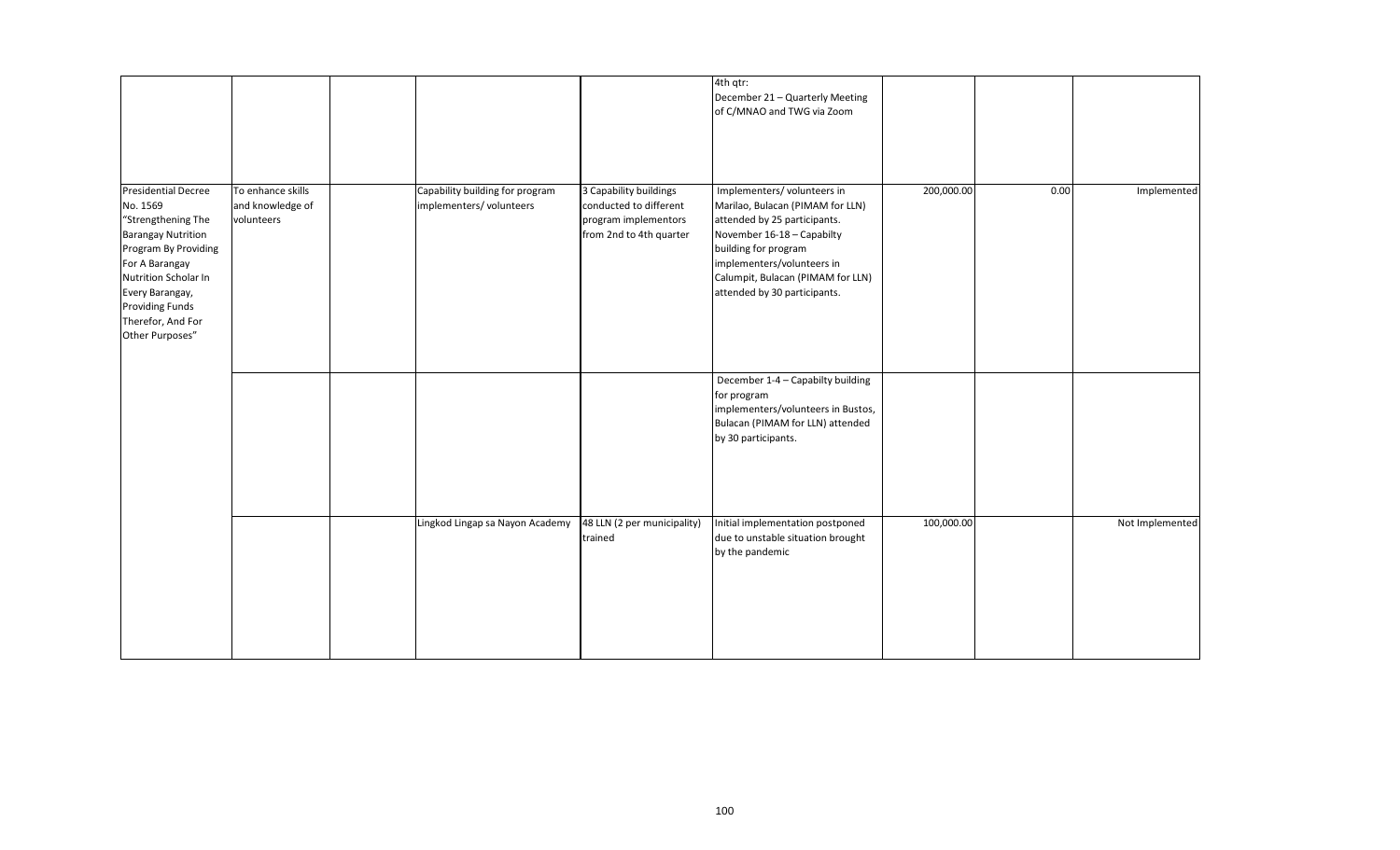|                                                                                                                                                                                                                                                  |                                                     |                                                            |                                                                                                     | 4th qtr:<br>December 21 - Quarterly Meeting<br>of C/MNAO and TWG via Zoom                                                                                                                                                                               |            |      |                 |
|--------------------------------------------------------------------------------------------------------------------------------------------------------------------------------------------------------------------------------------------------|-----------------------------------------------------|------------------------------------------------------------|-----------------------------------------------------------------------------------------------------|---------------------------------------------------------------------------------------------------------------------------------------------------------------------------------------------------------------------------------------------------------|------------|------|-----------------|
| <b>Presidential Decree</b><br>No. 1569<br>"Strengthening The<br><b>Barangay Nutrition</b><br>Program By Providing<br>For A Barangay<br>Nutrition Scholar In<br>Every Barangay,<br><b>Providing Funds</b><br>Therefor, And For<br>Other Purposes" | To enhance skills<br>and knowledge of<br>volunteers | Capability building for program<br>implementers/volunteers | 3 Capability buildings<br>conducted to different<br>program implementors<br>from 2nd to 4th quarter | Implementers/volunteers in<br>Marilao, Bulacan (PIMAM for LLN)<br>attended by 25 participants.<br>November 16-18 - Capabilty<br>building for program<br>implementers/volunteers in<br>Calumpit, Bulacan (PIMAM for LLN)<br>attended by 30 participants. | 200,000.00 | 0.00 | Implemented     |
|                                                                                                                                                                                                                                                  |                                                     |                                                            |                                                                                                     | December 1-4 - Capabilty building<br>for program<br>implementers/volunteers in Bustos,<br>Bulacan (PIMAM for LLN) attended<br>by 30 participants.                                                                                                       |            |      |                 |
|                                                                                                                                                                                                                                                  |                                                     | Lingkod Lingap sa Nayon Academy                            | 48 LLN (2 per municipality)<br>trained                                                              | Initial implementation postponed<br>due to unstable situation brought<br>by the pandemic                                                                                                                                                                | 100,000.00 |      | Not Implemented |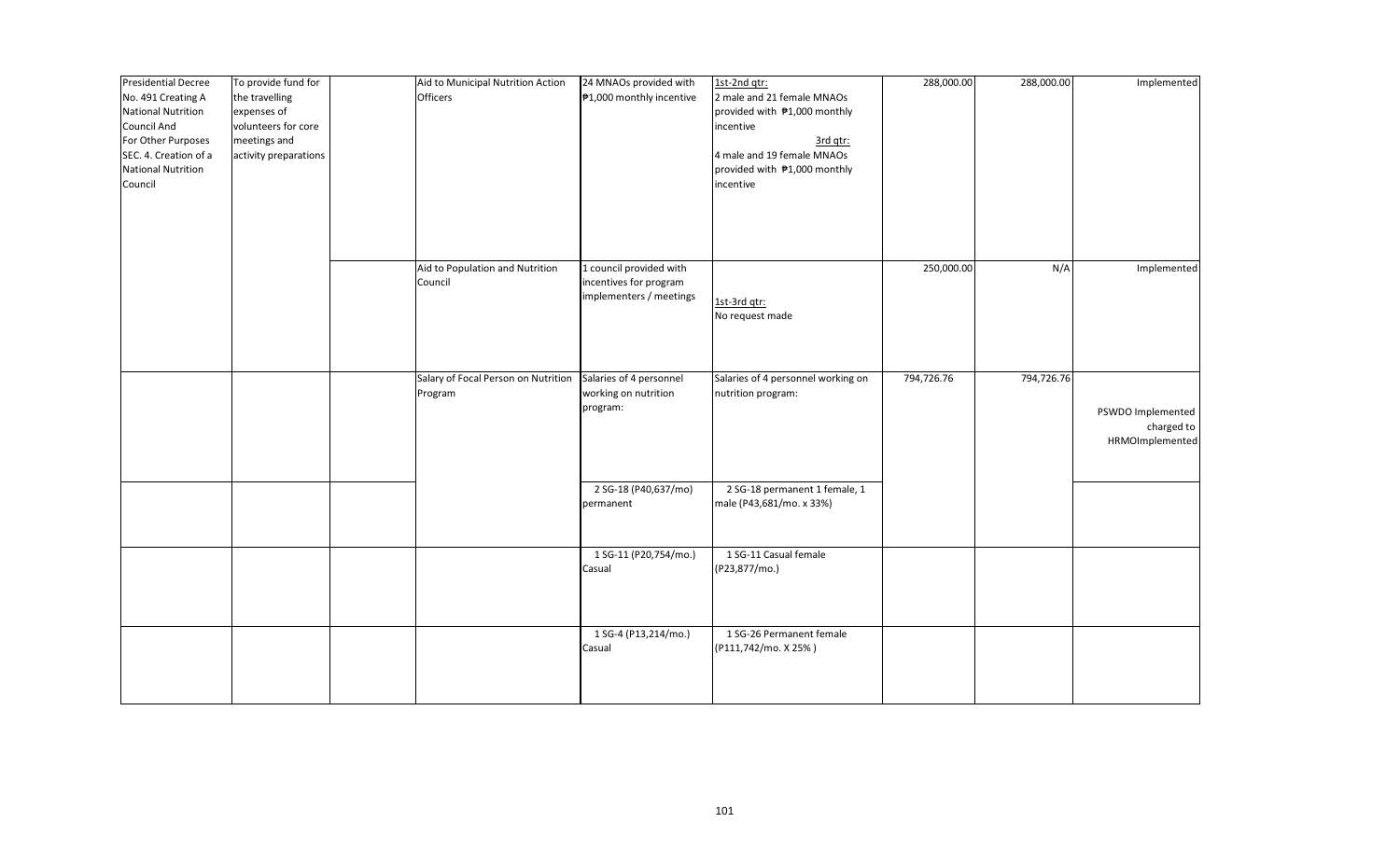| <b>Presidential Decree</b><br>No. 491 Creating A<br><b>National Nutrition</b><br><b>Council And</b><br>For Other Purposes<br>SEC. 4. Creation of a<br><b>National Nutrition</b><br>Council | To provide fund for<br>the travelling<br>expenses of<br>volunteers for core<br>meetings and<br>activity preparations | Aid to Municipal Nutrition Action<br><b>Officers</b> | 24 MNAOs provided with<br>₱1,000 monthly incentive                           | 1st-2nd qtr:<br>2 male and 21 female MNAOs<br>provided with #1,000 monthly<br>incentive<br>3rd qtr:<br>4 male and 19 female MNAOs<br>provided with #1,000 monthly<br>incentive | 288,000.00 | 288,000.00 | Implemented                                        |
|--------------------------------------------------------------------------------------------------------------------------------------------------------------------------------------------|----------------------------------------------------------------------------------------------------------------------|------------------------------------------------------|------------------------------------------------------------------------------|--------------------------------------------------------------------------------------------------------------------------------------------------------------------------------|------------|------------|----------------------------------------------------|
|                                                                                                                                                                                            |                                                                                                                      | Aid to Population and Nutrition<br>Council           | 1 council provided with<br>incentives for program<br>implementers / meetings | 1st-3rd qtr:                                                                                                                                                                   | 250,000.00 | N/A        | Implemented                                        |
|                                                                                                                                                                                            |                                                                                                                      | Salary of Focal Person on Nutrition<br>Program       | Salaries of 4 personnel<br>working on nutrition                              | No request made<br>Salaries of 4 personnel working on<br>nutrition program:                                                                                                    | 794,726.76 | 794,726.76 |                                                    |
|                                                                                                                                                                                            |                                                                                                                      |                                                      | program:<br>2 SG-18 (P40,637/mo)                                             | 2 SG-18 permanent 1 female, 1                                                                                                                                                  |            |            | PSWDO Implemented<br>charged to<br>HRMOImplemented |
|                                                                                                                                                                                            |                                                                                                                      |                                                      | permanent<br>1 SG-11 (P20,754/mo.)<br>Casual                                 | male (P43,681/mo. x 33%)<br>1 SG-11 Casual female<br>(P23,877/mo.)                                                                                                             |            |            |                                                    |
|                                                                                                                                                                                            |                                                                                                                      |                                                      | 1 SG-4 (P13,214/mo.)<br>Casual                                               | 1 SG-26 Permanent female<br>(P111,742/mo. X 25%)                                                                                                                               |            |            |                                                    |
|                                                                                                                                                                                            |                                                                                                                      |                                                      |                                                                              |                                                                                                                                                                                |            |            |                                                    |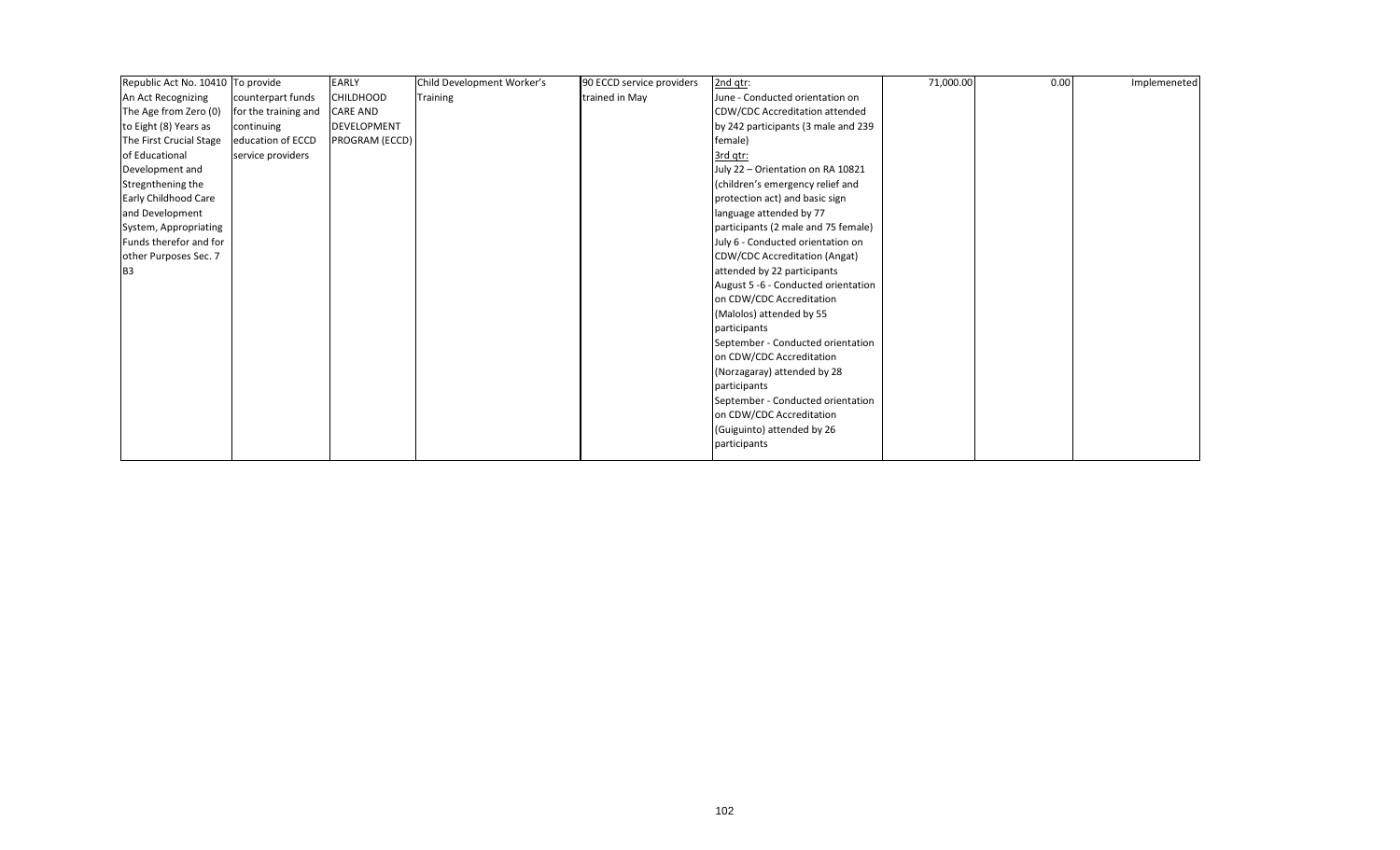| Republic Act No. 10410 To provide |                      | <b>EARLY</b>     | Child Development Worker's | 90 ECCD service providers | 2nd qtr:                            | 71,000.00 | 0.00 | Implemeneted |
|-----------------------------------|----------------------|------------------|----------------------------|---------------------------|-------------------------------------|-----------|------|--------------|
| An Act Recognizing                | counterpart funds    | <b>CHILDHOOD</b> | <b>Training</b>            | trained in May            | June - Conducted orientation on     |           |      |              |
| The Age from Zero (0)             | for the training and | <b>CARE AND</b>  |                            |                           | CDW/CDC Accreditation attended      |           |      |              |
| to Eight (8) Years as             | continuing           | DEVELOPMENT      |                            |                           | by 242 participants (3 male and 239 |           |      |              |
| The First Crucial Stage           | education of ECCD    | PROGRAM (ECCD)   |                            |                           | female)                             |           |      |              |
| of Educational                    | service providers    |                  |                            |                           | 3rd gtr:                            |           |      |              |
| Development and                   |                      |                  |                            |                           | July 22 - Orientation on RA 10821   |           |      |              |
| Stregnthening the                 |                      |                  |                            |                           | (children's emergency relief and    |           |      |              |
| Early Childhood Care              |                      |                  |                            |                           | protection act) and basic sign      |           |      |              |
| and Development                   |                      |                  |                            |                           | language attended by 77             |           |      |              |
| System, Appropriating             |                      |                  |                            |                           | participants (2 male and 75 female) |           |      |              |
| Funds therefor and for            |                      |                  |                            |                           | July 6 - Conducted orientation on   |           |      |              |
| other Purposes Sec. 7             |                      |                  |                            |                           | CDW/CDC Accreditation (Angat)       |           |      |              |
| B <sub>3</sub>                    |                      |                  |                            |                           | attended by 22 participants         |           |      |              |
|                                   |                      |                  |                            |                           | August 5 -6 - Conducted orientation |           |      |              |
|                                   |                      |                  |                            |                           | on CDW/CDC Accreditation            |           |      |              |
|                                   |                      |                  |                            |                           | (Malolos) attended by 55            |           |      |              |
|                                   |                      |                  |                            |                           | participants                        |           |      |              |
|                                   |                      |                  |                            |                           | September - Conducted orientation   |           |      |              |
|                                   |                      |                  |                            |                           | on CDW/CDC Accreditation            |           |      |              |
|                                   |                      |                  |                            |                           | (Norzagaray) attended by 28         |           |      |              |
|                                   |                      |                  |                            |                           | participants                        |           |      |              |
|                                   |                      |                  |                            |                           | September - Conducted orientation   |           |      |              |
|                                   |                      |                  |                            |                           | on CDW/CDC Accreditation            |           |      |              |
|                                   |                      |                  |                            |                           | (Guiguinto) attended by 26          |           |      |              |
|                                   |                      |                  |                            |                           | participants                        |           |      |              |
|                                   |                      |                  |                            |                           |                                     |           |      |              |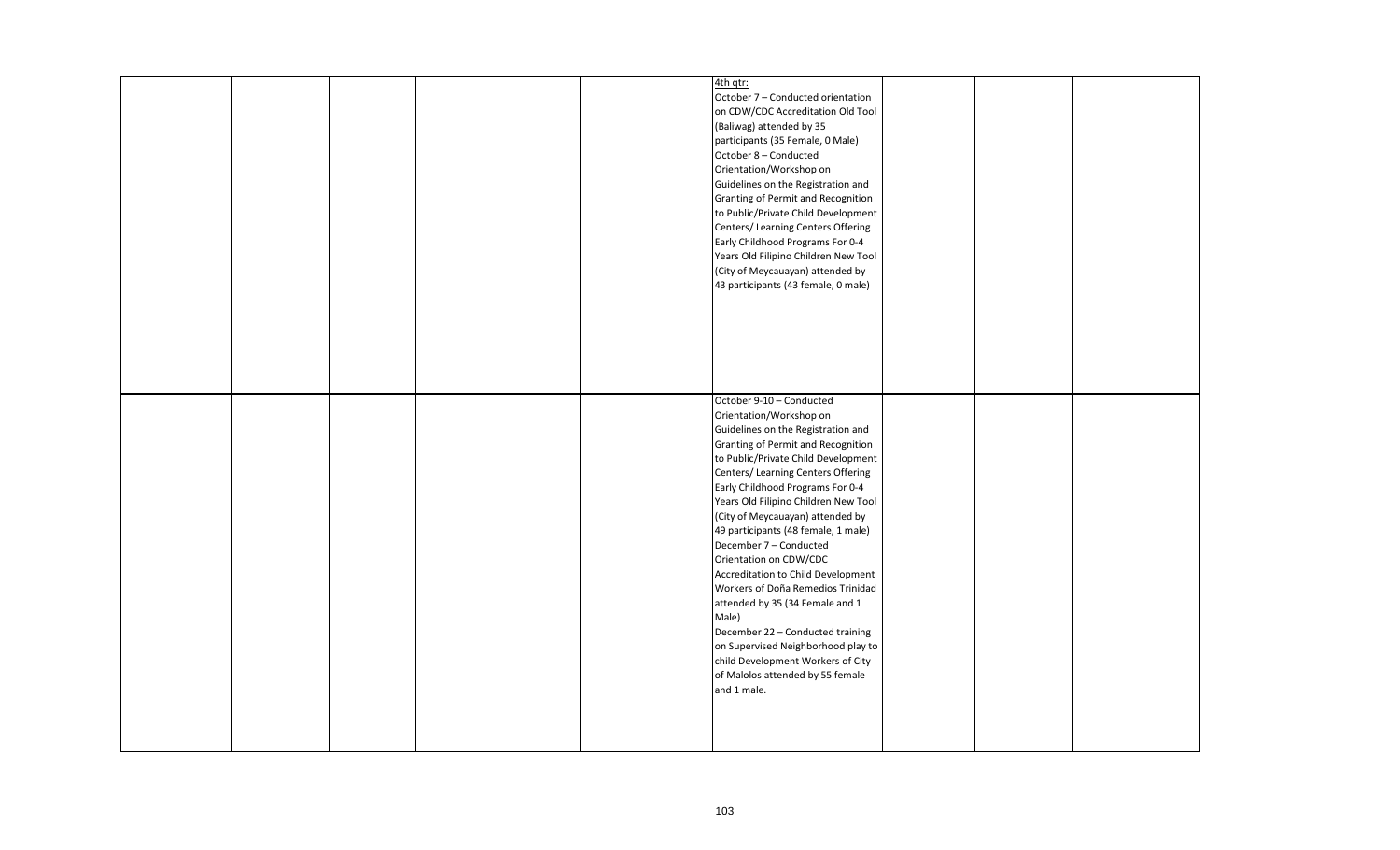|  |  | 4th qtr:                             |  |  |
|--|--|--------------------------------------|--|--|
|  |  | October 7 - Conducted orientation    |  |  |
|  |  | on CDW/CDC Accreditation Old Tool    |  |  |
|  |  | (Baliwag) attended by 35             |  |  |
|  |  | participants (35 Female, 0 Male)     |  |  |
|  |  | October 8 - Conducted                |  |  |
|  |  | Orientation/Workshop on              |  |  |
|  |  |                                      |  |  |
|  |  | Guidelines on the Registration and   |  |  |
|  |  | Granting of Permit and Recognition   |  |  |
|  |  | to Public/Private Child Development  |  |  |
|  |  | Centers/ Learning Centers Offering   |  |  |
|  |  | Early Childhood Programs For 0-4     |  |  |
|  |  | Years Old Filipino Children New Tool |  |  |
|  |  |                                      |  |  |
|  |  | (City of Meycauayan) attended by     |  |  |
|  |  | 43 participants (43 female, 0 male)  |  |  |
|  |  |                                      |  |  |
|  |  |                                      |  |  |
|  |  |                                      |  |  |
|  |  |                                      |  |  |
|  |  |                                      |  |  |
|  |  |                                      |  |  |
|  |  |                                      |  |  |
|  |  |                                      |  |  |
|  |  | October 9-10 - Conducted             |  |  |
|  |  | Orientation/Workshop on              |  |  |
|  |  | Guidelines on the Registration and   |  |  |
|  |  | Granting of Permit and Recognition   |  |  |
|  |  |                                      |  |  |
|  |  | to Public/Private Child Development  |  |  |
|  |  | Centers/ Learning Centers Offering   |  |  |
|  |  | Early Childhood Programs For 0-4     |  |  |
|  |  | Years Old Filipino Children New Tool |  |  |
|  |  | (City of Meycauayan) attended by     |  |  |
|  |  | 49 participants (48 female, 1 male)  |  |  |
|  |  | December 7 - Conducted               |  |  |
|  |  |                                      |  |  |
|  |  | Orientation on CDW/CDC               |  |  |
|  |  | Accreditation to Child Development   |  |  |
|  |  | Workers of Doña Remedios Trinidad    |  |  |
|  |  | attended by 35 (34 Female and 1      |  |  |
|  |  | Male)                                |  |  |
|  |  | December 22 - Conducted training     |  |  |
|  |  | on Supervised Neighborhood play to   |  |  |
|  |  |                                      |  |  |
|  |  | child Development Workers of City    |  |  |
|  |  | of Malolos attended by 55 female     |  |  |
|  |  | and 1 male.                          |  |  |
|  |  |                                      |  |  |
|  |  |                                      |  |  |
|  |  |                                      |  |  |
|  |  |                                      |  |  |
|  |  |                                      |  |  |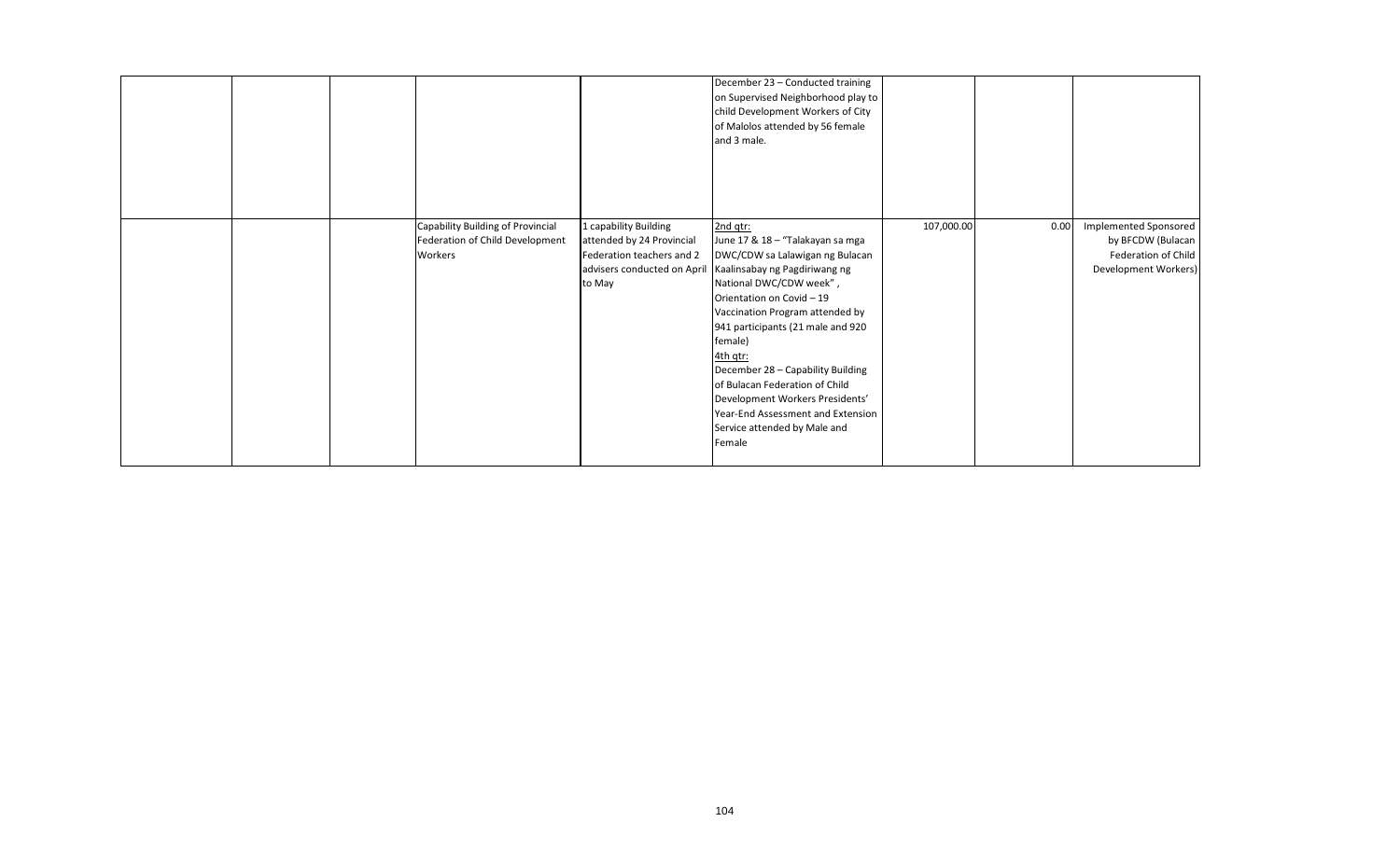|  |                                                                                 |                                                                                           | December 23 - Conducted training<br>on Supervised Neighborhood play to<br>child Development Workers of City<br>of Malolos attended by 56 female<br>and 3 male.                                                                                                                                                                                                                                                                                                                               |            |      |                                                                                                  |
|--|---------------------------------------------------------------------------------|-------------------------------------------------------------------------------------------|----------------------------------------------------------------------------------------------------------------------------------------------------------------------------------------------------------------------------------------------------------------------------------------------------------------------------------------------------------------------------------------------------------------------------------------------------------------------------------------------|------------|------|--------------------------------------------------------------------------------------------------|
|  | Capability Building of Provincial<br>Federation of Child Development<br>Workers | 1 capability Building<br>attended by 24 Provincial<br>Federation teachers and 2<br>to May | 2nd gtr:<br>June 17 & 18 - "Talakayan sa mga<br>DWC/CDW sa Lalawigan ng Bulacan<br>advisers conducted on April Kaalinsabay ng Pagdiriwang ng<br>National DWC/CDW week",<br>Orientation on Covid - 19<br>Vaccination Program attended by<br>941 participants (21 male and 920<br>female)<br>4th gtr:<br>December 28 - Capability Building<br>of Bulacan Federation of Child<br>Development Workers Presidents'<br>Year-End Assessment and Extension<br>Service attended by Male and<br>Female | 107,000.00 | 0.00 | <b>Implemented Sponsored</b><br>by BFCDW (Bulacan<br>Federation of Child<br>Development Workers) |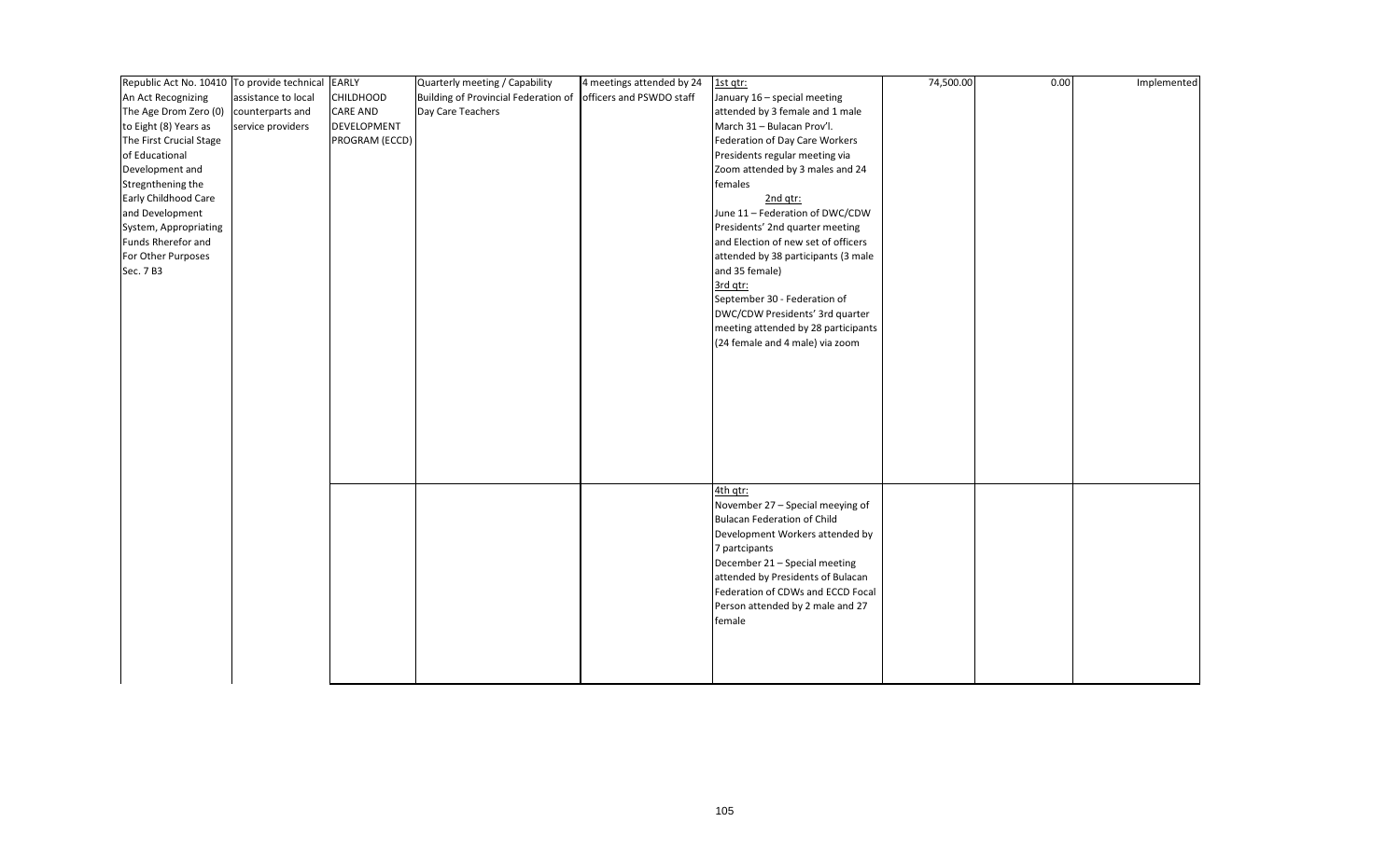| Republic Act No. 10410 To provide technical |                     | <b>EARLY</b>     | Quarterly meeting / Capability                                | 4 meetings attended by 24 | 1st qtr:                            | 74,500.00 | 0.00 | Implemented |
|---------------------------------------------|---------------------|------------------|---------------------------------------------------------------|---------------------------|-------------------------------------|-----------|------|-------------|
| An Act Recognizing                          | assistance to local | <b>CHILDHOOD</b> | Building of Provincial Federation of officers and PSWDO staff |                           | January 16 - special meeting        |           |      |             |
| The Age Drom Zero (0)                       | counterparts and    | <b>CARE AND</b>  | Day Care Teachers                                             |                           | attended by 3 female and 1 male     |           |      |             |
| to Eight (8) Years as                       | service providers   | DEVELOPMENT      |                                                               |                           | March 31 - Bulacan Prov'l.          |           |      |             |
| The First Crucial Stage                     |                     | PROGRAM (ECCD)   |                                                               |                           | Federation of Day Care Workers      |           |      |             |
| of Educational                              |                     |                  |                                                               |                           | Presidents regular meeting via      |           |      |             |
| Development and                             |                     |                  |                                                               |                           | Zoom attended by 3 males and 24     |           |      |             |
| Stregnthening the                           |                     |                  |                                                               |                           | females                             |           |      |             |
| Early Childhood Care                        |                     |                  |                                                               |                           | 2nd qtr:                            |           |      |             |
| and Development                             |                     |                  |                                                               |                           | June 11 - Federation of DWC/CDW     |           |      |             |
| System, Appropriating                       |                     |                  |                                                               |                           | Presidents' 2nd quarter meeting     |           |      |             |
| Funds Rherefor and                          |                     |                  |                                                               |                           | and Election of new set of officers |           |      |             |
| For Other Purposes                          |                     |                  |                                                               |                           | attended by 38 participants (3 male |           |      |             |
| Sec. 7 B3                                   |                     |                  |                                                               |                           | and 35 female)                      |           |      |             |
|                                             |                     |                  |                                                               |                           | 3rd qtr:                            |           |      |             |
|                                             |                     |                  |                                                               |                           | September 30 - Federation of        |           |      |             |
|                                             |                     |                  |                                                               |                           | DWC/CDW Presidents' 3rd quarter     |           |      |             |
|                                             |                     |                  |                                                               |                           | meeting attended by 28 participants |           |      |             |
|                                             |                     |                  |                                                               |                           | (24 female and 4 male) via zoom     |           |      |             |
|                                             |                     |                  |                                                               |                           |                                     |           |      |             |
|                                             |                     |                  |                                                               |                           |                                     |           |      |             |
|                                             |                     |                  |                                                               |                           |                                     |           |      |             |
|                                             |                     |                  |                                                               |                           |                                     |           |      |             |
|                                             |                     |                  |                                                               |                           |                                     |           |      |             |
|                                             |                     |                  |                                                               |                           |                                     |           |      |             |
|                                             |                     |                  |                                                               |                           |                                     |           |      |             |
|                                             |                     |                  |                                                               |                           |                                     |           |      |             |
|                                             |                     |                  |                                                               |                           |                                     |           |      |             |
|                                             |                     |                  |                                                               |                           | 4th qtr:                            |           |      |             |
|                                             |                     |                  |                                                               |                           | November 27 - Special meeying of    |           |      |             |
|                                             |                     |                  |                                                               |                           | <b>Bulacan Federation of Child</b>  |           |      |             |
|                                             |                     |                  |                                                               |                           | Development Workers attended by     |           |      |             |
|                                             |                     |                  |                                                               |                           | 7 partcipants                       |           |      |             |
|                                             |                     |                  |                                                               |                           | December 21 - Special meeting       |           |      |             |
|                                             |                     |                  |                                                               |                           | attended by Presidents of Bulacan   |           |      |             |
|                                             |                     |                  |                                                               |                           | Federation of CDWs and ECCD Focal   |           |      |             |
|                                             |                     |                  |                                                               |                           | Person attended by 2 male and 27    |           |      |             |
|                                             |                     |                  |                                                               |                           | female                              |           |      |             |
|                                             |                     |                  |                                                               |                           |                                     |           |      |             |
|                                             |                     |                  |                                                               |                           |                                     |           |      |             |
|                                             |                     |                  |                                                               |                           |                                     |           |      |             |
|                                             |                     |                  |                                                               |                           |                                     |           |      |             |
|                                             |                     |                  |                                                               |                           |                                     |           |      |             |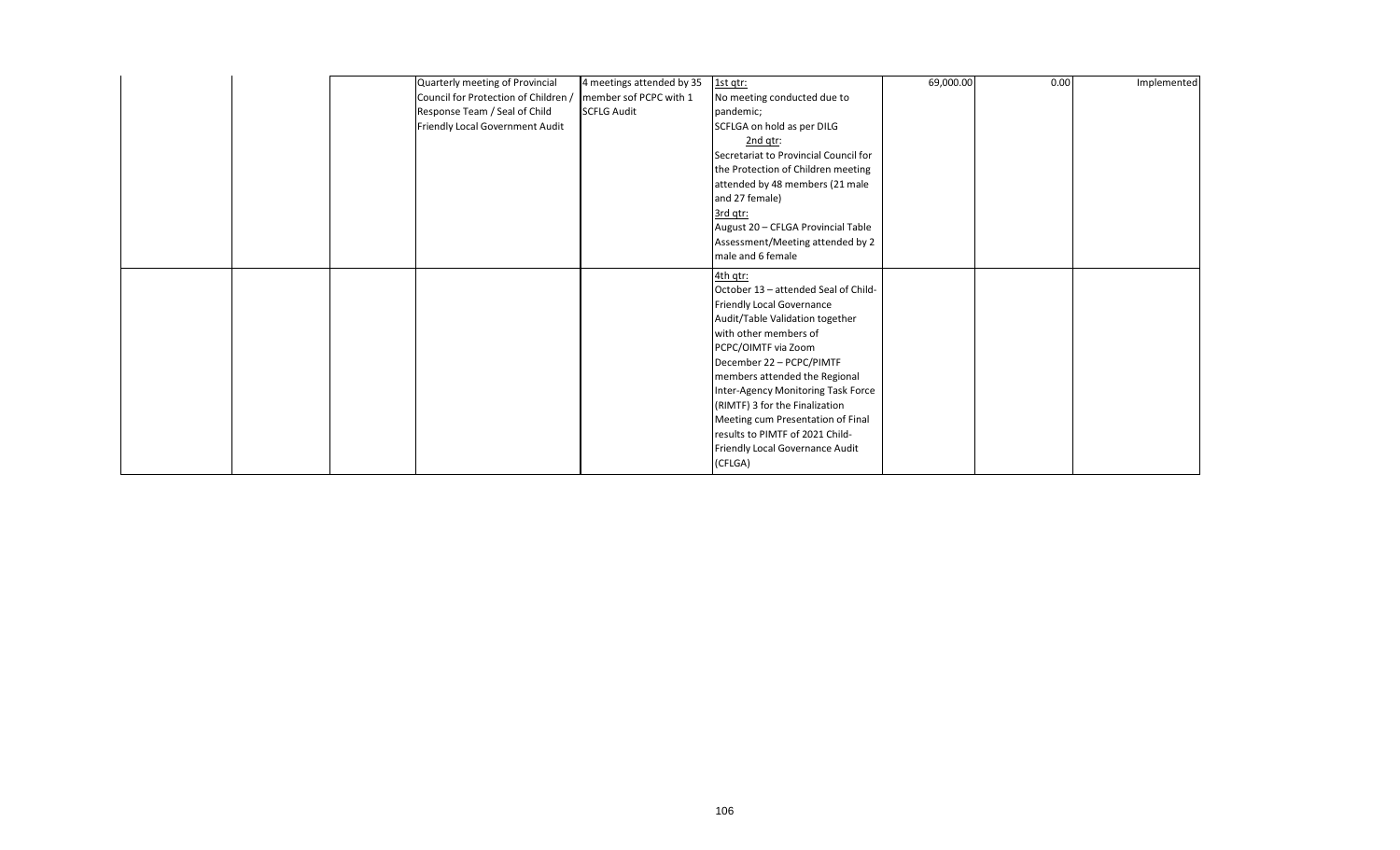| Quarterly meeting of Provincial      | 4 meetings attended by 35 | 1st gtr:                              | 69,000.00 | 0.00 | Implemented |
|--------------------------------------|---------------------------|---------------------------------------|-----------|------|-------------|
| Council for Protection of Children / | member sof PCPC with 1    | No meeting conducted due to           |           |      |             |
| Response Team / Seal of Child        | <b>SCFLG Audit</b>        | pandemic;                             |           |      |             |
| Friendly Local Government Audit      |                           | SCFLGA on hold as per DILG            |           |      |             |
|                                      |                           | $2nd$ qtr:                            |           |      |             |
|                                      |                           | Secretariat to Provincial Council for |           |      |             |
|                                      |                           | the Protection of Children meeting    |           |      |             |
|                                      |                           | attended by 48 members (21 male       |           |      |             |
|                                      |                           | and 27 female)                        |           |      |             |
|                                      |                           | 3rd gtr:                              |           |      |             |
|                                      |                           | August 20 - CFLGA Provincial Table    |           |      |             |
|                                      |                           | Assessment/Meeting attended by 2      |           |      |             |
|                                      |                           | male and 6 female                     |           |      |             |
|                                      |                           | 4th qtr:                              |           |      |             |
|                                      |                           | October 13 - attended Seal of Child-  |           |      |             |
|                                      |                           | <b>Friendly Local Governance</b>      |           |      |             |
|                                      |                           | Audit/Table Validation together       |           |      |             |
|                                      |                           | with other members of                 |           |      |             |
|                                      |                           | PCPC/OIMTF via Zoom                   |           |      |             |
|                                      |                           | December 22 - PCPC/PIMTF              |           |      |             |
|                                      |                           | members attended the Regional         |           |      |             |
|                                      |                           | Inter-Agency Monitoring Task Force    |           |      |             |
|                                      |                           | (RIMTF) 3 for the Finalization        |           |      |             |
|                                      |                           | Meeting cum Presentation of Final     |           |      |             |
|                                      |                           | results to PIMTF of 2021 Child-       |           |      |             |
|                                      |                           | Friendly Local Governance Audit       |           |      |             |
|                                      |                           | (CFLGA)                               |           |      |             |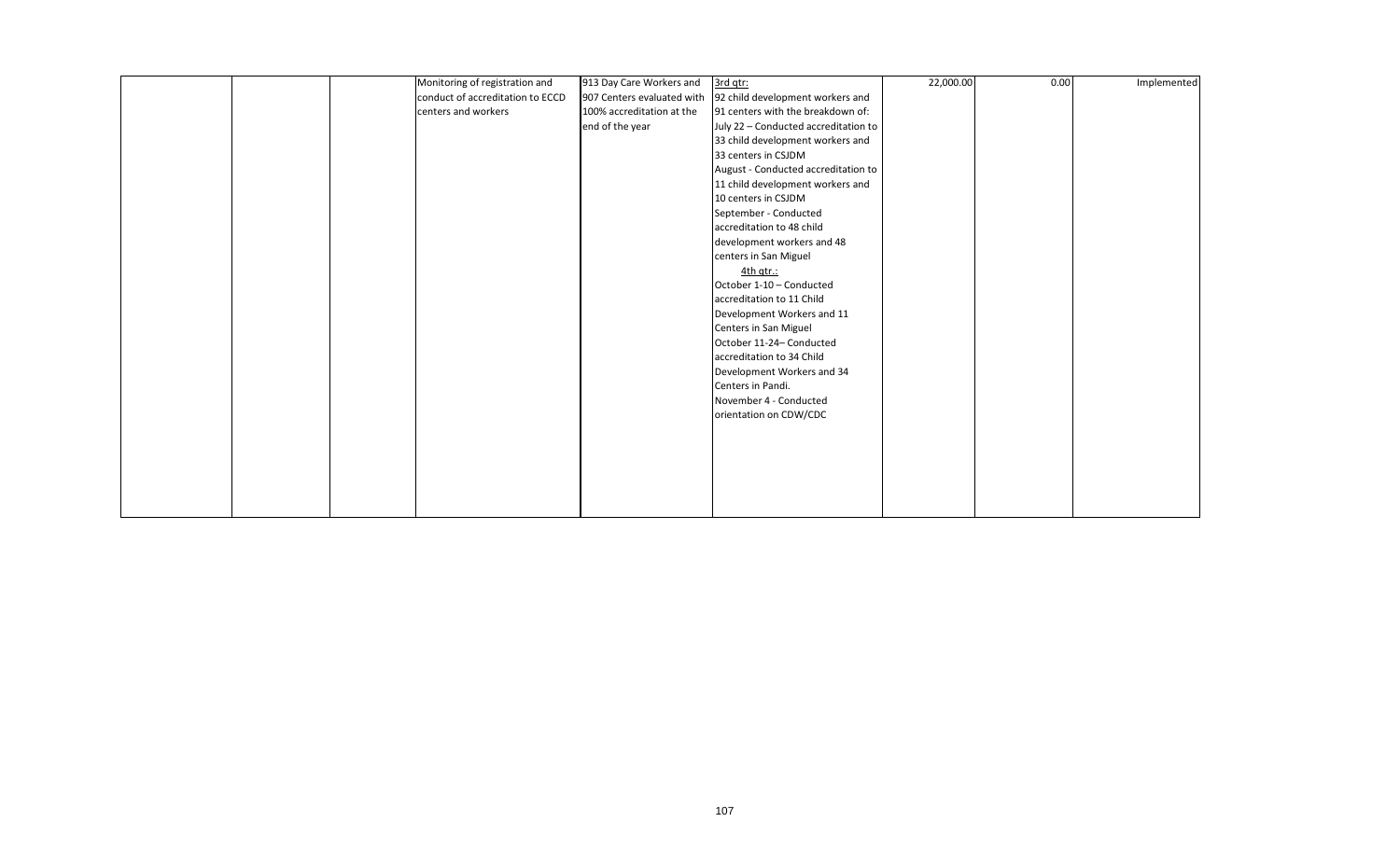|  | Monitoring of registration and   | 913 Day Care Workers and   | 3rd qtr:                             | 22,000.00 | 0.00 | Implemented |
|--|----------------------------------|----------------------------|--------------------------------------|-----------|------|-------------|
|  | conduct of accreditation to ECCD | 907 Centers evaluated with | 92 child development workers and     |           |      |             |
|  | centers and workers              | 100% accreditation at the  | 91 centers with the breakdown of:    |           |      |             |
|  |                                  | end of the year            | July 22 - Conducted accreditation to |           |      |             |
|  |                                  |                            | 33 child development workers and     |           |      |             |
|  |                                  |                            | 33 centers in CSJDM                  |           |      |             |
|  |                                  |                            | August - Conducted accreditation to  |           |      |             |
|  |                                  |                            | 11 child development workers and     |           |      |             |
|  |                                  |                            | 10 centers in CSJDM                  |           |      |             |
|  |                                  |                            | September - Conducted                |           |      |             |
|  |                                  |                            | accreditation to 48 child            |           |      |             |
|  |                                  |                            | development workers and 48           |           |      |             |
|  |                                  |                            | centers in San Miguel                |           |      |             |
|  |                                  |                            | $4th$ qtr.:                          |           |      |             |
|  |                                  |                            | October 1-10 - Conducted             |           |      |             |
|  |                                  |                            | accreditation to 11 Child            |           |      |             |
|  |                                  |                            | Development Workers and 11           |           |      |             |
|  |                                  |                            | Centers in San Miguel                |           |      |             |
|  |                                  |                            | October 11-24- Conducted             |           |      |             |
|  |                                  |                            | accreditation to 34 Child            |           |      |             |
|  |                                  |                            | Development Workers and 34           |           |      |             |
|  |                                  |                            | Centers in Pandi.                    |           |      |             |
|  |                                  |                            | November 4 - Conducted               |           |      |             |
|  |                                  |                            | orientation on CDW/CDC               |           |      |             |
|  |                                  |                            |                                      |           |      |             |
|  |                                  |                            |                                      |           |      |             |
|  |                                  |                            |                                      |           |      |             |
|  |                                  |                            |                                      |           |      |             |
|  |                                  |                            |                                      |           |      |             |
|  |                                  |                            |                                      |           |      |             |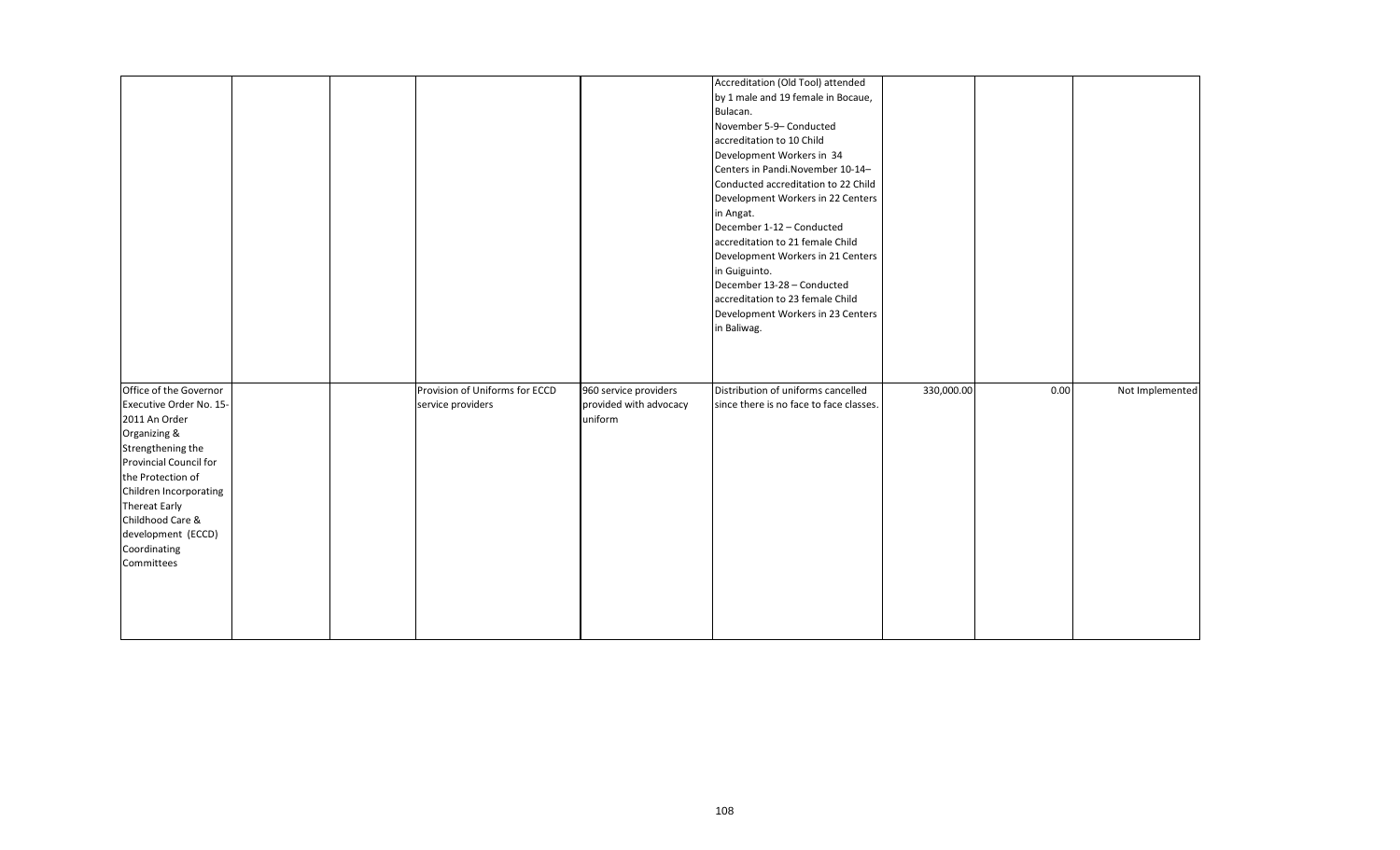|                                                                                                                                                                                                                                                                           |  |                                                     |                                                            | Accreditation (Old Tool) attended<br>by 1 male and 19 female in Bocaue,<br>Bulacan.<br>November 5-9- Conducted<br>accreditation to 10 Child<br>Development Workers in 34<br>Centers in Pandi. November 10-14-<br>Conducted accreditation to 22 Child<br>Development Workers in 22 Centers<br>in Angat.<br>December 1-12 - Conducted<br>accreditation to 21 female Child<br>Development Workers in 21 Centers<br>in Guiguinto.<br>December 13-28 - Conducted<br>accreditation to 23 female Child<br>Development Workers in 23 Centers<br>in Baliwag. |            |      |                 |
|---------------------------------------------------------------------------------------------------------------------------------------------------------------------------------------------------------------------------------------------------------------------------|--|-----------------------------------------------------|------------------------------------------------------------|-----------------------------------------------------------------------------------------------------------------------------------------------------------------------------------------------------------------------------------------------------------------------------------------------------------------------------------------------------------------------------------------------------------------------------------------------------------------------------------------------------------------------------------------------------|------------|------|-----------------|
| Office of the Governor<br>Executive Order No. 15-<br>2011 An Order<br>Organizing &<br>Strengthening the<br>Provincial Council for<br>the Protection of<br>Children Incorporating<br>Thereat Early<br>Childhood Care &<br>development (ECCD)<br>Coordinating<br>Committees |  | Provision of Uniforms for ECCD<br>service providers | 960 service providers<br>provided with advocacy<br>uniform | Distribution of uniforms cancelled<br>since there is no face to face classes.                                                                                                                                                                                                                                                                                                                                                                                                                                                                       | 330,000.00 | 0.00 | Not Implemented |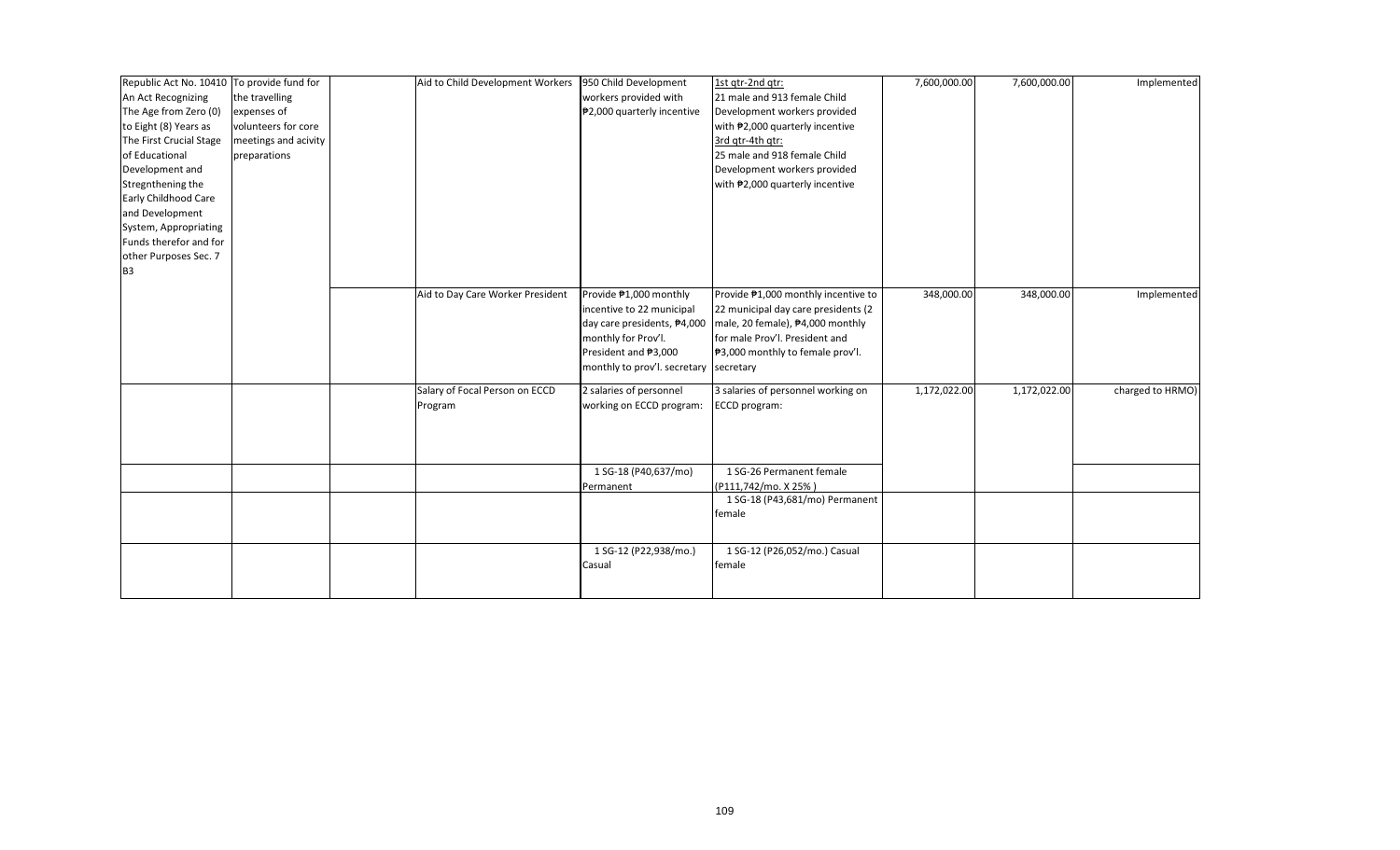| Republic Act No. 10410 To provide fund for |                      | Aid to Child Development Workers 950 Child Development |                                        | 1st gtr-2nd gtr:                     | 7,600,000.00 | 7,600,000.00 | Implemented      |
|--------------------------------------------|----------------------|--------------------------------------------------------|----------------------------------------|--------------------------------------|--------------|--------------|------------------|
| An Act Recognizing                         | the travelling       |                                                        | workers provided with                  | 21 male and 913 female Child         |              |              |                  |
| The Age from Zero (0)                      | expenses of          |                                                        | ₱2,000 quarterly incentive             | Development workers provided         |              |              |                  |
| to Eight (8) Years as                      | volunteers for core  |                                                        |                                        | with #2,000 quarterly incentive      |              |              |                  |
| The First Crucial Stage                    | meetings and acivity |                                                        |                                        | 3rd gtr-4th gtr:                     |              |              |                  |
| of Educational                             | preparations         |                                                        |                                        | 25 male and 918 female Child         |              |              |                  |
| Development and                            |                      |                                                        |                                        | Development workers provided         |              |              |                  |
| Stregnthening the                          |                      |                                                        |                                        | with #2,000 quarterly incentive      |              |              |                  |
| <b>Early Childhood Care</b>                |                      |                                                        |                                        |                                      |              |              |                  |
| and Development                            |                      |                                                        |                                        |                                      |              |              |                  |
| System, Appropriating                      |                      |                                                        |                                        |                                      |              |              |                  |
| Funds therefor and for                     |                      |                                                        |                                        |                                      |              |              |                  |
| other Purposes Sec. 7                      |                      |                                                        |                                        |                                      |              |              |                  |
| B <sub>3</sub>                             |                      |                                                        |                                        |                                      |              |              |                  |
|                                            |                      |                                                        |                                        |                                      |              |              |                  |
|                                            |                      | Aid to Day Care Worker President                       | Provide ₱1,000 monthly                 | Provide ₱1,000 monthly incentive to  | 348,000.00   | 348,000.00   | Implemented      |
|                                            |                      |                                                        | incentive to 22 municipal              | 22 municipal day care presidents (2) |              |              |                  |
|                                            |                      |                                                        | day care presidents, #4,000            | male, 20 female), ₱4,000 monthly     |              |              |                  |
|                                            |                      |                                                        | monthly for Prov'l.                    | for male Prov'l. President and       |              |              |                  |
|                                            |                      |                                                        | President and ₱3,000                   | ₱3,000 monthly to female prov'l.     |              |              |                  |
|                                            |                      |                                                        | monthly to prov'l. secretary secretary |                                      |              |              |                  |
|                                            |                      | Salary of Focal Person on ECCD                         | 2 salaries of personnel                | 3 salaries of personnel working on   | 1,172,022.00 | 1,172,022.00 | charged to HRMO) |
|                                            |                      | Program                                                | working on ECCD program:               | ECCD program:                        |              |              |                  |
|                                            |                      |                                                        |                                        |                                      |              |              |                  |
|                                            |                      |                                                        |                                        |                                      |              |              |                  |
|                                            |                      |                                                        |                                        |                                      |              |              |                  |
|                                            |                      |                                                        | 1 SG-18 (P40,637/mo)                   | 1 SG-26 Permanent female             |              |              |                  |
|                                            |                      |                                                        | Permanent                              | (P111,742/mo. X 25%)                 |              |              |                  |
|                                            |                      |                                                        |                                        | 1 SG-18 (P43,681/mo) Permanent       |              |              |                  |
|                                            |                      |                                                        |                                        | female                               |              |              |                  |
|                                            |                      |                                                        |                                        |                                      |              |              |                  |
|                                            |                      |                                                        | 1 SG-12 (P22,938/mo.)                  | 1 SG-12 (P26,052/mo.) Casual         |              |              |                  |
|                                            |                      |                                                        | Casual                                 | female                               |              |              |                  |
|                                            |                      |                                                        |                                        |                                      |              |              |                  |
|                                            |                      |                                                        |                                        |                                      |              |              |                  |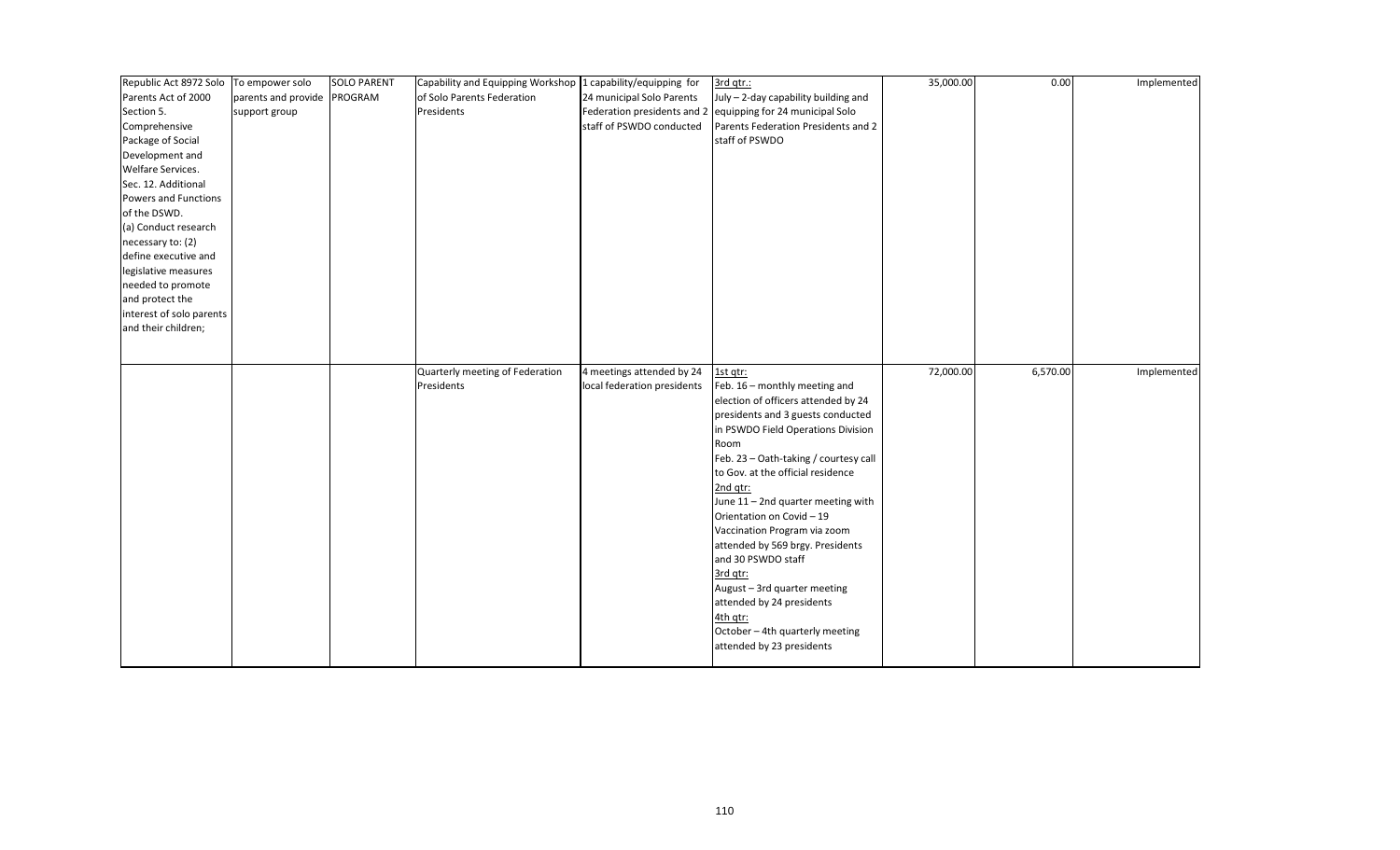| Republic Act 8972 Solo To empower solo |                             | <b>SOLO PARENT</b> | Capability and Equipping Workshop 1 capability/equipping for |                             | 3rd qtr.:                                                   | 35,000.00 | 0.00     | Implemented |
|----------------------------------------|-----------------------------|--------------------|--------------------------------------------------------------|-----------------------------|-------------------------------------------------------------|-----------|----------|-------------|
| Parents Act of 2000                    | parents and provide PROGRAM |                    | of Solo Parents Federation                                   | 24 municipal Solo Parents   | July - 2-day capability building and                        |           |          |             |
| Section 5.                             | support group               |                    | Presidents                                                   |                             | Federation presidents and 2 equipping for 24 municipal Solo |           |          |             |
| Comprehensive                          |                             |                    |                                                              | staff of PSWDO conducted    | Parents Federation Presidents and 2                         |           |          |             |
| Package of Social                      |                             |                    |                                                              |                             | staff of PSWDO                                              |           |          |             |
| Development and                        |                             |                    |                                                              |                             |                                                             |           |          |             |
| Welfare Services.                      |                             |                    |                                                              |                             |                                                             |           |          |             |
| Sec. 12. Additional                    |                             |                    |                                                              |                             |                                                             |           |          |             |
| Powers and Functions                   |                             |                    |                                                              |                             |                                                             |           |          |             |
| of the DSWD.                           |                             |                    |                                                              |                             |                                                             |           |          |             |
| (a) Conduct research                   |                             |                    |                                                              |                             |                                                             |           |          |             |
| necessary to: (2)                      |                             |                    |                                                              |                             |                                                             |           |          |             |
| define executive and                   |                             |                    |                                                              |                             |                                                             |           |          |             |
| legislative measures                   |                             |                    |                                                              |                             |                                                             |           |          |             |
| needed to promote                      |                             |                    |                                                              |                             |                                                             |           |          |             |
| and protect the                        |                             |                    |                                                              |                             |                                                             |           |          |             |
| interest of solo parents               |                             |                    |                                                              |                             |                                                             |           |          |             |
| and their children;                    |                             |                    |                                                              |                             |                                                             |           |          |             |
|                                        |                             |                    |                                                              |                             |                                                             |           |          |             |
|                                        |                             |                    |                                                              |                             |                                                             |           |          |             |
|                                        |                             |                    | Quarterly meeting of Federation                              | 4 meetings attended by 24   | 1st qtr:                                                    | 72,000.00 | 6,570.00 | Implemented |
|                                        |                             |                    | Presidents                                                   | local federation presidents | Feb. 16 - monthly meeting and                               |           |          |             |
|                                        |                             |                    |                                                              |                             | election of officers attended by 24                         |           |          |             |
|                                        |                             |                    |                                                              |                             | presidents and 3 guests conducted                           |           |          |             |
|                                        |                             |                    |                                                              |                             | in PSWDO Field Operations Division                          |           |          |             |
|                                        |                             |                    |                                                              |                             | Room                                                        |           |          |             |
|                                        |                             |                    |                                                              |                             | Feb. 23 - Oath-taking / courtesy call                       |           |          |             |
|                                        |                             |                    |                                                              |                             | to Gov. at the official residence                           |           |          |             |
|                                        |                             |                    |                                                              |                             | 2nd gtr:                                                    |           |          |             |
|                                        |                             |                    |                                                              |                             | June 11 - 2nd quarter meeting with                          |           |          |             |
|                                        |                             |                    |                                                              |                             | Orientation on Covid - 19                                   |           |          |             |
|                                        |                             |                    |                                                              |                             | Vaccination Program via zoom                                |           |          |             |
|                                        |                             |                    |                                                              |                             | attended by 569 brgy. Presidents                            |           |          |             |
|                                        |                             |                    |                                                              |                             | and 30 PSWDO staff                                          |           |          |             |
|                                        |                             |                    |                                                              |                             | 3rd qtr:                                                    |           |          |             |
|                                        |                             |                    |                                                              |                             | August - 3rd quarter meeting                                |           |          |             |
|                                        |                             |                    |                                                              |                             | attended by 24 presidents                                   |           |          |             |
|                                        |                             |                    |                                                              |                             | 4th qtr:                                                    |           |          |             |
|                                        |                             |                    |                                                              |                             | October - 4th quarterly meeting                             |           |          |             |
|                                        |                             |                    |                                                              |                             | attended by 23 presidents                                   |           |          |             |
|                                        |                             |                    |                                                              |                             |                                                             |           |          |             |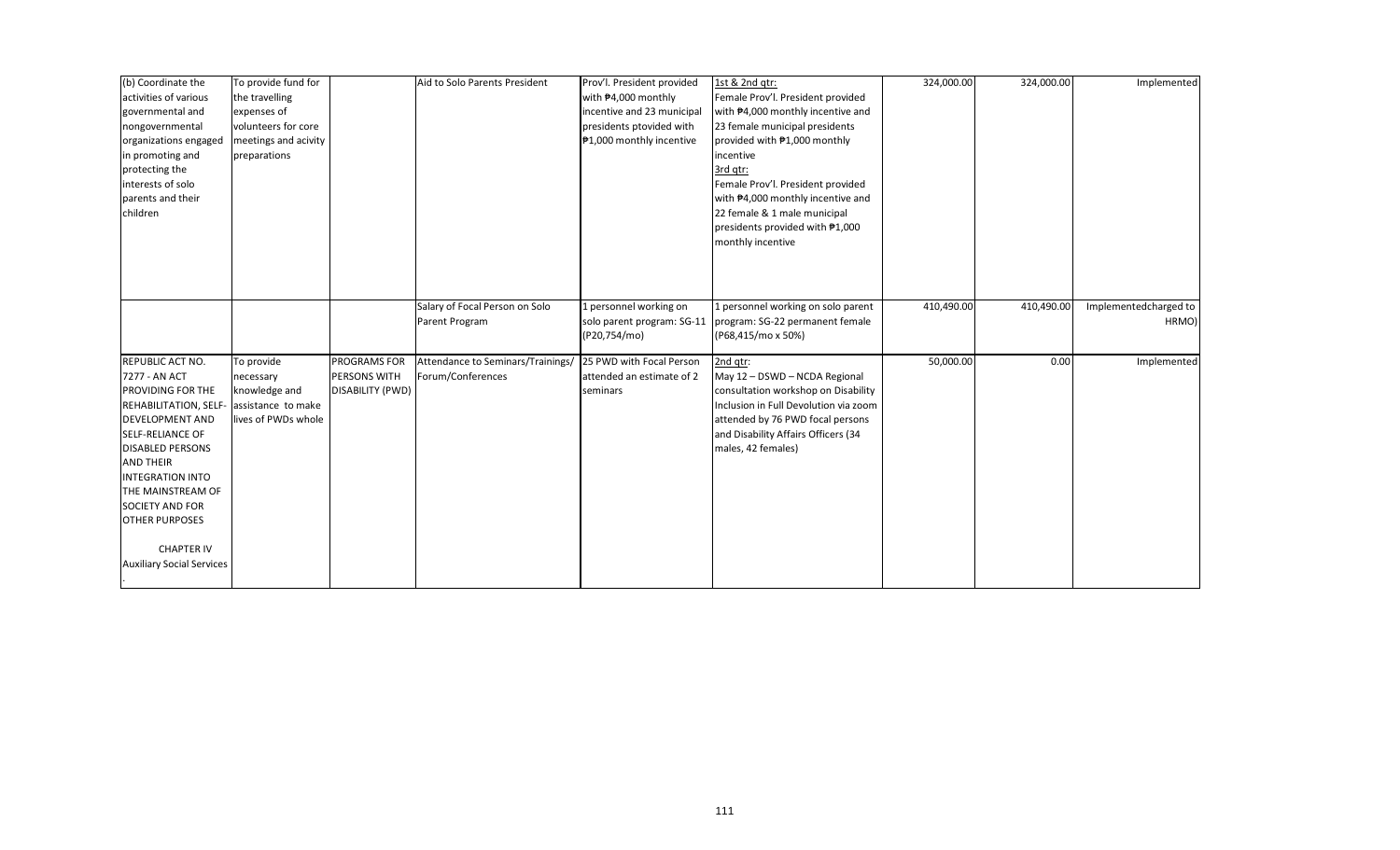| (b) Coordinate the<br>activities of various | To provide fund for<br>the travelling |                  | Aid to Solo Parents President     | Prov'l. President provided<br>with #4,000 monthly | 1st & 2nd qtr:<br>Female Prov'l. President provided          | 324,000.00 | 324,000.00 | Implemented           |
|---------------------------------------------|---------------------------------------|------------------|-----------------------------------|---------------------------------------------------|--------------------------------------------------------------|------------|------------|-----------------------|
| governmental and                            | expenses of                           |                  |                                   | incentive and 23 municipal                        | with #4,000 monthly incentive and                            |            |            |                       |
| nongovernmental                             | volunteers for core                   |                  |                                   | presidents ptovided with                          | 23 female municipal presidents                               |            |            |                       |
| organizations engaged                       | meetings and acivity                  |                  |                                   | ₱1,000 monthly incentive                          | provided with #1,000 monthly                                 |            |            |                       |
| in promoting and                            | preparations                          |                  |                                   |                                                   | incentive                                                    |            |            |                       |
| protecting the                              |                                       |                  |                                   |                                                   | 3rd qtr:                                                     |            |            |                       |
| interests of solo                           |                                       |                  |                                   |                                                   | Female Prov'l. President provided                            |            |            |                       |
| parents and their                           |                                       |                  |                                   |                                                   | with #4,000 monthly incentive and                            |            |            |                       |
| children                                    |                                       |                  |                                   |                                                   | 22 female & 1 male municipal                                 |            |            |                       |
|                                             |                                       |                  |                                   |                                                   | presidents provided with #1,000                              |            |            |                       |
|                                             |                                       |                  |                                   |                                                   | monthly incentive                                            |            |            |                       |
|                                             |                                       |                  |                                   |                                                   |                                                              |            |            |                       |
|                                             |                                       |                  |                                   |                                                   |                                                              |            |            |                       |
|                                             |                                       |                  |                                   |                                                   |                                                              |            |            |                       |
|                                             |                                       |                  | Salary of Focal Person on Solo    | 1 personnel working on                            | L personnel working on solo parent                           | 410,490.00 | 410,490.00 | Implementedcharged to |
|                                             |                                       |                  | Parent Program                    |                                                   | solo parent program: SG-11   program: SG-22 permanent female |            |            | HRMO)                 |
|                                             |                                       |                  |                                   | (P20,754/mo)                                      | (P68,415/mo x 50%)                                           |            |            |                       |
| REPUBLIC ACT NO.                            | To provide                            | PROGRAMS FOR     | Attendance to Seminars/Trainings/ | 25 PWD with Focal Person                          | 2nd gtr:                                                     | 50,000.00  | 0.00       | Implemented           |
| 7277 - AN ACT                               | necessary                             | PERSONS WITH     | Forum/Conferences                 | attended an estimate of 2                         | May 12 - DSWD - NCDA Regional                                |            |            |                       |
| PROVIDING FOR THE                           | knowledge and                         | DISABILITY (PWD) |                                   | seminars                                          | consultation workshop on Disability                          |            |            |                       |
| REHABILITATION, SELF                        | assistance to make                    |                  |                                   |                                                   | Inclusion in Full Devolution via zoom                        |            |            |                       |
| <b>DEVELOPMENT AND</b>                      | lives of PWDs whole                   |                  |                                   |                                                   | attended by 76 PWD focal persons                             |            |            |                       |
| <b>SELF-RELIANCE OF</b>                     |                                       |                  |                                   |                                                   | and Disability Affairs Officers (34                          |            |            |                       |
| <b>DISABLED PERSONS</b>                     |                                       |                  |                                   |                                                   | males, 42 females)                                           |            |            |                       |
| <b>AND THEIR</b>                            |                                       |                  |                                   |                                                   |                                                              |            |            |                       |
| <b>INTEGRATION INTO</b>                     |                                       |                  |                                   |                                                   |                                                              |            |            |                       |
| THE MAINSTREAM OF                           |                                       |                  |                                   |                                                   |                                                              |            |            |                       |
| <b>SOCIETY AND FOR</b>                      |                                       |                  |                                   |                                                   |                                                              |            |            |                       |
| <b>OTHER PURPOSES</b>                       |                                       |                  |                                   |                                                   |                                                              |            |            |                       |
|                                             |                                       |                  |                                   |                                                   |                                                              |            |            |                       |
| <b>CHAPTER IV</b>                           |                                       |                  |                                   |                                                   |                                                              |            |            |                       |
| <b>Auxiliary Social Services</b>            |                                       |                  |                                   |                                                   |                                                              |            |            |                       |
|                                             |                                       |                  |                                   |                                                   |                                                              |            |            |                       |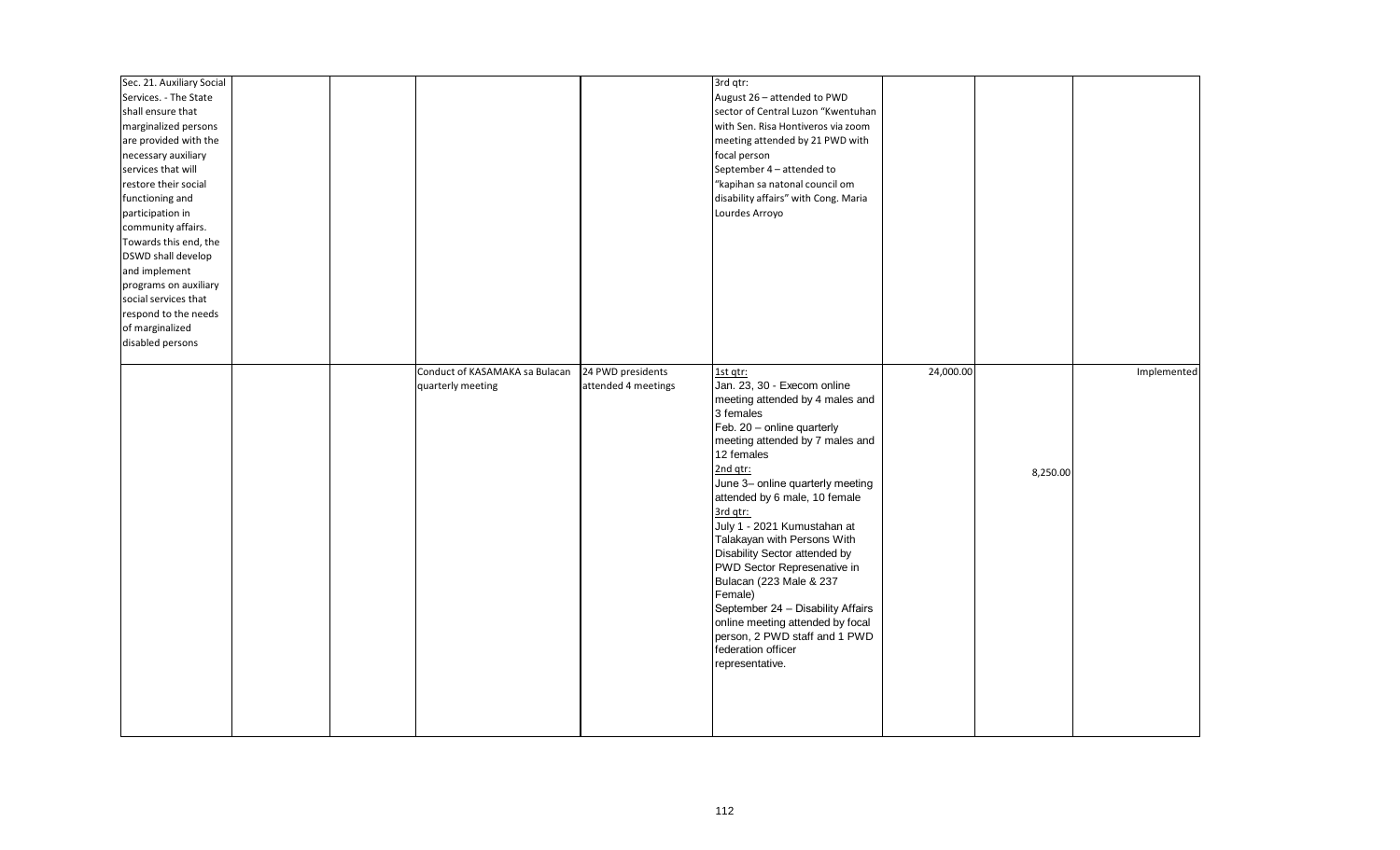| Sec. 21. Auxiliary Social<br>Services. - The State<br>shall ensure that<br>marginalized persons<br>are provided with the<br>necessary auxiliary<br>services that will<br>restore their social<br>functioning and<br>participation in<br>community affairs.<br>Towards this end, the<br>DSWD shall develop<br>and implement<br>programs on auxiliary<br>social services that<br>respond to the needs<br>of marginalized<br>disabled persons |  |                                                     |                                          | 3rd qtr:<br>August 26 - attended to PWD<br>sector of Central Luzon "Kwentuhan<br>with Sen. Risa Hontiveros via zoom<br>meeting attended by 21 PWD with<br>focal person<br>September 4 - attended to<br>"kapihan sa natonal council om<br>disability affairs" with Cong. Maria<br>Lourdes Arroyo                                                                                                                                                                                                                                                                                            |           |          |             |
|--------------------------------------------------------------------------------------------------------------------------------------------------------------------------------------------------------------------------------------------------------------------------------------------------------------------------------------------------------------------------------------------------------------------------------------------|--|-----------------------------------------------------|------------------------------------------|--------------------------------------------------------------------------------------------------------------------------------------------------------------------------------------------------------------------------------------------------------------------------------------------------------------------------------------------------------------------------------------------------------------------------------------------------------------------------------------------------------------------------------------------------------------------------------------------|-----------|----------|-------------|
|                                                                                                                                                                                                                                                                                                                                                                                                                                            |  | Conduct of KASAMAKA sa Bulacan<br>quarterly meeting | 24 PWD presidents<br>attended 4 meetings | 1st qtr:<br>Jan. 23, 30 - Execom online<br>meeting attended by 4 males and<br>3 females<br>Feb. 20 - online quarterly<br>meeting attended by 7 males and<br>12 females<br>2nd atr:<br>June 3- online quarterly meeting<br>attended by 6 male, 10 female<br>3rd qtr:<br>July 1 - 2021 Kumustahan at<br>Talakayan with Persons With<br>Disability Sector attended by<br>PWD Sector Represenative in<br>Bulacan (223 Male & 237<br>Female)<br>September 24 - Disability Affairs<br>online meeting attended by focal<br>person, 2 PWD staff and 1 PWD<br>federation officer<br>representative. | 24,000.00 | 8,250.00 | Implemented |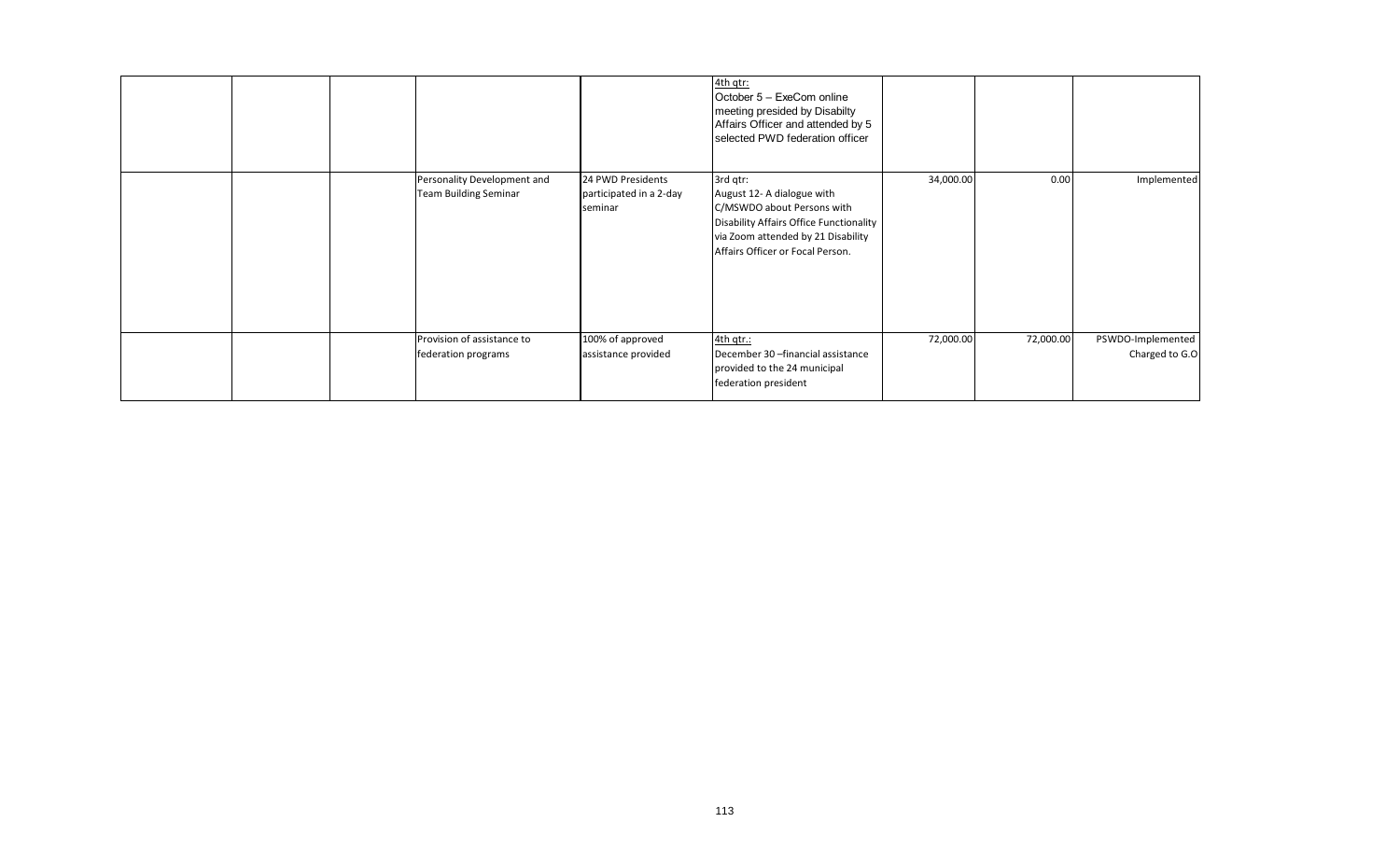|  |                                                             |                                                         | 4th qtr:<br>October 5 - ExeCom online<br>meeting presided by Disabilty<br>Affairs Officer and attended by 5<br>selected PWD federation officer                                            |           |           |                                     |
|--|-------------------------------------------------------------|---------------------------------------------------------|-------------------------------------------------------------------------------------------------------------------------------------------------------------------------------------------|-----------|-----------|-------------------------------------|
|  | Personality Development and<br><b>Team Building Seminar</b> | 24 PWD Presidents<br>participated in a 2-day<br>seminar | 3rd qtr:<br>August 12- A dialogue with<br>C/MSWDO about Persons with<br>Disability Affairs Office Functionality<br>via Zoom attended by 21 Disability<br>Affairs Officer or Focal Person. | 34,000.00 | 0.00      | Implemented                         |
|  | Provision of assistance to<br>federation programs           | 100% of approved<br>assistance provided                 | 4th gtr.:<br>December 30 - financial assistance<br>provided to the 24 municipal<br>federation president                                                                                   | 72,000.00 | 72,000.00 | PSWDO-Implemented<br>Charged to G.O |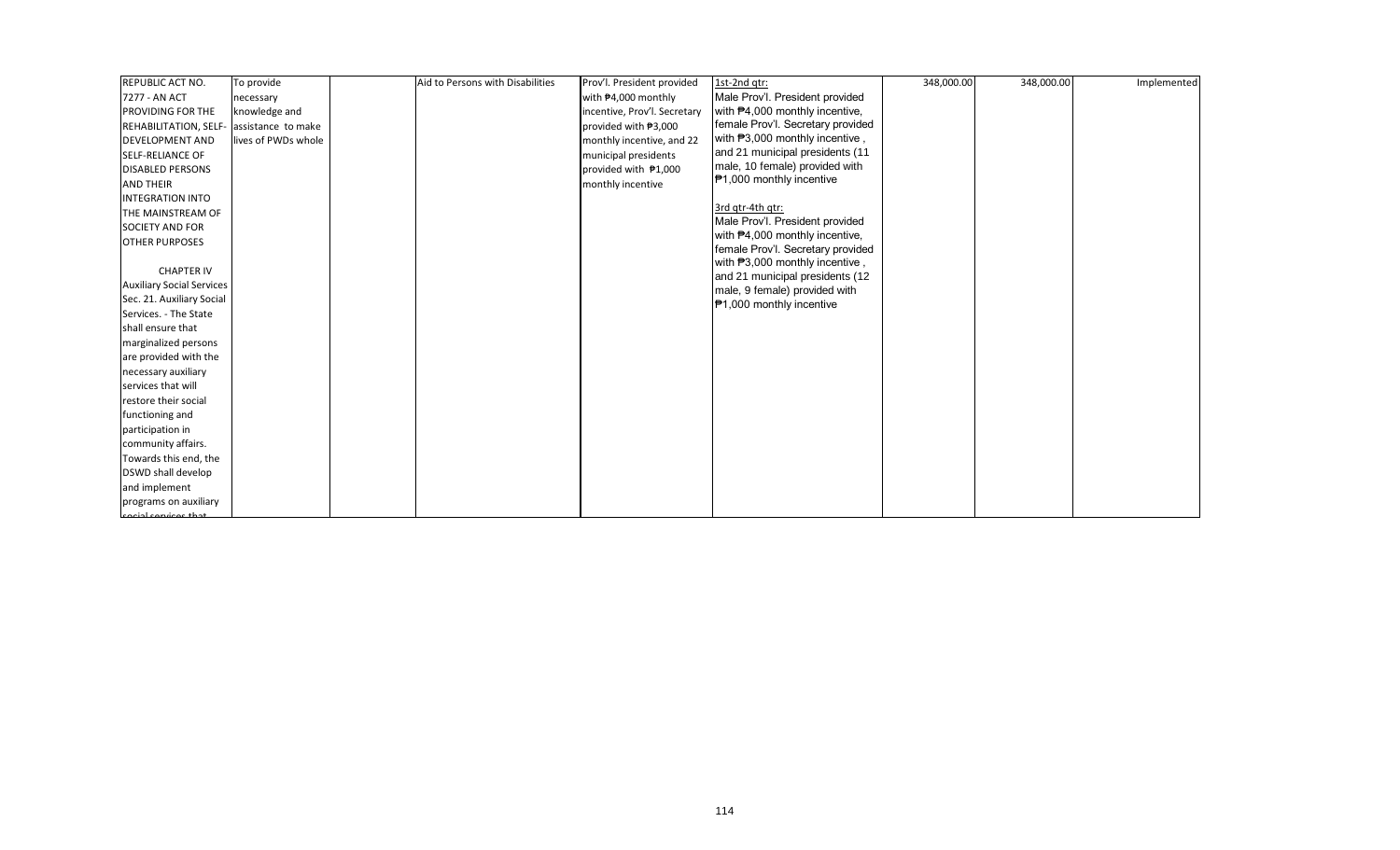| REPUBLIC ACT NO.                         | To provide          | Aid to Persons with Disabilities | Prov'l. President provided   | 1st-2nd qtr:                                                        | 348,000.00 | 348,000.00 | Implemented |
|------------------------------------------|---------------------|----------------------------------|------------------------------|---------------------------------------------------------------------|------------|------------|-------------|
| 7277 - AN ACT                            | necessary           |                                  | with #4,000 monthly          | Male Prov'l. President provided                                     |            |            |             |
| PROVIDING FOR THE                        | knowledge and       |                                  | incentive, Prov'l. Secretary | with #4,000 monthly incentive,                                      |            |            |             |
| REHABILITATION, SELF- assistance to make |                     |                                  | provided with ₱3,000         | female Prov'l. Secretary provided                                   |            |            |             |
| <b>DEVELOPMENT AND</b>                   | lives of PWDs whole |                                  | monthly incentive, and 22    | with #3,000 monthly incentive,                                      |            |            |             |
| <b>SELF-RELIANCE OF</b>                  |                     |                                  | municipal presidents         | and 21 municipal presidents (11                                     |            |            |             |
| <b>DISABLED PERSONS</b>                  |                     |                                  | provided with ₱1,000         | male, 10 female) provided with                                      |            |            |             |
| <b>AND THEIR</b>                         |                     |                                  | monthly incentive            | ₱1,000 monthly incentive                                            |            |            |             |
| <b>INTEGRATION INTO</b>                  |                     |                                  |                              |                                                                     |            |            |             |
| THE MAINSTREAM OF                        |                     |                                  |                              | 3rd gtr-4th gtr:                                                    |            |            |             |
| <b>SOCIETY AND FOR</b>                   |                     |                                  |                              | Male Prov'l. President provided                                     |            |            |             |
| <b>OTHER PURPOSES</b>                    |                     |                                  |                              | with #4,000 monthly incentive,                                      |            |            |             |
|                                          |                     |                                  |                              | female Prov'l. Secretary provided<br>with P3,000 monthly incentive, |            |            |             |
| <b>CHAPTER IV</b>                        |                     |                                  |                              | and 21 municipal presidents (12                                     |            |            |             |
| <b>Auxiliary Social Services</b>         |                     |                                  |                              | male, 9 female) provided with                                       |            |            |             |
| Sec. 21. Auxiliary Social                |                     |                                  |                              | ₱1,000 monthly incentive                                            |            |            |             |
| Services. - The State                    |                     |                                  |                              |                                                                     |            |            |             |
| shall ensure that                        |                     |                                  |                              |                                                                     |            |            |             |
| marginalized persons                     |                     |                                  |                              |                                                                     |            |            |             |
| are provided with the                    |                     |                                  |                              |                                                                     |            |            |             |
| necessary auxiliary                      |                     |                                  |                              |                                                                     |            |            |             |
| services that will                       |                     |                                  |                              |                                                                     |            |            |             |
| restore their social                     |                     |                                  |                              |                                                                     |            |            |             |
| functioning and                          |                     |                                  |                              |                                                                     |            |            |             |
| participation in                         |                     |                                  |                              |                                                                     |            |            |             |
| community affairs.                       |                     |                                  |                              |                                                                     |            |            |             |
| Towards this end, the                    |                     |                                  |                              |                                                                     |            |            |             |
| DSWD shall develop                       |                     |                                  |                              |                                                                     |            |            |             |
| and implement                            |                     |                                  |                              |                                                                     |            |            |             |
| programs on auxiliary                    |                     |                                  |                              |                                                                     |            |            |             |
| cocial convices that                     |                     |                                  |                              |                                                                     |            |            |             |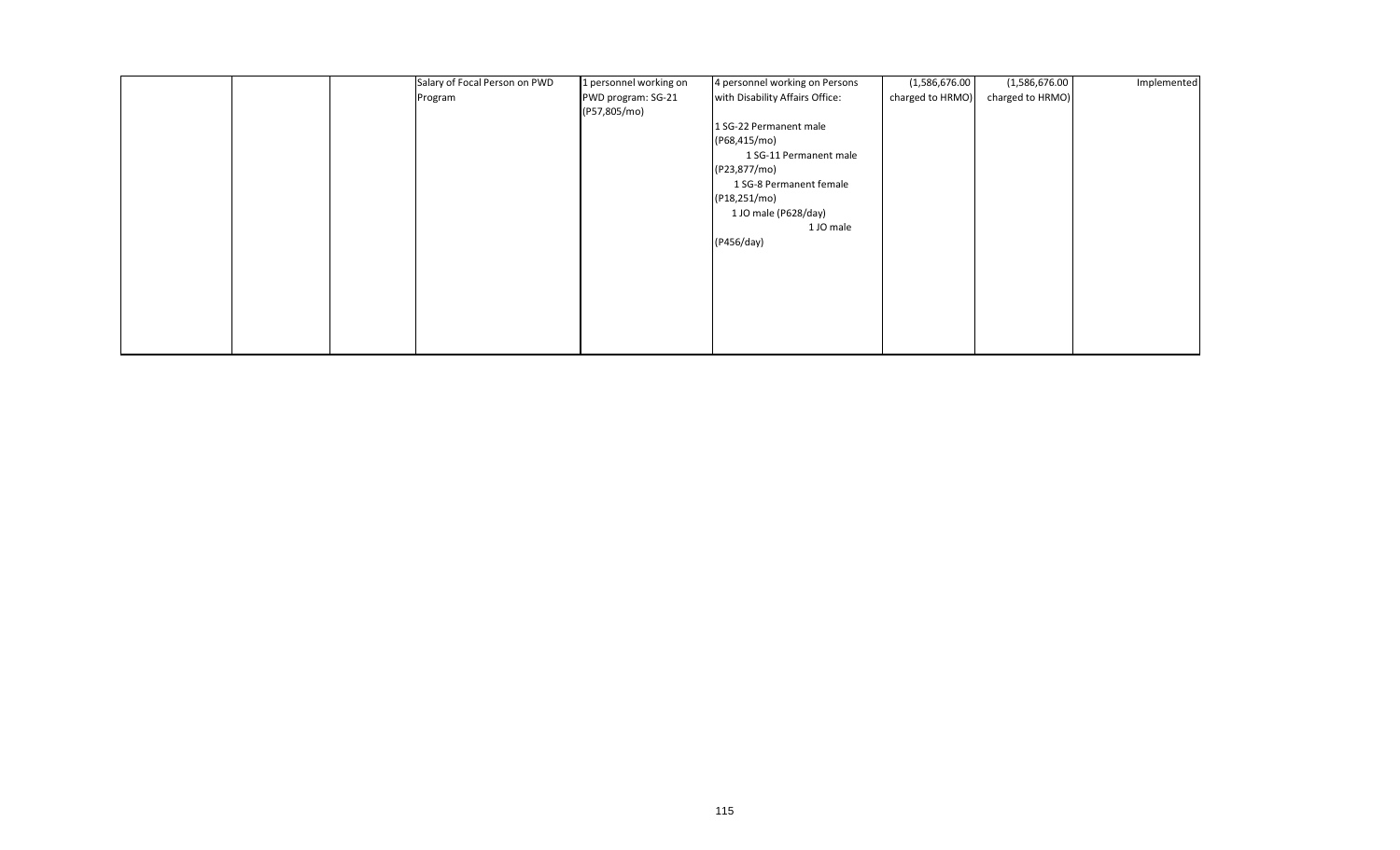|  | Salary of Focal Person on PWD | 1 personnel working on | 4 personnel working on Persons  | (1,586,676.00)   | (1,586,676.00)   | Implemented |
|--|-------------------------------|------------------------|---------------------------------|------------------|------------------|-------------|
|  | Program                       | PWD program: SG-21     | with Disability Affairs Office: | charged to HRMO) | charged to HRMO) |             |
|  |                               | (P57,805/mo)           |                                 |                  |                  |             |
|  |                               |                        | 1 SG-22 Permanent male          |                  |                  |             |
|  |                               |                        | (P68,415/mo)                    |                  |                  |             |
|  |                               |                        | 1 SG-11 Permanent male          |                  |                  |             |
|  |                               |                        | (P23,877/mo)                    |                  |                  |             |
|  |                               |                        | 1 SG-8 Permanent female         |                  |                  |             |
|  |                               |                        | (P18,251/mo)                    |                  |                  |             |
|  |                               |                        | 1 JO male (P628/day)            |                  |                  |             |
|  |                               |                        | 1 JO male                       |                  |                  |             |
|  |                               |                        | (P456/day)                      |                  |                  |             |
|  |                               |                        |                                 |                  |                  |             |
|  |                               |                        |                                 |                  |                  |             |
|  |                               |                        |                                 |                  |                  |             |
|  |                               |                        |                                 |                  |                  |             |
|  |                               |                        |                                 |                  |                  |             |
|  |                               |                        |                                 |                  |                  |             |
|  |                               |                        |                                 |                  |                  |             |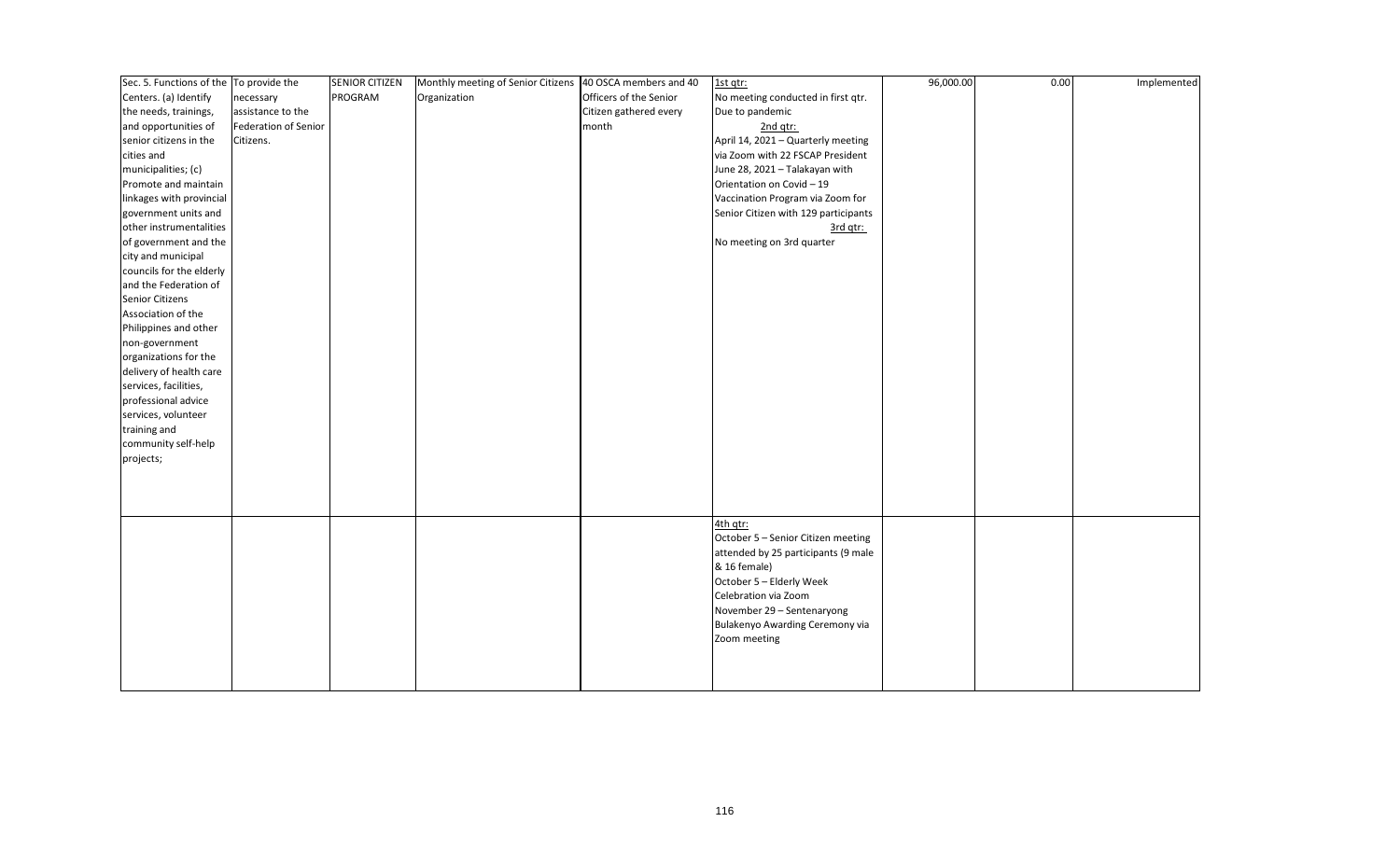| Sec. 5. Functions of the To provide the |                             | <b>SENIOR CITIZEN</b> | Monthly meeting of Senior Citizens 40 OSCA members and 40 |                        | 1st qtr:                             | 96,000.00 | 0.00 | Implemented |
|-----------------------------------------|-----------------------------|-----------------------|-----------------------------------------------------------|------------------------|--------------------------------------|-----------|------|-------------|
| Centers. (a) Identify                   | necessary                   | PROGRAM               | Organization                                              | Officers of the Senior | No meeting conducted in first qtr.   |           |      |             |
| the needs, trainings,                   | assistance to the           |                       |                                                           | Citizen gathered every | Due to pandemic                      |           |      |             |
| and opportunities of                    | <b>Federation of Senior</b> |                       |                                                           | month                  | 2nd qtr:                             |           |      |             |
| senior citizens in the                  | Citizens.                   |                       |                                                           |                        | April 14, 2021 - Quarterly meeting   |           |      |             |
| cities and                              |                             |                       |                                                           |                        | via Zoom with 22 FSCAP President     |           |      |             |
| municipalities; (c)                     |                             |                       |                                                           |                        | June 28, 2021 - Talakayan with       |           |      |             |
| Promote and maintain                    |                             |                       |                                                           |                        | Orientation on Covid - 19            |           |      |             |
| linkages with provincial                |                             |                       |                                                           |                        | Vaccination Program via Zoom for     |           |      |             |
| government units and                    |                             |                       |                                                           |                        | Senior Citizen with 129 participants |           |      |             |
| other instrumentalities                 |                             |                       |                                                           |                        | 3rd qtr:                             |           |      |             |
| of government and the                   |                             |                       |                                                           |                        | No meeting on 3rd quarter            |           |      |             |
| city and municipal                      |                             |                       |                                                           |                        |                                      |           |      |             |
| councils for the elderly                |                             |                       |                                                           |                        |                                      |           |      |             |
| and the Federation of                   |                             |                       |                                                           |                        |                                      |           |      |             |
| Senior Citizens                         |                             |                       |                                                           |                        |                                      |           |      |             |
| Association of the                      |                             |                       |                                                           |                        |                                      |           |      |             |
| Philippines and other                   |                             |                       |                                                           |                        |                                      |           |      |             |
| non-government                          |                             |                       |                                                           |                        |                                      |           |      |             |
| organizations for the                   |                             |                       |                                                           |                        |                                      |           |      |             |
| delivery of health care                 |                             |                       |                                                           |                        |                                      |           |      |             |
| services, facilities,                   |                             |                       |                                                           |                        |                                      |           |      |             |
| professional advice                     |                             |                       |                                                           |                        |                                      |           |      |             |
| services, volunteer                     |                             |                       |                                                           |                        |                                      |           |      |             |
| training and                            |                             |                       |                                                           |                        |                                      |           |      |             |
| community self-help                     |                             |                       |                                                           |                        |                                      |           |      |             |
| projects;                               |                             |                       |                                                           |                        |                                      |           |      |             |
|                                         |                             |                       |                                                           |                        |                                      |           |      |             |
|                                         |                             |                       |                                                           |                        |                                      |           |      |             |
|                                         |                             |                       |                                                           |                        |                                      |           |      |             |
|                                         |                             |                       |                                                           |                        | 4th qtr:                             |           |      |             |
|                                         |                             |                       |                                                           |                        | October 5 - Senior Citizen meeting   |           |      |             |
|                                         |                             |                       |                                                           |                        | attended by 25 participants (9 male  |           |      |             |
|                                         |                             |                       |                                                           |                        | & 16 female)                         |           |      |             |
|                                         |                             |                       |                                                           |                        | October 5 - Elderly Week             |           |      |             |
|                                         |                             |                       |                                                           |                        | Celebration via Zoom                 |           |      |             |
|                                         |                             |                       |                                                           |                        | November 29 - Sentenaryong           |           |      |             |
|                                         |                             |                       |                                                           |                        | Bulakenyo Awarding Ceremony via      |           |      |             |
|                                         |                             |                       |                                                           |                        | Zoom meeting                         |           |      |             |
|                                         |                             |                       |                                                           |                        |                                      |           |      |             |
|                                         |                             |                       |                                                           |                        |                                      |           |      |             |
|                                         |                             |                       |                                                           |                        |                                      |           |      |             |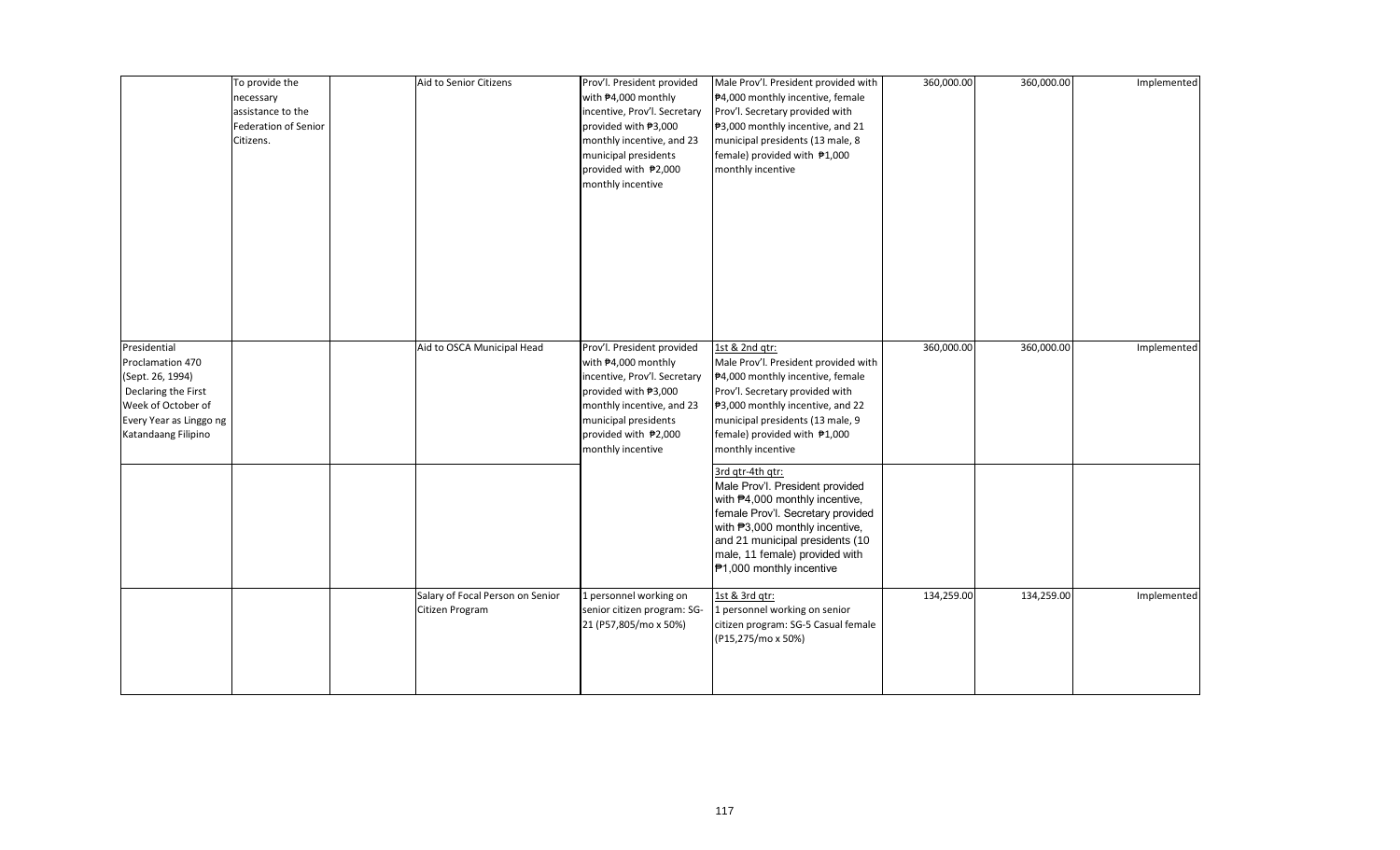|                                                                                                                                                     | To provide the<br>necessary<br>assistance to the<br><b>Federation of Senior</b><br>Citizens. | Aid to Senior Citizens                              | Prov'l. President provided<br>with #4,000 monthly<br>incentive, Prov'l. Secretary<br>provided with ₱3,000<br>monthly incentive, and 23<br>municipal presidents<br>provided with ₱2,000<br>monthly incentive | Male Prov'l. President provided with<br>₱4,000 monthly incentive, female<br>Prov'l. Secretary provided with<br>₱3,000 monthly incentive, and 21<br>municipal presidents (13 male, 8<br>female) provided with ₱1,000<br>monthly incentive                      | 360,000.00 | 360,000.00 | Implemented |
|-----------------------------------------------------------------------------------------------------------------------------------------------------|----------------------------------------------------------------------------------------------|-----------------------------------------------------|-------------------------------------------------------------------------------------------------------------------------------------------------------------------------------------------------------------|---------------------------------------------------------------------------------------------------------------------------------------------------------------------------------------------------------------------------------------------------------------|------------|------------|-------------|
| Presidential<br>Proclamation 470<br>(Sept. 26, 1994)<br>Declaring the First<br>Week of October of<br>Every Year as Linggo ng<br>Katandaang Filipino |                                                                                              | Aid to OSCA Municipal Head                          | Prov'l. President provided<br>with #4,000 monthly<br>incentive, Prov'l. Secretary<br>provided with ₱3,000<br>monthly incentive, and 23<br>municipal presidents<br>provided with ₱2,000<br>monthly incentive | 1st & 2nd qtr:<br>Male Prov'l. President provided with<br>₱4,000 monthly incentive, female<br>Prov'l. Secretary provided with<br>₱3,000 monthly incentive, and 22<br>municipal presidents (13 male, 9<br>female) provided with ₱1,000<br>monthly incentive    | 360,000.00 | 360,000.00 | Implemented |
|                                                                                                                                                     |                                                                                              |                                                     |                                                                                                                                                                                                             | 3rd gtr-4th gtr:<br>Male Prov'l. President provided<br>with #4,000 monthly incentive,<br>female Prov'l. Secretary provided<br>with #3,000 monthly incentive,<br>and 21 municipal presidents (10<br>male, 11 female) provided with<br>₱1,000 monthly incentive |            |            |             |
|                                                                                                                                                     |                                                                                              | Salary of Focal Person on Senior<br>Citizen Program | 1 personnel working on<br>senior citizen program: SG-<br>21 (P57,805/mo x 50%)                                                                                                                              | 1st & 3rd qtr:<br>1 personnel working on senior<br>citizen program: SG-5 Casual female<br>(P15,275/mo x 50%)                                                                                                                                                  | 134,259.00 | 134,259.00 | Implemented |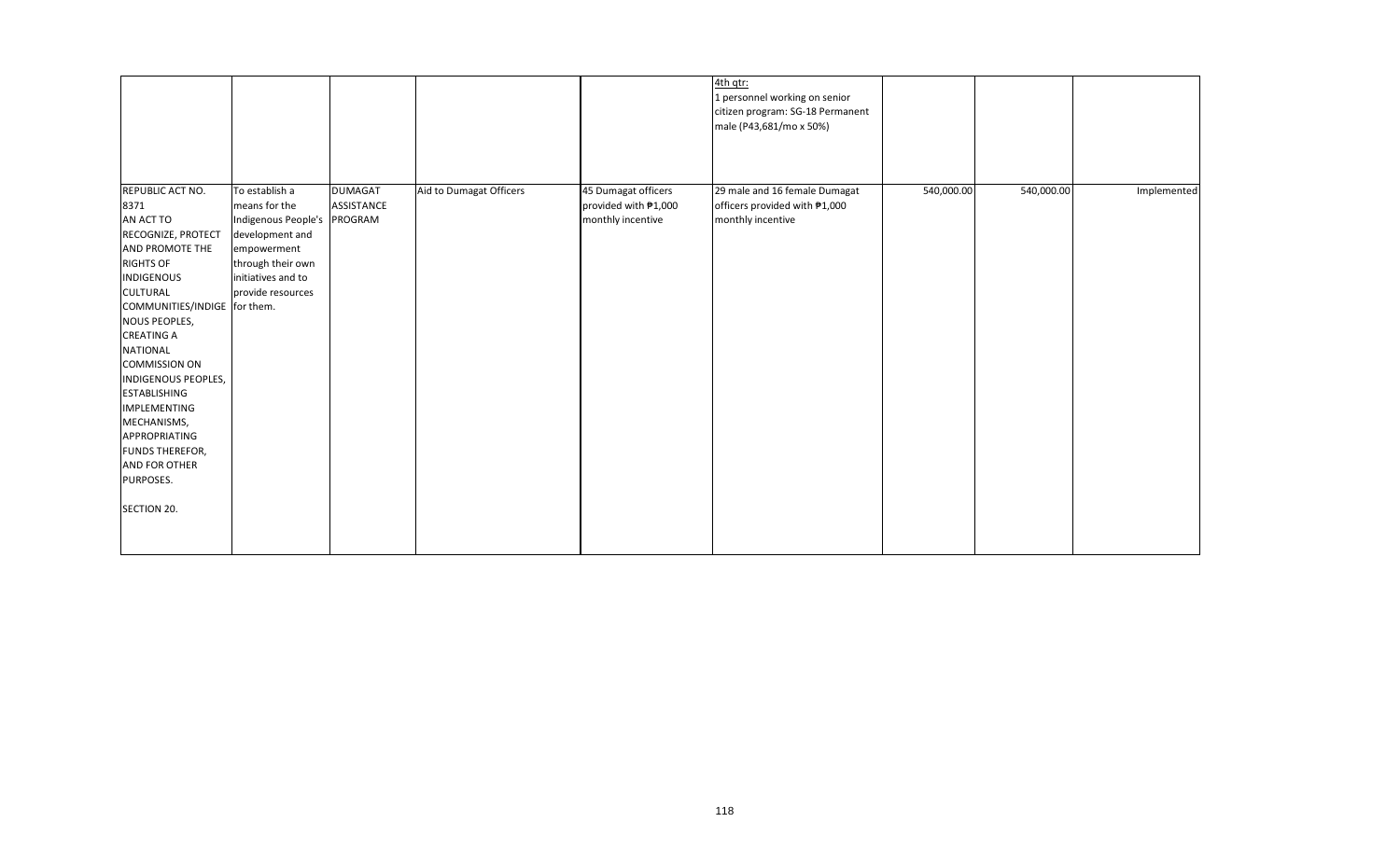|                                                                                                                                                                                                                                                                                                                                                                                                                                                                                                                                                                                                            |                                                                    |                                                                  | 4th qtr:<br>1 personnel working on senior<br>citizen program: SG-18 Permanent<br>male (P43,681/mo x 50%) |            |            |             |
|------------------------------------------------------------------------------------------------------------------------------------------------------------------------------------------------------------------------------------------------------------------------------------------------------------------------------------------------------------------------------------------------------------------------------------------------------------------------------------------------------------------------------------------------------------------------------------------------------------|--------------------------------------------------------------------|------------------------------------------------------------------|----------------------------------------------------------------------------------------------------------|------------|------------|-------------|
| REPUBLIC ACT NO.<br>To establish a<br>8371<br>means for the<br>AN ACT TO<br>Indigenous People's<br>development and<br>RECOGNIZE, PROTECT<br>AND PROMOTE THE<br>empowerment<br><b>RIGHTS OF</b><br>through their own<br><b>INDIGENOUS</b><br>initiatives and to<br>provide resources<br><b>CULTURAL</b><br>COMMUNITIES/INDIGE for them.<br><b>NOUS PEOPLES,</b><br><b>CREATING A</b><br><b>NATIONAL</b><br><b>COMMISSION ON</b><br>INDIGENOUS PEOPLES,<br><b>ESTABLISHING</b><br><b>IMPLEMENTING</b><br>MECHANISMS,<br>APPROPRIATING<br>FUNDS THEREFOR,<br><b>AND FOR OTHER</b><br>PURPOSES.<br>SECTION 20. | <b>DUMAGAT</b><br>Aid to Dumagat Officers<br>ASSISTANCE<br>PROGRAM | 45 Dumagat officers<br>provided with #1,000<br>monthly incentive | 29 male and 16 female Dumagat<br>officers provided with #1,000<br>monthly incentive                      | 540,000.00 | 540,000.00 | Implemented |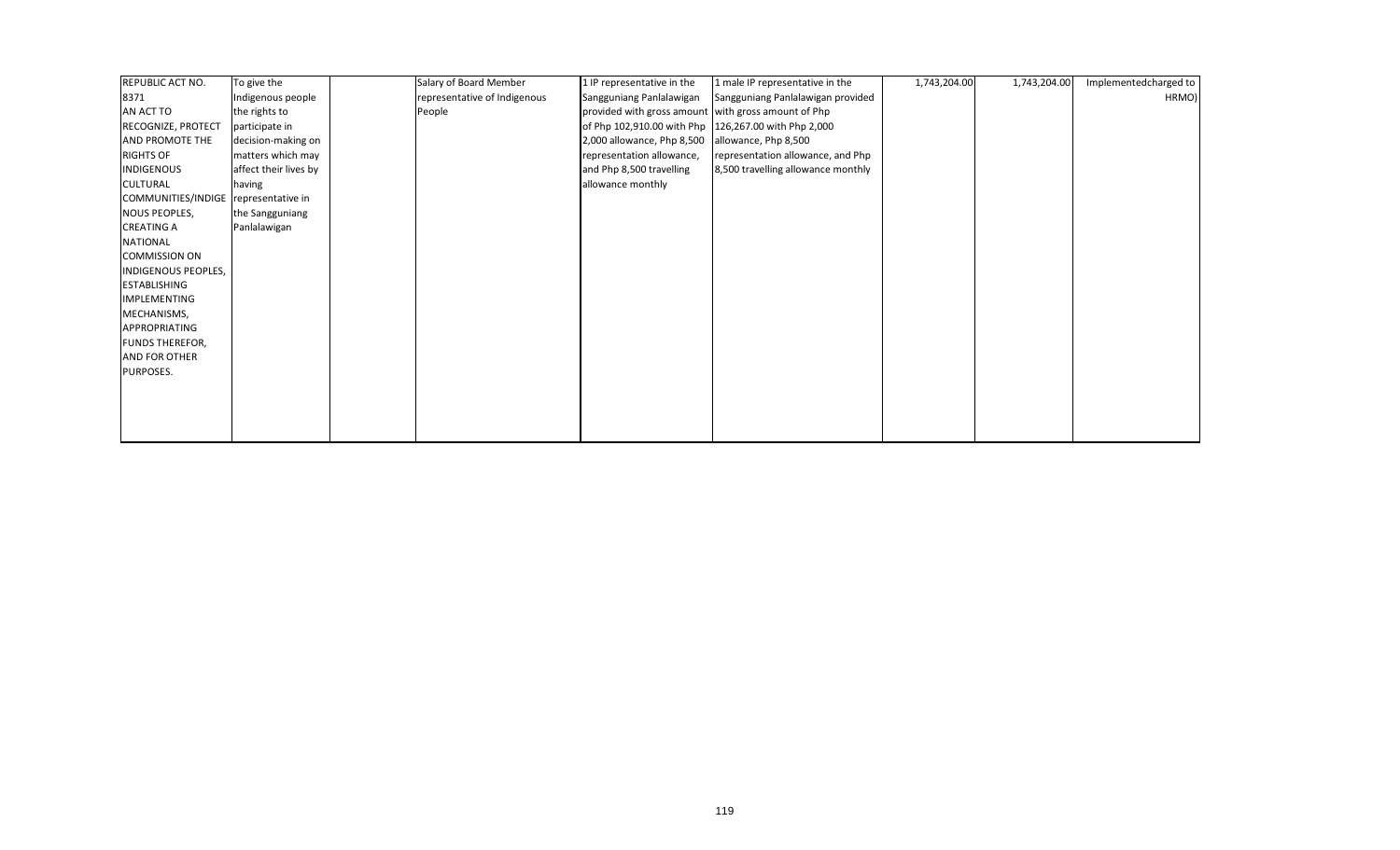| REPUBLIC ACT NO.                     | To give the           | Salary of Board Member       | 1 IP representative in the                           | 1 male IP representative in the    | 1,743,204.00 | 1,743,204.00 | Implementedcharged to |
|--------------------------------------|-----------------------|------------------------------|------------------------------------------------------|------------------------------------|--------------|--------------|-----------------------|
| 8371                                 | Indigenous people     | representative of Indigenous | Sangguniang Panlalawigan                             | Sangguniang Panlalawigan provided  |              |              | HRMO)                 |
| AN ACT TO                            | the rights to         | People                       | provided with gross amount with gross amount of Php  |                                    |              |              |                       |
| RECOGNIZE, PROTECT                   | participate in        |                              | of Php 102,910.00 with Php 126,267.00 with Php 2,000 |                                    |              |              |                       |
| AND PROMOTE THE                      | decision-making on    |                              | 2,000 allowance, Php 8,500                           | allowance, Php 8,500               |              |              |                       |
| <b>RIGHTS OF</b>                     | matters which may     |                              | representation allowance,                            | representation allowance, and Php  |              |              |                       |
| <b>INDIGENOUS</b>                    | affect their lives by |                              | and Php 8,500 travelling                             | 8,500 travelling allowance monthly |              |              |                       |
| CULTURAL                             | having                |                              | allowance monthly                                    |                                    |              |              |                       |
| COMMUNITIES/INDIGE representative in |                       |                              |                                                      |                                    |              |              |                       |
| NOUS PEOPLES,                        | the Sangguniang       |                              |                                                      |                                    |              |              |                       |
| <b>CREATING A</b>                    | Panlalawigan          |                              |                                                      |                                    |              |              |                       |
| <b>NATIONAL</b>                      |                       |                              |                                                      |                                    |              |              |                       |
| <b>COMMISSION ON</b>                 |                       |                              |                                                      |                                    |              |              |                       |
| <b>INDIGENOUS PEOPLES,</b>           |                       |                              |                                                      |                                    |              |              |                       |
| <b>ESTABLISHING</b>                  |                       |                              |                                                      |                                    |              |              |                       |
| <b>IMPLEMENTING</b>                  |                       |                              |                                                      |                                    |              |              |                       |
| MECHANISMS,                          |                       |                              |                                                      |                                    |              |              |                       |
| APPROPRIATING                        |                       |                              |                                                      |                                    |              |              |                       |
| <b>FUNDS THEREFOR,</b>               |                       |                              |                                                      |                                    |              |              |                       |
| AND FOR OTHER                        |                       |                              |                                                      |                                    |              |              |                       |
| PURPOSES.                            |                       |                              |                                                      |                                    |              |              |                       |
|                                      |                       |                              |                                                      |                                    |              |              |                       |
|                                      |                       |                              |                                                      |                                    |              |              |                       |
|                                      |                       |                              |                                                      |                                    |              |              |                       |
|                                      |                       |                              |                                                      |                                    |              |              |                       |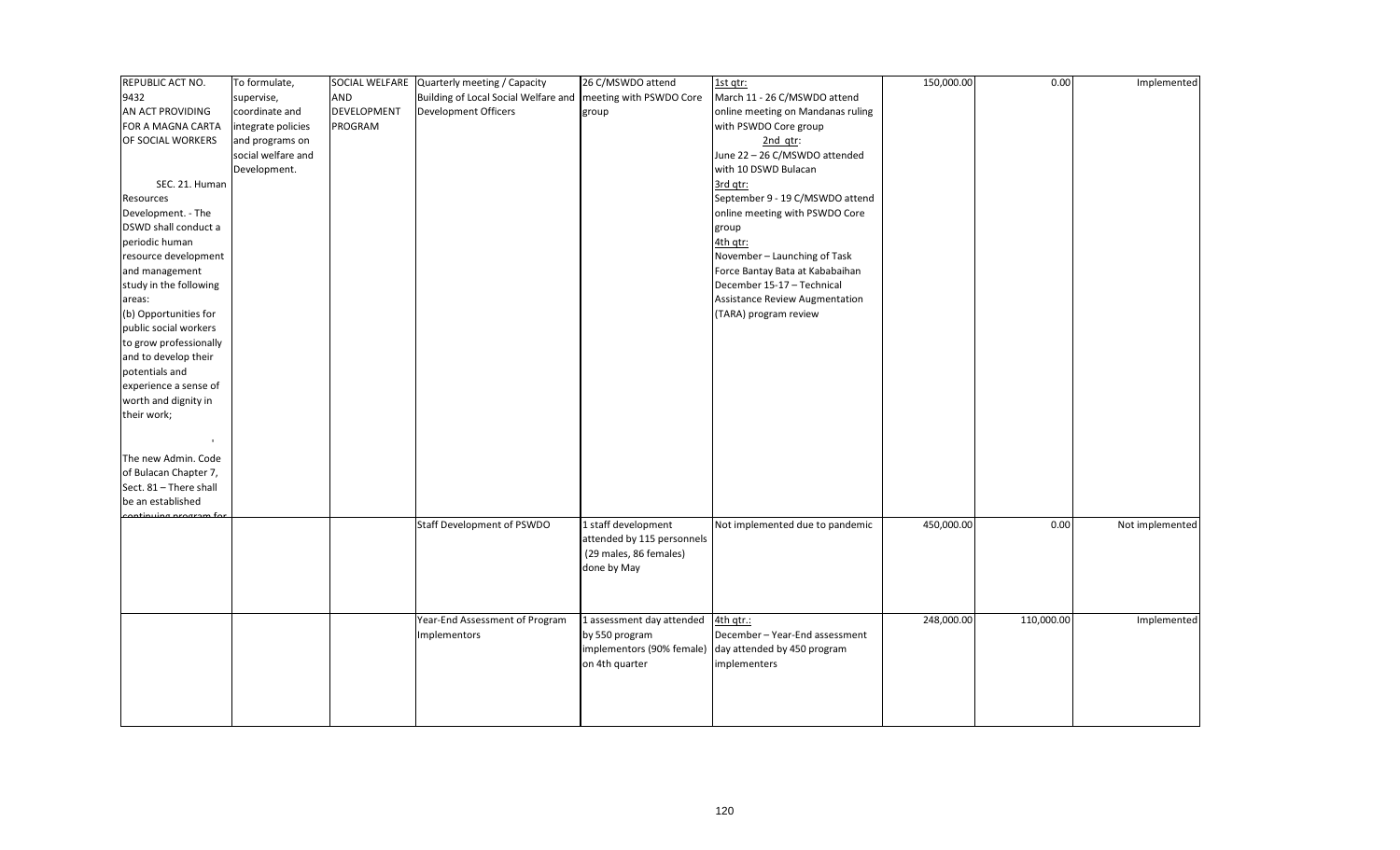| REPUBLIC ACT NO.       | To formulate,      |                    | SOCIAL WELFARE Quarterly meeting / Capacity                    | 26 C/MSWDO attend          | 1st qtr:                                              | 150,000.00 | 0.00       | Implemented     |
|------------------------|--------------------|--------------------|----------------------------------------------------------------|----------------------------|-------------------------------------------------------|------------|------------|-----------------|
| 9432                   | supervise,         | AND                | Building of Local Social Welfare and   meeting with PSWDO Core |                            | March 11 - 26 C/MSWDO attend                          |            |            |                 |
| AN ACT PROVIDING       | coordinate and     | <b>DEVELOPMENT</b> | Development Officers                                           | group                      | online meeting on Mandanas ruling                     |            |            |                 |
| FOR A MAGNA CARTA      | integrate policies | PROGRAM            |                                                                |                            | with PSWDO Core group                                 |            |            |                 |
| OF SOCIAL WORKERS      | and programs on    |                    |                                                                |                            | $2nd$ qtr:                                            |            |            |                 |
|                        | social welfare and |                    |                                                                |                            | June 22 - 26 C/MSWDO attended                         |            |            |                 |
|                        | Development.       |                    |                                                                |                            | with 10 DSWD Bulacan                                  |            |            |                 |
| SEC. 21. Human         |                    |                    |                                                                |                            | 3rd qtr:                                              |            |            |                 |
| Resources              |                    |                    |                                                                |                            | September 9 - 19 C/MSWDO attend                       |            |            |                 |
| Development. - The     |                    |                    |                                                                |                            | online meeting with PSWDO Core                        |            |            |                 |
| DSWD shall conduct a   |                    |                    |                                                                |                            | group                                                 |            |            |                 |
| periodic human         |                    |                    |                                                                |                            | 4th qtr:                                              |            |            |                 |
| resource development   |                    |                    |                                                                |                            | November - Launching of Task                          |            |            |                 |
| and management         |                    |                    |                                                                |                            | Force Bantay Bata at Kababaihan                       |            |            |                 |
| study in the following |                    |                    |                                                                |                            | December 15-17 - Technical                            |            |            |                 |
| areas:                 |                    |                    |                                                                |                            | Assistance Review Augmentation                        |            |            |                 |
| (b) Opportunities for  |                    |                    |                                                                |                            | (TARA) program review                                 |            |            |                 |
| public social workers  |                    |                    |                                                                |                            |                                                       |            |            |                 |
| to grow professionally |                    |                    |                                                                |                            |                                                       |            |            |                 |
| and to develop their   |                    |                    |                                                                |                            |                                                       |            |            |                 |
| potentials and         |                    |                    |                                                                |                            |                                                       |            |            |                 |
| experience a sense of  |                    |                    |                                                                |                            |                                                       |            |            |                 |
| worth and dignity in   |                    |                    |                                                                |                            |                                                       |            |            |                 |
| their work;            |                    |                    |                                                                |                            |                                                       |            |            |                 |
|                        |                    |                    |                                                                |                            |                                                       |            |            |                 |
|                        |                    |                    |                                                                |                            |                                                       |            |            |                 |
| The new Admin. Code    |                    |                    |                                                                |                            |                                                       |            |            |                 |
| of Bulacan Chapter 7,  |                    |                    |                                                                |                            |                                                       |            |            |                 |
| Sect. 81 - There shall |                    |                    |                                                                |                            |                                                       |            |            |                 |
| be an established      |                    |                    |                                                                |                            |                                                       |            |            |                 |
| continuing program fo  |                    |                    |                                                                |                            |                                                       |            |            |                 |
|                        |                    |                    | Staff Development of PSWDO                                     | 1 staff development        | Not implemented due to pandemic                       | 450,000.00 | 0.00       | Not implemented |
|                        |                    |                    |                                                                | attended by 115 personnels |                                                       |            |            |                 |
|                        |                    |                    |                                                                | (29 males, 86 females)     |                                                       |            |            |                 |
|                        |                    |                    |                                                                | done by May                |                                                       |            |            |                 |
|                        |                    |                    |                                                                |                            |                                                       |            |            |                 |
|                        |                    |                    |                                                                |                            |                                                       |            |            |                 |
|                        |                    |                    | Year-End Assessment of Program                                 | 1 assessment day attended  | 4th gtr.:                                             | 248,000.00 | 110,000.00 | Implemented     |
|                        |                    |                    | <b>Implementors</b>                                            | by 550 program             | December-Year-End assessment                          |            |            |                 |
|                        |                    |                    |                                                                |                            | implementors (90% female) day attended by 450 program |            |            |                 |
|                        |                    |                    |                                                                | on 4th quarter             | implementers                                          |            |            |                 |
|                        |                    |                    |                                                                |                            |                                                       |            |            |                 |
|                        |                    |                    |                                                                |                            |                                                       |            |            |                 |
|                        |                    |                    |                                                                |                            |                                                       |            |            |                 |
|                        |                    |                    |                                                                |                            |                                                       |            |            |                 |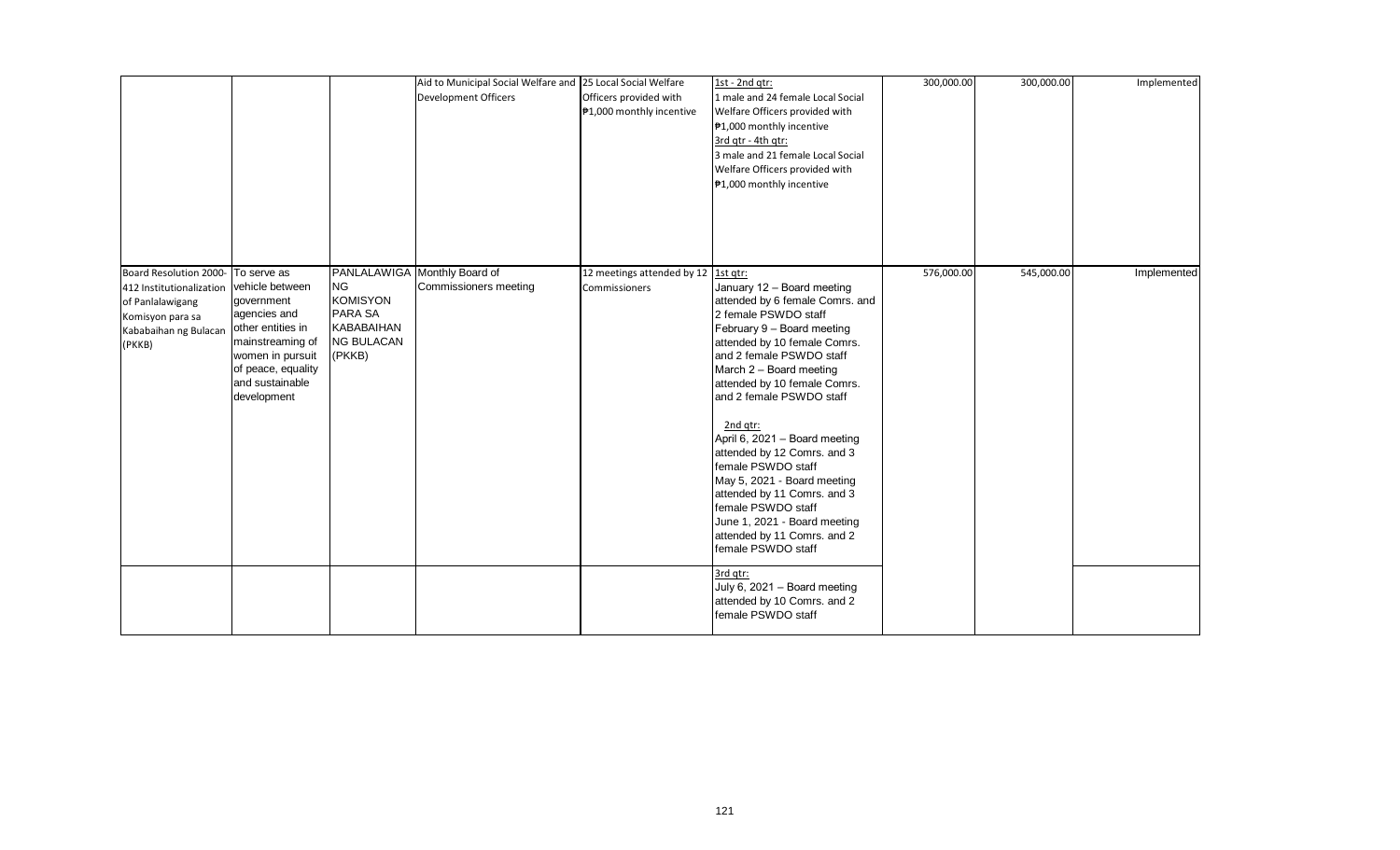|                                                                                                                               |                                                                                                                                                                                   |                                                                                             | Aid to Municipal Social Welfare and 25 Local Social Welfare<br>Development Officers | Officers provided with<br>₱1,000 monthly incentive   | 1st - 2nd qtr:<br>1 male and 24 female Local Social<br>Welfare Officers provided with<br>₱1,000 monthly incentive<br>3rd gtr - 4th gtr:<br>3 male and 21 female Local Social<br>Welfare Officers provided with<br>₱1,000 monthly incentive                                                                                                                                                                                                                                                                                                        | 300,000.00 | 300,000.00 | Implemented |
|-------------------------------------------------------------------------------------------------------------------------------|-----------------------------------------------------------------------------------------------------------------------------------------------------------------------------------|---------------------------------------------------------------------------------------------|-------------------------------------------------------------------------------------|------------------------------------------------------|---------------------------------------------------------------------------------------------------------------------------------------------------------------------------------------------------------------------------------------------------------------------------------------------------------------------------------------------------------------------------------------------------------------------------------------------------------------------------------------------------------------------------------------------------|------------|------------|-------------|
| Board Resolution 2000-<br>412 Institutionalization<br>of Panlalawigang<br>Komisyon para sa<br>Kababaihan ng Bulacan<br>(PKKB) | To serve as<br>vehicle between<br>government<br>agencies and<br>other entities in<br>mainstreaming of<br>women in pursuit<br>of peace, equality<br>and sustainable<br>development | <b>NG</b><br><b>KOMISYON</b><br>PARA SA<br><b>KABABAIHAN</b><br><b>NG BULACAN</b><br>(PKKB) | PANLALAWIGA Monthly Board of<br>Commissioners meeting                               | 12 meetings attended by 12 1st qtr:<br>Commissioners | January 12 - Board meeting<br>attended by 6 female Comrs. and<br>2 female PSWDO staff<br>February 9 - Board meeting<br>attended by 10 female Comrs.<br>and 2 female PSWDO staff<br>March 2 - Board meeting<br>attended by 10 female Comrs.<br>and 2 female PSWDO staff<br>2nd qtr:<br>April 6, 2021 - Board meeting<br>attended by 12 Comrs. and 3<br>female PSWDO staff<br>May 5, 2021 - Board meeting<br>attended by 11 Comrs. and 3<br>female PSWDO staff<br>June 1, 2021 - Board meeting<br>attended by 11 Comrs. and 2<br>female PSWDO staff | 576,000.00 | 545,000.00 | Implemented |
|                                                                                                                               |                                                                                                                                                                                   |                                                                                             |                                                                                     |                                                      | 3rd qtr:<br>July 6, 2021 - Board meeting<br>attended by 10 Comrs. and 2<br>female PSWDO staff                                                                                                                                                                                                                                                                                                                                                                                                                                                     |            |            |             |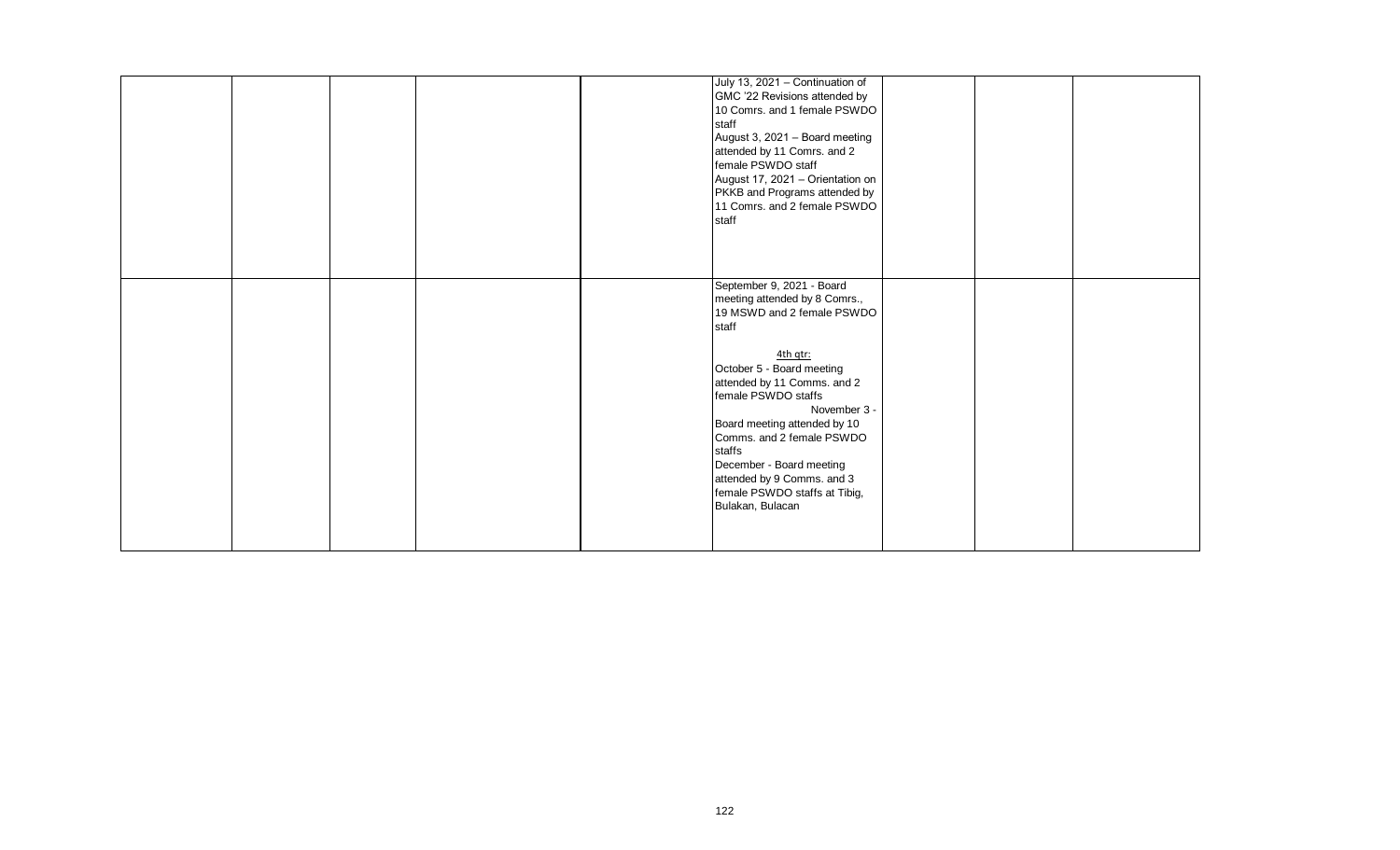|  |  | July 13, 2021 - Continuation of<br>GMC '22 Revisions attended by<br>10 Comrs. and 1 female PSWDO<br>staff<br>August 3, 2021 - Board meeting<br>attended by 11 Comrs. and 2<br>female PSWDO staff<br>August 17, 2021 - Orientation on<br>PKKB and Programs attended by<br>11 Comrs. and 2 female PSWDO<br>staff<br>September 9, 2021 - Board                               |  |  |
|--|--|---------------------------------------------------------------------------------------------------------------------------------------------------------------------------------------------------------------------------------------------------------------------------------------------------------------------------------------------------------------------------|--|--|
|  |  | meeting attended by 8 Comrs.,<br>19 MSWD and 2 female PSWDO<br>staff<br>4th qtr:<br>October 5 - Board meeting<br>attended by 11 Comms. and 2<br>female PSWDO staffs<br>November 3 -<br>Board meeting attended by 10<br>Comms. and 2 female PSWDO<br>staffs<br>December - Board meeting<br>attended by 9 Comms. and 3<br>female PSWDO staffs at Tibig,<br>Bulakan, Bulacan |  |  |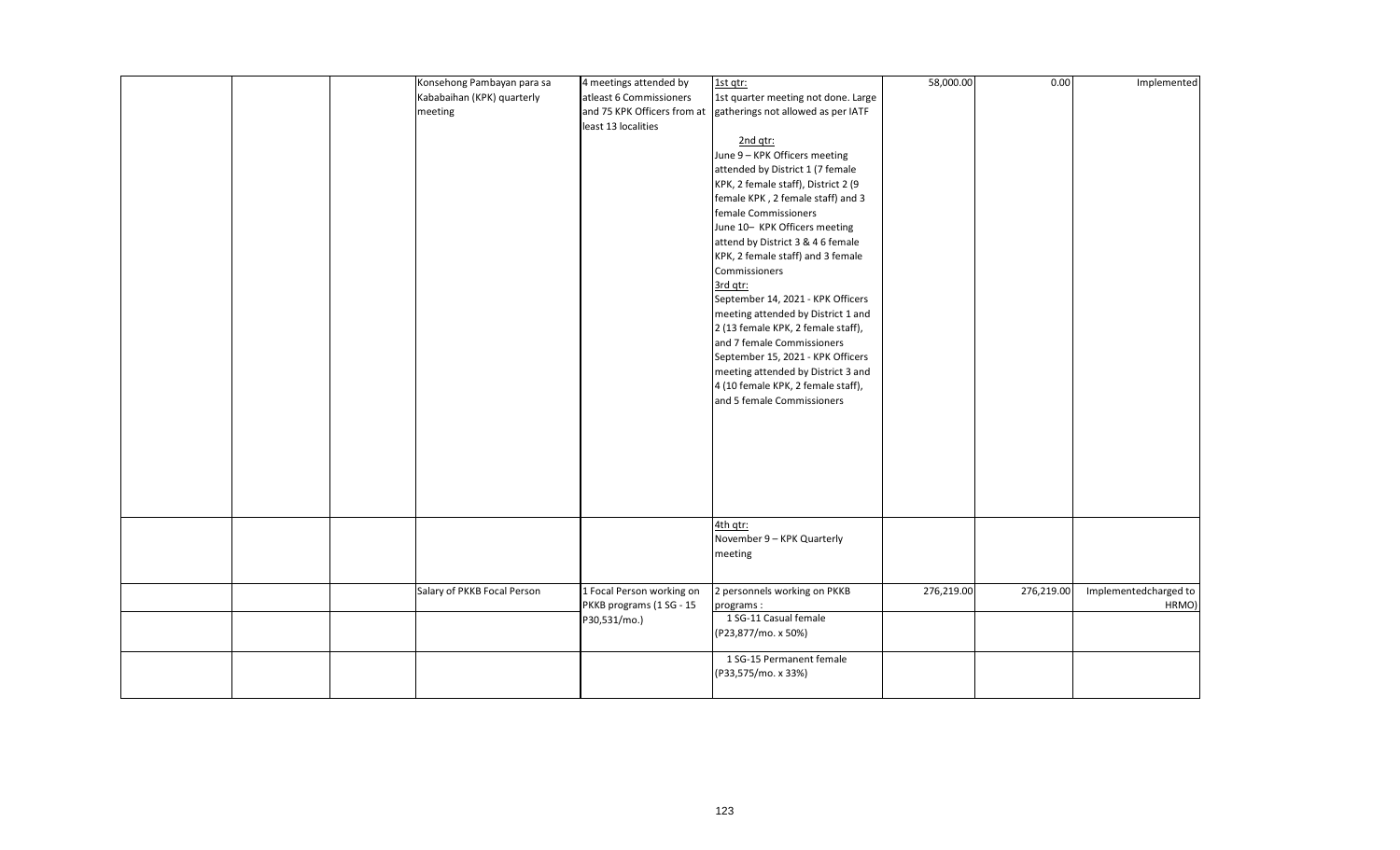|  | Konsehong Pambayan para sa  | 4 meetings attended by      | 1st qtr:                            | 58,000.00  | 0.00       | Implemented           |
|--|-----------------------------|-----------------------------|-------------------------------------|------------|------------|-----------------------|
|  | Kababaihan (KPK) quarterly  | atleast 6 Commissioners     | 1st quarter meeting not done. Large |            |            |                       |
|  |                             |                             |                                     |            |            |                       |
|  | meeting                     | and 75 KPK Officers from at | gatherings not allowed as per IATF  |            |            |                       |
|  |                             | least 13 localities         |                                     |            |            |                       |
|  |                             |                             | 2nd qtr:                            |            |            |                       |
|  |                             |                             | June 9 - KPK Officers meeting       |            |            |                       |
|  |                             |                             | attended by District 1 (7 female    |            |            |                       |
|  |                             |                             | KPK, 2 female staff), District 2 (9 |            |            |                       |
|  |                             |                             | female KPK, 2 female staff) and 3   |            |            |                       |
|  |                             |                             | female Commissioners                |            |            |                       |
|  |                             |                             | June 10- KPK Officers meeting       |            |            |                       |
|  |                             |                             | attend by District 3 & 4 6 female   |            |            |                       |
|  |                             |                             | KPK, 2 female staff) and 3 female   |            |            |                       |
|  |                             |                             | Commissioners                       |            |            |                       |
|  |                             |                             | 3rd qtr:                            |            |            |                       |
|  |                             |                             | September 14, 2021 - KPK Officers   |            |            |                       |
|  |                             |                             | meeting attended by District 1 and  |            |            |                       |
|  |                             |                             | 2 (13 female KPK, 2 female staff),  |            |            |                       |
|  |                             |                             | and 7 female Commissioners          |            |            |                       |
|  |                             |                             | September 15, 2021 - KPK Officers   |            |            |                       |
|  |                             |                             | meeting attended by District 3 and  |            |            |                       |
|  |                             |                             | 4 (10 female KPK, 2 female staff),  |            |            |                       |
|  |                             |                             | and 5 female Commissioners          |            |            |                       |
|  |                             |                             |                                     |            |            |                       |
|  |                             |                             |                                     |            |            |                       |
|  |                             |                             |                                     |            |            |                       |
|  |                             |                             |                                     |            |            |                       |
|  |                             |                             |                                     |            |            |                       |
|  |                             |                             |                                     |            |            |                       |
|  |                             |                             |                                     |            |            |                       |
|  |                             |                             |                                     |            |            |                       |
|  |                             |                             |                                     |            |            |                       |
|  |                             |                             | 4th gtr:                            |            |            |                       |
|  |                             |                             | November 9 - KPK Quarterly          |            |            |                       |
|  |                             |                             | meeting                             |            |            |                       |
|  |                             |                             |                                     |            |            |                       |
|  | Salary of PKKB Focal Person | 1 Focal Person working on   | 2 personnels working on PKKB        | 276,219.00 | 276,219.00 | Implementedcharged to |
|  |                             | PKKB programs (1 SG - 15    | programs:                           |            |            | HRMO)                 |
|  |                             | P30,531/mo.)                | 1 SG-11 Casual female               |            |            |                       |
|  |                             |                             | (P23,877/mo. x 50%)                 |            |            |                       |
|  |                             |                             |                                     |            |            |                       |
|  |                             |                             | 1 SG-15 Permanent female            |            |            |                       |
|  |                             |                             | (P33,575/mo. x 33%)                 |            |            |                       |
|  |                             |                             |                                     |            |            |                       |
|  |                             |                             |                                     |            |            |                       |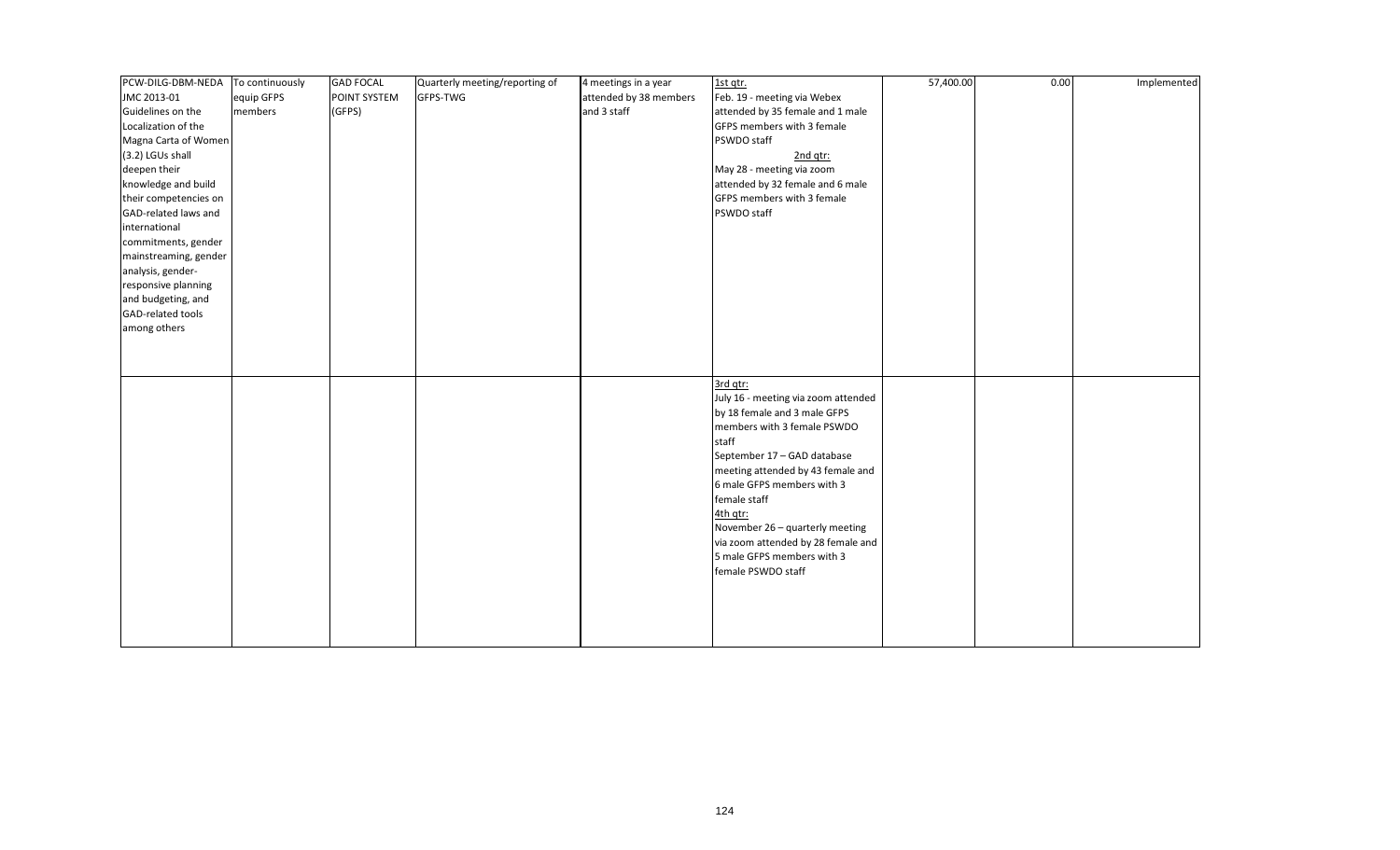| PCW-DILG-DBM-NEDA     | To continuously | <b>GAD FOCAL</b> | Quarterly meeting/reporting of | 4 meetings in a year   | 1st qtr.                            | 57,400.00 | 0.00 | Implemented |
|-----------------------|-----------------|------------------|--------------------------------|------------------------|-------------------------------------|-----------|------|-------------|
| JMC 2013-01           | equip GFPS      | POINT SYSTEM     | GFPS-TWG                       | attended by 38 members | Feb. 19 - meeting via Webex         |           |      |             |
| Guidelines on the     | members         | (GFPS)           |                                | and 3 staff            | attended by 35 female and 1 male    |           |      |             |
| Localization of the   |                 |                  |                                |                        | GFPS members with 3 female          |           |      |             |
| Magna Carta of Women  |                 |                  |                                |                        | PSWDO staff                         |           |      |             |
| (3.2) LGUs shall      |                 |                  |                                |                        | 2nd qtr:                            |           |      |             |
| deepen their          |                 |                  |                                |                        | May 28 - meeting via zoom           |           |      |             |
| knowledge and build   |                 |                  |                                |                        | attended by 32 female and 6 male    |           |      |             |
| their competencies on |                 |                  |                                |                        | GFPS members with 3 female          |           |      |             |
| GAD-related laws and  |                 |                  |                                |                        | PSWDO staff                         |           |      |             |
| international         |                 |                  |                                |                        |                                     |           |      |             |
| commitments, gender   |                 |                  |                                |                        |                                     |           |      |             |
| mainstreaming, gender |                 |                  |                                |                        |                                     |           |      |             |
| analysis, gender-     |                 |                  |                                |                        |                                     |           |      |             |
| responsive planning   |                 |                  |                                |                        |                                     |           |      |             |
| and budgeting, and    |                 |                  |                                |                        |                                     |           |      |             |
| GAD-related tools     |                 |                  |                                |                        |                                     |           |      |             |
| among others          |                 |                  |                                |                        |                                     |           |      |             |
|                       |                 |                  |                                |                        |                                     |           |      |             |
|                       |                 |                  |                                |                        |                                     |           |      |             |
|                       |                 |                  |                                |                        |                                     |           |      |             |
|                       |                 |                  |                                |                        | 3rd qtr:                            |           |      |             |
|                       |                 |                  |                                |                        | July 16 - meeting via zoom attended |           |      |             |
|                       |                 |                  |                                |                        | by 18 female and 3 male GFPS        |           |      |             |
|                       |                 |                  |                                |                        | members with 3 female PSWDO         |           |      |             |
|                       |                 |                  |                                |                        | staff                               |           |      |             |
|                       |                 |                  |                                |                        | September 17 - GAD database         |           |      |             |
|                       |                 |                  |                                |                        | meeting attended by 43 female and   |           |      |             |
|                       |                 |                  |                                |                        | 6 male GFPS members with 3          |           |      |             |
|                       |                 |                  |                                |                        | female staff                        |           |      |             |
|                       |                 |                  |                                |                        | 4th qtr:                            |           |      |             |
|                       |                 |                  |                                |                        | November 26 - quarterly meeting     |           |      |             |
|                       |                 |                  |                                |                        | via zoom attended by 28 female and  |           |      |             |
|                       |                 |                  |                                |                        | 5 male GFPS members with 3          |           |      |             |
|                       |                 |                  |                                |                        | female PSWDO staff                  |           |      |             |
|                       |                 |                  |                                |                        |                                     |           |      |             |
|                       |                 |                  |                                |                        |                                     |           |      |             |
|                       |                 |                  |                                |                        |                                     |           |      |             |
|                       |                 |                  |                                |                        |                                     |           |      |             |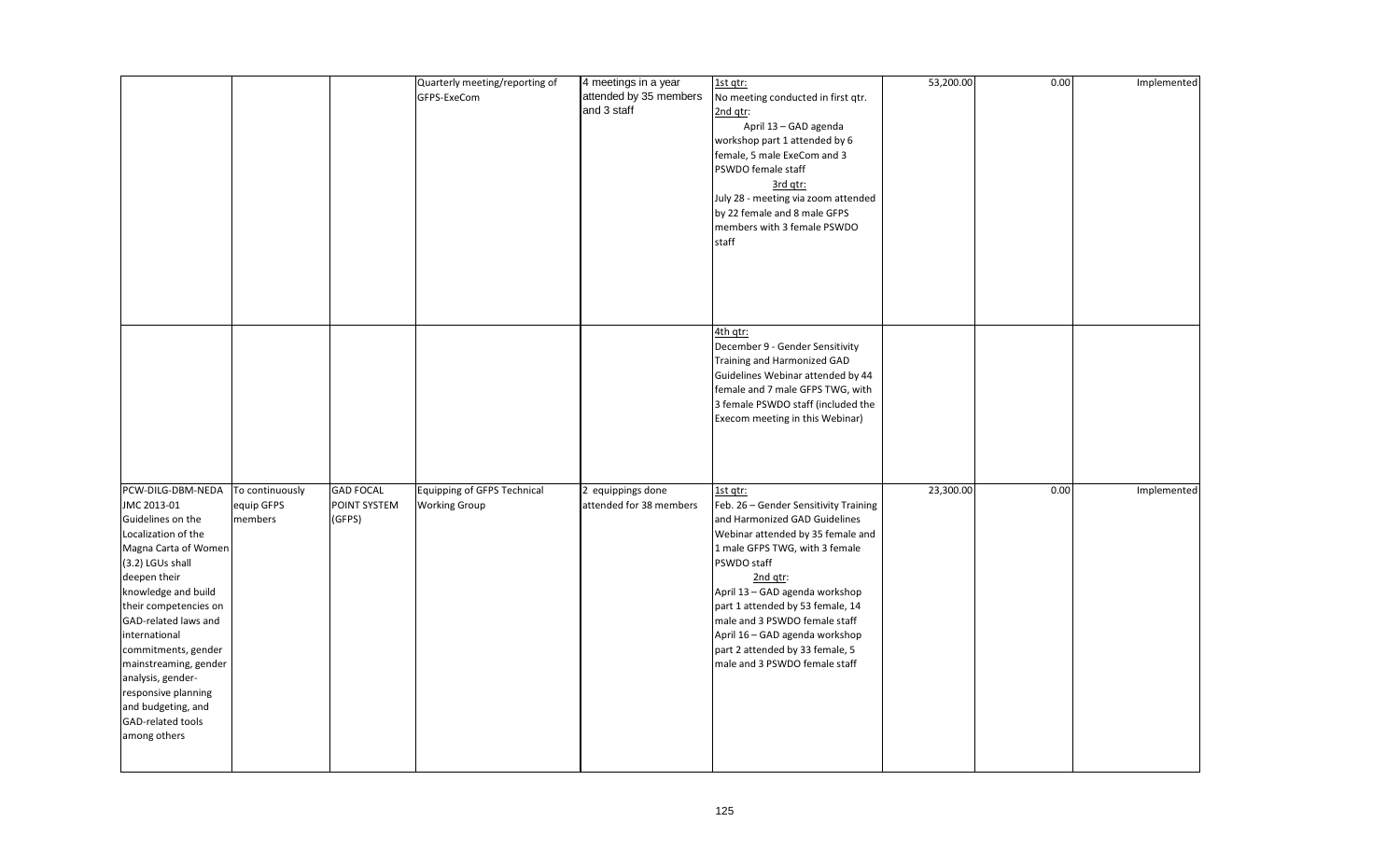|                                                                                                                                                                                                                                                                                                                                                                                          |                                          |                                            | Quarterly meeting/reporting of<br>GFPS-ExeCom              | 4 meetings in a year<br>attended by 35 members<br>and 3 staff | 1st qtr:<br>No meeting conducted in first qtr.<br>2nd qtr:<br>April 13 - GAD agenda<br>workshop part 1 attended by 6<br>female, 5 male ExeCom and 3<br>PSWDO female staff<br>3rd qtr:<br>July 28 - meeting via zoom attended<br>by 22 female and 8 male GFPS<br>members with 3 female PSWDO<br>staff                                                                                              | 53,200.00 | 0.00 | Implemented |
|------------------------------------------------------------------------------------------------------------------------------------------------------------------------------------------------------------------------------------------------------------------------------------------------------------------------------------------------------------------------------------------|------------------------------------------|--------------------------------------------|------------------------------------------------------------|---------------------------------------------------------------|---------------------------------------------------------------------------------------------------------------------------------------------------------------------------------------------------------------------------------------------------------------------------------------------------------------------------------------------------------------------------------------------------|-----------|------|-------------|
|                                                                                                                                                                                                                                                                                                                                                                                          |                                          |                                            |                                                            |                                                               | 4th qtr:<br>December 9 - Gender Sensitivity<br>Training and Harmonized GAD<br>Guidelines Webinar attended by 44<br>female and 7 male GFPS TWG, with<br>3 female PSWDO staff (included the<br>Execom meeting in this Webinar)                                                                                                                                                                      |           |      |             |
| PCW-DILG-DBM-NEDA<br>JMC 2013-01<br>Guidelines on the<br>Localization of the<br>Magna Carta of Women<br>(3.2) LGUs shall<br>deepen their<br>knowledge and build<br>their competencies on<br>GAD-related laws and<br>international<br>commitments, gender<br>mainstreaming, gender<br>analysis, gender-<br>responsive planning<br>and budgeting, and<br>GAD-related tools<br>among others | To continuously<br>equip GFPS<br>members | <b>GAD FOCAL</b><br>POINT SYSTEM<br>(GFPS) | <b>Equipping of GFPS Technical</b><br><b>Working Group</b> | 2 equippings done<br>attended for 38 members                  | 1st qtr:<br>Feb. 26 - Gender Sensitivity Training<br>and Harmonized GAD Guidelines<br>Webinar attended by 35 female and<br>1 male GFPS TWG, with 3 female<br>PSWDO staff<br>2nd qtr:<br>April 13 - GAD agenda workshop<br>part 1 attended by 53 female, 14<br>male and 3 PSWDO female staff<br>April 16 - GAD agenda workshop<br>part 2 attended by 33 female, 5<br>male and 3 PSWDO female staff | 23,300.00 | 0.00 | Implemented |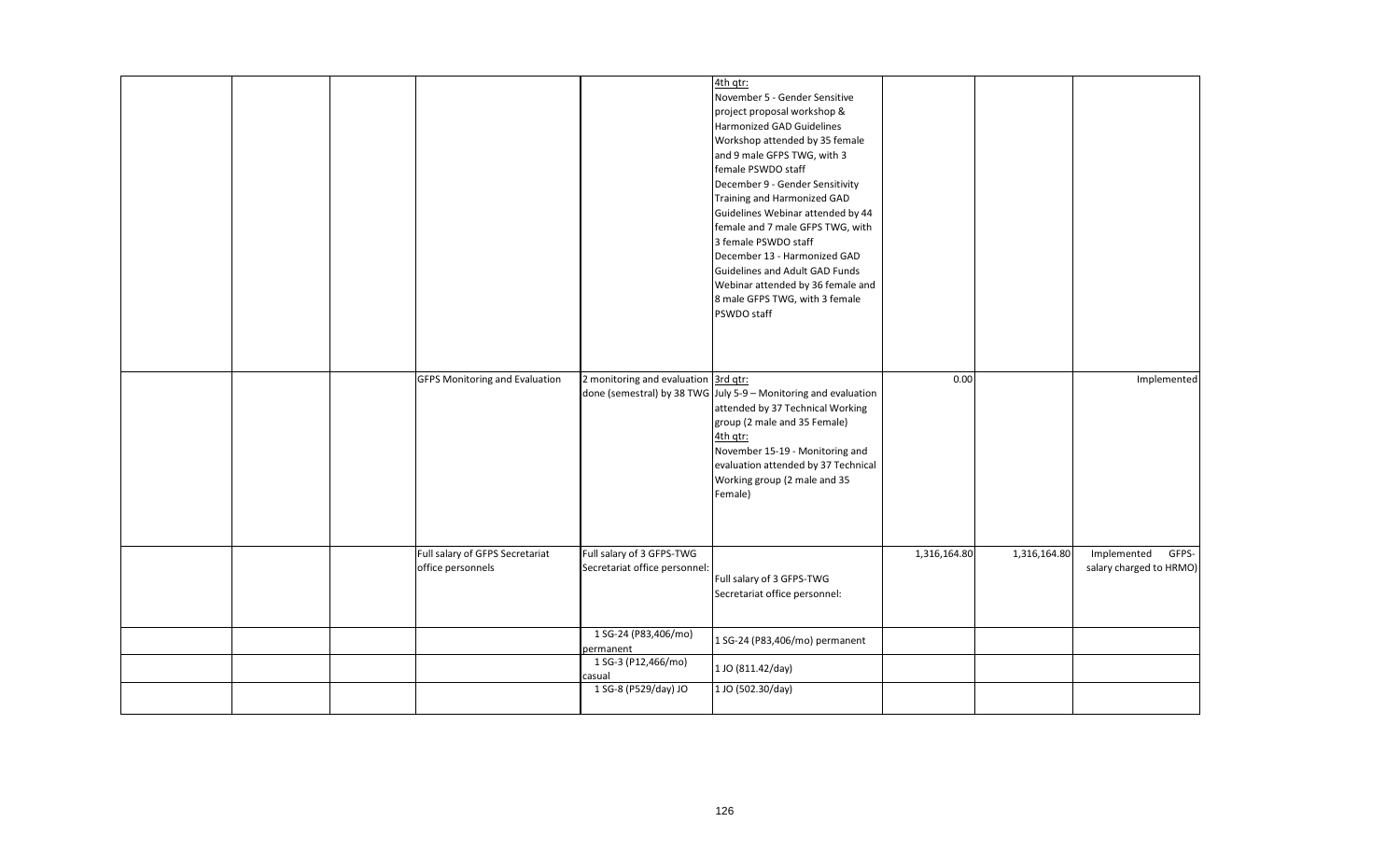|  |                                                      |                                                            | 4th qtr:<br>November 5 - Gender Sensitive<br>project proposal workshop &<br>Harmonized GAD Guidelines<br>Workshop attended by 35 female<br>and 9 male GFPS TWG, with 3<br>female PSWDO staff<br>December 9 - Gender Sensitivity<br>Training and Harmonized GAD<br>Guidelines Webinar attended by 44<br>female and 7 male GFPS TWG, with<br>3 female PSWDO staff<br>December 13 - Harmonized GAD<br>Guidelines and Adult GAD Funds<br>Webinar attended by 36 female and<br>8 male GFPS TWG, with 3 female<br>PSWDO staff |              |              |                                                 |
|--|------------------------------------------------------|------------------------------------------------------------|-------------------------------------------------------------------------------------------------------------------------------------------------------------------------------------------------------------------------------------------------------------------------------------------------------------------------------------------------------------------------------------------------------------------------------------------------------------------------------------------------------------------------|--------------|--------------|-------------------------------------------------|
|  | <b>GFPS Monitoring and Evaluation</b>                | 2 monitoring and evaluation 3rd qtr:                       | done (semestral) by 38 TWG July 5-9 - Monitoring and evaluation<br>attended by 37 Technical Working<br>group (2 male and 35 Female)<br>4th qtr:<br>November 15-19 - Monitoring and<br>evaluation attended by 37 Technical<br>Working group (2 male and 35<br>Female)                                                                                                                                                                                                                                                    | 0.00         |              | Implemented                                     |
|  | Full salary of GFPS Secretariat<br>office personnels | Full salary of 3 GFPS-TWG<br>Secretariat office personnel: | Full salary of 3 GFPS-TWG<br>Secretariat office personnel:                                                                                                                                                                                                                                                                                                                                                                                                                                                              | 1,316,164.80 | 1,316,164.80 | Implemented<br>GFPS-<br>salary charged to HRMO) |
|  |                                                      | 1 SG-24 (P83,406/mo)<br>permanent                          | 1 SG-24 (P83,406/mo) permanent                                                                                                                                                                                                                                                                                                                                                                                                                                                                                          |              |              |                                                 |
|  |                                                      | 1 SG-3 (P12,466/mo)<br>casual                              | 1 JO (811.42/day)                                                                                                                                                                                                                                                                                                                                                                                                                                                                                                       |              |              |                                                 |
|  |                                                      | 1 SG-8 (P529/day) JO                                       | 1 JO (502.30/day)                                                                                                                                                                                                                                                                                                                                                                                                                                                                                                       |              |              |                                                 |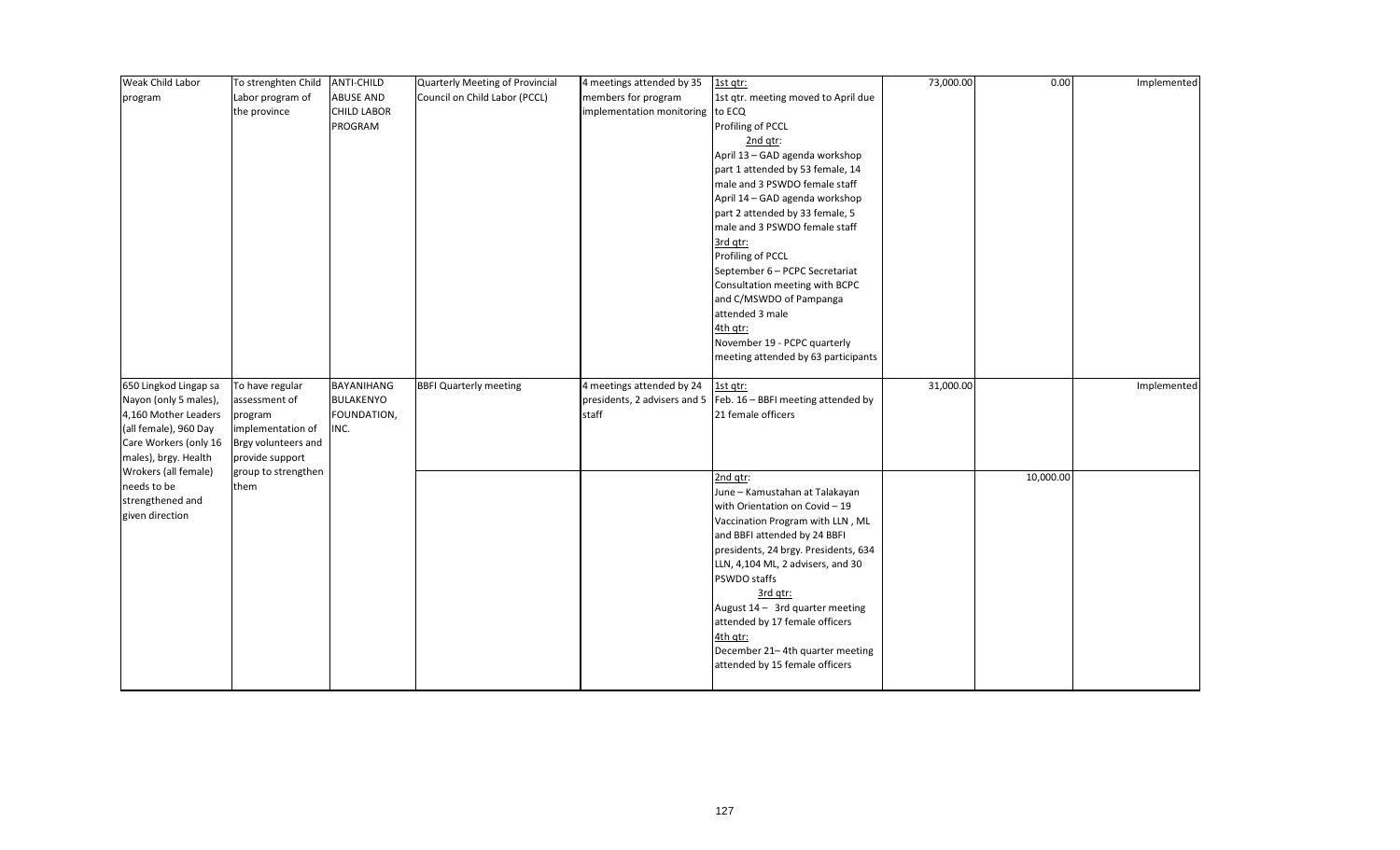| Weak Child Labor      | To strenghten Child | <b>ANTI-CHILD</b>  | Quarterly Meeting of Provincial | 4 meetings attended by 35        | 1st qtr:                                                           | 73,000.00 | 0.00      | Implemented |
|-----------------------|---------------------|--------------------|---------------------------------|----------------------------------|--------------------------------------------------------------------|-----------|-----------|-------------|
| program               | Labor program of    | <b>ABUSE AND</b>   | Council on Child Labor (PCCL)   | members for program              | 1st qtr. meeting moved to April due                                |           |           |             |
|                       | the province        | <b>CHILD LABOR</b> |                                 | implementation monitoring to ECQ |                                                                    |           |           |             |
|                       |                     | PROGRAM            |                                 |                                  | Profiling of PCCL                                                  |           |           |             |
|                       |                     |                    |                                 |                                  | 2nd qtr:                                                           |           |           |             |
|                       |                     |                    |                                 |                                  | April 13 - GAD agenda workshop                                     |           |           |             |
|                       |                     |                    |                                 |                                  | part 1 attended by 53 female, 14                                   |           |           |             |
|                       |                     |                    |                                 |                                  | male and 3 PSWDO female staff                                      |           |           |             |
|                       |                     |                    |                                 |                                  | April 14 - GAD agenda workshop                                     |           |           |             |
|                       |                     |                    |                                 |                                  | part 2 attended by 33 female, 5                                    |           |           |             |
|                       |                     |                    |                                 |                                  | male and 3 PSWDO female staff                                      |           |           |             |
|                       |                     |                    |                                 |                                  | 3rd qtr:                                                           |           |           |             |
|                       |                     |                    |                                 |                                  | Profiling of PCCL                                                  |           |           |             |
|                       |                     |                    |                                 |                                  | September 6 - PCPC Secretariat                                     |           |           |             |
|                       |                     |                    |                                 |                                  | Consultation meeting with BCPC                                     |           |           |             |
|                       |                     |                    |                                 |                                  | and C/MSWDO of Pampanga                                            |           |           |             |
|                       |                     |                    |                                 |                                  | attended 3 male                                                    |           |           |             |
|                       |                     |                    |                                 |                                  | 4th qtr:                                                           |           |           |             |
|                       |                     |                    |                                 |                                  | November 19 - PCPC quarterly                                       |           |           |             |
|                       |                     |                    |                                 |                                  | meeting attended by 63 participants                                |           |           |             |
| 650 Lingkod Lingap sa | To have regular     | BAYANIHANG         | <b>BBFI Quarterly meeting</b>   | 4 meetings attended by 24        | 1st qtr:                                                           | 31,000.00 |           | Implemented |
| Nayon (only 5 males), | assessment of       | BULAKENYO          |                                 |                                  | presidents, 2 advisers and 5   Feb. $16 - BBF$ meeting attended by |           |           |             |
| 4,160 Mother Leaders  | program             | FOUNDATION,        |                                 | staff                            | 21 female officers                                                 |           |           |             |
| (all female), 960 Day | implementation of   | INC.               |                                 |                                  |                                                                    |           |           |             |
| Care Workers (only 16 | Brgy volunteers and |                    |                                 |                                  |                                                                    |           |           |             |
| males), brgy. Health  | provide support     |                    |                                 |                                  |                                                                    |           |           |             |
| Wrokers (all female)  | group to strengthen |                    |                                 |                                  | 2nd qtr:                                                           |           | 10,000.00 |             |
| needs to be           | them                |                    |                                 |                                  | June - Kamustahan at Talakayan                                     |           |           |             |
| strengthened and      |                     |                    |                                 |                                  | with Orientation on Covid - 19                                     |           |           |             |
| given direction       |                     |                    |                                 |                                  | Vaccination Program with LLN, ML                                   |           |           |             |
|                       |                     |                    |                                 |                                  | and BBFI attended by 24 BBFI                                       |           |           |             |
|                       |                     |                    |                                 |                                  | presidents, 24 brgy. Presidents, 634                               |           |           |             |
|                       |                     |                    |                                 |                                  |                                                                    |           |           |             |
|                       |                     |                    |                                 |                                  | LLN, 4,104 ML, 2 advisers, and 30                                  |           |           |             |
|                       |                     |                    |                                 |                                  | PSWDO staffs                                                       |           |           |             |
|                       |                     |                    |                                 |                                  | 3rd qtr:                                                           |           |           |             |
|                       |                     |                    |                                 |                                  | August $14 - 3$ rd quarter meeting                                 |           |           |             |
|                       |                     |                    |                                 |                                  | attended by 17 female officers                                     |           |           |             |
|                       |                     |                    |                                 |                                  | 4th qtr:                                                           |           |           |             |
|                       |                     |                    |                                 |                                  | December 21-4th quarter meeting                                    |           |           |             |
|                       |                     |                    |                                 |                                  | attended by 15 female officers                                     |           |           |             |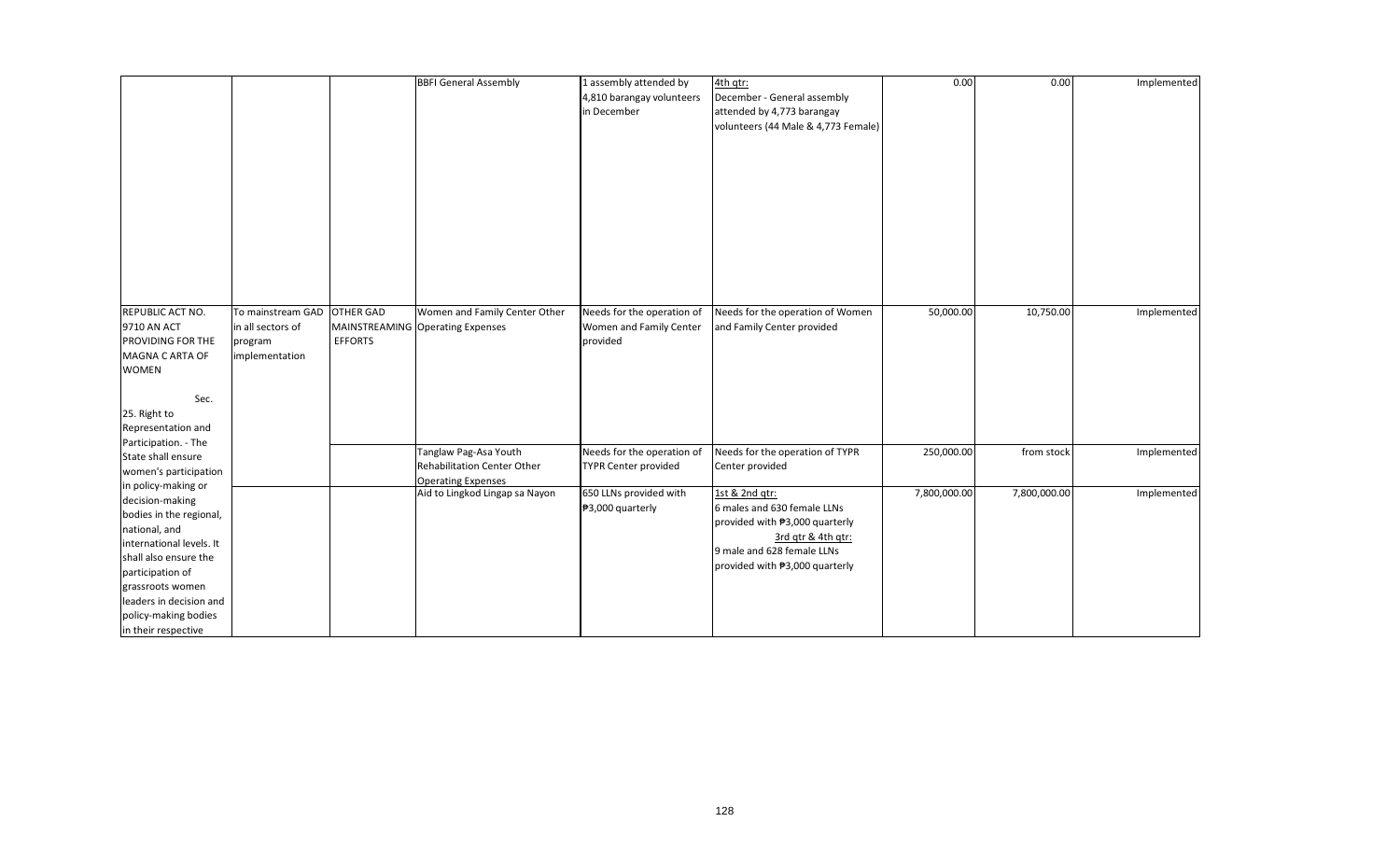|                          |                   |                  | <b>BBFI General Assembly</b>                                | 1 assembly attended by      | 4th qtr:                                         | 0.00         | 0.00         | Implemented |
|--------------------------|-------------------|------------------|-------------------------------------------------------------|-----------------------------|--------------------------------------------------|--------------|--------------|-------------|
|                          |                   |                  |                                                             | 4,810 barangay volunteers   | December - General assembly                      |              |              |             |
|                          |                   |                  |                                                             | in December                 | attended by 4,773 barangay                       |              |              |             |
|                          |                   |                  |                                                             |                             | volunteers (44 Male & 4,773 Female)              |              |              |             |
|                          |                   |                  |                                                             |                             |                                                  |              |              |             |
|                          |                   |                  |                                                             |                             |                                                  |              |              |             |
|                          |                   |                  |                                                             |                             |                                                  |              |              |             |
|                          |                   |                  |                                                             |                             |                                                  |              |              |             |
|                          |                   |                  |                                                             |                             |                                                  |              |              |             |
|                          |                   |                  |                                                             |                             |                                                  |              |              |             |
|                          |                   |                  |                                                             |                             |                                                  |              |              |             |
|                          |                   |                  |                                                             |                             |                                                  |              |              |             |
|                          |                   |                  |                                                             |                             |                                                  |              |              |             |
|                          |                   |                  |                                                             |                             |                                                  |              |              |             |
|                          |                   |                  |                                                             |                             |                                                  |              |              |             |
|                          |                   |                  |                                                             |                             |                                                  |              |              |             |
|                          |                   |                  |                                                             |                             |                                                  |              |              |             |
| REPUBLIC ACT NO.         | To mainstream GAD | <b>OTHER GAD</b> | Women and Family Center Other                               | Needs for the operation of  | Needs for the operation of Women                 | 50,000.00    | 10,750.00    | Implemented |
| 9710 AN ACT              | in all sectors of | MAINSTREAMING    | <b>Operating Expenses</b>                                   | Women and Family Center     | and Family Center provided                       |              |              |             |
| PROVIDING FOR THE        | program           | <b>EFFORTS</b>   |                                                             | provided                    |                                                  |              |              |             |
| MAGNA C ARTA OF          | implementation    |                  |                                                             |                             |                                                  |              |              |             |
| <b>WOMEN</b>             |                   |                  |                                                             |                             |                                                  |              |              |             |
|                          |                   |                  |                                                             |                             |                                                  |              |              |             |
| Sec.                     |                   |                  |                                                             |                             |                                                  |              |              |             |
| 25. Right to             |                   |                  |                                                             |                             |                                                  |              |              |             |
| Representation and       |                   |                  |                                                             |                             |                                                  |              |              |             |
| Participation. - The     |                   |                  |                                                             |                             |                                                  |              |              |             |
| State shall ensure       |                   |                  | Tanglaw Pag-Asa Youth                                       | Needs for the operation of  | Needs for the operation of TYPR                  | 250,000.00   | from stock   | Implemented |
| women's participation    |                   |                  | Rehabilitation Center Other                                 | <b>TYPR Center provided</b> | Center provided                                  |              |              |             |
| in policy-making or      |                   |                  | <b>Operating Expenses</b><br>Aid to Lingkod Lingap sa Nayon | 650 LLNs provided with      | 1st & 2nd qtr:                                   | 7,800,000.00 | 7,800,000.00 | Implemented |
| decision-making          |                   |                  |                                                             | ₱3,000 quarterly            | 6 males and 630 female LLNs                      |              |              |             |
| bodies in the regional,  |                   |                  |                                                             |                             |                                                  |              |              |             |
| national, and            |                   |                  |                                                             |                             | provided with #3,000 quarterly                   |              |              |             |
| international levels. It |                   |                  |                                                             |                             | 3rd gtr & 4th gtr:<br>9 male and 628 female LLNs |              |              |             |
| shall also ensure the    |                   |                  |                                                             |                             |                                                  |              |              |             |
| participation of         |                   |                  |                                                             |                             | provided with #3,000 quarterly                   |              |              |             |
| grassroots women         |                   |                  |                                                             |                             |                                                  |              |              |             |
| leaders in decision and  |                   |                  |                                                             |                             |                                                  |              |              |             |
| policy-making bodies     |                   |                  |                                                             |                             |                                                  |              |              |             |
| in their respective      |                   |                  |                                                             |                             |                                                  |              |              |             |